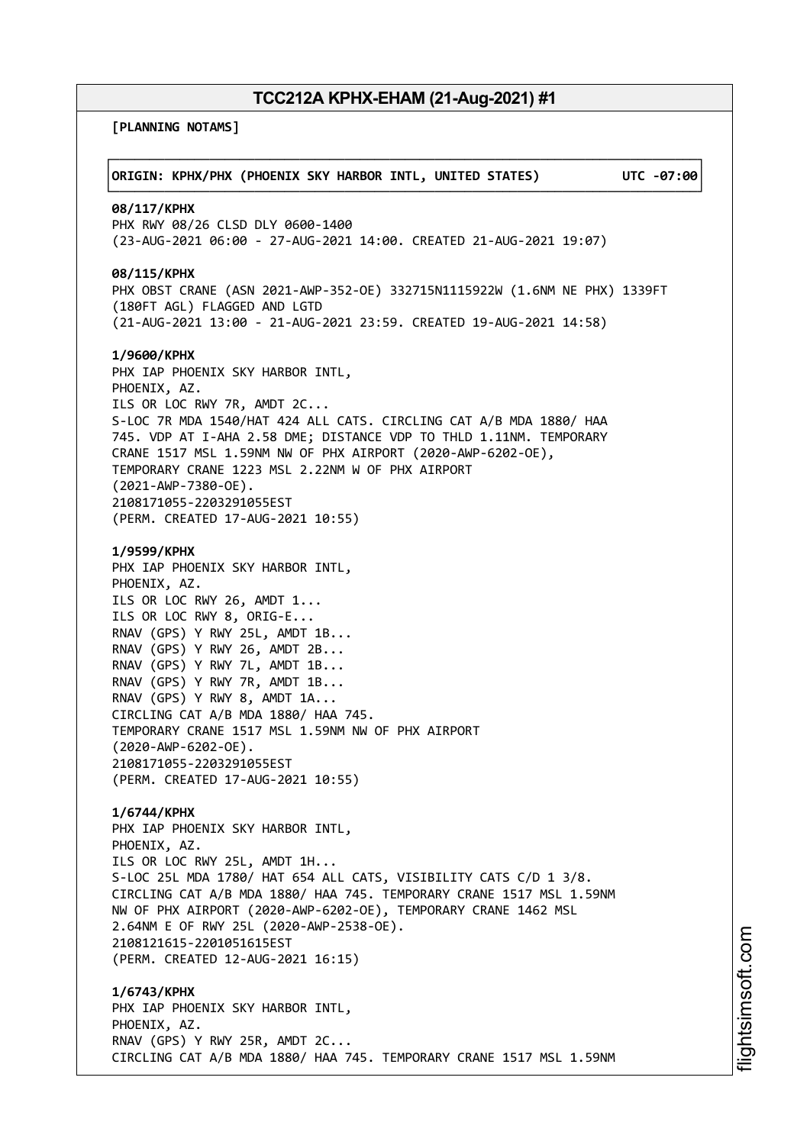**[PLANNING NOTAMS]**

| ORIGIN: KPHX/PHX (PHOENIX SKY HARBOR INTL, UNITED STATES)                                                                                                                                                                                                                                                                                                                                                                                                                             | UTC -07:00 |
|---------------------------------------------------------------------------------------------------------------------------------------------------------------------------------------------------------------------------------------------------------------------------------------------------------------------------------------------------------------------------------------------------------------------------------------------------------------------------------------|------------|
| 08/117/KPHX<br>PHX RWY 08/26 CLSD DLY 0600-1400<br>(23-AUG-2021 06:00 - 27-AUG-2021 14:00. CREATED 21-AUG-2021 19:07)                                                                                                                                                                                                                                                                                                                                                                 |            |
| 08/115/KPHX<br>PHX OBST CRANE (ASN 2021-AWP-352-OE) 332715N1115922W (1.6NM NE PHX) 1339FT<br>(180FT AGL) FLAGGED AND LGTD<br>(21-AUG-2021 13:00 - 21-AUG-2021 23:59. CREATED 19-AUG-2021 14:58)                                                                                                                                                                                                                                                                                       |            |
| 1/9600/KPHX<br>PHX IAP PHOENIX SKY HARBOR INTL,<br>PHOENIX, AZ.<br>ILS OR LOC RWY 7R, AMDT 2C<br>S-LOC 7R MDA 1540/HAT 424 ALL CATS. CIRCLING CAT A/B MDA 1880/ HAA<br>745. VDP AT I-AHA 2.58 DME; DISTANCE VDP TO THLD 1.11NM. TEMPORARY<br>CRANE 1517 MSL 1.59NM NW OF PHX AIRPORT (2020-AWP-6202-OE),<br>TEMPORARY CRANE 1223 MSL 2.22NM W OF PHX AIRPORT<br>$(2021 - AWP - 7380 - OE)$ .<br>2108171055-2203291055EST<br>(PERM. CREATED 17-AUG-2021 10:55)                         |            |
| 1/9599/KPHX<br>PHX IAP PHOENIX SKY HARBOR INTL,<br>PHOENIX, AZ.<br>ILS OR LOC RWY 26, AMDT 1<br>ILS OR LOC RWY 8, ORIG-E<br>RNAV (GPS) Y RWY 25L, AMDT 1B<br>RNAV (GPS) Y RWY 26, AMDT 2B<br>RNAV (GPS) Y RWY 7L, AMDT 1B<br>RNAV (GPS) Y RWY 7R, AMDT 1B<br>RNAV (GPS) Y RWY 8, AMDT 1A<br>CIRCLING CAT A/B MDA 1880/ HAA 745.<br>TEMPORARY CRANE 1517 MSL 1.59NM NW OF PHX AIRPORT<br>$(2020 - AWP - 6202 - OE)$ .<br>2108171055-2203291055EST<br>(PERM. CREATED 17-AUG-2021 10:55) |            |
| 1/6744/KPHX<br>PHX IAP PHOENIX SKY HARBOR INTL,<br>PHOENIX, AZ.<br>ILS OR LOC RWY 25L, AMDT 1H<br>S-LOC 25L MDA 1780/ HAT 654 ALL CATS, VISIBILITY CATS C/D 1 3/8.<br>CIRCLING CAT A/B MDA 1880/ HAA 745. TEMPORARY CRANE 1517 MSL 1.59NM<br>NW OF PHX AIRPORT (2020-AWP-6202-OE), TEMPORARY CRANE 1462 MSL<br>2.64NM E OF RWY 25L (2020-AWP-2538-OE).<br>2108121615-2201051615EST<br>(PERM. CREATED 12-AUG-2021 16:15)                                                               |            |
| 1/6743/KPHX<br>PHX IAP PHOENIX SKY HARBOR INTL,<br>PHOENIX, AZ.<br>RNAV (GPS) Y RWY 25R, AMDT 2C<br>CIRCLING CAT A/B MDA 1880/ HAA 745. TEMPORARY CRANE 1517 MSL 1.59NM                                                                                                                                                                                                                                                                                                               |            |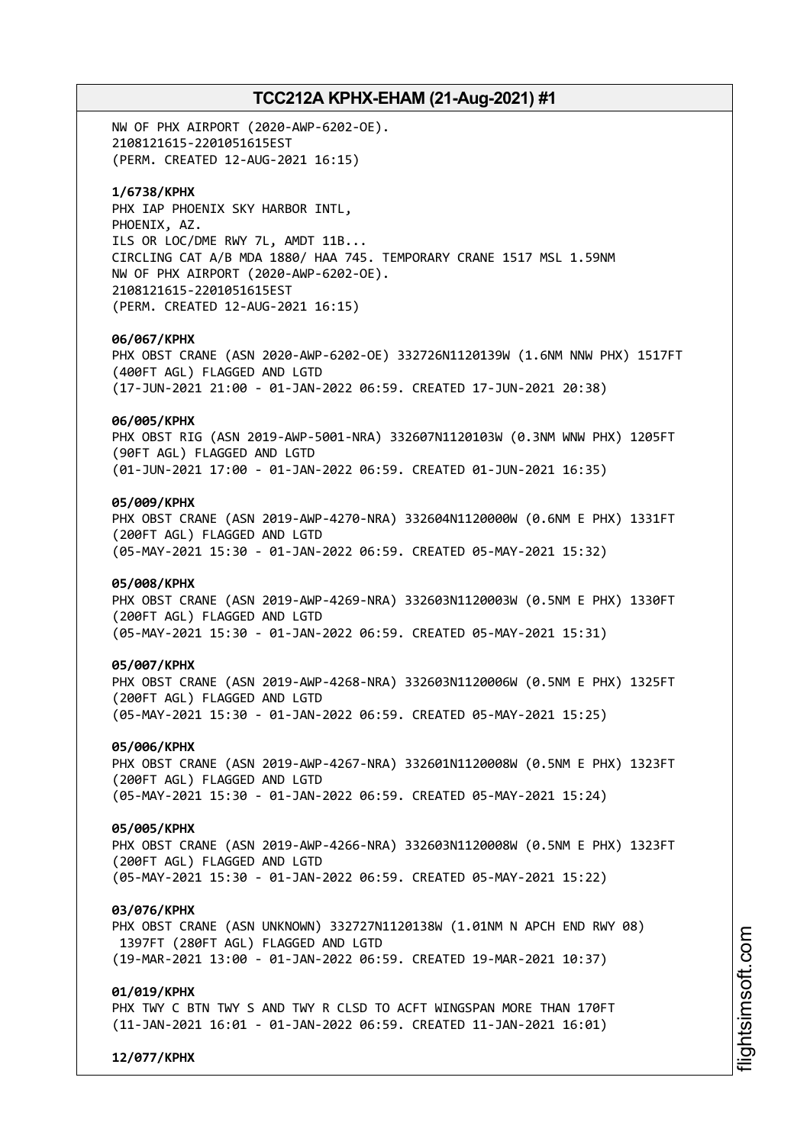NW OF PHX AIRPORT (2020-AWP-6202-OE). 2108121615-2201051615EST (PERM. CREATED 12-AUG-2021 16:15)

### **1/6738/KPHX**

PHX IAP PHOENIX SKY HARBOR INTL, PHOENIX, AZ. ILS OR LOC/DME RWY 7L, AMDT 11B... CIRCLING CAT A/B MDA 1880/ HAA 745. TEMPORARY CRANE 1517 MSL 1.59NM NW OF PHX AIRPORT (2020-AWP-6202-OE). 2108121615-2201051615EST (PERM. CREATED 12-AUG-2021 16:15)

#### **06/067/KPHX**

PHX OBST CRANE (ASN 2020-AWP-6202-OE) 332726N1120139W (1.6NM NNW PHX) 1517FT (400FT AGL) FLAGGED AND LGTD (17-JUN-2021 21:00 - 01-JAN-2022 06:59. CREATED 17-JUN-2021 20:38)

## **06/005/KPHX**

PHX OBST RIG (ASN 2019-AWP-5001-NRA) 332607N1120103W (0.3NM WNW PHX) 1205FT (90FT AGL) FLAGGED AND LGTD (01-JUN-2021 17:00 - 01-JAN-2022 06:59. CREATED 01-JUN-2021 16:35)

## **05/009/KPHX**

PHX OBST CRANE (ASN 2019-AWP-4270-NRA) 332604N1120000W (0.6NM E PHX) 1331FT (200FT AGL) FLAGGED AND LGTD (05-MAY-2021 15:30 - 01-JAN-2022 06:59. CREATED 05-MAY-2021 15:32)

### **05/008/KPHX**

PHX OBST CRANE (ASN 2019-AWP-4269-NRA) 332603N1120003W (0.5NM E PHX) 1330FT (200FT AGL) FLAGGED AND LGTD (05-MAY-2021 15:30 - 01-JAN-2022 06:59. CREATED 05-MAY-2021 15:31)

#### **05/007/KPHX**

PHX OBST CRANE (ASN 2019-AWP-4268-NRA) 332603N1120006W (0.5NM E PHX) 1325FT (200FT AGL) FLAGGED AND LGTD (05-MAY-2021 15:30 - 01-JAN-2022 06:59. CREATED 05-MAY-2021 15:25)

#### **05/006/KPHX**

PHX OBST CRANE (ASN 2019-AWP-4267-NRA) 332601N1120008W (0.5NM E PHX) 1323FT (200FT AGL) FLAGGED AND LGTD (05-MAY-2021 15:30 - 01-JAN-2022 06:59. CREATED 05-MAY-2021 15:24)

#### **05/005/KPHX**

PHX OBST CRANE (ASN 2019-AWP-4266-NRA) 332603N1120008W (0.5NM E PHX) 1323FT (200FT AGL) FLAGGED AND LGTD (05-MAY-2021 15:30 - 01-JAN-2022 06:59. CREATED 05-MAY-2021 15:22)

#### **03/076/KPHX**

PHX OBST CRANE (ASN UNKNOWN) 332727N1120138W (1.01NM N APCH END RWY 08) 1397FT (280FT AGL) FLAGGED AND LGTD (19-MAR-2021 13:00 - 01-JAN-2022 06:59. CREATED 19-MAR-2021 10:37)

#### **01/019/KPHX**

PHX TWY C BTN TWY S AND TWY R CLSD TO ACFT WINGSPAN MORE THAN 170FT (11-JAN-2021 16:01 - 01-JAN-2022 06:59. CREATED 11-JAN-2021 16:01)

**12/077/KPHX**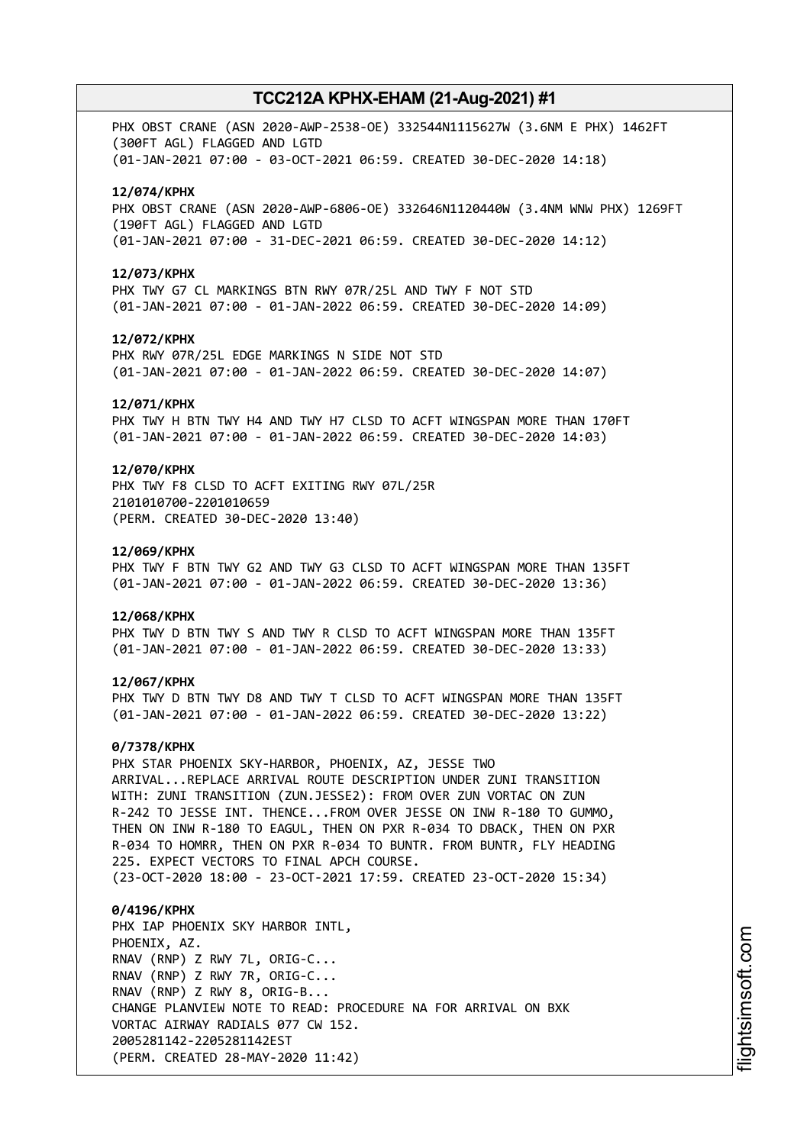PHX OBST CRANE (ASN 2020-AWP-2538-OE) 332544N1115627W (3.6NM E PHX) 1462FT (300FT AGL) FLAGGED AND LGTD (01-JAN-2021 07:00 - 03-OCT-2021 06:59. CREATED 30-DEC-2020 14:18)

### **12/074/KPHX**

PHX OBST CRANE (ASN 2020-AWP-6806-OE) 332646N1120440W (3.4NM WNW PHX) 1269FT (190FT AGL) FLAGGED AND LGTD (01-JAN-2021 07:00 - 31-DEC-2021 06:59. CREATED 30-DEC-2020 14:12)

#### **12/073/KPHX**

PHX TWY G7 CL MARKINGS BTN RWY 07R/25L AND TWY F NOT STD (01-JAN-2021 07:00 - 01-JAN-2022 06:59. CREATED 30-DEC-2020 14:09)

#### **12/072/KPHX**

PHX RWY 07R/25L EDGE MARKINGS N SIDE NOT STD (01-JAN-2021 07:00 - 01-JAN-2022 06:59. CREATED 30-DEC-2020 14:07)

#### **12/071/KPHX**

PHX TWY H BTN TWY H4 AND TWY H7 CLSD TO ACFT WINGSPAN MORE THAN 170FT (01-JAN-2021 07:00 - 01-JAN-2022 06:59. CREATED 30-DEC-2020 14:03)

## **12/070/KPHX**

PHX TWY F8 CLSD TO ACFT EXITING RWY 07L/25R 2101010700-2201010659 (PERM. CREATED 30-DEC-2020 13:40)

#### **12/069/KPHX**

PHX TWY F BTN TWY G2 AND TWY G3 CLSD TO ACFT WINGSPAN MORE THAN 135FT (01-JAN-2021 07:00 - 01-JAN-2022 06:59. CREATED 30-DEC-2020 13:36)

#### **12/068/KPHX**

PHX TWY D BTN TWY S AND TWY R CLSD TO ACFT WINGSPAN MORE THAN 135FT (01-JAN-2021 07:00 - 01-JAN-2022 06:59. CREATED 30-DEC-2020 13:33)

#### **12/067/KPHX**

PHX TWY D BTN TWY D8 AND TWY T CLSD TO ACFT WINGSPAN MORE THAN 135FT (01-JAN-2021 07:00 - 01-JAN-2022 06:59. CREATED 30-DEC-2020 13:22)

#### **0/7378/KPHX**

PHX STAR PHOENIX SKY-HARBOR, PHOENIX, AZ, JESSE TWO ARRIVAL...REPLACE ARRIVAL ROUTE DESCRIPTION UNDER ZUNI TRANSITION WITH: ZUNI TRANSITION (ZUN.JESSE2): FROM OVER ZUN VORTAC ON ZUN R-242 TO JESSE INT. THENCE...FROM OVER JESSE ON INW R-180 TO GUMMO, THEN ON INW R-180 TO EAGUL, THEN ON PXR R-034 TO DBACK, THEN ON PXR R-034 TO HOMRR, THEN ON PXR R-034 TO BUNTR. FROM BUNTR, FLY HEADING 225. EXPECT VECTORS TO FINAL APCH COURSE.

(23-OCT-2020 18:00 - 23-OCT-2021 17:59. CREATED 23-OCT-2020 15:34)

## **0/4196/KPHX** PHX IAP PHOENIX SKY HARBOR INTL, PHOENIX, AZ. RNAV (RNP) Z RWY 7L, ORIG-C... RNAV (RNP) Z RWY 7R, ORIG-C... RNAV (RNP) Z RWY 8, ORIG-B... CHANGE PLANVIEW NOTE TO READ: PROCEDURE NA FOR ARRIVAL ON BXK VORTAC AIRWAY RADIALS 077 CW 152. 2005281142-2205281142EST (PERM. CREATED 28-MAY-2020 11:42)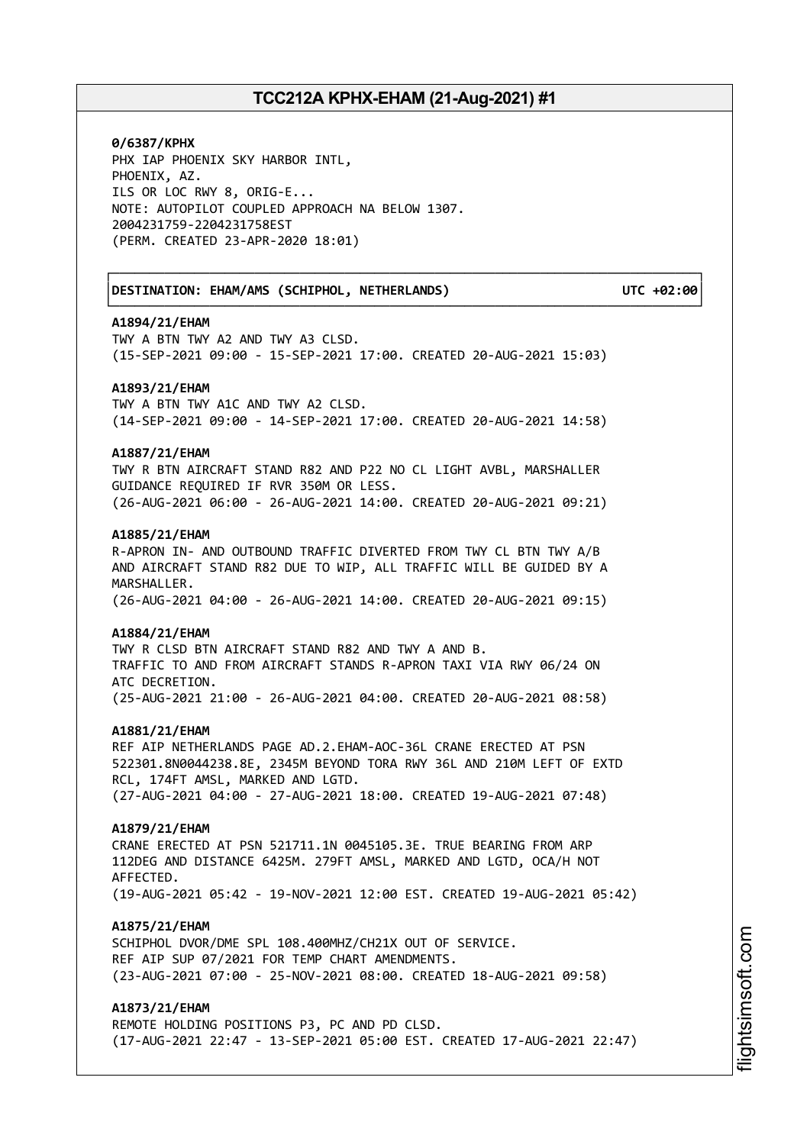┌──────────────────────────────────────────────────────────────────────────────┐

└──────────────────────────────────────────────────────────────────────────────┘

**0/6387/KPHX** PHX IAP PHOENIX SKY HARBOR INTL, PHOENIX, AZ. ILS OR LOC RWY 8, ORIG-E... NOTE: AUTOPILOT COUPLED APPROACH NA BELOW 1307. 2004231759-2204231758EST (PERM. CREATED 23-APR-2020 18:01)

│**DESTINATION: EHAM/AMS (SCHIPHOL, NETHERLANDS) UTC +02:00**│

#### **A1894/21/EHAM**

TWY A BTN TWY A2 AND TWY A3 CLSD. (15-SEP-2021 09:00 - 15-SEP-2021 17:00. CREATED 20-AUG-2021 15:03)

#### **A1893/21/EHAM**

TWY A BTN TWY A1C AND TWY A2 CLSD. (14-SEP-2021 09:00 - 14-SEP-2021 17:00. CREATED 20-AUG-2021 14:58)

### **A1887/21/EHAM**

TWY R BTN AIRCRAFT STAND R82 AND P22 NO CL LIGHT AVBL, MARSHALLER GUIDANCE REQUIRED IF RVR 350M OR LESS. (26-AUG-2021 06:00 - 26-AUG-2021 14:00. CREATED 20-AUG-2021 09:21)

#### **A1885/21/EHAM**

R-APRON IN- AND OUTBOUND TRAFFIC DIVERTED FROM TWY CL BTN TWY A/B AND AIRCRAFT STAND R82 DUE TO WIP, ALL TRAFFIC WILL BE GUIDED BY A MARSHALLER. (26-AUG-2021 04:00 - 26-AUG-2021 14:00. CREATED 20-AUG-2021 09:15)

#### **A1884/21/EHAM**

TWY R CLSD BTN AIRCRAFT STAND R82 AND TWY A AND B. TRAFFIC TO AND FROM AIRCRAFT STANDS R-APRON TAXI VIA RWY 06/24 ON ATC DECRETION. (25-AUG-2021 21:00 - 26-AUG-2021 04:00. CREATED 20-AUG-2021 08:58)

#### **A1881/21/EHAM**

REF AIP NETHERLANDS PAGE AD.2.EHAM-AOC-36L CRANE ERECTED AT PSN 522301.8N0044238.8E, 2345M BEYOND TORA RWY 36L AND 210M LEFT OF EXTD RCL, 174FT AMSL, MARKED AND LGTD. (27-AUG-2021 04:00 - 27-AUG-2021 18:00. CREATED 19-AUG-2021 07:48)

#### **A1879/21/EHAM**

CRANE ERECTED AT PSN 521711.1N 0045105.3E. TRUE BEARING FROM ARP 112DEG AND DISTANCE 6425M. 279FT AMSL, MARKED AND LGTD, OCA/H NOT AFFECTED. (19-AUG-2021 05:42 - 19-NOV-2021 12:00 EST. CREATED 19-AUG-2021 05:42)

#### **A1875/21/EHAM**

SCHIPHOL DVOR/DME SPL 108.400MHZ/CH21X OUT OF SERVICE. REF AIP SUP 07/2021 FOR TEMP CHART AMENDMENTS. (23-AUG-2021 07:00 - 25-NOV-2021 08:00. CREATED 18-AUG-2021 09:58)

## **A1873/21/EHAM**

REMOTE HOLDING POSITIONS P3, PC AND PD CLSD. (17-AUG-2021 22:47 - 13-SEP-2021 05:00 EST. CREATED 17-AUG-2021 22:47) i⊒<br>⊫ htsim soft.c om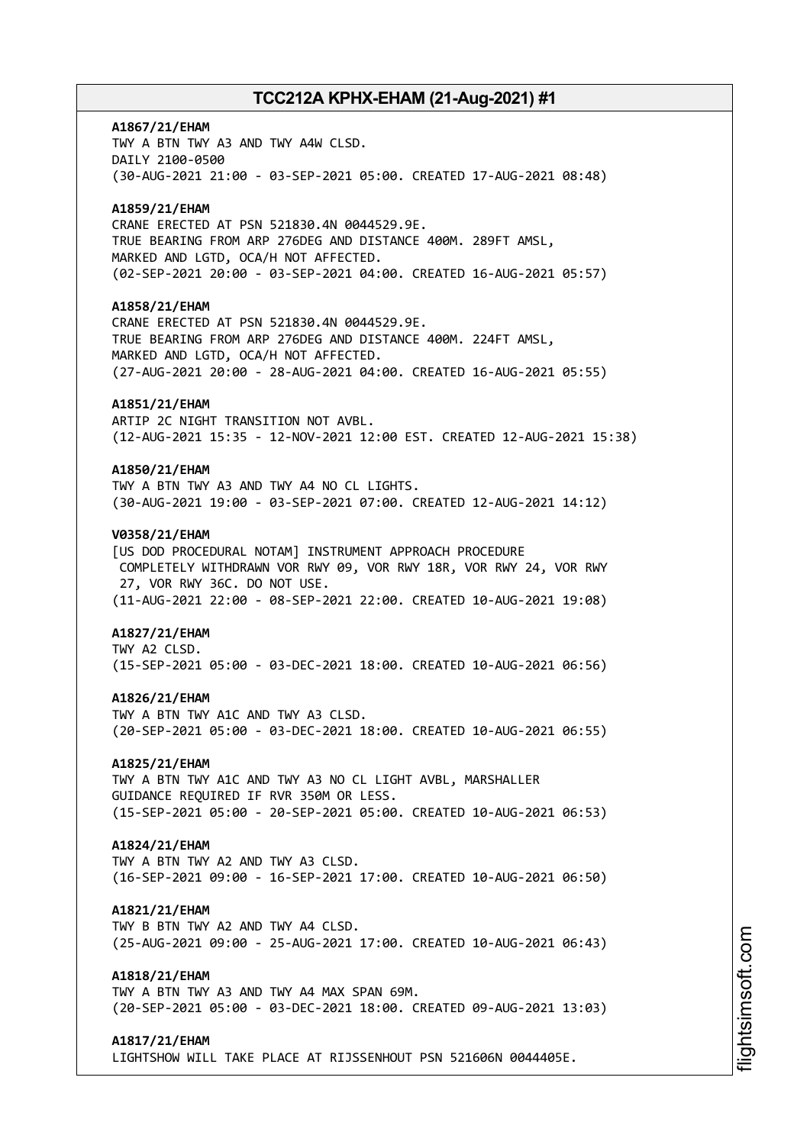# **A1867/21/EHAM** TWY A BTN TWY A3 AND TWY A4W CLSD. DAILY 2100-0500 (30-AUG-2021 21:00 - 03-SEP-2021 05:00. CREATED 17-AUG-2021 08:48) **A1859/21/EHAM** CRANE ERECTED AT PSN 521830.4N 0044529.9E. TRUE BEARING FROM ARP 276DEG AND DISTANCE 400M. 289FT AMSL, MARKED AND LGTD, OCA/H NOT AFFECTED. (02-SEP-2021 20:00 - 03-SEP-2021 04:00. CREATED 16-AUG-2021 05:57) **A1858/21/EHAM** CRANE ERECTED AT PSN 521830.4N 0044529.9E. TRUE BEARING FROM ARP 276DEG AND DISTANCE 400M. 224FT AMSL, MARKED AND LGTD, OCA/H NOT AFFECTED. (27-AUG-2021 20:00 - 28-AUG-2021 04:00. CREATED 16-AUG-2021 05:55) **A1851/21/EHAM** ARTIP 2C NIGHT TRANSITION NOT AVBL. (12-AUG-2021 15:35 - 12-NOV-2021 12:00 EST. CREATED 12-AUG-2021 15:38) **A1850/21/EHAM** TWY A BTN TWY A3 AND TWY A4 NO CL LIGHTS. (30-AUG-2021 19:00 - 03-SEP-2021 07:00. CREATED 12-AUG-2021 14:12) **V0358/21/EHAM** [US DOD PROCEDURAL NOTAM] INSTRUMENT APPROACH PROCEDURE COMPLETELY WITHDRAWN VOR RWY 09, VOR RWY 18R, VOR RWY 24, VOR RWY 27, VOR RWY 36C. DO NOT USE. (11-AUG-2021 22:00 - 08-SEP-2021 22:00. CREATED 10-AUG-2021 19:08) **A1827/21/EHAM** TWY A2 CLSD. (15-SEP-2021 05:00 - 03-DEC-2021 18:00. CREATED 10-AUG-2021 06:56) **A1826/21/EHAM** TWY A BTN TWY A1C AND TWY A3 CLSD. (20-SEP-2021 05:00 - 03-DEC-2021 18:00. CREATED 10-AUG-2021 06:55) **A1825/21/EHAM** TWY A BTN TWY A1C AND TWY A3 NO CL LIGHT AVBL, MARSHALLER GUIDANCE REQUIRED IF RVR 350M OR LESS. (15-SEP-2021 05:00 - 20-SEP-2021 05:00. CREATED 10-AUG-2021 06:53) **A1824/21/EHAM** TWY A BTN TWY A2 AND TWY A3 CLSD. (16-SEP-2021 09:00 - 16-SEP-2021 17:00. CREATED 10-AUG-2021 06:50) **A1821/21/EHAM** TWY B BTN TWY A2 AND TWY A4 CLSD. (25-AUG-2021 09:00 - 25-AUG-2021 17:00. CREATED 10-AUG-2021 06:43) **A1818/21/EHAM** TWY A BTN TWY A3 AND TWY A4 MAX SPAN 69M. (20-SEP-2021 05:00 - 03-DEC-2021 18:00. CREATED 09-AUG-2021 13:03) **A1817/21/EHAM**

LIGHTSHOW WILL TAKE PLACE AT RIJSSENHOUT PSN 521606N 0044405E.

m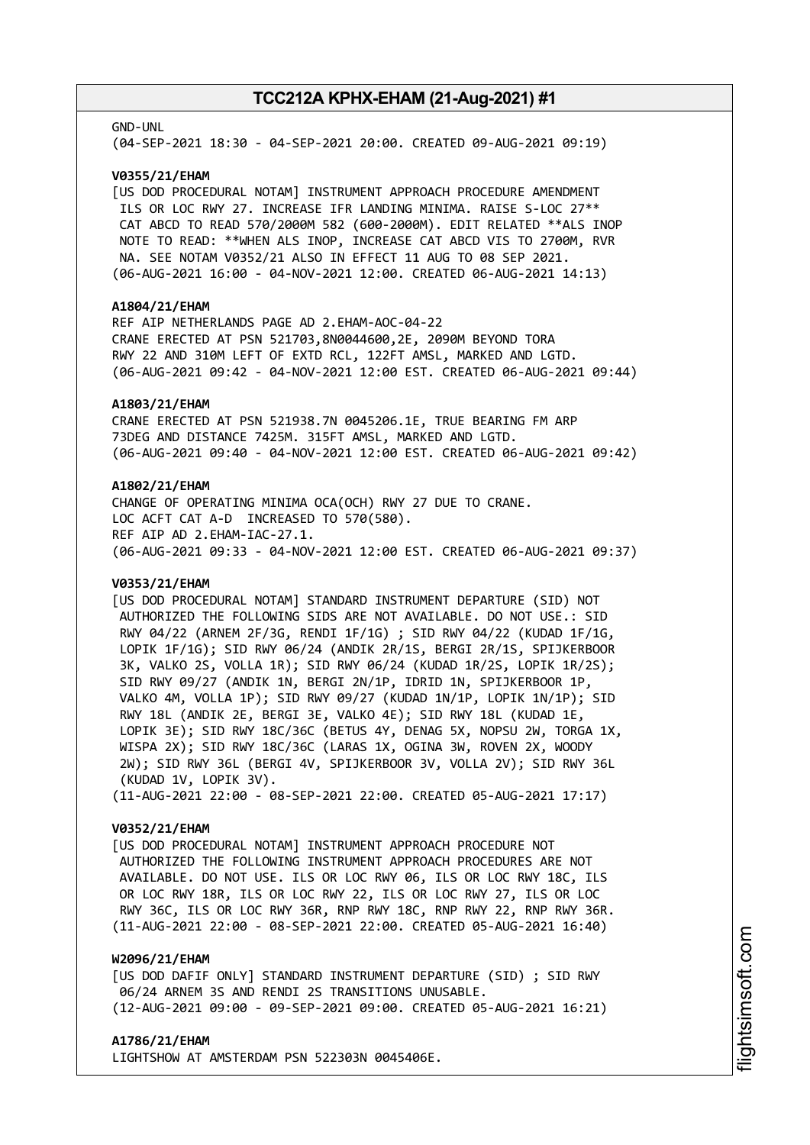#### GND-UNL

(04-SEP-2021 18:30 - 04-SEP-2021 20:00. CREATED 09-AUG-2021 09:19)

#### **V0355/21/EHAM**

[US DOD PROCEDURAL NOTAM] INSTRUMENT APPROACH PROCEDURE AMENDMENT ILS OR LOC RWY 27. INCREASE IFR LANDING MINIMA. RAISE S-LOC 27\*\* CAT ABCD TO READ 570/2000M 582 (600-2000M). EDIT RELATED \*\*ALS INOP NOTE TO READ: \*\*WHEN ALS INOP, INCREASE CAT ABCD VIS TO 2700M, RVR NA. SEE NOTAM V0352/21 ALSO IN EFFECT 11 AUG TO 08 SEP 2021. (06-AUG-2021 16:00 - 04-NOV-2021 12:00. CREATED 06-AUG-2021 14:13)

### **A1804/21/EHAM**

REF AIP NETHERLANDS PAGE AD 2.EHAM-AOC-04-22 CRANE ERECTED AT PSN 521703,8N0044600,2E, 2090M BEYOND TORA RWY 22 AND 310M LEFT OF EXTD RCL, 122FT AMSL, MARKED AND LGTD. (06-AUG-2021 09:42 - 04-NOV-2021 12:00 EST. CREATED 06-AUG-2021 09:44)

#### **A1803/21/EHAM**

CRANE ERECTED AT PSN 521938.7N 0045206.1E, TRUE BEARING FM ARP 73DEG AND DISTANCE 7425M. 315FT AMSL, MARKED AND LGTD. (06-AUG-2021 09:40 - 04-NOV-2021 12:00 EST. CREATED 06-AUG-2021 09:42)

### **A1802/21/EHAM**

CHANGE OF OPERATING MINIMA OCA(OCH) RWY 27 DUE TO CRANE. LOC ACFT CAT A-D INCREASED TO 570(580). REF AIP AD 2.EHAM-IAC-27.1. (06-AUG-2021 09:33 - 04-NOV-2021 12:00 EST. CREATED 06-AUG-2021 09:37)

#### **V0353/21/EHAM**

[US DOD PROCEDURAL NOTAM] STANDARD INSTRUMENT DEPARTURE (SID) NOT AUTHORIZED THE FOLLOWING SIDS ARE NOT AVAILABLE. DO NOT USE.: SID RWY 04/22 (ARNEM 2F/3G, RENDI 1F/1G) ; SID RWY 04/22 (KUDAD 1F/1G, LOPIK 1F/1G); SID RWY 06/24 (ANDIK 2R/1S, BERGI 2R/1S, SPIJKERBOOR 3K, VALKO 2S, VOLLA 1R); SID RWY 06/24 (KUDAD 1R/2S, LOPIK 1R/2S); SID RWY 09/27 (ANDIK 1N, BERGI 2N/1P, IDRID 1N, SPIJKERBOOR 1P, VALKO 4M, VOLLA 1P); SID RWY 09/27 (KUDAD 1N/1P, LOPIK 1N/1P); SID RWY 18L (ANDIK 2E, BERGI 3E, VALKO 4E); SID RWY 18L (KUDAD 1E, LOPIK 3E); SID RWY 18C/36C (BETUS 4Y, DENAG 5X, NOPSU 2W, TORGA 1X, WISPA 2X); SID RWY 18C/36C (LARAS 1X, OGINA 3W, ROVEN 2X, WOODY 2W); SID RWY 36L (BERGI 4V, SPIJKERBOOR 3V, VOLLA 2V); SID RWY 36L (KUDAD 1V, LOPIK 3V). (11-AUG-2021 22:00 - 08-SEP-2021 22:00. CREATED 05-AUG-2021 17:17)

#### **V0352/21/EHAM**

[US DOD PROCEDURAL NOTAM] INSTRUMENT APPROACH PROCEDURE NOT AUTHORIZED THE FOLLOWING INSTRUMENT APPROACH PROCEDURES ARE NOT AVAILABLE. DO NOT USE. ILS OR LOC RWY 06, ILS OR LOC RWY 18C, ILS OR LOC RWY 18R, ILS OR LOC RWY 22, ILS OR LOC RWY 27, ILS OR LOC RWY 36C, ILS OR LOC RWY 36R, RNP RWY 18C, RNP RWY 22, RNP RWY 36R. (11-AUG-2021 22:00 - 08-SEP-2021 22:00. CREATED 05-AUG-2021 16:40)

## **W2096/21/EHAM**

[US DOD DAFIF ONLY] STANDARD INSTRUMENT DEPARTURE (SID) ; SID RWY 06/24 ARNEM 3S AND RENDI 2S TRANSITIONS UNUSABLE. (12-AUG-2021 09:00 - 09-SEP-2021 09:00. CREATED 05-AUG-2021 16:21)

#### **A1786/21/EHAM**

LIGHTSHOW AT AMSTERDAM PSN 522303N 0045406E.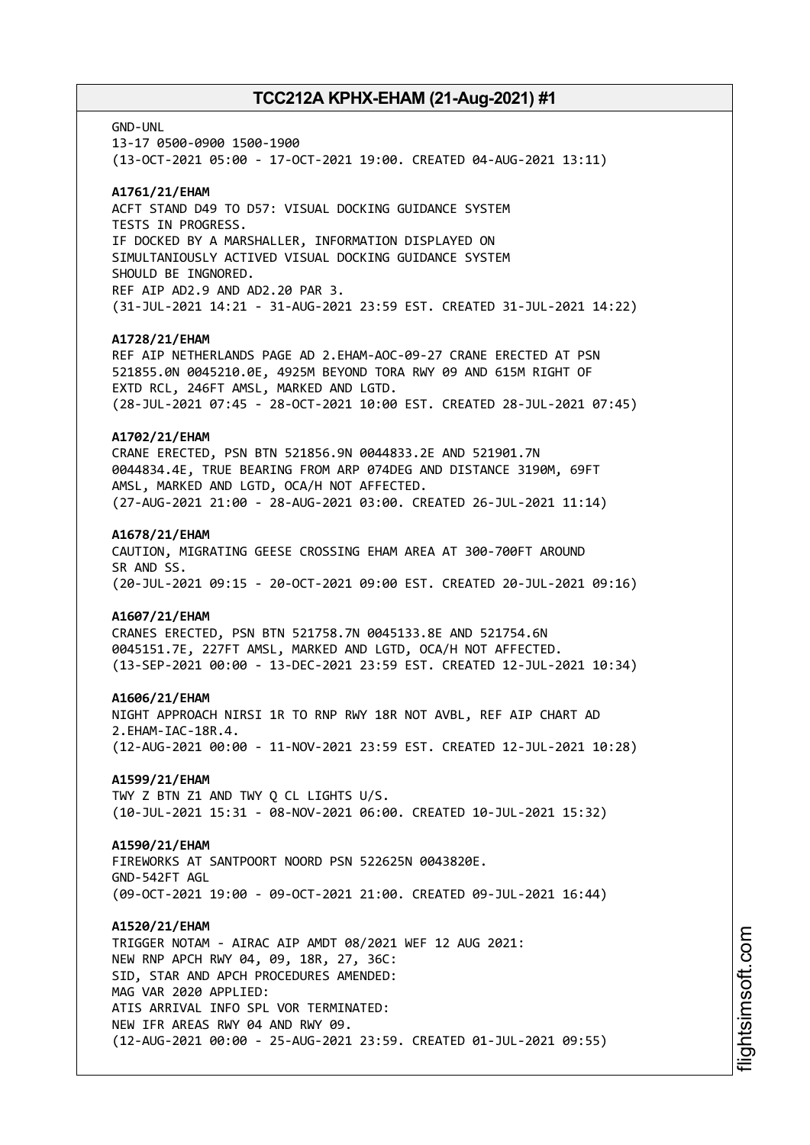GND-UNL

13-17 0500-0900 1500-1900 (13-OCT-2021 05:00 - 17-OCT-2021 19:00. CREATED 04-AUG-2021 13:11)

### **A1761/21/EHAM**

ACFT STAND D49 TO D57: VISUAL DOCKING GUIDANCE SYSTEM TESTS IN PROGRESS. IF DOCKED BY A MARSHALLER, INFORMATION DISPLAYED ON SIMULTANIOUSLY ACTIVED VISUAL DOCKING GUIDANCE SYSTEM SHOULD BE INGNORED. REF AIP AD2.9 AND AD2.20 PAR 3. (31-JUL-2021 14:21 - 31-AUG-2021 23:59 EST. CREATED 31-JUL-2021 14:22)

### **A1728/21/EHAM**

REF AIP NETHERLANDS PAGE AD 2.EHAM-AOC-09-27 CRANE ERECTED AT PSN 521855.0N 0045210.0E, 4925M BEYOND TORA RWY 09 AND 615M RIGHT OF EXTD RCL, 246FT AMSL, MARKED AND LGTD. (28-JUL-2021 07:45 - 28-OCT-2021 10:00 EST. CREATED 28-JUL-2021 07:45)

#### **A1702/21/EHAM**

CRANE ERECTED, PSN BTN 521856.9N 0044833.2E AND 521901.7N 0044834.4E, TRUE BEARING FROM ARP 074DEG AND DISTANCE 3190M, 69FT AMSL, MARKED AND LGTD, OCA/H NOT AFFECTED. (27-AUG-2021 21:00 - 28-AUG-2021 03:00. CREATED 26-JUL-2021 11:14)

#### **A1678/21/EHAM**

CAUTION, MIGRATING GEESE CROSSING EHAM AREA AT 300-700FT AROUND SR AND SS. (20-JUL-2021 09:15 - 20-OCT-2021 09:00 EST. CREATED 20-JUL-2021 09:16)

### **A1607/21/EHAM**

CRANES ERECTED, PSN BTN 521758.7N 0045133.8E AND 521754.6N 0045151.7E, 227FT AMSL, MARKED AND LGTD, OCA/H NOT AFFECTED. (13-SEP-2021 00:00 - 13-DEC-2021 23:59 EST. CREATED 12-JUL-2021 10:34)

#### **A1606/21/EHAM**

NIGHT APPROACH NIRSI 1R TO RNP RWY 18R NOT AVBL, REF AIP CHART AD 2.EHAM-IAC-18R.4. (12-AUG-2021 00:00 - 11-NOV-2021 23:59 EST. CREATED 12-JUL-2021 10:28)

## **A1599/21/EHAM**

TWY Z BTN Z1 AND TWY Q CL LIGHTS U/S. (10-JUL-2021 15:31 - 08-NOV-2021 06:00. CREATED 10-JUL-2021 15:32)

### **A1590/21/EHAM**

FIREWORKS AT SANTPOORT NOORD PSN 522625N 0043820E. GND-542FT AGL (09-OCT-2021 19:00 - 09-OCT-2021 21:00. CREATED 09-JUL-2021 16:44)

### **A1520/21/EHAM**

TRIGGER NOTAM - AIRAC AIP AMDT 08/2021 WEF 12 AUG 2021: NEW RNP APCH RWY 04, 09, 18R, 27, 36C: SID, STAR AND APCH PROCEDURES AMENDED: MAG VAR 2020 APPLIED: ATIS ARRIVAL INFO SPL VOR TERMINATED: NEW IFR AREAS RWY 04 AND RWY 09. (12-AUG-2021 00:00 - 25-AUG-2021 23:59. CREATED 01-JUL-2021 09:55)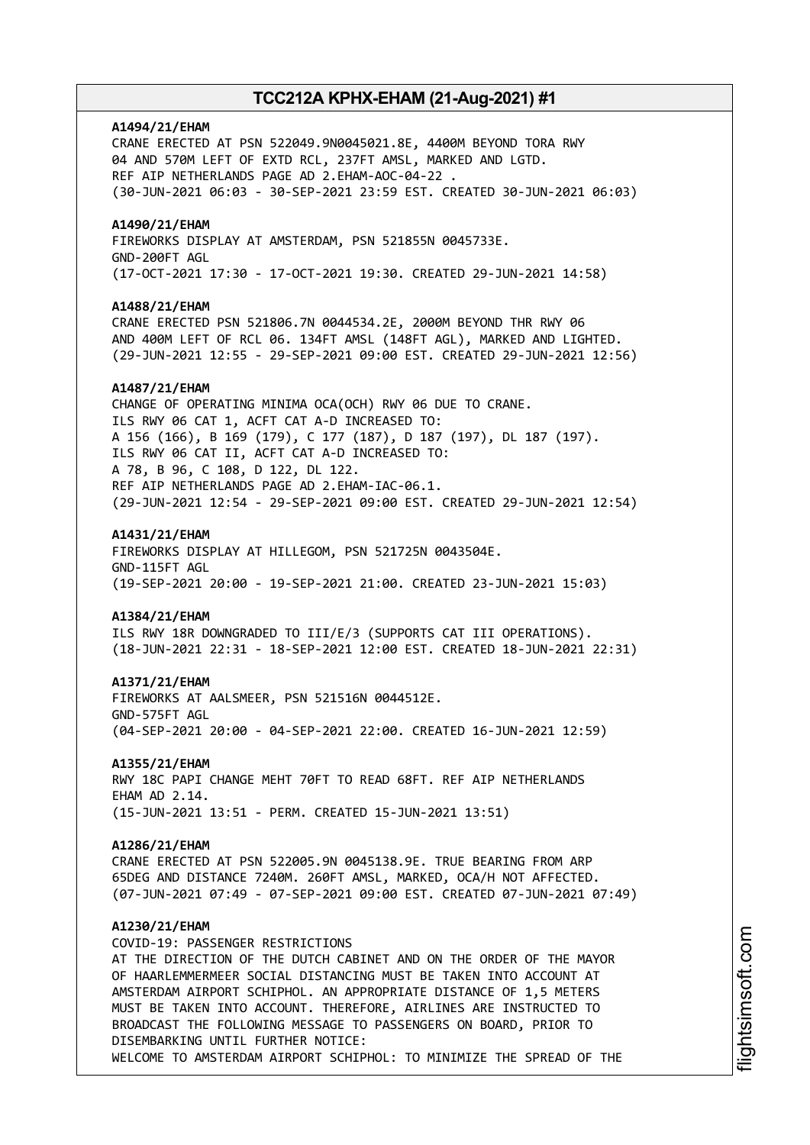## **A1494/21/EHAM**

CRANE ERECTED AT PSN 522049.9N0045021.8E, 4400M BEYOND TORA RWY 04 AND 570M LEFT OF EXTD RCL, 237FT AMSL, MARKED AND LGTD. REF AIP NETHERLANDS PAGE AD 2.EHAM-AOC-04-22 . (30-JUN-2021 06:03 - 30-SEP-2021 23:59 EST. CREATED 30-JUN-2021 06:03)

### **A1490/21/EHAM**

FIREWORKS DISPLAY AT AMSTERDAM, PSN 521855N 0045733E. GND-200FT AGL (17-OCT-2021 17:30 - 17-OCT-2021 19:30. CREATED 29-JUN-2021 14:58)

#### **A1488/21/EHAM**

CRANE ERECTED PSN 521806.7N 0044534.2E, 2000M BEYOND THR RWY 06 AND 400M LEFT OF RCL 06. 134FT AMSL (148FT AGL), MARKED AND LIGHTED. (29-JUN-2021 12:55 - 29-SEP-2021 09:00 EST. CREATED 29-JUN-2021 12:56)

#### **A1487/21/EHAM**

CHANGE OF OPERATING MINIMA OCA(OCH) RWY 06 DUE TO CRANE. ILS RWY 06 CAT 1, ACFT CAT A-D INCREASED TO: A 156 (166), B 169 (179), C 177 (187), D 187 (197), DL 187 (197). ILS RWY 06 CAT II, ACFT CAT A-D INCREASED TO: A 78, B 96, C 108, D 122, DL 122. REF AIP NETHERLANDS PAGE AD 2.EHAM-IAC-06.1. (29-JUN-2021 12:54 - 29-SEP-2021 09:00 EST. CREATED 29-JUN-2021 12:54)

#### **A1431/21/EHAM**

FIREWORKS DISPLAY AT HILLEGOM, PSN 521725N 0043504E. GND-115FT AGL (19-SEP-2021 20:00 - 19-SEP-2021 21:00. CREATED 23-JUN-2021 15:03)

#### **A1384/21/EHAM**

ILS RWY 18R DOWNGRADED TO III/E/3 (SUPPORTS CAT III OPERATIONS). (18-JUN-2021 22:31 - 18-SEP-2021 12:00 EST. CREATED 18-JUN-2021 22:31)

#### **A1371/21/EHAM**

FIREWORKS AT AALSMEER, PSN 521516N 0044512E. GND-575FT AGL (04-SEP-2021 20:00 - 04-SEP-2021 22:00. CREATED 16-JUN-2021 12:59)

#### **A1355/21/EHAM**

RWY 18C PAPI CHANGE MEHT 70FT TO READ 68FT. REF AIP NETHERLANDS EHAM AD 2.14. (15-JUN-2021 13:51 - PERM. CREATED 15-JUN-2021 13:51)

#### **A1286/21/EHAM**

CRANE ERECTED AT PSN 522005.9N 0045138.9E. TRUE BEARING FROM ARP 65DEG AND DISTANCE 7240M. 260FT AMSL, MARKED, OCA/H NOT AFFECTED. (07-JUN-2021 07:49 - 07-SEP-2021 09:00 EST. CREATED 07-JUN-2021 07:49)

### **A1230/21/EHAM**

COVID-19: PASSENGER RESTRICTIONS AT THE DIRECTION OF THE DUTCH CABINET AND ON THE ORDER OF THE MAYOR OF HAARLEMMERMEER SOCIAL DISTANCING MUST BE TAKEN INTO ACCOUNT AT AMSTERDAM AIRPORT SCHIPHOL. AN APPROPRIATE DISTANCE OF 1,5 METERS MUST BE TAKEN INTO ACCOUNT. THEREFORE, AIRLINES ARE INSTRUCTED TO BROADCAST THE FOLLOWING MESSAGE TO PASSENGERS ON BOARD, PRIOR TO DISEMBARKING UNTIL FURTHER NOTICE: WELCOME TO AMSTERDAM AIRPORT SCHIPHOL: TO MINIMIZE THE SPREAD OF THE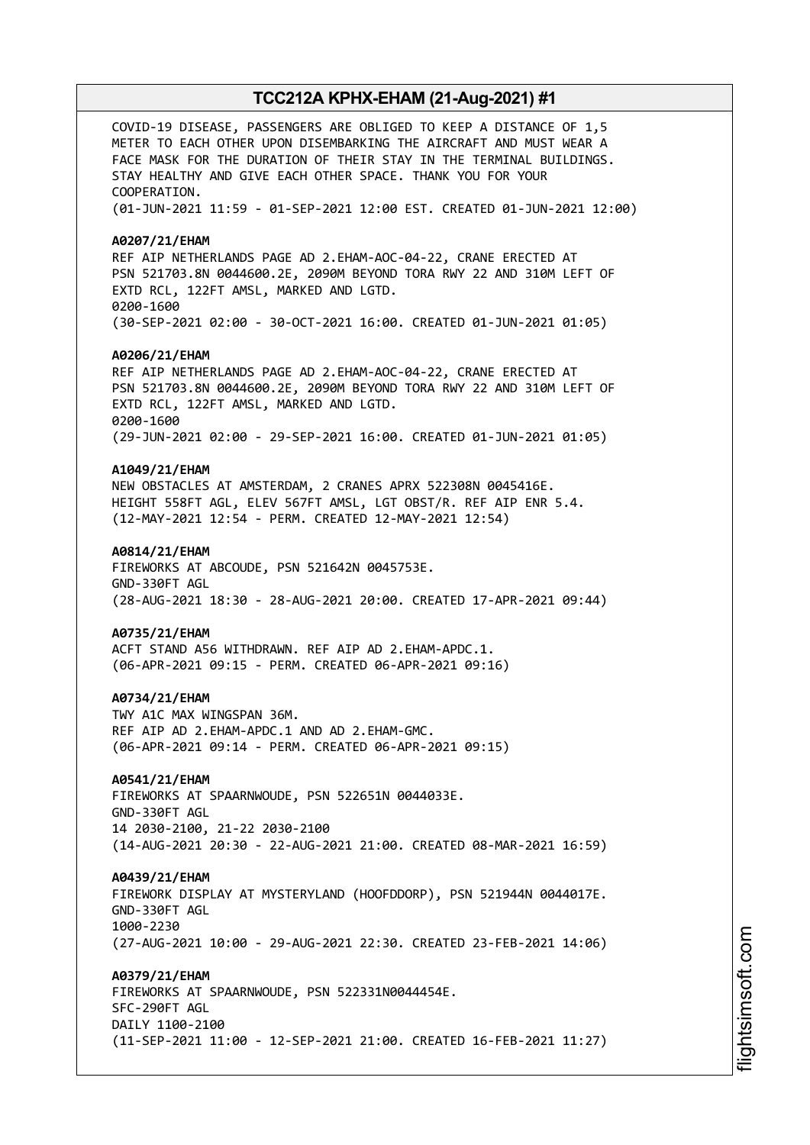COVID-19 DISEASE, PASSENGERS ARE OBLIGED TO KEEP A DISTANCE OF 1,5 METER TO EACH OTHER UPON DISEMBARKING THE AIRCRAFT AND MUST WEAR A FACE MASK FOR THE DURATION OF THEIR STAY IN THE TERMINAL BUILDINGS. STAY HEALTHY AND GIVE EACH OTHER SPACE. THANK YOU FOR YOUR COOPERATION. (01-JUN-2021 11:59 - 01-SEP-2021 12:00 EST. CREATED 01-JUN-2021 12:00) **A0207/21/EHAM** REF AIP NETHERLANDS PAGE AD 2.EHAM-AOC-04-22, CRANE ERECTED AT PSN 521703.8N 0044600.2E, 2090M BEYOND TORA RWY 22 AND 310M LEFT OF EXTD RCL, 122FT AMSL, MARKED AND LGTD. 0200-1600 (30-SEP-2021 02:00 - 30-OCT-2021 16:00. CREATED 01-JUN-2021 01:05) **A0206/21/EHAM** REF AIP NETHERLANDS PAGE AD 2.EHAM-AOC-04-22, CRANE ERECTED AT PSN 521703.8N 0044600.2E, 2090M BEYOND TORA RWY 22 AND 310M LEFT OF EXTD RCL, 122FT AMSL, MARKED AND LGTD. 0200-1600 (29-JUN-2021 02:00 - 29-SEP-2021 16:00. CREATED 01-JUN-2021 01:05) **A1049/21/EHAM** NEW OBSTACLES AT AMSTERDAM, 2 CRANES APRX 522308N 0045416E. HEIGHT 558FT AGL, ELEV 567FT AMSL, LGT OBST/R. REF AIP ENR 5.4. (12-MAY-2021 12:54 - PERM. CREATED 12-MAY-2021 12:54) **A0814/21/EHAM** FIREWORKS AT ABCOUDE, PSN 521642N 0045753E. GND-330FT AGL (28-AUG-2021 18:30 - 28-AUG-2021 20:00. CREATED 17-APR-2021 09:44) **A0735/21/EHAM** ACFT STAND A56 WITHDRAWN. REF AIP AD 2.EHAM-APDC.1. (06-APR-2021 09:15 - PERM. CREATED 06-APR-2021 09:16) **A0734/21/EHAM** TWY A1C MAX WINGSPAN 36M. REF AIP AD 2.EHAM-APDC.1 AND AD 2.EHAM-GMC. (06-APR-2021 09:14 - PERM. CREATED 06-APR-2021 09:15) **A0541/21/EHAM** FIREWORKS AT SPAARNWOUDE, PSN 522651N 0044033E. GND-330FT AGL 14 2030-2100, 21-22 2030-2100 (14-AUG-2021 20:30 - 22-AUG-2021 21:00. CREATED 08-MAR-2021 16:59) **A0439/21/EHAM** FIREWORK DISPLAY AT MYSTERYLAND (HOOFDDORP), PSN 521944N 0044017E. GND-330FT AGL 1000-2230 (27-AUG-2021 10:00 - 29-AUG-2021 22:30. CREATED 23-FEB-2021 14:06) **A0379/21/EHAM** FIREWORKS AT SPAARNWOUDE, PSN 522331N0044454E. SFC-290FT AGL DAILY 1100-2100 (11-SEP-2021 11:00 - 12-SEP-2021 21:00. CREATED 16-FEB-2021 11:27)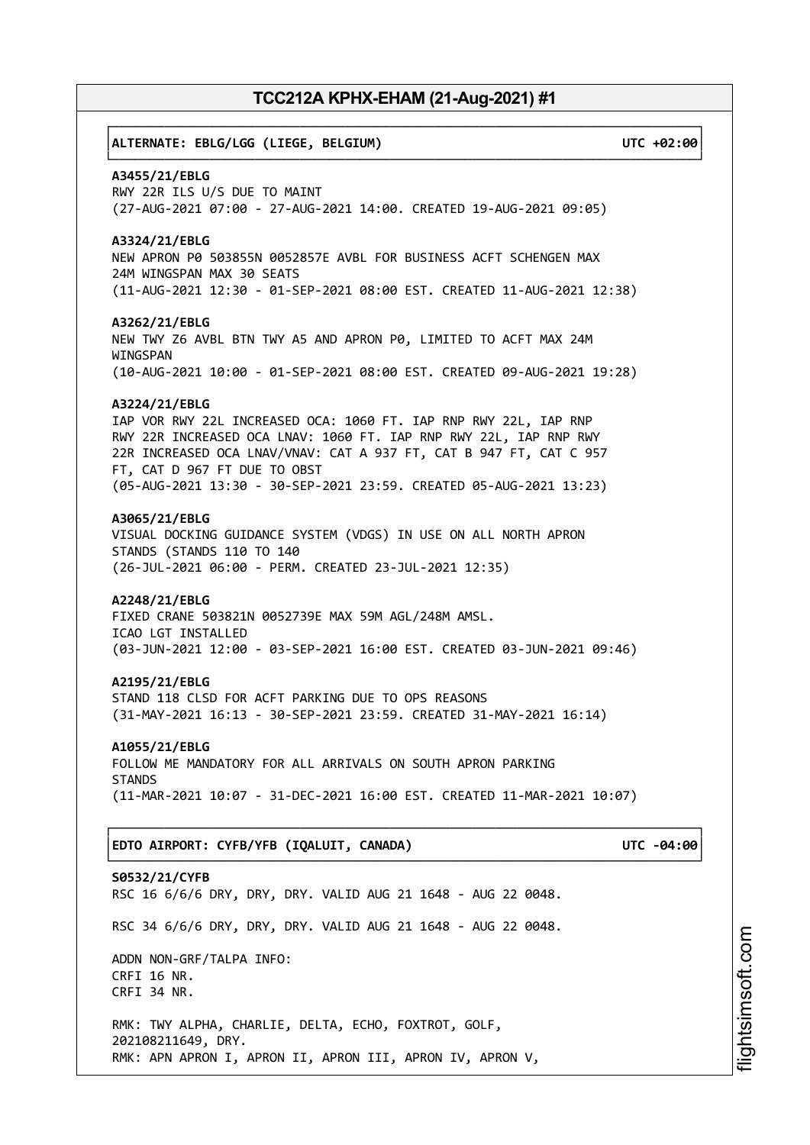# ┌──────────────────────────────────────────────────────────────────────────────┐ │**ALTERNATE: EBLG/LGG (LIEGE, BELGIUM) UTC +02:00**│ └──────────────────────────────────────────────────────────────────────────────┘ **A3455/21/EBLG** RWY 22R ILS U/S DUE TO MAINT (27-AUG-2021 07:00 - 27-AUG-2021 14:00. CREATED 19-AUG-2021 09:05) **A3324/21/EBLG** NEW APRON P0 503855N 0052857E AVBL FOR BUSINESS ACFT SCHENGEN MAX 24M WINGSPAN MAX 30 SEATS (11-AUG-2021 12:30 - 01-SEP-2021 08:00 EST. CREATED 11-AUG-2021 12:38) **A3262/21/EBLG** NEW TWY Z6 AVBL BTN TWY A5 AND APRON P0, LIMITED TO ACFT MAX 24M WINGSPAN (10-AUG-2021 10:00 - 01-SEP-2021 08:00 EST. CREATED 09-AUG-2021 19:28) **A3224/21/EBLG** IAP VOR RWY 22L INCREASED OCA: 1060 FT. IAP RNP RWY 22L, IAP RNP RWY 22R INCREASED OCA LNAV: 1060 FT. IAP RNP RWY 22L, IAP RNP RWY 22R INCREASED OCA LNAV/VNAV: CAT A 937 FT, CAT B 947 FT, CAT C 957 FT, CAT D 967 FT DUE TO OBST (05-AUG-2021 13:30 - 30-SEP-2021 23:59. CREATED 05-AUG-2021 13:23) **A3065/21/EBLG** VISUAL DOCKING GUIDANCE SYSTEM (VDGS) IN USE ON ALL NORTH APRON STANDS (STANDS 110 TO 140 (26-JUL-2021 06:00 - PERM. CREATED 23-JUL-2021 12:35) **A2248/21/EBLG** FIXED CRANE 503821N 0052739E MAX 59M AGL/248M AMSL. ICAO LGT INSTALLED (03-JUN-2021 12:00 - 03-SEP-2021 16:00 EST. CREATED 03-JUN-2021 09:46) **A2195/21/EBLG** STAND 118 CLSD FOR ACFT PARKING DUE TO OPS REASONS (31-MAY-2021 16:13 - 30-SEP-2021 23:59. CREATED 31-MAY-2021 16:14) **A1055/21/EBLG** FOLLOW ME MANDATORY FOR ALL ARRIVALS ON SOUTH APRON PARKING **STANDS** (11-MAR-2021 10:07 - 31-DEC-2021 16:00 EST. CREATED 11-MAR-2021 10:07) ┌──────────────────────────────────────────────────────────────────────────────┐ │**EDTO AIRPORT: CYFB/YFB (IQALUIT, CANADA) UTC -04:00**│ └──────────────────────────────────────────────────────────────────────────────┘ **S0532/21/CYFB** RSC 16 6/6/6 DRY, DRY, DRY. VALID AUG 21 1648 - AUG 22 0048. RSC 34 6/6/6 DRY, DRY, DRY. VALID AUG 21 1648 - AUG 22 0048. ADDN NON-GRF/TALPA INFO: CRFI 16 NR. CRFI 34 NR. RMK: TWY ALPHA, CHARLIE, DELTA, ECHO, FOXTROT, GOLF, 202108211649, DRY. RMK: APN APRON I, APRON II, APRON III, APRON IV, APRON V,

i⊒<br>⊫ htsim soft.c o

m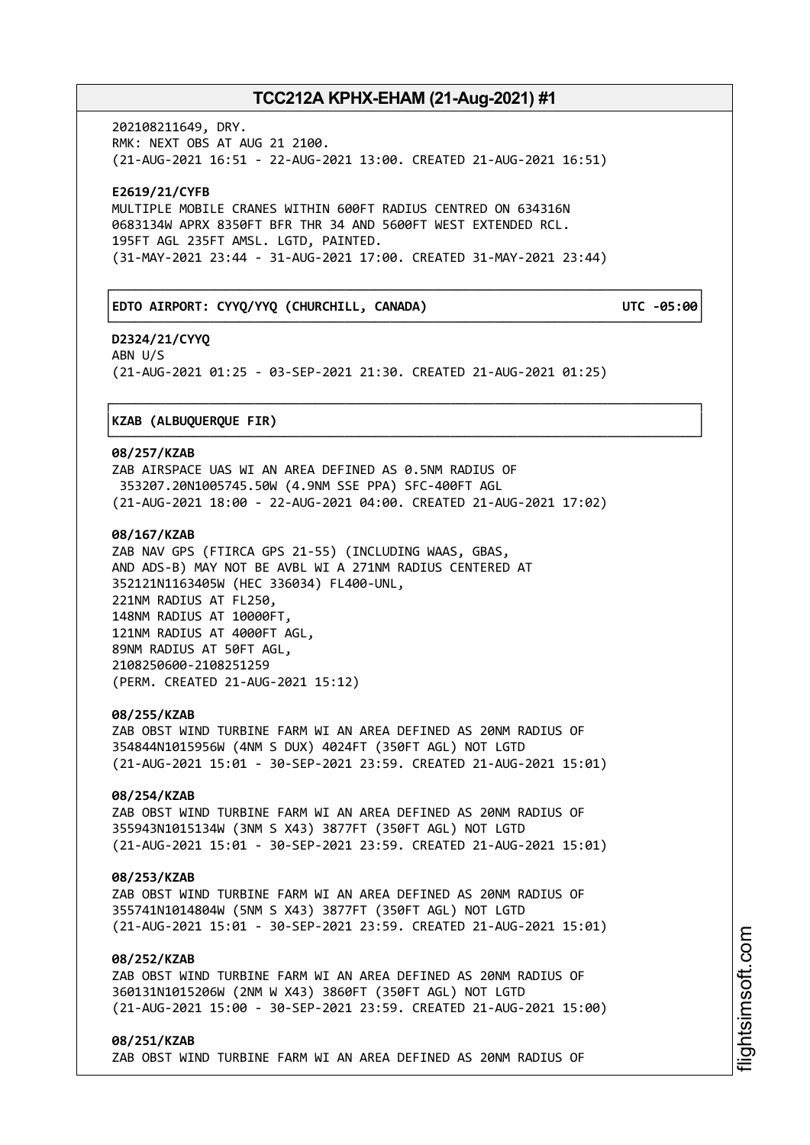┌──────────────────────────────────────────────────────────────────────────────┐

└──────────────────────────────────────────────────────────────────────────────┘

┌──────────────────────────────────────────────────────────────────────────────┐

└──────────────────────────────────────────────────────────────────────────────┘

202108211649, DRY. RMK: NEXT OBS AT AUG 21 2100. (21-AUG-2021 16:51 - 22-AUG-2021 13:00. CREATED 21-AUG-2021 16:51)

**E2619/21/CYFB** MULTIPLE MOBILE CRANES WITHIN 600FT RADIUS CENTRED ON 634316N 0683134W APRX 8350FT BFR THR 34 AND 5600FT WEST EXTENDED RCL. 195FT AGL 235FT AMSL. LGTD, PAINTED. (31-MAY-2021 23:44 - 31-AUG-2021 17:00. CREATED 31-MAY-2021 23:44)

## │**EDTO AIRPORT: CYYQ/YYQ (CHURCHILL, CANADA) UTC -05:00**│

**D2324/21/CYYQ** ABN U/S (21-AUG-2021 01:25 - 03-SEP-2021 21:30. CREATED 21-AUG-2021 01:25)

### │**KZAB (ALBUQUERQUE FIR)** │

#### **08/257/KZAB**

ZAB AIRSPACE UAS WI AN AREA DEFINED AS 0.5NM RADIUS OF 353207.20N1005745.50W (4.9NM SSE PPA) SFC-400FT AGL (21-AUG-2021 18:00 - 22-AUG-2021 04:00. CREATED 21-AUG-2021 17:02)

## **08/167/KZAB**

ZAB NAV GPS (FTIRCA GPS 21-55) (INCLUDING WAAS, GBAS, AND ADS-B) MAY NOT BE AVBL WI A 271NM RADIUS CENTERED AT 352121N1163405W (HEC 336034) FL400-UNL, 221NM RADIUS AT FL250, 148NM RADIUS AT 10000FT, 121NM RADIUS AT 4000FT AGL, 89NM RADIUS AT 50FT AGL, 2108250600-2108251259 (PERM. CREATED 21-AUG-2021 15:12)

### **08/255/KZAB**

ZAB OBST WIND TURBINE FARM WI AN AREA DEFINED AS 20NM RADIUS OF 354844N1015956W (4NM S DUX) 4024FT (350FT AGL) NOT LGTD (21-AUG-2021 15:01 - 30-SEP-2021 23:59. CREATED 21-AUG-2021 15:01)

## **08/254/KZAB**

ZAB OBST WIND TURBINE FARM WI AN AREA DEFINED AS 20NM RADIUS OF 355943N1015134W (3NM S X43) 3877FT (350FT AGL) NOT LGTD (21-AUG-2021 15:01 - 30-SEP-2021 23:59. CREATED 21-AUG-2021 15:01)

### **08/253/KZAB**

ZAB OBST WIND TURBINE FARM WI AN AREA DEFINED AS 20NM RADIUS OF 355741N1014804W (5NM S X43) 3877FT (350FT AGL) NOT LGTD (21-AUG-2021 15:01 - 30-SEP-2021 23:59. CREATED 21-AUG-2021 15:01)

## **08/252/KZAB**

ZAB OBST WIND TURBINE FARM WI AN AREA DEFINED AS 20NM RADIUS OF 360131N1015206W (2NM W X43) 3860FT (350FT AGL) NOT LGTD (21-AUG-2021 15:00 - 30-SEP-2021 23:59. CREATED 21-AUG-2021 15:00)

**08/251/KZAB** ZAB OBST WIND TURBINE FARM WI AN AREA DEFINED AS 20NM RADIUS OF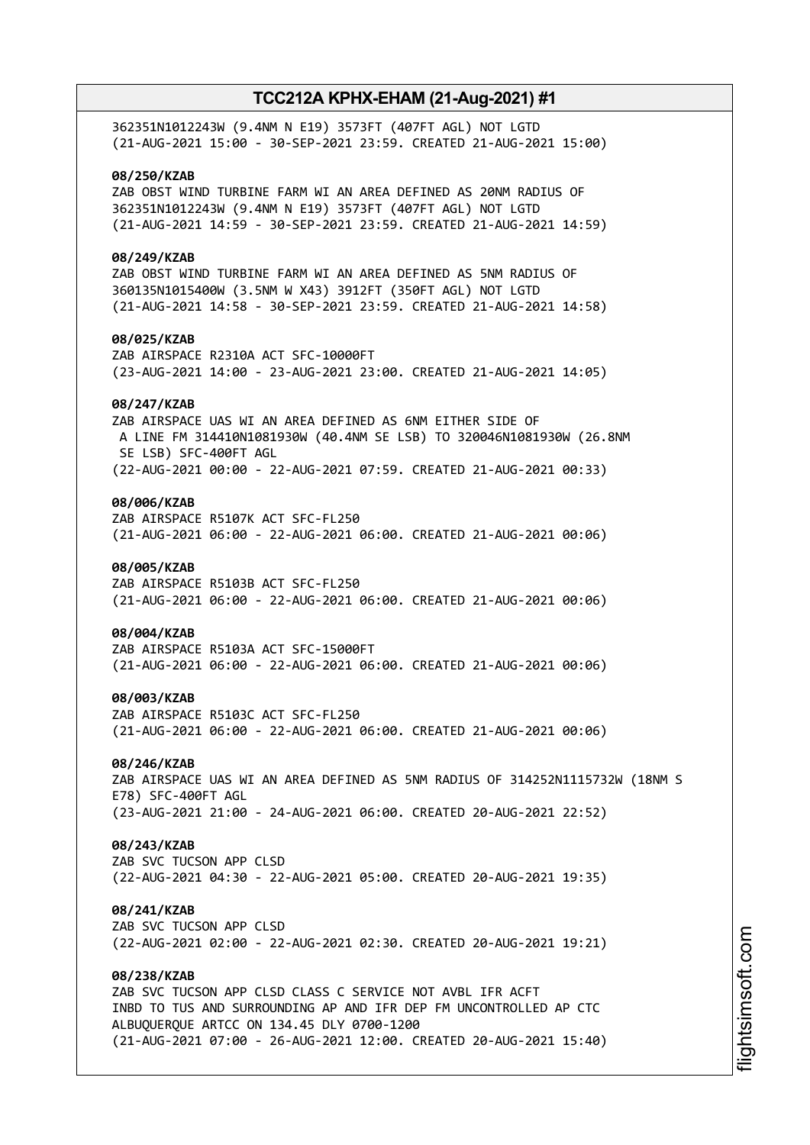| 362351N1012243W (9.4NM N E19) 3573FT (407FT AGL) NOT LGTD<br>(21-AUG-2021 15:00 - 30-SEP-2021 23:59. CREATED 21-AUG-2021 15:00)                                                                                                                                  |
|------------------------------------------------------------------------------------------------------------------------------------------------------------------------------------------------------------------------------------------------------------------|
| 08/250/KZAB<br>ZAB OBST WIND TURBINE FARM WI AN AREA DEFINED AS 20NM RADIUS OF<br>362351N1012243W (9.4NM N E19) 3573FT (407FT AGL) NOT LGTD<br>(21-AUG-2021 14:59 - 30-SEP-2021 23:59. CREATED 21-AUG-2021 14:59)                                                |
| 08/249/KZAB<br>ZAB OBST WIND TURBINE FARM WI AN AREA DEFINED AS 5NM RADIUS OF<br>360135N1015400W (3.5NM W X43) 3912FT (350FT AGL) NOT LGTD<br>(21-AUG-2021 14:58 - 30-SEP-2021 23:59. CREATED 21-AUG-2021 14:58)                                                 |
| 08/025/KZAB<br>ZAB AIRSPACE R2310A ACT SFC-10000FT<br>(23-AUG-2021 14:00 - 23-AUG-2021 23:00. CREATED 21-AUG-2021 14:05)                                                                                                                                         |
| 08/247/KZAB<br>ZAB AIRSPACE UAS WI AN AREA DEFINED AS 6NM EITHER SIDE OF<br>A LINE FM 314410N1081930W (40.4NM SE LSB) TO 320046N1081930W (26.8NM<br>SE LSB) SFC-400FT AGL                                                                                        |
| (22-AUG-2021 00:00 - 22-AUG-2021 07:59. CREATED 21-AUG-2021 00:33)<br>08/006/KZAB<br>ZAB AIRSPACE R5107K ACT SFC-FL250                                                                                                                                           |
| (21-AUG-2021 06:00 - 22-AUG-2021 06:00. CREATED 21-AUG-2021 00:06)                                                                                                                                                                                               |
| 08/005/KZAB<br>ZAB AIRSPACE R5103B ACT SFC-FL250<br>(21-AUG-2021 06:00 - 22-AUG-2021 06:00. CREATED 21-AUG-2021 00:06)                                                                                                                                           |
| 08/004/KZAB<br>ZAB AIRSPACE R5103A ACT SFC-15000FT<br>(21-AUG-2021 06:00 - 22-AUG-2021 06:00. CREATED 21-AUG-2021 00:06)                                                                                                                                         |
| 08/003/KZAB<br>ZAB AIRSPACE R5103C ACT SFC-FL250<br>(21-AUG-2021 06:00 - 22-AUG-2021 06:00. CREATED 21-AUG-2021 00:06)                                                                                                                                           |
| 08/246/KZAB<br>ZAB AIRSPACE UAS WI AN AREA DEFINED AS 5NM RADIUS OF 314252N1115732W (18NM S<br>E78) SFC-400FT AGL                                                                                                                                                |
| (23-AUG-2021 21:00 - 24-AUG-2021 06:00. CREATED 20-AUG-2021 22:52)                                                                                                                                                                                               |
| 08/243/KZAB<br>ZAB SVC TUCSON APP CLSD<br>(22-AUG-2021 04:30 - 22-AUG-2021 05:00. CREATED 20-AUG-2021 19:35)                                                                                                                                                     |
| 08/241/KZAB<br>ZAB SVC TUCSON APP CLSD<br>(22-AUG-2021 02:00 - 22-AUG-2021 02:30. CREATED 20-AUG-2021 19:21)                                                                                                                                                     |
| 08/238/KZAB<br>ZAB SVC TUCSON APP CLSD CLASS C SERVICE NOT AVBL IFR ACFT<br>INBD TO TUS AND SURROUNDING AP AND IFR DEP FM UNCONTROLLED AP CTC<br>ALBUQUERQUE ARTCC ON 134.45 DLY 0700-1200<br>(21-AUG-2021 07:00 - 26-AUG-2021 12:00. CREATED 20-AUG-2021 15:40) |
|                                                                                                                                                                                                                                                                  |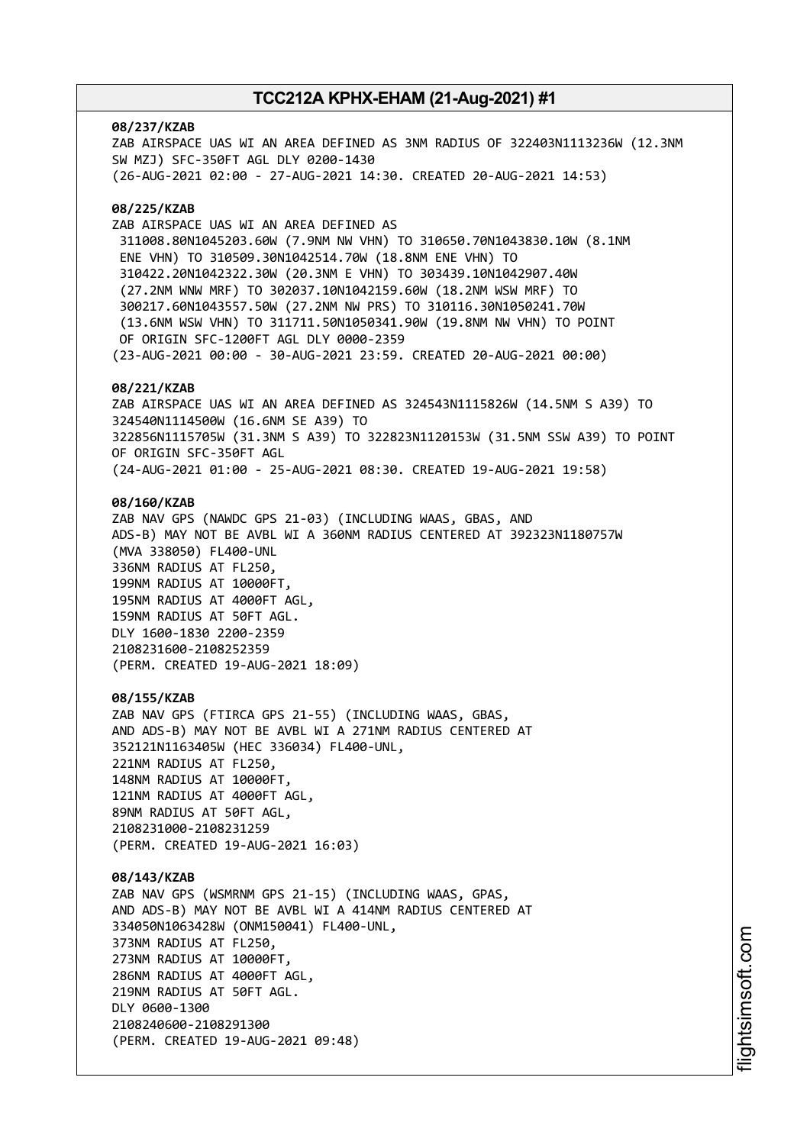#### **08/237/KZAB**

ZAB AIRSPACE UAS WI AN AREA DEFINED AS 3NM RADIUS OF 322403N1113236W (12.3NM SW MZJ) SFC-350FT AGL DLY 0200-1430 (26-AUG-2021 02:00 - 27-AUG-2021 14:30. CREATED 20-AUG-2021 14:53)

### **08/225/KZAB**

ZAB AIRSPACE UAS WI AN AREA DEFINED AS 311008.80N1045203.60W (7.9NM NW VHN) TO 310650.70N1043830.10W (8.1NM ENE VHN) TO 310509.30N1042514.70W (18.8NM ENE VHN) TO 310422.20N1042322.30W (20.3NM E VHN) TO 303439.10N1042907.40W (27.2NM WNW MRF) TO 302037.10N1042159.60W (18.2NM WSW MRF) TO 300217.60N1043557.50W (27.2NM NW PRS) TO 310116.30N1050241.70W (13.6NM WSW VHN) TO 311711.50N1050341.90W (19.8NM NW VHN) TO POINT OF ORIGIN SFC-1200FT AGL DLY 0000-2359 (23-AUG-2021 00:00 - 30-AUG-2021 23:59. CREATED 20-AUG-2021 00:00)

### **08/221/KZAB**

ZAB AIRSPACE UAS WI AN AREA DEFINED AS 324543N1115826W (14.5NM S A39) TO 324540N1114500W (16.6NM SE A39) TO 322856N1115705W (31.3NM S A39) TO 322823N1120153W (31.5NM SSW A39) TO POINT OF ORIGIN SFC-350FT AGL (24-AUG-2021 01:00 - 25-AUG-2021 08:30. CREATED 19-AUG-2021 19:58)

### **08/160/KZAB**

ZAB NAV GPS (NAWDC GPS 21-03) (INCLUDING WAAS, GBAS, AND ADS-B) MAY NOT BE AVBL WI A 360NM RADIUS CENTERED AT 392323N1180757W (MVA 338050) FL400-UNL 336NM RADIUS AT FL250, 199NM RADIUS AT 10000FT, 195NM RADIUS AT 4000FT AGL, 159NM RADIUS AT 50FT AGL. DLY 1600-1830 2200-2359 2108231600-2108252359 (PERM. CREATED 19-AUG-2021 18:09)

#### **08/155/KZAB**

ZAB NAV GPS (FTIRCA GPS 21-55) (INCLUDING WAAS, GBAS, AND ADS-B) MAY NOT BE AVBL WI A 271NM RADIUS CENTERED AT 352121N1163405W (HEC 336034) FL400-UNL, 221NM RADIUS AT FL250, 148NM RADIUS AT 10000FT, 121NM RADIUS AT 4000FT AGL, 89NM RADIUS AT 50FT AGL, 2108231000-2108231259 (PERM. CREATED 19-AUG-2021 16:03)

### **08/143/KZAB**

ZAB NAV GPS (WSMRNM GPS 21-15) (INCLUDING WAAS, GPAS, AND ADS-B) MAY NOT BE AVBL WI A 414NM RADIUS CENTERED AT 334050N1063428W (ONM150041) FL400-UNL, 373NM RADIUS AT FL250, 273NM RADIUS AT 10000FT, 286NM RADIUS AT 4000FT AGL, 219NM RADIUS AT 50FT AGL. DLY 0600-1300 2108240600-2108291300 (PERM. CREATED 19-AUG-2021 09:48)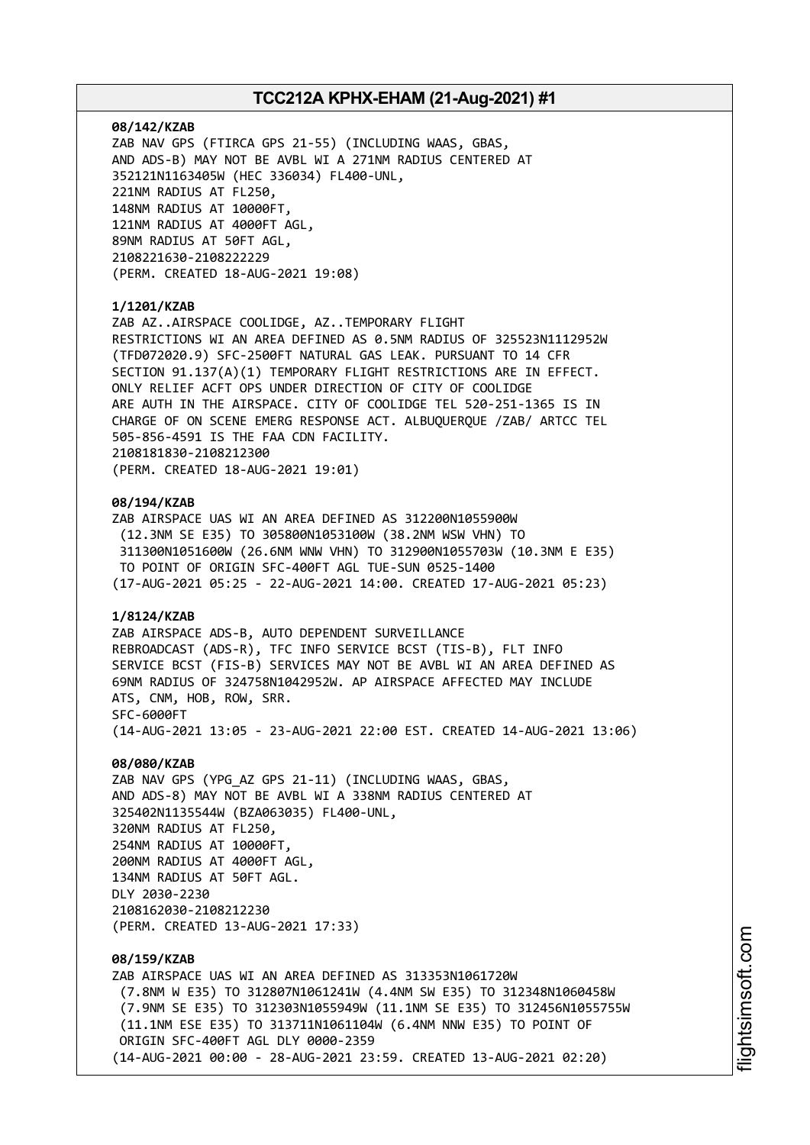#### **08/142/KZAB**

ZAB NAV GPS (FTIRCA GPS 21-55) (INCLUDING WAAS, GBAS, AND ADS-B) MAY NOT BE AVBL WI A 271NM RADIUS CENTERED AT 352121N1163405W (HEC 336034) FL400-UNL, 221NM RADIUS AT FL250, 148NM RADIUS AT 10000FT, 121NM RADIUS AT 4000FT AGL, 89NM RADIUS AT 50FT AGL, 2108221630-2108222229 (PERM. CREATED 18-AUG-2021 19:08)

### **1/1201/KZAB**

ZAB AZ..AIRSPACE COOLIDGE, AZ..TEMPORARY FLIGHT RESTRICTIONS WI AN AREA DEFINED AS 0.5NM RADIUS OF 325523N1112952W (TFD072020.9) SFC-2500FT NATURAL GAS LEAK. PURSUANT TO 14 CFR SECTION 91.137(A)(1) TEMPORARY FLIGHT RESTRICTIONS ARE IN EFFECT. ONLY RELIEF ACFT OPS UNDER DIRECTION OF CITY OF COOLIDGE ARE AUTH IN THE AIRSPACE. CITY OF COOLIDGE TEL 520-251-1365 IS IN CHARGE OF ON SCENE EMERG RESPONSE ACT. ALBUQUERQUE /ZAB/ ARTCC TEL 505-856-4591 IS THE FAA CDN FACILITY. 2108181830-2108212300 (PERM. CREATED 18-AUG-2021 19:01)

#### **08/194/KZAB**

ZAB AIRSPACE UAS WI AN AREA DEFINED AS 312200N1055900W (12.3NM SE E35) TO 305800N1053100W (38.2NM WSW VHN) TO 311300N1051600W (26.6NM WNW VHN) TO 312900N1055703W (10.3NM E E35) TO POINT OF ORIGIN SFC-400FT AGL TUE-SUN 0525-1400 (17-AUG-2021 05:25 - 22-AUG-2021 14:00. CREATED 17-AUG-2021 05:23)

## **1/8124/KZAB**

ZAB AIRSPACE ADS-B, AUTO DEPENDENT SURVEILLANCE REBROADCAST (ADS-R), TFC INFO SERVICE BCST (TIS-B), FLT INFO SERVICE BCST (FIS-B) SERVICES MAY NOT BE AVBL WI AN AREA DEFINED AS 69NM RADIUS OF 324758N1042952W. AP AIRSPACE AFFECTED MAY INCLUDE ATS, CNM, HOB, ROW, SRR. SFC-6000FT (14-AUG-2021 13:05 - 23-AUG-2021 22:00 EST. CREATED 14-AUG-2021 13:06)

#### **08/080/KZAB**

ZAB NAV GPS (YPG\_AZ GPS 21-11) (INCLUDING WAAS, GBAS, AND ADS-8) MAY NOT BE AVBL WI A 338NM RADIUS CENTERED AT 325402N1135544W (BZA063035) FL400-UNL, 320NM RADIUS AT FL250, 254NM RADIUS AT 10000FT, 200NM RADIUS AT 4000FT AGL, 134NM RADIUS AT 50FT AGL. DLY 2030-2230 2108162030-2108212230 (PERM. CREATED 13-AUG-2021 17:33)

## **08/159/KZAB**

ZAB AIRSPACE UAS WI AN AREA DEFINED AS 313353N1061720W (7.8NM W E35) TO 312807N1061241W (4.4NM SW E35) TO 312348N1060458W (7.9NM SE E35) TO 312303N1055949W (11.1NM SE E35) TO 312456N1055755W (11.1NM ESE E35) TO 313711N1061104W (6.4NM NNW E35) TO POINT OF ORIGIN SFC-400FT AGL DLY 0000-2359 (14-AUG-2021 00:00 - 28-AUG-2021 23:59. CREATED 13-AUG-2021 02:20)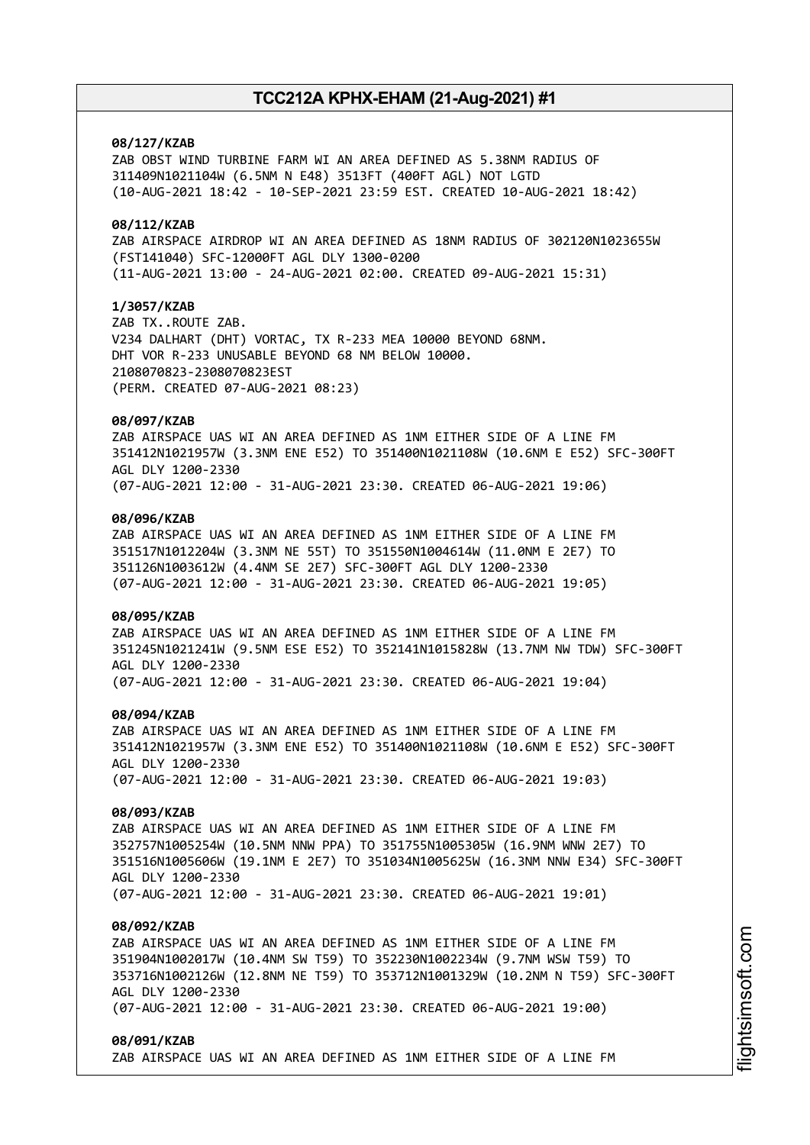### **08/127/KZAB**

ZAB OBST WIND TURBINE FARM WI AN AREA DEFINED AS 5.38NM RADIUS OF 311409N1021104W (6.5NM N E48) 3513FT (400FT AGL) NOT LGTD (10-AUG-2021 18:42 - 10-SEP-2021 23:59 EST. CREATED 10-AUG-2021 18:42)

## **08/112/KZAB**

ZAB AIRSPACE AIRDROP WI AN AREA DEFINED AS 18NM RADIUS OF 302120N1023655W (FST141040) SFC-12000FT AGL DLY 1300-0200 (11-AUG-2021 13:00 - 24-AUG-2021 02:00. CREATED 09-AUG-2021 15:31)

## **1/3057/KZAB**

ZAB TX..ROUTE ZAB. V234 DALHART (DHT) VORTAC, TX R-233 MEA 10000 BEYOND 68NM. DHT VOR R-233 UNUSABLE BEYOND 68 NM BELOW 10000. 2108070823-2308070823EST (PERM. CREATED 07-AUG-2021 08:23)

## **08/097/KZAB**

ZAB AIRSPACE UAS WI AN AREA DEFINED AS 1NM EITHER SIDE OF A LINE FM 351412N1021957W (3.3NM ENE E52) TO 351400N1021108W (10.6NM E E52) SFC-300FT AGL DLY 1200-2330 (07-AUG-2021 12:00 - 31-AUG-2021 23:30. CREATED 06-AUG-2021 19:06)

### **08/096/KZAB**

ZAB AIRSPACE UAS WI AN AREA DEFINED AS 1NM EITHER SIDE OF A LINE FM 351517N1012204W (3.3NM NE 55T) TO 351550N1004614W (11.0NM E 2E7) TO 351126N1003612W (4.4NM SE 2E7) SFC-300FT AGL DLY 1200-2330 (07-AUG-2021 12:00 - 31-AUG-2021 23:30. CREATED 06-AUG-2021 19:05)

#### **08/095/KZAB**

ZAB AIRSPACE UAS WI AN AREA DEFINED AS 1NM EITHER SIDE OF A LINE FM 351245N1021241W (9.5NM ESE E52) TO 352141N1015828W (13.7NM NW TDW) SFC-300FT AGL DLY 1200-2330 (07-AUG-2021 12:00 - 31-AUG-2021 23:30. CREATED 06-AUG-2021 19:04)

#### **08/094/KZAB**

ZAB AIRSPACE UAS WI AN AREA DEFINED AS 1NM EITHER SIDE OF A LINE FM 351412N1021957W (3.3NM ENE E52) TO 351400N1021108W (10.6NM E E52) SFC-300FT AGL DLY 1200-2330 (07-AUG-2021 12:00 - 31-AUG-2021 23:30. CREATED 06-AUG-2021 19:03)

#### **08/093/KZAB**

ZAB AIRSPACE UAS WI AN AREA DEFINED AS 1NM EITHER SIDE OF A LINE FM 352757N1005254W (10.5NM NNW PPA) TO 351755N1005305W (16.9NM WNW 2E7) TO 351516N1005606W (19.1NM E 2E7) TO 351034N1005625W (16.3NM NNW E34) SFC-300FT AGL DLY 1200-2330 (07-AUG-2021 12:00 - 31-AUG-2021 23:30. CREATED 06-AUG-2021 19:01)

#### **08/092/KZAB**

ZAB AIRSPACE UAS WI AN AREA DEFINED AS 1NM EITHER SIDE OF A LINE FM 351904N1002017W (10.4NM SW T59) TO 352230N1002234W (9.7NM WSW T59) TO 353716N1002126W (12.8NM NE T59) TO 353712N1001329W (10.2NM N T59) SFC-300FT AGL DLY 1200-2330 (07-AUG-2021 12:00 - 31-AUG-2021 23:30. CREATED 06-AUG-2021 19:00)

#### **08/091/KZAB**

ZAB AIRSPACE UAS WI AN AREA DEFINED AS 1NM EITHER SIDE OF A LINE FM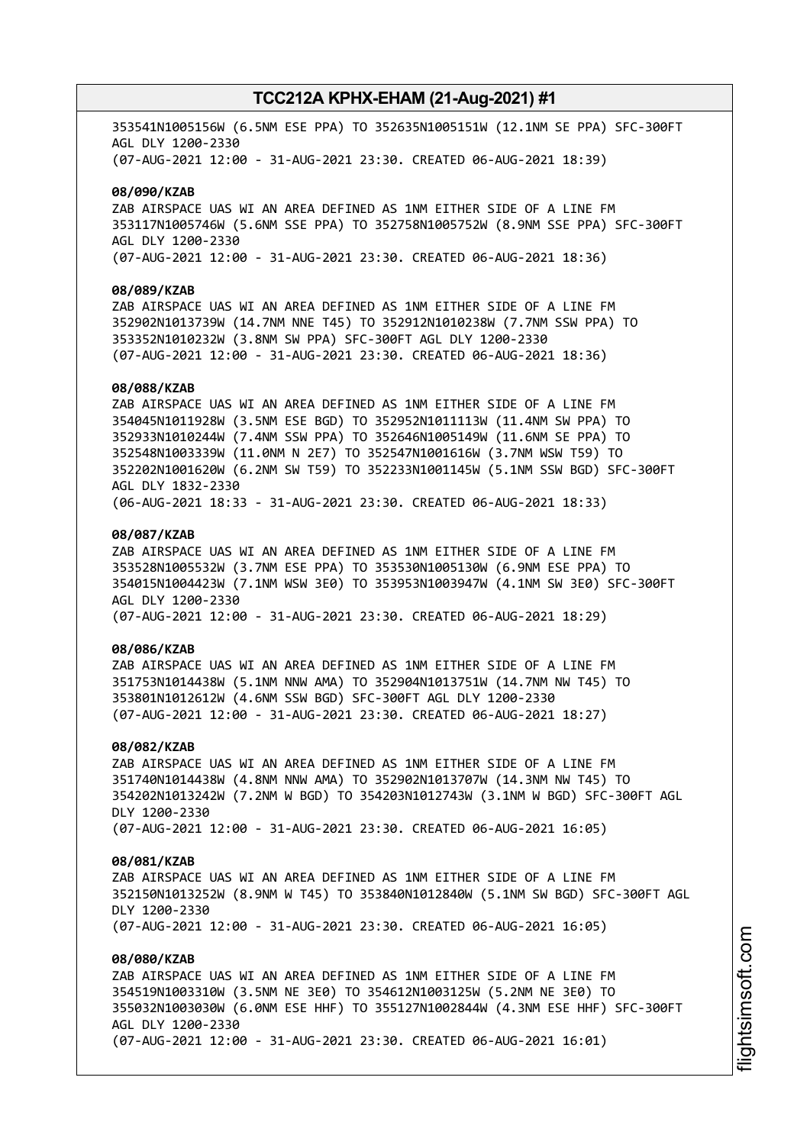353541N1005156W (6.5NM ESE PPA) TO 352635N1005151W (12.1NM SE PPA) SFC-300FT AGL DLY 1200-2330 (07-AUG-2021 12:00 - 31-AUG-2021 23:30. CREATED 06-AUG-2021 18:39)

#### **08/090/KZAB**

ZAB AIRSPACE UAS WI AN AREA DEFINED AS 1NM EITHER SIDE OF A LINE FM 353117N1005746W (5.6NM SSE PPA) TO 352758N1005752W (8.9NM SSE PPA) SFC-300FT AGL DLY 1200-2330 (07-AUG-2021 12:00 - 31-AUG-2021 23:30. CREATED 06-AUG-2021 18:36)

### **08/089/KZAB**

ZAB AIRSPACE UAS WI AN AREA DEFINED AS 1NM EITHER SIDE OF A LINE FM 352902N1013739W (14.7NM NNE T45) TO 352912N1010238W (7.7NM SSW PPA) TO 353352N1010232W (3.8NM SW PPA) SFC-300FT AGL DLY 1200-2330 (07-AUG-2021 12:00 - 31-AUG-2021 23:30. CREATED 06-AUG-2021 18:36)

#### **08/088/KZAB**

ZAB AIRSPACE UAS WI AN AREA DEFINED AS 1NM EITHER SIDE OF A LINE FM 354045N1011928W (3.5NM ESE BGD) TO 352952N1011113W (11.4NM SW PPA) TO 352933N1010244W (7.4NM SSW PPA) TO 352646N1005149W (11.6NM SE PPA) TO 352548N1003339W (11.0NM N 2E7) TO 352547N1001616W (3.7NM WSW T59) TO 352202N1001620W (6.2NM SW T59) TO 352233N1001145W (5.1NM SSW BGD) SFC-300FT AGL DLY 1832-2330 (06-AUG-2021 18:33 - 31-AUG-2021 23:30. CREATED 06-AUG-2021 18:33)

### **08/087/KZAB**

ZAB AIRSPACE UAS WI AN AREA DEFINED AS 1NM EITHER SIDE OF A LINE FM 353528N1005532W (3.7NM ESE PPA) TO 353530N1005130W (6.9NM ESE PPA) TO 354015N1004423W (7.1NM WSW 3E0) TO 353953N1003947W (4.1NM SW 3E0) SFC-300FT AGL DLY 1200-2330 (07-AUG-2021 12:00 - 31-AUG-2021 23:30. CREATED 06-AUG-2021 18:29)

### **08/086/KZAB**

ZAB AIRSPACE UAS WI AN AREA DEFINED AS 1NM EITHER SIDE OF A LINE FM 351753N1014438W (5.1NM NNW AMA) TO 352904N1013751W (14.7NM NW T45) TO 353801N1012612W (4.6NM SSW BGD) SFC-300FT AGL DLY 1200-2330 (07-AUG-2021 12:00 - 31-AUG-2021 23:30. CREATED 06-AUG-2021 18:27)

#### **08/082/KZAB**

ZAB AIRSPACE UAS WI AN AREA DEFINED AS 1NM EITHER SIDE OF A LINE FM 351740N1014438W (4.8NM NNW AMA) TO 352902N1013707W (14.3NM NW T45) TO 354202N1013242W (7.2NM W BGD) TO 354203N1012743W (3.1NM W BGD) SFC-300FT AGL DLY 1200-2330 (07-AUG-2021 12:00 - 31-AUG-2021 23:30. CREATED 06-AUG-2021 16:05)

#### **08/081/KZAB**

ZAB AIRSPACE UAS WI AN AREA DEFINED AS 1NM EITHER SIDE OF A LINE FM 352150N1013252W (8.9NM W T45) TO 353840N1012840W (5.1NM SW BGD) SFC-300FT AGL DLY 1200-2330 (07-AUG-2021 12:00 - 31-AUG-2021 23:30. CREATED 06-AUG-2021 16:05)

## **08/080/KZAB**

ZAB AIRSPACE UAS WI AN AREA DEFINED AS 1NM EITHER SIDE OF A LINE FM 354519N1003310W (3.5NM NE 3E0) TO 354612N1003125W (5.2NM NE 3E0) TO 355032N1003030W (6.0NM ESE HHF) TO 355127N1002844W (4.3NM ESE HHF) SFC-300FT AGL DLY 1200-2330 (07-AUG-2021 12:00 - 31-AUG-2021 23:30. CREATED 06-AUG-2021 16:01)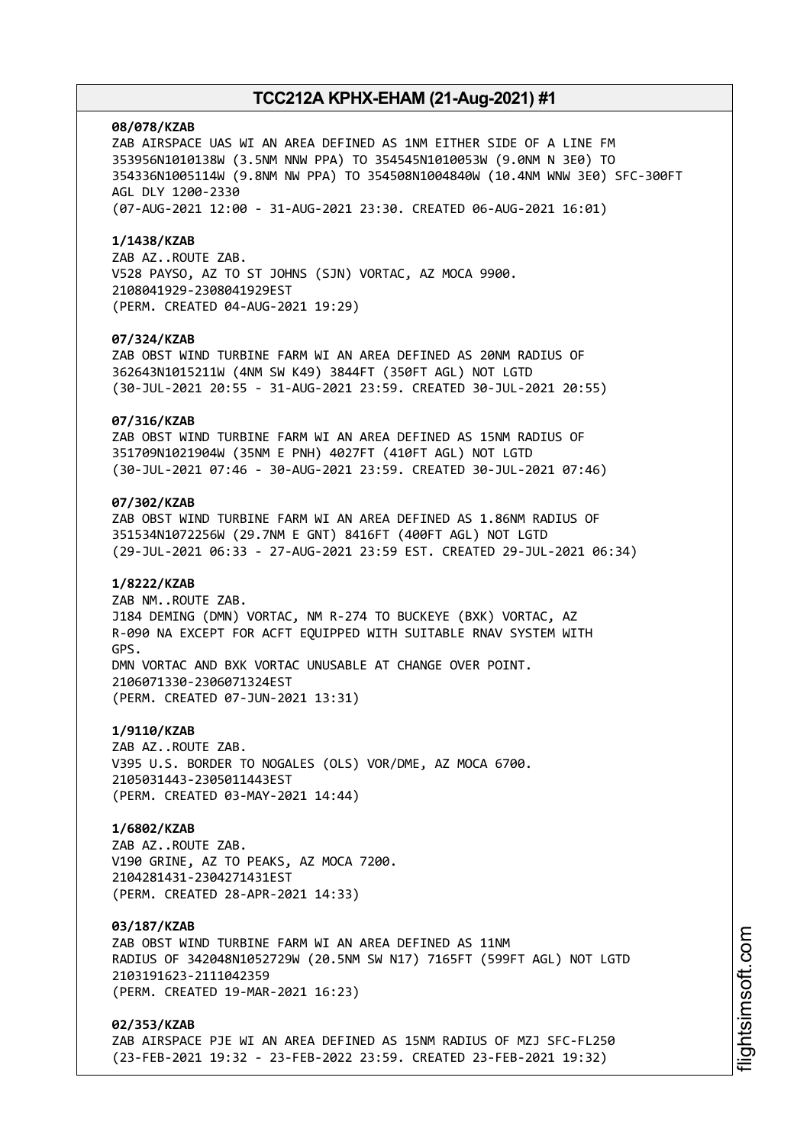#### **08/078/KZAB**

ZAB AIRSPACE UAS WI AN AREA DEFINED AS 1NM EITHER SIDE OF A LINE FM 353956N1010138W (3.5NM NNW PPA) TO 354545N1010053W (9.0NM N 3E0) TO 354336N1005114W (9.8NM NW PPA) TO 354508N1004840W (10.4NM WNW 3E0) SFC-300FT AGL DLY 1200-2330 (07-AUG-2021 12:00 - 31-AUG-2021 23:30. CREATED 06-AUG-2021 16:01)

#### **1/1438/KZAB**

ZAB AZ..ROUTE ZAB. V528 PAYSO, AZ TO ST JOHNS (SJN) VORTAC, AZ MOCA 9900. 2108041929-2308041929EST (PERM. CREATED 04-AUG-2021 19:29)

#### **07/324/KZAB**

ZAB OBST WIND TURBINE FARM WI AN AREA DEFINED AS 20NM RADIUS OF 362643N1015211W (4NM SW K49) 3844FT (350FT AGL) NOT LGTD (30-JUL-2021 20:55 - 31-AUG-2021 23:59. CREATED 30-JUL-2021 20:55)

### **07/316/KZAB**

ZAB OBST WIND TURBINE FARM WI AN AREA DEFINED AS 15NM RADIUS OF 351709N1021904W (35NM E PNH) 4027FT (410FT AGL) NOT LGTD (30-JUL-2021 07:46 - 30-AUG-2021 23:59. CREATED 30-JUL-2021 07:46)

## **07/302/KZAB**

ZAB OBST WIND TURBINE FARM WI AN AREA DEFINED AS 1.86NM RADIUS OF 351534N1072256W (29.7NM E GNT) 8416FT (400FT AGL) NOT LGTD (29-JUL-2021 06:33 - 27-AUG-2021 23:59 EST. CREATED 29-JUL-2021 06:34)

#### **1/8222/KZAB**

ZAB NM..ROUTE ZAB. J184 DEMING (DMN) VORTAC, NM R-274 TO BUCKEYE (BXK) VORTAC, AZ R-090 NA EXCEPT FOR ACFT EQUIPPED WITH SUITABLE RNAV SYSTEM WITH GPS. DMN VORTAC AND BXK VORTAC UNUSABLE AT CHANGE OVER POINT. 2106071330-2306071324EST (PERM. CREATED 07-JUN-2021 13:31)

#### **1/9110/KZAB**

ZAB AZ..ROUTE ZAB. V395 U.S. BORDER TO NOGALES (OLS) VOR/DME, AZ MOCA 6700. 2105031443-2305011443EST (PERM. CREATED 03-MAY-2021 14:44)

## **1/6802/KZAB**

ZAB AZ..ROUTE ZAB. V190 GRINE, AZ TO PEAKS, AZ MOCA 7200. 2104281431-2304271431EST (PERM. CREATED 28-APR-2021 14:33)

#### **03/187/KZAB**

ZAB OBST WIND TURBINE FARM WI AN AREA DEFINED AS 11NM RADIUS OF 342048N1052729W (20.5NM SW N17) 7165FT (599FT AGL) NOT LGTD 2103191623-2111042359 (PERM. CREATED 19-MAR-2021 16:23)

## **02/353/KZAB**

ZAB AIRSPACE PJE WI AN AREA DEFINED AS 15NM RADIUS OF MZJ SFC-FL250 (23-FEB-2021 19:32 - 23-FEB-2022 23:59. CREATED 23-FEB-2021 19:32)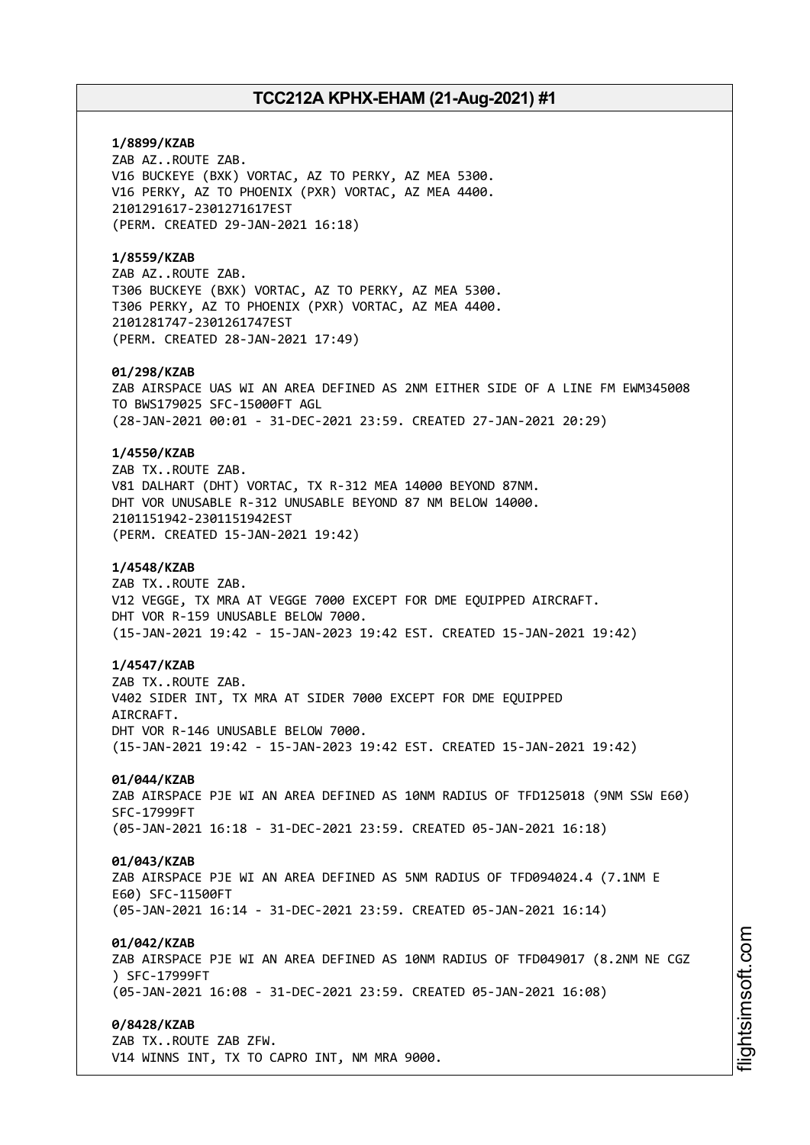**1/8899/KZAB** ZAB AZ..ROUTE ZAB. V16 BUCKEYE (BXK) VORTAC, AZ TO PERKY, AZ MEA 5300. V16 PERKY, AZ TO PHOENIX (PXR) VORTAC, AZ MEA 4400. 2101291617-2301271617EST (PERM. CREATED 29-JAN-2021 16:18) **1/8559/KZAB** ZAB AZ..ROUTE ZAB. T306 BUCKEYE (BXK) VORTAC, AZ TO PERKY, AZ MEA 5300. T306 PERKY, AZ TO PHOENIX (PXR) VORTAC, AZ MEA 4400. 2101281747-2301261747EST (PERM. CREATED 28-JAN-2021 17:49) **01/298/KZAB** ZAB AIRSPACE UAS WI AN AREA DEFINED AS 2NM EITHER SIDE OF A LINE FM EWM345008 TO BWS179025 SFC-15000FT AGL (28-JAN-2021 00:01 - 31-DEC-2021 23:59. CREATED 27-JAN-2021 20:29) **1/4550/KZAB** ZAB TX..ROUTE ZAB. V81 DALHART (DHT) VORTAC, TX R-312 MEA 14000 BEYOND 87NM. DHT VOR UNUSABLE R-312 UNUSABLE BEYOND 87 NM BELOW 14000. 2101151942-2301151942EST (PERM. CREATED 15-JAN-2021 19:42) **1/4548/KZAB** ZAB TX..ROUTE ZAB. V12 VEGGE, TX MRA AT VEGGE 7000 EXCEPT FOR DME EQUIPPED AIRCRAFT. DHT VOR R-159 UNUSABLE BELOW 7000. (15-JAN-2021 19:42 - 15-JAN-2023 19:42 EST. CREATED 15-JAN-2021 19:42) **1/4547/KZAB** ZAB TX..ROUTE ZAB. V402 SIDER INT, TX MRA AT SIDER 7000 EXCEPT FOR DME EQUIPPED AIRCRAFT. DHT VOR R-146 UNUSABLE BELOW 7000. (15-JAN-2021 19:42 - 15-JAN-2023 19:42 EST. CREATED 15-JAN-2021 19:42) **01/044/KZAB** ZAB AIRSPACE PJE WI AN AREA DEFINED AS 10NM RADIUS OF TFD125018 (9NM SSW E60) SFC-17999FT (05-JAN-2021 16:18 - 31-DEC-2021 23:59. CREATED 05-JAN-2021 16:18) **01/043/KZAB** ZAB AIRSPACE PJE WI AN AREA DEFINED AS 5NM RADIUS OF TFD094024.4 (7.1NM E E60) SFC-11500FT (05-JAN-2021 16:14 - 31-DEC-2021 23:59. CREATED 05-JAN-2021 16:14) **01/042/KZAB** ZAB AIRSPACE PJE WI AN AREA DEFINED AS 10NM RADIUS OF TFD049017 (8.2NM NE CGZ ) SFC-17999FT (05-JAN-2021 16:08 - 31-DEC-2021 23:59. CREATED 05-JAN-2021 16:08) **0/8428/KZAB** ZAB TX..ROUTE ZAB ZFW. V14 WINNS INT, TX TO CAPRO INT, NM MRA 9000.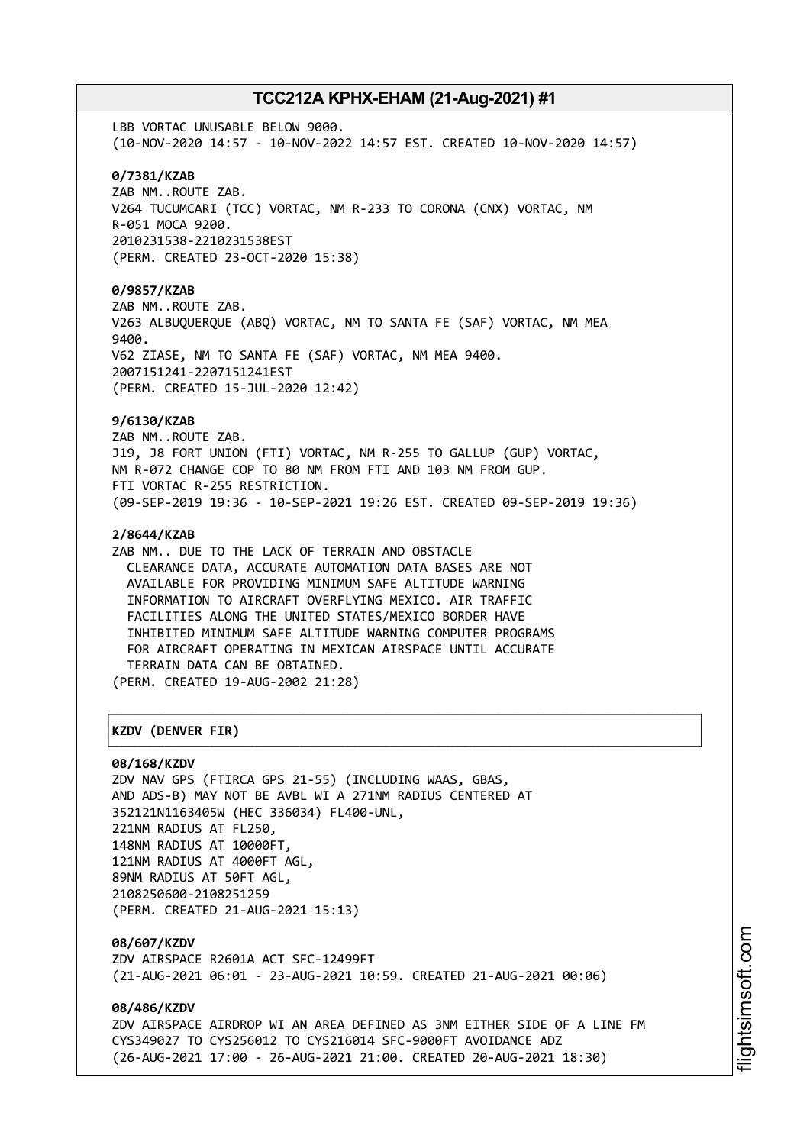LBB VORTAC UNUSABLE BELOW 9000. (10-NOV-2020 14:57 - 10-NOV-2022 14:57 EST. CREATED 10-NOV-2020 14:57) **0/7381/KZAB** ZAB NM..ROUTE ZAB. V264 TUCUMCARI (TCC) VORTAC, NM R-233 TO CORONA (CNX) VORTAC, NM R-051 MOCA 9200. 2010231538-2210231538EST (PERM. CREATED 23-OCT-2020 15:38) **0/9857/KZAB** ZAB NM..ROUTE ZAB. V263 ALBUQUERQUE (ABQ) VORTAC, NM TO SANTA FE (SAF) VORTAC, NM MEA 9400. V62 ZIASE, NM TO SANTA FE (SAF) VORTAC, NM MEA 9400. 2007151241-2207151241EST (PERM. CREATED 15-JUL-2020 12:42) **9/6130/KZAB** ZAB NM..ROUTE ZAB. J19, J8 FORT UNION (FTI) VORTAC, NM R-255 TO GALLUP (GUP) VORTAC, NM R-072 CHANGE COP TO 80 NM FROM FTI AND 103 NM FROM GUP. FTI VORTAC R-255 RESTRICTION. (09-SEP-2019 19:36 - 10-SEP-2021 19:26 EST. CREATED 09-SEP-2019 19:36) **2/8644/KZAB** ZAB NM.. DUE TO THE LACK OF TERRAIN AND OBSTACLE CLEARANCE DATA, ACCURATE AUTOMATION DATA BASES ARE NOT AVAILABLE FOR PROVIDING MINIMUM SAFE ALTITUDE WARNING INFORMATION TO AIRCRAFT OVERFLYING MEXICO. AIR TRAFFIC FACILITIES ALONG THE UNITED STATES/MEXICO BORDER HAVE INHIBITED MINIMUM SAFE ALTITUDE WARNING COMPUTER PROGRAMS FOR AIRCRAFT OPERATING IN MEXICAN AIRSPACE UNTIL ACCURATE TERRAIN DATA CAN BE OBTAINED. (PERM. CREATED 19-AUG-2002 21:28) ┌──────────────────────────────────────────────────────────────────────────────┐ │**KZDV (DENVER FIR)** │ └──────────────────────────────────────────────────────────────────────────────┘

## **08/168/KZDV**

ZDV NAV GPS (FTIRCA GPS 21-55) (INCLUDING WAAS, GBAS, AND ADS-B) MAY NOT BE AVBL WI A 271NM RADIUS CENTERED AT 352121N1163405W (HEC 336034) FL400-UNL, 221NM RADIUS AT FL250, 148NM RADIUS AT 10000FT, 121NM RADIUS AT 4000FT AGL, 89NM RADIUS AT 50FT AGL, 2108250600-2108251259 (PERM. CREATED 21-AUG-2021 15:13)

**08/607/KZDV** ZDV AIRSPACE R2601A ACT SFC-12499FT (21-AUG-2021 06:01 - 23-AUG-2021 10:59. CREATED 21-AUG-2021 00:06)

**08/486/KZDV** ZDV AIRSPACE AIRDROP WI AN AREA DEFINED AS 3NM EITHER SIDE OF A LINE FM CYS349027 TO CYS256012 TO CYS216014 SFC-9000FT AVOIDANCE ADZ (26-AUG-2021 17:00 - 26-AUG-2021 21:00. CREATED 20-AUG-2021 18:30)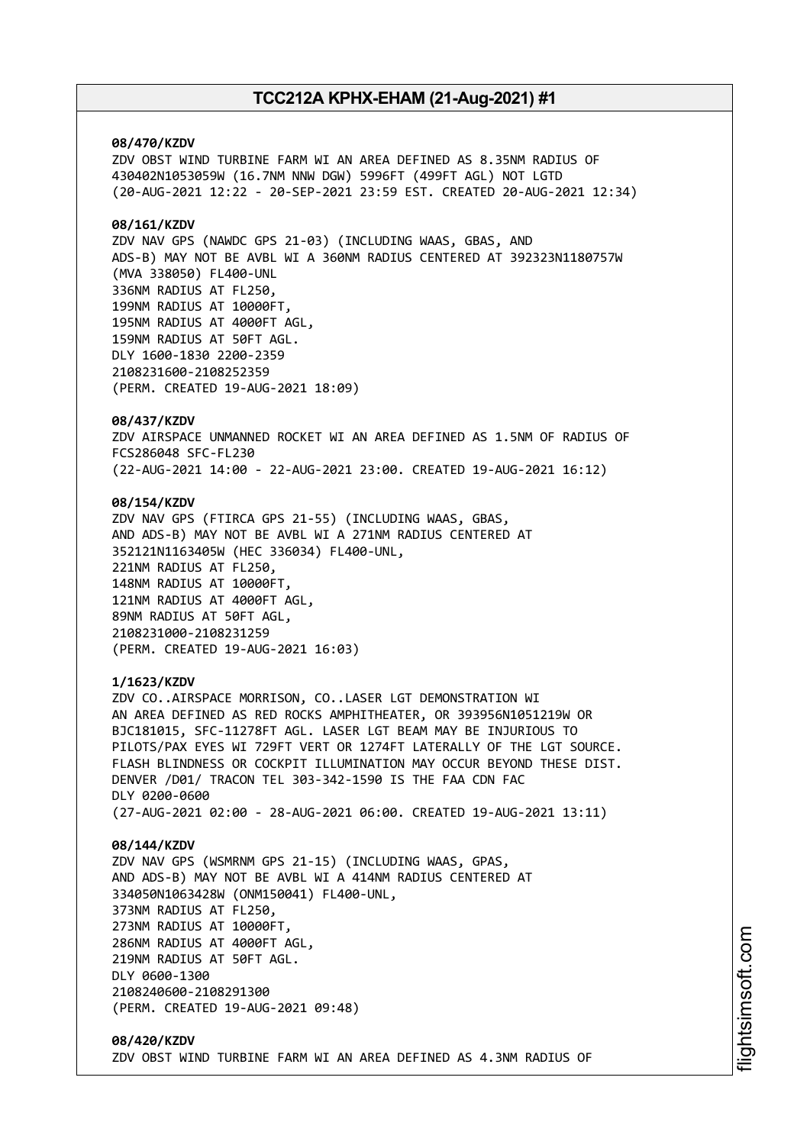#### **08/470/KZDV**

ZDV OBST WIND TURBINE FARM WI AN AREA DEFINED AS 8.35NM RADIUS OF 430402N1053059W (16.7NM NNW DGW) 5996FT (499FT AGL) NOT LGTD (20-AUG-2021 12:22 - 20-SEP-2021 23:59 EST. CREATED 20-AUG-2021 12:34)

## **08/161/KZDV**

ZDV NAV GPS (NAWDC GPS 21-03) (INCLUDING WAAS, GBAS, AND ADS-B) MAY NOT BE AVBL WI A 360NM RADIUS CENTERED AT 392323N1180757W (MVA 338050) FL400-UNL 336NM RADIUS AT FL250, 199NM RADIUS AT 10000FT, 195NM RADIUS AT 4000FT AGL, 159NM RADIUS AT 50FT AGL. DLY 1600-1830 2200-2359 2108231600-2108252359 (PERM. CREATED 19-AUG-2021 18:09)

#### **08/437/KZDV**

ZDV AIRSPACE UNMANNED ROCKET WI AN AREA DEFINED AS 1.5NM OF RADIUS OF FCS286048 SFC-FL230 (22-AUG-2021 14:00 - 22-AUG-2021 23:00. CREATED 19-AUG-2021 16:12)

#### **08/154/KZDV**

ZDV NAV GPS (FTIRCA GPS 21-55) (INCLUDING WAAS, GBAS, AND ADS-B) MAY NOT BE AVBL WI A 271NM RADIUS CENTERED AT 352121N1163405W (HEC 336034) FL400-UNL, 221NM RADIUS AT FL250, 148NM RADIUS AT 10000FT, 121NM RADIUS AT 4000FT AGL, 89NM RADIUS AT 50FT AGL, 2108231000-2108231259 (PERM. CREATED 19-AUG-2021 16:03)

#### **1/1623/KZDV**

ZDV CO..AIRSPACE MORRISON, CO..LASER LGT DEMONSTRATION WI AN AREA DEFINED AS RED ROCKS AMPHITHEATER, OR 393956N1051219W OR BJC181015, SFC-11278FT AGL. LASER LGT BEAM MAY BE INJURIOUS TO PILOTS/PAX EYES WI 729FT VERT OR 1274FT LATERALLY OF THE LGT SOURCE. FLASH BLINDNESS OR COCKPIT ILLUMINATION MAY OCCUR BEYOND THESE DIST. DENVER /D01/ TRACON TEL 303-342-1590 IS THE FAA CDN FAC DLY 0200-0600 (27-AUG-2021 02:00 - 28-AUG-2021 06:00. CREATED 19-AUG-2021 13:11)

#### **08/144/KZDV**

ZDV NAV GPS (WSMRNM GPS 21-15) (INCLUDING WAAS, GPAS, AND ADS-B) MAY NOT BE AVBL WI A 414NM RADIUS CENTERED AT 334050N1063428W (ONM150041) FL400-UNL, 373NM RADIUS AT FL250, 273NM RADIUS AT 10000FT, 286NM RADIUS AT 4000FT AGL, 219NM RADIUS AT 50FT AGL. DLY 0600-1300 2108240600-2108291300 (PERM. CREATED 19-AUG-2021 09:48)

### **08/420/KZDV** ZDV OBST WIND TURBINE FARM WI AN AREA DEFINED AS 4.3NM RADIUS OF

i⊒<br>⊫ htsim soft.c om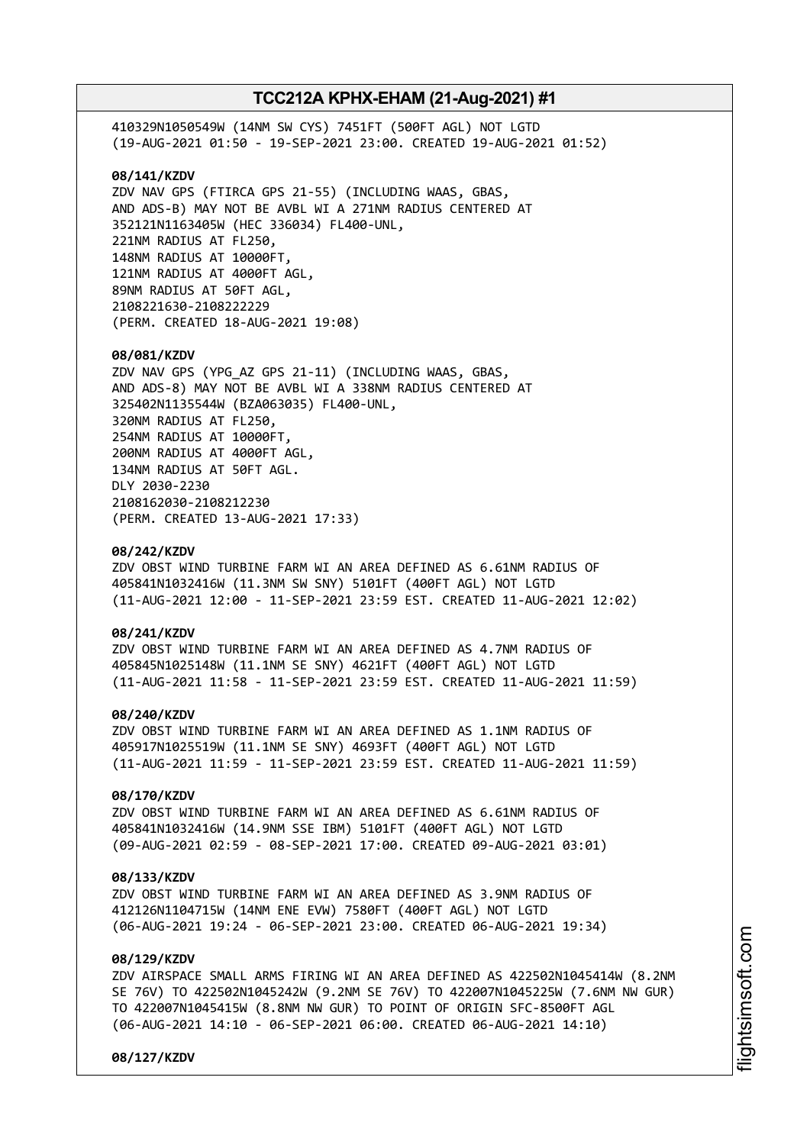410329N1050549W (14NM SW CYS) 7451FT (500FT AGL) NOT LGTD (19-AUG-2021 01:50 - 19-SEP-2021 23:00. CREATED 19-AUG-2021 01:52) **08/141/KZDV** ZDV NAV GPS (FTIRCA GPS 21-55) (INCLUDING WAAS, GBAS, AND ADS-B) MAY NOT BE AVBL WI A 271NM RADIUS CENTERED AT 352121N1163405W (HEC 336034) FL400-UNL, 221NM RADIUS AT FL250, 148NM RADIUS AT 10000FT, 121NM RADIUS AT 4000FT AGL, 89NM RADIUS AT 50FT AGL, 2108221630-2108222229 (PERM. CREATED 18-AUG-2021 19:08) **08/081/KZDV** ZDV NAV GPS (YPG\_AZ GPS 21-11) (INCLUDING WAAS, GBAS, AND ADS-8) MAY NOT BE AVBL WI A 338NM RADIUS CENTERED AT 325402N1135544W (BZA063035) FL400-UNL, 320NM RADIUS AT FL250, 254NM RADIUS AT 10000FT, 200NM RADIUS AT 4000FT AGL, 134NM RADIUS AT 50FT AGL. DLY 2030-2230 2108162030-2108212230 (PERM. CREATED 13-AUG-2021 17:33) **08/242/KZDV** ZDV OBST WIND TURBINE FARM WI AN AREA DEFINED AS 6.61NM RADIUS OF 405841N1032416W (11.3NM SW SNY) 5101FT (400FT AGL) NOT LGTD (11-AUG-2021 12:00 - 11-SEP-2021 23:59 EST. CREATED 11-AUG-2021 12:02) **08/241/KZDV** ZDV OBST WIND TURBINE FARM WI AN AREA DEFINED AS 4.7NM RADIUS OF 405845N1025148W (11.1NM SE SNY) 4621FT (400FT AGL) NOT LGTD (11-AUG-2021 11:58 - 11-SEP-2021 23:59 EST. CREATED 11-AUG-2021 11:59) **08/240/KZDV** ZDV OBST WIND TURBINE FARM WI AN AREA DEFINED AS 1.1NM RADIUS OF

405917N1025519W (11.1NM SE SNY) 4693FT (400FT AGL) NOT LGTD (11-AUG-2021 11:59 - 11-SEP-2021 23:59 EST. CREATED 11-AUG-2021 11:59)

## **08/170/KZDV**

ZDV OBST WIND TURBINE FARM WI AN AREA DEFINED AS 6.61NM RADIUS OF 405841N1032416W (14.9NM SSE IBM) 5101FT (400FT AGL) NOT LGTD (09-AUG-2021 02:59 - 08-SEP-2021 17:00. CREATED 09-AUG-2021 03:01)

### **08/133/KZDV**

ZDV OBST WIND TURBINE FARM WI AN AREA DEFINED AS 3.9NM RADIUS OF 412126N1104715W (14NM ENE EVW) 7580FT (400FT AGL) NOT LGTD (06-AUG-2021 19:24 - 06-SEP-2021 23:00. CREATED 06-AUG-2021 19:34)

## **08/129/KZDV**

ZDV AIRSPACE SMALL ARMS FIRING WI AN AREA DEFINED AS 422502N1045414W (8.2NM SE 76V) TO 422502N1045242W (9.2NM SE 76V) TO 422007N1045225W (7.6NM NW GUR) TO 422007N1045415W (8.8NM NW GUR) TO POINT OF ORIGIN SFC-8500FT AGL (06-AUG-2021 14:10 - 06-SEP-2021 06:00. CREATED 06-AUG-2021 14:10)

**08/127/KZDV**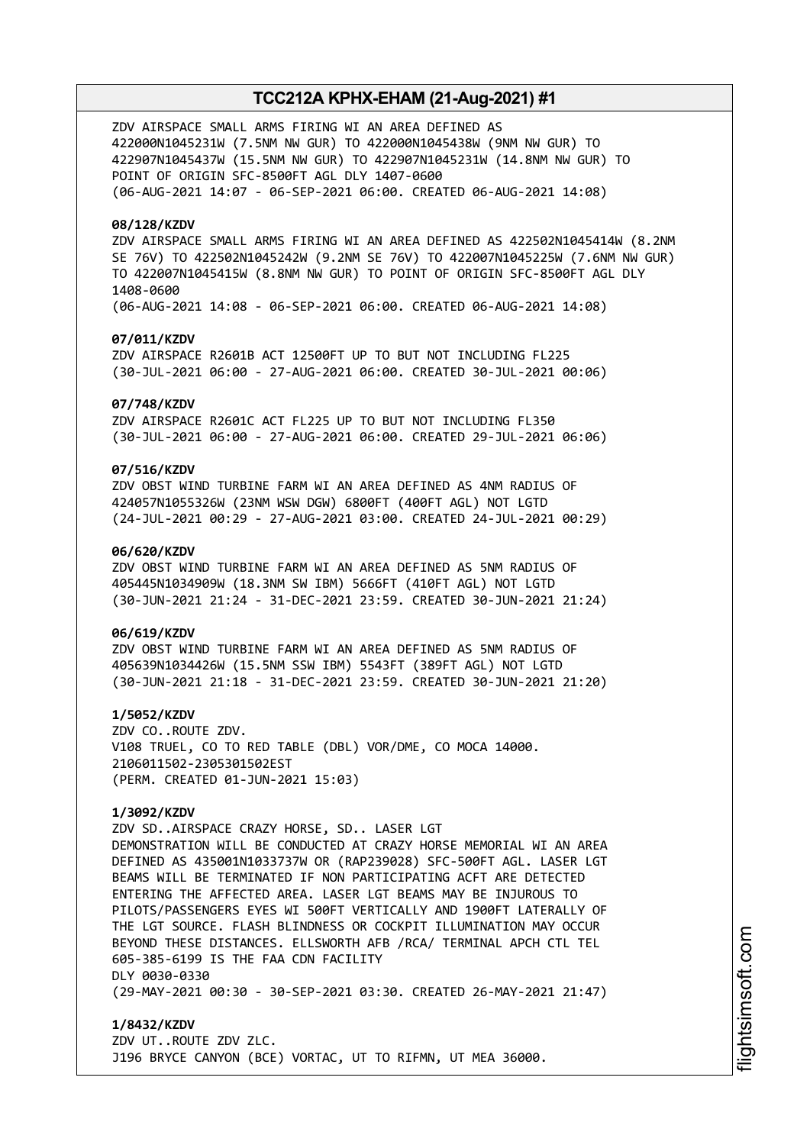ZDV AIRSPACE SMALL ARMS FIRING WI AN AREA DEFINED AS 422000N1045231W (7.5NM NW GUR) TO 422000N1045438W (9NM NW GUR) TO 422907N1045437W (15.5NM NW GUR) TO 422907N1045231W (14.8NM NW GUR) TO POINT OF ORIGIN SFC-8500FT AGL DLY 1407-0600 (06-AUG-2021 14:07 - 06-SEP-2021 06:00. CREATED 06-AUG-2021 14:08)

### **08/128/KZDV**

ZDV AIRSPACE SMALL ARMS FIRING WI AN AREA DEFINED AS 422502N1045414W (8.2NM SE 76V) TO 422502N1045242W (9.2NM SE 76V) TO 422007N1045225W (7.6NM NW GUR) TO 422007N1045415W (8.8NM NW GUR) TO POINT OF ORIGIN SFC-8500FT AGL DLY 1408-0600 (06-AUG-2021 14:08 - 06-SEP-2021 06:00. CREATED 06-AUG-2021 14:08)

## **07/011/KZDV**

ZDV AIRSPACE R2601B ACT 12500FT UP TO BUT NOT INCLUDING FL225 (30-JUL-2021 06:00 - 27-AUG-2021 06:00. CREATED 30-JUL-2021 00:06)

#### **07/748/KZDV**

ZDV AIRSPACE R2601C ACT FL225 UP TO BUT NOT INCLUDING FL350 (30-JUL-2021 06:00 - 27-AUG-2021 06:00. CREATED 29-JUL-2021 06:06)

## **07/516/KZDV**

ZDV OBST WIND TURBINE FARM WI AN AREA DEFINED AS 4NM RADIUS OF 424057N1055326W (23NM WSW DGW) 6800FT (400FT AGL) NOT LGTD (24-JUL-2021 00:29 - 27-AUG-2021 03:00. CREATED 24-JUL-2021 00:29)

### **06/620/KZDV**

ZDV OBST WIND TURBINE FARM WI AN AREA DEFINED AS 5NM RADIUS OF 405445N1034909W (18.3NM SW IBM) 5666FT (410FT AGL) NOT LGTD (30-JUN-2021 21:24 - 31-DEC-2021 23:59. CREATED 30-JUN-2021 21:24)

#### **06/619/KZDV**

ZDV OBST WIND TURBINE FARM WI AN AREA DEFINED AS 5NM RADIUS OF 405639N1034426W (15.5NM SSW IBM) 5543FT (389FT AGL) NOT LGTD (30-JUN-2021 21:18 - 31-DEC-2021 23:59. CREATED 30-JUN-2021 21:20)

**1/5052/KZDV** ZDV CO..ROUTE ZDV. V108 TRUEL, CO TO RED TABLE (DBL) VOR/DME, CO MOCA 14000. 2106011502-2305301502EST (PERM. CREATED 01-JUN-2021 15:03)

### **1/3092/KZDV**

ZDV SD..AIRSPACE CRAZY HORSE, SD.. LASER LGT DEMONSTRATION WILL BE CONDUCTED AT CRAZY HORSE MEMORIAL WI AN AREA DEFINED AS 435001N1033737W OR (RAP239028) SFC-500FT AGL. LASER LGT BEAMS WILL BE TERMINATED IF NON PARTICIPATING ACFT ARE DETECTED ENTERING THE AFFECTED AREA. LASER LGT BEAMS MAY BE INJUROUS TO PILOTS/PASSENGERS EYES WI 500FT VERTICALLY AND 1900FT LATERALLY OF THE LGT SOURCE. FLASH BLINDNESS OR COCKPIT ILLUMINATION MAY OCCUR BEYOND THESE DISTANCES. ELLSWORTH AFB /RCA/ TERMINAL APCH CTL TEL 605-385-6199 IS THE FAA CDN FACILITY DLY 0030-0330 (29-MAY-2021 00:30 - 30-SEP-2021 03:30. CREATED 26-MAY-2021 21:47)

**1/8432/KZDV** ZDV UT..ROUTE ZDV ZLC. J196 BRYCE CANYON (BCE) VORTAC, UT TO RIFMN, UT MEA 36000.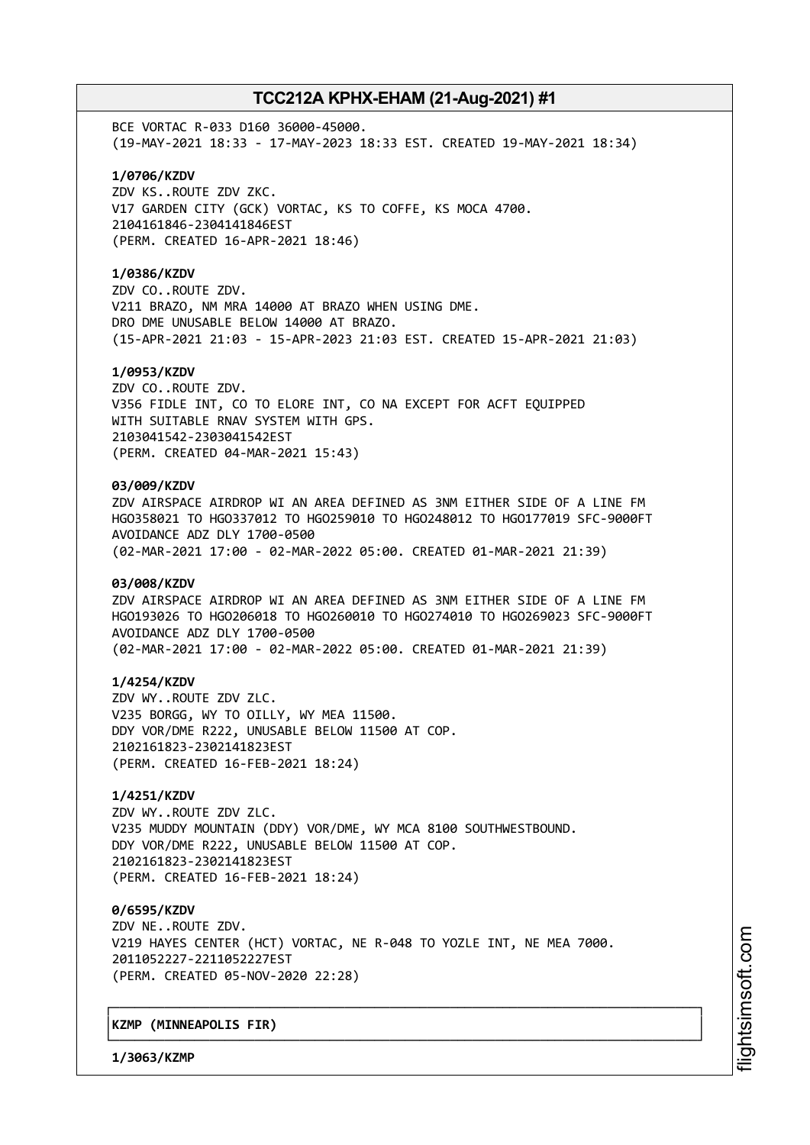BCE VORTAC R-033 D160 36000-45000. (19-MAY-2021 18:33 - 17-MAY-2023 18:33 EST. CREATED 19-MAY-2021 18:34)

### **1/0706/KZDV**

ZDV KS..ROUTE ZDV ZKC. V17 GARDEN CITY (GCK) VORTAC, KS TO COFFE, KS MOCA 4700. 2104161846-2304141846EST (PERM. CREATED 16-APR-2021 18:46)

#### **1/0386/KZDV**

ZDV CO..ROUTE ZDV. V211 BRAZO, NM MRA 14000 AT BRAZO WHEN USING DME. DRO DME UNUSABLE BELOW 14000 AT BRAZO. (15-APR-2021 21:03 - 15-APR-2023 21:03 EST. CREATED 15-APR-2021 21:03)

#### **1/0953/KZDV**

ZDV CO..ROUTE ZDV. V356 FIDLE INT, CO TO ELORE INT, CO NA EXCEPT FOR ACFT EQUIPPED WITH SUITABLE RNAV SYSTEM WITH GPS. 2103041542-2303041542EST (PERM. CREATED 04-MAR-2021 15:43)

#### **03/009/KZDV**

ZDV AIRSPACE AIRDROP WI AN AREA DEFINED AS 3NM EITHER SIDE OF A LINE FM HGO358021 TO HGO337012 TO HGO259010 TO HGO248012 TO HGO177019 SFC-9000FT AVOIDANCE ADZ DLY 1700-0500 (02-MAR-2021 17:00 - 02-MAR-2022 05:00. CREATED 01-MAR-2021 21:39)

#### **03/008/KZDV**

ZDV AIRSPACE AIRDROP WI AN AREA DEFINED AS 3NM EITHER SIDE OF A LINE FM HGO193026 TO HGO206018 TO HGO260010 TO HGO274010 TO HGO269023 SFC-9000FT AVOIDANCE ADZ DLY 1700-0500 (02-MAR-2021 17:00 - 02-MAR-2022 05:00. CREATED 01-MAR-2021 21:39)

#### **1/4254/KZDV**

ZDV WY..ROUTE ZDV ZLC. V235 BORGG, WY TO OILLY, WY MEA 11500. DDY VOR/DME R222, UNUSABLE BELOW 11500 AT COP. 2102161823-2302141823EST (PERM. CREATED 16-FEB-2021 18:24)

## **1/4251/KZDV**

ZDV WY..ROUTE ZDV ZLC. V235 MUDDY MOUNTAIN (DDY) VOR/DME, WY MCA 8100 SOUTHWESTBOUND. DDY VOR/DME R222, UNUSABLE BELOW 11500 AT COP. 2102161823-2302141823EST (PERM. CREATED 16-FEB-2021 18:24)

**0/6595/KZDV** ZDV NE..ROUTE ZDV. V219 HAYES CENTER (HCT) VORTAC, NE R-048 TO YOZLE INT, NE MEA 7000. 2011052227-2211052227EST (PERM. CREATED 05-NOV-2020 22:28)

┌──────────────────────────────────────────────────────────────────────────────┐

└──────────────────────────────────────────────────────────────────────────────┘

### │**KZMP (MINNEAPOLIS FIR)** │

**1/3063/KZMP**

m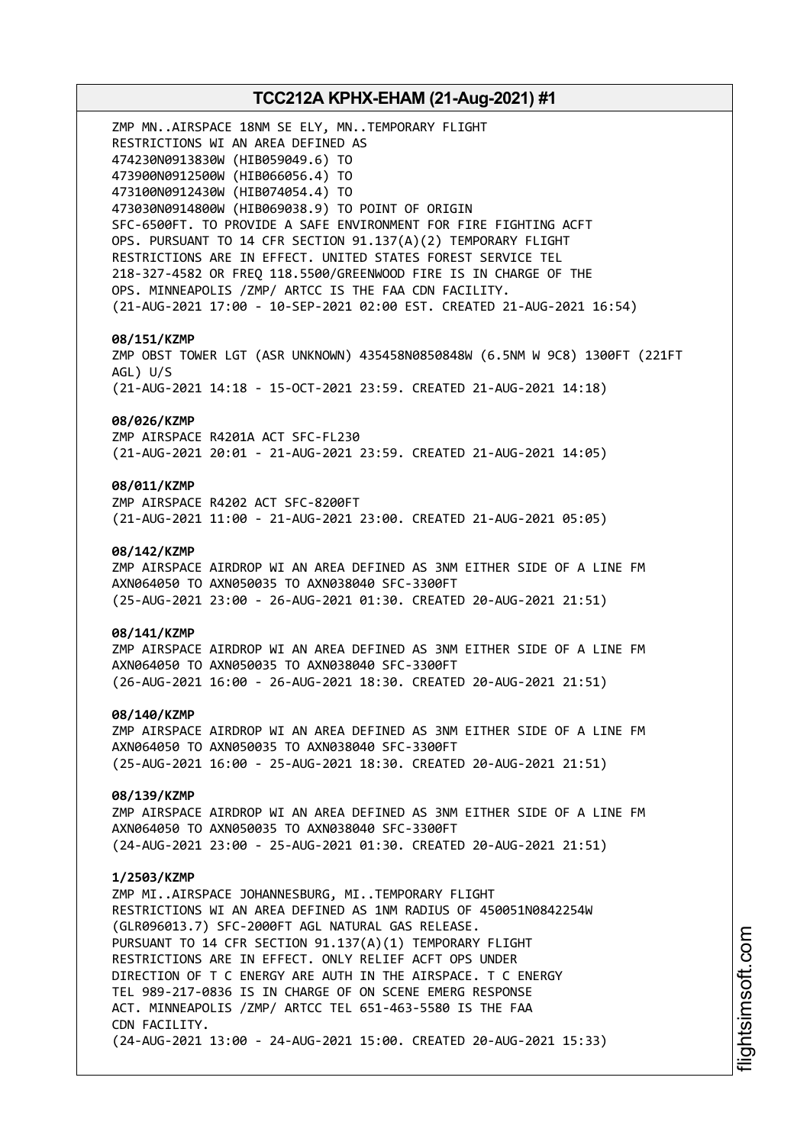# **TCC212A KPHX-EHAM (21-Aug-2021) #1** ZMP MN..AIRSPACE 18NM SE ELY, MN..TEMPORARY FLIGHT RESTRICTIONS WI AN AREA DEFINED AS 474230N0913830W (HIB059049.6) TO 473900N0912500W (HIB066056.4) TO 473100N0912430W (HIB074054.4) TO 473030N0914800W (HIB069038.9) TO POINT OF ORIGIN SFC-6500FT. TO PROVIDE A SAFE ENVIRONMENT FOR FIRE FIGHTING ACFT OPS. PURSUANT TO 14 CFR SECTION 91.137(A)(2) TEMPORARY FLIGHT RESTRICTIONS ARE IN EFFECT. UNITED STATES FOREST SERVICE TEL 218-327-4582 OR FREQ 118.5500/GREENWOOD FIRE IS IN CHARGE OF THE OPS. MINNEAPOLIS /ZMP/ ARTCC IS THE FAA CDN FACILITY. (21-AUG-2021 17:00 - 10-SEP-2021 02:00 EST. CREATED 21-AUG-2021 16:54) **08/151/KZMP** ZMP OBST TOWER LGT (ASR UNKNOWN) 435458N0850848W (6.5NM W 9C8) 1300FT (221FT AGL) U/S (21-AUG-2021 14:18 - 15-OCT-2021 23:59. CREATED 21-AUG-2021 14:18) **08/026/KZMP** ZMP AIRSPACE R4201A ACT SFC-FL230 (21-AUG-2021 20:01 - 21-AUG-2021 23:59. CREATED 21-AUG-2021 14:05) **08/011/KZMP** ZMP AIRSPACE R4202 ACT SFC-8200FT (21-AUG-2021 11:00 - 21-AUG-2021 23:00. CREATED 21-AUG-2021 05:05) **08/142/KZMP** ZMP AIRSPACE AIRDROP WI AN AREA DEFINED AS 3NM EITHER SIDE OF A LINE FM AXN064050 TO AXN050035 TO AXN038040 SFC-3300FT (25-AUG-2021 23:00 - 26-AUG-2021 01:30. CREATED 20-AUG-2021 21:51) **08/141/KZMP** ZMP AIRSPACE AIRDROP WI AN AREA DEFINED AS 3NM EITHER SIDE OF A LINE FM AXN064050 TO AXN050035 TO AXN038040 SFC-3300FT (26-AUG-2021 16:00 - 26-AUG-2021 18:30. CREATED 20-AUG-2021 21:51) **08/140/KZMP** ZMP AIRSPACE AIRDROP WI AN AREA DEFINED AS 3NM EITHER SIDE OF A LINE FM AXN064050 TO AXN050035 TO AXN038040 SFC-3300FT (25-AUG-2021 16:00 - 25-AUG-2021 18:30. CREATED 20-AUG-2021 21:51) **08/139/KZMP** ZMP AIRSPACE AIRDROP WI AN AREA DEFINED AS 3NM EITHER SIDE OF A LINE FM AXN064050 TO AXN050035 TO AXN038040 SFC-3300FT (24-AUG-2021 23:00 - 25-AUG-2021 01:30. CREATED 20-AUG-2021 21:51) **1/2503/KZMP** ZMP MI..AIRSPACE JOHANNESBURG, MI..TEMPORARY FLIGHT RESTRICTIONS WI AN AREA DEFINED AS 1NM RADIUS OF 450051N0842254W (GLR096013.7) SFC-2000FT AGL NATURAL GAS RELEASE. PURSUANT TO 14 CFR SECTION 91.137(A)(1) TEMPORARY FLIGHT RESTRICTIONS ARE IN EFFECT. ONLY RELIEF ACFT OPS UNDER DIRECTION OF T C ENERGY ARE AUTH IN THE AIRSPACE. T C ENERGY TEL 989-217-0836 IS IN CHARGE OF ON SCENE EMERG RESPONSE ACT. MINNEAPOLIS /ZMP/ ARTCC TEL 651-463-5580 IS THE FAA CDN FACILITY. (24-AUG-2021 13:00 - 24-AUG-2021 15:00. CREATED 20-AUG-2021 15:33)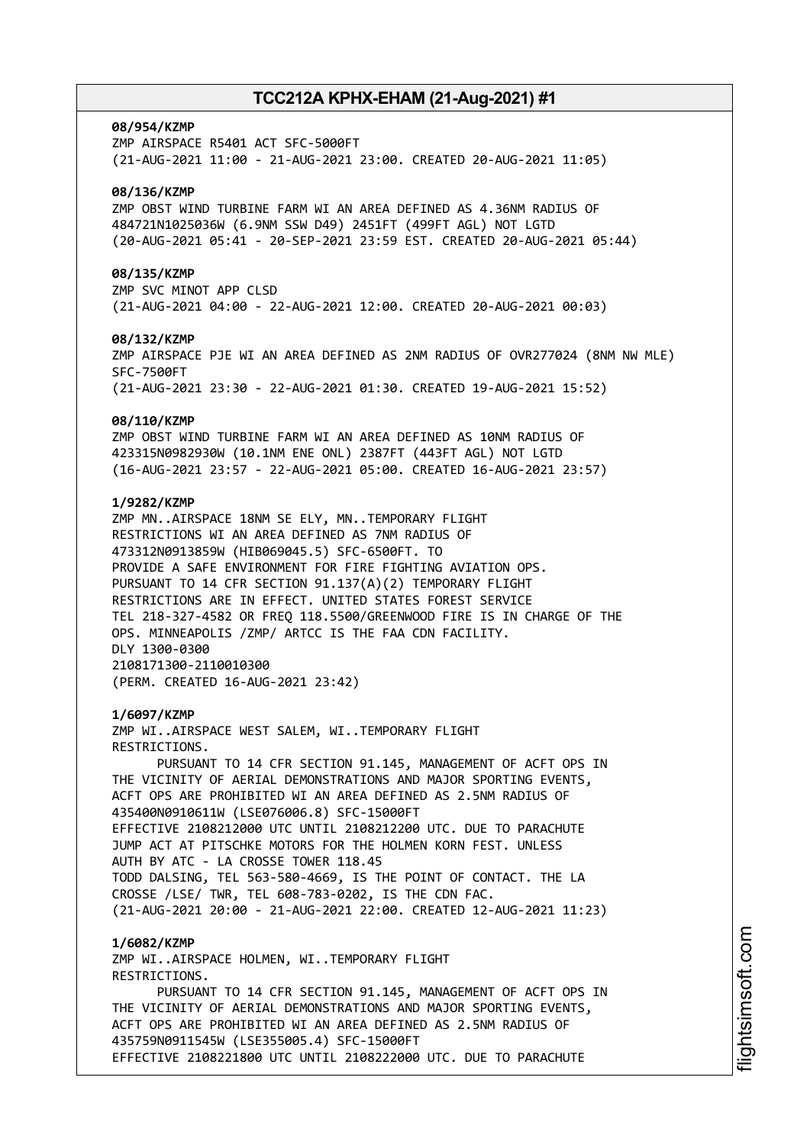#### **08/954/KZMP**

ZMP AIRSPACE R5401 ACT SFC-5000FT (21-AUG-2021 11:00 - 21-AUG-2021 23:00. CREATED 20-AUG-2021 11:05)

### **08/136/KZMP**

ZMP OBST WIND TURBINE FARM WI AN AREA DEFINED AS 4.36NM RADIUS OF 484721N1025036W (6.9NM SSW D49) 2451FT (499FT AGL) NOT LGTD (20-AUG-2021 05:41 - 20-SEP-2021 23:59 EST. CREATED 20-AUG-2021 05:44)

#### **08/135/KZMP**

ZMP SVC MINOT APP CLSD (21-AUG-2021 04:00 - 22-AUG-2021 12:00. CREATED 20-AUG-2021 00:03)

#### **08/132/KZMP**

ZMP AIRSPACE PJE WI AN AREA DEFINED AS 2NM RADIUS OF OVR277024 (8NM NW MLE) SFC-7500FT (21-AUG-2021 23:30 - 22-AUG-2021 01:30. CREATED 19-AUG-2021 15:52)

#### **08/110/KZMP**

ZMP OBST WIND TURBINE FARM WI AN AREA DEFINED AS 10NM RADIUS OF 423315N0982930W (10.1NM ENE ONL) 2387FT (443FT AGL) NOT LGTD (16-AUG-2021 23:57 - 22-AUG-2021 05:00. CREATED 16-AUG-2021 23:57)

## **1/9282/KZMP**

ZMP MN..AIRSPACE 18NM SE ELY, MN..TEMPORARY FLIGHT RESTRICTIONS WI AN AREA DEFINED AS 7NM RADIUS OF 473312N0913859W (HIB069045.5) SFC-6500FT. TO PROVIDE A SAFE ENVIRONMENT FOR FIRE FIGHTING AVIATION OPS. PURSUANT TO 14 CFR SECTION 91.137(A)(2) TEMPORARY FLIGHT RESTRICTIONS ARE IN EFFECT. UNITED STATES FOREST SERVICE TEL 218-327-4582 OR FREQ 118.5500/GREENWOOD FIRE IS IN CHARGE OF THE OPS. MINNEAPOLIS /ZMP/ ARTCC IS THE FAA CDN FACILITY. DLY 1300-0300 2108171300-2110010300 (PERM. CREATED 16-AUG-2021 23:42)

#### **1/6097/KZMP**

ZMP WI..AIRSPACE WEST SALEM, WI..TEMPORARY FLIGHT RESTRICTIONS.

PURSUANT TO 14 CFR SECTION 91.145, MANAGEMENT OF ACFT OPS IN THE VICINITY OF AERIAL DEMONSTRATIONS AND MAJOR SPORTING EVENTS, ACFT OPS ARE PROHIBITED WI AN AREA DEFINED AS 2.5NM RADIUS OF 435400N0910611W (LSE076006.8) SFC-15000FT EFFECTIVE 2108212000 UTC UNTIL 2108212200 UTC. DUE TO PARACHUTE JUMP ACT AT PITSCHKE MOTORS FOR THE HOLMEN KORN FEST. UNLESS AUTH BY ATC - LA CROSSE TOWER 118.45 TODD DALSING, TEL 563-580-4669, IS THE POINT OF CONTACT. THE LA CROSSE /LSE/ TWR, TEL 608-783-0202, IS THE CDN FAC. (21-AUG-2021 20:00 - 21-AUG-2021 22:00. CREATED 12-AUG-2021 11:23)

#### **1/6082/KZMP**

ZMP WI..AIRSPACE HOLMEN, WI..TEMPORARY FLIGHT RESTRICTIONS. PURSUANT TO 14 CFR SECTION 91.145, MANAGEMENT OF ACFT OPS IN THE VICINITY OF AERIAL DEMONSTRATIONS AND MAJOR SPORTING EVENTS, ACFT OPS ARE PROHIBITED WI AN AREA DEFINED AS 2.5NM RADIUS OF 435759N0911545W (LSE355005.4) SFC-15000FT EFFECTIVE 2108221800 UTC UNTIL 2108222000 UTC. DUE TO PARACHUTE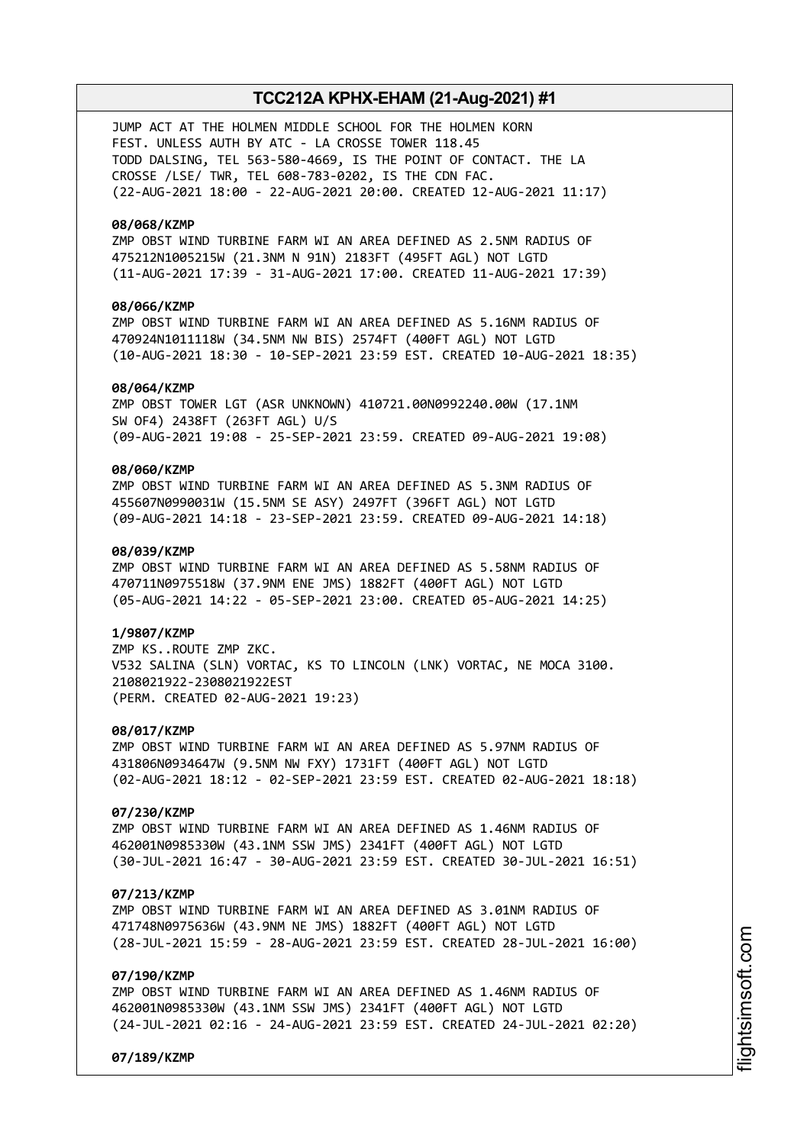JUMP ACT AT THE HOLMEN MIDDLE SCHOOL FOR THE HOLMEN KORN FEST. UNLESS AUTH BY ATC - LA CROSSE TOWER 118.45 TODD DALSING, TEL 563-580-4669, IS THE POINT OF CONTACT. THE LA CROSSE /LSE/ TWR, TEL 608-783-0202, IS THE CDN FAC. (22-AUG-2021 18:00 - 22-AUG-2021 20:00. CREATED 12-AUG-2021 11:17)

### **08/068/KZMP**

ZMP OBST WIND TURBINE FARM WI AN AREA DEFINED AS 2.5NM RADIUS OF 475212N1005215W (21.3NM N 91N) 2183FT (495FT AGL) NOT LGTD (11-AUG-2021 17:39 - 31-AUG-2021 17:00. CREATED 11-AUG-2021 17:39)

## **08/066/KZMP**

ZMP OBST WIND TURBINE FARM WI AN AREA DEFINED AS 5.16NM RADIUS OF 470924N1011118W (34.5NM NW BIS) 2574FT (400FT AGL) NOT LGTD (10-AUG-2021 18:30 - 10-SEP-2021 23:59 EST. CREATED 10-AUG-2021 18:35)

#### **08/064/KZMP**

ZMP OBST TOWER LGT (ASR UNKNOWN) 410721.00N0992240.00W (17.1NM SW OF4) 2438FT (263FT AGL) U/S (09-AUG-2021 19:08 - 25-SEP-2021 23:59. CREATED 09-AUG-2021 19:08)

## **08/060/KZMP**

ZMP OBST WIND TURBINE FARM WI AN AREA DEFINED AS 5.3NM RADIUS OF 455607N0990031W (15.5NM SE ASY) 2497FT (396FT AGL) NOT LGTD (09-AUG-2021 14:18 - 23-SEP-2021 23:59. CREATED 09-AUG-2021 14:18)

### **08/039/KZMP**

ZMP OBST WIND TURBINE FARM WI AN AREA DEFINED AS 5.58NM RADIUS OF 470711N0975518W (37.9NM ENE JMS) 1882FT (400FT AGL) NOT LGTD (05-AUG-2021 14:22 - 05-SEP-2021 23:00. CREATED 05-AUG-2021 14:25)

#### **1/9807/KZMP**

ZMP KS..ROUTE ZMP ZKC. V532 SALINA (SLN) VORTAC, KS TO LINCOLN (LNK) VORTAC, NE MOCA 3100. 2108021922-2308021922EST (PERM. CREATED 02-AUG-2021 19:23)

### **08/017/KZMP**

ZMP OBST WIND TURBINE FARM WI AN AREA DEFINED AS 5.97NM RADIUS OF 431806N0934647W (9.5NM NW FXY) 1731FT (400FT AGL) NOT LGTD (02-AUG-2021 18:12 - 02-SEP-2021 23:59 EST. CREATED 02-AUG-2021 18:18)

#### **07/230/KZMP**

ZMP OBST WIND TURBINE FARM WI AN AREA DEFINED AS 1.46NM RADIUS OF 462001N0985330W (43.1NM SSW JMS) 2341FT (400FT AGL) NOT LGTD (30-JUL-2021 16:47 - 30-AUG-2021 23:59 EST. CREATED 30-JUL-2021 16:51)

#### **07/213/KZMP**

ZMP OBST WIND TURBINE FARM WI AN AREA DEFINED AS 3.01NM RADIUS OF 471748N0975636W (43.9NM NE JMS) 1882FT (400FT AGL) NOT LGTD (28-JUL-2021 15:59 - 28-AUG-2021 23:59 EST. CREATED 28-JUL-2021 16:00)

#### **07/190/KZMP**

ZMP OBST WIND TURBINE FARM WI AN AREA DEFINED AS 1.46NM RADIUS OF 462001N0985330W (43.1NM SSW JMS) 2341FT (400FT AGL) NOT LGTD (24-JUL-2021 02:16 - 24-AUG-2021 23:59 EST. CREATED 24-JUL-2021 02:20)

**07/189/KZMP**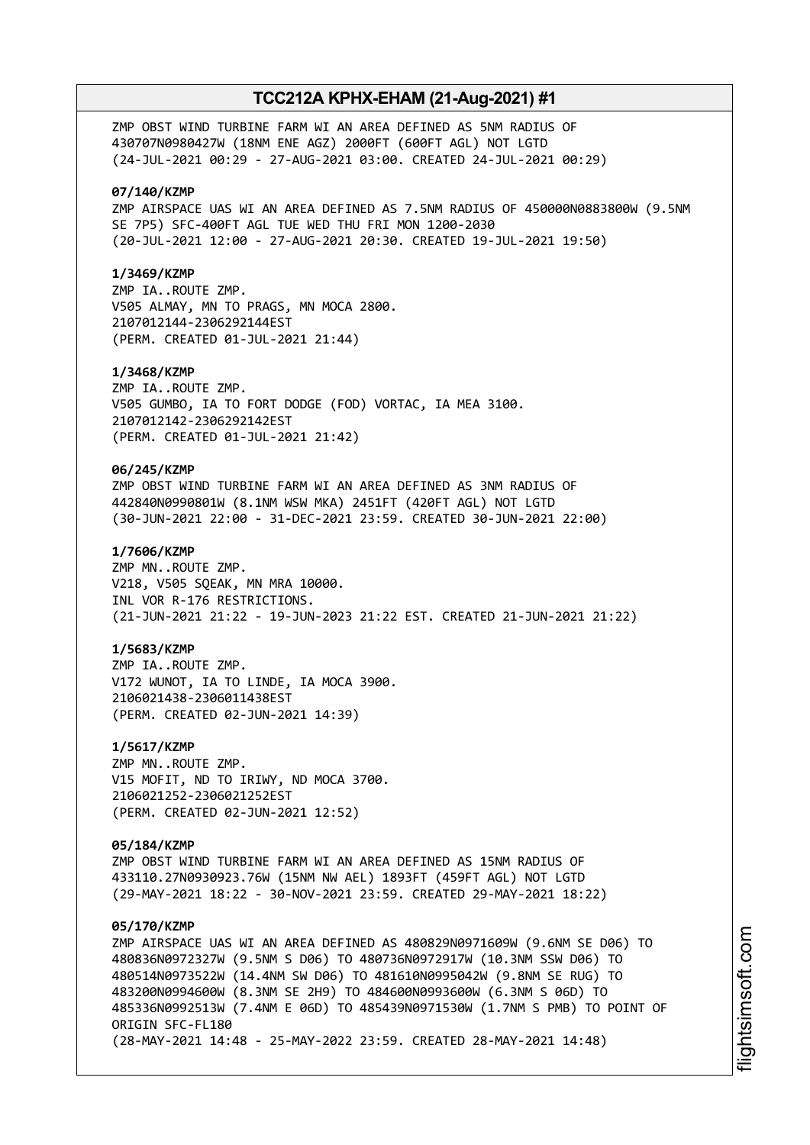ZMP OBST WIND TURBINE FARM WI AN AREA DEFINED AS 5NM RADIUS OF 430707N0980427W (18NM ENE AGZ) 2000FT (600FT AGL) NOT LGTD (24-JUL-2021 00:29 - 27-AUG-2021 03:00. CREATED 24-JUL-2021 00:29)

#### **07/140/KZMP**

ZMP AIRSPACE UAS WI AN AREA DEFINED AS 7.5NM RADIUS OF 450000N0883800W (9.5NM SE 7P5) SFC-400FT AGL TUE WED THU FRI MON 1200-2030 (20-JUL-2021 12:00 - 27-AUG-2021 20:30. CREATED 19-JUL-2021 19:50)

#### **1/3469/KZMP**

ZMP IA..ROUTE ZMP. V505 ALMAY, MN TO PRAGS, MN MOCA 2800. 2107012144-2306292144EST (PERM. CREATED 01-JUL-2021 21:44)

#### **1/3468/KZMP**

ZMP IA..ROUTE ZMP. V505 GUMBO, IA TO FORT DODGE (FOD) VORTAC, IA MEA 3100. 2107012142-2306292142EST (PERM. CREATED 01-JUL-2021 21:42)

## **06/245/KZMP**

ZMP OBST WIND TURBINE FARM WI AN AREA DEFINED AS 3NM RADIUS OF 442840N0990801W (8.1NM WSW MKA) 2451FT (420FT AGL) NOT LGTD (30-JUN-2021 22:00 - 31-DEC-2021 23:59. CREATED 30-JUN-2021 22:00)

### **1/7606/KZMP**

ZMP MN..ROUTE ZMP. V218, V505 SQEAK, MN MRA 10000. INL VOR R-176 RESTRICTIONS. (21-JUN-2021 21:22 - 19-JUN-2023 21:22 EST. CREATED 21-JUN-2021 21:22)

### **1/5683/KZMP**

ZMP IA..ROUTE ZMP. V172 WUNOT, IA TO LINDE, IA MOCA 3900. 2106021438-2306011438EST (PERM. CREATED 02-JUN-2021 14:39)

#### **1/5617/KZMP**

ZMP MN..ROUTE ZMP. V15 MOFIT, ND TO IRIWY, ND MOCA 3700. 2106021252-2306021252EST (PERM. CREATED 02-JUN-2021 12:52)

### **05/184/KZMP**

ZMP OBST WIND TURBINE FARM WI AN AREA DEFINED AS 15NM RADIUS OF 433110.27N0930923.76W (15NM NW AEL) 1893FT (459FT AGL) NOT LGTD (29-MAY-2021 18:22 - 30-NOV-2021 23:59. CREATED 29-MAY-2021 18:22)

### **05/170/KZMP**

ZMP AIRSPACE UAS WI AN AREA DEFINED AS 480829N0971609W (9.6NM SE D06) TO 480836N0972327W (9.5NM S D06) TO 480736N0972917W (10.3NM SSW D06) TO 480514N0973522W (14.4NM SW D06) TO 481610N0995042W (9.8NM SE RUG) TO 483200N0994600W (8.3NM SE 2H9) TO 484600N0993600W (6.3NM S 06D) TO 485336N0992513W (7.4NM E 06D) TO 485439N0971530W (1.7NM S PMB) TO POINT OF ORIGIN SFC-FL180 (28-MAY-2021 14:48 - 25-MAY-2022 23:59. CREATED 28-MAY-2021 14:48)

i⊒<br>⊫ htsim soft.c om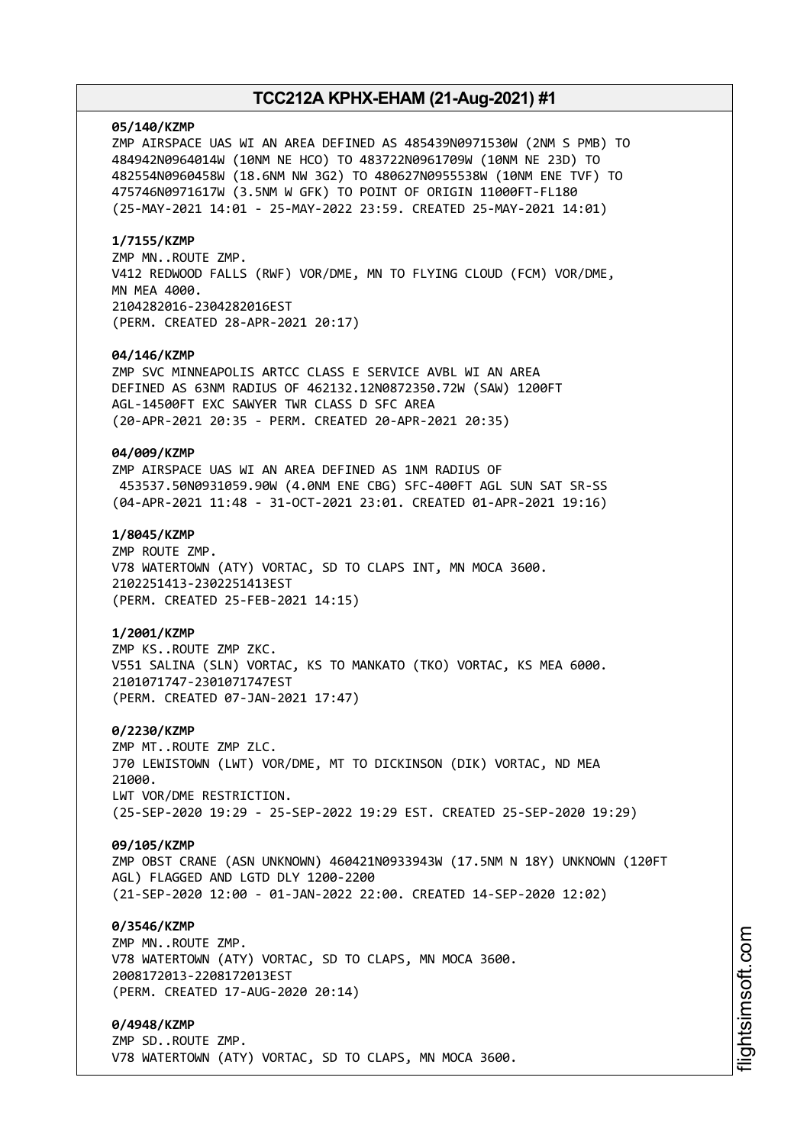#### **05/140/KZMP**

ZMP AIRSPACE UAS WI AN AREA DEFINED AS 485439N0971530W (2NM S PMB) TO 484942N0964014W (10NM NE HCO) TO 483722N0961709W (10NM NE 23D) TO 482554N0960458W (18.6NM NW 3G2) TO 480627N0955538W (10NM ENE TVF) TO 475746N0971617W (3.5NM W GFK) TO POINT OF ORIGIN 11000FT-FL180 (25-MAY-2021 14:01 - 25-MAY-2022 23:59. CREATED 25-MAY-2021 14:01)

#### **1/7155/KZMP**

ZMP MN..ROUTE ZMP. V412 REDWOOD FALLS (RWF) VOR/DME, MN TO FLYING CLOUD (FCM) VOR/DME, MN MEA 4000. 2104282016-2304282016EST (PERM. CREATED 28-APR-2021 20:17)

#### **04/146/KZMP**

ZMP SVC MINNEAPOLIS ARTCC CLASS E SERVICE AVBL WI AN AREA DEFINED AS 63NM RADIUS OF 462132.12N0872350.72W (SAW) 1200FT AGL-14500FT EXC SAWYER TWR CLASS D SFC AREA (20-APR-2021 20:35 - PERM. CREATED 20-APR-2021 20:35)

#### **04/009/KZMP**

ZMP AIRSPACE UAS WI AN AREA DEFINED AS 1NM RADIUS OF 453537.50N0931059.90W (4.0NM ENE CBG) SFC-400FT AGL SUN SAT SR-SS (04-APR-2021 11:48 - 31-OCT-2021 23:01. CREATED 01-APR-2021 19:16)

## **1/8045/KZMP**

ZMP ROUTE ZMP. V78 WATERTOWN (ATY) VORTAC, SD TO CLAPS INT, MN MOCA 3600. 2102251413-2302251413EST (PERM. CREATED 25-FEB-2021 14:15)

#### **1/2001/KZMP**

ZMP KS..ROUTE ZMP ZKC. V551 SALINA (SLN) VORTAC, KS TO MANKATO (TKO) VORTAC, KS MEA 6000. 2101071747-2301071747EST (PERM. CREATED 07-JAN-2021 17:47)

#### **0/2230/KZMP**

ZMP MT..ROUTE ZMP ZLC. J70 LEWISTOWN (LWT) VOR/DME, MT TO DICKINSON (DIK) VORTAC, ND MEA 21000. LWT VOR/DME RESTRICTION. (25-SEP-2020 19:29 - 25-SEP-2022 19:29 EST. CREATED 25-SEP-2020 19:29)

#### **09/105/KZMP**

ZMP OBST CRANE (ASN UNKNOWN) 460421N0933943W (17.5NM N 18Y) UNKNOWN (120FT AGL) FLAGGED AND LGTD DLY 1200-2200 (21-SEP-2020 12:00 - 01-JAN-2022 22:00. CREATED 14-SEP-2020 12:02)

#### **0/3546/KZMP**

ZMP MN..ROUTE ZMP. V78 WATERTOWN (ATY) VORTAC, SD TO CLAPS, MN MOCA 3600. 2008172013-2208172013EST (PERM. CREATED 17-AUG-2020 20:14)

### **0/4948/KZMP**

ZMP SD..ROUTE ZMP. V78 WATERTOWN (ATY) VORTAC, SD TO CLAPS, MN MOCA 3600.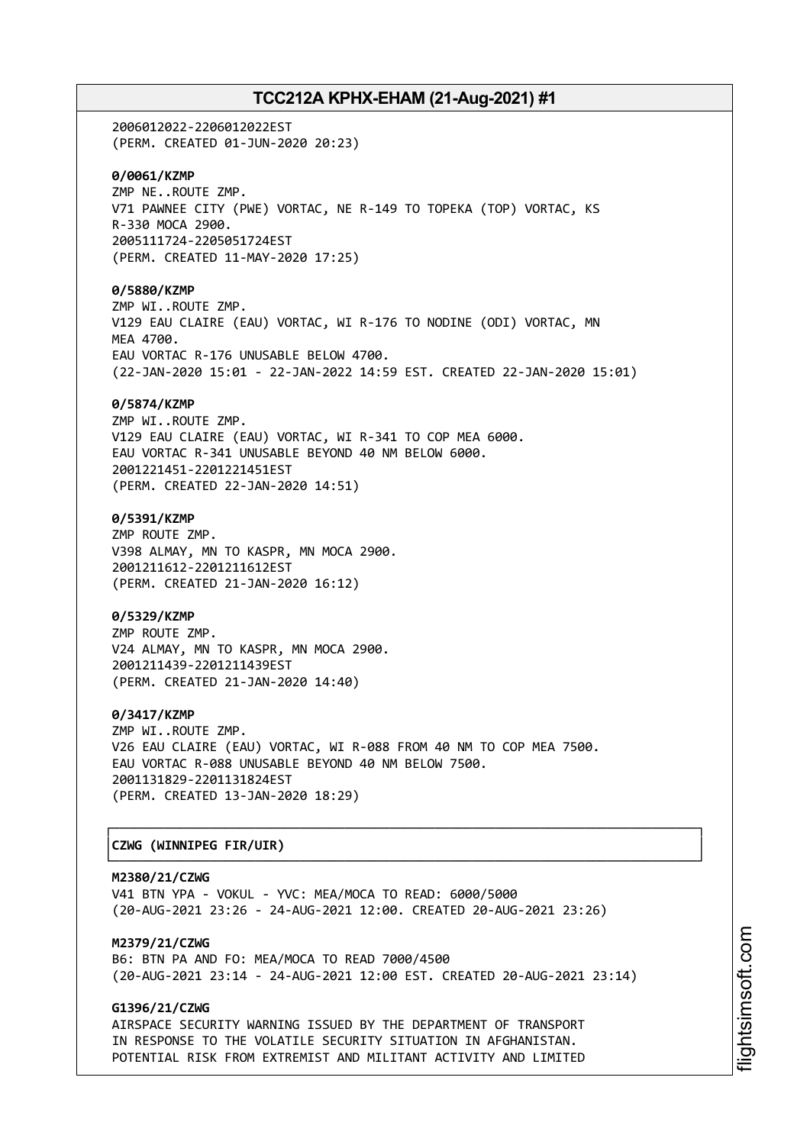2006012022-2206012022EST (PERM. CREATED 01-JUN-2020 20:23) **0/0061/KZMP** ZMP NE..ROUTE ZMP. V71 PAWNEE CITY (PWE) VORTAC, NE R-149 TO TOPEKA (TOP) VORTAC, KS R-330 MOCA 2900. 2005111724-2205051724EST (PERM. CREATED 11-MAY-2020 17:25) **0/5880/KZMP** ZMP WI..ROUTE ZMP. V129 EAU CLAIRE (EAU) VORTAC, WI R-176 TO NODINE (ODI) VORTAC, MN MEA 4700. EAU VORTAC R-176 UNUSABLE BELOW 4700. (22-JAN-2020 15:01 - 22-JAN-2022 14:59 EST. CREATED 22-JAN-2020 15:01) **0/5874/KZMP** ZMP WI..ROUTE ZMP. V129 EAU CLAIRE (EAU) VORTAC, WI R-341 TO COP MEA 6000. EAU VORTAC R-341 UNUSABLE BEYOND 40 NM BELOW 6000. 2001221451-2201221451EST (PERM. CREATED 22-JAN-2020 14:51) **0/5391/KZMP** ZMP ROUTE ZMP. V398 ALMAY, MN TO KASPR, MN MOCA 2900. 2001211612-2201211612EST (PERM. CREATED 21-JAN-2020 16:12) **0/5329/KZMP** ZMP ROUTE ZMP. V24 ALMAY, MN TO KASPR, MN MOCA 2900. 2001211439-2201211439EST (PERM. CREATED 21-JAN-2020 14:40) **0/3417/KZMP** ZMP WI..ROUTE ZMP. V26 EAU CLAIRE (EAU) VORTAC, WI R-088 FROM 40 NM TO COP MEA 7500. EAU VORTAC R-088 UNUSABLE BEYOND 40 NM BELOW 7500. 2001131829-2201131824EST (PERM. CREATED 13-JAN-2020 18:29) ┌──────────────────────────────────────────────────────────────────────────────┐

## │**CZWG (WINNIPEG FIR/UIR)** │

**M2380/21/CZWG** V41 BTN YPA - VOKUL - YVC: MEA/MOCA TO READ: 6000/5000 (20-AUG-2021 23:26 - 24-AUG-2021 12:00. CREATED 20-AUG-2021 23:26)

└──────────────────────────────────────────────────────────────────────────────┘

**M2379/21/CZWG** B6: BTN PA AND FO: MEA/MOCA TO READ 7000/4500 (20-AUG-2021 23:14 - 24-AUG-2021 12:00 EST. CREATED 20-AUG-2021 23:14)

## **G1396/21/CZWG**

AIRSPACE SECURITY WARNING ISSUED BY THE DEPARTMENT OF TRANSPORT IN RESPONSE TO THE VOLATILE SECURITY SITUATION IN AFGHANISTAN. POTENTIAL RISK FROM EXTREMIST AND MILITANT ACTIVITY AND LIMITED i⊒<br>⊫ htsim soft.c om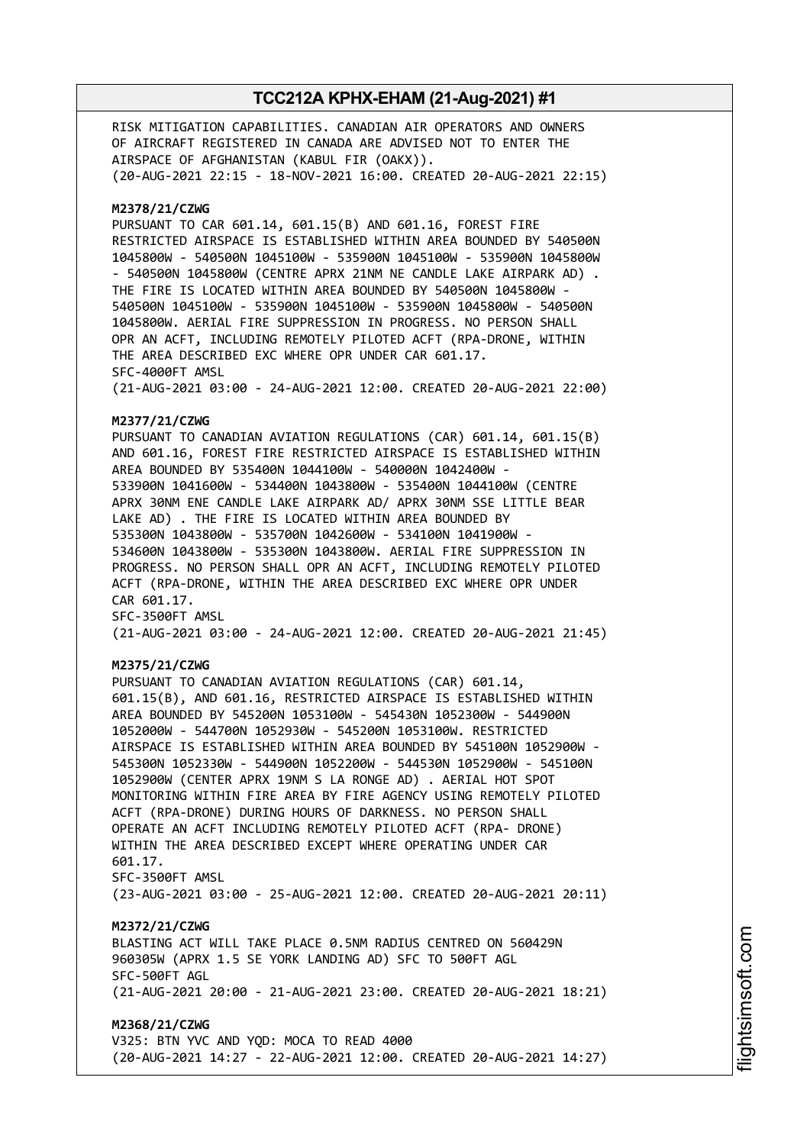RISK MITIGATION CAPABILITIES. CANADIAN AIR OPERATORS AND OWNERS OF AIRCRAFT REGISTERED IN CANADA ARE ADVISED NOT TO ENTER THE AIRSPACE OF AFGHANISTAN (KABUL FIR (OAKX)). (20-AUG-2021 22:15 - 18-NOV-2021 16:00. CREATED 20-AUG-2021 22:15) **M2378/21/CZWG** PURSUANT TO CAR 601.14, 601.15(B) AND 601.16, FOREST FIRE RESTRICTED AIRSPACE IS ESTABLISHED WITHIN AREA BOUNDED BY 540500N 1045800W - 540500N 1045100W - 535900N 1045100W - 535900N 1045800W - 540500N 1045800W (CENTRE APRX 21NM NE CANDLE LAKE AIRPARK AD) . THE FIRE IS LOCATED WITHIN AREA BOUNDED BY 540500N 1045800W - 540500N 1045100W - 535900N 1045100W - 535900N 1045800W - 540500N 1045800W. AERIAL FIRE SUPPRESSION IN PROGRESS. NO PERSON SHALL OPR AN ACFT, INCLUDING REMOTELY PILOTED ACFT (RPA-DRONE, WITHIN THE AREA DESCRIBED EXC WHERE OPR UNDER CAR 601.17. SFC-4000FT AMSL (21-AUG-2021 03:00 - 24-AUG-2021 12:00. CREATED 20-AUG-2021 22:00) **M2377/21/CZWG** PURSUANT TO CANADIAN AVIATION REGULATIONS (CAR) 601.14, 601.15(B) AND 601.16, FOREST FIRE RESTRICTED AIRSPACE IS ESTABLISHED WITHIN AREA BOUNDED BY 535400N 1044100W - 540000N 1042400W - 533900N 1041600W - 534400N 1043800W - 535400N 1044100W (CENTRE APRX 30NM ENE CANDLE LAKE AIRPARK AD/ APRX 30NM SSE LITTLE BEAR LAKE AD) . THE FIRE IS LOCATED WITHIN AREA BOUNDED BY 535300N 1043800W - 535700N 1042600W - 534100N 1041900W - 534600N 1043800W - 535300N 1043800W. AERIAL FIRE SUPPRESSION IN PROGRESS. NO PERSON SHALL OPR AN ACFT, INCLUDING REMOTELY PILOTED ACFT (RPA-DRONE, WITHIN THE AREA DESCRIBED EXC WHERE OPR UNDER CAR 601.17. SFC-3500FT AMSL (21-AUG-2021 03:00 - 24-AUG-2021 12:00. CREATED 20-AUG-2021 21:45) **M2375/21/CZWG** PURSUANT TO CANADIAN AVIATION REGULATIONS (CAR) 601.14, 601.15(B), AND 601.16, RESTRICTED AIRSPACE IS ESTABLISHED WITHIN AREA BOUNDED BY 545200N 1053100W - 545430N 1052300W - 544900N 1052000W - 544700N 1052930W - 545200N 1053100W. RESTRICTED AIRSPACE IS ESTABLISHED WITHIN AREA BOUNDED BY 545100N 1052900W - 545300N 1052330W - 544900N 1052200W - 544530N 1052900W - 545100N 1052900W (CENTER APRX 19NM S LA RONGE AD) . AERIAL HOT SPOT MONITORING WITHIN FIRE AREA BY FIRE AGENCY USING REMOTELY PILOTED ACFT (RPA-DRONE) DURING HOURS OF DARKNESS. NO PERSON SHALL OPERATE AN ACFT INCLUDING REMOTELY PILOTED ACFT (RPA- DRONE) WITHIN THE AREA DESCRIBED EXCEPT WHERE OPERATING UNDER CAR 601.17. SFC-3500FT AMSL (23-AUG-2021 03:00 - 25-AUG-2021 12:00. CREATED 20-AUG-2021 20:11) **M2372/21/CZWG** BLASTING ACT WILL TAKE PLACE 0.5NM RADIUS CENTRED ON 560429N 960305W (APRX 1.5 SE YORK LANDING AD) SFC TO 500FT AGL SFC-500FT AGL (21-AUG-2021 20:00 - 21-AUG-2021 23:00. CREATED 20-AUG-2021 18:21) **M2368/21/CZWG** V325: BTN YVC AND YQD: MOCA TO READ 4000 (20-AUG-2021 14:27 - 22-AUG-2021 12:00. CREATED 20-AUG-2021 14:27)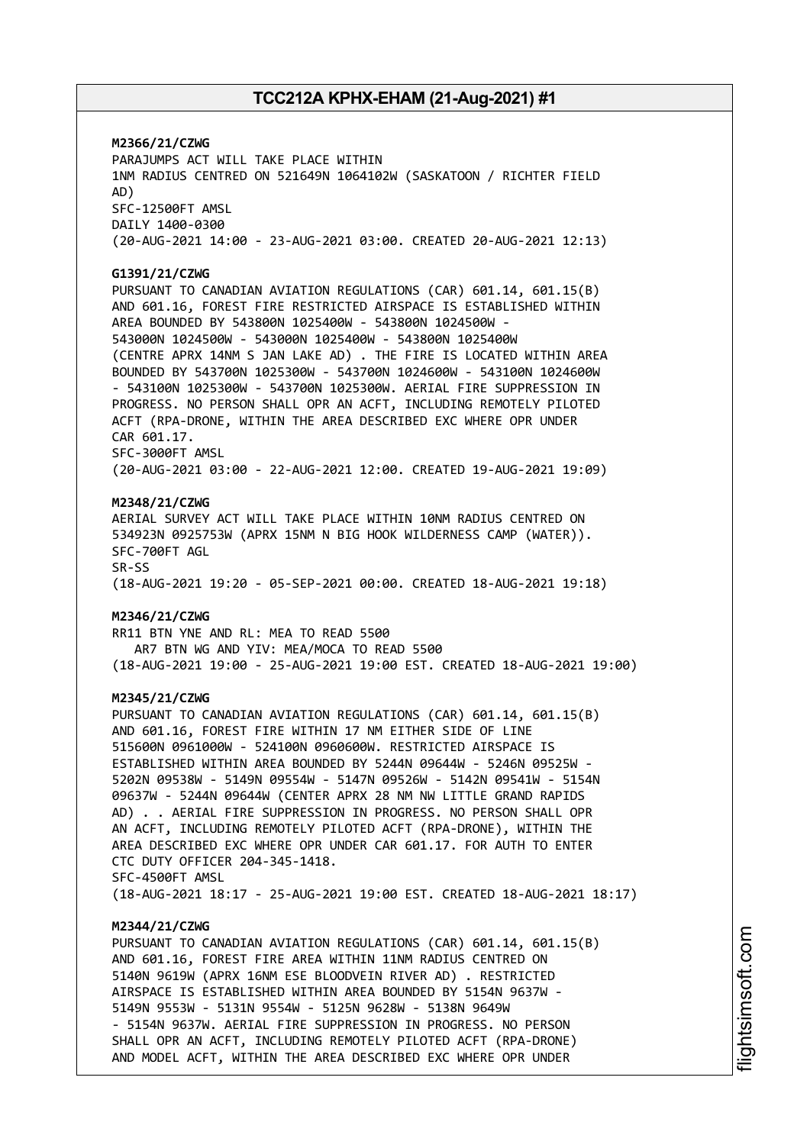**M2366/21/CZWG** PARAJUMPS ACT WILL TAKE PLACE WITHIN 1NM RADIUS CENTRED ON 521649N 1064102W (SASKATOON / RICHTER FIELD AD) SFC-12500FT AMSL DAILY 1400-0300 (20-AUG-2021 14:00 - 23-AUG-2021 03:00. CREATED 20-AUG-2021 12:13) **G1391/21/CZWG** PURSUANT TO CANADIAN AVIATION REGULATIONS (CAR) 601.14, 601.15(B) AND 601.16, FOREST FIRE RESTRICTED AIRSPACE IS ESTABLISHED WITHIN AREA BOUNDED BY 543800N 1025400W - 543800N 1024500W - 543000N 1024500W - 543000N 1025400W - 543800N 1025400W (CENTRE APRX 14NM S JAN LAKE AD) . THE FIRE IS LOCATED WITHIN AREA BOUNDED BY 543700N 1025300W - 543700N 1024600W - 543100N 1024600W - 543100N 1025300W - 543700N 1025300W. AERIAL FIRE SUPPRESSION IN PROGRESS. NO PERSON SHALL OPR AN ACFT, INCLUDING REMOTELY PILOTED ACFT (RPA-DRONE, WITHIN THE AREA DESCRIBED EXC WHERE OPR UNDER CAR 601.17. SFC-3000FT AMSL (20-AUG-2021 03:00 - 22-AUG-2021 12:00. CREATED 19-AUG-2021 19:09) **M2348/21/CZWG** AERIAL SURVEY ACT WILL TAKE PLACE WITHIN 10NM RADIUS CENTRED ON 534923N 0925753W (APRX 15NM N BIG HOOK WILDERNESS CAMP (WATER)). SFC-700FT AGL SR-SS (18-AUG-2021 19:20 - 05-SEP-2021 00:00. CREATED 18-AUG-2021 19:18) **M2346/21/CZWG** RR11 BTN YNE AND RL: MEA TO READ 5500 AR7 BTN WG AND YIV: MEA/MOCA TO READ 5500 (18-AUG-2021 19:00 - 25-AUG-2021 19:00 EST. CREATED 18-AUG-2021 19:00) **M2345/21/CZWG** PURSUANT TO CANADIAN AVIATION REGULATIONS (CAR) 601.14, 601.15(B) AND 601.16, FOREST FIRE WITHIN 17 NM EITHER SIDE OF LINE 515600N 0961000W - 524100N 0960600W. RESTRICTED AIRSPACE IS ESTABLISHED WITHIN AREA BOUNDED BY 5244N 09644W - 5246N 09525W - 5202N 09538W - 5149N 09554W - 5147N 09526W - 5142N 09541W - 5154N 09637W - 5244N 09644W (CENTER APRX 28 NM NW LITTLE GRAND RAPIDS AD) . . AERIAL FIRE SUPPRESSION IN PROGRESS. NO PERSON SHALL OPR AN ACFT, INCLUDING REMOTELY PILOTED ACFT (RPA-DRONE), WITHIN THE AREA DESCRIBED EXC WHERE OPR UNDER CAR 601.17. FOR AUTH TO ENTER CTC DUTY OFFICER 204-345-1418. SFC-4500FT AMSL (18-AUG-2021 18:17 - 25-AUG-2021 19:00 EST. CREATED 18-AUG-2021 18:17) **M2344/21/CZWG** PURSUANT TO CANADIAN AVIATION REGULATIONS (CAR) 601.14, 601.15(B) AND 601.16, FOREST FIRE AREA WITHIN 11NM RADIUS CENTRED ON 5140N 9619W (APRX 16NM ESE BLOODVEIN RIVER AD) . RESTRICTED AIRSPACE IS ESTABLISHED WITHIN AREA BOUNDED BY 5154N 9637W - 5149N 9553W - 5131N 9554W - 5125N 9628W - 5138N 9649W - 5154N 9637W. AERIAL FIRE SUPPRESSION IN PROGRESS. NO PERSON SHALL OPR AN ACFT, INCLUDING REMOTELY PILOTED ACFT (RPA-DRONE)

AND MODEL ACFT, WITHIN THE AREA DESCRIBED EXC WHERE OPR UNDER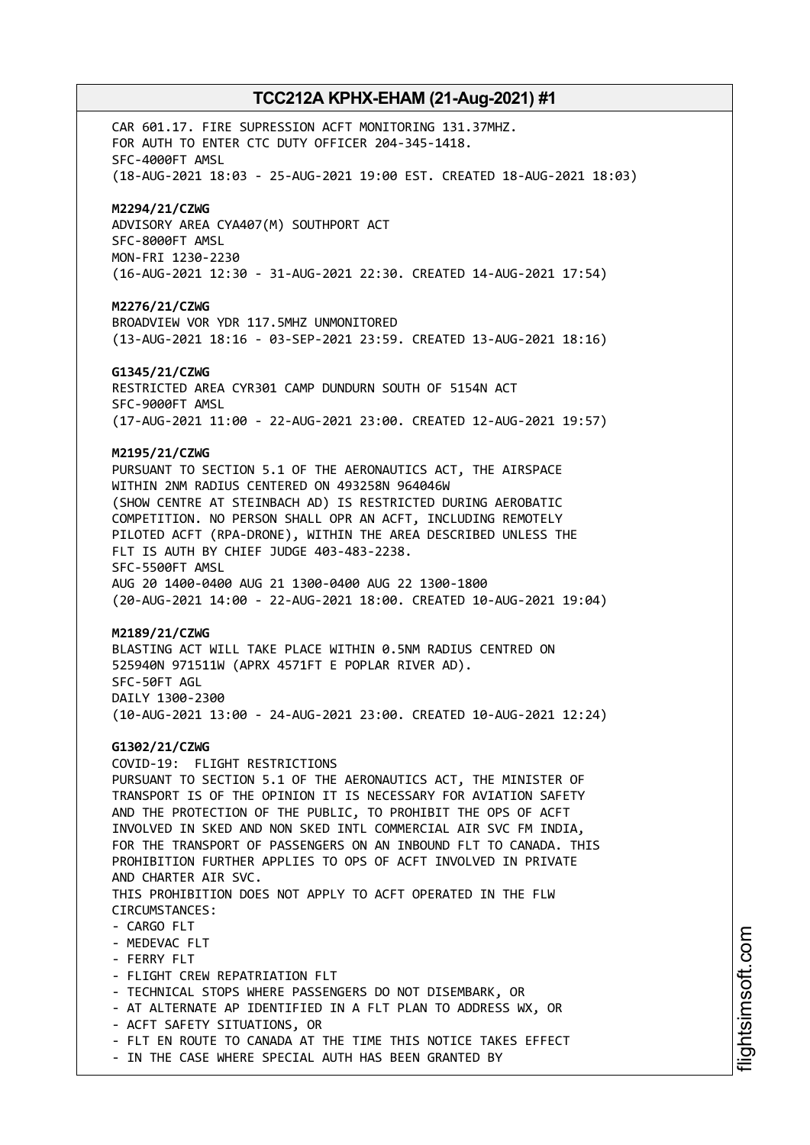CAR 601.17. FIRE SUPRESSION ACFT MONITORING 131.37MHZ. FOR AUTH TO ENTER CTC DUTY OFFICER 204-345-1418. SFC-4000FT AMSL (18-AUG-2021 18:03 - 25-AUG-2021 19:00 EST. CREATED 18-AUG-2021 18:03) **M2294/21/CZWG** ADVISORY AREA CYA407(M) SOUTHPORT ACT SFC-8000FT AMSL MON-FRI 1230-2230 (16-AUG-2021 12:30 - 31-AUG-2021 22:30. CREATED 14-AUG-2021 17:54) **M2276/21/CZWG** BROADVIEW VOR YDR 117.5MHZ UNMONITORED (13-AUG-2021 18:16 - 03-SEP-2021 23:59. CREATED 13-AUG-2021 18:16) **G1345/21/CZWG** RESTRICTED AREA CYR301 CAMP DUNDURN SOUTH OF 5154N ACT SFC-9000FT AMSL (17-AUG-2021 11:00 - 22-AUG-2021 23:00. CREATED 12-AUG-2021 19:57) **M2195/21/CZWG** PURSUANT TO SECTION 5.1 OF THE AERONAUTICS ACT, THE AIRSPACE WITHIN 2NM RADIUS CENTERED ON 493258N 964046W (SHOW CENTRE AT STEINBACH AD) IS RESTRICTED DURING AEROBATIC COMPETITION. NO PERSON SHALL OPR AN ACFT, INCLUDING REMOTELY PILOTED ACFT (RPA-DRONE), WITHIN THE AREA DESCRIBED UNLESS THE FLT IS AUTH BY CHIEF JUDGE 403-483-2238. SFC-5500FT AMSL AUG 20 1400-0400 AUG 21 1300-0400 AUG 22 1300-1800 (20-AUG-2021 14:00 - 22-AUG-2021 18:00. CREATED 10-AUG-2021 19:04) **M2189/21/CZWG** BLASTING ACT WILL TAKE PLACE WITHIN 0.5NM RADIUS CENTRED ON 525940N 971511W (APRX 4571FT E POPLAR RIVER AD). SFC-50FT AGL DAILY 1300-2300 (10-AUG-2021 13:00 - 24-AUG-2021 23:00. CREATED 10-AUG-2021 12:24) **G1302/21/CZWG** COVID-19: FLIGHT RESTRICTIONS PURSUANT TO SECTION 5.1 OF THE AERONAUTICS ACT, THE MINISTER OF TRANSPORT IS OF THE OPINION IT IS NECESSARY FOR AVIATION SAFETY AND THE PROTECTION OF THE PUBLIC, TO PROHIBIT THE OPS OF ACFT INVOLVED IN SKED AND NON SKED INTL COMMERCIAL AIR SVC FM INDIA, FOR THE TRANSPORT OF PASSENGERS ON AN INBOUND FLT TO CANADA. THIS PROHIBITION FURTHER APPLIES TO OPS OF ACFT INVOLVED IN PRIVATE AND CHARTER AIR SVC. THIS PROHIBITION DOES NOT APPLY TO ACFT OPERATED IN THE FLW CIRCUMSTANCES: - CARGO FLT - MEDEVAC FLT - FERRY FLT - FLIGHT CREW REPATRIATION FLT - TECHNICAL STOPS WHERE PASSENGERS DO NOT DISEMBARK, OR - AT ALTERNATE AP IDENTIFIED IN A FLT PLAN TO ADDRESS WX, OR - ACFT SAFETY SITUATIONS, OR - FLT EN ROUTE TO CANADA AT THE TIME THIS NOTICE TAKES EFFECT - IN THE CASE WHERE SPECIAL AUTH HAS BEEN GRANTED BY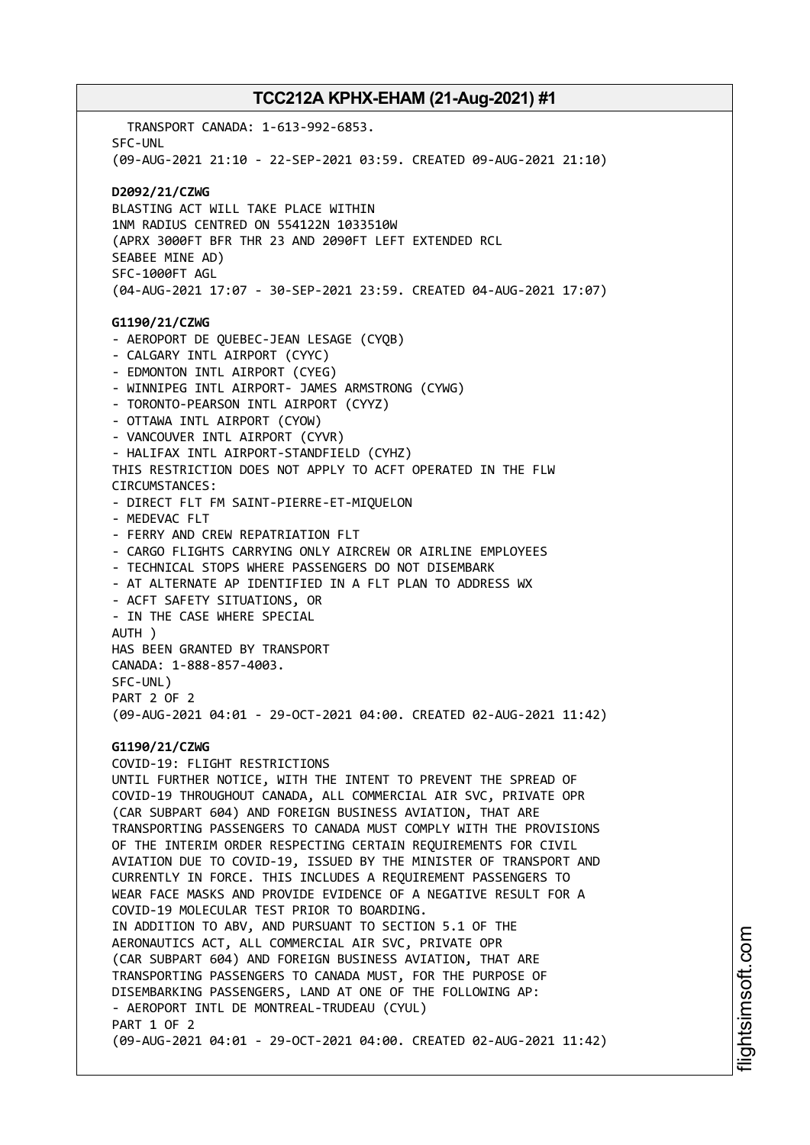TRANSPORT CANADA: 1-613-992-6853. SFC-UNL (09-AUG-2021 21:10 - 22-SEP-2021 03:59. CREATED 09-AUG-2021 21:10) **D2092/21/CZWG** BLASTING ACT WILL TAKE PLACE WITHIN 1NM RADIUS CENTRED ON 554122N 1033510W (APRX 3000FT BFR THR 23 AND 2090FT LEFT EXTENDED RCL SEABEE MINE AD) SFC-1000FT AGL (04-AUG-2021 17:07 - 30-SEP-2021 23:59. CREATED 04-AUG-2021 17:07) **G1190/21/CZWG** - AEROPORT DE QUEBEC-JEAN LESAGE (CYQB) - CALGARY INTL AIRPORT (CYYC) - EDMONTON INTL AIRPORT (CYEG) - WINNIPEG INTL AIRPORT- JAMES ARMSTRONG (CYWG) - TORONTO-PEARSON INTL AIRPORT (CYYZ) - OTTAWA INTL AIRPORT (CYOW) - VANCOUVER INTL AIRPORT (CYVR) - HALIFAX INTL AIRPORT-STANDFIELD (CYHZ) THIS RESTRICTION DOES NOT APPLY TO ACFT OPERATED IN THE FLW CIRCUMSTANCES: - DIRECT FLT FM SAINT-PIERRE-ET-MIQUELON - MEDEVAC FLT - FERRY AND CREW REPATRIATION FLT - CARGO FLIGHTS CARRYING ONLY AIRCREW OR AIRLINE EMPLOYEES - TECHNICAL STOPS WHERE PASSENGERS DO NOT DISEMBARK - AT ALTERNATE AP IDENTIFIED IN A FLT PLAN TO ADDRESS WX - ACFT SAFETY SITUATIONS, OR - IN THE CASE WHERE SPECIAL AUTH ) HAS BEEN GRANTED BY TRANSPORT CANADA: 1-888-857-4003. SFC-UNL) PART 2 OF 2 (09-AUG-2021 04:01 - 29-OCT-2021 04:00. CREATED 02-AUG-2021 11:42) **G1190/21/CZWG** COVID-19: FLIGHT RESTRICTIONS UNTIL FURTHER NOTICE, WITH THE INTENT TO PREVENT THE SPREAD OF COVID-19 THROUGHOUT CANADA, ALL COMMERCIAL AIR SVC, PRIVATE OPR (CAR SUBPART 604) AND FOREIGN BUSINESS AVIATION, THAT ARE TRANSPORTING PASSENGERS TO CANADA MUST COMPLY WITH THE PROVISIONS OF THE INTERIM ORDER RESPECTING CERTAIN REQUIREMENTS FOR CIVIL AVIATION DUE TO COVID-19, ISSUED BY THE MINISTER OF TRANSPORT AND CURRENTLY IN FORCE. THIS INCLUDES A REQUIREMENT PASSENGERS TO WEAR FACE MASKS AND PROVIDE EVIDENCE OF A NEGATIVE RESULT FOR A COVID-19 MOLECULAR TEST PRIOR TO BOARDING. IN ADDITION TO ABV, AND PURSUANT TO SECTION 5.1 OF THE AERONAUTICS ACT, ALL COMMERCIAL AIR SVC, PRIVATE OPR (CAR SUBPART 604) AND FOREIGN BUSINESS AVIATION, THAT ARE TRANSPORTING PASSENGERS TO CANADA MUST, FOR THE PURPOSE OF DISEMBARKING PASSENGERS, LAND AT ONE OF THE FOLLOWING AP: - AEROPORT INTL DE MONTREAL-TRUDEAU (CYUL) PART 1 OF 2 (09-AUG-2021 04:01 - 29-OCT-2021 04:00. CREATED 02-AUG-2021 11:42)

i⊒<br>⊫ htsim soft.c om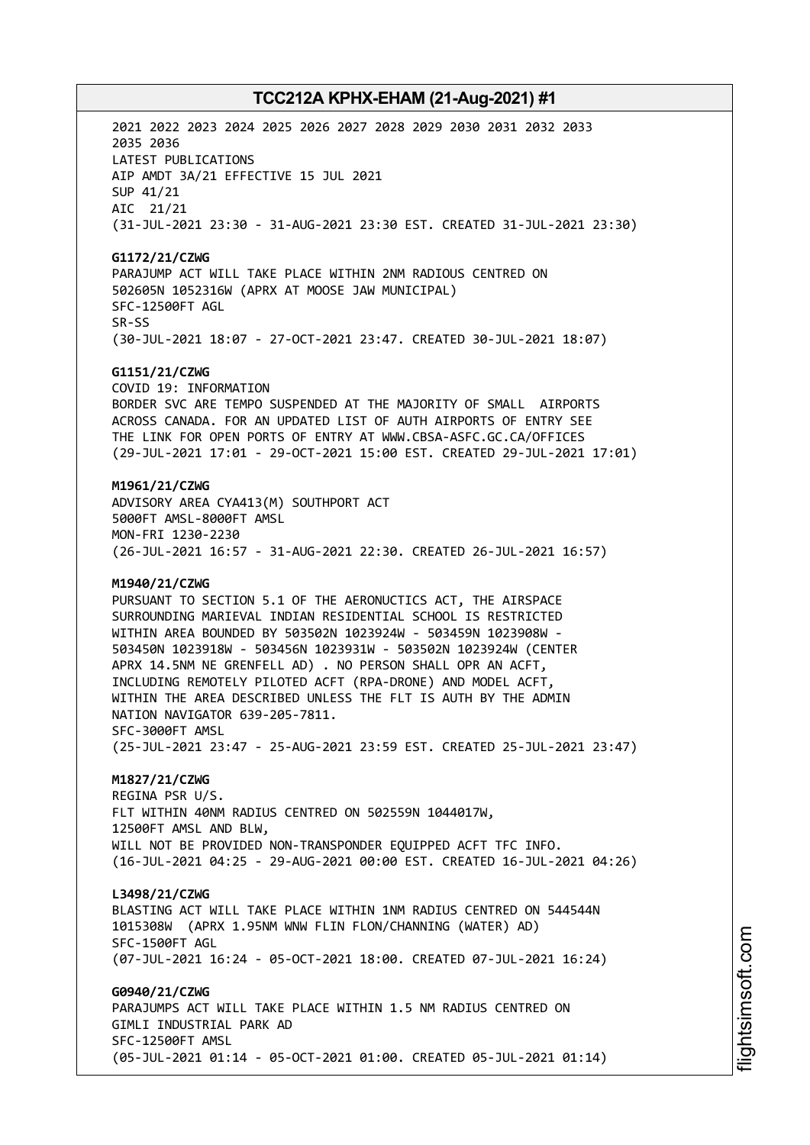2021 2022 2023 2024 2025 2026 2027 2028 2029 2030 2031 2032 2033 2035 2036 LATEST PUBLICATIONS AIP AMDT 3A/21 EFFECTIVE 15 JUL 2021 SUP 41/21 AIC 21/21 (31-JUL-2021 23:30 - 31-AUG-2021 23:30 EST. CREATED 31-JUL-2021 23:30) **G1172/21/CZWG** PARAJUMP ACT WILL TAKE PLACE WITHIN 2NM RADIOUS CENTRED ON 502605N 1052316W (APRX AT MOOSE JAW MUNICIPAL) SFC-12500FT AGL SR-SS (30-JUL-2021 18:07 - 27-OCT-2021 23:47. CREATED 30-JUL-2021 18:07) **G1151/21/CZWG** COVID 19: INFORMATION BORDER SVC ARE TEMPO SUSPENDED AT THE MAJORITY OF SMALL AIRPORTS ACROSS CANADA. FOR AN UPDATED LIST OF AUTH AIRPORTS OF ENTRY SEE THE LINK FOR OPEN PORTS OF ENTRY AT WWW.CBSA-ASFC.GC.CA/OFFICES (29-JUL-2021 17:01 - 29-OCT-2021 15:00 EST. CREATED 29-JUL-2021 17:01) **M1961/21/CZWG** ADVISORY AREA CYA413(M) SOUTHPORT ACT 5000FT AMSL-8000FT AMSL MON-FRI 1230-2230 (26-JUL-2021 16:57 - 31-AUG-2021 22:30. CREATED 26-JUL-2021 16:57) **M1940/21/CZWG** PURSUANT TO SECTION 5.1 OF THE AERONUCTICS ACT, THE AIRSPACE SURROUNDING MARIEVAL INDIAN RESIDENTIAL SCHOOL IS RESTRICTED WITHIN AREA BOUNDED BY 503502N 1023924W - 503459N 1023908W - 503450N 1023918W - 503456N 1023931W - 503502N 1023924W (CENTER APRX 14.5NM NE GRENFELL AD) . NO PERSON SHALL OPR AN ACFT, INCLUDING REMOTELY PILOTED ACFT (RPA-DRONE) AND MODEL ACFT, WITHIN THE AREA DESCRIBED UNLESS THE FLT IS AUTH BY THE ADMIN NATION NAVIGATOR 639-205-7811. SFC-3000FT AMSL (25-JUL-2021 23:47 - 25-AUG-2021 23:59 EST. CREATED 25-JUL-2021 23:47) **M1827/21/CZWG** REGINA PSR U/S. FLT WITHIN 40NM RADIUS CENTRED ON 502559N 1044017W, 12500FT AMSL AND BLW, WILL NOT BE PROVIDED NON-TRANSPONDER EQUIPPED ACFT TFC INFO. (16-JUL-2021 04:25 - 29-AUG-2021 00:00 EST. CREATED 16-JUL-2021 04:26) **L3498/21/CZWG** BLASTING ACT WILL TAKE PLACE WITHIN 1NM RADIUS CENTRED ON 544544N 1015308W (APRX 1.95NM WNW FLIN FLON/CHANNING (WATER) AD) SFC-1500FT AGL (07-JUL-2021 16:24 - 05-OCT-2021 18:00. CREATED 07-JUL-2021 16:24) **G0940/21/CZWG** PARAJUMPS ACT WILL TAKE PLACE WITHIN 1.5 NM RADIUS CENTRED ON GIMLI INDUSTRIAL PARK AD SFC-12500FT AMSL (05-JUL-2021 01:14 - 05-OCT-2021 01:00. CREATED 05-JUL-2021 01:14)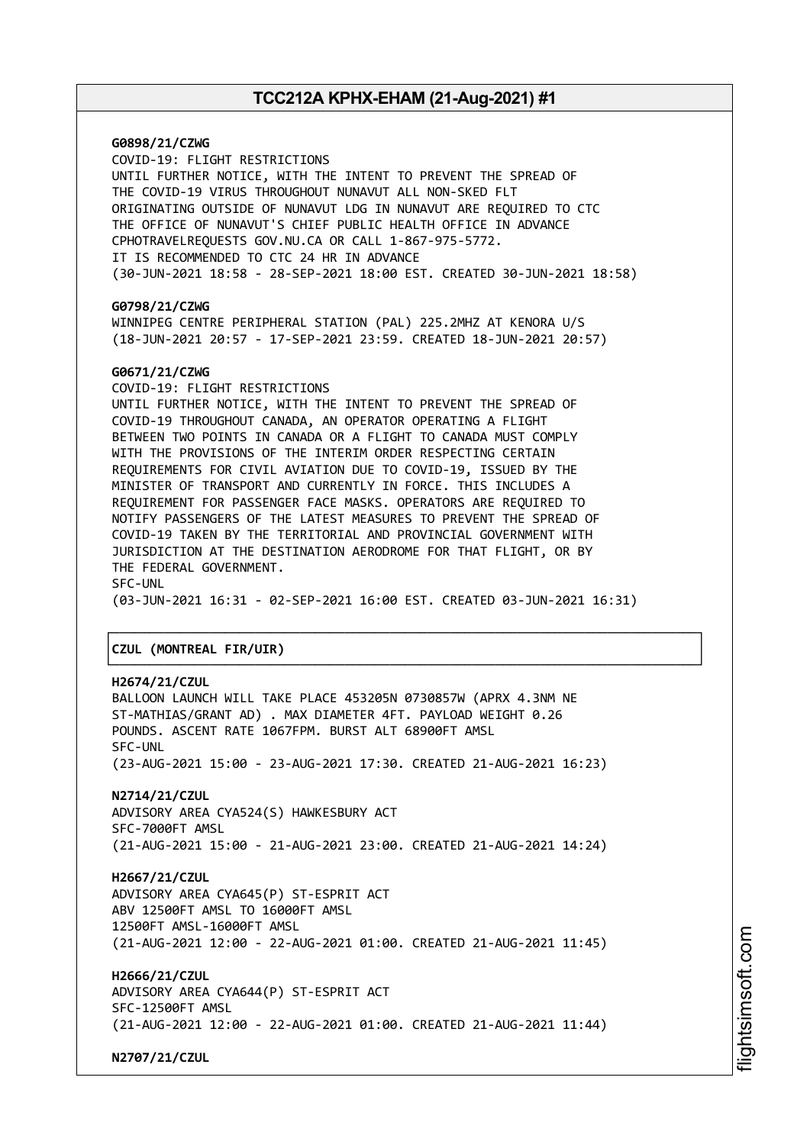**G0898/21/CZWG** COVID-19: FLIGHT RESTRICTIONS UNTIL FURTHER NOTICE, WITH THE INTENT TO PREVENT THE SPREAD OF THE COVID-19 VIRUS THROUGHOUT NUNAVUT ALL NON-SKED FLT ORIGINATING OUTSIDE OF NUNAVUT LDG IN NUNAVUT ARE REQUIRED TO CTC THE OFFICE OF NUNAVUT'S CHIEF PUBLIC HEALTH OFFICE IN ADVANCE CPHOTRAVELREQUESTS GOV.NU.CA OR CALL 1-867-975-5772. IT IS RECOMMENDED TO CTC 24 HR IN ADVANCE (30-JUN-2021 18:58 - 28-SEP-2021 18:00 EST. CREATED 30-JUN-2021 18:58) **G0798/21/CZWG** WINNIPEG CENTRE PERIPHERAL STATION (PAL) 225.2MHZ AT KENORA U/S (18-JUN-2021 20:57 - 17-SEP-2021 23:59. CREATED 18-JUN-2021 20:57) **G0671/21/CZWG** COVID-19: FLIGHT RESTRICTIONS UNTIL FURTHER NOTICE, WITH THE INTENT TO PREVENT THE SPREAD OF COVID-19 THROUGHOUT CANADA, AN OPERATOR OPERATING A FLIGHT BETWEEN TWO POINTS IN CANADA OR A FLIGHT TO CANADA MUST COMPLY WITH THE PROVISIONS OF THE INTERIM ORDER RESPECTING CERTAIN REQUIREMENTS FOR CIVIL AVIATION DUE TO COVID-19, ISSUED BY THE MINISTER OF TRANSPORT AND CURRENTLY IN FORCE. THIS INCLUDES A REQUIREMENT FOR PASSENGER FACE MASKS. OPERATORS ARE REQUIRED TO NOTIFY PASSENGERS OF THE LATEST MEASURES TO PREVENT THE SPREAD OF COVID-19 TAKEN BY THE TERRITORIAL AND PROVINCIAL GOVERNMENT WITH JURISDICTION AT THE DESTINATION AERODROME FOR THAT FLIGHT, OR BY THE FEDERAL GOVERNMENT. SFC-UNL (03-JUN-2021 16:31 - 02-SEP-2021 16:00 EST. CREATED 03-JUN-2021 16:31) ┌──────────────────────────────────────────────────────────────────────────────┐ │**CZUL (MONTREAL FIR/UIR)** │ └──────────────────────────────────────────────────────────────────────────────┘ **H2674/21/CZUL** BALLOON LAUNCH WILL TAKE PLACE 453205N 0730857W (APRX 4.3NM NE ST-MATHIAS/GRANT AD) . MAX DIAMETER 4FT. PAYLOAD WEIGHT 0.26 POUNDS. ASCENT RATE 1067FPM. BURST ALT 68900FT AMSL SFC-UNL (23-AUG-2021 15:00 - 23-AUG-2021 17:30. CREATED 21-AUG-2021 16:23)

**N2714/21/CZUL** ADVISORY AREA CYA524(S) HAWKESBURY ACT SFC-7000FT AMSL (21-AUG-2021 15:00 - 21-AUG-2021 23:00. CREATED 21-AUG-2021 14:24)

**H2667/21/CZUL** ADVISORY AREA CYA645(P) ST-ESPRIT ACT ABV 12500FT AMSL TO 16000FT AMSL 12500FT AMSL-16000FT AMSL (21-AUG-2021 12:00 - 22-AUG-2021 01:00. CREATED 21-AUG-2021 11:45)

**H2666/21/CZUL** ADVISORY AREA CYA644(P) ST-ESPRIT ACT SFC-12500FT AMSL (21-AUG-2021 12:00 - 22-AUG-2021 01:00. CREATED 21-AUG-2021 11:44)

**N2707/21/CZUL**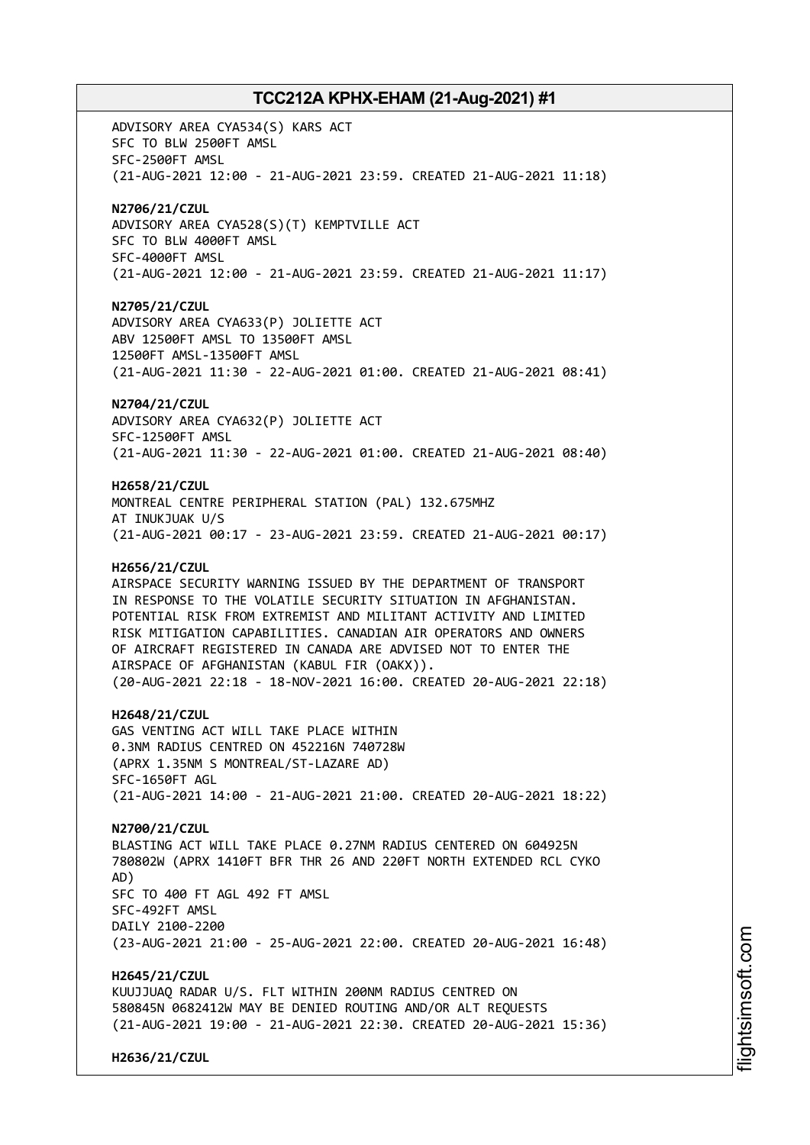ADVISORY AREA CYA534(S) KARS ACT SFC TO BLW 2500FT AMSL SFC-2500FT AMSL (21-AUG-2021 12:00 - 21-AUG-2021 23:59. CREATED 21-AUG-2021 11:18) **N2706/21/CZUL** ADVISORY AREA CYA528(S)(T) KEMPTVILLE ACT SFC TO BLW 4000FT AMSL SFC-4000FT AMSL (21-AUG-2021 12:00 - 21-AUG-2021 23:59. CREATED 21-AUG-2021 11:17) **N2705/21/CZUL** ADVISORY AREA CYA633(P) JOLIETTE ACT ABV 12500FT AMSL TO 13500FT AMSL 12500FT AMSL-13500FT AMSL (21-AUG-2021 11:30 - 22-AUG-2021 01:00. CREATED 21-AUG-2021 08:41) **N2704/21/CZUL** ADVISORY AREA CYA632(P) JOLIETTE ACT SFC-12500FT AMSL (21-AUG-2021 11:30 - 22-AUG-2021 01:00. CREATED 21-AUG-2021 08:40) **H2658/21/CZUL** MONTREAL CENTRE PERIPHERAL STATION (PAL) 132.675MHZ AT INUKJUAK U/S (21-AUG-2021 00:17 - 23-AUG-2021 23:59. CREATED 21-AUG-2021 00:17) **H2656/21/CZUL** AIRSPACE SECURITY WARNING ISSUED BY THE DEPARTMENT OF TRANSPORT IN RESPONSE TO THE VOLATILE SECURITY SITUATION IN AFGHANISTAN. POTENTIAL RISK FROM EXTREMIST AND MILITANT ACTIVITY AND LIMITED RISK MITIGATION CAPABILITIES. CANADIAN AIR OPERATORS AND OWNERS OF AIRCRAFT REGISTERED IN CANADA ARE ADVISED NOT TO ENTER THE AIRSPACE OF AFGHANISTAN (KABUL FIR (OAKX)). (20-AUG-2021 22:18 - 18-NOV-2021 16:00. CREATED 20-AUG-2021 22:18) **H2648/21/CZUL** GAS VENTING ACT WILL TAKE PLACE WITHIN 0.3NM RADIUS CENTRED ON 452216N 740728W (APRX 1.35NM S MONTREAL/ST-LAZARE AD) SFC-1650FT AGL (21-AUG-2021 14:00 - 21-AUG-2021 21:00. CREATED 20-AUG-2021 18:22) **N2700/21/CZUL** BLASTING ACT WILL TAKE PLACE 0.27NM RADIUS CENTERED ON 604925N 780802W (APRX 1410FT BFR THR 26 AND 220FT NORTH EXTENDED RCL CYKO AD) SFC TO 400 FT AGL 492 FT AMSL SFC-492FT AMSL DAILY 2100-2200 (23-AUG-2021 21:00 - 25-AUG-2021 22:00. CREATED 20-AUG-2021 16:48) **H2645/21/CZUL** KUUJJUAQ RADAR U/S. FLT WITHIN 200NM RADIUS CENTRED ON 580845N 0682412W MAY BE DENIED ROUTING AND/OR ALT REQUESTS (21-AUG-2021 19:00 - 21-AUG-2021 22:30. CREATED 20-AUG-2021 15:36)

**H2636/21/CZUL**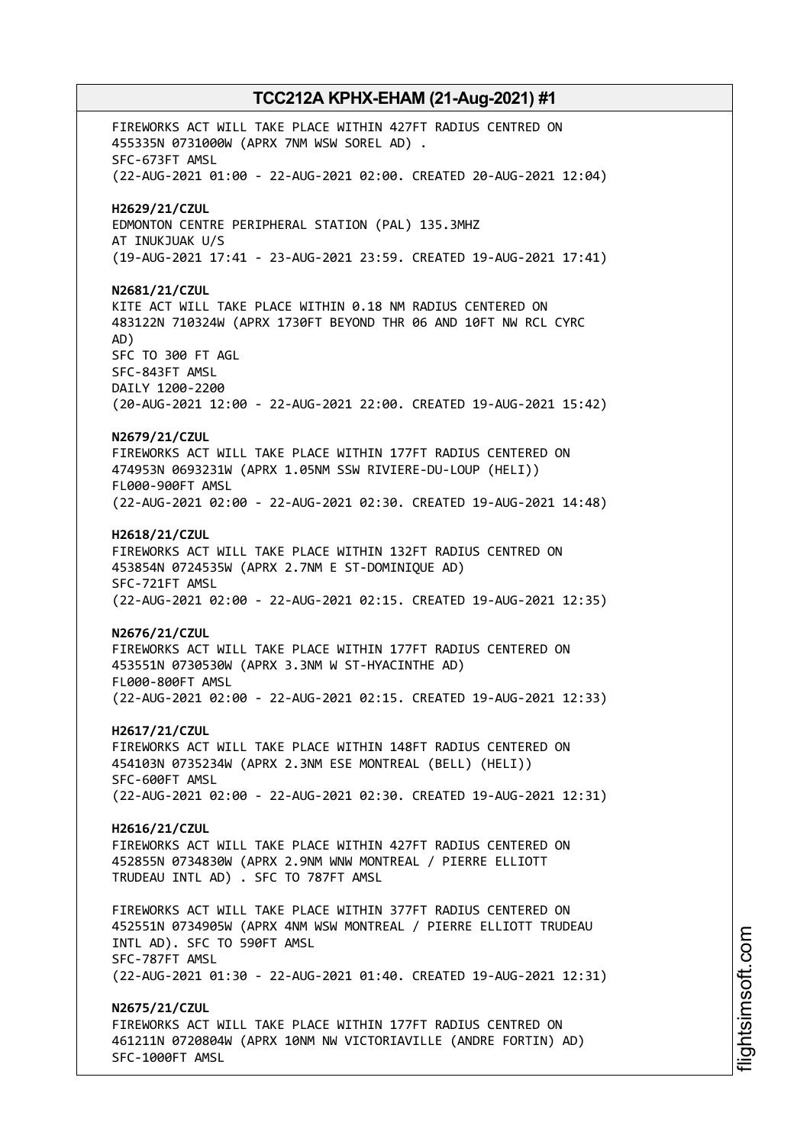FIREWORKS ACT WILL TAKE PLACE WITHIN 427FT RADIUS CENTRED ON 455335N 0731000W (APRX 7NM WSW SOREL AD) . SFC-673FT AMSL (22-AUG-2021 01:00 - 22-AUG-2021 02:00. CREATED 20-AUG-2021 12:04) **H2629/21/CZUL** EDMONTON CENTRE PERIPHERAL STATION (PAL) 135.3MHZ AT INUKJUAK U/S (19-AUG-2021 17:41 - 23-AUG-2021 23:59. CREATED 19-AUG-2021 17:41) **N2681/21/CZUL** KITE ACT WILL TAKE PLACE WITHIN 0.18 NM RADIUS CENTERED ON 483122N 710324W (APRX 1730FT BEYOND THR 06 AND 10FT NW RCL CYRC AD) SFC TO 300 FT AGL SFC-843FT AMSL DAILY 1200-2200 (20-AUG-2021 12:00 - 22-AUG-2021 22:00. CREATED 19-AUG-2021 15:42) **N2679/21/CZUL** FIREWORKS ACT WILL TAKE PLACE WITHIN 177FT RADIUS CENTERED ON 474953N 0693231W (APRX 1.05NM SSW RIVIERE-DU-LOUP (HELI)) FL000-900FT AMSL (22-AUG-2021 02:00 - 22-AUG-2021 02:30. CREATED 19-AUG-2021 14:48) **H2618/21/CZUL** FIREWORKS ACT WILL TAKE PLACE WITHIN 132FT RADIUS CENTRED ON 453854N 0724535W (APRX 2.7NM E ST-DOMINIQUE AD) SFC-721FT AMSL (22-AUG-2021 02:00 - 22-AUG-2021 02:15. CREATED 19-AUG-2021 12:35) **N2676/21/CZUL** FIREWORKS ACT WILL TAKE PLACE WITHIN 177FT RADIUS CENTERED ON 453551N 0730530W (APRX 3.3NM W ST-HYACINTHE AD) FL000-800FT AMSL (22-AUG-2021 02:00 - 22-AUG-2021 02:15. CREATED 19-AUG-2021 12:33) **H2617/21/CZUL** FIREWORKS ACT WILL TAKE PLACE WITHIN 148FT RADIUS CENTERED ON 454103N 0735234W (APRX 2.3NM ESE MONTREAL (BELL) (HELI)) SFC-600FT AMSL (22-AUG-2021 02:00 - 22-AUG-2021 02:30. CREATED 19-AUG-2021 12:31) **H2616/21/CZUL** FIREWORKS ACT WILL TAKE PLACE WITHIN 427FT RADIUS CENTERED ON 452855N 0734830W (APRX 2.9NM WNW MONTREAL / PIERRE ELLIOTT TRUDEAU INTL AD) . SFC TO 787FT AMSL FIREWORKS ACT WILL TAKE PLACE WITHIN 377FT RADIUS CENTERED ON 452551N 0734905W (APRX 4NM WSW MONTREAL / PIERRE ELLIOTT TRUDEAU INTL AD). SFC TO 590FT AMSL SFC-787FT AMSL (22-AUG-2021 01:30 - 22-AUG-2021 01:40. CREATED 19-AUG-2021 12:31) **N2675/21/CZUL** FIREWORKS ACT WILL TAKE PLACE WITHIN 177FT RADIUS CENTRED ON 461211N 0720804W (APRX 10NM NW VICTORIAVILLE (ANDRE FORTIN) AD) SFC-1000FT AMSL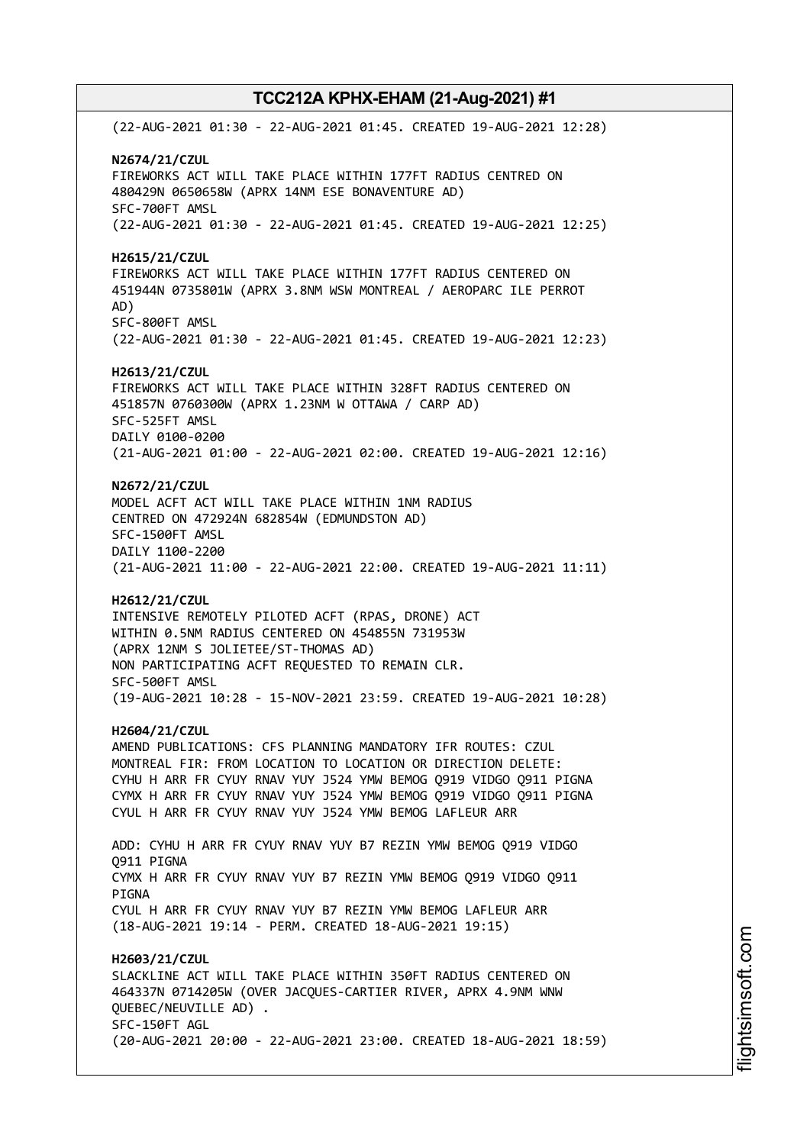(22-AUG-2021 01:30 - 22-AUG-2021 01:45. CREATED 19-AUG-2021 12:28) **N2674/21/CZUL** FIREWORKS ACT WILL TAKE PLACE WITHIN 177FT RADIUS CENTRED ON 480429N 0650658W (APRX 14NM ESE BONAVENTURE AD) SFC-700FT AMSL (22-AUG-2021 01:30 - 22-AUG-2021 01:45. CREATED 19-AUG-2021 12:25) **H2615/21/CZUL** FIREWORKS ACT WILL TAKE PLACE WITHIN 177FT RADIUS CENTERED ON 451944N 0735801W (APRX 3.8NM WSW MONTREAL / AEROPARC ILE PERROT AD) SFC-800FT AMSL (22-AUG-2021 01:30 - 22-AUG-2021 01:45. CREATED 19-AUG-2021 12:23) **H2613/21/CZUL** FIREWORKS ACT WILL TAKE PLACE WITHIN 328FT RADIUS CENTERED ON 451857N 0760300W (APRX 1.23NM W OTTAWA / CARP AD) SFC-525FT AMSL DAILY 0100-0200 (21-AUG-2021 01:00 - 22-AUG-2021 02:00. CREATED 19-AUG-2021 12:16) **N2672/21/CZUL** MODEL ACFT ACT WILL TAKE PLACE WITHIN 1NM RADIUS CENTRED ON 472924N 682854W (EDMUNDSTON AD) SFC-1500FT AMSL DAILY 1100-2200 (21-AUG-2021 11:00 - 22-AUG-2021 22:00. CREATED 19-AUG-2021 11:11) **H2612/21/CZUL** INTENSIVE REMOTELY PILOTED ACFT (RPAS, DRONE) ACT WITHIN 0.5NM RADIUS CENTERED ON 454855N 731953W (APRX 12NM S JOLIETEE/ST-THOMAS AD) NON PARTICIPATING ACFT REQUESTED TO REMAIN CLR. SFC-500FT AMSL (19-AUG-2021 10:28 - 15-NOV-2021 23:59. CREATED 19-AUG-2021 10:28) **H2604/21/CZUL** AMEND PUBLICATIONS: CFS PLANNING MANDATORY IFR ROUTES: CZUL MONTREAL FIR: FROM LOCATION TO LOCATION OR DIRECTION DELETE: CYHU H ARR FR CYUY RNAV YUY J524 YMW BEMOG Q919 VIDGO Q911 PIGNA CYMX H ARR FR CYUY RNAV YUY J524 YMW BEMOG Q919 VIDGO Q911 PIGNA CYUL H ARR FR CYUY RNAV YUY J524 YMW BEMOG LAFLEUR ARR ADD: CYHU H ARR FR CYUY RNAV YUY B7 REZIN YMW BEMOG Q919 VIDGO Q911 PIGNA CYMX H ARR FR CYUY RNAV YUY B7 REZIN YMW BEMOG Q919 VIDGO Q911 PIGNA CYUL H ARR FR CYUY RNAV YUY B7 REZIN YMW BEMOG LAFLEUR ARR (18-AUG-2021 19:14 - PERM. CREATED 18-AUG-2021 19:15) **H2603/21/CZUL** SLACKLINE ACT WILL TAKE PLACE WITHIN 350FT RADIUS CENTERED ON 464337N 0714205W (OVER JACQUES-CARTIER RIVER, APRX 4.9NM WNW QUEBEC/NEUVILLE AD) . SFC-150FT AGL (20-AUG-2021 20:00 - 22-AUG-2021 23:00. CREATED 18-AUG-2021 18:59)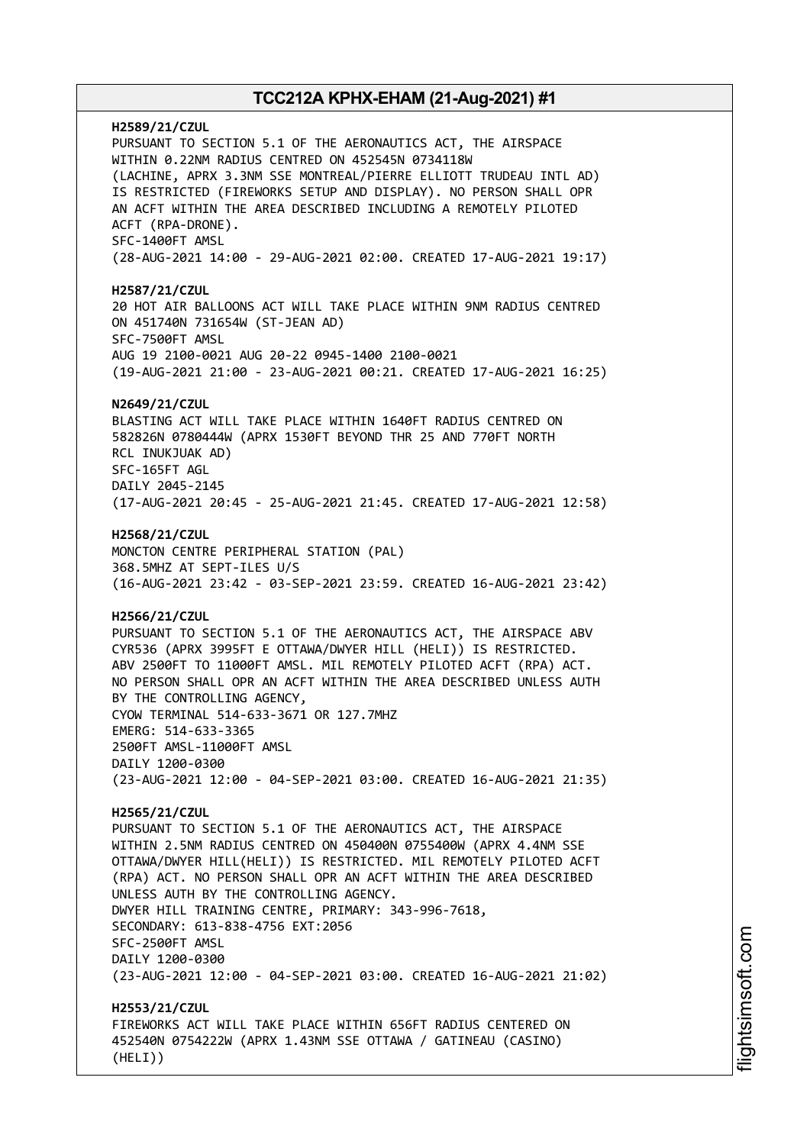**H2589/21/CZUL** PURSUANT TO SECTION 5.1 OF THE AERONAUTICS ACT, THE AIRSPACE WITHIN 0.22NM RADIUS CENTRED ON 452545N 0734118W (LACHINE, APRX 3.3NM SSE MONTREAL/PIERRE ELLIOTT TRUDEAU INTL AD) IS RESTRICTED (FIREWORKS SETUP AND DISPLAY). NO PERSON SHALL OPR AN ACFT WITHIN THE AREA DESCRIBED INCLUDING A REMOTELY PILOTED ACFT (RPA-DRONE). SFC-1400FT AMSL (28-AUG-2021 14:00 - 29-AUG-2021 02:00. CREATED 17-AUG-2021 19:17) **H2587/21/CZUL** 20 HOT AIR BALLOONS ACT WILL TAKE PLACE WITHIN 9NM RADIUS CENTRED ON 451740N 731654W (ST-JEAN AD) SFC-7500FT AMSL AUG 19 2100-0021 AUG 20-22 0945-1400 2100-0021 (19-AUG-2021 21:00 - 23-AUG-2021 00:21. CREATED 17-AUG-2021 16:25) **N2649/21/CZUL** BLASTING ACT WILL TAKE PLACE WITHIN 1640FT RADIUS CENTRED ON 582826N 0780444W (APRX 1530FT BEYOND THR 25 AND 770FT NORTH RCL INUKJUAK AD) SFC-165FT AGL DAILY 2045-2145 (17-AUG-2021 20:45 - 25-AUG-2021 21:45. CREATED 17-AUG-2021 12:58) **H2568/21/CZUL** MONCTON CENTRE PERIPHERAL STATION (PAL) 368.5MHZ AT SEPT-ILES U/S (16-AUG-2021 23:42 - 03-SEP-2021 23:59. CREATED 16-AUG-2021 23:42) **H2566/21/CZUL** PURSUANT TO SECTION 5.1 OF THE AERONAUTICS ACT, THE AIRSPACE ABV CYR536 (APRX 3995FT E OTTAWA/DWYER HILL (HELI)) IS RESTRICTED. ABV 2500FT TO 11000FT AMSL. MIL REMOTELY PILOTED ACFT (RPA) ACT. NO PERSON SHALL OPR AN ACFT WITHIN THE AREA DESCRIBED UNLESS AUTH BY THE CONTROLLING AGENCY, CYOW TERMINAL 514-633-3671 OR 127.7MHZ EMERG: 514-633-3365 2500FT AMSL-11000FT AMSL DAILY 1200-0300 (23-AUG-2021 12:00 - 04-SEP-2021 03:00. CREATED 16-AUG-2021 21:35) **H2565/21/CZUL** PURSUANT TO SECTION 5.1 OF THE AERONAUTICS ACT, THE AIRSPACE WITHIN 2.5NM RADIUS CENTRED ON 450400N 0755400W (APRX 4.4NM SSE OTTAWA/DWYER HILL(HELI)) IS RESTRICTED. MIL REMOTELY PILOTED ACFT (RPA) ACT. NO PERSON SHALL OPR AN ACFT WITHIN THE AREA DESCRIBED UNLESS AUTH BY THE CONTROLLING AGENCY. DWYER HILL TRAINING CENTRE, PRIMARY: 343-996-7618, SECONDARY: 613-838-4756 EXT:2056 SFC-2500FT AMSL DAILY 1200-0300 (23-AUG-2021 12:00 - 04-SEP-2021 03:00. CREATED 16-AUG-2021 21:02) **H2553/21/CZUL** FIREWORKS ACT WILL TAKE PLACE WITHIN 656FT RADIUS CENTERED ON 452540N 0754222W (APRX 1.43NM SSE OTTAWA / GATINEAU (CASINO) (HELI))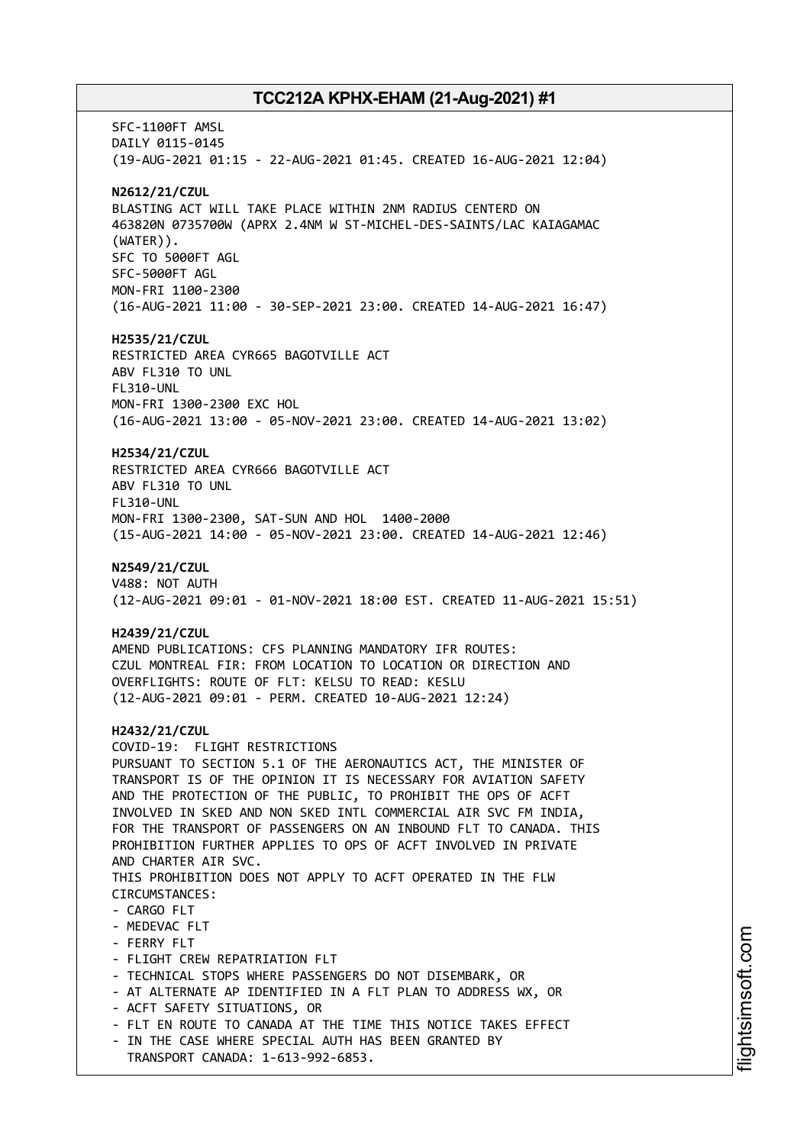SFC-1100FT AMSL DAILY 0115-0145 (19-AUG-2021 01:15 - 22-AUG-2021 01:45. CREATED 16-AUG-2021 12:04) **N2612/21/CZUL** BLASTING ACT WILL TAKE PLACE WITHIN 2NM RADIUS CENTERD ON 463820N 0735700W (APRX 2.4NM W ST-MICHEL-DES-SAINTS/LAC KAIAGAMAC (WATER)). SFC TO 5000FT AGL SFC-5000FT AGL MON-FRI 1100-2300 (16-AUG-2021 11:00 - 30-SEP-2021 23:00. CREATED 14-AUG-2021 16:47) **H2535/21/CZUL** RESTRICTED AREA CYR665 BAGOTVILLE ACT ABV FL310 TO UNL FL310-UNL MON-FRI 1300-2300 EXC HOL (16-AUG-2021 13:00 - 05-NOV-2021 23:00. CREATED 14-AUG-2021 13:02) **H2534/21/CZUL** RESTRICTED AREA CYR666 BAGOTVILLE ACT ABV FL310 TO UNL FL310-UNL MON-FRI 1300-2300, SAT-SUN AND HOL 1400-2000 (15-AUG-2021 14:00 - 05-NOV-2021 23:00. CREATED 14-AUG-2021 12:46) **N2549/21/CZUL** V488: NOT AUTH (12-AUG-2021 09:01 - 01-NOV-2021 18:00 EST. CREATED 11-AUG-2021 15:51) **H2439/21/CZUL** AMEND PUBLICATIONS: CFS PLANNING MANDATORY IFR ROUTES: CZUL MONTREAL FIR: FROM LOCATION TO LOCATION OR DIRECTION AND OVERFLIGHTS: ROUTE OF FLT: KELSU TO READ: KESLU (12-AUG-2021 09:01 - PERM. CREATED 10-AUG-2021 12:24) **H2432/21/CZUL** COVID-19: FLIGHT RESTRICTIONS PURSUANT TO SECTION 5.1 OF THE AERONAUTICS ACT, THE MINISTER OF TRANSPORT IS OF THE OPINION IT IS NECESSARY FOR AVIATION SAFETY AND THE PROTECTION OF THE PUBLIC, TO PROHIBIT THE OPS OF ACFT INVOLVED IN SKED AND NON SKED INTL COMMERCIAL AIR SVC FM INDIA, FOR THE TRANSPORT OF PASSENGERS ON AN INBOUND FLT TO CANADA. THIS PROHIBITION FURTHER APPLIES TO OPS OF ACFT INVOLVED IN PRIVATE AND CHARTER AIR SVC. THIS PROHIBITION DOES NOT APPLY TO ACFT OPERATED IN THE FLW CIRCUMSTANCES: - CARGO FLT - MEDEVAC FLT - FERRY FLT - FLIGHT CREW REPATRIATION FLT - TECHNICAL STOPS WHERE PASSENGERS DO NOT DISEMBARK, OR - AT ALTERNATE AP IDENTIFIED IN A FLT PLAN TO ADDRESS WX, OR - ACFT SAFETY SITUATIONS, OR - FLT EN ROUTE TO CANADA AT THE TIME THIS NOTICE TAKES EFFECT - IN THE CASE WHERE SPECIAL AUTH HAS BEEN GRANTED BY TRANSPORT CANADA: 1-613-992-6853.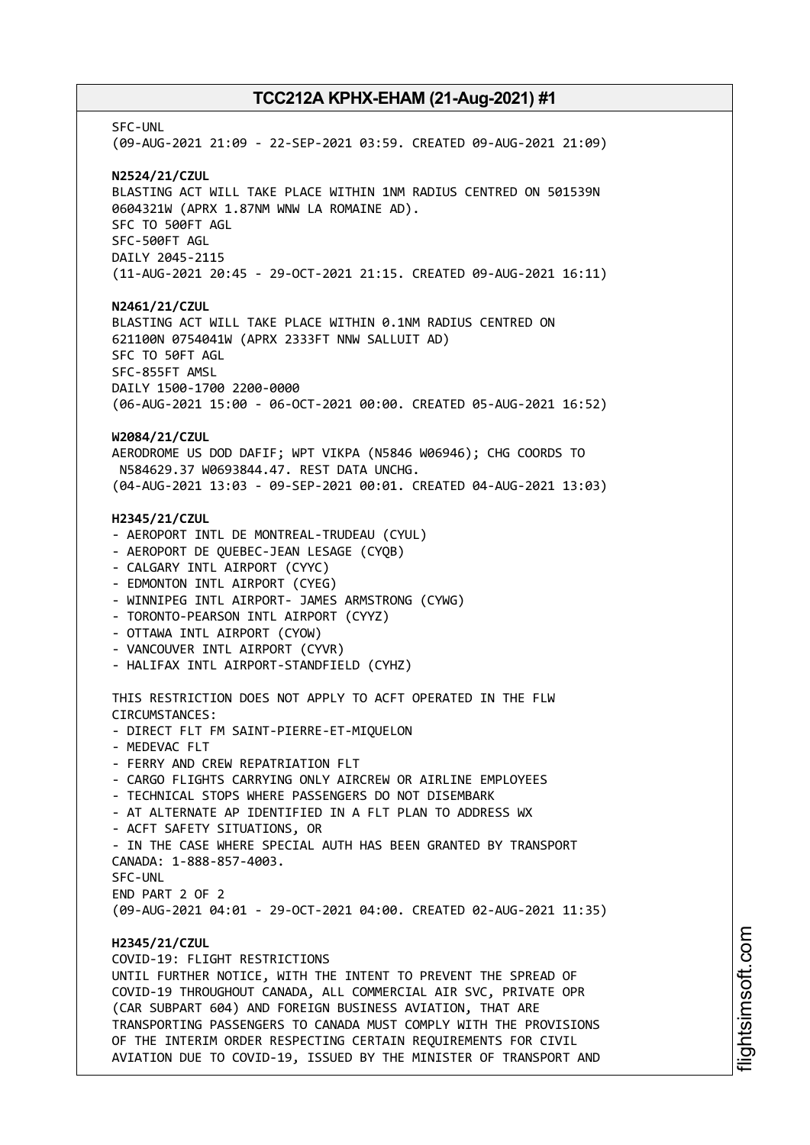SFC-UNL (09-AUG-2021 21:09 - 22-SEP-2021 03:59. CREATED 09-AUG-2021 21:09) **N2524/21/CZUL** BLASTING ACT WILL TAKE PLACE WITHIN 1NM RADIUS CENTRED ON 501539N 0604321W (APRX 1.87NM WNW LA ROMAINE AD). SFC TO 500FT AGL SFC-500FT AGL DAILY 2045-2115 (11-AUG-2021 20:45 - 29-OCT-2021 21:15. CREATED 09-AUG-2021 16:11) **N2461/21/CZUL** BLASTING ACT WILL TAKE PLACE WITHIN 0.1NM RADIUS CENTRED ON 621100N 0754041W (APRX 2333FT NNW SALLUIT AD) SFC TO 50FT AGL SFC-855FT AMSL DAILY 1500-1700 2200-0000 (06-AUG-2021 15:00 - 06-OCT-2021 00:00. CREATED 05-AUG-2021 16:52) **W2084/21/CZUL** AERODROME US DOD DAFIF; WPT VIKPA (N5846 W06946); CHG COORDS TO N584629.37 W0693844.47. REST DATA UNCHG. (04-AUG-2021 13:03 - 09-SEP-2021 00:01. CREATED 04-AUG-2021 13:03) **H2345/21/CZUL** - AEROPORT INTL DE MONTREAL-TRUDEAU (CYUL) - AEROPORT DE QUEBEC-JEAN LESAGE (CYQB) - CALGARY INTL AIRPORT (CYYC) - EDMONTON INTL AIRPORT (CYEG) - WINNIPEG INTL AIRPORT- JAMES ARMSTRONG (CYWG) - TORONTO-PEARSON INTL AIRPORT (CYYZ) - OTTAWA INTL AIRPORT (CYOW) - VANCOUVER INTL AIRPORT (CYVR) - HALIFAX INTL AIRPORT-STANDFIELD (CYHZ) THIS RESTRICTION DOES NOT APPLY TO ACFT OPERATED IN THE FLW CIRCUMSTANCES: - DIRECT FLT FM SAINT-PIERRE-ET-MIQUELON - MEDEVAC FLT - FERRY AND CREW REPATRIATION FLT - CARGO FLIGHTS CARRYING ONLY AIRCREW OR AIRLINE EMPLOYEES - TECHNICAL STOPS WHERE PASSENGERS DO NOT DISEMBARK - AT ALTERNATE AP IDENTIFIED IN A FLT PLAN TO ADDRESS WX - ACFT SAFETY SITUATIONS, OR - IN THE CASE WHERE SPECIAL AUTH HAS BEEN GRANTED BY TRANSPORT CANADA: 1-888-857-4003. SFC-UNL END PART 2 OF 2 (09-AUG-2021 04:01 - 29-OCT-2021 04:00. CREATED 02-AUG-2021 11:35) **H2345/21/CZUL** COVID-19: FLIGHT RESTRICTIONS UNTIL FURTHER NOTICE, WITH THE INTENT TO PREVENT THE SPREAD OF COVID-19 THROUGHOUT CANADA, ALL COMMERCIAL AIR SVC, PRIVATE OPR (CAR SUBPART 604) AND FOREIGN BUSINESS AVIATION, THAT ARE TRANSPORTING PASSENGERS TO CANADA MUST COMPLY WITH THE PROVISIONS OF THE INTERIM ORDER RESPECTING CERTAIN REQUIREMENTS FOR CIVIL AVIATION DUE TO COVID-19, ISSUED BY THE MINISTER OF TRANSPORT AND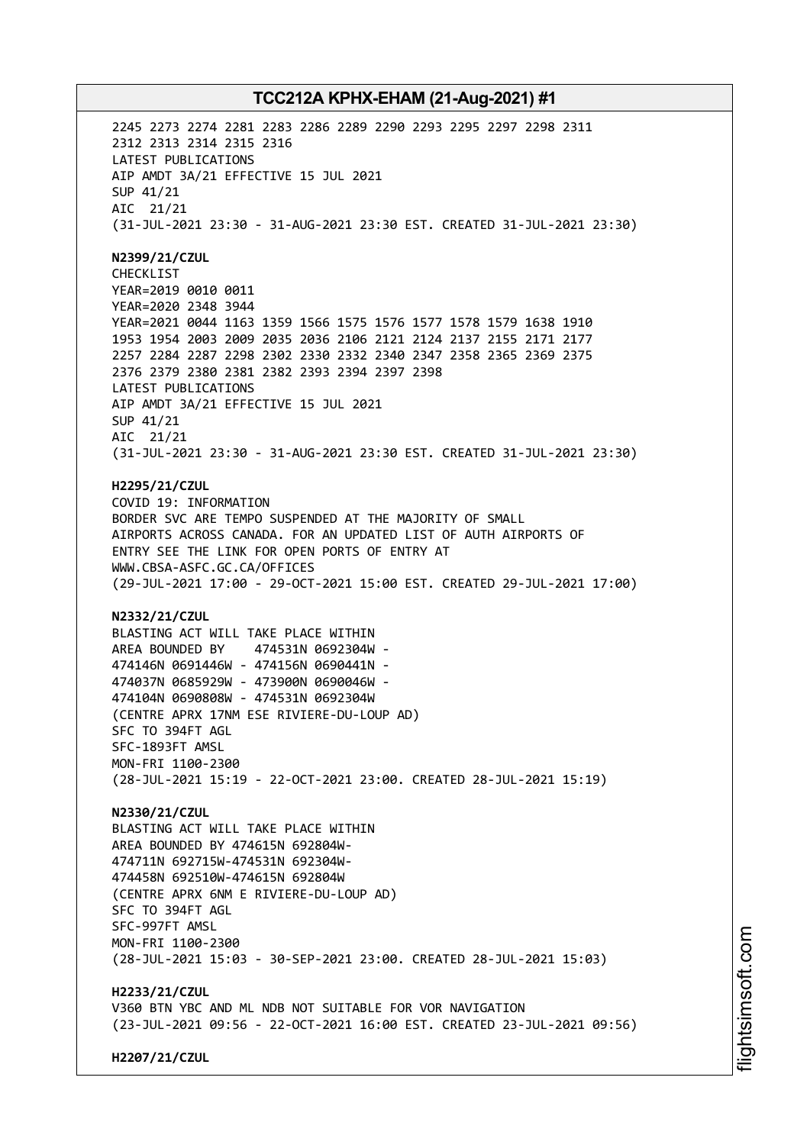2245 2273 2274 2281 2283 2286 2289 2290 2293 2295 2297 2298 2311 2312 2313 2314 2315 2316 LATEST PUBLICATIONS AIP AMDT 3A/21 EFFECTIVE 15 JUL 2021 SUP 41/21 AIC 21/21 (31-JUL-2021 23:30 - 31-AUG-2021 23:30 EST. CREATED 31-JUL-2021 23:30) **N2399/21/CZUL** CHECKLIST YEAR=2019 0010 0011 YEAR=2020 2348 3944 YEAR=2021 0044 1163 1359 1566 1575 1576 1577 1578 1579 1638 1910 1953 1954 2003 2009 2035 2036 2106 2121 2124 2137 2155 2171 2177 2257 2284 2287 2298 2302 2330 2332 2340 2347 2358 2365 2369 2375 2376 2379 2380 2381 2382 2393 2394 2397 2398 LATEST PUBLICATIONS AIP AMDT 3A/21 EFFECTIVE 15 JUL 2021 SUP 41/21 AIC 21/21 (31-JUL-2021 23:30 - 31-AUG-2021 23:30 EST. CREATED 31-JUL-2021 23:30) **H2295/21/CZUL** COVID 19: INFORMATION BORDER SVC ARE TEMPO SUSPENDED AT THE MAJORITY OF SMALL AIRPORTS ACROSS CANADA. FOR AN UPDATED LIST OF AUTH AIRPORTS OF ENTRY SEE THE LINK FOR OPEN PORTS OF ENTRY AT WWW.CBSA-ASFC.GC.CA/OFFICES (29-JUL-2021 17:00 - 29-OCT-2021 15:00 EST. CREATED 29-JUL-2021 17:00) **N2332/21/CZUL** BLASTING ACT WILL TAKE PLACE WITHIN AREA BOUNDED BY 474531N 0692304W - 474146N 0691446W - 474156N 0690441N - 474037N 0685929W - 473900N 0690046W - 474104N 0690808W - 474531N 0692304W (CENTRE APRX 17NM ESE RIVIERE-DU-LOUP AD) SFC TO 394FT AGL SFC-1893FT AMSL MON-FRI 1100-2300 (28-JUL-2021 15:19 - 22-OCT-2021 23:00. CREATED 28-JUL-2021 15:19) **N2330/21/CZUL** BLASTING ACT WILL TAKE PLACE WITHIN AREA BOUNDED BY 474615N 692804W-474711N 692715W-474531N 692304W-474458N 692510W-474615N 692804W (CENTRE APRX 6NM E RIVIERE-DU-LOUP AD) SFC TO 394FT AGL SFC-997FT AMSL MON-FRI 1100-2300 (28-JUL-2021 15:03 - 30-SEP-2021 23:00. CREATED 28-JUL-2021 15:03) **H2233/21/CZUL** V360 BTN YBC AND ML NDB NOT SUITABLE FOR VOR NAVIGATION (23-JUL-2021 09:56 - 22-OCT-2021 16:00 EST. CREATED 23-JUL-2021 09:56)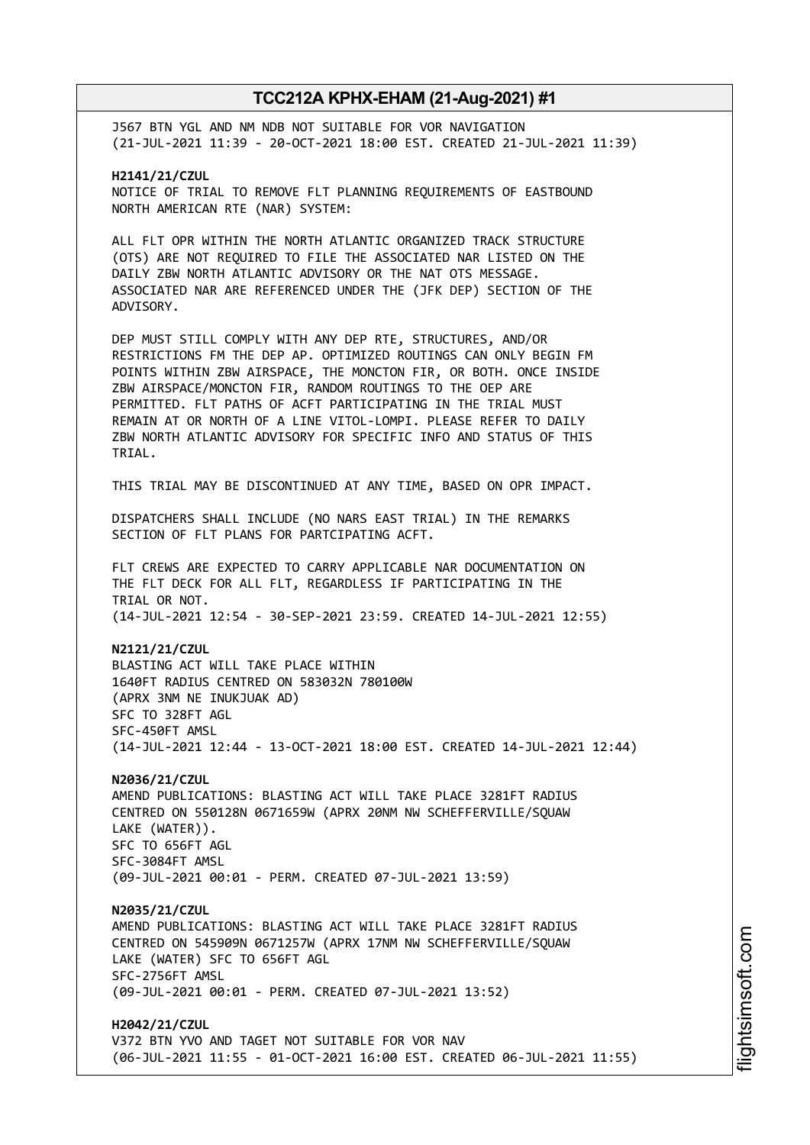J567 BTN YGL AND NM NDB NOT SUITABLE FOR VOR NAVIGATION (21-JUL-2021 11:39 - 20-OCT-2021 18:00 EST. CREATED 21-JUL-2021 11:39)

**H2141/21/CZUL** NOTICE OF TRIAL TO REMOVE FLT PLANNING REQUIREMENTS OF EASTBOUND NORTH AMERICAN RTE (NAR) SYSTEM:

ALL FLT OPR WITHIN THE NORTH ATLANTIC ORGANIZED TRACK STRUCTURE (OTS) ARE NOT REQUIRED TO FILE THE ASSOCIATED NAR LISTED ON THE DAILY ZBW NORTH ATLANTIC ADVISORY OR THE NAT OTS MESSAGE. ASSOCIATED NAR ARE REFERENCED UNDER THE (JFK DEP) SECTION OF THE ADVISORY.

DEP MUST STILL COMPLY WITH ANY DEP RTE, STRUCTURES, AND/OR RESTRICTIONS FM THE DEP AP. OPTIMIZED ROUTINGS CAN ONLY BEGIN FM POINTS WITHIN ZBW AIRSPACE, THE MONCTON FIR, OR BOTH. ONCE INSIDE ZBW AIRSPACE/MONCTON FIR, RANDOM ROUTINGS TO THE OEP ARE PERMITTED. FLT PATHS OF ACFT PARTICIPATING IN THE TRIAL MUST REMAIN AT OR NORTH OF A LINE VITOL-LOMPI. PLEASE REFER TO DAILY ZBW NORTH ATLANTIC ADVISORY FOR SPECIFIC INFO AND STATUS OF THIS TRIAL.

THIS TRIAL MAY BE DISCONTINUED AT ANY TIME, BASED ON OPR IMPACT.

DISPATCHERS SHALL INCLUDE (NO NARS EAST TRIAL) IN THE REMARKS SECTION OF FLT PLANS FOR PARTCIPATING ACFT.

FLT CREWS ARE EXPECTED TO CARRY APPLICABLE NAR DOCUMENTATION ON THE FLT DECK FOR ALL FLT, REGARDLESS IF PARTICIPATING IN THE TRIAL OR NOT. (14-JUL-2021 12:54 - 30-SEP-2021 23:59. CREATED 14-JUL-2021 12:55)

**N2121/21/CZUL** BLASTING ACT WILL TAKE PLACE WITHIN 1640FT RADIUS CENTRED ON 583032N 780100W (APRX 3NM NE INUKJUAK AD) SFC TO 328FT AGL SFC-450FT AMSL (14-JUL-2021 12:44 - 13-OCT-2021 18:00 EST. CREATED 14-JUL-2021 12:44)

**N2036/21/CZUL** AMEND PUBLICATIONS: BLASTING ACT WILL TAKE PLACE 3281FT RADIUS CENTRED ON 550128N 0671659W (APRX 20NM NW SCHEFFERVILLE/SQUAW LAKE (WATER)). SFC TO 656FT AGL SFC-3084FT AMSL (09-JUL-2021 00:01 - PERM. CREATED 07-JUL-2021 13:59)

**N2035/21/CZUL** AMEND PUBLICATIONS: BLASTING ACT WILL TAKE PLACE 3281FT RADIUS CENTRED ON 545909N 0671257W (APRX 17NM NW SCHEFFERVILLE/SQUAW LAKE (WATER) SFC TO 656FT AGL SFC-2756FT AMSL (09-JUL-2021 00:01 - PERM. CREATED 07-JUL-2021 13:52)

**H2042/21/CZUL** V372 BTN YVO AND TAGET NOT SUITABLE FOR VOR NAV (06-JUL-2021 11:55 - 01-OCT-2021 16:00 EST. CREATED 06-JUL-2021 11:55)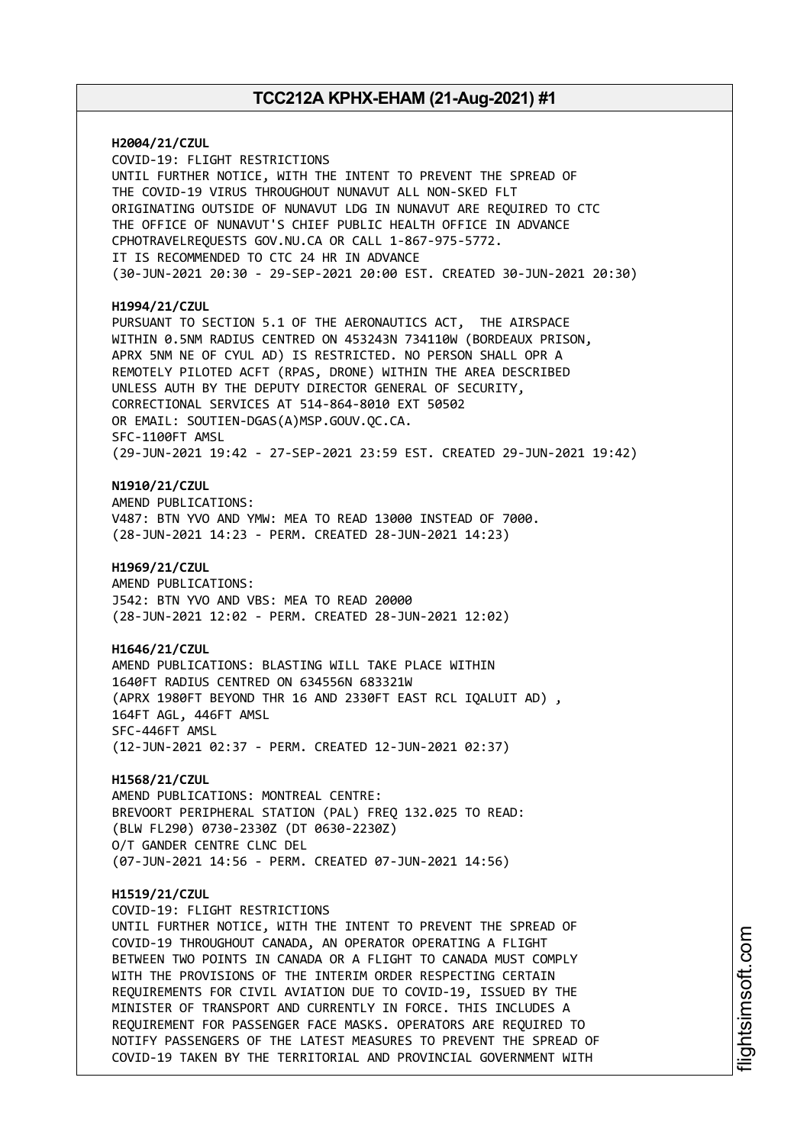**H2004/21/CZUL** COVID-19: FLIGHT RESTRICTIONS UNTIL FURTHER NOTICE, WITH THE INTENT TO PREVENT THE SPREAD OF THE COVID-19 VIRUS THROUGHOUT NUNAVUT ALL NON-SKED FLT ORIGINATING OUTSIDE OF NUNAVUT LDG IN NUNAVUT ARE REQUIRED TO CTC THE OFFICE OF NUNAVUT'S CHIEF PUBLIC HEALTH OFFICE IN ADVANCE CPHOTRAVELREQUESTS GOV.NU.CA OR CALL 1-867-975-5772. IT IS RECOMMENDED TO CTC 24 HR IN ADVANCE (30-JUN-2021 20:30 - 29-SEP-2021 20:00 EST. CREATED 30-JUN-2021 20:30) **H1994/21/CZUL** PURSUANT TO SECTION 5.1 OF THE AERONAUTICS ACT, THE AIRSPACE WITHIN 0.5NM RADIUS CENTRED ON 453243N 734110W (BORDEAUX PRISON, APRX 5NM NE OF CYUL AD) IS RESTRICTED. NO PERSON SHALL OPR A REMOTELY PILOTED ACFT (RPAS, DRONE) WITHIN THE AREA DESCRIBED UNLESS AUTH BY THE DEPUTY DIRECTOR GENERAL OF SECURITY, CORRECTIONAL SERVICES AT 514-864-8010 EXT 50502 OR EMAIL: SOUTIEN-DGAS(A)MSP.GOUV.QC.CA. SFC-1100FT AMSL (29-JUN-2021 19:42 - 27-SEP-2021 23:59 EST. CREATED 29-JUN-2021 19:42) **N1910/21/CZUL** AMEND PUBLICATIONS: V487: BTN YVO AND YMW: MEA TO READ 13000 INSTEAD OF 7000. (28-JUN-2021 14:23 - PERM. CREATED 28-JUN-2021 14:23) **H1969/21/CZUL** AMEND PUBLICATIONS: J542: BTN YVO AND VBS: MEA TO READ 20000 (28-JUN-2021 12:02 - PERM. CREATED 28-JUN-2021 12:02) **H1646/21/CZUL** AMEND PUBLICATIONS: BLASTING WILL TAKE PLACE WITHIN 1640FT RADIUS CENTRED ON 634556N 683321W (APRX 1980FT BEYOND THR 16 AND 2330FT EAST RCL IQALUIT AD) , 164FT AGL, 446FT AMSL SFC-446FT AMSL (12-JUN-2021 02:37 - PERM. CREATED 12-JUN-2021 02:37) **H1568/21/CZUL** AMEND PUBLICATIONS: MONTREAL CENTRE: BREVOORT PERIPHERAL STATION (PAL) FREQ 132.025 TO READ: (BLW FL290) 0730-2330Z (DT 0630-2230Z) O/T GANDER CENTRE CLNC DEL (07-JUN-2021 14:56 - PERM. CREATED 07-JUN-2021 14:56) **H1519/21/CZUL** COVID-19: FLIGHT RESTRICTIONS UNTIL FURTHER NOTICE, WITH THE INTENT TO PREVENT THE SPREAD OF COVID-19 THROUGHOUT CANADA, AN OPERATOR OPERATING A FLIGHT BETWEEN TWO POINTS IN CANADA OR A FLIGHT TO CANADA MUST COMPLY WITH THE PROVISIONS OF THE INTERIM ORDER RESPECTING CERTAIN REQUIREMENTS FOR CIVIL AVIATION DUE TO COVID-19, ISSUED BY THE MINISTER OF TRANSPORT AND CURRENTLY IN FORCE. THIS INCLUDES A REQUIREMENT FOR PASSENGER FACE MASKS. OPERATORS ARE REQUIRED TO NOTIFY PASSENGERS OF THE LATEST MEASURES TO PREVENT THE SPREAD OF COVID-19 TAKEN BY THE TERRITORIAL AND PROVINCIAL GOVERNMENT WITH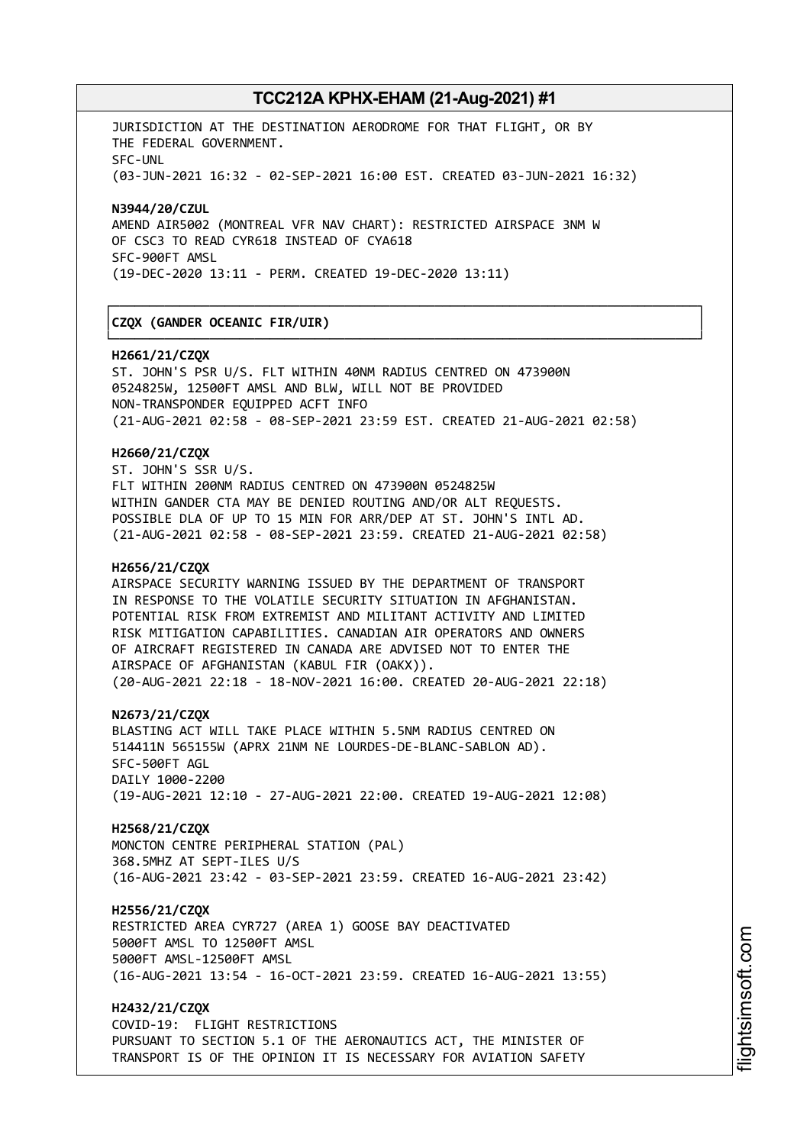┌──────────────────────────────────────────────────────────────────────────────┐

└──────────────────────────────────────────────────────────────────────────────┘

JURISDICTION AT THE DESTINATION AERODROME FOR THAT FLIGHT, OR BY THE FEDERAL GOVERNMENT. SFC-UNL (03-JUN-2021 16:32 - 02-SEP-2021 16:00 EST. CREATED 03-JUN-2021 16:32)

**N3944/20/CZUL** AMEND AIR5002 (MONTREAL VFR NAV CHART): RESTRICTED AIRSPACE 3NM W OF CSC3 TO READ CYR618 INSTEAD OF CYA618 SFC-900FT AMSL (19-DEC-2020 13:11 - PERM. CREATED 19-DEC-2020 13:11)

### │**CZQX (GANDER OCEANIC FIR/UIR)** │

#### **H2661/21/CZQX**

ST. JOHN'S PSR U/S. FLT WITHIN 40NM RADIUS CENTRED ON 473900N 0524825W, 12500FT AMSL AND BLW, WILL NOT BE PROVIDED NON-TRANSPONDER EQUIPPED ACFT INFO (21-AUG-2021 02:58 - 08-SEP-2021 23:59 EST. CREATED 21-AUG-2021 02:58)

#### **H2660/21/CZQX**

ST. JOHN'S SSR U/S. FLT WITHIN 200NM RADIUS CENTRED ON 473900N 0524825W WITHIN GANDER CTA MAY BE DENIED ROUTING AND/OR ALT REQUESTS. POSSIBLE DLA OF UP TO 15 MIN FOR ARR/DEP AT ST. JOHN'S INTL AD. (21-AUG-2021 02:58 - 08-SEP-2021 23:59. CREATED 21-AUG-2021 02:58)

#### **H2656/21/CZQX**

AIRSPACE SECURITY WARNING ISSUED BY THE DEPARTMENT OF TRANSPORT IN RESPONSE TO THE VOLATILE SECURITY SITUATION IN AFGHANISTAN. POTENTIAL RISK FROM EXTREMIST AND MILITANT ACTIVITY AND LIMITED RISK MITIGATION CAPABILITIES. CANADIAN AIR OPERATORS AND OWNERS OF AIRCRAFT REGISTERED IN CANADA ARE ADVISED NOT TO ENTER THE AIRSPACE OF AFGHANISTAN (KABUL FIR (OAKX)). (20-AUG-2021 22:18 - 18-NOV-2021 16:00. CREATED 20-AUG-2021 22:18)

**N2673/21/CZQX**

BLASTING ACT WILL TAKE PLACE WITHIN 5.5NM RADIUS CENTRED ON 514411N 565155W (APRX 21NM NE LOURDES-DE-BLANC-SABLON AD). SFC-500FT AGL DAILY 1000-2200 (19-AUG-2021 12:10 - 27-AUG-2021 22:00. CREATED 19-AUG-2021 12:08)

**H2568/21/CZQX**

MONCTON CENTRE PERIPHERAL STATION (PAL) 368.5MHZ AT SEPT-ILES U/S (16-AUG-2021 23:42 - 03-SEP-2021 23:59. CREATED 16-AUG-2021 23:42)

#### **H2556/21/CZQX**

RESTRICTED AREA CYR727 (AREA 1) GOOSE BAY DEACTIVATED 5000FT AMSL TO 12500FT AMSL 5000FT AMSL-12500FT AMSL (16-AUG-2021 13:54 - 16-OCT-2021 23:59. CREATED 16-AUG-2021 13:55)

**H2432/21/CZQX** COVID-19: FLIGHT RESTRICTIONS PURSUANT TO SECTION 5.1 OF THE AERONAUTICS ACT, THE MINISTER OF TRANSPORT IS OF THE OPINION IT IS NECESSARY FOR AVIATION SAFETY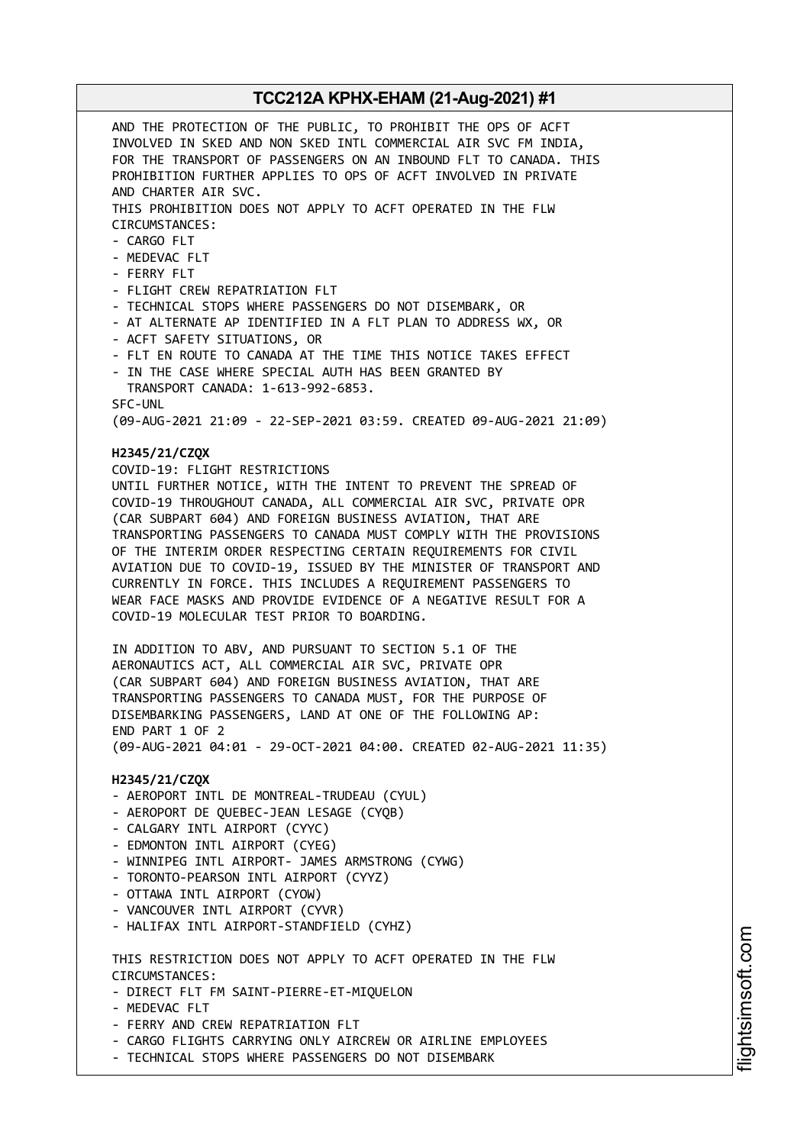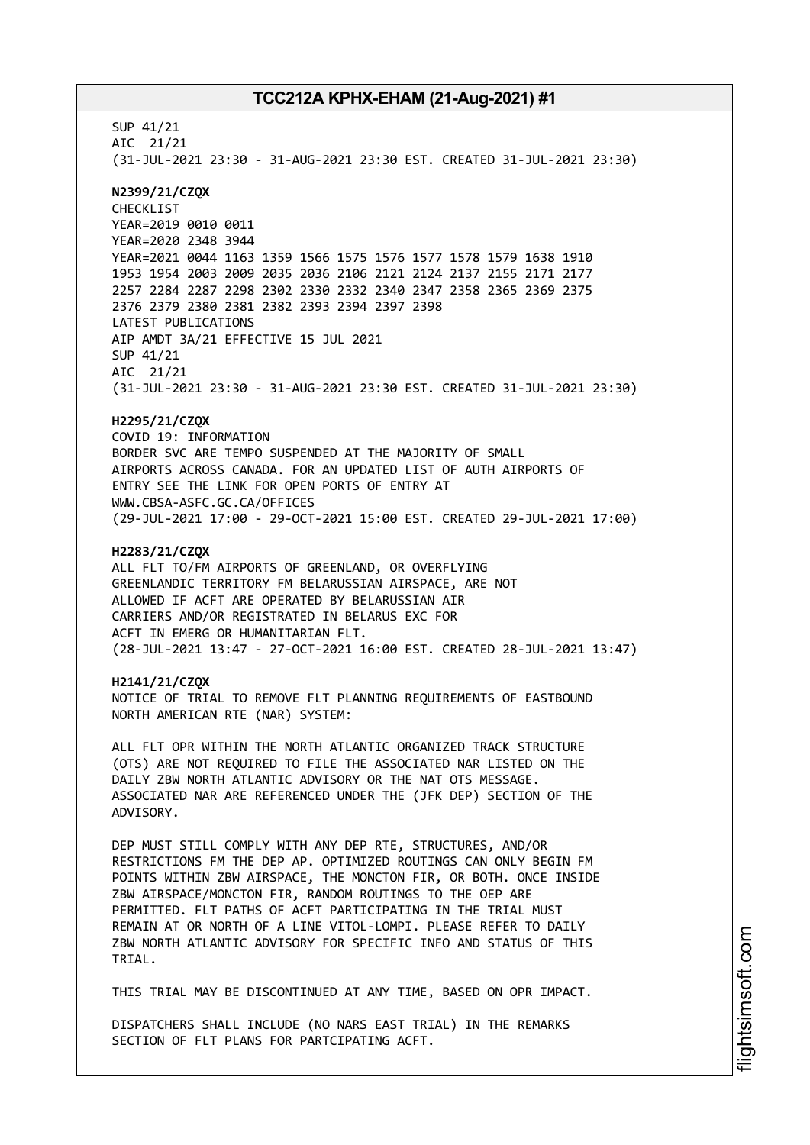SUP 41/21 AIC 21/21 (31-JUL-2021 23:30 - 31-AUG-2021 23:30 EST. CREATED 31-JUL-2021 23:30) **N2399/21/CZQX** CHECKLIST YEAR=2019 0010 0011 YEAR=2020 2348 3944 YEAR=2021 0044 1163 1359 1566 1575 1576 1577 1578 1579 1638 1910 1953 1954 2003 2009 2035 2036 2106 2121 2124 2137 2155 2171 2177 2257 2284 2287 2298 2302 2330 2332 2340 2347 2358 2365 2369 2375 2376 2379 2380 2381 2382 2393 2394 2397 2398 LATEST PUBLICATIONS AIP AMDT 3A/21 EFFECTIVE 15 JUL 2021 SUP 41/21 AIC 21/21 (31-JUL-2021 23:30 - 31-AUG-2021 23:30 EST. CREATED 31-JUL-2021 23:30) **H2295/21/CZQX** COVID 19: INFORMATION BORDER SVC ARE TEMPO SUSPENDED AT THE MAJORITY OF SMALL AIRPORTS ACROSS CANADA. FOR AN UPDATED LIST OF AUTH AIRPORTS OF ENTRY SEE THE LINK FOR OPEN PORTS OF ENTRY AT WWW.CBSA-ASFC.GC.CA/OFFICES (29-JUL-2021 17:00 - 29-OCT-2021 15:00 EST. CREATED 29-JUL-2021 17:00) **H2283/21/CZQX** ALL FLT TO/FM AIRPORTS OF GREENLAND, OR OVERFLYING GREENLANDIC TERRITORY FM BELARUSSIAN AIRSPACE, ARE NOT ALLOWED IF ACFT ARE OPERATED BY BELARUSSIAN AIR CARRIERS AND/OR REGISTRATED IN BELARUS EXC FOR ACFT IN EMERG OR HUMANITARIAN FLT. (28-JUL-2021 13:47 - 27-OCT-2021 16:00 EST. CREATED 28-JUL-2021 13:47) **H2141/21/CZQX** NOTICE OF TRIAL TO REMOVE FLT PLANNING REQUIREMENTS OF EASTBOUND NORTH AMERICAN RTE (NAR) SYSTEM: ALL FLT OPR WITHIN THE NORTH ATLANTIC ORGANIZED TRACK STRUCTURE (OTS) ARE NOT REQUIRED TO FILE THE ASSOCIATED NAR LISTED ON THE DAILY ZBW NORTH ATLANTIC ADVISORY OR THE NAT OTS MESSAGE. ASSOCIATED NAR ARE REFERENCED UNDER THE (JFK DEP) SECTION OF THE ADVISORY. DEP MUST STILL COMPLY WITH ANY DEP RTE, STRUCTURES, AND/OR RESTRICTIONS FM THE DEP AP. OPTIMIZED ROUTINGS CAN ONLY BEGIN FM POINTS WITHIN ZBW AIRSPACE, THE MONCTON FIR, OR BOTH. ONCE INSIDE ZBW AIRSPACE/MONCTON FIR, RANDOM ROUTINGS TO THE OEP ARE PERMITTED. FLT PATHS OF ACFT PARTICIPATING IN THE TRIAL MUST REMAIN AT OR NORTH OF A LINE VITOL-LOMPI. PLEASE REFER TO DAILY ZBW NORTH ATLANTIC ADVISORY FOR SPECIFIC INFO AND STATUS OF THIS TRIAL. THIS TRIAL MAY BE DISCONTINUED AT ANY TIME, BASED ON OPR IMPACT. DISPATCHERS SHALL INCLUDE (NO NARS EAST TRIAL) IN THE REMARKS

SECTION OF FLT PLANS FOR PARTCIPATING ACFT.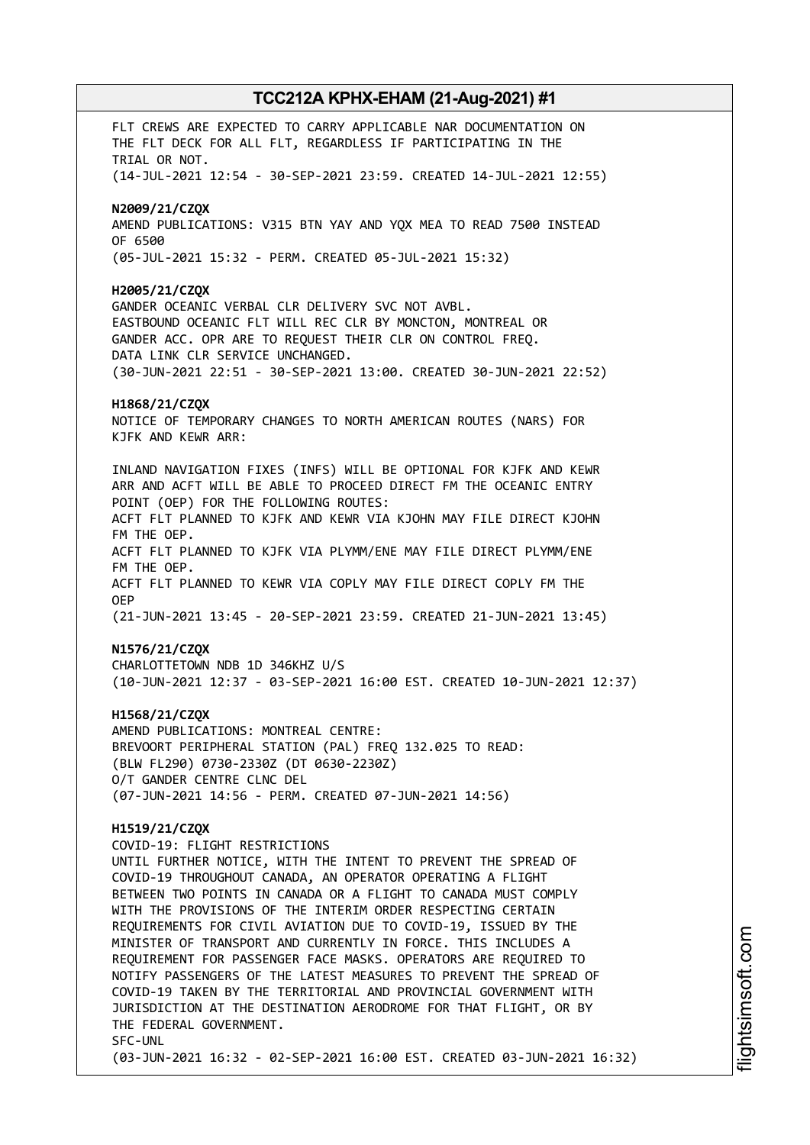FLT CREWS ARE EXPECTED TO CARRY APPLICABLE NAR DOCUMENTATION ON THE FLT DECK FOR ALL FLT, REGARDLESS IF PARTICIPATING IN THE TRIAL OR NOT. (14-JUL-2021 12:54 - 30-SEP-2021 23:59. CREATED 14-JUL-2021 12:55) **N2009/21/CZQX** AMEND PUBLICATIONS: V315 BTN YAY AND YQX MEA TO READ 7500 INSTEAD OF 6500 (05-JUL-2021 15:32 - PERM. CREATED 05-JUL-2021 15:32) **H2005/21/CZQX** GANDER OCEANIC VERBAL CLR DELIVERY SVC NOT AVBL. EASTBOUND OCEANIC FLT WILL REC CLR BY MONCTON, MONTREAL OR GANDER ACC. OPR ARE TO REQUEST THEIR CLR ON CONTROL FREQ. DATA LINK CLR SERVICE UNCHANGED. (30-JUN-2021 22:51 - 30-SEP-2021 13:00. CREATED 30-JUN-2021 22:52) **H1868/21/CZQX** NOTICE OF TEMPORARY CHANGES TO NORTH AMERICAN ROUTES (NARS) FOR KJFK AND KEWR ARR: INLAND NAVIGATION FIXES (INFS) WILL BE OPTIONAL FOR KJFK AND KEWR ARR AND ACFT WILL BE ABLE TO PROCEED DIRECT FM THE OCEANIC ENTRY POINT (OEP) FOR THE FOLLOWING ROUTES: ACFT FLT PLANNED TO KJFK AND KEWR VIA KJOHN MAY FILE DIRECT KJOHN FM THE OEP. ACFT FLT PLANNED TO KJFK VIA PLYMM/ENE MAY FILE DIRECT PLYMM/ENE FM THE OEP. ACFT FLT PLANNED TO KEWR VIA COPLY MAY FILE DIRECT COPLY FM THE OEP (21-JUN-2021 13:45 - 20-SEP-2021 23:59. CREATED 21-JUN-2021 13:45) **N1576/21/CZQX** CHARLOTTETOWN NDB 1D 346KHZ U/S (10-JUN-2021 12:37 - 03-SEP-2021 16:00 EST. CREATED 10-JUN-2021 12:37) **H1568/21/CZQX** AMEND PUBLICATIONS: MONTREAL CENTRE: BREVOORT PERIPHERAL STATION (PAL) FREQ 132.025 TO READ: (BLW FL290) 0730-2330Z (DT 0630-2230Z) O/T GANDER CENTRE CLNC DEL (07-JUN-2021 14:56 - PERM. CREATED 07-JUN-2021 14:56) **H1519/21/CZQX** COVID-19: FLIGHT RESTRICTIONS UNTIL FURTHER NOTICE, WITH THE INTENT TO PREVENT THE SPREAD OF COVID-19 THROUGHOUT CANADA, AN OPERATOR OPERATING A FLIGHT BETWEEN TWO POINTS IN CANADA OR A FLIGHT TO CANADA MUST COMPLY WITH THE PROVISIONS OF THE INTERIM ORDER RESPECTING CERTAIN REQUIREMENTS FOR CIVIL AVIATION DUE TO COVID-19, ISSUED BY THE MINISTER OF TRANSPORT AND CURRENTLY IN FORCE. THIS INCLUDES A REQUIREMENT FOR PASSENGER FACE MASKS. OPERATORS ARE REQUIRED TO NOTIFY PASSENGERS OF THE LATEST MEASURES TO PREVENT THE SPREAD OF COVID-19 TAKEN BY THE TERRITORIAL AND PROVINCIAL GOVERNMENT WITH JURISDICTION AT THE DESTINATION AERODROME FOR THAT FLIGHT, OR BY THE FEDERAL GOVERNMENT. SFC-UNL (03-JUN-2021 16:32 - 02-SEP-2021 16:00 EST. CREATED 03-JUN-2021 16:32)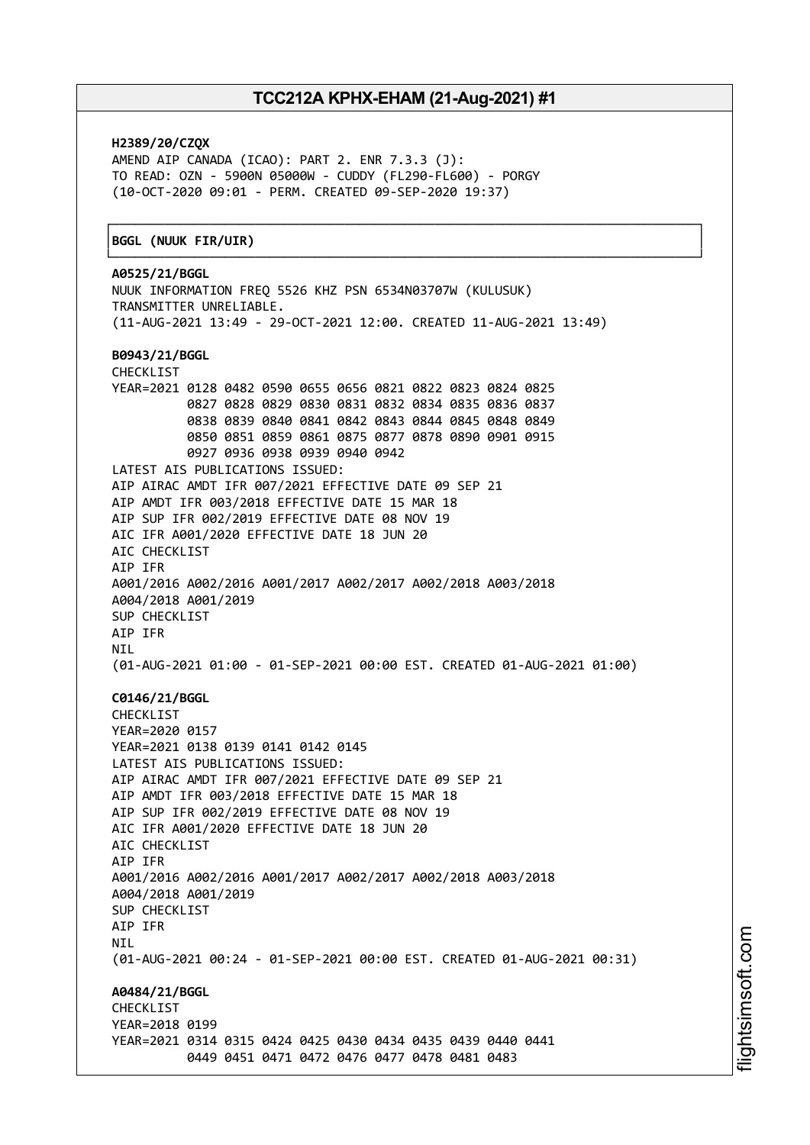┌──────────────────────────────────────────────────────────────────────────────┐

**H2389/20/CZQX** AMEND AIP CANADA (ICAO): PART 2. ENR 7.3.3 (J): TO READ: OZN - 5900N 05000W - CUDDY (FL290-FL600) - PORGY (10-OCT-2020 09:01 - PERM. CREATED 09-SEP-2020 19:37)

#### │**BGGL (NUUK FIR/UIR)** │

└──────────────────────────────────────────────────────────────────────────────┘ **A0525/21/BGGL** NUUK INFORMATION FREQ 5526 KHZ PSN 6534N03707W (KULUSUK) TRANSMITTER UNRELIABLE. (11-AUG-2021 13:49 - 29-OCT-2021 12:00. CREATED 11-AUG-2021 13:49) **B0943/21/BGGL** CHECKLIST YEAR=2021 0128 0482 0590 0655 0656 0821 0822 0823 0824 0825 0827 0828 0829 0830 0831 0832 0834 0835 0836 0837 0838 0839 0840 0841 0842 0843 0844 0845 0848 0849 0850 0851 0859 0861 0875 0877 0878 0890 0901 0915 0927 0936 0938 0939 0940 0942 LATEST AIS PUBLICATIONS ISSUED: AIP AIRAC AMDT IFR 007/2021 EFFECTIVE DATE 09 SEP 21 AIP AMDT IFR 003/2018 EFFECTIVE DATE 15 MAR 18 AIP SUP IFR 002/2019 EFFECTIVE DATE 08 NOV 19 AIC IFR A001/2020 EFFECTIVE DATE 18 JUN 20 AIC CHECKLIST AIP IFR A001/2016 A002/2016 A001/2017 A002/2017 A002/2018 A003/2018 A004/2018 A001/2019 SUP CHECKLIST AIP IFR NIL (01-AUG-2021 01:00 - 01-SEP-2021 00:00 EST. CREATED 01-AUG-2021 01:00) **C0146/21/BGGL** CHECKLIST YEAR=2020 0157 YEAR=2021 0138 0139 0141 0142 0145 LATEST AIS PUBLICATIONS ISSUED: AIP AIRAC AMDT IFR 007/2021 EFFECTIVE DATE 09 SEP 21 AIP AMDT IFR 003/2018 EFFECTIVE DATE 15 MAR 18 AIP SUP IFR 002/2019 EFFECTIVE DATE 08 NOV 19 AIC IFR A001/2020 EFFECTIVE DATE 18 JUN 20 ATC CHECKLIST AIP IFR A001/2016 A002/2016 A001/2017 A002/2017 A002/2018 A003/2018 A004/2018 A001/2019 SUP CHECKLIST AIP IFR **NTI** (01-AUG-2021 00:24 - 01-SEP-2021 00:00 EST. CREATED 01-AUG-2021 00:31) **A0484/21/BGGL CHECKLIST** YEAR=2018 0199 YEAR=2021 0314 0315 0424 0425 0430 0434 0435 0439 0440 0441 0449 0451 0471 0472 0476 0477 0478 0481 0483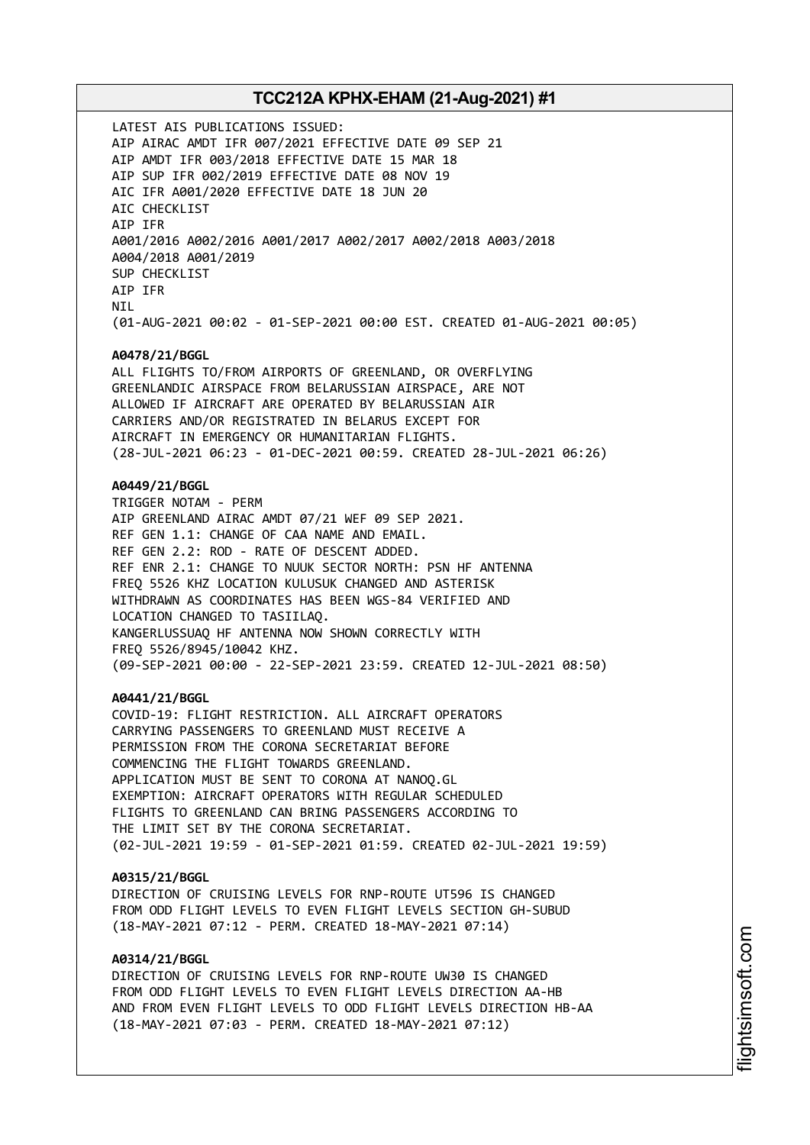LATEST AIS PUBLICATIONS ISSUED: AIP AIRAC AMDT IFR 007/2021 EFFECTIVE DATE 09 SEP 21 AIP AMDT IFR 003/2018 EFFECTIVE DATE 15 MAR 18 AIP SUP IFR 002/2019 EFFECTIVE DATE 08 NOV 19 AIC IFR A001/2020 EFFECTIVE DATE 18 JUN 20 AIC CHECKLIST AIP IFR A001/2016 A002/2016 A001/2017 A002/2017 A002/2018 A003/2018 A004/2018 A001/2019 SUP CHECKLIST AIP IFR **NTI** (01-AUG-2021 00:02 - 01-SEP-2021 00:00 EST. CREATED 01-AUG-2021 00:05) **A0478/21/BGGL** ALL FLIGHTS TO/FROM AIRPORTS OF GREENLAND, OR OVERFLYING GREENLANDIC AIRSPACE FROM BELARUSSIAN AIRSPACE, ARE NOT ALLOWED IF AIRCRAFT ARE OPERATED BY BELARUSSIAN AIR CARRIERS AND/OR REGISTRATED IN BELARUS EXCEPT FOR AIRCRAFT IN EMERGENCY OR HUMANITARIAN FLIGHTS. (28-JUL-2021 06:23 - 01-DEC-2021 00:59. CREATED 28-JUL-2021 06:26) **A0449/21/BGGL** TRIGGER NOTAM - PERM AIP GREENLAND AIRAC AMDT 07/21 WEF 09 SEP 2021. REF GEN 1.1: CHANGE OF CAA NAME AND EMAIL. REF GEN 2.2: ROD - RATE OF DESCENT ADDED. REF ENR 2.1: CHANGE TO NUUK SECTOR NORTH: PSN HF ANTENNA FREQ 5526 KHZ LOCATION KULUSUK CHANGED AND ASTERISK WITHDRAWN AS COORDINATES HAS BEEN WGS-84 VERIFIED AND LOCATION CHANGED TO TASIILAQ. KANGERLUSSUAQ HF ANTENNA NOW SHOWN CORRECTLY WITH FREQ 5526/8945/10042 KHZ. (09-SEP-2021 00:00 - 22-SEP-2021 23:59. CREATED 12-JUL-2021 08:50) **A0441/21/BGGL** COVID-19: FLIGHT RESTRICTION. ALL AIRCRAFT OPERATORS CARRYING PASSENGERS TO GREENLAND MUST RECEIVE A PERMISSION FROM THE CORONA SECRETARIAT BEFORE COMMENCING THE FLIGHT TOWARDS GREENLAND. APPLICATION MUST BE SENT TO CORONA AT NANOQ.GL EXEMPTION: AIRCRAFT OPERATORS WITH REGULAR SCHEDULED FLIGHTS TO GREENLAND CAN BRING PASSENGERS ACCORDING TO THE LIMIT SET BY THE CORONA SECRETARIAT. (02-JUL-2021 19:59 - 01-SEP-2021 01:59. CREATED 02-JUL-2021 19:59) **A0315/21/BGGL** DIRECTION OF CRUISING LEVELS FOR RNP-ROUTE UT596 IS CHANGED FROM ODD FLIGHT LEVELS TO EVEN FLIGHT LEVELS SECTION GH-SUBUD (18-MAY-2021 07:12 - PERM. CREATED 18-MAY-2021 07:14) **A0314/21/BGGL** DIRECTION OF CRUISING LEVELS FOR RNP-ROUTE UW30 IS CHANGED FROM ODD FLIGHT LEVELS TO EVEN FLIGHT LEVELS DIRECTION AA-HB

AND FROM EVEN FLIGHT LEVELS TO ODD FLIGHT LEVELS DIRECTION HB-AA

(18-MAY-2021 07:03 - PERM. CREATED 18-MAY-2021 07:12)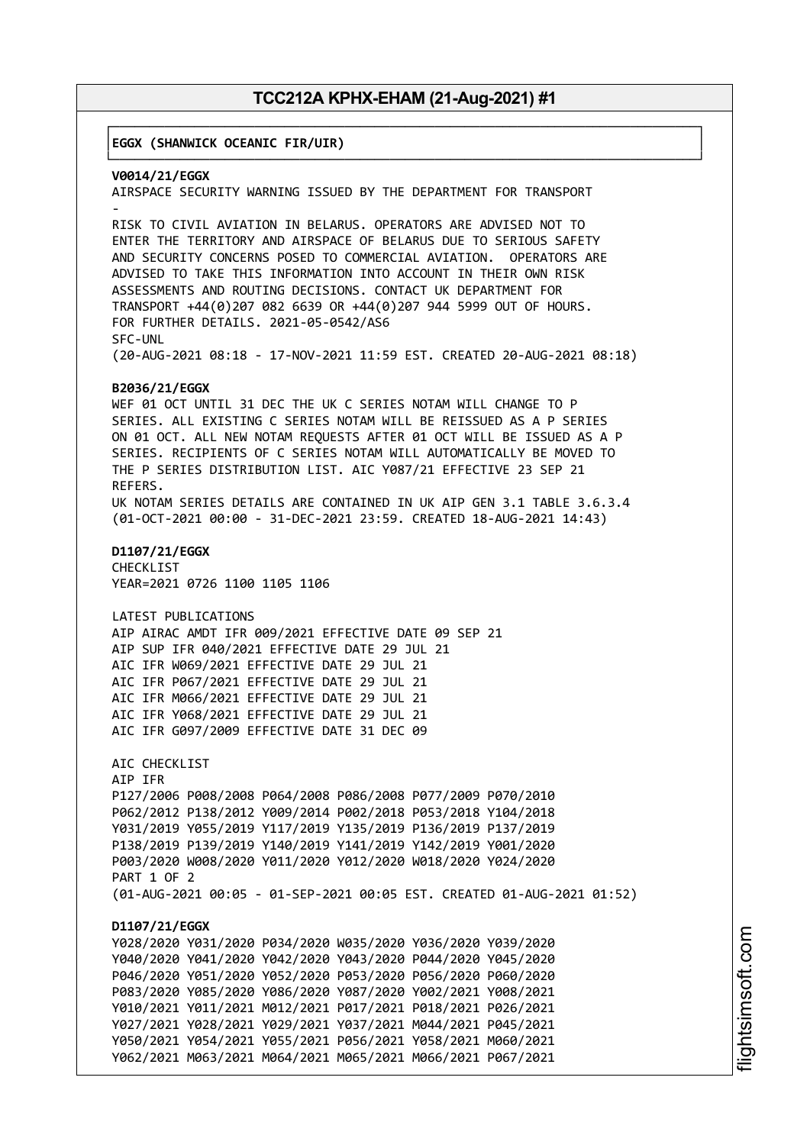┌──────────────────────────────────────────────────────────────────────────────┐

│**EGGX (SHANWICK OCEANIC FIR/UIR)** │

└──────────────────────────────────────────────────────────────────────────────┘ **V0014/21/EGGX** AIRSPACE SECURITY WARNING ISSUED BY THE DEPARTMENT FOR TRANSPORT - RISK TO CIVIL AVIATION IN BELARUS. OPERATORS ARE ADVISED NOT TO ENTER THE TERRITORY AND AIRSPACE OF BELARUS DUE TO SERIOUS SAFETY AND SECURITY CONCERNS POSED TO COMMERCIAL AVIATION. OPERATORS ARE ADVISED TO TAKE THIS INFORMATION INTO ACCOUNT IN THEIR OWN RISK ASSESSMENTS AND ROUTING DECISIONS. CONTACT UK DEPARTMENT FOR TRANSPORT +44(0)207 082 6639 OR +44(0)207 944 5999 OUT OF HOURS. FOR FURTHER DETAILS. 2021-05-0542/AS6 SFC-UNL (20-AUG-2021 08:18 - 17-NOV-2021 11:59 EST. CREATED 20-AUG-2021 08:18) **B2036/21/EGGX** WEF 01 OCT UNTIL 31 DEC THE UK C SERIES NOTAM WILL CHANGE TO P SERIES. ALL EXISTING C SERIES NOTAM WILL BE REISSUED AS A P SERIES ON 01 OCT. ALL NEW NOTAM REQUESTS AFTER 01 OCT WILL BE ISSUED AS A P SERIES. RECIPIENTS OF C SERIES NOTAM WILL AUTOMATICALLY BE MOVED TO THE P SERIES DISTRIBUTION LIST. AIC Y087/21 EFFECTIVE 23 SEP 21 REFERS. UK NOTAM SERIES DETAILS ARE CONTAINED IN UK AIP GEN 3.1 TABLE 3.6.3.4 (01-OCT-2021 00:00 - 31-DEC-2021 23:59. CREATED 18-AUG-2021 14:43) **D1107/21/EGGX** CHECKLIST YEAR=2021 0726 1100 1105 1106 LATEST PUBLICATIONS AIP AIRAC AMDT IFR 009/2021 EFFECTIVE DATE 09 SEP 21 AIP SUP IFR 040/2021 EFFECTIVE DATE 29 JUL 21 AIC IFR W069/2021 EFFECTIVE DATE 29 JUL 21 AIC IFR P067/2021 EFFECTIVE DATE 29 JUL 21 AIC IFR M066/2021 EFFECTIVE DATE 29 JUL 21 AIC IFR Y068/2021 EFFECTIVE DATE 29 JUL 21 AIC IFR G097/2009 EFFECTIVE DATE 31 DEC 09 AIC CHECKLIST AIP IFR P127/2006 P008/2008 P064/2008 P086/2008 P077/2009 P070/2010 P062/2012 P138/2012 Y009/2014 P002/2018 P053/2018 Y104/2018 Y031/2019 Y055/2019 Y117/2019 Y135/2019 P136/2019 P137/2019 P138/2019 P139/2019 Y140/2019 Y141/2019 Y142/2019 Y001/2020 P003/2020 W008/2020 Y011/2020 Y012/2020 W018/2020 Y024/2020 PART 1 OF 2 (01-AUG-2021 00:05 - 01-SEP-2021 00:05 EST. CREATED 01-AUG-2021 01:52) **D1107/21/EGGX** Y028/2020 Y031/2020 P034/2020 W035/2020 Y036/2020 Y039/2020 Y040/2020 Y041/2020 Y042/2020 Y043/2020 P044/2020 Y045/2020 P046/2020 Y051/2020 Y052/2020 P053/2020 P056/2020 P060/2020 P083/2020 Y085/2020 Y086/2020 Y087/2020 Y002/2021 Y008/2021 Y010/2021 Y011/2021 M012/2021 P017/2021 P018/2021 P026/2021 Y027/2021 Y028/2021 Y029/2021 Y037/2021 M044/2021 P045/2021 Y050/2021 Y054/2021 Y055/2021 P056/2021 Y058/2021 M060/2021 Y062/2021 M063/2021 M064/2021 M065/2021 M066/2021 P067/2021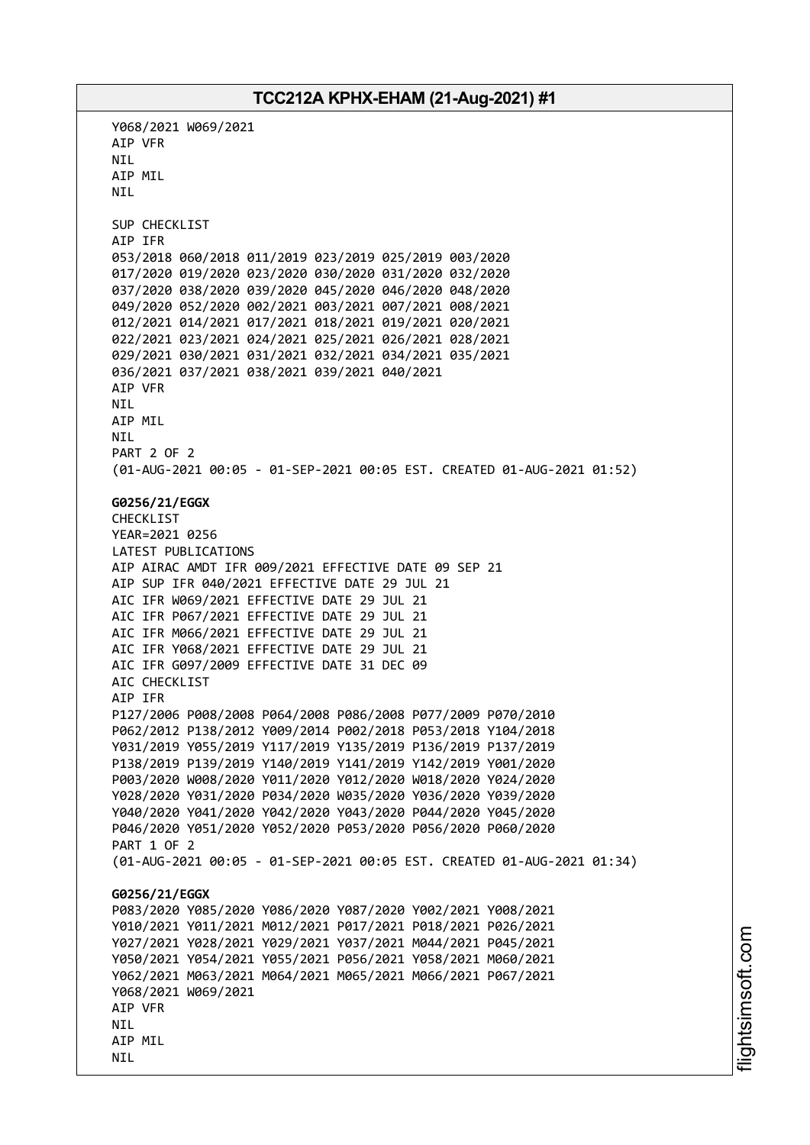Y068/2021 W069/2021 AIP VFR NIL AIP MIL NIL SUP CHECKLIST AIP IFR 053/2018 060/2018 011/2019 023/2019 025/2019 003/2020 017/2020 019/2020 023/2020 030/2020 031/2020 032/2020 037/2020 038/2020 039/2020 045/2020 046/2020 048/2020 049/2020 052/2020 002/2021 003/2021 007/2021 008/2021 012/2021 014/2021 017/2021 018/2021 019/2021 020/2021 022/2021 023/2021 024/2021 025/2021 026/2021 028/2021 029/2021 030/2021 031/2021 032/2021 034/2021 035/2021 036/2021 037/2021 038/2021 039/2021 040/2021 AIP VFR NIL AIP MIL NIL PART 2 OF 2 (01-AUG-2021 00:05 - 01-SEP-2021 00:05 EST. CREATED 01-AUG-2021 01:52) **G0256/21/EGGX** CHECKLIST YEAR=2021 0256 LATEST PUBLICATIONS AIP AIRAC AMDT IFR 009/2021 EFFECTIVE DATE 09 SEP 21 AIP SUP IFR 040/2021 EFFECTIVE DATE 29 JUL 21 AIC IFR W069/2021 EFFECTIVE DATE 29 JUL 21 AIC IFR P067/2021 EFFECTIVE DATE 29 JUL 21 AIC IFR M066/2021 EFFECTIVE DATE 29 JUL 21 AIC IFR Y068/2021 EFFECTIVE DATE 29 JUL 21 AIC IFR G097/2009 EFFECTIVE DATE 31 DEC 09 AIC CHECKLIST AIP IFR P127/2006 P008/2008 P064/2008 P086/2008 P077/2009 P070/2010 P062/2012 P138/2012 Y009/2014 P002/2018 P053/2018 Y104/2018 Y031/2019 Y055/2019 Y117/2019 Y135/2019 P136/2019 P137/2019 P138/2019 P139/2019 Y140/2019 Y141/2019 Y142/2019 Y001/2020 P003/2020 W008/2020 Y011/2020 Y012/2020 W018/2020 Y024/2020 Y028/2020 Y031/2020 P034/2020 W035/2020 Y036/2020 Y039/2020 Y040/2020 Y041/2020 Y042/2020 Y043/2020 P044/2020 Y045/2020 P046/2020 Y051/2020 Y052/2020 P053/2020 P056/2020 P060/2020 PART 1 OF 2 (01-AUG-2021 00:05 - 01-SEP-2021 00:05 EST. CREATED 01-AUG-2021 01:34) **G0256/21/EGGX** P083/2020 Y085/2020 Y086/2020 Y087/2020 Y002/2021 Y008/2021 Y010/2021 Y011/2021 M012/2021 P017/2021 P018/2021 P026/2021 Y027/2021 Y028/2021 Y029/2021 Y037/2021 M044/2021 P045/2021 Y050/2021 Y054/2021 Y055/2021 P056/2021 Y058/2021 M060/2021 Y062/2021 M063/2021 M064/2021 M065/2021 M066/2021 P067/2021 Y068/2021 W069/2021 AIP VFR **NTI** AIP MIL NIL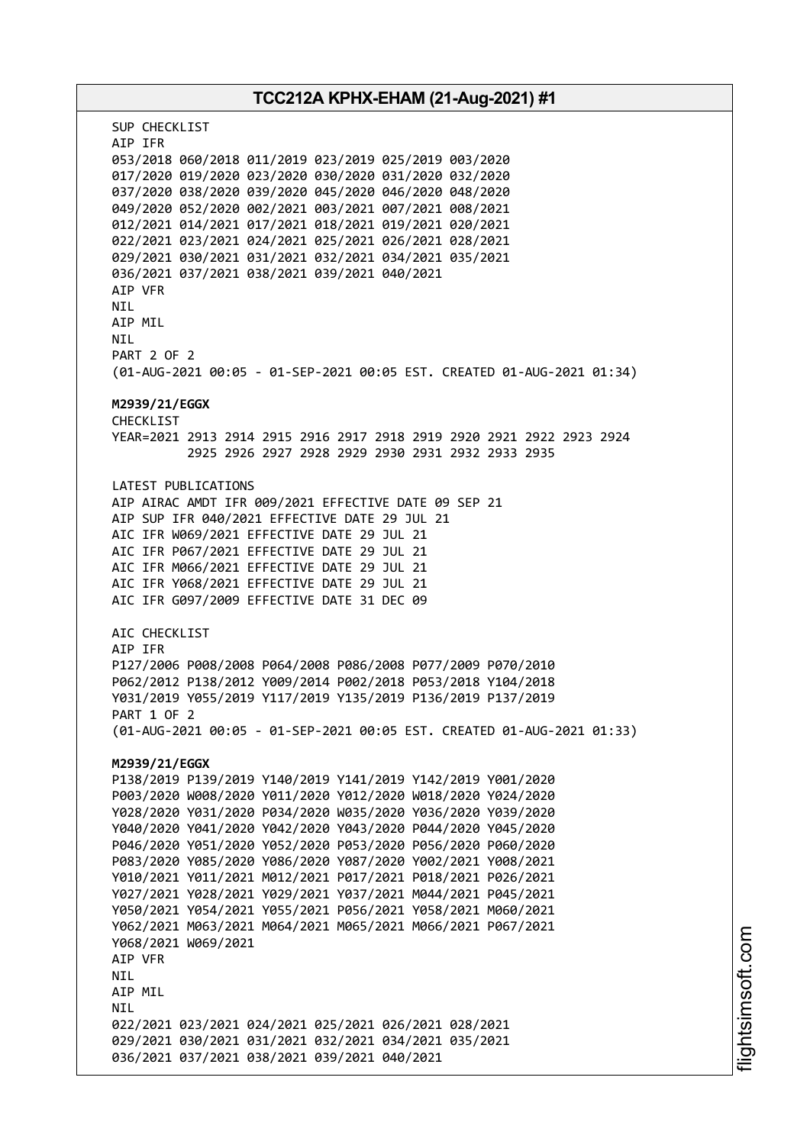# **TCC212A KPHX-EHAM (21-Aug-2021) #1** SUP CHECKLIST AIP IFR 053/2018 060/2018 011/2019 023/2019 025/2019 003/2020 017/2020 019/2020 023/2020 030/2020 031/2020 032/2020 037/2020 038/2020 039/2020 045/2020 046/2020 048/2020 049/2020 052/2020 002/2021 003/2021 007/2021 008/2021 012/2021 014/2021 017/2021 018/2021 019/2021 020/2021 022/2021 023/2021 024/2021 025/2021 026/2021 028/2021 029/2021 030/2021 031/2021 032/2021 034/2021 035/2021 036/2021 037/2021 038/2021 039/2021 040/2021 AIP VFR **NTI** AIP MIL NIL PART 2 OF 2 (01-AUG-2021 00:05 - 01-SEP-2021 00:05 EST. CREATED 01-AUG-2021 01:34) **M2939/21/EGGX** CHECKL<sub>TST</sub> YEAR=2021 2913 2914 2915 2916 2917 2918 2919 2920 2921 2922 2923 2924 2925 2926 2927 2928 2929 2930 2931 2932 2933 2935 LATEST PUBLICATIONS AIP AIRAC AMDT IFR 009/2021 EFFECTIVE DATE 09 SEP 21 AIP SUP IFR 040/2021 EFFECTIVE DATE 29 JUL 21 AIC IFR W069/2021 EFFECTIVE DATE 29 JUL 21 AIC IFR P067/2021 EFFECTIVE DATE 29 JUL 21 AIC IFR M066/2021 EFFECTIVE DATE 29 JUL 21 AIC IFR Y068/2021 EFFECTIVE DATE 29 JUL 21 AIC IFR G097/2009 EFFECTIVE DATE 31 DEC 09 AIC CHECKLIST AIP IFR P127/2006 P008/2008 P064/2008 P086/2008 P077/2009 P070/2010 P062/2012 P138/2012 Y009/2014 P002/2018 P053/2018 Y104/2018 Y031/2019 Y055/2019 Y117/2019 Y135/2019 P136/2019 P137/2019 PART 1 OF 2 (01-AUG-2021 00:05 - 01-SEP-2021 00:05 EST. CREATED 01-AUG-2021 01:33) **M2939/21/EGGX** P138/2019 P139/2019 Y140/2019 Y141/2019 Y142/2019 Y001/2020 P003/2020 W008/2020 Y011/2020 Y012/2020 W018/2020 Y024/2020 Y028/2020 Y031/2020 P034/2020 W035/2020 Y036/2020 Y039/2020 Y040/2020 Y041/2020 Y042/2020 Y043/2020 P044/2020 Y045/2020 P046/2020 Y051/2020 Y052/2020 P053/2020 P056/2020 P060/2020 P083/2020 Y085/2020 Y086/2020 Y087/2020 Y002/2021 Y008/2021 Y010/2021 Y011/2021 M012/2021 P017/2021 P018/2021 P026/2021 Y027/2021 Y028/2021 Y029/2021 Y037/2021 M044/2021 P045/2021 Y050/2021 Y054/2021 Y055/2021 P056/2021 Y058/2021 M060/2021 Y062/2021 M063/2021 M064/2021 M065/2021 M066/2021 P067/2021 Y068/2021 W069/2021 AIP VFR NIL AIP MIL **NTI** 022/2021 023/2021 024/2021 025/2021 026/2021 028/2021 029/2021 030/2021 031/2021 032/2021 034/2021 035/2021 036/2021 037/2021 038/2021 039/2021 040/2021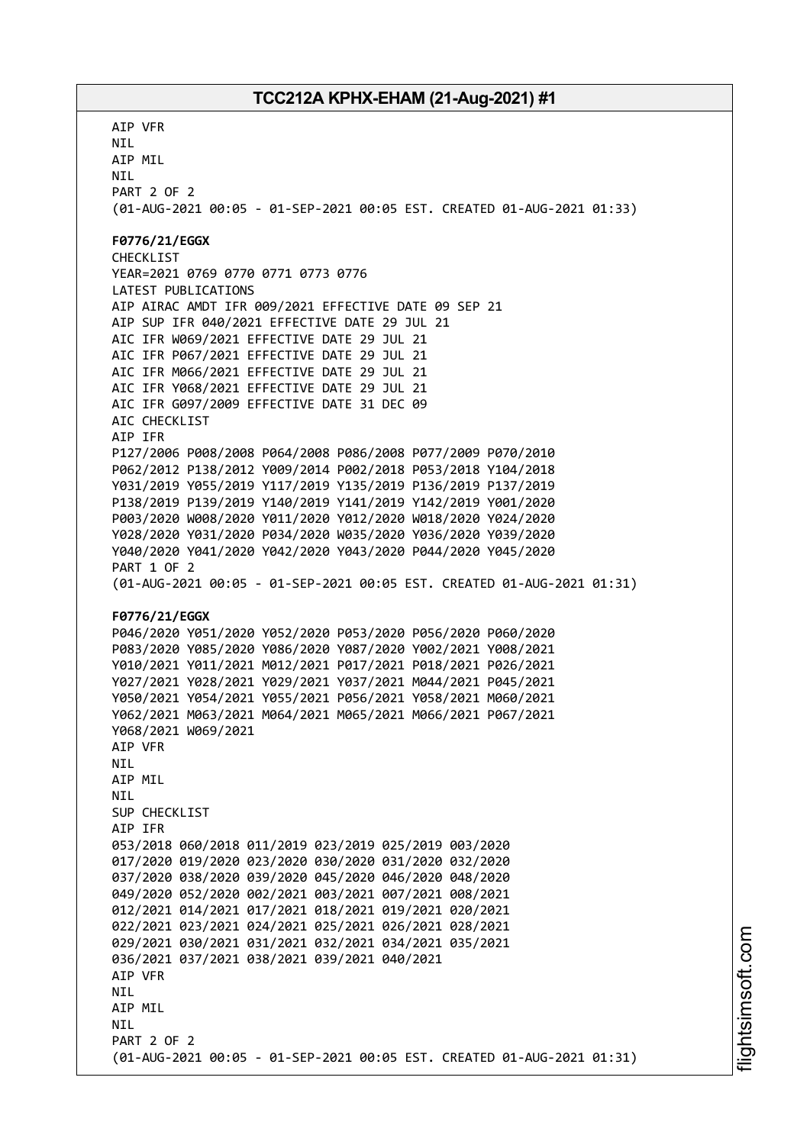AIP VFR NIL AIP MIL NIL PART 2 OF 2 (01-AUG-2021 00:05 - 01-SEP-2021 00:05 EST. CREATED 01-AUG-2021 01:33) **F0776/21/EGGX** CHECKLIST YEAR=2021 0769 0770 0771 0773 0776 LATEST PUBLICATIONS AIP AIRAC AMDT IFR 009/2021 EFFECTIVE DATE 09 SEP 21 AIP SUP IFR 040/2021 EFFECTIVE DATE 29 JUL 21 AIC IFR W069/2021 EFFECTIVE DATE 29 JUL 21 AIC IFR P067/2021 EFFECTIVE DATE 29 JUL 21 AIC IFR M066/2021 EFFECTIVE DATE 29 JUL 21 AIC IFR Y068/2021 EFFECTIVE DATE 29 JUL 21 AIC IFR G097/2009 EFFECTIVE DATE 31 DEC 09 AIC CHECKLIST AIP IFR P127/2006 P008/2008 P064/2008 P086/2008 P077/2009 P070/2010 P062/2012 P138/2012 Y009/2014 P002/2018 P053/2018 Y104/2018 Y031/2019 Y055/2019 Y117/2019 Y135/2019 P136/2019 P137/2019 P138/2019 P139/2019 Y140/2019 Y141/2019 Y142/2019 Y001/2020 P003/2020 W008/2020 Y011/2020 Y012/2020 W018/2020 Y024/2020 Y028/2020 Y031/2020 P034/2020 W035/2020 Y036/2020 Y039/2020 Y040/2020 Y041/2020 Y042/2020 Y043/2020 P044/2020 Y045/2020 PART 1 OF 2 (01-AUG-2021 00:05 - 01-SEP-2021 00:05 EST. CREATED 01-AUG-2021 01:31) **F0776/21/EGGX** P046/2020 Y051/2020 Y052/2020 P053/2020 P056/2020 P060/2020 P083/2020 Y085/2020 Y086/2020 Y087/2020 Y002/2021 Y008/2021 Y010/2021 Y011/2021 M012/2021 P017/2021 P018/2021 P026/2021 Y027/2021 Y028/2021 Y029/2021 Y037/2021 M044/2021 P045/2021 Y050/2021 Y054/2021 Y055/2021 P056/2021 Y058/2021 M060/2021 Y062/2021 M063/2021 M064/2021 M065/2021 M066/2021 P067/2021 Y068/2021 W069/2021 AIP VFR NIL AIP MIL **NTI** SUP CHECKLIST AIP IFR 053/2018 060/2018 011/2019 023/2019 025/2019 003/2020 017/2020 019/2020 023/2020 030/2020 031/2020 032/2020 037/2020 038/2020 039/2020 045/2020 046/2020 048/2020 049/2020 052/2020 002/2021 003/2021 007/2021 008/2021 012/2021 014/2021 017/2021 018/2021 019/2021 020/2021 022/2021 023/2021 024/2021 025/2021 026/2021 028/2021 029/2021 030/2021 031/2021 032/2021 034/2021 035/2021 036/2021 037/2021 038/2021 039/2021 040/2021 AIP VFR **NTL** AIP MIL **NTI** PART 2 OF 2 (01-AUG-2021 00:05 - 01-SEP-2021 00:05 EST. CREATED 01-AUG-2021 01:31)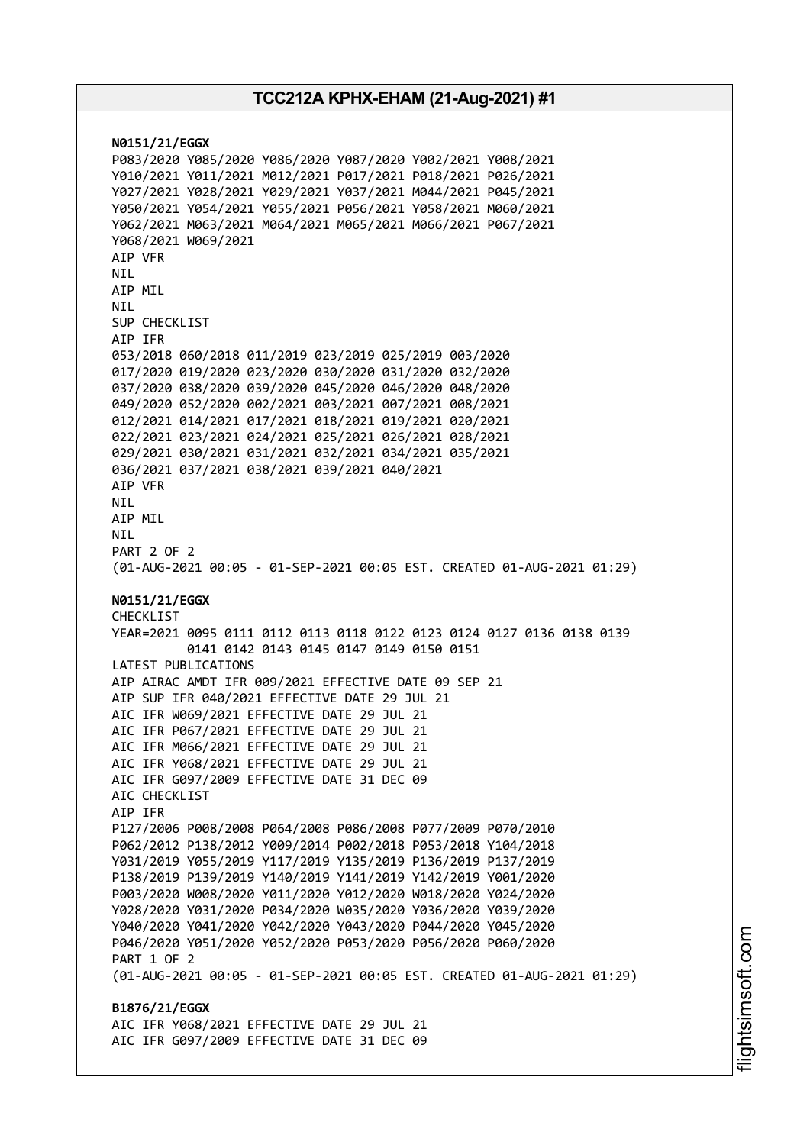**N0151/21/EGGX** P083/2020 Y085/2020 Y086/2020 Y087/2020 Y002/2021 Y008/2021 Y010/2021 Y011/2021 M012/2021 P017/2021 P018/2021 P026/2021 Y027/2021 Y028/2021 Y029/2021 Y037/2021 M044/2021 P045/2021 Y050/2021 Y054/2021 Y055/2021 P056/2021 Y058/2021 M060/2021 Y062/2021 M063/2021 M064/2021 M065/2021 M066/2021 P067/2021 Y068/2021 W069/2021 AIP VFR NIL AIP MIL **NTI** SUP CHECKLIST AIP IFR 053/2018 060/2018 011/2019 023/2019 025/2019 003/2020 017/2020 019/2020 023/2020 030/2020 031/2020 032/2020 037/2020 038/2020 039/2020 045/2020 046/2020 048/2020 049/2020 052/2020 002/2021 003/2021 007/2021 008/2021 012/2021 014/2021 017/2021 018/2021 019/2021 020/2021 022/2021 023/2021 024/2021 025/2021 026/2021 028/2021 029/2021 030/2021 031/2021 032/2021 034/2021 035/2021 036/2021 037/2021 038/2021 039/2021 040/2021 AIP VFR NIL AIP MIL NIL PART 2 OF 2 (01-AUG-2021 00:05 - 01-SEP-2021 00:05 EST. CREATED 01-AUG-2021 01:29) **N0151/21/EGGX** CHECKLIST YEAR=2021 0095 0111 0112 0113 0118 0122 0123 0124 0127 0136 0138 0139 0141 0142 0143 0145 0147 0149 0150 0151 LATEST PUBLICATIONS AIP AIRAC AMDT IFR 009/2021 EFFECTIVE DATE 09 SEP 21 AIP SUP IFR 040/2021 EFFECTIVE DATE 29 JUL 21 AIC IFR W069/2021 EFFECTIVE DATE 29 JUL 21 AIC IFR P067/2021 EFFECTIVE DATE 29 JUL 21 AIC IFR M066/2021 EFFECTIVE DATE 29 JUL 21 AIC IFR Y068/2021 EFFECTIVE DATE 29 JUL 21 AIC IFR G097/2009 EFFECTIVE DATE 31 DEC 09 AIC CHECKLIST AIP IFR P127/2006 P008/2008 P064/2008 P086/2008 P077/2009 P070/2010 P062/2012 P138/2012 Y009/2014 P002/2018 P053/2018 Y104/2018 Y031/2019 Y055/2019 Y117/2019 Y135/2019 P136/2019 P137/2019 P138/2019 P139/2019 Y140/2019 Y141/2019 Y142/2019 Y001/2020 P003/2020 W008/2020 Y011/2020 Y012/2020 W018/2020 Y024/2020 Y028/2020 Y031/2020 P034/2020 W035/2020 Y036/2020 Y039/2020 Y040/2020 Y041/2020 Y042/2020 Y043/2020 P044/2020 Y045/2020 P046/2020 Y051/2020 Y052/2020 P053/2020 P056/2020 P060/2020 PART 1 OF 2 (01-AUG-2021 00:05 - 01-SEP-2021 00:05 EST. CREATED 01-AUG-2021 01:29) **B1876/21/EGGX** AIC IFR Y068/2021 EFFECTIVE DATE 29 JUL 21 AIC IFR G097/2009 EFFECTIVE DATE 31 DEC 09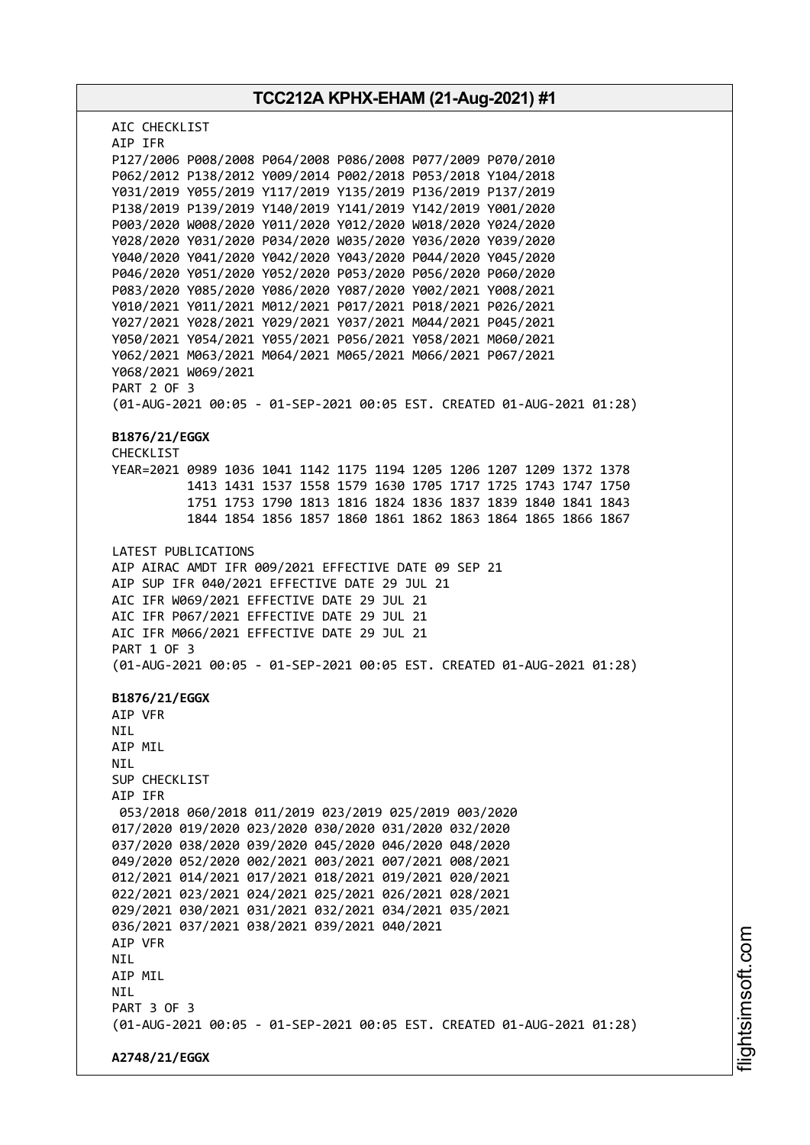**TCC212A KPHX-EHAM (21-Aug-2021) #1** AIC CHECKLIST AIP IFR P127/2006 P008/2008 P064/2008 P086/2008 P077/2009 P070/2010 P062/2012 P138/2012 Y009/2014 P002/2018 P053/2018 Y104/2018 Y031/2019 Y055/2019 Y117/2019 Y135/2019 P136/2019 P137/2019 P138/2019 P139/2019 Y140/2019 Y141/2019 Y142/2019 Y001/2020 P003/2020 W008/2020 Y011/2020 Y012/2020 W018/2020 Y024/2020 Y028/2020 Y031/2020 P034/2020 W035/2020 Y036/2020 Y039/2020 Y040/2020 Y041/2020 Y042/2020 Y043/2020 P044/2020 Y045/2020 P046/2020 Y051/2020 Y052/2020 P053/2020 P056/2020 P060/2020 P083/2020 Y085/2020 Y086/2020 Y087/2020 Y002/2021 Y008/2021 Y010/2021 Y011/2021 M012/2021 P017/2021 P018/2021 P026/2021 Y027/2021 Y028/2021 Y029/2021 Y037/2021 M044/2021 P045/2021 Y050/2021 Y054/2021 Y055/2021 P056/2021 Y058/2021 M060/2021 Y062/2021 M063/2021 M064/2021 M065/2021 M066/2021 P067/2021 Y068/2021 W069/2021 PART 2 OF 3 (01-AUG-2021 00:05 - 01-SEP-2021 00:05 EST. CREATED 01-AUG-2021 01:28) **B1876/21/EGGX** CHECKLIST YEAR=2021 0989 1036 1041 1142 1175 1194 1205 1206 1207 1209 1372 1378 1413 1431 1537 1558 1579 1630 1705 1717 1725 1743 1747 1750 1751 1753 1790 1813 1816 1824 1836 1837 1839 1840 1841 1843 1844 1854 1856 1857 1860 1861 1862 1863 1864 1865 1866 1867 LATEST PUBLICATIONS AIP AIRAC AMDT IFR 009/2021 EFFECTIVE DATE 09 SEP 21 AIP SUP IFR 040/2021 EFFECTIVE DATE 29 JUL 21 AIC IFR W069/2021 EFFECTIVE DATE 29 JUL 21 AIC IFR P067/2021 EFFECTIVE DATE 29 JUL 21 AIC IFR M066/2021 EFFECTIVE DATE 29 JUL 21 PART 1 OF 3 (01-AUG-2021 00:05 - 01-SEP-2021 00:05 EST. CREATED 01-AUG-2021 01:28) **B1876/21/EGGX** AIP VFR NIL AIP MIL NIL SUP CHECKLIST AIP IFR 053/2018 060/2018 011/2019 023/2019 025/2019 003/2020 017/2020 019/2020 023/2020 030/2020 031/2020 032/2020 037/2020 038/2020 039/2020 045/2020 046/2020 048/2020 049/2020 052/2020 002/2021 003/2021 007/2021 008/2021 012/2021 014/2021 017/2021 018/2021 019/2021 020/2021 022/2021 023/2021 024/2021 025/2021 026/2021 028/2021 029/2021 030/2021 031/2021 032/2021 034/2021 035/2021 036/2021 037/2021 038/2021 039/2021 040/2021 AIP VFR NIL AIP MIL **NTL** PART 3 OF 3 (01-AUG-2021 00:05 - 01-SEP-2021 00:05 EST. CREATED 01-AUG-2021 01:28) **A2748/21/EGGX**

m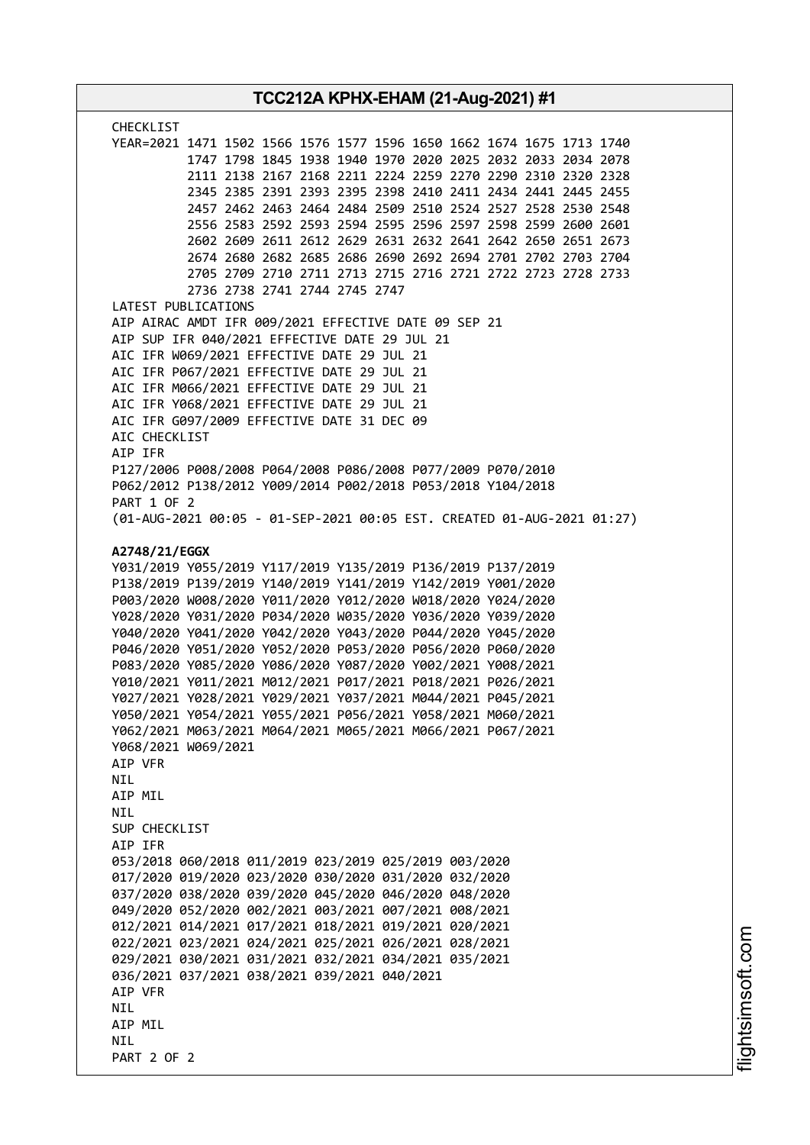| <b>CHECKLIST</b><br>YEAR=2021 1471 1502 1566 1576 1577 1596 1650 1662 1674 1675 1713 1740<br>1747 1798 1845 1938 1940 1970 2020 2025 2032 2033 2034 2078<br>2111 2138 2167 2168 2211 2224 2259 2270 2290 2310 2320 2328<br>2345 2385 2391 2393 2395 2398 2410 2411 2434 2441 2445 2455<br>2457 2462 2463 2464 2484 2509 2510 2524 2527 2528 2530 2548<br>2556 2583 2592 2593 2594 2595 2596 2597 2598 2599 2600 2601<br>2602 2609 2611 2612 2629 2631 2632 2641 2642 2650 2651 2673<br>2674 2680 2682 2685 2686 2690 2692 2694 2701 2702 2703 2704<br>2705 2709 2710 2711 2713 2715 2716 2721 2722 2723 2728 2733<br>2736 2738 2741 2744 2745 2747<br>LATEST PUBLICATIONS<br>AIP AIRAC AMDT IFR 009/2021 EFFECTIVE DATE 09 SEP 21<br>AIP SUP IFR 040/2021 EFFECTIVE DATE 29 JUL 21<br>AIC IFR W069/2021 EFFECTIVE DATE 29 JUL 21<br>AIC IFR P067/2021 EFFECTIVE DATE 29 JUL 21<br>AIC IFR M066/2021 EFFECTIVE DATE 29 JUL 21<br>AIC IFR Y068/2021 EFFECTIVE DATE 29 JUL 21<br>AIC IFR G097/2009 EFFECTIVE DATE 31 DEC 09<br>AIC CHECKLIST<br>AIP IFR<br>P127/2006 P008/2008 P064/2008 P086/2008 P077/2009 P070/2010<br>P062/2012 P138/2012 Y009/2014 P002/2018 P053/2018 Y104/2018<br>PART 1 OF 2<br>(01-AUG-2021 00:05 - 01-SEP-2021 00:05 EST. CREATED 01-AUG-2021 01:27)<br>A2748/21/EGGX<br>Y031/2019 Y055/2019 Y117/2019 Y135/2019 P136/2019 P137/2019<br>P138/2019 P139/2019 Y140/2019 Y141/2019 Y142/2019 Y001/2020<br>P003/2020 W008/2020 Y011/2020 Y012/2020 W018/2020 Y024/2020<br>Y028/2020 Y031/2020 P034/2020 W035/2020 Y036/2020 Y039/2020<br>Y040/2020 Y041/2020 Y042/2020 Y043/2020 P044/2020 Y045/2020<br>P046/2020 Y051/2020 Y052/2020 P053/2020 P056/2020 P060/2020<br>P083/2020 Y085/2020 Y086/2020 Y087/2020 Y002/2021 Y008/2021<br>Y010/2021 Y011/2021 M012/2021 P017/2021 P018/2021 P026/2021<br>Y027/2021 Y028/2021 Y029/2021 Y037/2021 M044/2021 P045/2021<br>Y050/2021 Y054/2021 Y055/2021 P056/2021 Y058/2021 M060/2021<br>Y062/2021 M063/2021 M064/2021 M065/2021 M066/2021 P067/2021<br>Y068/2021 W069/2021<br>AIP VFR<br>NIL<br>AIP MIL<br><b>NIL</b><br>SUP CHECKLIST<br>AIP IFR<br>053/2018 060/2018 011/2019 023/2019 025/2019 003/2020<br>017/2020 019/2020 023/2020 030/2020 031/2020 032/2020<br>037/2020 038/2020 039/2020 045/2020 046/2020 048/2020<br>049/2020 052/2020 002/2021 003/2021 007/2021 008/2021<br>012/2021 014/2021 017/2021 018/2021 019/2021 020/2021<br>022/2021 023/2021 024/2021 025/2021 026/2021 028/2021<br>029/2021 030/2021 031/2021 032/2021 034/2021 035/2021<br>036/2021 037/2021 038/2021 039/2021 040/2021<br>AIP VFR<br>NIL<br>AIP MIL<br><b>NIL</b> | TCC212A KPHX-EHAM (21-Aug-2021) #1 |  |
|---------------------------------------------------------------------------------------------------------------------------------------------------------------------------------------------------------------------------------------------------------------------------------------------------------------------------------------------------------------------------------------------------------------------------------------------------------------------------------------------------------------------------------------------------------------------------------------------------------------------------------------------------------------------------------------------------------------------------------------------------------------------------------------------------------------------------------------------------------------------------------------------------------------------------------------------------------------------------------------------------------------------------------------------------------------------------------------------------------------------------------------------------------------------------------------------------------------------------------------------------------------------------------------------------------------------------------------------------------------------------------------------------------------------------------------------------------------------------------------------------------------------------------------------------------------------------------------------------------------------------------------------------------------------------------------------------------------------------------------------------------------------------------------------------------------------------------------------------------------------------------------------------------------------------------------------------------------------------------------------------------------------------------------------------------------------------------------------------------------------------------------------------------------------------------------------------------------------------------------------------------------------------------------------------------------------------------------------------------------------------------------------------------------------------------------------------------------------------------------------------------------------------------------------------------------------------------------------------------------------------|------------------------------------|--|
|                                                                                                                                                                                                                                                                                                                                                                                                                                                                                                                                                                                                                                                                                                                                                                                                                                                                                                                                                                                                                                                                                                                                                                                                                                                                                                                                                                                                                                                                                                                                                                                                                                                                                                                                                                                                                                                                                                                                                                                                                                                                                                                                                                                                                                                                                                                                                                                                                                                                                                                                                                                                                           |                                    |  |
|                                                                                                                                                                                                                                                                                                                                                                                                                                                                                                                                                                                                                                                                                                                                                                                                                                                                                                                                                                                                                                                                                                                                                                                                                                                                                                                                                                                                                                                                                                                                                                                                                                                                                                                                                                                                                                                                                                                                                                                                                                                                                                                                                                                                                                                                                                                                                                                                                                                                                                                                                                                                                           |                                    |  |
|                                                                                                                                                                                                                                                                                                                                                                                                                                                                                                                                                                                                                                                                                                                                                                                                                                                                                                                                                                                                                                                                                                                                                                                                                                                                                                                                                                                                                                                                                                                                                                                                                                                                                                                                                                                                                                                                                                                                                                                                                                                                                                                                                                                                                                                                                                                                                                                                                                                                                                                                                                                                                           |                                    |  |
|                                                                                                                                                                                                                                                                                                                                                                                                                                                                                                                                                                                                                                                                                                                                                                                                                                                                                                                                                                                                                                                                                                                                                                                                                                                                                                                                                                                                                                                                                                                                                                                                                                                                                                                                                                                                                                                                                                                                                                                                                                                                                                                                                                                                                                                                                                                                                                                                                                                                                                                                                                                                                           |                                    |  |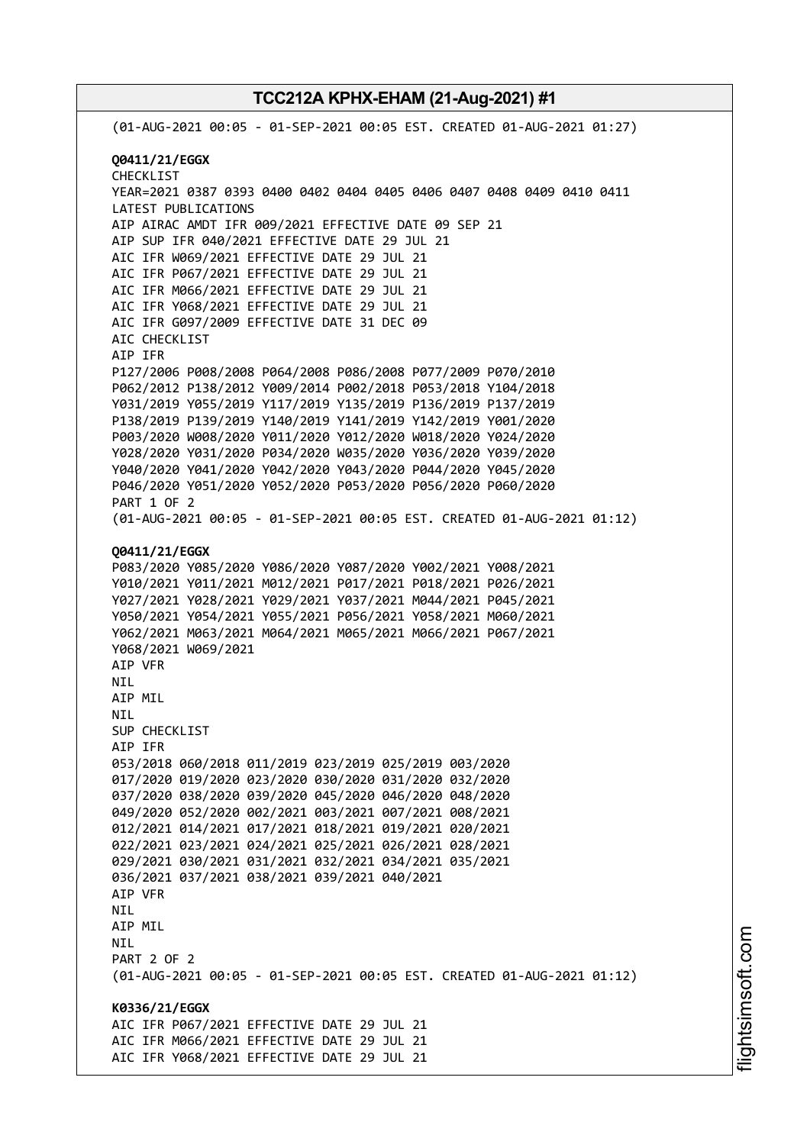(01-AUG-2021 00:05 - 01-SEP-2021 00:05 EST. CREATED 01-AUG-2021 01:27) **Q0411/21/EGGX** CHECKLIST YEAR=2021 0387 0393 0400 0402 0404 0405 0406 0407 0408 0409 0410 0411 LATEST PUBLICATIONS AIP AIRAC AMDT IFR 009/2021 EFFECTIVE DATE 09 SEP 21 AIP SUP IFR 040/2021 EFFECTIVE DATE 29 JUL 21 AIC IFR W069/2021 EFFECTIVE DATE 29 JUL 21 AIC IFR P067/2021 EFFECTIVE DATE 29 JUL 21 AIC IFR M066/2021 EFFECTIVE DATE 29 JUL 21 AIC IFR Y068/2021 EFFECTIVE DATE 29 JUL 21 AIC IFR G097/2009 EFFECTIVE DATE 31 DEC 09 AIC CHECKLIST AIP IFR P127/2006 P008/2008 P064/2008 P086/2008 P077/2009 P070/2010 P062/2012 P138/2012 Y009/2014 P002/2018 P053/2018 Y104/2018 Y031/2019 Y055/2019 Y117/2019 Y135/2019 P136/2019 P137/2019 P138/2019 P139/2019 Y140/2019 Y141/2019 Y142/2019 Y001/2020 P003/2020 W008/2020 Y011/2020 Y012/2020 W018/2020 Y024/2020 Y028/2020 Y031/2020 P034/2020 W035/2020 Y036/2020 Y039/2020 Y040/2020 Y041/2020 Y042/2020 Y043/2020 P044/2020 Y045/2020 P046/2020 Y051/2020 Y052/2020 P053/2020 P056/2020 P060/2020 PART 1 OF 2 (01-AUG-2021 00:05 - 01-SEP-2021 00:05 EST. CREATED 01-AUG-2021 01:12) **Q0411/21/EGGX** P083/2020 Y085/2020 Y086/2020 Y087/2020 Y002/2021 Y008/2021 Y010/2021 Y011/2021 M012/2021 P017/2021 P018/2021 P026/2021 Y027/2021 Y028/2021 Y029/2021 Y037/2021 M044/2021 P045/2021 Y050/2021 Y054/2021 Y055/2021 P056/2021 Y058/2021 M060/2021 Y062/2021 M063/2021 M064/2021 M065/2021 M066/2021 P067/2021 Y068/2021 W069/2021 AIP VFR NIL AIP MIL NIL SUP CHECKLIST AIP IFR 053/2018 060/2018 011/2019 023/2019 025/2019 003/2020 017/2020 019/2020 023/2020 030/2020 031/2020 032/2020 037/2020 038/2020 039/2020 045/2020 046/2020 048/2020 049/2020 052/2020 002/2021 003/2021 007/2021 008/2021 012/2021 014/2021 017/2021 018/2021 019/2021 020/2021 022/2021 023/2021 024/2021 025/2021 026/2021 028/2021 029/2021 030/2021 031/2021 032/2021 034/2021 035/2021 036/2021 037/2021 038/2021 039/2021 040/2021 AIP VFR NIL AIP MIL NIL PART 2 OF 2 (01-AUG-2021 00:05 - 01-SEP-2021 00:05 EST. CREATED 01-AUG-2021 01:12) **K0336/21/EGGX** AIC IFR P067/2021 EFFECTIVE DATE 29 JUL 21 AIC IFR M066/2021 EFFECTIVE DATE 29 JUL 21 AIC IFR Y068/2021 EFFECTIVE DATE 29 JUL 21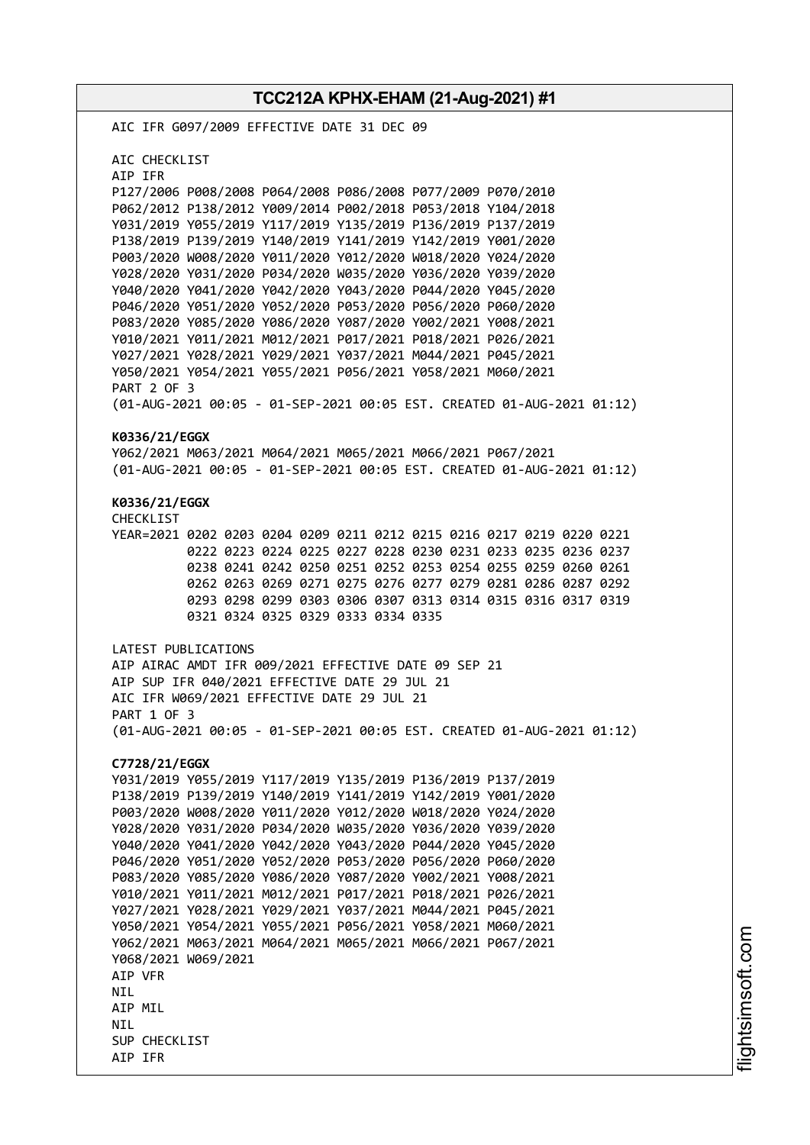**TCC212A KPHX-EHAM (21-Aug-2021) #1** AIC IFR G097/2009 EFFECTIVE DATE 31 DEC 09 AIC CHECKLIST AIP IFR P127/2006 P008/2008 P064/2008 P086/2008 P077/2009 P070/2010 P062/2012 P138/2012 Y009/2014 P002/2018 P053/2018 Y104/2018 Y031/2019 Y055/2019 Y117/2019 Y135/2019 P136/2019 P137/2019 P138/2019 P139/2019 Y140/2019 Y141/2019 Y142/2019 Y001/2020 P003/2020 W008/2020 Y011/2020 Y012/2020 W018/2020 Y024/2020 Y028/2020 Y031/2020 P034/2020 W035/2020 Y036/2020 Y039/2020 Y040/2020 Y041/2020 Y042/2020 Y043/2020 P044/2020 Y045/2020 P046/2020 Y051/2020 Y052/2020 P053/2020 P056/2020 P060/2020 P083/2020 Y085/2020 Y086/2020 Y087/2020 Y002/2021 Y008/2021 Y010/2021 Y011/2021 M012/2021 P017/2021 P018/2021 P026/2021 Y027/2021 Y028/2021 Y029/2021 Y037/2021 M044/2021 P045/2021 Y050/2021 Y054/2021 Y055/2021 P056/2021 Y058/2021 M060/2021 PART 2 OF 3 (01-AUG-2021 00:05 - 01-SEP-2021 00:05 EST. CREATED 01-AUG-2021 01:12) **K0336/21/EGGX** Y062/2021 M063/2021 M064/2021 M065/2021 M066/2021 P067/2021 (01-AUG-2021 00:05 - 01-SEP-2021 00:05 EST. CREATED 01-AUG-2021 01:12) **K0336/21/EGGX** CHECKLIST YEAR=2021 0202 0203 0204 0209 0211 0212 0215 0216 0217 0219 0220 0221 0222 0223 0224 0225 0227 0228 0230 0231 0233 0235 0236 0237 0238 0241 0242 0250 0251 0252 0253 0254 0255 0259 0260 0261 0262 0263 0269 0271 0275 0276 0277 0279 0281 0286 0287 0292 0293 0298 0299 0303 0306 0307 0313 0314 0315 0316 0317 0319 0321 0324 0325 0329 0333 0334 0335 LATEST PUBLICATIONS AIP AIRAC AMDT IFR 009/2021 EFFECTIVE DATE 09 SEP 21 AIP SUP IFR 040/2021 EFFECTIVE DATE 29 JUL 21 AIC IFR W069/2021 EFFECTIVE DATE 29 JUL 21 PART 1 OF 3 (01-AUG-2021 00:05 - 01-SEP-2021 00:05 EST. CREATED 01-AUG-2021 01:12) **C7728/21/EGGX** Y031/2019 Y055/2019 Y117/2019 Y135/2019 P136/2019 P137/2019 P138/2019 P139/2019 Y140/2019 Y141/2019 Y142/2019 Y001/2020 P003/2020 W008/2020 Y011/2020 Y012/2020 W018/2020 Y024/2020 Y028/2020 Y031/2020 P034/2020 W035/2020 Y036/2020 Y039/2020 Y040/2020 Y041/2020 Y042/2020 Y043/2020 P044/2020 Y045/2020 P046/2020 Y051/2020 Y052/2020 P053/2020 P056/2020 P060/2020 P083/2020 Y085/2020 Y086/2020 Y087/2020 Y002/2021 Y008/2021 Y010/2021 Y011/2021 M012/2021 P017/2021 P018/2021 P026/2021 Y027/2021 Y028/2021 Y029/2021 Y037/2021 M044/2021 P045/2021 Y050/2021 Y054/2021 Y055/2021 P056/2021 Y058/2021 M060/2021 Y062/2021 M063/2021 M064/2021 M065/2021 M066/2021 P067/2021 Y068/2021 W069/2021 AIP VFR **NTI** AIP MIL **NTI** SUP CHECKLIST AIP IFR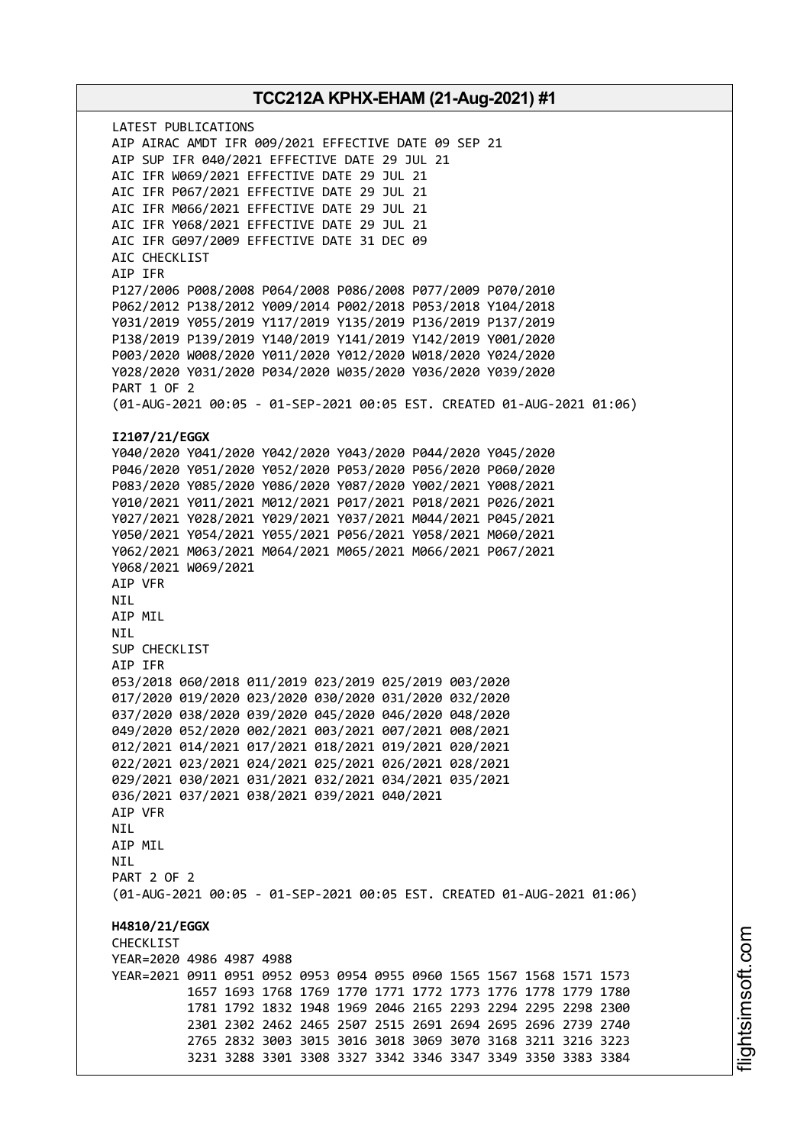LATEST PUBLICATIONS AIP AIRAC AMDT IFR 009/2021 EFFECTIVE DATE 09 SEP 21 AIP SUP IFR 040/2021 EFFECTIVE DATE 29 JUL 21 AIC IFR W069/2021 EFFECTIVE DATE 29 JUL 21 AIC IFR P067/2021 EFFECTIVE DATE 29 JUL 21 AIC IFR M066/2021 EFFECTIVE DATE 29 JUL 21 AIC IFR Y068/2021 EFFECTIVE DATE 29 JUL 21 AIC IFR G097/2009 EFFECTIVE DATE 31 DEC 09 AIC CHECKLIST AIP IFR P127/2006 P008/2008 P064/2008 P086/2008 P077/2009 P070/2010 P062/2012 P138/2012 Y009/2014 P002/2018 P053/2018 Y104/2018 Y031/2019 Y055/2019 Y117/2019 Y135/2019 P136/2019 P137/2019 P138/2019 P139/2019 Y140/2019 Y141/2019 Y142/2019 Y001/2020 P003/2020 W008/2020 Y011/2020 Y012/2020 W018/2020 Y024/2020 Y028/2020 Y031/2020 P034/2020 W035/2020 Y036/2020 Y039/2020 PART 1 OF 2 (01-AUG-2021 00:05 - 01-SEP-2021 00:05 EST. CREATED 01-AUG-2021 01:06) **I2107/21/EGGX** Y040/2020 Y041/2020 Y042/2020 Y043/2020 P044/2020 Y045/2020 P046/2020 Y051/2020 Y052/2020 P053/2020 P056/2020 P060/2020 P083/2020 Y085/2020 Y086/2020 Y087/2020 Y002/2021 Y008/2021 Y010/2021 Y011/2021 M012/2021 P017/2021 P018/2021 P026/2021 Y027/2021 Y028/2021 Y029/2021 Y037/2021 M044/2021 P045/2021 Y050/2021 Y054/2021 Y055/2021 P056/2021 Y058/2021 M060/2021 Y062/2021 M063/2021 M064/2021 M065/2021 M066/2021 P067/2021 Y068/2021 W069/2021 AIP VFR NIL AIP MIL NIL SUP CHECKLIST AIP IFR 053/2018 060/2018 011/2019 023/2019 025/2019 003/2020 017/2020 019/2020 023/2020 030/2020 031/2020 032/2020 037/2020 038/2020 039/2020 045/2020 046/2020 048/2020 049/2020 052/2020 002/2021 003/2021 007/2021 008/2021 012/2021 014/2021 017/2021 018/2021 019/2021 020/2021 022/2021 023/2021 024/2021 025/2021 026/2021 028/2021 029/2021 030/2021 031/2021 032/2021 034/2021 035/2021 036/2021 037/2021 038/2021 039/2021 040/2021 AIP VFR NIL AIP MIL **NTI** PART 2 OF 2 (01-AUG-2021 00:05 - 01-SEP-2021 00:05 EST. CREATED 01-AUG-2021 01:06) **H4810/21/EGGX** CHECKLIST YEAR=2020 4986 4987 4988 YEAR=2021 0911 0951 0952 0953 0954 0955 0960 1565 1567 1568 1571 1573 1657 1693 1768 1769 1770 1771 1772 1773 1776 1778 1779 1780 1781 1792 1832 1948 1969 2046 2165 2293 2294 2295 2298 2300 2301 2302 2462 2465 2507 2515 2691 2694 2695 2696 2739 2740 2765 2832 3003 3015 3016 3018 3069 3070 3168 3211 3216 3223 3231 3288 3301 3308 3327 3342 3346 3347 3349 3350 3383 3384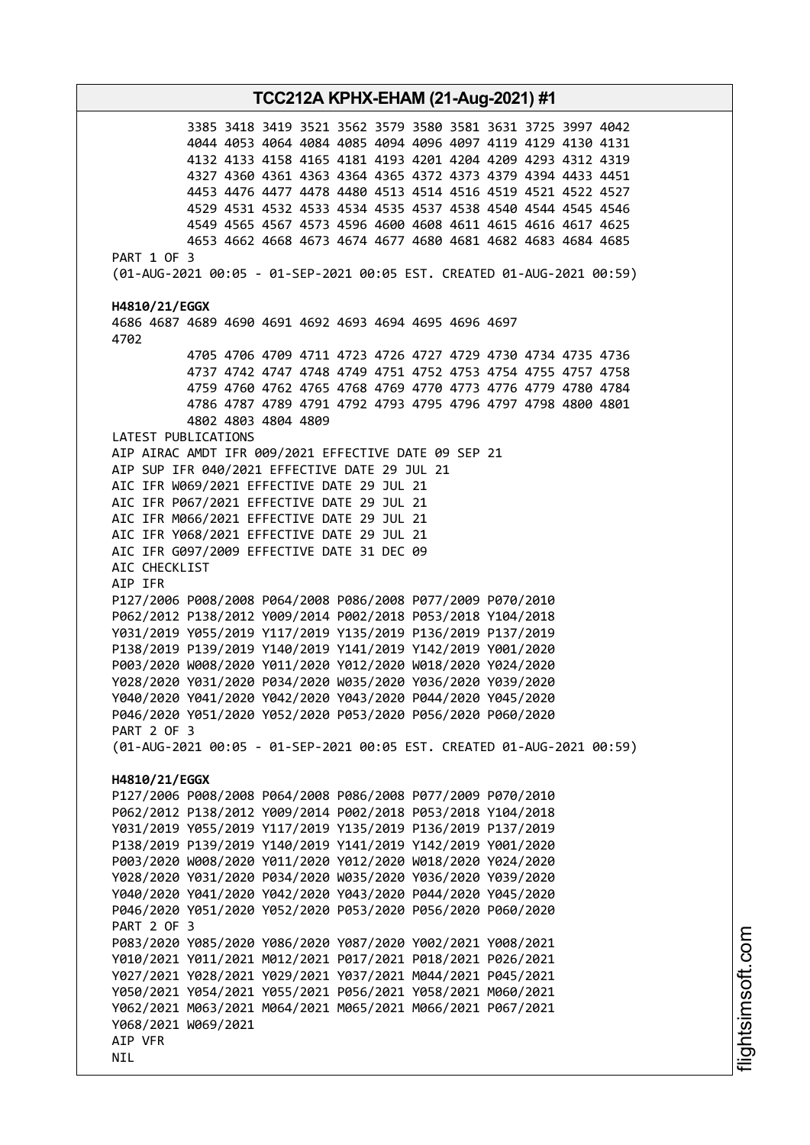3385 3418 3419 3521 3562 3579 3580 3581 3631 3725 3997 4042 4044 4053 4064 4084 4085 4094 4096 4097 4119 4129 4130 4131 4132 4133 4158 4165 4181 4193 4201 4204 4209 4293 4312 4319 4327 4360 4361 4363 4364 4365 4372 4373 4379 4394 4433 4451 4453 4476 4477 4478 4480 4513 4514 4516 4519 4521 4522 4527 4529 4531 4532 4533 4534 4535 4537 4538 4540 4544 4545 4546 4549 4565 4567 4573 4596 4600 4608 4611 4615 4616 4617 4625 4653 4662 4668 4673 4674 4677 4680 4681 4682 4683 4684 4685 PART 1 OF 3 (01-AUG-2021 00:05 - 01-SEP-2021 00:05 EST. CREATED 01-AUG-2021 00:59) **H4810/21/EGGX** 4686 4687 4689 4690 4691 4692 4693 4694 4695 4696 4697 4702 4705 4706 4709 4711 4723 4726 4727 4729 4730 4734 4735 4736 4737 4742 4747 4748 4749 4751 4752 4753 4754 4755 4757 4758 4759 4760 4762 4765 4768 4769 4770 4773 4776 4779 4780 4784 4786 4787 4789 4791 4792 4793 4795 4796 4797 4798 4800 4801 4802 4803 4804 4809 LATEST PUBLICATIONS AIP AIRAC AMDT IFR 009/2021 EFFECTIVE DATE 09 SEP 21 AIP SUP IFR 040/2021 EFFECTIVE DATE 29 JUL 21 AIC IFR W069/2021 EFFECTIVE DATE 29 JUL 21 AIC IFR P067/2021 EFFECTIVE DATE 29 JUL 21 AIC IFR M066/2021 EFFECTIVE DATE 29 JUL 21 AIC IFR Y068/2021 EFFECTIVE DATE 29 JUL 21 AIC IFR G097/2009 EFFECTIVE DATE 31 DEC 09 AIC CHECKLIST AIP IFR P127/2006 P008/2008 P064/2008 P086/2008 P077/2009 P070/2010 P062/2012 P138/2012 Y009/2014 P002/2018 P053/2018 Y104/2018 Y031/2019 Y055/2019 Y117/2019 Y135/2019 P136/2019 P137/2019 P138/2019 P139/2019 Y140/2019 Y141/2019 Y142/2019 Y001/2020 P003/2020 W008/2020 Y011/2020 Y012/2020 W018/2020 Y024/2020 Y028/2020 Y031/2020 P034/2020 W035/2020 Y036/2020 Y039/2020 Y040/2020 Y041/2020 Y042/2020 Y043/2020 P044/2020 Y045/2020 P046/2020 Y051/2020 Y052/2020 P053/2020 P056/2020 P060/2020 PART 2 OF 3 (01-AUG-2021 00:05 - 01-SEP-2021 00:05 EST. CREATED 01-AUG-2021 00:59) **H4810/21/EGGX** P127/2006 P008/2008 P064/2008 P086/2008 P077/2009 P070/2010 P062/2012 P138/2012 Y009/2014 P002/2018 P053/2018 Y104/2018 Y031/2019 Y055/2019 Y117/2019 Y135/2019 P136/2019 P137/2019 P138/2019 P139/2019 Y140/2019 Y141/2019 Y142/2019 Y001/2020 P003/2020 W008/2020 Y011/2020 Y012/2020 W018/2020 Y024/2020 Y028/2020 Y031/2020 P034/2020 W035/2020 Y036/2020 Y039/2020 Y040/2020 Y041/2020 Y042/2020 Y043/2020 P044/2020 Y045/2020 P046/2020 Y051/2020 Y052/2020 P053/2020 P056/2020 P060/2020 PART 2 OF 3 P083/2020 Y085/2020 Y086/2020 Y087/2020 Y002/2021 Y008/2021 Y010/2021 Y011/2021 M012/2021 P017/2021 P018/2021 P026/2021 Y027/2021 Y028/2021 Y029/2021 Y037/2021 M044/2021 P045/2021 Y050/2021 Y054/2021 Y055/2021 P056/2021 Y058/2021 M060/2021 Y062/2021 M063/2021 M064/2021 M065/2021 M066/2021 P067/2021 Y068/2021 W069/2021 AIP VFR NIL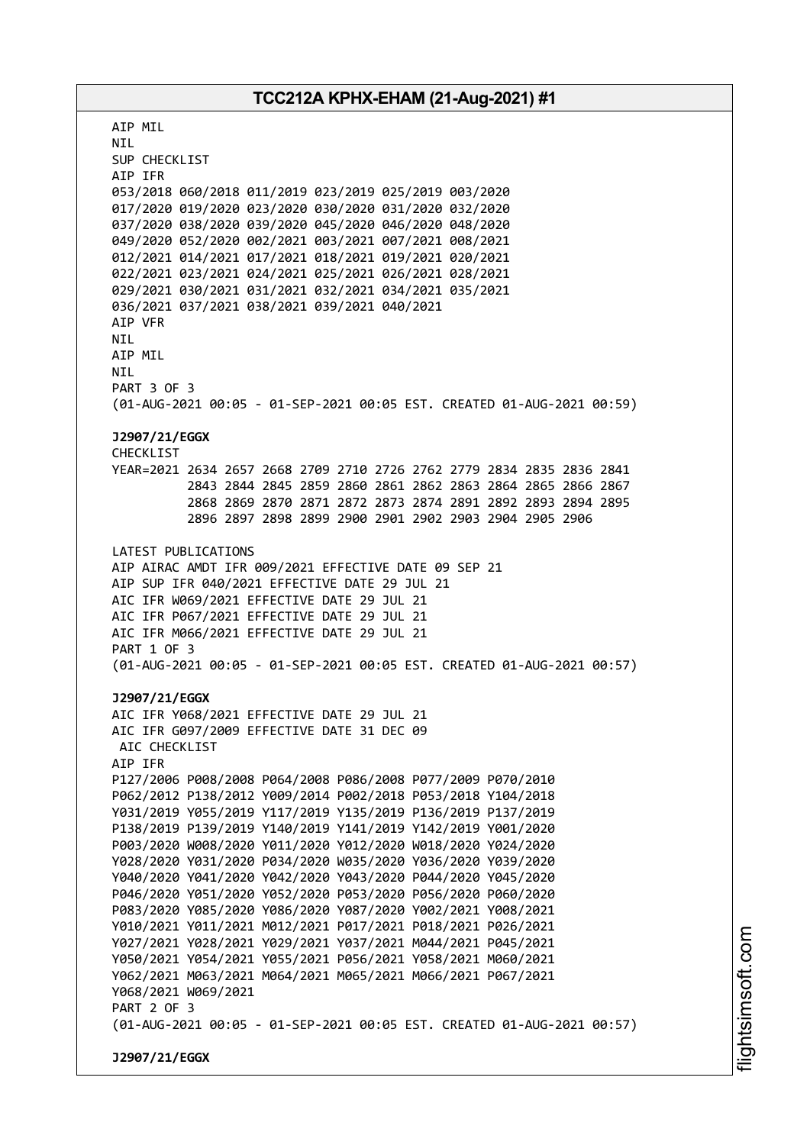AIP MIL NIL SUP CHECKLIST AIP IFR 053/2018 060/2018 011/2019 023/2019 025/2019 003/2020 017/2020 019/2020 023/2020 030/2020 031/2020 032/2020 037/2020 038/2020 039/2020 045/2020 046/2020 048/2020 049/2020 052/2020 002/2021 003/2021 007/2021 008/2021 012/2021 014/2021 017/2021 018/2021 019/2021 020/2021 022/2021 023/2021 024/2021 025/2021 026/2021 028/2021 029/2021 030/2021 031/2021 032/2021 034/2021 035/2021 036/2021 037/2021 038/2021 039/2021 040/2021 AIP VFR NIL AIP MIL NIL PART 3 OF 3 (01-AUG-2021 00:05 - 01-SEP-2021 00:05 EST. CREATED 01-AUG-2021 00:59) **J2907/21/EGGX** CHECKLIST YEAR=2021 2634 2657 2668 2709 2710 2726 2762 2779 2834 2835 2836 2841 2843 2844 2845 2859 2860 2861 2862 2863 2864 2865 2866 2867 2868 2869 2870 2871 2872 2873 2874 2891 2892 2893 2894 2895 2896 2897 2898 2899 2900 2901 2902 2903 2904 2905 2906 LATEST PUBLICATIONS AIP AIRAC AMDT IFR 009/2021 EFFECTIVE DATE 09 SEP 21 AIP SUP IFR 040/2021 EFFECTIVE DATE 29 JUL 21 AIC IFR W069/2021 EFFECTIVE DATE 29 JUL 21 AIC IFR P067/2021 EFFECTIVE DATE 29 JUL 21 AIC IFR M066/2021 EFFECTIVE DATE 29 JUL 21 PART 1 OF 3 (01-AUG-2021 00:05 - 01-SEP-2021 00:05 EST. CREATED 01-AUG-2021 00:57) **J2907/21/EGGX** AIC IFR Y068/2021 EFFECTIVE DATE 29 JUL 21 AIC IFR G097/2009 EFFECTIVE DATE 31 DEC 09 AIC CHECKLIST AIP IFR P127/2006 P008/2008 P064/2008 P086/2008 P077/2009 P070/2010 P062/2012 P138/2012 Y009/2014 P002/2018 P053/2018 Y104/2018 Y031/2019 Y055/2019 Y117/2019 Y135/2019 P136/2019 P137/2019 P138/2019 P139/2019 Y140/2019 Y141/2019 Y142/2019 Y001/2020 P003/2020 W008/2020 Y011/2020 Y012/2020 W018/2020 Y024/2020 Y028/2020 Y031/2020 P034/2020 W035/2020 Y036/2020 Y039/2020 Y040/2020 Y041/2020 Y042/2020 Y043/2020 P044/2020 Y045/2020 P046/2020 Y051/2020 Y052/2020 P053/2020 P056/2020 P060/2020 P083/2020 Y085/2020 Y086/2020 Y087/2020 Y002/2021 Y008/2021 Y010/2021 Y011/2021 M012/2021 P017/2021 P018/2021 P026/2021 Y027/2021 Y028/2021 Y029/2021 Y037/2021 M044/2021 P045/2021 Y050/2021 Y054/2021 Y055/2021 P056/2021 Y058/2021 M060/2021 Y062/2021 M063/2021 M064/2021 M065/2021 M066/2021 P067/2021 Y068/2021 W069/2021 PART 2 OF 3 (01-AUG-2021 00:05 - 01-SEP-2021 00:05 EST. CREATED 01-AUG-2021 00:57) **J2907/21/EGGX**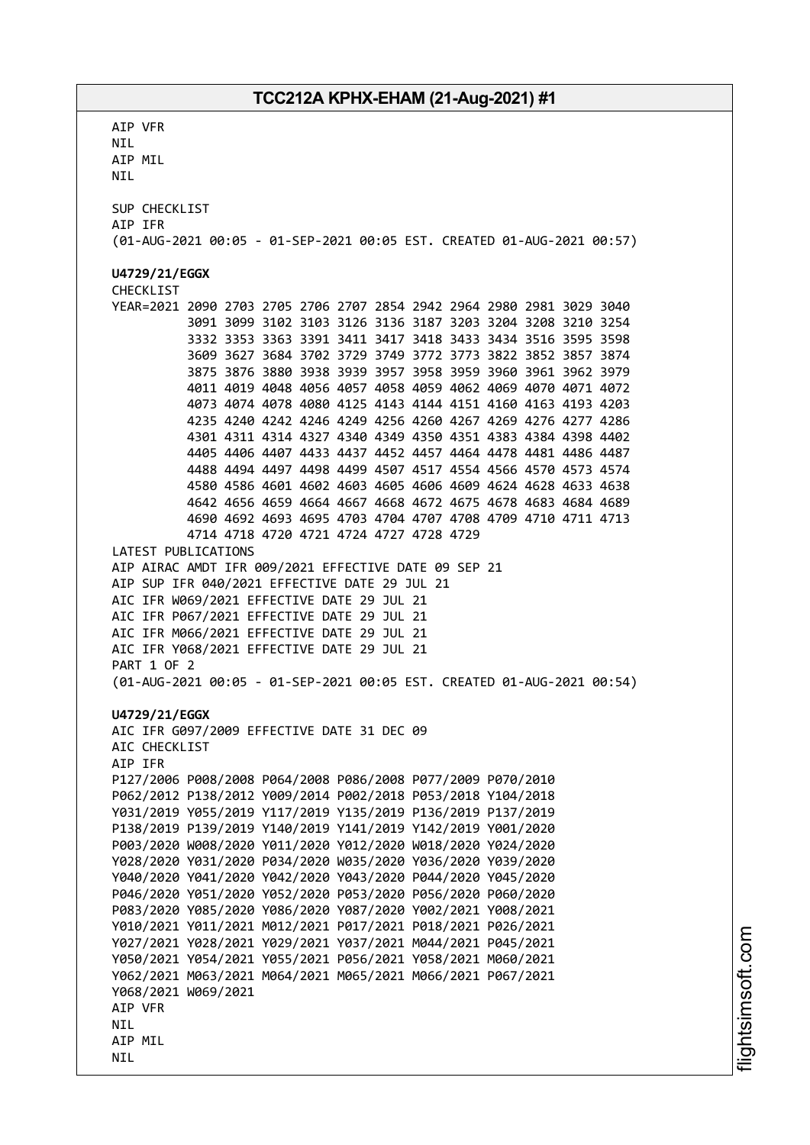AIP VFR NIL AIP MIL NIL SUP CHECKLIST AIP IFR (01-AUG-2021 00:05 - 01-SEP-2021 00:05 EST. CREATED 01-AUG-2021 00:57) **U4729/21/EGGX** CHECKLIST YEAR=2021 2090 2703 2705 2706 2707 2854 2942 2964 2980 2981 3029 3040 3091 3099 3102 3103 3126 3136 3187 3203 3204 3208 3210 3254 3332 3353 3363 3391 3411 3417 3418 3433 3434 3516 3595 3598 3609 3627 3684 3702 3729 3749 3772 3773 3822 3852 3857 3874 3875 3876 3880 3938 3939 3957 3958 3959 3960 3961 3962 3979 4011 4019 4048 4056 4057 4058 4059 4062 4069 4070 4071 4072 4073 4074 4078 4080 4125 4143 4144 4151 4160 4163 4193 4203 4235 4240 4242 4246 4249 4256 4260 4267 4269 4276 4277 4286 4301 4311 4314 4327 4340 4349 4350 4351 4383 4384 4398 4402 4405 4406 4407 4433 4437 4452 4457 4464 4478 4481 4486 4487 4488 4494 4497 4498 4499 4507 4517 4554 4566 4570 4573 4574 4580 4586 4601 4602 4603 4605 4606 4609 4624 4628 4633 4638 4642 4656 4659 4664 4667 4668 4672 4675 4678 4683 4684 4689 4690 4692 4693 4695 4703 4704 4707 4708 4709 4710 4711 4713 4714 4718 4720 4721 4724 4727 4728 4729 LATEST PUBLICATIONS AIP AIRAC AMDT IFR 009/2021 EFFECTIVE DATE 09 SEP 21 AIP SUP IFR 040/2021 EFFECTIVE DATE 29 JUL 21 AIC IFR W069/2021 EFFECTIVE DATE 29 JUL 21 AIC IFR P067/2021 EFFECTIVE DATE 29 JUL 21 AIC IFR M066/2021 EFFECTIVE DATE 29 JUL 21 AIC IFR Y068/2021 EFFECTIVE DATE 29 JUL 21 PART 1 OF 2 (01-AUG-2021 00:05 - 01-SEP-2021 00:05 EST. CREATED 01-AUG-2021 00:54) **U4729/21/EGGX** AIC IFR G097/2009 EFFECTIVE DATE 31 DEC 09 AIC CHECKLIST AIP IFR P127/2006 P008/2008 P064/2008 P086/2008 P077/2009 P070/2010 P062/2012 P138/2012 Y009/2014 P002/2018 P053/2018 Y104/2018 Y031/2019 Y055/2019 Y117/2019 Y135/2019 P136/2019 P137/2019 P138/2019 P139/2019 Y140/2019 Y141/2019 Y142/2019 Y001/2020 P003/2020 W008/2020 Y011/2020 Y012/2020 W018/2020 Y024/2020 Y028/2020 Y031/2020 P034/2020 W035/2020 Y036/2020 Y039/2020 Y040/2020 Y041/2020 Y042/2020 Y043/2020 P044/2020 Y045/2020 P046/2020 Y051/2020 Y052/2020 P053/2020 P056/2020 P060/2020 P083/2020 Y085/2020 Y086/2020 Y087/2020 Y002/2021 Y008/2021 Y010/2021 Y011/2021 M012/2021 P017/2021 P018/2021 P026/2021 Y027/2021 Y028/2021 Y029/2021 Y037/2021 M044/2021 P045/2021 Y050/2021 Y054/2021 Y055/2021 P056/2021 Y058/2021 M060/2021 Y062/2021 M063/2021 M064/2021 M065/2021 M066/2021 P067/2021 Y068/2021 W069/2021 AIP VFR **NTI** AIP MIL NIL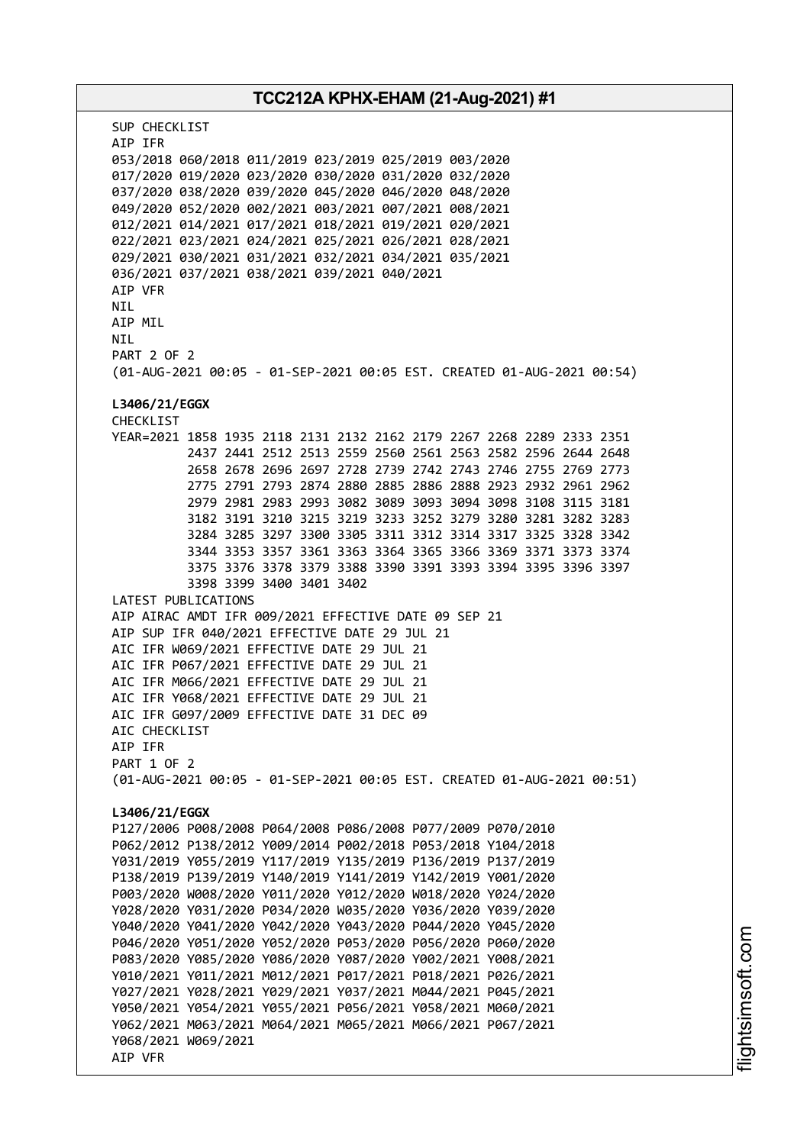# **TCC212A KPHX-EHAM (21-Aug-2021) #1** SUP CHECKLIST AIP IFR 053/2018 060/2018 011/2019 023/2019 025/2019 003/2020 017/2020 019/2020 023/2020 030/2020 031/2020 032/2020 037/2020 038/2020 039/2020 045/2020 046/2020 048/2020 049/2020 052/2020 002/2021 003/2021 007/2021 008/2021 012/2021 014/2021 017/2021 018/2021 019/2021 020/2021 022/2021 023/2021 024/2021 025/2021 026/2021 028/2021 029/2021 030/2021 031/2021 032/2021 034/2021 035/2021 036/2021 037/2021 038/2021 039/2021 040/2021 AIP VFR **NTI** AIP MIL NIL PART 2 OF 2 (01-AUG-2021 00:05 - 01-SEP-2021 00:05 EST. CREATED 01-AUG-2021 00:54) **L3406/21/EGGX** CHECKLIST YEAR=2021 1858 1935 2118 2131 2132 2162 2179 2267 2268 2289 2333 2351 2437 2441 2512 2513 2559 2560 2561 2563 2582 2596 2644 2648 2658 2678 2696 2697 2728 2739 2742 2743 2746 2755 2769 2773 2775 2791 2793 2874 2880 2885 2886 2888 2923 2932 2961 2962 2979 2981 2983 2993 3082 3089 3093 3094 3098 3108 3115 3181 3182 3191 3210 3215 3219 3233 3252 3279 3280 3281 3282 3283 3284 3285 3297 3300 3305 3311 3312 3314 3317 3325 3328 3342 3344 3353 3357 3361 3363 3364 3365 3366 3369 3371 3373 3374 3375 3376 3378 3379 3388 3390 3391 3393 3394 3395 3396 3397 3398 3399 3400 3401 3402 LATEST PUBLICATIONS AIP AIRAC AMDT IFR 009/2021 EFFECTIVE DATE 09 SEP 21 AIP SUP IFR 040/2021 EFFECTIVE DATE 29 JUL 21 AIC IFR W069/2021 EFFECTIVE DATE 29 JUL 21 AIC IFR P067/2021 EFFECTIVE DATE 29 JUL 21 AIC IFR M066/2021 EFFECTIVE DATE 29 JUL 21 AIC IFR Y068/2021 EFFECTIVE DATE 29 JUL 21 AIC IFR G097/2009 EFFECTIVE DATE 31 DEC 09 AIC CHECKLIST AIP IFR PART 1 OF 2 (01-AUG-2021 00:05 - 01-SEP-2021 00:05 EST. CREATED 01-AUG-2021 00:51) **L3406/21/EGGX** P127/2006 P008/2008 P064/2008 P086/2008 P077/2009 P070/2010 P062/2012 P138/2012 Y009/2014 P002/2018 P053/2018 Y104/2018 Y031/2019 Y055/2019 Y117/2019 Y135/2019 P136/2019 P137/2019 P138/2019 P139/2019 Y140/2019 Y141/2019 Y142/2019 Y001/2020 P003/2020 W008/2020 Y011/2020 Y012/2020 W018/2020 Y024/2020 Y028/2020 Y031/2020 P034/2020 W035/2020 Y036/2020 Y039/2020 Y040/2020 Y041/2020 Y042/2020 Y043/2020 P044/2020 Y045/2020 P046/2020 Y051/2020 Y052/2020 P053/2020 P056/2020 P060/2020 P083/2020 Y085/2020 Y086/2020 Y087/2020 Y002/2021 Y008/2021 Y010/2021 Y011/2021 M012/2021 P017/2021 P018/2021 P026/2021 Y027/2021 Y028/2021 Y029/2021 Y037/2021 M044/2021 P045/2021 Y050/2021 Y054/2021 Y055/2021 P056/2021 Y058/2021 M060/2021 Y062/2021 M063/2021 M064/2021 M065/2021 M066/2021 P067/2021 Y068/2021 W069/2021 AIP VFR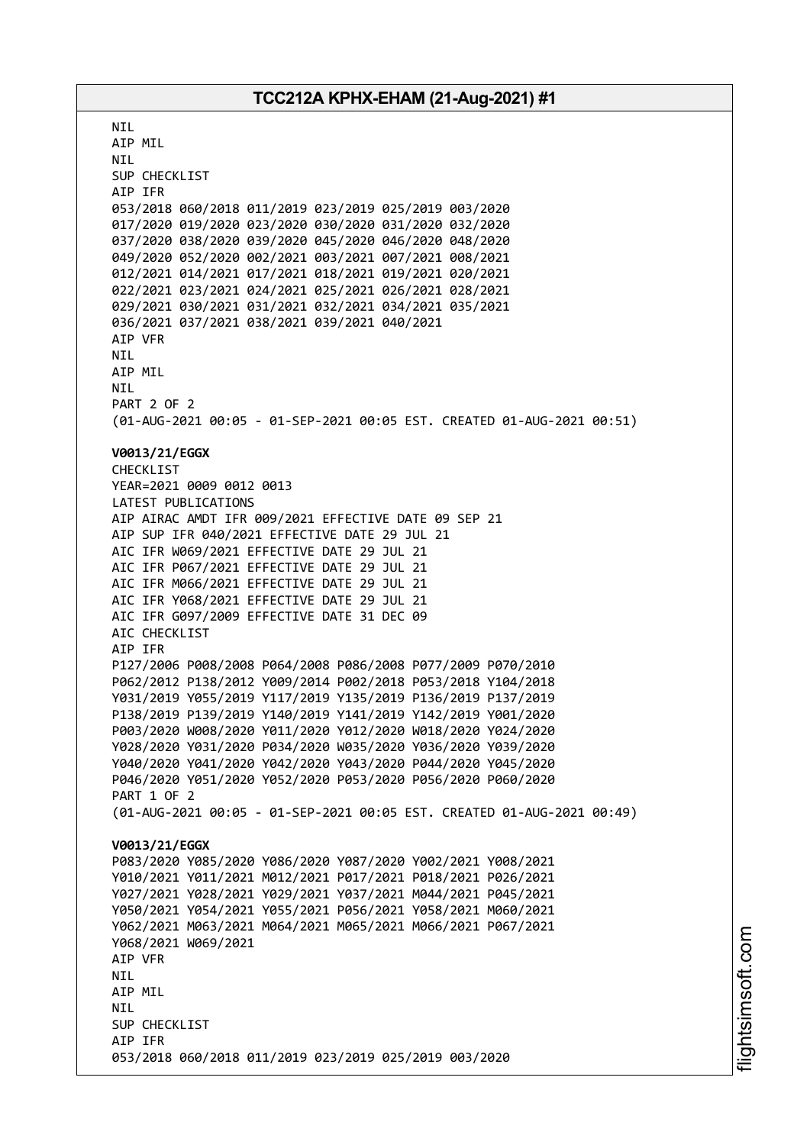**NTI** AIP MIL NIL SUP CHECKLIST AIP IFR 053/2018 060/2018 011/2019 023/2019 025/2019 003/2020 017/2020 019/2020 023/2020 030/2020 031/2020 032/2020 037/2020 038/2020 039/2020 045/2020 046/2020 048/2020 049/2020 052/2020 002/2021 003/2021 007/2021 008/2021 012/2021 014/2021 017/2021 018/2021 019/2021 020/2021 022/2021 023/2021 024/2021 025/2021 026/2021 028/2021 029/2021 030/2021 031/2021 032/2021 034/2021 035/2021 036/2021 037/2021 038/2021 039/2021 040/2021 AIP VFR NIL AIP MIL NIL PART 2 OF 2 (01-AUG-2021 00:05 - 01-SEP-2021 00:05 EST. CREATED 01-AUG-2021 00:51) **V0013/21/EGGX** CHECKLIST YEAR=2021 0009 0012 0013 LATEST PUBLICATIONS AIP AIRAC AMDT IFR 009/2021 EFFECTIVE DATE 09 SEP 21 AIP SUP IFR 040/2021 EFFECTIVE DATE 29 JUL 21 AIC IFR W069/2021 EFFECTIVE DATE 29 JUL 21 AIC IFR P067/2021 EFFECTIVE DATE 29 JUL 21 AIC IFR M066/2021 EFFECTIVE DATE 29 JUL 21 AIC IFR Y068/2021 EFFECTIVE DATE 29 JUL 21 AIC IFR G097/2009 EFFECTIVE DATE 31 DEC 09 AIC CHECKLIST AIP IFR P127/2006 P008/2008 P064/2008 P086/2008 P077/2009 P070/2010 P062/2012 P138/2012 Y009/2014 P002/2018 P053/2018 Y104/2018 Y031/2019 Y055/2019 Y117/2019 Y135/2019 P136/2019 P137/2019 P138/2019 P139/2019 Y140/2019 Y141/2019 Y142/2019 Y001/2020 P003/2020 W008/2020 Y011/2020 Y012/2020 W018/2020 Y024/2020 Y028/2020 Y031/2020 P034/2020 W035/2020 Y036/2020 Y039/2020 Y040/2020 Y041/2020 Y042/2020 Y043/2020 P044/2020 Y045/2020 P046/2020 Y051/2020 Y052/2020 P053/2020 P056/2020 P060/2020 PART 1 OF 2 (01-AUG-2021 00:05 - 01-SEP-2021 00:05 EST. CREATED 01-AUG-2021 00:49) **V0013/21/EGGX** P083/2020 Y085/2020 Y086/2020 Y087/2020 Y002/2021 Y008/2021 Y010/2021 Y011/2021 M012/2021 P017/2021 P018/2021 P026/2021 Y027/2021 Y028/2021 Y029/2021 Y037/2021 M044/2021 P045/2021 Y050/2021 Y054/2021 Y055/2021 P056/2021 Y058/2021 M060/2021 Y062/2021 M063/2021 M064/2021 M065/2021 M066/2021 P067/2021 Y068/2021 W069/2021 AIP VFR NIL AIP MIL **NTI** SUP CHECKLIST AIP IFR 053/2018 060/2018 011/2019 023/2019 025/2019 003/2020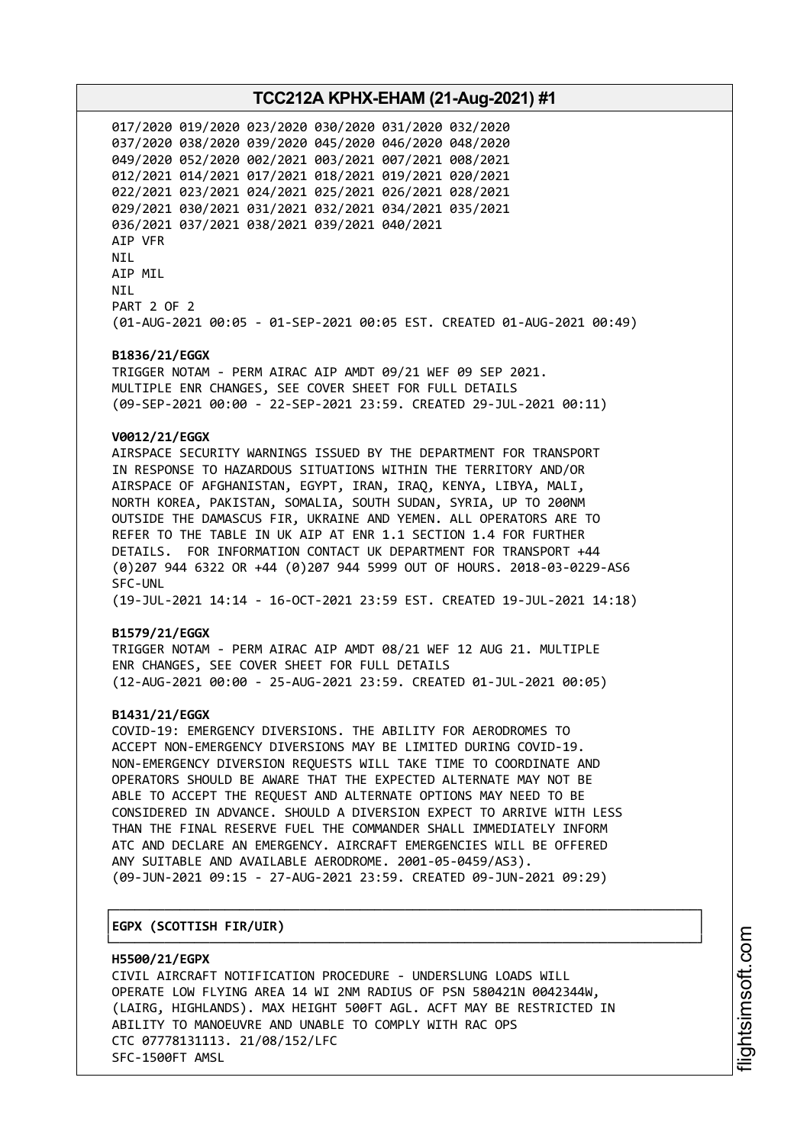017/2020 019/2020 023/2020 030/2020 031/2020 032/2020 037/2020 038/2020 039/2020 045/2020 046/2020 048/2020 049/2020 052/2020 002/2021 003/2021 007/2021 008/2021 012/2021 014/2021 017/2021 018/2021 019/2021 020/2021 022/2021 023/2021 024/2021 025/2021 026/2021 028/2021 029/2021 030/2021 031/2021 032/2021 034/2021 035/2021 036/2021 037/2021 038/2021 039/2021 040/2021 AIP VFR NIL AIP MIL NIL PART 2 OF 2 (01-AUG-2021 00:05 - 01-SEP-2021 00:05 EST. CREATED 01-AUG-2021 00:49)

#### **B1836/21/EGGX**

TRIGGER NOTAM - PERM AIRAC AIP AMDT 09/21 WEF 09 SEP 2021. MULTIPLE ENR CHANGES, SEE COVER SHEET FOR FULL DETAILS (09-SEP-2021 00:00 - 22-SEP-2021 23:59. CREATED 29-JUL-2021 00:11)

#### **V0012/21/EGGX**

AIRSPACE SECURITY WARNINGS ISSUED BY THE DEPARTMENT FOR TRANSPORT IN RESPONSE TO HAZARDOUS SITUATIONS WITHIN THE TERRITORY AND/OR AIRSPACE OF AFGHANISTAN, EGYPT, IRAN, IRAQ, KENYA, LIBYA, MALI, NORTH KOREA, PAKISTAN, SOMALIA, SOUTH SUDAN, SYRIA, UP TO 200NM OUTSIDE THE DAMASCUS FIR, UKRAINE AND YEMEN. ALL OPERATORS ARE TO REFER TO THE TABLE IN UK AIP AT ENR 1.1 SECTION 1.4 FOR FURTHER DETAILS. FOR INFORMATION CONTACT UK DEPARTMENT FOR TRANSPORT +44 (0)207 944 6322 OR +44 (0)207 944 5999 OUT OF HOURS. 2018-03-0229-AS6 SFC-UNL (19-JUL-2021 14:14 - 16-OCT-2021 23:59 EST. CREATED 19-JUL-2021 14:18)

#### **B1579/21/EGGX**

TRIGGER NOTAM - PERM AIRAC AIP AMDT 08/21 WEF 12 AUG 21. MULTIPLE ENR CHANGES, SEE COVER SHEET FOR FULL DETAILS (12-AUG-2021 00:00 - 25-AUG-2021 23:59. CREATED 01-JUL-2021 00:05)

#### **B1431/21/EGGX**

COVID-19: EMERGENCY DIVERSIONS. THE ABILITY FOR AERODROMES TO ACCEPT NON-EMERGENCY DIVERSIONS MAY BE LIMITED DURING COVID-19. NON-EMERGENCY DIVERSION REQUESTS WILL TAKE TIME TO COORDINATE AND OPERATORS SHOULD BE AWARE THAT THE EXPECTED ALTERNATE MAY NOT BE ABLE TO ACCEPT THE REQUEST AND ALTERNATE OPTIONS MAY NEED TO BE CONSIDERED IN ADVANCE. SHOULD A DIVERSION EXPECT TO ARRIVE WITH LESS THAN THE FINAL RESERVE FUEL THE COMMANDER SHALL IMMEDIATELY INFORM ATC AND DECLARE AN EMERGENCY. AIRCRAFT EMERGENCIES WILL BE OFFERED ANY SUITABLE AND AVAILABLE AERODROME. 2001-05-0459/AS3). (09-JUN-2021 09:15 - 27-AUG-2021 23:59. CREATED 09-JUN-2021 09:29)

┌──────────────────────────────────────────────────────────────────────────────┐

#### │**EGPX (SCOTTISH FIR/UIR)** │

└──────────────────────────────────────────────────────────────────────────────┘ **H5500/21/EGPX** CIVIL AIRCRAFT NOTIFICATION PROCEDURE - UNDERSLUNG LOADS WILL OPERATE LOW FLYING AREA 14 WI 2NM RADIUS OF PSN 580421N 0042344W, (LAIRG, HIGHLANDS). MAX HEIGHT 500FT AGL. ACFT MAY BE RESTRICTED IN ABILITY TO MANOEUVRE AND UNABLE TO COMPLY WITH RAC OPS CTC 07778131113. 21/08/152/LFC SFC-1500FT AMSL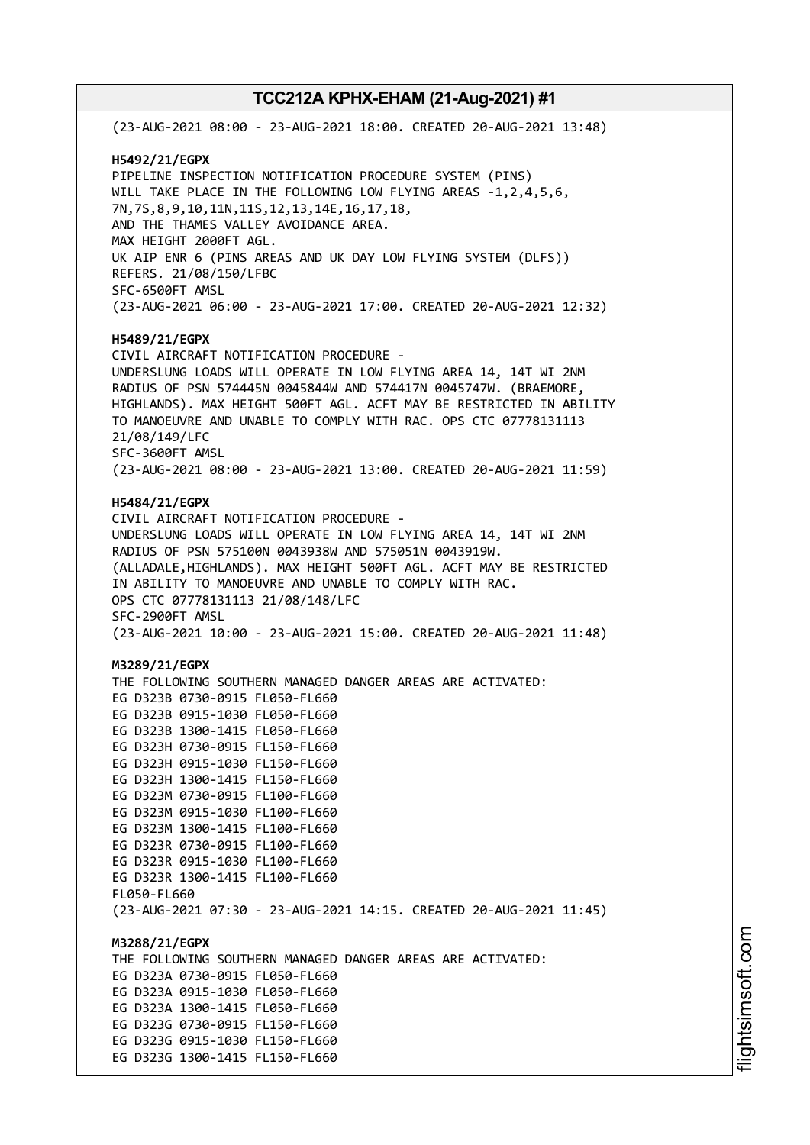(23-AUG-2021 08:00 - 23-AUG-2021 18:00. CREATED 20-AUG-2021 13:48) **H5492/21/EGPX** PIPELINE INSPECTION NOTIFICATION PROCEDURE SYSTEM (PINS) WILL TAKE PLACE IN THE FOLLOWING LOW FLYING AREAS -1,2,4,5,6, 7N,7S,8,9,10,11N,11S,12,13,14E,16,17,18, AND THE THAMES VALLEY AVOIDANCE AREA. MAX HEIGHT 2000FT AGL. UK AIP ENR 6 (PINS AREAS AND UK DAY LOW FLYING SYSTEM (DLFS)) REFERS. 21/08/150/LFBC SFC-6500FT AMSL (23-AUG-2021 06:00 - 23-AUG-2021 17:00. CREATED 20-AUG-2021 12:32) **H5489/21/EGPX** CIVIL AIRCRAFT NOTIFICATION PROCEDURE - UNDERSLUNG LOADS WILL OPERATE IN LOW FLYING AREA 14, 14T WI 2NM RADIUS OF PSN 574445N 0045844W AND 574417N 0045747W. (BRAEMORE, HIGHLANDS). MAX HEIGHT 500FT AGL. ACFT MAY BE RESTRICTED IN ABILITY TO MANOEUVRE AND UNABLE TO COMPLY WITH RAC. OPS CTC 07778131113 21/08/149/LFC SFC-3600FT AMSL (23-AUG-2021 08:00 - 23-AUG-2021 13:00. CREATED 20-AUG-2021 11:59) **H5484/21/EGPX** CIVIL AIRCRAFT NOTIFICATION PROCEDURE - UNDERSLUNG LOADS WILL OPERATE IN LOW FLYING AREA 14, 14T WI 2NM RADIUS OF PSN 575100N 0043938W AND 575051N 0043919W. (ALLADALE,HIGHLANDS). MAX HEIGHT 500FT AGL. ACFT MAY BE RESTRICTED IN ABILITY TO MANOEUVRE AND UNABLE TO COMPLY WITH RAC. OPS CTC 07778131113 21/08/148/LFC SFC-2900FT AMSL (23-AUG-2021 10:00 - 23-AUG-2021 15:00. CREATED 20-AUG-2021 11:48) **M3289/21/EGPX** THE FOLLOWING SOUTHERN MANAGED DANGER AREAS ARE ACTIVATED: EG D323B 0730-0915 FL050-FL660 EG D323B 0915-1030 FL050-FL660 EG D323B 1300-1415 FL050-FL660 EG D323H 0730-0915 FL150-FL660 EG D323H 0915-1030 FL150-FL660 EG D323H 1300-1415 FL150-FL660 EG D323M 0730-0915 FL100-FL660 EG D323M 0915-1030 FL100-FL660 EG D323M 1300-1415 FL100-FL660 EG D323R 0730-0915 FL100-FL660 EG D323R 0915-1030 FL100-FL660 EG D323R 1300-1415 FL100-FL660 FL050-FL660 (23-AUG-2021 07:30 - 23-AUG-2021 14:15. CREATED 20-AUG-2021 11:45) **M3288/21/EGPX** THE FOLLOWING SOUTHERN MANAGED DANGER AREAS ARE ACTIVATED: EG D323A 0730-0915 FL050-FL660 EG D323A 0915-1030 FL050-FL660 EG D323A 1300-1415 FL050-FL660 EG D323G 0730-0915 FL150-FL660 EG D323G 0915-1030 FL150-FL660 EG D323G 1300-1415 FL150-FL660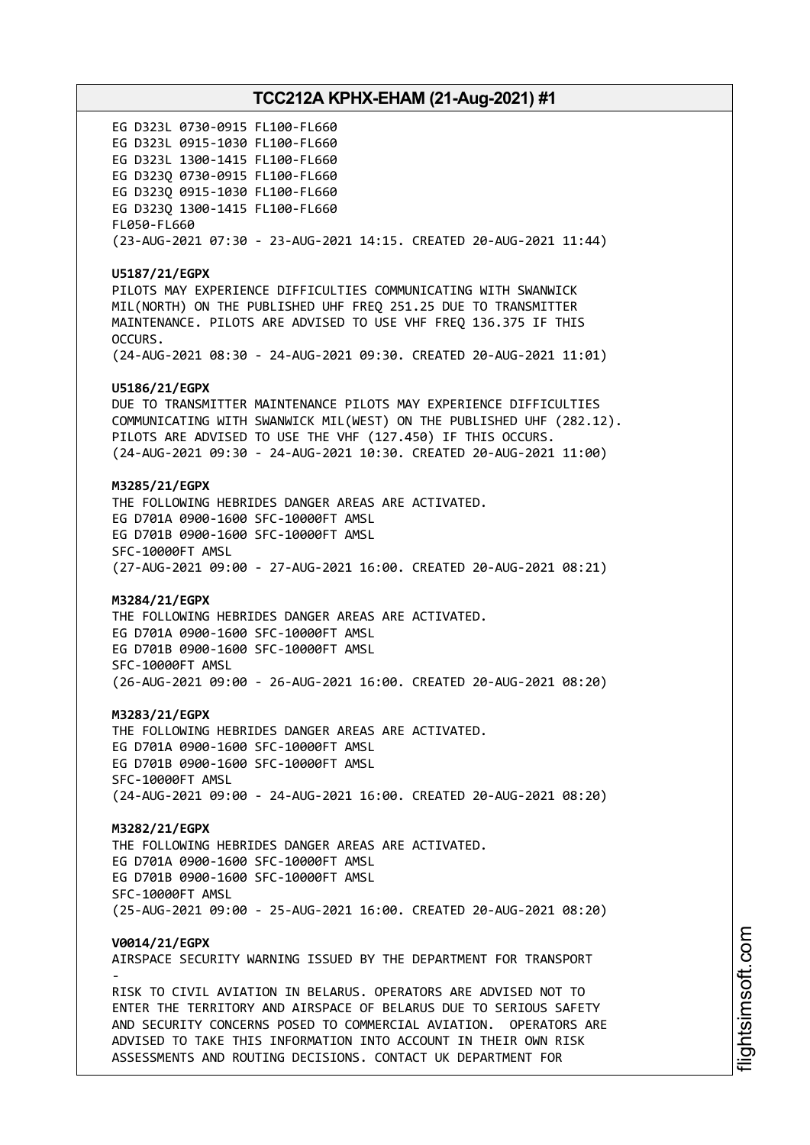EG D323L 0730-0915 FL100-FL660 EG D323L 0915-1030 FL100-FL660 EG D323L 1300-1415 FL100-FL660 EG D323Q 0730-0915 FL100-FL660 EG D323Q 0915-1030 FL100-FL660 EG D323Q 1300-1415 FL100-FL660 FL050-FL660 (23-AUG-2021 07:30 - 23-AUG-2021 14:15. CREATED 20-AUG-2021 11:44) **U5187/21/EGPX** PILOTS MAY EXPERIENCE DIFFICULTIES COMMUNICATING WITH SWANWICK MIL(NORTH) ON THE PUBLISHED UHF FREQ 251.25 DUE TO TRANSMITTER MAINTENANCE. PILOTS ARE ADVISED TO USE VHF FREQ 136.375 IF THIS OCCURS. (24-AUG-2021 08:30 - 24-AUG-2021 09:30. CREATED 20-AUG-2021 11:01) **U5186/21/EGPX** DUE TO TRANSMITTER MAINTENANCE PILOTS MAY EXPERIENCE DIFFICULTIES COMMUNICATING WITH SWANWICK MIL(WEST) ON THE PUBLISHED UHF (282.12). PILOTS ARE ADVISED TO USE THE VHF (127.450) IF THIS OCCURS. (24-AUG-2021 09:30 - 24-AUG-2021 10:30. CREATED 20-AUG-2021 11:00) **M3285/21/EGPX** THE FOLLOWING HEBRIDES DANGER AREAS ARE ACTIVATED. EG D701A 0900-1600 SFC-10000FT AMSL EG D701B 0900-1600 SFC-10000FT AMSL SFC-10000FT AMSL (27-AUG-2021 09:00 - 27-AUG-2021 16:00. CREATED 20-AUG-2021 08:21) **M3284/21/EGPX** THE FOLLOWING HEBRIDES DANGER AREAS ARE ACTIVATED. EG D701A 0900-1600 SFC-10000FT AMSL EG D701B 0900-1600 SFC-10000FT AMSL SFC-10000FT AMSL (26-AUG-2021 09:00 - 26-AUG-2021 16:00. CREATED 20-AUG-2021 08:20) **M3283/21/EGPX** THE FOLLOWING HEBRIDES DANGER AREAS ARE ACTIVATED. EG D701A 0900-1600 SFC-10000FT AMSL EG D701B 0900-1600 SFC-10000FT AMSL SFC-10000FT AMSL (24-AUG-2021 09:00 - 24-AUG-2021 16:00. CREATED 20-AUG-2021 08:20) **M3282/21/EGPX** THE FOLLOWING HEBRIDES DANGER AREAS ARE ACTIVATED. EG D701A 0900-1600 SFC-10000FT AMSL EG D701B 0900-1600 SFC-10000FT AMSL SFC-10000FT AMSL (25-AUG-2021 09:00 - 25-AUG-2021 16:00. CREATED 20-AUG-2021 08:20) **V0014/21/EGPX** AIRSPACE SECURITY WARNING ISSUED BY THE DEPARTMENT FOR TRANSPORT - RISK TO CIVIL AVIATION IN BELARUS. OPERATORS ARE ADVISED NOT TO ENTER THE TERRITORY AND AIRSPACE OF BELARUS DUE TO SERIOUS SAFETY AND SECURITY CONCERNS POSED TO COMMERCIAL AVIATION. OPERATORS ARE ADVISED TO TAKE THIS INFORMATION INTO ACCOUNT IN THEIR OWN RISK ASSESSMENTS AND ROUTING DECISIONS. CONTACT UK DEPARTMENT FOR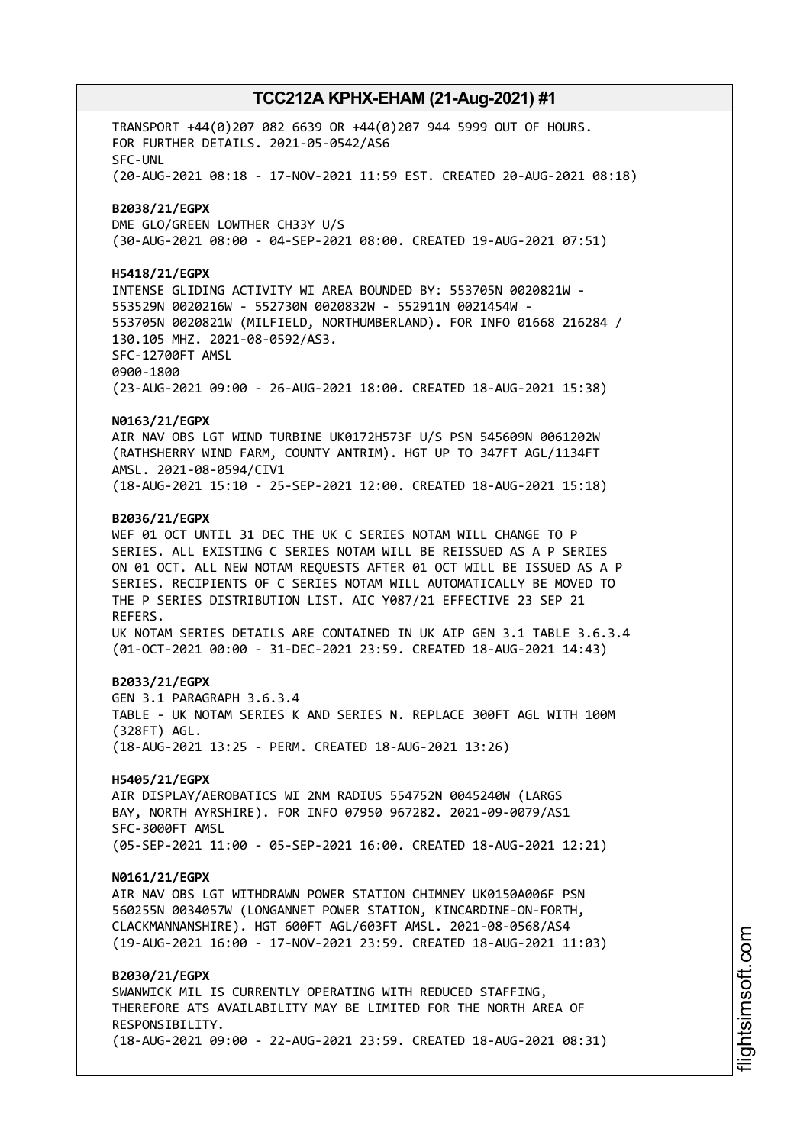TRANSPORT +44(0)207 082 6639 OR +44(0)207 944 5999 OUT OF HOURS. FOR FURTHER DETAILS. 2021-05-0542/AS6 SFC-UNL (20-AUG-2021 08:18 - 17-NOV-2021 11:59 EST. CREATED 20-AUG-2021 08:18) **B2038/21/EGPX** DME GLO/GREEN LOWTHER CH33Y U/S (30-AUG-2021 08:00 - 04-SEP-2021 08:00. CREATED 19-AUG-2021 07:51) **H5418/21/EGPX** INTENSE GLIDING ACTIVITY WI AREA BOUNDED BY: 553705N 0020821W - 553529N 0020216W - 552730N 0020832W - 552911N 0021454W - 553705N 0020821W (MILFIELD, NORTHUMBERLAND). FOR INFO 01668 216284 / 130.105 MHZ. 2021-08-0592/AS3. SFC-12700FT AMSL 0900-1800 (23-AUG-2021 09:00 - 26-AUG-2021 18:00. CREATED 18-AUG-2021 15:38) **N0163/21/EGPX** AIR NAV OBS LGT WIND TURBINE UK0172H573F U/S PSN 545609N 0061202W (RATHSHERRY WIND FARM, COUNTY ANTRIM). HGT UP TO 347FT AGL/1134FT AMSL. 2021-08-0594/CIV1 (18-AUG-2021 15:10 - 25-SEP-2021 12:00. CREATED 18-AUG-2021 15:18) **B2036/21/EGPX** WEF 01 OCT UNTIL 31 DEC THE UK C SERIES NOTAM WILL CHANGE TO P SERIES. ALL EXISTING C SERIES NOTAM WILL BE REISSUED AS A P SERIES ON 01 OCT. ALL NEW NOTAM REQUESTS AFTER 01 OCT WILL BE ISSUED AS A P SERIES. RECIPIENTS OF C SERIES NOTAM WILL AUTOMATICALLY BE MOVED TO THE P SERIES DISTRIBUTION LIST. AIC Y087/21 EFFECTIVE 23 SEP 21 REFERS. UK NOTAM SERIES DETAILS ARE CONTAINED IN UK AIP GEN 3.1 TABLE 3.6.3.4 (01-OCT-2021 00:00 - 31-DEC-2021 23:59. CREATED 18-AUG-2021 14:43) **B2033/21/EGPX** GEN 3.1 PARAGRAPH 3.6.3.4 TABLE - UK NOTAM SERIES K AND SERIES N. REPLACE 300FT AGL WITH 100M (328FT) AGL. (18-AUG-2021 13:25 - PERM. CREATED 18-AUG-2021 13:26) **H5405/21/EGPX** AIR DISPLAY/AEROBATICS WI 2NM RADIUS 554752N 0045240W (LARGS BAY, NORTH AYRSHIRE). FOR INFO 07950 967282. 2021-09-0079/AS1 SFC-3000FT AMSL (05-SEP-2021 11:00 - 05-SEP-2021 16:00. CREATED 18-AUG-2021 12:21) **N0161/21/EGPX** AIR NAV OBS LGT WITHDRAWN POWER STATION CHIMNEY UK0150A006F PSN 560255N 0034057W (LONGANNET POWER STATION, KINCARDINE-ON-FORTH, CLACKMANNANSHIRE). HGT 600FT AGL/603FT AMSL. 2021-08-0568/AS4 (19-AUG-2021 16:00 - 17-NOV-2021 23:59. CREATED 18-AUG-2021 11:03) **B2030/21/EGPX** SWANWICK MIL IS CURRENTLY OPERATING WITH REDUCED STAFFING, THEREFORE ATS AVAILABILITY MAY BE LIMITED FOR THE NORTH AREA OF RESPONSIBILITY. (18-AUG-2021 09:00 - 22-AUG-2021 23:59. CREATED 18-AUG-2021 08:31)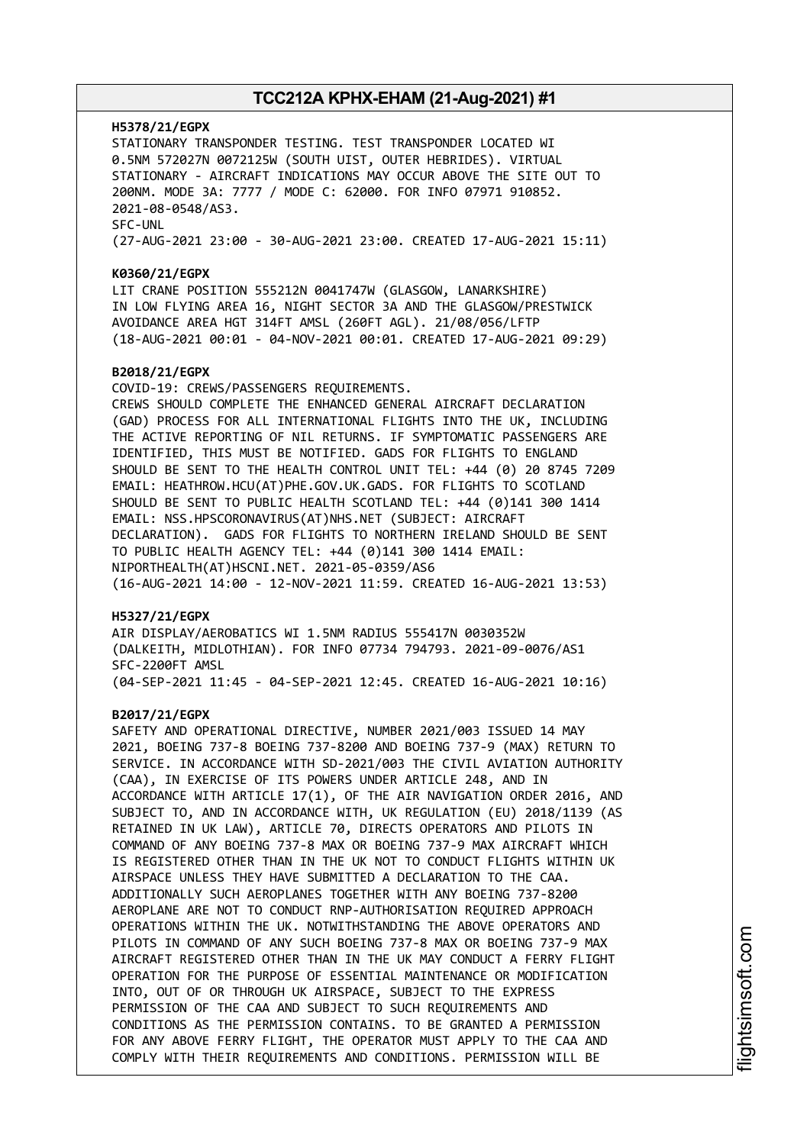#### **H5378/21/EGPX**

STATIONARY TRANSPONDER TESTING. TEST TRANSPONDER LOCATED WI 0.5NM 572027N 0072125W (SOUTH UIST, OUTER HEBRIDES). VIRTUAL STATIONARY - AIRCRAFT INDICATIONS MAY OCCUR ABOVE THE SITE OUT TO 200NM. MODE 3A: 7777 / MODE C: 62000. FOR INFO 07971 910852. 2021-08-0548/AS3. SFC-UNL (27-AUG-2021 23:00 - 30-AUG-2021 23:00. CREATED 17-AUG-2021 15:11)

#### **K0360/21/EGPX**

LIT CRANE POSITION 555212N 0041747W (GLASGOW, LANARKSHIRE) IN LOW FLYING AREA 16, NIGHT SECTOR 3A AND THE GLASGOW/PRESTWICK AVOIDANCE AREA HGT 314FT AMSL (260FT AGL). 21/08/056/LFTP (18-AUG-2021 00:01 - 04-NOV-2021 00:01. CREATED 17-AUG-2021 09:29)

#### **B2018/21/EGPX**

COVID-19: CREWS/PASSENGERS REQUIREMENTS. CREWS SHOULD COMPLETE THE ENHANCED GENERAL AIRCRAFT DECLARATION (GAD) PROCESS FOR ALL INTERNATIONAL FLIGHTS INTO THE UK, INCLUDING THE ACTIVE REPORTING OF NIL RETURNS. IF SYMPTOMATIC PASSENGERS ARE IDENTIFIED, THIS MUST BE NOTIFIED. GADS FOR FLIGHTS TO ENGLAND SHOULD BE SENT TO THE HEALTH CONTROL UNIT TEL: +44 (0) 20 8745 7209 EMAIL: HEATHROW.HCU(AT)PHE.GOV.UK.GADS. FOR FLIGHTS TO SCOTLAND SHOULD BE SENT TO PUBLIC HEALTH SCOTLAND TEL: +44 (0)141 300 1414 EMAIL: NSS.HPSCORONAVIRUS(AT)NHS.NET (SUBJECT: AIRCRAFT DECLARATION). GADS FOR FLIGHTS TO NORTHERN IRELAND SHOULD BE SENT TO PUBLIC HEALTH AGENCY TEL: +44 (0)141 300 1414 EMAIL: NIPORTHEALTH(AT)HSCNI.NET. 2021-05-0359/AS6 (16-AUG-2021 14:00 - 12-NOV-2021 11:59. CREATED 16-AUG-2021 13:53)

#### **H5327/21/EGPX**

AIR DISPLAY/AEROBATICS WI 1.5NM RADIUS 555417N 0030352W (DALKEITH, MIDLOTHIAN). FOR INFO 07734 794793. 2021-09-0076/AS1 SFC-2200FT AMSL (04-SEP-2021 11:45 - 04-SEP-2021 12:45. CREATED 16-AUG-2021 10:16)

#### **B2017/21/EGPX**

SAFETY AND OPERATIONAL DIRECTIVE, NUMBER 2021/003 ISSUED 14 MAY 2021, BOEING 737-8 BOEING 737-8200 AND BOEING 737-9 (MAX) RETURN TO SERVICE. IN ACCORDANCE WITH SD-2021/003 THE CIVIL AVIATION AUTHORITY (CAA), IN EXERCISE OF ITS POWERS UNDER ARTICLE 248, AND IN ACCORDANCE WITH ARTICLE 17(1), OF THE AIR NAVIGATION ORDER 2016, AND SUBJECT TO, AND IN ACCORDANCE WITH, UK REGULATION (EU) 2018/1139 (AS RETAINED IN UK LAW), ARTICLE 70, DIRECTS OPERATORS AND PILOTS IN COMMAND OF ANY BOEING 737-8 MAX OR BOEING 737-9 MAX AIRCRAFT WHICH IS REGISTERED OTHER THAN IN THE UK NOT TO CONDUCT FLIGHTS WITHIN UK AIRSPACE UNLESS THEY HAVE SUBMITTED A DECLARATION TO THE CAA. ADDITIONALLY SUCH AEROPLANES TOGETHER WITH ANY BOEING 737-8200 AEROPLANE ARE NOT TO CONDUCT RNP-AUTHORISATION REQUIRED APPROACH OPERATIONS WITHIN THE UK. NOTWITHSTANDING THE ABOVE OPERATORS AND PILOTS IN COMMAND OF ANY SUCH BOEING 737-8 MAX OR BOEING 737-9 MAX AIRCRAFT REGISTERED OTHER THAN IN THE UK MAY CONDUCT A FERRY FLIGHT OPERATION FOR THE PURPOSE OF ESSENTIAL MAINTENANCE OR MODIFICATION INTO, OUT OF OR THROUGH UK AIRSPACE, SUBJECT TO THE EXPRESS PERMISSION OF THE CAA AND SUBJECT TO SUCH REQUIREMENTS AND CONDITIONS AS THE PERMISSION CONTAINS. TO BE GRANTED A PERMISSION FOR ANY ABOVE FERRY FLIGHT, THE OPERATOR MUST APPLY TO THE CAA AND COMPLY WITH THEIR REQUIREMENTS AND CONDITIONS. PERMISSION WILL BE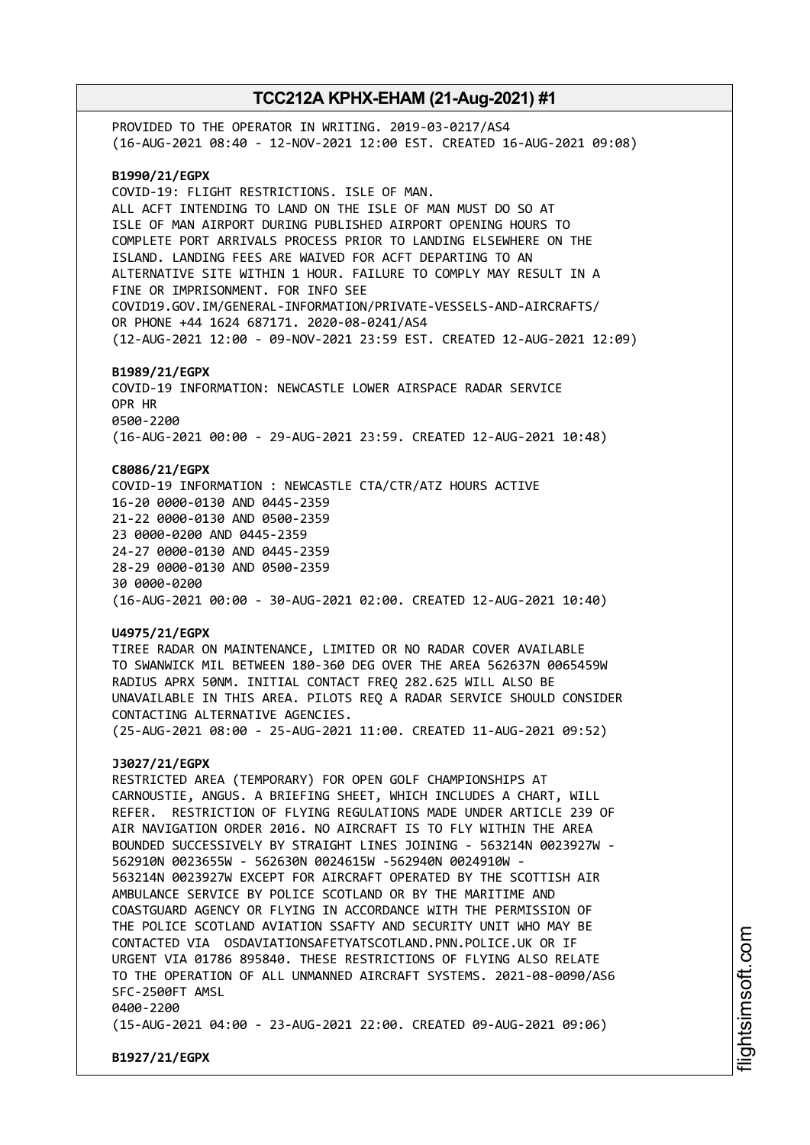PROVIDED TO THE OPERATOR IN WRITING. 2019-03-0217/AS4 (16-AUG-2021 08:40 - 12-NOV-2021 12:00 EST. CREATED 16-AUG-2021 09:08) **B1990/21/EGPX** COVID-19: FLIGHT RESTRICTIONS. ISLE OF MAN. ALL ACFT INTENDING TO LAND ON THE ISLE OF MAN MUST DO SO AT ISLE OF MAN AIRPORT DURING PUBLISHED AIRPORT OPENING HOURS TO COMPLETE PORT ARRIVALS PROCESS PRIOR TO LANDING ELSEWHERE ON THE ISLAND. LANDING FEES ARE WAIVED FOR ACFT DEPARTING TO AN ALTERNATIVE SITE WITHIN 1 HOUR. FAILURE TO COMPLY MAY RESULT IN A FINE OR IMPRISONMENT. FOR INFO SEE COVID19.GOV.IM/GENERAL-INFORMATION/PRIVATE-VESSELS-AND-AIRCRAFTS/ OR PHONE +44 1624 687171. 2020-08-0241/AS4 (12-AUG-2021 12:00 - 09-NOV-2021 23:59 EST. CREATED 12-AUG-2021 12:09) **B1989/21/EGPX** COVID-19 INFORMATION: NEWCASTLE LOWER AIRSPACE RADAR SERVICE OPR HR 0500-2200 (16-AUG-2021 00:00 - 29-AUG-2021 23:59. CREATED 12-AUG-2021 10:48) **C8086/21/EGPX** COVID-19 INFORMATION : NEWCASTLE CTA/CTR/ATZ HOURS ACTIVE 16-20 0000-0130 AND 0445-2359 21-22 0000-0130 AND 0500-2359 23 0000-0200 AND 0445-2359 24-27 0000-0130 AND 0445-2359 28-29 0000-0130 AND 0500-2359 30 0000-0200 (16-AUG-2021 00:00 - 30-AUG-2021 02:00. CREATED 12-AUG-2021 10:40) **U4975/21/EGPX** TIREE RADAR ON MAINTENANCE, LIMITED OR NO RADAR COVER AVAILABLE TO SWANWICK MIL BETWEEN 180-360 DEG OVER THE AREA 562637N 0065459W RADIUS APRX 50NM. INITIAL CONTACT FREQ 282.625 WILL ALSO BE UNAVAILABLE IN THIS AREA. PILOTS REQ A RADAR SERVICE SHOULD CONSIDER CONTACTING ALTERNATIVE AGENCIES. (25-AUG-2021 08:00 - 25-AUG-2021 11:00. CREATED 11-AUG-2021 09:52) **J3027/21/EGPX** RESTRICTED AREA (TEMPORARY) FOR OPEN GOLF CHAMPIONSHIPS AT CARNOUSTIE, ANGUS. A BRIEFING SHEET, WHICH INCLUDES A CHART, WILL REFER. RESTRICTION OF FLYING REGULATIONS MADE UNDER ARTICLE 239 OF AIR NAVIGATION ORDER 2016. NO AIRCRAFT IS TO FLY WITHIN THE AREA BOUNDED SUCCESSIVELY BY STRAIGHT LINES JOINING - 563214N 0023927W - 562910N 0023655W - 562630N 0024615W -562940N 0024910W - 563214N 0023927W EXCEPT FOR AIRCRAFT OPERATED BY THE SCOTTISH AIR AMBULANCE SERVICE BY POLICE SCOTLAND OR BY THE MARITIME AND COASTGUARD AGENCY OR FLYING IN ACCORDANCE WITH THE PERMISSION OF THE POLICE SCOTLAND AVIATION SSAFTY AND SECURITY UNIT WHO MAY BE CONTACTED VIA OSDAVIATIONSAFETYATSCOTLAND.PNN.POLICE.UK OR IF URGENT VIA 01786 895840. THESE RESTRICTIONS OF FLYING ALSO RELATE TO THE OPERATION OF ALL UNMANNED AIRCRAFT SYSTEMS. 2021-08-0090/AS6 SFC-2500FT AMSL 0400-2200 (15-AUG-2021 04:00 - 23-AUG-2021 22:00. CREATED 09-AUG-2021 09:06)

**B1927/21/EGPX**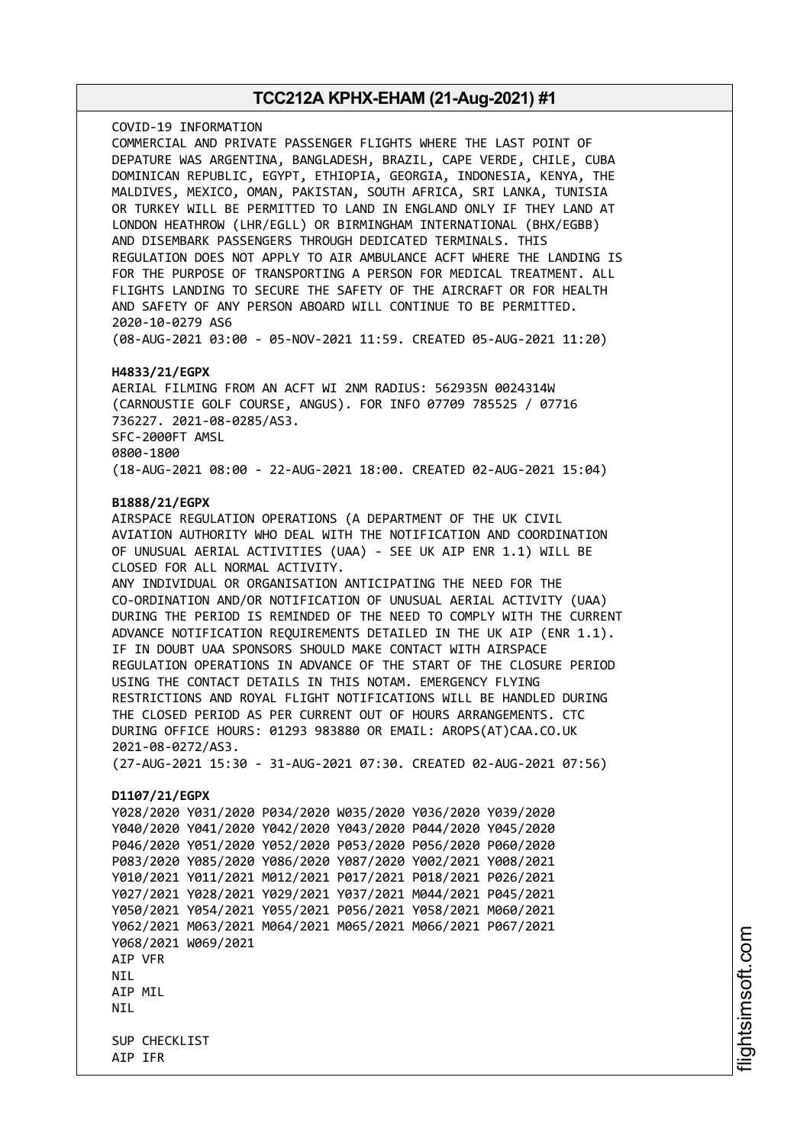COVID-19 INFORMATION COMMERCIAL AND PRIVATE PASSENGER FLIGHTS WHERE THE LAST POINT OF DEPATURE WAS ARGENTINA, BANGLADESH, BRAZIL, CAPE VERDE, CHILE, CUBA DOMINICAN REPUBLIC, EGYPT, ETHIOPIA, GEORGIA, INDONESIA, KENYA, THE MALDIVES, MEXICO, OMAN, PAKISTAN, SOUTH AFRICA, SRI LANKA, TUNISIA OR TURKEY WILL BE PERMITTED TO LAND IN ENGLAND ONLY IF THEY LAND AT LONDON HEATHROW (LHR/EGLL) OR BIRMINGHAM INTERNATIONAL (BHX/EGBB) AND DISEMBARK PASSENGERS THROUGH DEDICATED TERMINALS. THIS REGULATION DOES NOT APPLY TO AIR AMBULANCE ACFT WHERE THE LANDING IS FOR THE PURPOSE OF TRANSPORTING A PERSON FOR MEDICAL TREATMENT. ALL FLIGHTS LANDING TO SECURE THE SAFETY OF THE AIRCRAFT OR FOR HEALTH AND SAFETY OF ANY PERSON ABOARD WILL CONTINUE TO BE PERMITTED. 2020-10-0279 AS6 (08-AUG-2021 03:00 - 05-NOV-2021 11:59. CREATED 05-AUG-2021 11:20)

#### **H4833/21/EGPX**

AERIAL FILMING FROM AN ACFT WI 2NM RADIUS: 562935N 0024314W (CARNOUSTIE GOLF COURSE, ANGUS). FOR INFO 07709 785525 / 07716 736227. 2021-08-0285/AS3. SFC-2000FT AMSL 0800-1800 (18-AUG-2021 08:00 - 22-AUG-2021 18:00. CREATED 02-AUG-2021 15:04)

#### **B1888/21/EGPX**

AIRSPACE REGULATION OPERATIONS (A DEPARTMENT OF THE UK CIVIL AVIATION AUTHORITY WHO DEAL WITH THE NOTIFICATION AND COORDINATION OF UNUSUAL AERIAL ACTIVITIES (UAA) - SEE UK AIP ENR 1.1) WILL BE CLOSED FOR ALL NORMAL ACTIVITY. ANY INDIVIDUAL OR ORGANISATION ANTICIPATING THE NEED FOR THE CO-ORDINATION AND/OR NOTIFICATION OF UNUSUAL AERIAL ACTIVITY (UAA) DURING THE PERIOD IS REMINDED OF THE NEED TO COMPLY WITH THE CURRENT ADVANCE NOTIFICATION REQUIREMENTS DETAILED IN THE UK AIP (ENR 1.1). IF IN DOUBT UAA SPONSORS SHOULD MAKE CONTACT WITH AIRSPACE REGULATION OPERATIONS IN ADVANCE OF THE START OF THE CLOSURE PERIOD USING THE CONTACT DETAILS IN THIS NOTAM. EMERGENCY FLYING RESTRICTIONS AND ROYAL FLIGHT NOTIFICATIONS WILL BE HANDLED DURING THE CLOSED PERIOD AS PER CURRENT OUT OF HOURS ARRANGEMENTS. CTC DURING OFFICE HOURS: 01293 983880 OR EMAIL: AROPS(AT)CAA.CO.UK 2021-08-0272/AS3. (27-AUG-2021 15:30 - 31-AUG-2021 07:30. CREATED 02-AUG-2021 07:56) **D1107/21/EGPX** Y028/2020 Y031/2020 P034/2020 W035/2020 Y036/2020 Y039/2020 Y040/2020 Y041/2020 Y042/2020 Y043/2020 P044/2020 Y045/2020 P046/2020 Y051/2020 Y052/2020 P053/2020 P056/2020 P060/2020 P083/2020 Y085/2020 Y086/2020 Y087/2020 Y002/2021 Y008/2021 Y010/2021 Y011/2021 M012/2021 P017/2021 P018/2021 P026/2021 Y027/2021 Y028/2021 Y029/2021 Y037/2021 M044/2021 P045/2021 Y050/2021 Y054/2021 Y055/2021 P056/2021 Y058/2021 M060/2021 Y062/2021 M063/2021 M064/2021 M065/2021 M066/2021 P067/2021

Y068/2021 W069/2021 AIP VFR

NIL AIP MIL

**NTI** 

SUP CHECKLIST AIP IFR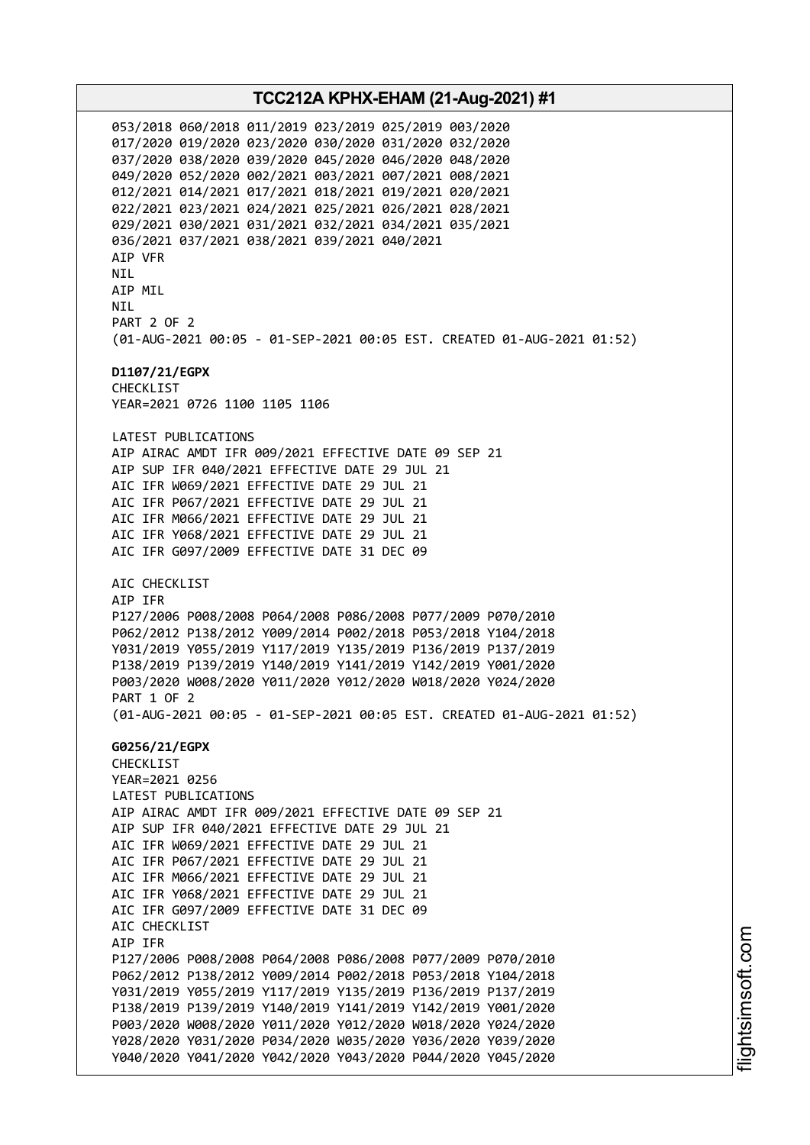053/2018 060/2018 011/2019 023/2019 025/2019 003/2020 017/2020 019/2020 023/2020 030/2020 031/2020 032/2020 037/2020 038/2020 039/2020 045/2020 046/2020 048/2020 049/2020 052/2020 002/2021 003/2021 007/2021 008/2021 012/2021 014/2021 017/2021 018/2021 019/2021 020/2021 022/2021 023/2021 024/2021 025/2021 026/2021 028/2021 029/2021 030/2021 031/2021 032/2021 034/2021 035/2021 036/2021 037/2021 038/2021 039/2021 040/2021 AIP VFR NIL AIP MIL **NTI** PART 2 OF 2 (01-AUG-2021 00:05 - 01-SEP-2021 00:05 EST. CREATED 01-AUG-2021 01:52) **D1107/21/EGPX** CHECKLIST YEAR=2021 0726 1100 1105 1106 LATEST PUBLICATIONS AIP AIRAC AMDT IFR 009/2021 EFFECTIVE DATE 09 SEP 21 AIP SUP IFR 040/2021 EFFECTIVE DATE 29 JUL 21 AIC IFR W069/2021 EFFECTIVE DATE 29 JUL 21 AIC IFR P067/2021 EFFECTIVE DATE 29 JUL 21 AIC IFR M066/2021 EFFECTIVE DATE 29 JUL 21 AIC IFR Y068/2021 EFFECTIVE DATE 29 JUL 21 AIC IFR G097/2009 EFFECTIVE DATE 31 DEC 09 AIC CHECKLIST AIP IFR P127/2006 P008/2008 P064/2008 P086/2008 P077/2009 P070/2010 P062/2012 P138/2012 Y009/2014 P002/2018 P053/2018 Y104/2018 Y031/2019 Y055/2019 Y117/2019 Y135/2019 P136/2019 P137/2019 P138/2019 P139/2019 Y140/2019 Y141/2019 Y142/2019 Y001/2020 P003/2020 W008/2020 Y011/2020 Y012/2020 W018/2020 Y024/2020 PART 1 OF 2 (01-AUG-2021 00:05 - 01-SEP-2021 00:05 EST. CREATED 01-AUG-2021 01:52) **G0256/21/EGPX** CHECKLIST YEAR=2021 0256 LATEST PUBLICATIONS AIP AIRAC AMDT IFR 009/2021 EFFECTIVE DATE 09 SEP 21 AIP SUP IFR 040/2021 EFFECTIVE DATE 29 JUL 21 AIC IFR W069/2021 EFFECTIVE DATE 29 JUL 21 AIC IFR P067/2021 EFFECTIVE DATE 29 JUL 21 AIC IFR M066/2021 EFFECTIVE DATE 29 JUL 21 AIC IFR Y068/2021 EFFECTIVE DATE 29 JUL 21 AIC IFR G097/2009 EFFECTIVE DATE 31 DEC 09 AIC CHECKLIST AIP IFR P127/2006 P008/2008 P064/2008 P086/2008 P077/2009 P070/2010 P062/2012 P138/2012 Y009/2014 P002/2018 P053/2018 Y104/2018 Y031/2019 Y055/2019 Y117/2019 Y135/2019 P136/2019 P137/2019 P138/2019 P139/2019 Y140/2019 Y141/2019 Y142/2019 Y001/2020 P003/2020 W008/2020 Y011/2020 Y012/2020 W018/2020 Y024/2020 Y028/2020 Y031/2020 P034/2020 W035/2020 Y036/2020 Y039/2020 Y040/2020 Y041/2020 Y042/2020 Y043/2020 P044/2020 Y045/2020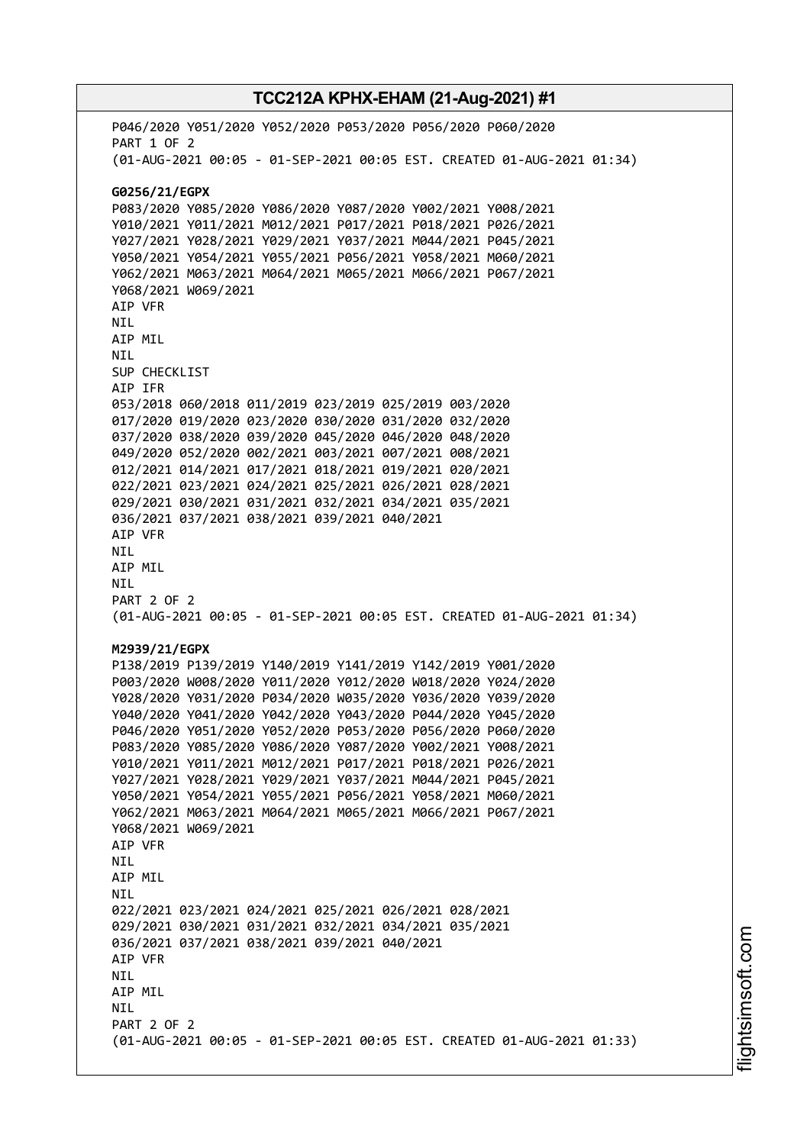# **TCC212A KPHX-EHAM (21-Aug-2021) #1** P046/2020 Y051/2020 Y052/2020 P053/2020 P056/2020 P060/2020 PART 1 OF 2 (01-AUG-2021 00:05 - 01-SEP-2021 00:05 EST. CREATED 01-AUG-2021 01:34) **G0256/21/EGPX** P083/2020 Y085/2020 Y086/2020 Y087/2020 Y002/2021 Y008/2021 Y010/2021 Y011/2021 M012/2021 P017/2021 P018/2021 P026/2021 Y027/2021 Y028/2021 Y029/2021 Y037/2021 M044/2021 P045/2021 Y050/2021 Y054/2021 Y055/2021 P056/2021 Y058/2021 M060/2021 Y062/2021 M063/2021 M064/2021 M065/2021 M066/2021 P067/2021 Y068/2021 W069/2021 AIP VFR NIL AIP MIL NIL SUP CHECKLIST AIP IFR 053/2018 060/2018 011/2019 023/2019 025/2019 003/2020 017/2020 019/2020 023/2020 030/2020 031/2020 032/2020 037/2020 038/2020 039/2020 045/2020 046/2020 048/2020 049/2020 052/2020 002/2021 003/2021 007/2021 008/2021 012/2021 014/2021 017/2021 018/2021 019/2021 020/2021 022/2021 023/2021 024/2021 025/2021 026/2021 028/2021 029/2021 030/2021 031/2021 032/2021 034/2021 035/2021 036/2021 037/2021 038/2021 039/2021 040/2021 AIP VFR NIL AIP MIL NIL PART 2 OF 2 (01-AUG-2021 00:05 - 01-SEP-2021 00:05 EST. CREATED 01-AUG-2021 01:34) **M2939/21/EGPX** P138/2019 P139/2019 Y140/2019 Y141/2019 Y142/2019 Y001/2020 P003/2020 W008/2020 Y011/2020 Y012/2020 W018/2020 Y024/2020 Y028/2020 Y031/2020 P034/2020 W035/2020 Y036/2020 Y039/2020 Y040/2020 Y041/2020 Y042/2020 Y043/2020 P044/2020 Y045/2020 P046/2020 Y051/2020 Y052/2020 P053/2020 P056/2020 P060/2020 P083/2020 Y085/2020 Y086/2020 Y087/2020 Y002/2021 Y008/2021 Y010/2021 Y011/2021 M012/2021 P017/2021 P018/2021 P026/2021 Y027/2021 Y028/2021 Y029/2021 Y037/2021 M044/2021 P045/2021 Y050/2021 Y054/2021 Y055/2021 P056/2021 Y058/2021 M060/2021 Y062/2021 M063/2021 M064/2021 M065/2021 M066/2021 P067/2021 Y068/2021 W069/2021 AIP VFR NIL AIP MIL **NTI** 022/2021 023/2021 024/2021 025/2021 026/2021 028/2021 029/2021 030/2021 031/2021 032/2021 034/2021 035/2021 036/2021 037/2021 038/2021 039/2021 040/2021 AIP VFR NIL AIP MIL **NTI**

(01-AUG-2021 00:05 - 01-SEP-2021 00:05 EST. CREATED 01-AUG-2021 01:33)

PART 2 OF 2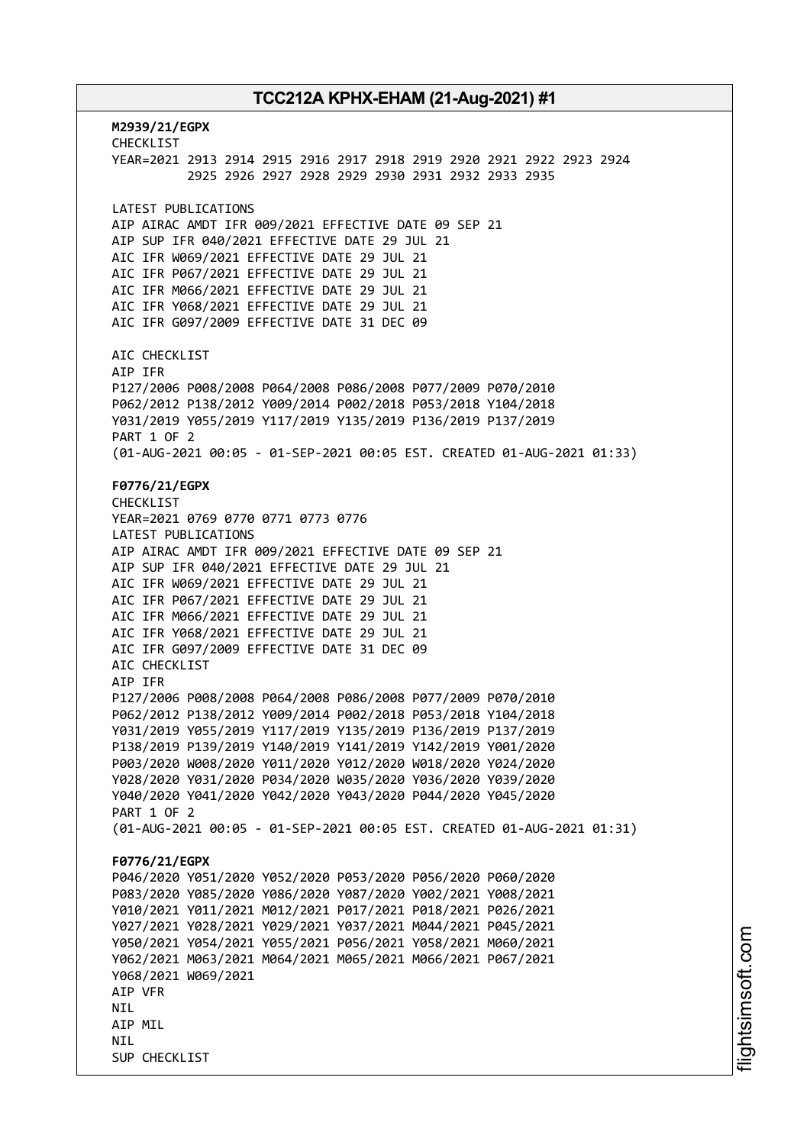**M2939/21/EGPX** CHECKLIST YEAR=2021 2913 2914 2915 2916 2917 2918 2919 2920 2921 2922 2923 2924 2925 2926 2927 2928 2929 2930 2931 2932 2933 2935 LATEST PUBLICATIONS AIP AIRAC AMDT IFR 009/2021 EFFECTIVE DATE 09 SEP 21 AIP SUP IFR 040/2021 EFFECTIVE DATE 29 JUL 21 AIC IFR W069/2021 EFFECTIVE DATE 29 JUL 21 AIC IFR P067/2021 EFFECTIVE DATE 29 JUL 21 AIC IFR M066/2021 EFFECTIVE DATE 29 JUL 21 AIC IFR Y068/2021 EFFECTIVE DATE 29 JUL 21 AIC IFR G097/2009 EFFECTIVE DATE 31 DEC 09 AIC CHECKLIST AIP IFR P127/2006 P008/2008 P064/2008 P086/2008 P077/2009 P070/2010 P062/2012 P138/2012 Y009/2014 P002/2018 P053/2018 Y104/2018 Y031/2019 Y055/2019 Y117/2019 Y135/2019 P136/2019 P137/2019 PART 1 OF 2 (01-AUG-2021 00:05 - 01-SEP-2021 00:05 EST. CREATED 01-AUG-2021 01:33) **F0776/21/EGPX** CHECKLIST YEAR=2021 0769 0770 0771 0773 0776 LATEST PUBLICATIONS AIP AIRAC AMDT IFR 009/2021 EFFECTIVE DATE 09 SEP 21 AIP SUP IFR 040/2021 EFFECTIVE DATE 29 JUL 21 AIC IFR W069/2021 EFFECTIVE DATE 29 JUL 21 AIC IFR P067/2021 EFFECTIVE DATE 29 JUL 21 AIC IFR M066/2021 EFFECTIVE DATE 29 JUL 21 AIC IFR Y068/2021 EFFECTIVE DATE 29 JUL 21 AIC IFR G097/2009 EFFECTIVE DATE 31 DEC 09 AIC CHECKLIST AIP IFR P127/2006 P008/2008 P064/2008 P086/2008 P077/2009 P070/2010 P062/2012 P138/2012 Y009/2014 P002/2018 P053/2018 Y104/2018 Y031/2019 Y055/2019 Y117/2019 Y135/2019 P136/2019 P137/2019 P138/2019 P139/2019 Y140/2019 Y141/2019 Y142/2019 Y001/2020 P003/2020 W008/2020 Y011/2020 Y012/2020 W018/2020 Y024/2020 Y028/2020 Y031/2020 P034/2020 W035/2020 Y036/2020 Y039/2020 Y040/2020 Y041/2020 Y042/2020 Y043/2020 P044/2020 Y045/2020 PART 1 OF 2 (01-AUG-2021 00:05 - 01-SEP-2021 00:05 EST. CREATED 01-AUG-2021 01:31) **F0776/21/EGPX** P046/2020 Y051/2020 Y052/2020 P053/2020 P056/2020 P060/2020 P083/2020 Y085/2020 Y086/2020 Y087/2020 Y002/2021 Y008/2021 Y010/2021 Y011/2021 M012/2021 P017/2021 P018/2021 P026/2021 Y027/2021 Y028/2021 Y029/2021 Y037/2021 M044/2021 P045/2021 Y050/2021 Y054/2021 Y055/2021 P056/2021 Y058/2021 M060/2021 Y062/2021 M063/2021 M064/2021 M065/2021 M066/2021 P067/2021 Y068/2021 W069/2021 AIP VFR NIL AIP MIL **NTI** SUP CHECKLIST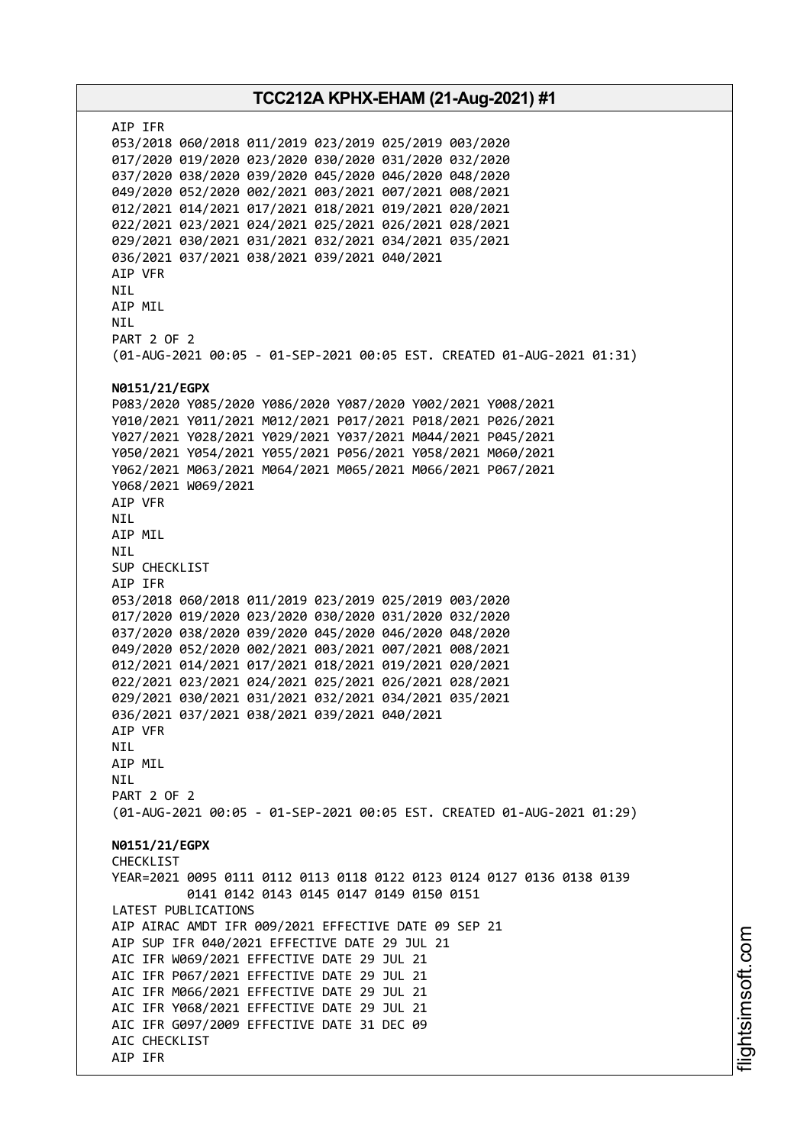AIP IFR 053/2018 060/2018 011/2019 023/2019 025/2019 003/2020 017/2020 019/2020 023/2020 030/2020 031/2020 032/2020 037/2020 038/2020 039/2020 045/2020 046/2020 048/2020 049/2020 052/2020 002/2021 003/2021 007/2021 008/2021 012/2021 014/2021 017/2021 018/2021 019/2021 020/2021 022/2021 023/2021 024/2021 025/2021 026/2021 028/2021 029/2021 030/2021 031/2021 032/2021 034/2021 035/2021 036/2021 037/2021 038/2021 039/2021 040/2021 AIP VFR NIL AIP MIL NIL PART 2 OF 2 (01-AUG-2021 00:05 - 01-SEP-2021 00:05 EST. CREATED 01-AUG-2021 01:31) **N0151/21/EGPX** P083/2020 Y085/2020 Y086/2020 Y087/2020 Y002/2021 Y008/2021 Y010/2021 Y011/2021 M012/2021 P017/2021 P018/2021 P026/2021 Y027/2021 Y028/2021 Y029/2021 Y037/2021 M044/2021 P045/2021 Y050/2021 Y054/2021 Y055/2021 P056/2021 Y058/2021 M060/2021 Y062/2021 M063/2021 M064/2021 M065/2021 M066/2021 P067/2021 Y068/2021 W069/2021 AIP VFR NIL AIP MIL NIL SUP CHECKLIST AIP IFR 053/2018 060/2018 011/2019 023/2019 025/2019 003/2020 017/2020 019/2020 023/2020 030/2020 031/2020 032/2020 037/2020 038/2020 039/2020 045/2020 046/2020 048/2020 049/2020 052/2020 002/2021 003/2021 007/2021 008/2021 012/2021 014/2021 017/2021 018/2021 019/2021 020/2021 022/2021 023/2021 024/2021 025/2021 026/2021 028/2021 029/2021 030/2021 031/2021 032/2021 034/2021 035/2021 036/2021 037/2021 038/2021 039/2021 040/2021 AIP VFR NIL AIP MIL **NTI** PART 2 OF 2 (01-AUG-2021 00:05 - 01-SEP-2021 00:05 EST. CREATED 01-AUG-2021 01:29) **N0151/21/EGPX** CHECKLIST YEAR=2021 0095 0111 0112 0113 0118 0122 0123 0124 0127 0136 0138 0139 0141 0142 0143 0145 0147 0149 0150 0151 LATEST PUBLICATIONS AIP AIRAC AMDT IFR 009/2021 EFFECTIVE DATE 09 SEP 21 AIP SUP IFR 040/2021 EFFECTIVE DATE 29 JUL 21 AIC IFR W069/2021 EFFECTIVE DATE 29 JUL 21 AIC IFR P067/2021 EFFECTIVE DATE 29 JUL 21 AIC IFR M066/2021 EFFECTIVE DATE 29 JUL 21 AIC IFR Y068/2021 EFFECTIVE DATE 29 JUL 21 AIC IFR G097/2009 EFFECTIVE DATE 31 DEC 09 AIC CHECKLIST AIP IFR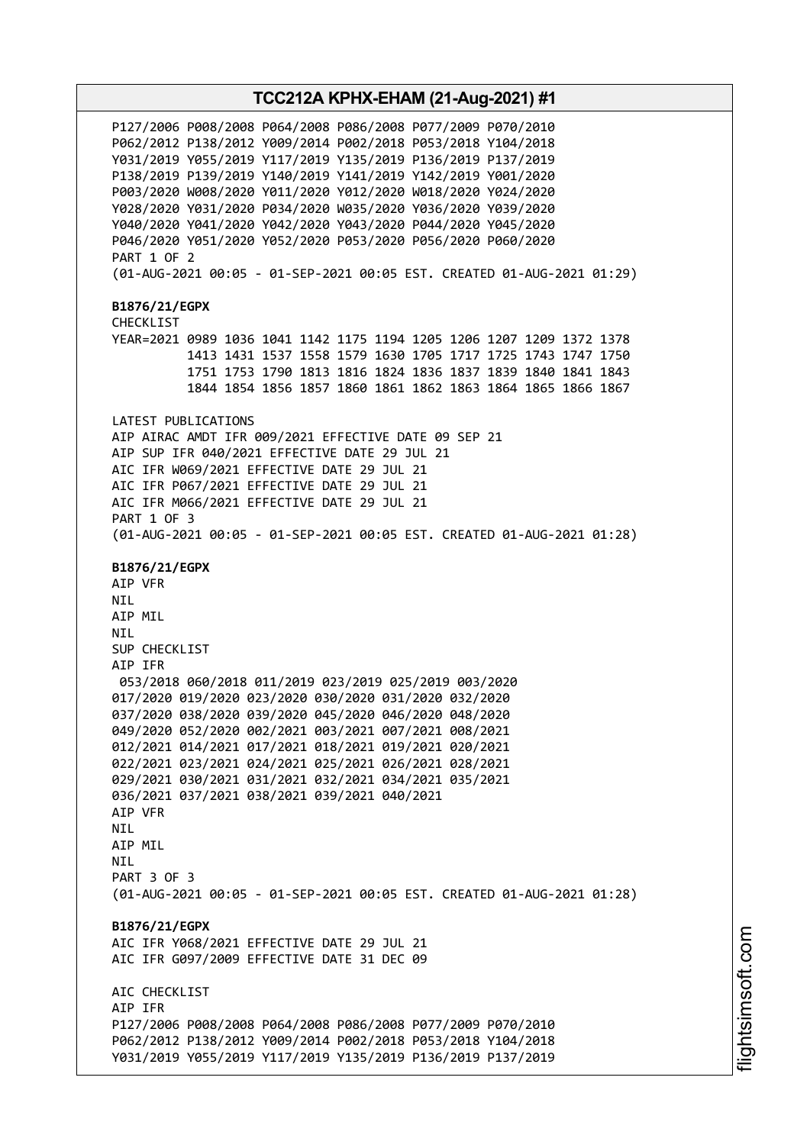P127/2006 P008/2008 P064/2008 P086/2008 P077/2009 P070/2010 P062/2012 P138/2012 Y009/2014 P002/2018 P053/2018 Y104/2018 Y031/2019 Y055/2019 Y117/2019 Y135/2019 P136/2019 P137/2019 P138/2019 P139/2019 Y140/2019 Y141/2019 Y142/2019 Y001/2020 P003/2020 W008/2020 Y011/2020 Y012/2020 W018/2020 Y024/2020 Y028/2020 Y031/2020 P034/2020 W035/2020 Y036/2020 Y039/2020 Y040/2020 Y041/2020 Y042/2020 Y043/2020 P044/2020 Y045/2020 P046/2020 Y051/2020 Y052/2020 P053/2020 P056/2020 P060/2020 PART 1 OF 2 (01-AUG-2021 00:05 - 01-SEP-2021 00:05 EST. CREATED 01-AUG-2021 01:29) **B1876/21/EGPX** CHECKLIST YEAR=2021 0989 1036 1041 1142 1175 1194 1205 1206 1207 1209 1372 1378 1413 1431 1537 1558 1579 1630 1705 1717 1725 1743 1747 1750 1751 1753 1790 1813 1816 1824 1836 1837 1839 1840 1841 1843 1844 1854 1856 1857 1860 1861 1862 1863 1864 1865 1866 1867 LATEST PUBLICATIONS AIP AIRAC AMDT IFR 009/2021 EFFECTIVE DATE 09 SEP 21 AIP SUP IFR 040/2021 EFFECTIVE DATE 29 JUL 21 AIC IFR W069/2021 EFFECTIVE DATE 29 JUL 21 AIC IFR P067/2021 EFFECTIVE DATE 29 JUL 21 AIC IFR M066/2021 EFFECTIVE DATE 29 JUL 21 PART 1 OF 3 (01-AUG-2021 00:05 - 01-SEP-2021 00:05 EST. CREATED 01-AUG-2021 01:28) **B1876/21/EGPX** AIP VFR NIL AIP MIL NIL SUP CHECKLIST AIP IFR 053/2018 060/2018 011/2019 023/2019 025/2019 003/2020 017/2020 019/2020 023/2020 030/2020 031/2020 032/2020 037/2020 038/2020 039/2020 045/2020 046/2020 048/2020 049/2020 052/2020 002/2021 003/2021 007/2021 008/2021 012/2021 014/2021 017/2021 018/2021 019/2021 020/2021 022/2021 023/2021 024/2021 025/2021 026/2021 028/2021 029/2021 030/2021 031/2021 032/2021 034/2021 035/2021 036/2021 037/2021 038/2021 039/2021 040/2021 AIP VFR NIL AIP MIL **NTI** PART 3 OF 3 (01-AUG-2021 00:05 - 01-SEP-2021 00:05 EST. CREATED 01-AUG-2021 01:28) **B1876/21/EGPX** AIC IFR Y068/2021 EFFECTIVE DATE 29 JUL 21 AIC IFR G097/2009 EFFECTIVE DATE 31 DEC 09 ATC CHECKLIST AIP IFR P127/2006 P008/2008 P064/2008 P086/2008 P077/2009 P070/2010 P062/2012 P138/2012 Y009/2014 P002/2018 P053/2018 Y104/2018 Y031/2019 Y055/2019 Y117/2019 Y135/2019 P136/2019 P137/2019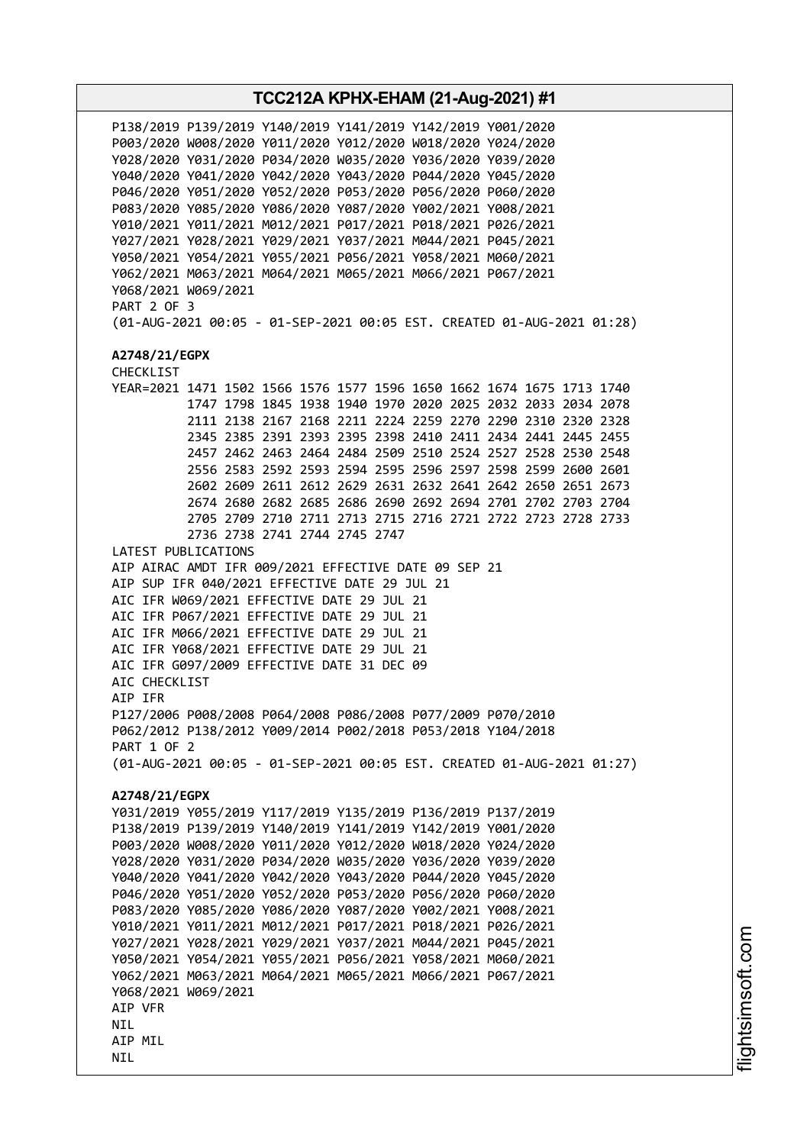**TCC212A KPHX-EHAM (21-Aug-2021) #1** P138/2019 P139/2019 Y140/2019 Y141/2019 Y142/2019 Y001/2020 P003/2020 W008/2020 Y011/2020 Y012/2020 W018/2020 Y024/2020 Y028/2020 Y031/2020 P034/2020 W035/2020 Y036/2020 Y039/2020 Y040/2020 Y041/2020 Y042/2020 Y043/2020 P044/2020 Y045/2020 P046/2020 Y051/2020 Y052/2020 P053/2020 P056/2020 P060/2020 P083/2020 Y085/2020 Y086/2020 Y087/2020 Y002/2021 Y008/2021 Y010/2021 Y011/2021 M012/2021 P017/2021 P018/2021 P026/2021 Y027/2021 Y028/2021 Y029/2021 Y037/2021 M044/2021 P045/2021 Y050/2021 Y054/2021 Y055/2021 P056/2021 Y058/2021 M060/2021 Y062/2021 M063/2021 M064/2021 M065/2021 M066/2021 P067/2021 Y068/2021 W069/2021 PART 2 OF 3 (01-AUG-2021 00:05 - 01-SEP-2021 00:05 EST. CREATED 01-AUG-2021 01:28) **A2748/21/EGPX** CHECKLIST YEAR=2021 1471 1502 1566 1576 1577 1596 1650 1662 1674 1675 1713 1740 1747 1798 1845 1938 1940 1970 2020 2025 2032 2033 2034 2078 2111 2138 2167 2168 2211 2224 2259 2270 2290 2310 2320 2328 2345 2385 2391 2393 2395 2398 2410 2411 2434 2441 2445 2455 2457 2462 2463 2464 2484 2509 2510 2524 2527 2528 2530 2548 2556 2583 2592 2593 2594 2595 2596 2597 2598 2599 2600 2601 2602 2609 2611 2612 2629 2631 2632 2641 2642 2650 2651 2673 2674 2680 2682 2685 2686 2690 2692 2694 2701 2702 2703 2704 2705 2709 2710 2711 2713 2715 2716 2721 2722 2723 2728 2733 2736 2738 2741 2744 2745 2747 LATEST PUBLICATIONS AIP AIRAC AMDT IFR 009/2021 EFFECTIVE DATE 09 SEP 21 AIP SUP IFR 040/2021 EFFECTIVE DATE 29 JUL 21 AIC IFR W069/2021 EFFECTIVE DATE 29 JUL 21 AIC IFR P067/2021 EFFECTIVE DATE 29 JUL 21 AIC IFR M066/2021 EFFECTIVE DATE 29 JUL 21 AIC IFR Y068/2021 EFFECTIVE DATE 29 JUL 21 AIC IFR G097/2009 EFFECTIVE DATE 31 DEC 09 AIC CHECKLIST AIP IFR P127/2006 P008/2008 P064/2008 P086/2008 P077/2009 P070/2010 P062/2012 P138/2012 Y009/2014 P002/2018 P053/2018 Y104/2018 PART 1 OF 2 (01-AUG-2021 00:05 - 01-SEP-2021 00:05 EST. CREATED 01-AUG-2021 01:27) **A2748/21/EGPX** Y031/2019 Y055/2019 Y117/2019 Y135/2019 P136/2019 P137/2019 P138/2019 P139/2019 Y140/2019 Y141/2019 Y142/2019 Y001/2020 P003/2020 W008/2020 Y011/2020 Y012/2020 W018/2020 Y024/2020 Y028/2020 Y031/2020 P034/2020 W035/2020 Y036/2020 Y039/2020 Y040/2020 Y041/2020 Y042/2020 Y043/2020 P044/2020 Y045/2020 P046/2020 Y051/2020 Y052/2020 P053/2020 P056/2020 P060/2020 P083/2020 Y085/2020 Y086/2020 Y087/2020 Y002/2021 Y008/2021 Y010/2021 Y011/2021 M012/2021 P017/2021 P018/2021 P026/2021 Y027/2021 Y028/2021 Y029/2021 Y037/2021 M044/2021 P045/2021 Y050/2021 Y054/2021 Y055/2021 P056/2021 Y058/2021 M060/2021 Y062/2021 M063/2021 M064/2021 M065/2021 M066/2021 P067/2021 Y068/2021 W069/2021 AIP VFR **NTI** AIP MIL NIL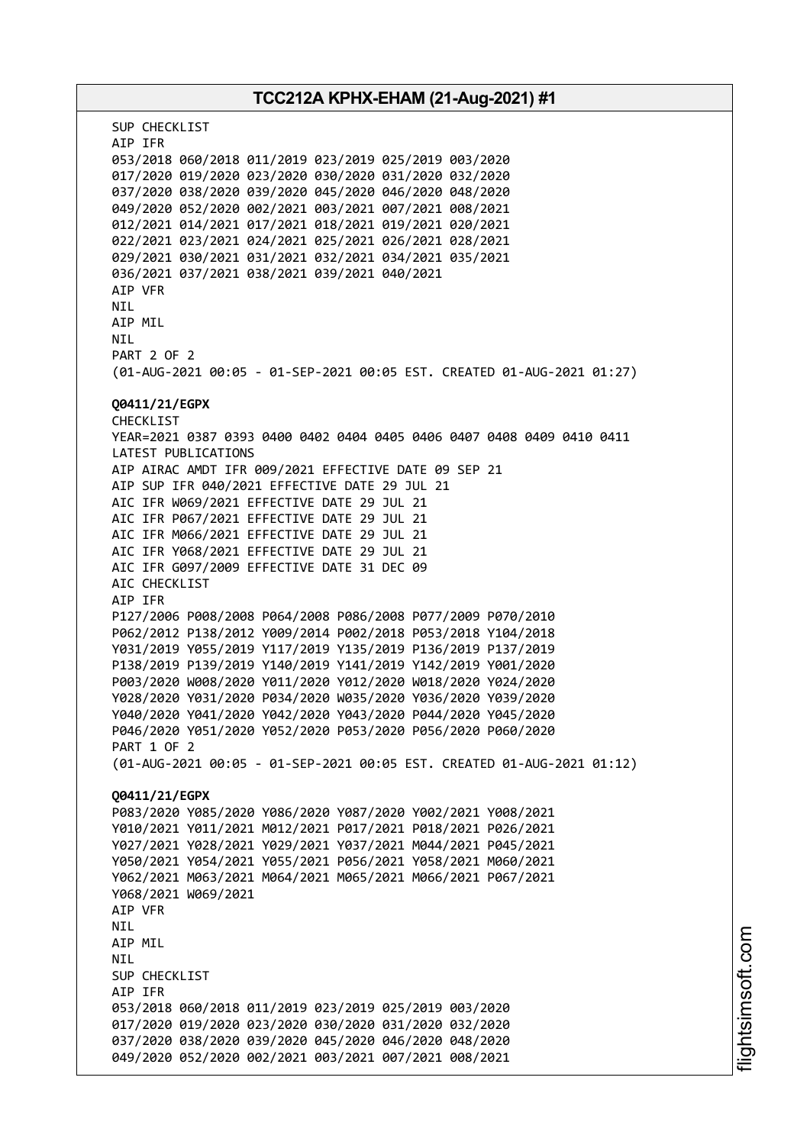# **TCC212A KPHX-EHAM (21-Aug-2021) #1** SUP CHECKLIST AIP IFR 053/2018 060/2018 011/2019 023/2019 025/2019 003/2020 017/2020 019/2020 023/2020 030/2020 031/2020 032/2020 037/2020 038/2020 039/2020 045/2020 046/2020 048/2020 049/2020 052/2020 002/2021 003/2021 007/2021 008/2021 012/2021 014/2021 017/2021 018/2021 019/2021 020/2021 022/2021 023/2021 024/2021 025/2021 026/2021 028/2021 029/2021 030/2021 031/2021 032/2021 034/2021 035/2021 036/2021 037/2021 038/2021 039/2021 040/2021 AIP VFR **NTI** AIP MIL NIL PART 2 OF 2 (01-AUG-2021 00:05 - 01-SEP-2021 00:05 EST. CREATED 01-AUG-2021 01:27) **Q0411/21/EGPX** CHECKLIST YEAR=2021 0387 0393 0400 0402 0404 0405 0406 0407 0408 0409 0410 0411 LATEST PUBLICATIONS AIP AIRAC AMDT IFR 009/2021 EFFECTIVE DATE 09 SEP 21 AIP SUP IFR 040/2021 EFFECTIVE DATE 29 JUL 21 AIC IFR W069/2021 EFFECTIVE DATE 29 JUL 21 AIC IFR P067/2021 EFFECTIVE DATE 29 JUL 21 AIC IFR M066/2021 EFFECTIVE DATE 29 JUL 21 AIC IFR Y068/2021 EFFECTIVE DATE 29 JUL 21 AIC IFR G097/2009 EFFECTIVE DATE 31 DEC 09 AIC CHECKLIST AIP IFR P127/2006 P008/2008 P064/2008 P086/2008 P077/2009 P070/2010 P062/2012 P138/2012 Y009/2014 P002/2018 P053/2018 Y104/2018 Y031/2019 Y055/2019 Y117/2019 Y135/2019 P136/2019 P137/2019 P138/2019 P139/2019 Y140/2019 Y141/2019 Y142/2019 Y001/2020 P003/2020 W008/2020 Y011/2020 Y012/2020 W018/2020 Y024/2020 Y028/2020 Y031/2020 P034/2020 W035/2020 Y036/2020 Y039/2020 Y040/2020 Y041/2020 Y042/2020 Y043/2020 P044/2020 Y045/2020 P046/2020 Y051/2020 Y052/2020 P053/2020 P056/2020 P060/2020 PART 1 OF 2 (01-AUG-2021 00:05 - 01-SEP-2021 00:05 EST. CREATED 01-AUG-2021 01:12) **Q0411/21/EGPX** P083/2020 Y085/2020 Y086/2020 Y087/2020 Y002/2021 Y008/2021 Y010/2021 Y011/2021 M012/2021 P017/2021 P018/2021 P026/2021 Y027/2021 Y028/2021 Y029/2021 Y037/2021 M044/2021 P045/2021 Y050/2021 Y054/2021 Y055/2021 P056/2021 Y058/2021 M060/2021 Y062/2021 M063/2021 M064/2021 M065/2021 M066/2021 P067/2021 Y068/2021 W069/2021 AIP VFR NIL AIP MIL NIL SUP CHECKLIST AIP IFR 053/2018 060/2018 011/2019 023/2019 025/2019 003/2020 017/2020 019/2020 023/2020 030/2020 031/2020 032/2020 037/2020 038/2020 039/2020 045/2020 046/2020 048/2020 049/2020 052/2020 002/2021 003/2021 007/2021 008/2021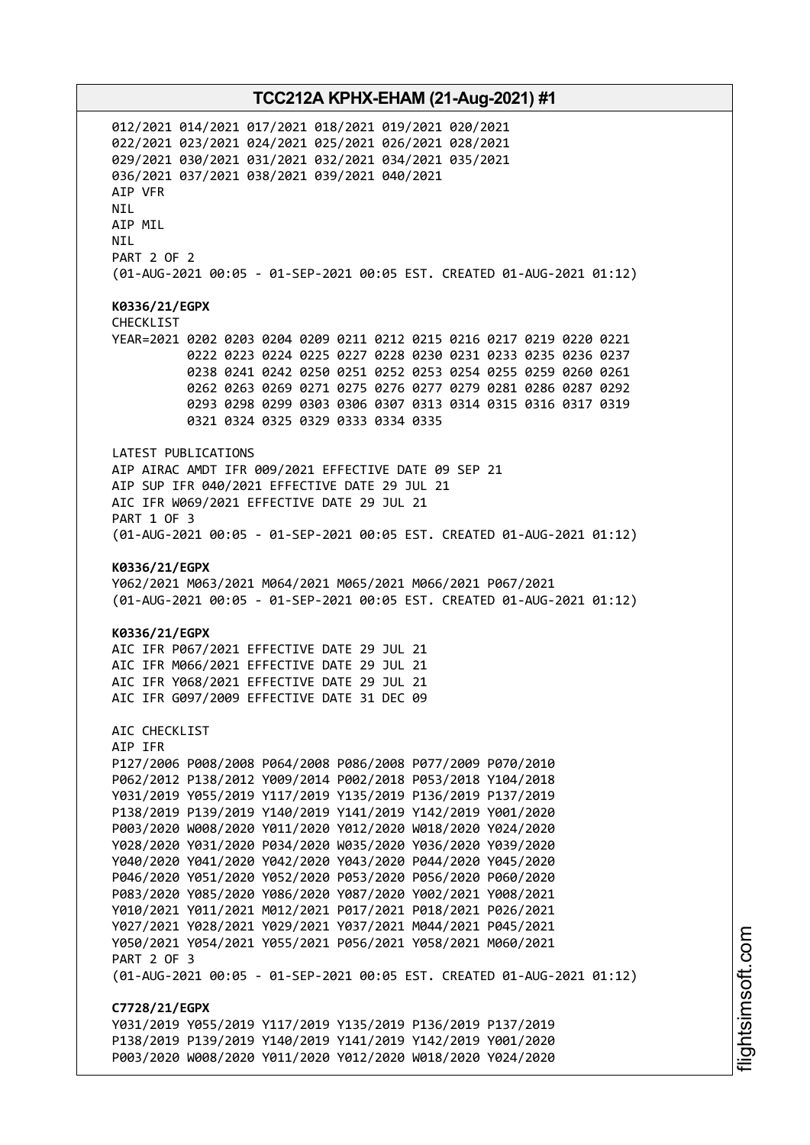012/2021 014/2021 017/2021 018/2021 019/2021 020/2021 022/2021 023/2021 024/2021 025/2021 026/2021 028/2021 029/2021 030/2021 031/2021 032/2021 034/2021 035/2021 036/2021 037/2021 038/2021 039/2021 040/2021 AIP VFR NIL AIP MIL NIL PART 2 OF 2 (01-AUG-2021 00:05 - 01-SEP-2021 00:05 EST. CREATED 01-AUG-2021 01:12) **K0336/21/EGPX** CHECKLIST YEAR=2021 0202 0203 0204 0209 0211 0212 0215 0216 0217 0219 0220 0221 0222 0223 0224 0225 0227 0228 0230 0231 0233 0235 0236 0237 0238 0241 0242 0250 0251 0252 0253 0254 0255 0259 0260 0261 0262 0263 0269 0271 0275 0276 0277 0279 0281 0286 0287 0292 0293 0298 0299 0303 0306 0307 0313 0314 0315 0316 0317 0319 0321 0324 0325 0329 0333 0334 0335 LATEST PUBLICATIONS AIP AIRAC AMDT IFR 009/2021 EFFECTIVE DATE 09 SEP 21 AIP SUP IFR 040/2021 EFFECTIVE DATE 29 JUL 21 AIC IFR W069/2021 EFFECTIVE DATE 29 JUL 21 PART 1 OF 3 (01-AUG-2021 00:05 - 01-SEP-2021 00:05 EST. CREATED 01-AUG-2021 01:12) **K0336/21/EGPX** Y062/2021 M063/2021 M064/2021 M065/2021 M066/2021 P067/2021 (01-AUG-2021 00:05 - 01-SEP-2021 00:05 EST. CREATED 01-AUG-2021 01:12) **K0336/21/EGPX** AIC IFR P067/2021 EFFECTIVE DATE 29 JUL 21 AIC IFR M066/2021 EFFECTIVE DATE 29 JUL 21 AIC IFR Y068/2021 EFFECTIVE DATE 29 JUL 21 AIC IFR G097/2009 EFFECTIVE DATE 31 DEC 09 AIC CHECKLIST AIP IFR P127/2006 P008/2008 P064/2008 P086/2008 P077/2009 P070/2010 P062/2012 P138/2012 Y009/2014 P002/2018 P053/2018 Y104/2018 Y031/2019 Y055/2019 Y117/2019 Y135/2019 P136/2019 P137/2019 P138/2019 P139/2019 Y140/2019 Y141/2019 Y142/2019 Y001/2020 P003/2020 W008/2020 Y011/2020 Y012/2020 W018/2020 Y024/2020 Y028/2020 Y031/2020 P034/2020 W035/2020 Y036/2020 Y039/2020 Y040/2020 Y041/2020 Y042/2020 Y043/2020 P044/2020 Y045/2020 P046/2020 Y051/2020 Y052/2020 P053/2020 P056/2020 P060/2020 P083/2020 Y085/2020 Y086/2020 Y087/2020 Y002/2021 Y008/2021 Y010/2021 Y011/2021 M012/2021 P017/2021 P018/2021 P026/2021 Y027/2021 Y028/2021 Y029/2021 Y037/2021 M044/2021 P045/2021 Y050/2021 Y054/2021 Y055/2021 P056/2021 Y058/2021 M060/2021 PART 2 OF 3 (01-AUG-2021 00:05 - 01-SEP-2021 00:05 EST. CREATED 01-AUG-2021 01:12) **C7728/21/EGPX** Y031/2019 Y055/2019 Y117/2019 Y135/2019 P136/2019 P137/2019 P138/2019 P139/2019 Y140/2019 Y141/2019 Y142/2019 Y001/2020 P003/2020 W008/2020 Y011/2020 Y012/2020 W018/2020 Y024/2020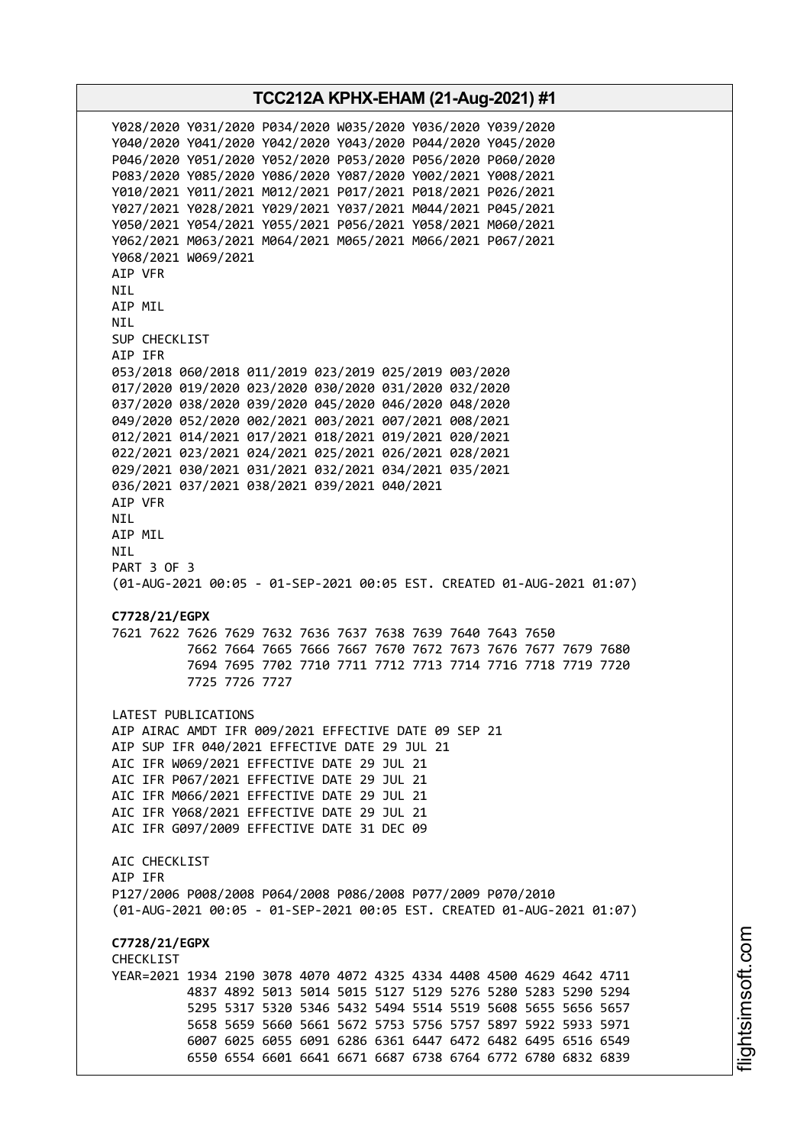Y028/2020 Y031/2020 P034/2020 W035/2020 Y036/2020 Y039/2020 Y040/2020 Y041/2020 Y042/2020 Y043/2020 P044/2020 Y045/2020 P046/2020 Y051/2020 Y052/2020 P053/2020 P056/2020 P060/2020 P083/2020 Y085/2020 Y086/2020 Y087/2020 Y002/2021 Y008/2021 Y010/2021 Y011/2021 M012/2021 P017/2021 P018/2021 P026/2021 Y027/2021 Y028/2021 Y029/2021 Y037/2021 M044/2021 P045/2021 Y050/2021 Y054/2021 Y055/2021 P056/2021 Y058/2021 M060/2021 Y062/2021 M063/2021 M064/2021 M065/2021 M066/2021 P067/2021 Y068/2021 W069/2021 AIP VFR NIL AIP MIL NIL SUP CHECKLIST AIP IFR 053/2018 060/2018 011/2019 023/2019 025/2019 003/2020 017/2020 019/2020 023/2020 030/2020 031/2020 032/2020 037/2020 038/2020 039/2020 045/2020 046/2020 048/2020 049/2020 052/2020 002/2021 003/2021 007/2021 008/2021 012/2021 014/2021 017/2021 018/2021 019/2021 020/2021 022/2021 023/2021 024/2021 025/2021 026/2021 028/2021 029/2021 030/2021 031/2021 032/2021 034/2021 035/2021 036/2021 037/2021 038/2021 039/2021 040/2021 AIP VFR NIL AIP MIL NIL PART 3 OF 3 (01-AUG-2021 00:05 - 01-SEP-2021 00:05 EST. CREATED 01-AUG-2021 01:07) **C7728/21/EGPX** 7621 7622 7626 7629 7632 7636 7637 7638 7639 7640 7643 7650 7662 7664 7665 7666 7667 7670 7672 7673 7676 7677 7679 7680 7694 7695 7702 7710 7711 7712 7713 7714 7716 7718 7719 7720 7725 7726 7727 LATEST PUBLICATIONS AIP AIRAC AMDT IFR 009/2021 EFFECTIVE DATE 09 SEP 21 AIP SUP IFR 040/2021 EFFECTIVE DATE 29 JUL 21 AIC IFR W069/2021 EFFECTIVE DATE 29 JUL 21 AIC IFR P067/2021 EFFECTIVE DATE 29 JUL 21 AIC IFR M066/2021 EFFECTIVE DATE 29 JUL 21 AIC IFR Y068/2021 EFFECTIVE DATE 29 JUL 21 AIC IFR G097/2009 EFFECTIVE DATE 31 DEC 09 AIC CHECKLIST AIP IFR P127/2006 P008/2008 P064/2008 P086/2008 P077/2009 P070/2010 (01-AUG-2021 00:05 - 01-SEP-2021 00:05 EST. CREATED 01-AUG-2021 01:07) **C7728/21/EGPX CHECKLIST** YEAR=2021 1934 2190 3078 4070 4072 4325 4334 4408 4500 4629 4642 4711 4837 4892 5013 5014 5015 5127 5129 5276 5280 5283 5290 5294 5295 5317 5320 5346 5432 5494 5514 5519 5608 5655 5656 5657 5658 5659 5660 5661 5672 5753 5756 5757 5897 5922 5933 5971 6007 6025 6055 6091 6286 6361 6447 6472 6482 6495 6516 6549 6550 6554 6601 6641 6671 6687 6738 6764 6772 6780 6832 6839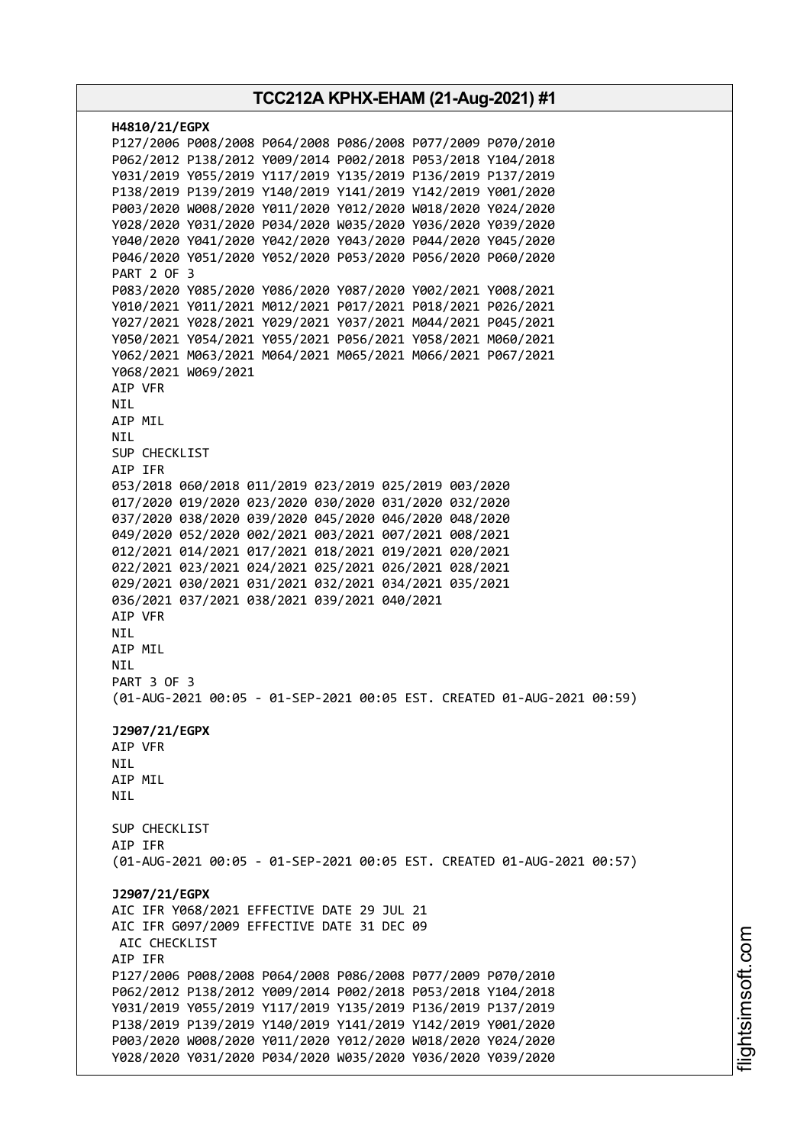| H4810/21/EGPX                                                                            |
|------------------------------------------------------------------------------------------|
| P127/2006 P008/2008 P064/2008 P086/2008 P077/2009 P070/2010                              |
| P062/2012 P138/2012 Y009/2014 P002/2018 P053/2018 Y104/2018                              |
| Y031/2019 Y055/2019 Y117/2019 Y135/2019 P136/2019 P137/2019                              |
| P138/2019 P139/2019 Y140/2019 Y141/2019 Y142/2019 Y001/2020                              |
| P003/2020 W008/2020 Y011/2020 Y012/2020 W018/2020 Y024/2020                              |
| Y028/2020 Y031/2020 P034/2020 W035/2020 Y036/2020 Y039/2020                              |
| Y040/2020 Y041/2020 Y042/2020 Y043/2020 P044/2020 Y045/2020                              |
| P046/2020 Y051/2020 Y052/2020 P053/2020 P056/2020 P060/2020<br><b>PART 2 OF 3</b>        |
| P083/2020 Y085/2020 Y086/2020 Y087/2020 Y002/2021 Y008/2021                              |
| Y010/2021 Y011/2021 M012/2021 P017/2021 P018/2021 P026/2021                              |
| Y027/2021 Y028/2021 Y029/2021 Y037/2021 M044/2021 P045/2021                              |
| Y050/2021 Y054/2021 Y055/2021 P056/2021 Y058/2021 M060/2021                              |
| Y062/2021 M063/2021 M064/2021 M065/2021 M066/2021 P067/2021                              |
| Y068/2021 W069/2021                                                                      |
| AIP VFR                                                                                  |
| NIL.                                                                                     |
| AIP MIL                                                                                  |
| NIL                                                                                      |
| SUP CHECKLIST                                                                            |
| AIP IFR                                                                                  |
| 053/2018 060/2018 011/2019 023/2019 025/2019 003/2020                                    |
| 017/2020 019/2020 023/2020 030/2020 031/2020 032/2020                                    |
| 037/2020 038/2020 039/2020 045/2020 046/2020 048/2020                                    |
| 049/2020 052/2020 002/2021 003/2021 007/2021 008/2021                                    |
| 012/2021 014/2021 017/2021 018/2021 019/2021 020/2021                                    |
| 022/2021 023/2021 024/2021 025/2021 026/2021 028/2021                                    |
| 029/2021 030/2021 031/2021 032/2021 034/2021 035/2021                                    |
| 036/2021 037/2021 038/2021 039/2021 040/2021                                             |
| AIP VFR<br>NIL.                                                                          |
| AIP MIL                                                                                  |
| NIL                                                                                      |
| PART 3 OF 3                                                                              |
| (01-AUG-2021 00:05 - 01-SEP-2021 00:05 EST. CREATED 01-AUG-2021 00:59)                   |
|                                                                                          |
| J2907/21/EGPX                                                                            |
| AIP VFR                                                                                  |
| NIL                                                                                      |
| AIP MIL                                                                                  |
| NIL                                                                                      |
|                                                                                          |
| SUP CHECKLIST                                                                            |
| AIP IFR                                                                                  |
| (01-AUG-2021 00:05 - 01-SEP-2021 00:05 EST. CREATED 01-AUG-2021 00:57)                   |
|                                                                                          |
| J2907/21/EGPX                                                                            |
| AIC IFR Y068/2021 EFFECTIVE DATE 29 JUL 21<br>AIC IFR G097/2009 EFFECTIVE DATE 31 DEC 09 |
|                                                                                          |
| AIC CHECKLIST<br>AIP IFR                                                                 |
| P127/2006 P008/2008 P064/2008 P086/2008 P077/2009 P070/2010                              |
| P062/2012 P138/2012 Y009/2014 P002/2018 P053/2018 Y104/2018                              |
| Y031/2019 Y055/2019 Y117/2019 Y135/2019 P136/2019 P137/2019                              |
| P138/2019 P139/2019 Y140/2019 Y141/2019 Y142/2019 Y001/2020                              |
| P003/2020 W008/2020 Y011/2020 Y012/2020 W018/2020 Y024/2020                              |
| Y028/2020 Y031/2020 P034/2020 W035/2020 Y036/2020 Y039/2020                              |
|                                                                                          |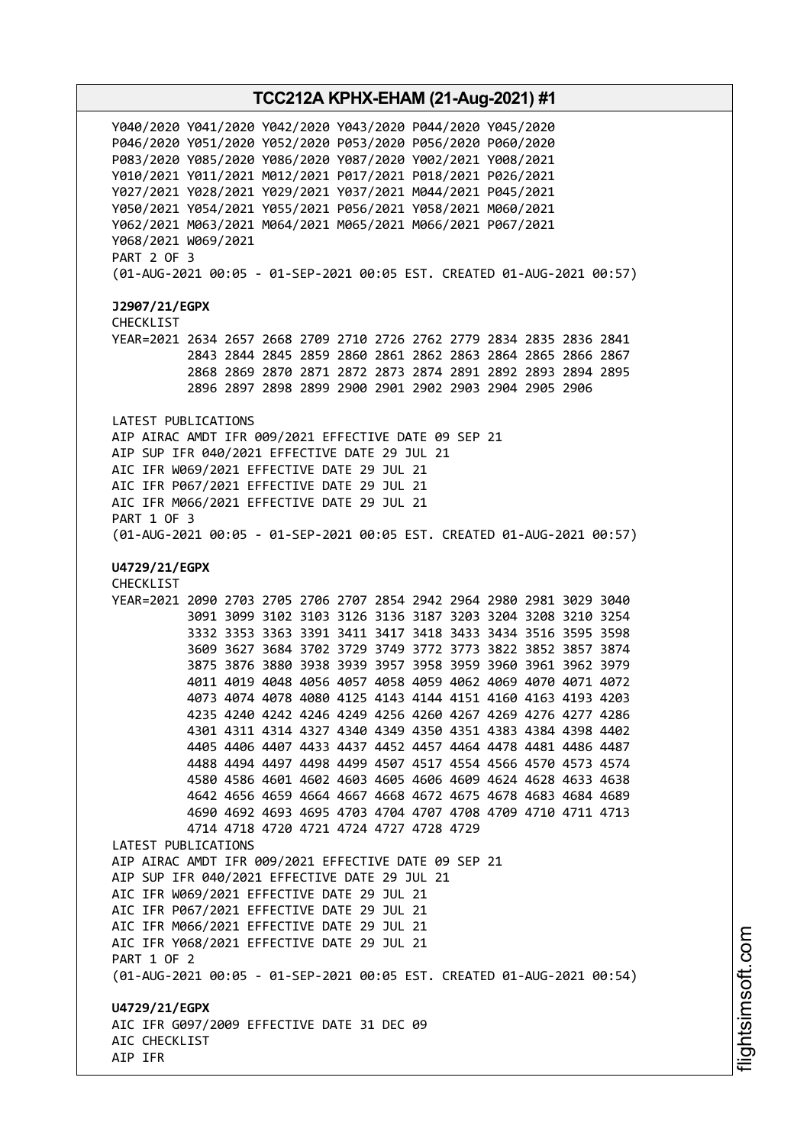Y040/2020 Y041/2020 Y042/2020 Y043/2020 P044/2020 Y045/2020 P046/2020 Y051/2020 Y052/2020 P053/2020 P056/2020 P060/2020 P083/2020 Y085/2020 Y086/2020 Y087/2020 Y002/2021 Y008/2021 Y010/2021 Y011/2021 M012/2021 P017/2021 P018/2021 P026/2021 Y027/2021 Y028/2021 Y029/2021 Y037/2021 M044/2021 P045/2021 Y050/2021 Y054/2021 Y055/2021 P056/2021 Y058/2021 M060/2021 Y062/2021 M063/2021 M064/2021 M065/2021 M066/2021 P067/2021 Y068/2021 W069/2021 PART 2 OF 3 (01-AUG-2021 00:05 - 01-SEP-2021 00:05 EST. CREATED 01-AUG-2021 00:57) **J2907/21/EGPX** CHECKLIST YEAR=2021 2634 2657 2668 2709 2710 2726 2762 2779 2834 2835 2836 2841 2843 2844 2845 2859 2860 2861 2862 2863 2864 2865 2866 2867 2868 2869 2870 2871 2872 2873 2874 2891 2892 2893 2894 2895 2896 2897 2898 2899 2900 2901 2902 2903 2904 2905 2906 LATEST PUBLICATIONS AIP AIRAC AMDT IFR 009/2021 EFFECTIVE DATE 09 SEP 21 AIP SUP IFR 040/2021 EFFECTIVE DATE 29 JUL 21 AIC IFR W069/2021 EFFECTIVE DATE 29 JUL 21 AIC IFR P067/2021 EFFECTIVE DATE 29 JUL 21 AIC IFR M066/2021 EFFECTIVE DATE 29 JUL 21 PART 1 OF 3 (01-AUG-2021 00:05 - 01-SEP-2021 00:05 EST. CREATED 01-AUG-2021 00:57) **U4729/21/EGPX** CHECKLIST YEAR=2021 2090 2703 2705 2706 2707 2854 2942 2964 2980 2981 3029 3040 3091 3099 3102 3103 3126 3136 3187 3203 3204 3208 3210 3254 3332 3353 3363 3391 3411 3417 3418 3433 3434 3516 3595 3598 3609 3627 3684 3702 3729 3749 3772 3773 3822 3852 3857 3874 3875 3876 3880 3938 3939 3957 3958 3959 3960 3961 3962 3979 4011 4019 4048 4056 4057 4058 4059 4062 4069 4070 4071 4072 4073 4074 4078 4080 4125 4143 4144 4151 4160 4163 4193 4203 4235 4240 4242 4246 4249 4256 4260 4267 4269 4276 4277 4286 4301 4311 4314 4327 4340 4349 4350 4351 4383 4384 4398 4402 4405 4406 4407 4433 4437 4452 4457 4464 4478 4481 4486 4487 4488 4494 4497 4498 4499 4507 4517 4554 4566 4570 4573 4574 4580 4586 4601 4602 4603 4605 4606 4609 4624 4628 4633 4638 4642 4656 4659 4664 4667 4668 4672 4675 4678 4683 4684 4689 4690 4692 4693 4695 4703 4704 4707 4708 4709 4710 4711 4713 4714 4718 4720 4721 4724 4727 4728 4729 LATEST PUBLICATIONS AIP AIRAC AMDT IFR 009/2021 EFFECTIVE DATE 09 SEP 21 AIP SUP IFR 040/2021 EFFECTIVE DATE 29 JUL 21 AIC IFR W069/2021 EFFECTIVE DATE 29 JUL 21 AIC IFR P067/2021 EFFECTIVE DATE 29 JUL 21 AIC IFR M066/2021 EFFECTIVE DATE 29 JUL 21 AIC IFR Y068/2021 EFFECTIVE DATE 29 JUL 21 PART 1 OF 2 (01-AUG-2021 00:05 - 01-SEP-2021 00:05 EST. CREATED 01-AUG-2021 00:54) **U4729/21/EGPX** AIC IFR G097/2009 EFFECTIVE DATE 31 DEC 09 AIC CHECKLIST AIP IFR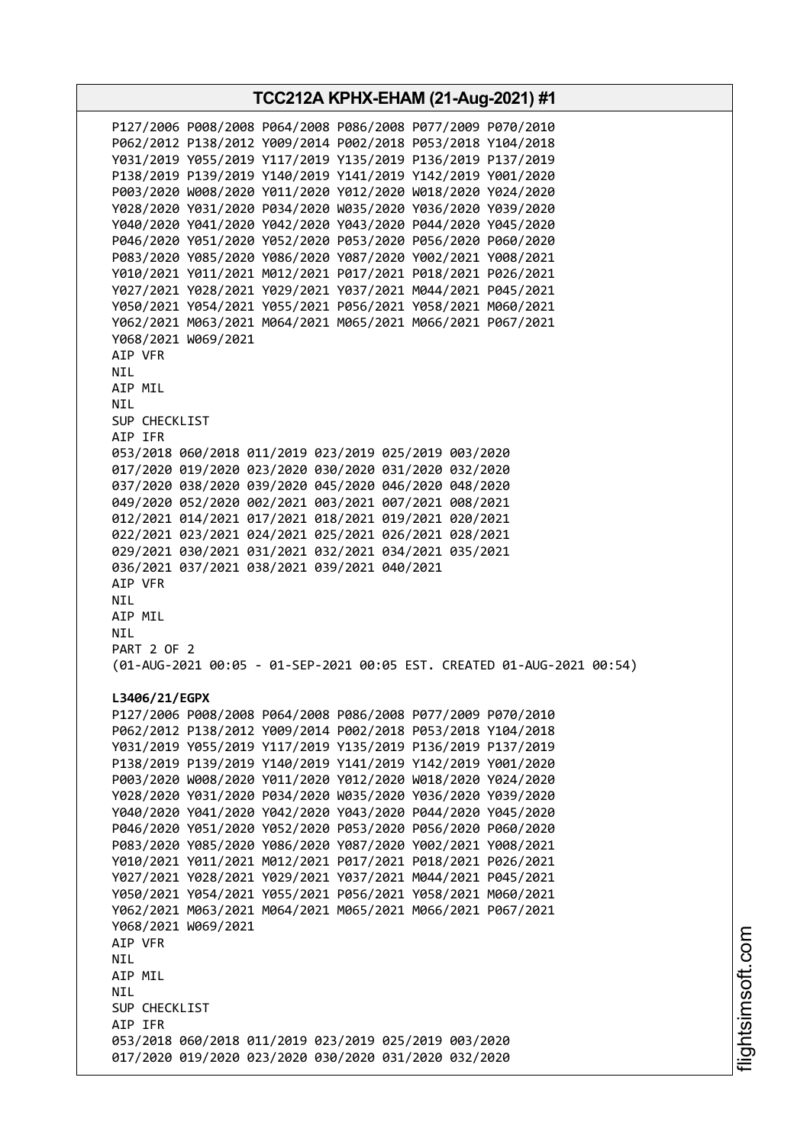**TCC212A KPHX-EHAM (21-Aug-2021) #1** P127/2006 P008/2008 P064/2008 P086/2008 P077/2009 P070/2010 P062/2012 P138/2012 Y009/2014 P002/2018 P053/2018 Y104/2018 Y031/2019 Y055/2019 Y117/2019 Y135/2019 P136/2019 P137/2019 P138/2019 P139/2019 Y140/2019 Y141/2019 Y142/2019 Y001/2020 P003/2020 W008/2020 Y011/2020 Y012/2020 W018/2020 Y024/2020 Y028/2020 Y031/2020 P034/2020 W035/2020 Y036/2020 Y039/2020 Y040/2020 Y041/2020 Y042/2020 Y043/2020 P044/2020 Y045/2020 P046/2020 Y051/2020 Y052/2020 P053/2020 P056/2020 P060/2020 P083/2020 Y085/2020 Y086/2020 Y087/2020 Y002/2021 Y008/2021 Y010/2021 Y011/2021 M012/2021 P017/2021 P018/2021 P026/2021 Y027/2021 Y028/2021 Y029/2021 Y037/2021 M044/2021 P045/2021 Y050/2021 Y054/2021 Y055/2021 P056/2021 Y058/2021 M060/2021 Y062/2021 M063/2021 M064/2021 M065/2021 M066/2021 P067/2021 Y068/2021 W069/2021 AIP VFR NIL AIP MIL NIL SUP CHECKLIST AIP IFR 053/2018 060/2018 011/2019 023/2019 025/2019 003/2020 017/2020 019/2020 023/2020 030/2020 031/2020 032/2020 037/2020 038/2020 039/2020 045/2020 046/2020 048/2020 049/2020 052/2020 002/2021 003/2021 007/2021 008/2021 012/2021 014/2021 017/2021 018/2021 019/2021 020/2021 022/2021 023/2021 024/2021 025/2021 026/2021 028/2021 029/2021 030/2021 031/2021 032/2021 034/2021 035/2021 036/2021 037/2021 038/2021 039/2021 040/2021 AIP VFR NIL AIP MIL NIL PART 2 OF 2 (01-AUG-2021 00:05 - 01-SEP-2021 00:05 EST. CREATED 01-AUG-2021 00:54) **L3406/21/EGPX** P127/2006 P008/2008 P064/2008 P086/2008 P077/2009 P070/2010 P062/2012 P138/2012 Y009/2014 P002/2018 P053/2018 Y104/2018 Y031/2019 Y055/2019 Y117/2019 Y135/2019 P136/2019 P137/2019 P138/2019 P139/2019 Y140/2019 Y141/2019 Y142/2019 Y001/2020 P003/2020 W008/2020 Y011/2020 Y012/2020 W018/2020 Y024/2020 Y028/2020 Y031/2020 P034/2020 W035/2020 Y036/2020 Y039/2020 Y040/2020 Y041/2020 Y042/2020 Y043/2020 P044/2020 Y045/2020 P046/2020 Y051/2020 Y052/2020 P053/2020 P056/2020 P060/2020 P083/2020 Y085/2020 Y086/2020 Y087/2020 Y002/2021 Y008/2021 Y010/2021 Y011/2021 M012/2021 P017/2021 P018/2021 P026/2021 Y027/2021 Y028/2021 Y029/2021 Y037/2021 M044/2021 P045/2021 Y050/2021 Y054/2021 Y055/2021 P056/2021 Y058/2021 M060/2021 Y062/2021 M063/2021 M064/2021 M065/2021 M066/2021 P067/2021 Y068/2021 W069/2021 AIP VFR NIL AIP MIL **NTL** SUP CHECKLIST AIP IFR 053/2018 060/2018 011/2019 023/2019 025/2019 003/2020 017/2020 019/2020 023/2020 030/2020 031/2020 032/2020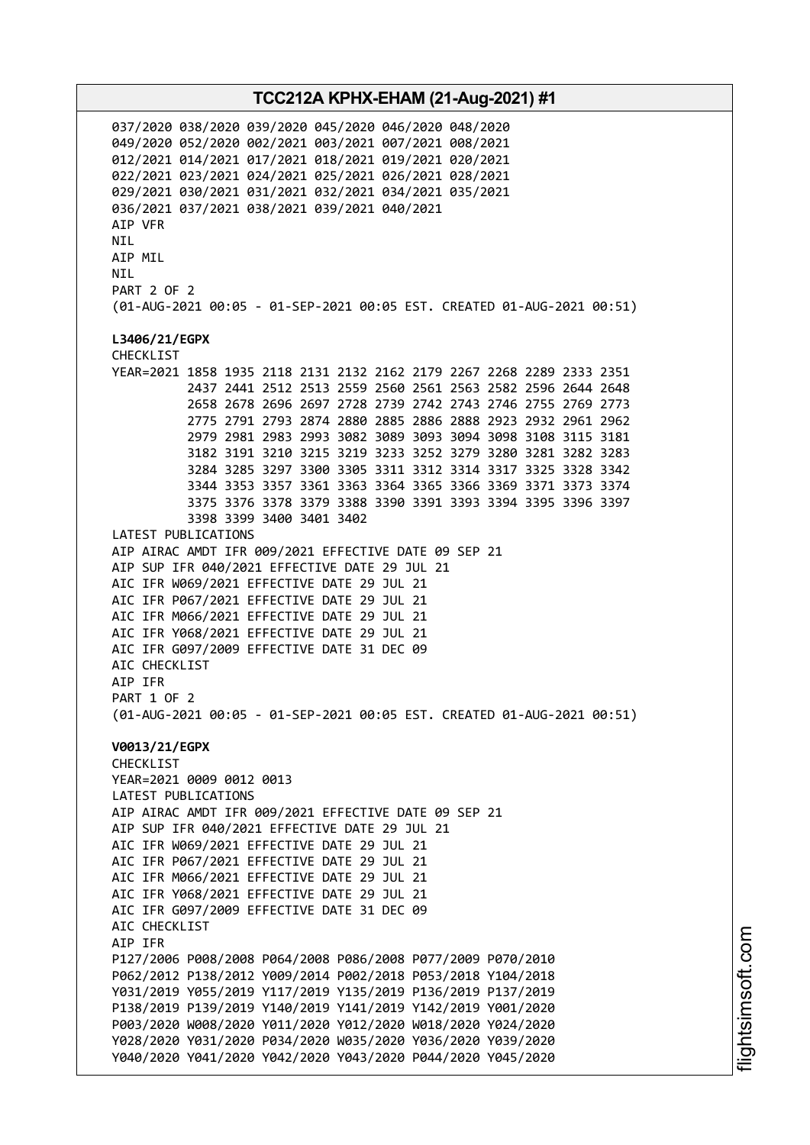037/2020 038/2020 039/2020 045/2020 046/2020 048/2020 049/2020 052/2020 002/2021 003/2021 007/2021 008/2021 012/2021 014/2021 017/2021 018/2021 019/2021 020/2021 022/2021 023/2021 024/2021 025/2021 026/2021 028/2021 029/2021 030/2021 031/2021 032/2021 034/2021 035/2021 036/2021 037/2021 038/2021 039/2021 040/2021 AIP VFR NIL AIP MIL NIL PART 2 OF 2 (01-AUG-2021 00:05 - 01-SEP-2021 00:05 EST. CREATED 01-AUG-2021 00:51) **L3406/21/EGPX** CHECKLIST YEAR=2021 1858 1935 2118 2131 2132 2162 2179 2267 2268 2289 2333 2351 2437 2441 2512 2513 2559 2560 2561 2563 2582 2596 2644 2648 2658 2678 2696 2697 2728 2739 2742 2743 2746 2755 2769 2773 2775 2791 2793 2874 2880 2885 2886 2888 2923 2932 2961 2962 2979 2981 2983 2993 3082 3089 3093 3094 3098 3108 3115 3181 3182 3191 3210 3215 3219 3233 3252 3279 3280 3281 3282 3283 3284 3285 3297 3300 3305 3311 3312 3314 3317 3325 3328 3342 3344 3353 3357 3361 3363 3364 3365 3366 3369 3371 3373 3374 3375 3376 3378 3379 3388 3390 3391 3393 3394 3395 3396 3397 3398 3399 3400 3401 3402 LATEST PUBLICATIONS AIP AIRAC AMDT IFR 009/2021 EFFECTIVE DATE 09 SEP 21 AIP SUP IFR 040/2021 EFFECTIVE DATE 29 JUL 21 AIC IFR W069/2021 EFFECTIVE DATE 29 JUL 21 AIC IFR P067/2021 EFFECTIVE DATE 29 JUL 21 AIC IFR M066/2021 EFFECTIVE DATE 29 JUL 21 AIC IFR Y068/2021 EFFECTIVE DATE 29 JUL 21 AIC IFR G097/2009 EFFECTIVE DATE 31 DEC 09 AIC CHECKLIST AIP IFR PART 1 OF 2 (01-AUG-2021 00:05 - 01-SEP-2021 00:05 EST. CREATED 01-AUG-2021 00:51) **V0013/21/EGPX** CHECKLIST YEAR=2021 0009 0012 0013 LATEST PUBLICATIONS AIP AIRAC AMDT IFR 009/2021 EFFECTIVE DATE 09 SEP 21 AIP SUP IFR 040/2021 EFFECTIVE DATE 29 JUL 21 AIC IFR W069/2021 EFFECTIVE DATE 29 JUL 21 AIC IFR P067/2021 EFFECTIVE DATE 29 JUL 21 AIC IFR M066/2021 EFFECTIVE DATE 29 JUL 21 AIC IFR Y068/2021 EFFECTIVE DATE 29 JUL 21 AIC IFR G097/2009 EFFECTIVE DATE 31 DEC 09 AIC CHECKLIST AIP IFR P127/2006 P008/2008 P064/2008 P086/2008 P077/2009 P070/2010 P062/2012 P138/2012 Y009/2014 P002/2018 P053/2018 Y104/2018 Y031/2019 Y055/2019 Y117/2019 Y135/2019 P136/2019 P137/2019 P138/2019 P139/2019 Y140/2019 Y141/2019 Y142/2019 Y001/2020 P003/2020 W008/2020 Y011/2020 Y012/2020 W018/2020 Y024/2020 Y028/2020 Y031/2020 P034/2020 W035/2020 Y036/2020 Y039/2020 Y040/2020 Y041/2020 Y042/2020 Y043/2020 P044/2020 Y045/2020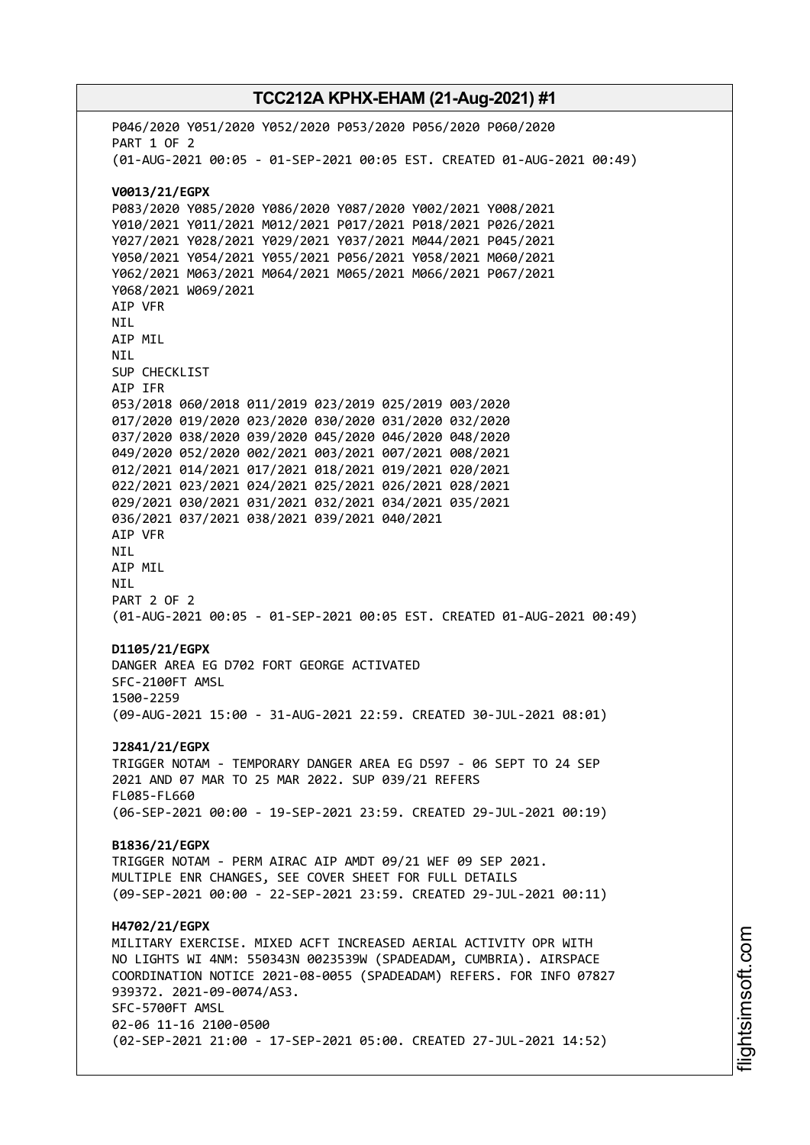# **TCC212A KPHX-EHAM (21-Aug-2021) #1** P046/2020 Y051/2020 Y052/2020 P053/2020 P056/2020 P060/2020 PART 1 OF 2 (01-AUG-2021 00:05 - 01-SEP-2021 00:05 EST. CREATED 01-AUG-2021 00:49) **V0013/21/EGPX** P083/2020 Y085/2020 Y086/2020 Y087/2020 Y002/2021 Y008/2021 Y010/2021 Y011/2021 M012/2021 P017/2021 P018/2021 P026/2021 Y027/2021 Y028/2021 Y029/2021 Y037/2021 M044/2021 P045/2021 Y050/2021 Y054/2021 Y055/2021 P056/2021 Y058/2021 M060/2021 Y062/2021 M063/2021 M064/2021 M065/2021 M066/2021 P067/2021 Y068/2021 W069/2021 AIP VFR NIL AIP MIL NIL SUP CHECKLIST AIP IFR 053/2018 060/2018 011/2019 023/2019 025/2019 003/2020 017/2020 019/2020 023/2020 030/2020 031/2020 032/2020 037/2020 038/2020 039/2020 045/2020 046/2020 048/2020 049/2020 052/2020 002/2021 003/2021 007/2021 008/2021 012/2021 014/2021 017/2021 018/2021 019/2021 020/2021 022/2021 023/2021 024/2021 025/2021 026/2021 028/2021 029/2021 030/2021 031/2021 032/2021 034/2021 035/2021 036/2021 037/2021 038/2021 039/2021 040/2021 AIP VFR NIL AIP MIL NIL PART 2 OF 2 (01-AUG-2021 00:05 - 01-SEP-2021 00:05 EST. CREATED 01-AUG-2021 00:49) **D1105/21/EGPX** DANGER AREA EG D702 FORT GEORGE ACTIVATED SFC-2100FT AMSL 1500-2259 (09-AUG-2021 15:00 - 31-AUG-2021 22:59. CREATED 30-JUL-2021 08:01) **J2841/21/EGPX** TRIGGER NOTAM - TEMPORARY DANGER AREA EG D597 - 06 SEPT TO 24 SEP 2021 AND 07 MAR TO 25 MAR 2022. SUP 039/21 REFERS FL085-FL660 (06-SEP-2021 00:00 - 19-SEP-2021 23:59. CREATED 29-JUL-2021 00:19) **B1836/21/EGPX** TRIGGER NOTAM - PERM AIRAC AIP AMDT 09/21 WEF 09 SEP 2021. MULTIPLE ENR CHANGES, SEE COVER SHEET FOR FULL DETAILS (09-SEP-2021 00:00 - 22-SEP-2021 23:59. CREATED 29-JUL-2021 00:11) **H4702/21/EGPX** MILITARY EXERCISE. MIXED ACFT INCREASED AERIAL ACTIVITY OPR WITH NO LIGHTS WI 4NM: 550343N 0023539W (SPADEADAM, CUMBRIA). AIRSPACE COORDINATION NOTICE 2021-08-0055 (SPADEADAM) REFERS. FOR INFO 07827 939372. 2021-09-0074/AS3. SFC-5700FT AMSL 02-06 11-16 2100-0500 (02-SEP-2021 21:00 - 17-SEP-2021 05:00. CREATED 27-JUL-2021 14:52)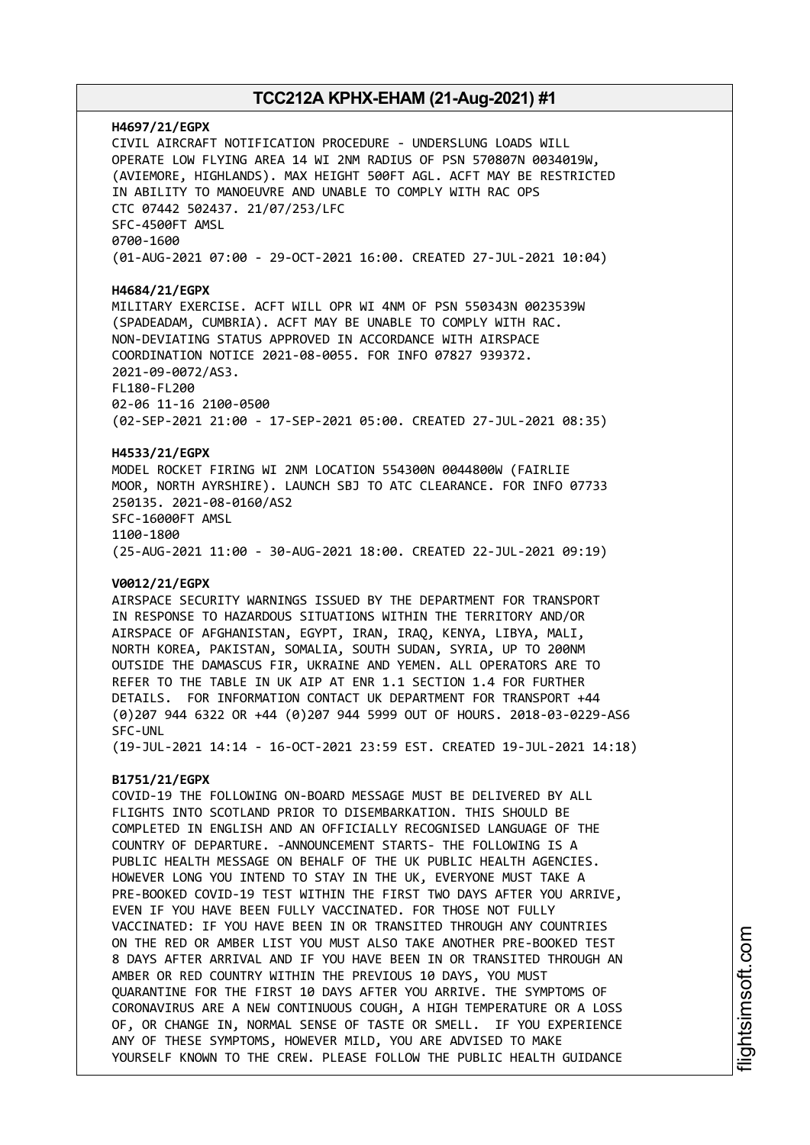### **H4697/21/EGPX** CIVIL AIRCRAFT NOTIFICATION PROCEDURE - UNDERSLUNG LOADS WILL OPERATE LOW FLYING AREA 14 WI 2NM RADIUS OF PSN 570807N 0034019W, (AVIEMORE, HIGHLANDS). MAX HEIGHT 500FT AGL. ACFT MAY BE RESTRICTED IN ABILITY TO MANOEUVRE AND UNABLE TO COMPLY WITH RAC OPS CTC 07442 502437. 21/07/253/LFC SFC-4500FT AMSL 0700-1600 (01-AUG-2021 07:00 - 29-OCT-2021 16:00. CREATED 27-JUL-2021 10:04)

#### **H4684/21/EGPX**

MILITARY EXERCISE. ACFT WILL OPR WI 4NM OF PSN 550343N 0023539W (SPADEADAM, CUMBRIA). ACFT MAY BE UNABLE TO COMPLY WITH RAC. NON-DEVIATING STATUS APPROVED IN ACCORDANCE WITH AIRSPACE COORDINATION NOTICE 2021-08-0055. FOR INFO 07827 939372. 2021-09-0072/AS3. FL180-FL200 02-06 11-16 2100-0500 (02-SEP-2021 21:00 - 17-SEP-2021 05:00. CREATED 27-JUL-2021 08:35)

#### **H4533/21/EGPX**

MODEL ROCKET FIRING WI 2NM LOCATION 554300N 0044800W (FAIRLIE MOOR, NORTH AYRSHIRE). LAUNCH SBJ TO ATC CLEARANCE. FOR INFO 07733 250135. 2021-08-0160/AS2 SFC-16000FT AMSL 1100-1800 (25-AUG-2021 11:00 - 30-AUG-2021 18:00. CREATED 22-JUL-2021 09:19)

#### **V0012/21/EGPX**

AIRSPACE SECURITY WARNINGS ISSUED BY THE DEPARTMENT FOR TRANSPORT IN RESPONSE TO HAZARDOUS SITUATIONS WITHIN THE TERRITORY AND/OR AIRSPACE OF AFGHANISTAN, EGYPT, IRAN, IRAQ, KENYA, LIBYA, MALI, NORTH KOREA, PAKISTAN, SOMALIA, SOUTH SUDAN, SYRIA, UP TO 200NM OUTSIDE THE DAMASCUS FIR, UKRAINE AND YEMEN. ALL OPERATORS ARE TO REFER TO THE TABLE IN UK AIP AT ENR 1.1 SECTION 1.4 FOR FURTHER DETAILS. FOR INFORMATION CONTACT UK DEPARTMENT FOR TRANSPORT +44 (0)207 944 6322 OR +44 (0)207 944 5999 OUT OF HOURS. 2018-03-0229-AS6 SFC-UNL

(19-JUL-2021 14:14 - 16-OCT-2021 23:59 EST. CREATED 19-JUL-2021 14:18)

### **B1751/21/EGPX**

COVID-19 THE FOLLOWING ON-BOARD MESSAGE MUST BE DELIVERED BY ALL FLIGHTS INTO SCOTLAND PRIOR TO DISEMBARKATION. THIS SHOULD BE COMPLETED IN ENGLISH AND AN OFFICIALLY RECOGNISED LANGUAGE OF THE COUNTRY OF DEPARTURE. -ANNOUNCEMENT STARTS- THE FOLLOWING IS A PUBLIC HEALTH MESSAGE ON BEHALF OF THE UK PUBLIC HEALTH AGENCIES. HOWEVER LONG YOU INTEND TO STAY IN THE UK, EVERYONE MUST TAKE A PRE-BOOKED COVID-19 TEST WITHIN THE FIRST TWO DAYS AFTER YOU ARRIVE, EVEN IF YOU HAVE BEEN FULLY VACCINATED. FOR THOSE NOT FULLY VACCINATED: IF YOU HAVE BEEN IN OR TRANSITED THROUGH ANY COUNTRIES ON THE RED OR AMBER LIST YOU MUST ALSO TAKE ANOTHER PRE-BOOKED TEST 8 DAYS AFTER ARRIVAL AND IF YOU HAVE BEEN IN OR TRANSITED THROUGH AN AMBER OR RED COUNTRY WITHIN THE PREVIOUS 10 DAYS, YOU MUST QUARANTINE FOR THE FIRST 10 DAYS AFTER YOU ARRIVE. THE SYMPTOMS OF CORONAVIRUS ARE A NEW CONTINUOUS COUGH, A HIGH TEMPERATURE OR A LOSS OF, OR CHANGE IN, NORMAL SENSE OF TASTE OR SMELL. IF YOU EXPERIENCE ANY OF THESE SYMPTOMS, HOWEVER MILD, YOU ARE ADVISED TO MAKE YOURSELF KNOWN TO THE CREW. PLEASE FOLLOW THE PUBLIC HEALTH GUIDANCE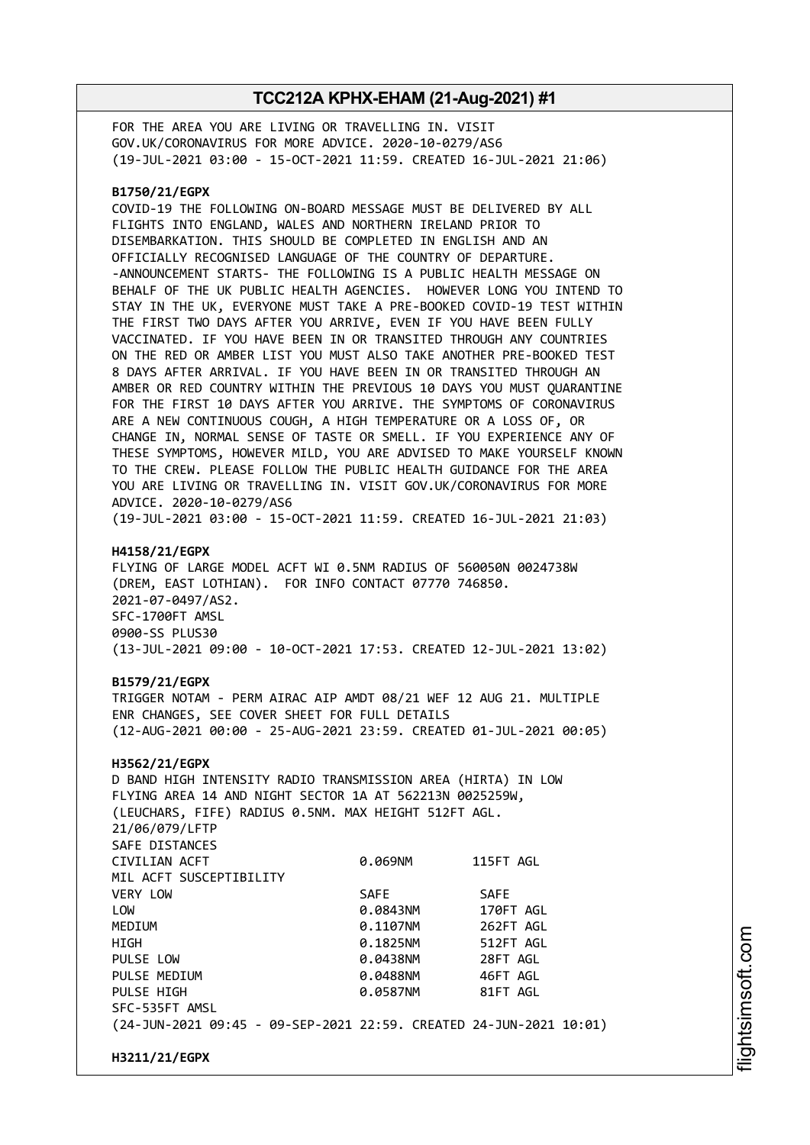FOR THE AREA YOU ARE LIVING OR TRAVELLING IN. VISIT GOV.UK/CORONAVIRUS FOR MORE ADVICE. 2020-10-0279/AS6 (19-JUL-2021 03:00 - 15-OCT-2021 11:59. CREATED 16-JUL-2021 21:06)

#### **B1750/21/EGPX**

COVID-19 THE FOLLOWING ON-BOARD MESSAGE MUST BE DELIVERED BY ALL FLIGHTS INTO ENGLAND, WALES AND NORTHERN IRELAND PRIOR TO DISEMBARKATION. THIS SHOULD BE COMPLETED IN ENGLISH AND AN OFFICIALLY RECOGNISED LANGUAGE OF THE COUNTRY OF DEPARTURE. -ANNOUNCEMENT STARTS- THE FOLLOWING IS A PUBLIC HEALTH MESSAGE ON BEHALF OF THE UK PUBLIC HEALTH AGENCIES. HOWEVER LONG YOU INTEND TO STAY IN THE UK, EVERYONE MUST TAKE A PRE-BOOKED COVID-19 TEST WITHIN THE FIRST TWO DAYS AFTER YOU ARRIVE, EVEN IF YOU HAVE BEEN FULLY VACCINATED. IF YOU HAVE BEEN IN OR TRANSITED THROUGH ANY COUNTRIES ON THE RED OR AMBER LIST YOU MUST ALSO TAKE ANOTHER PRE-BOOKED TEST 8 DAYS AFTER ARRIVAL. IF YOU HAVE BEEN IN OR TRANSITED THROUGH AN AMBER OR RED COUNTRY WITHIN THE PREVIOUS 10 DAYS YOU MUST QUARANTINE FOR THE FIRST 10 DAYS AFTER YOU ARRIVE. THE SYMPTOMS OF CORONAVIRUS ARE A NEW CONTINUOUS COUGH, A HIGH TEMPERATURE OR A LOSS OF, OR CHANGE IN, NORMAL SENSE OF TASTE OR SMELL. IF YOU EXPERIENCE ANY OF THESE SYMPTOMS, HOWEVER MILD, YOU ARE ADVISED TO MAKE YOURSELF KNOWN TO THE CREW. PLEASE FOLLOW THE PUBLIC HEALTH GUIDANCE FOR THE AREA YOU ARE LIVING OR TRAVELLING IN. VISIT GOV.UK/CORONAVIRUS FOR MORE ADVICE. 2020-10-0279/AS6 (19-JUL-2021 03:00 - 15-OCT-2021 11:59. CREATED 16-JUL-2021 21:03)

#### **H4158/21/EGPX**

FLYING OF LARGE MODEL ACFT WI 0.5NM RADIUS OF 560050N 0024738W (DREM, EAST LOTHIAN). FOR INFO CONTACT 07770 746850. 2021-07-0497/AS2. SFC-1700FT AMSL 0900-SS PLUS30 (13-JUL-2021 09:00 - 10-OCT-2021 17:53. CREATED 12-JUL-2021 13:02)

#### **B1579/21/EGPX**

TRIGGER NOTAM - PERM AIRAC AIP AMDT 08/21 WEF 12 AUG 21. MULTIPLE ENR CHANGES, SEE COVER SHEET FOR FULL DETAILS (12-AUG-2021 00:00 - 25-AUG-2021 23:59. CREATED 01-JUL-2021 00:05)

#### **H3562/21/EGPX**

D BAND HIGH INTENSITY RADIO TRANSMISSION AREA (HIRTA) IN LOW FLYING AREA 14 AND NIGHT SECTOR 1A AT 562213N 0025259W, (LEUCHARS, FIFE) RADIUS 0.5NM. MAX HEIGHT 512FT AGL. 21/06/079/LFTP SAFE DISTANCES CIVILIAN ACFT 0.069NM 115FT AGL MIL ACFT SUSCEPTIBILITY VERY LOW SAFE SAFE LOW 0.0843NM 170FT AGL MEDIUM 0.1107NM 262FT AGL HIGH 0.1825NM 512FT AGL PULSE LOW 0.0438NM 28FT AGL PULSE MEDIUM 0.0488NM 46FT AGL PULSE HIGH **DESIGNATION 81FT AGLACI 0.0587NM** 81FT AGL SFC-535FT AMSL (24-JUN-2021 09:45 - 09-SEP-2021 22:59. CREATED 24-JUN-2021 10:01)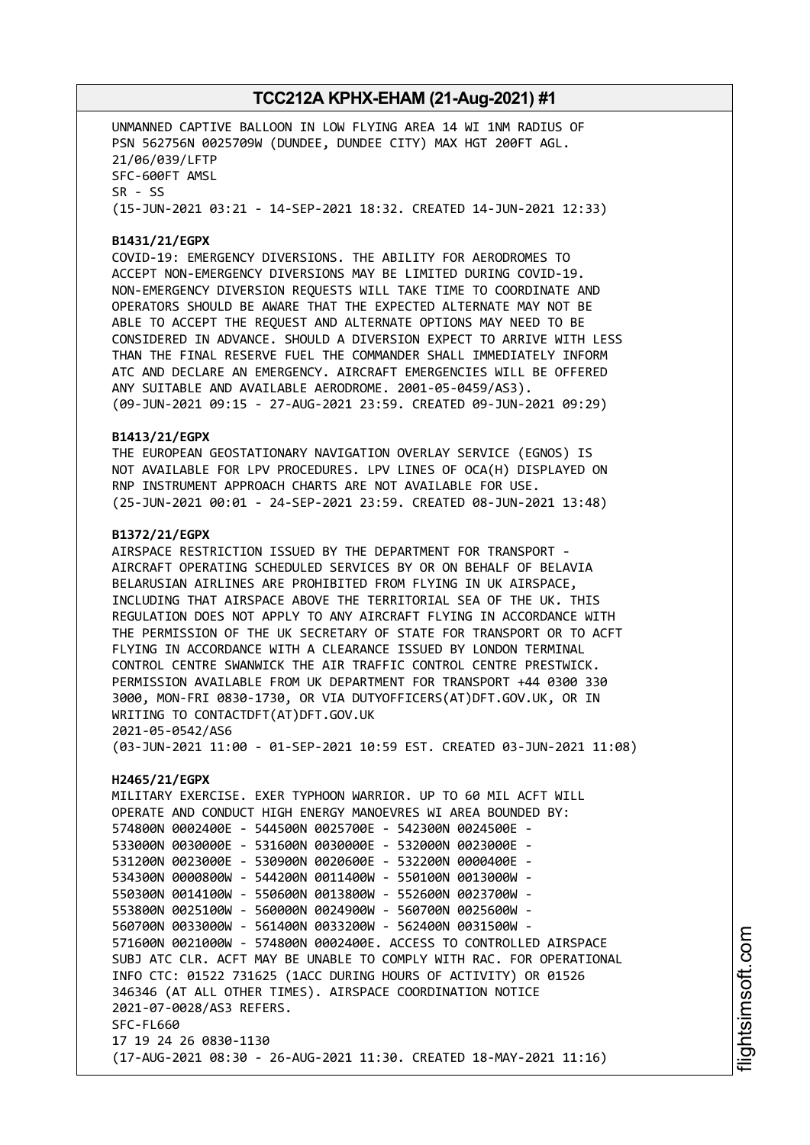UNMANNED CAPTIVE BALLOON IN LOW FLYING AREA 14 WI 1NM RADIUS OF PSN 562756N 0025709W (DUNDEE, DUNDEE CITY) MAX HGT 200FT AGL. 21/06/039/LFTP SFC-600FT AMSL SR - SS (15-JUN-2021 03:21 - 14-SEP-2021 18:32. CREATED 14-JUN-2021 12:33)

### **B1431/21/EGPX**

COVID-19: EMERGENCY DIVERSIONS. THE ABILITY FOR AERODROMES TO ACCEPT NON-EMERGENCY DIVERSIONS MAY BE LIMITED DURING COVID-19. NON-EMERGENCY DIVERSION REQUESTS WILL TAKE TIME TO COORDINATE AND OPERATORS SHOULD BE AWARE THAT THE EXPECTED ALTERNATE MAY NOT BE ABLE TO ACCEPT THE REQUEST AND ALTERNATE OPTIONS MAY NEED TO BE CONSIDERED IN ADVANCE. SHOULD A DIVERSION EXPECT TO ARRIVE WITH LESS THAN THE FINAL RESERVE FUEL THE COMMANDER SHALL IMMEDIATELY INFORM ATC AND DECLARE AN EMERGENCY. AIRCRAFT EMERGENCIES WILL BE OFFERED ANY SUITABLE AND AVAILABLE AERODROME. 2001-05-0459/AS3). (09-JUN-2021 09:15 - 27-AUG-2021 23:59. CREATED 09-JUN-2021 09:29)

#### **B1413/21/EGPX**

THE EUROPEAN GEOSTATIONARY NAVIGATION OVERLAY SERVICE (EGNOS) IS NOT AVAILABLE FOR LPV PROCEDURES. LPV LINES OF OCA(H) DISPLAYED ON RNP INSTRUMENT APPROACH CHARTS ARE NOT AVAILABLE FOR USE. (25-JUN-2021 00:01 - 24-SEP-2021 23:59. CREATED 08-JUN-2021 13:48)

#### **B1372/21/EGPX**

AIRSPACE RESTRICTION ISSUED BY THE DEPARTMENT FOR TRANSPORT - AIRCRAFT OPERATING SCHEDULED SERVICES BY OR ON BEHALF OF BELAVIA BELARUSIAN AIRLINES ARE PROHIBITED FROM FLYING IN UK AIRSPACE, INCLUDING THAT AIRSPACE ABOVE THE TERRITORIAL SEA OF THE UK. THIS REGULATION DOES NOT APPLY TO ANY AIRCRAFT FLYING IN ACCORDANCE WITH THE PERMISSION OF THE UK SECRETARY OF STATE FOR TRANSPORT OR TO ACFT FLYING IN ACCORDANCE WITH A CLEARANCE ISSUED BY LONDON TERMINAL CONTROL CENTRE SWANWICK THE AIR TRAFFIC CONTROL CENTRE PRESTWICK. PERMISSION AVAILABLE FROM UK DEPARTMENT FOR TRANSPORT +44 0300 330 3000, MON-FRI 0830-1730, OR VIA DUTYOFFICERS(AT)DFT.GOV.UK, OR IN WRITING TO CONTACTDFT(AT)DFT.GOV.UK 2021-05-0542/AS6

(03-JUN-2021 11:00 - 01-SEP-2021 10:59 EST. CREATED 03-JUN-2021 11:08)

#### **H2465/21/EGPX**

MILITARY EXERCISE. EXER TYPHOON WARRIOR. UP TO 60 MIL ACFT WILL OPERATE AND CONDUCT HIGH ENERGY MANOEVRES WI AREA BOUNDED BY: 574800N 0002400E - 544500N 0025700E - 542300N 0024500E - 533000N 0030000E - 531600N 0030000E - 532000N 0023000E - 531200N 0023000E - 530900N 0020600E - 532200N 0000400E - 534300N 0000800W - 544200N 0011400W - 550100N 0013000W - 550300N 0014100W - 550600N 0013800W - 552600N 0023700W - 553800N 0025100W - 560000N 0024900W - 560700N 0025600W - 560700N 0033000W - 561400N 0033200W - 562400N 0031500W - 571600N 0021000W - 574800N 0002400E. ACCESS TO CONTROLLED AIRSPACE SUBJ ATC CLR. ACFT MAY BE UNABLE TO COMPLY WITH RAC. FOR OPERATIONAL INFO CTC: 01522 731625 (1ACC DURING HOURS OF ACTIVITY) OR 01526 346346 (AT ALL OTHER TIMES). AIRSPACE COORDINATION NOTICE 2021-07-0028/AS3 REFERS. SFC-FL660 17 19 24 26 0830-1130 (17-AUG-2021 08:30 - 26-AUG-2021 11:30. CREATED 18-MAY-2021 11:16)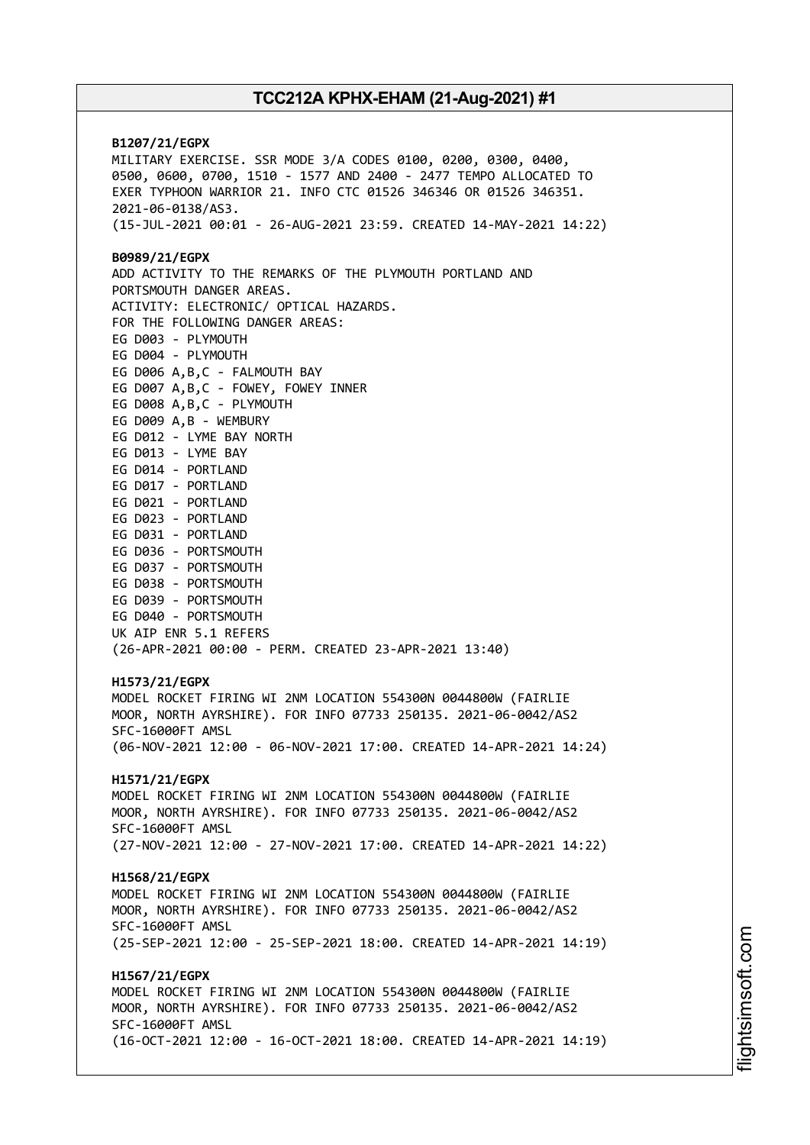**B1207/21/EGPX** MILITARY EXERCISE. SSR MODE 3/A CODES 0100, 0200, 0300, 0400, 0500, 0600, 0700, 1510 - 1577 AND 2400 - 2477 TEMPO ALLOCATED TO EXER TYPHOON WARRIOR 21. INFO CTC 01526 346346 OR 01526 346351. 2021-06-0138/AS3. (15-JUL-2021 00:01 - 26-AUG-2021 23:59. CREATED 14-MAY-2021 14:22) **B0989/21/EGPX** ADD ACTIVITY TO THE REMARKS OF THE PLYMOUTH PORTLAND AND PORTSMOUTH DANGER AREAS. ACTIVITY: ELECTRONIC/ OPTICAL HAZARDS. FOR THE FOLLOWING DANGER AREAS: EG D003 - PLYMOUTH EG D004 - PLYMOUTH EG D006 A,B,C - FALMOUTH BAY EG D007 A,B,C - FOWEY, FOWEY INNER EG D008 A,B,C - PLYMOUTH EG D009 A,B - WEMBURY EG D012 - LYME BAY NORTH EG D013 - LYME BAY EG D014 - PORTLAND EG D017 - PORTLAND EG D021 - PORTLAND EG D023 - PORTLAND EG D031 - PORTLAND EG D036 - PORTSMOUTH EG D037 - PORTSMOUTH EG D038 - PORTSMOUTH EG D039 - PORTSMOUTH EG D040 - PORTSMOUTH UK AIP ENR 5.1 REFERS (26-APR-2021 00:00 - PERM. CREATED 23-APR-2021 13:40) **H1573/21/EGPX** MODEL ROCKET FIRING WI 2NM LOCATION 554300N 0044800W (FAIRLIE MOOR, NORTH AYRSHIRE). FOR INFO 07733 250135. 2021-06-0042/AS2 SFC-16000FT AMSL (06-NOV-2021 12:00 - 06-NOV-2021 17:00. CREATED 14-APR-2021 14:24) **H1571/21/EGPX** MODEL ROCKET FIRING WI 2NM LOCATION 554300N 0044800W (FAIRLIE MOOR, NORTH AYRSHIRE). FOR INFO 07733 250135. 2021-06-0042/AS2 SFC-16000FT AMSL (27-NOV-2021 12:00 - 27-NOV-2021 17:00. CREATED 14-APR-2021 14:22) **H1568/21/EGPX** MODEL ROCKET FIRING WI 2NM LOCATION 554300N 0044800W (FAIRLIE MOOR, NORTH AYRSHIRE). FOR INFO 07733 250135. 2021-06-0042/AS2 SFC-16000FT AMSL (25-SEP-2021 12:00 - 25-SEP-2021 18:00. CREATED 14-APR-2021 14:19) **H1567/21/EGPX** MODEL ROCKET FIRING WI 2NM LOCATION 554300N 0044800W (FAIRLIE MOOR, NORTH AYRSHIRE). FOR INFO 07733 250135. 2021-06-0042/AS2 SFC-16000FT AMSL (16-OCT-2021 12:00 - 16-OCT-2021 18:00. CREATED 14-APR-2021 14:19)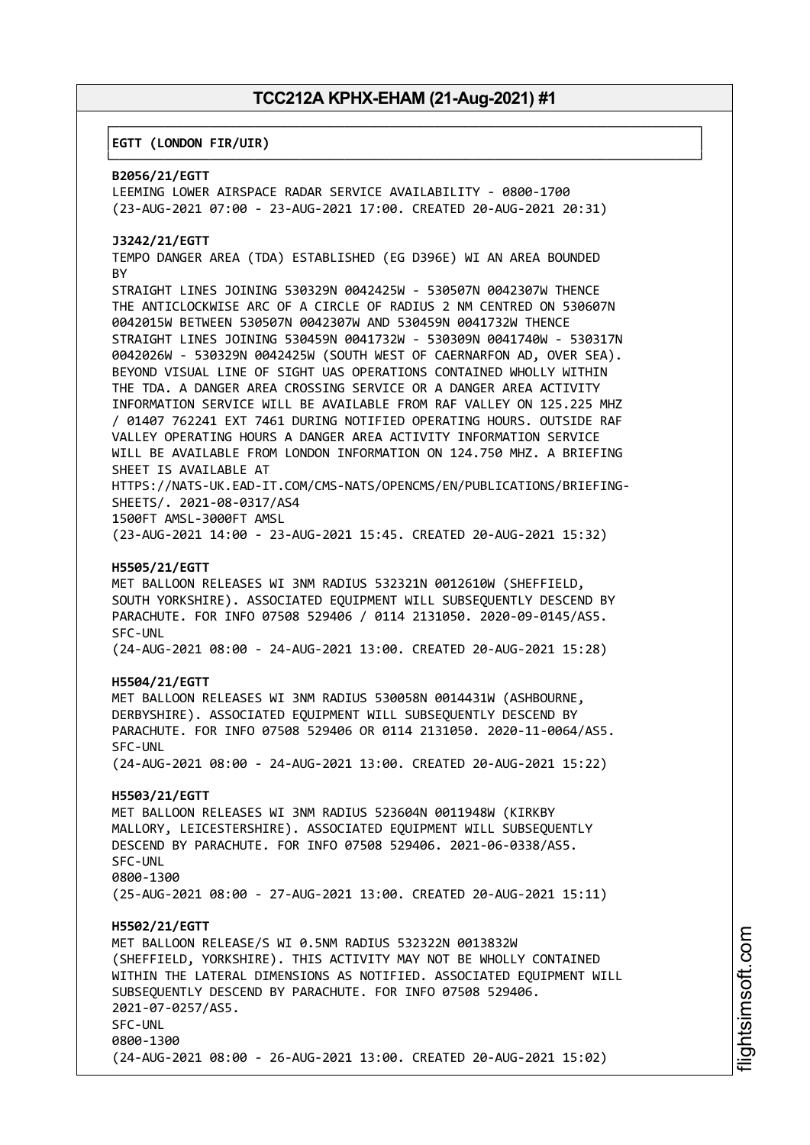┌──────────────────────────────────────────────────────────────────────────────┐

└──────────────────────────────────────────────────────────────────────────────┘

#### │**EGTT (LONDON FIR/UIR)** │

#### **B2056/21/EGTT**

LEEMING LOWER AIRSPACE RADAR SERVICE AVAILABILITY - 0800-1700 (23-AUG-2021 07:00 - 23-AUG-2021 17:00. CREATED 20-AUG-2021 20:31)

#### **J3242/21/EGTT**

TEMPO DANGER AREA (TDA) ESTABLISHED (EG D396E) WI AN AREA BOUNDED **BY** 

STRAIGHT LINES JOINING 530329N 0042425W - 530507N 0042307W THENCE THE ANTICLOCKWISE ARC OF A CIRCLE OF RADIUS 2 NM CENTRED ON 530607N 0042015W BETWEEN 530507N 0042307W AND 530459N 0041732W THENCE STRAIGHT LINES JOINING 530459N 0041732W - 530309N 0041740W - 530317N 0042026W - 530329N 0042425W (SOUTH WEST OF CAERNARFON AD, OVER SEA). BEYOND VISUAL LINE OF SIGHT UAS OPERATIONS CONTAINED WHOLLY WITHIN THE TDA. A DANGER AREA CROSSING SERVICE OR A DANGER AREA ACTIVITY INFORMATION SERVICE WILL BE AVAILABLE FROM RAF VALLEY ON 125.225 MHZ / 01407 762241 EXT 7461 DURING NOTIFIED OPERATING HOURS. OUTSIDE RAF VALLEY OPERATING HOURS A DANGER AREA ACTIVITY INFORMATION SERVICE WILL BE AVAILABLE FROM LONDON INFORMATION ON 124.750 MHZ. A BRIEFING SHEET IS AVAILABLE AT HTTPS://NATS-UK.EAD-IT.COM/CMS-NATS/OPENCMS/EN/PUBLICATIONS/BRIEFING-

SHEETS/. 2021-08-0317/AS4

1500FT AMSL-3000FT AMSL (23-AUG-2021 14:00 - 23-AUG-2021 15:45. CREATED 20-AUG-2021 15:32)

#### **H5505/21/EGTT**

MET BALLOON RELEASES WI 3NM RADIUS 532321N 0012610W (SHEFFIELD, SOUTH YORKSHIRE). ASSOCIATED EQUIPMENT WILL SUBSEQUENTLY DESCEND BY PARACHUTE. FOR INFO 07508 529406 / 0114 2131050. 2020-09-0145/AS5. SFC-UNL

(24-AUG-2021 08:00 - 24-AUG-2021 13:00. CREATED 20-AUG-2021 15:28)

#### **H5504/21/EGTT**

MET BALLOON RELEASES WI 3NM RADIUS 530058N 0014431W (ASHBOURNE, DERBYSHIRE). ASSOCIATED EQUIPMENT WILL SUBSEQUENTLY DESCEND BY PARACHUTE. FOR INFO 07508 529406 OR 0114 2131050. 2020-11-0064/AS5. SFC-UNL

(24-AUG-2021 08:00 - 24-AUG-2021 13:00. CREATED 20-AUG-2021 15:22)

#### **H5503/21/EGTT**

MET BALLOON RELEASES WI 3NM RADIUS 523604N 0011948W (KIRKBY MALLORY, LEICESTERSHIRE). ASSOCIATED EQUIPMENT WILL SUBSEQUENTLY DESCEND BY PARACHUTE. FOR INFO 07508 529406. 2021-06-0338/AS5. SFC-UNL 0800-1300 (25-AUG-2021 08:00 - 27-AUG-2021 13:00. CREATED 20-AUG-2021 15:11)

#### **H5502/21/EGTT**

MET BALLOON RELEASE/S WI 0.5NM RADIUS 532322N 0013832W (SHEFFIELD, YORKSHIRE). THIS ACTIVITY MAY NOT BE WHOLLY CONTAINED WITHIN THE LATERAL DIMENSIONS AS NOTIFIED. ASSOCIATED EQUIPMENT WILL SUBSEQUENTLY DESCEND BY PARACHUTE. FOR INFO 07508 529406. 2021-07-0257/AS5. SFC-UNL 0800-1300 (24-AUG-2021 08:00 - 26-AUG-2021 13:00. CREATED 20-AUG-2021 15:02)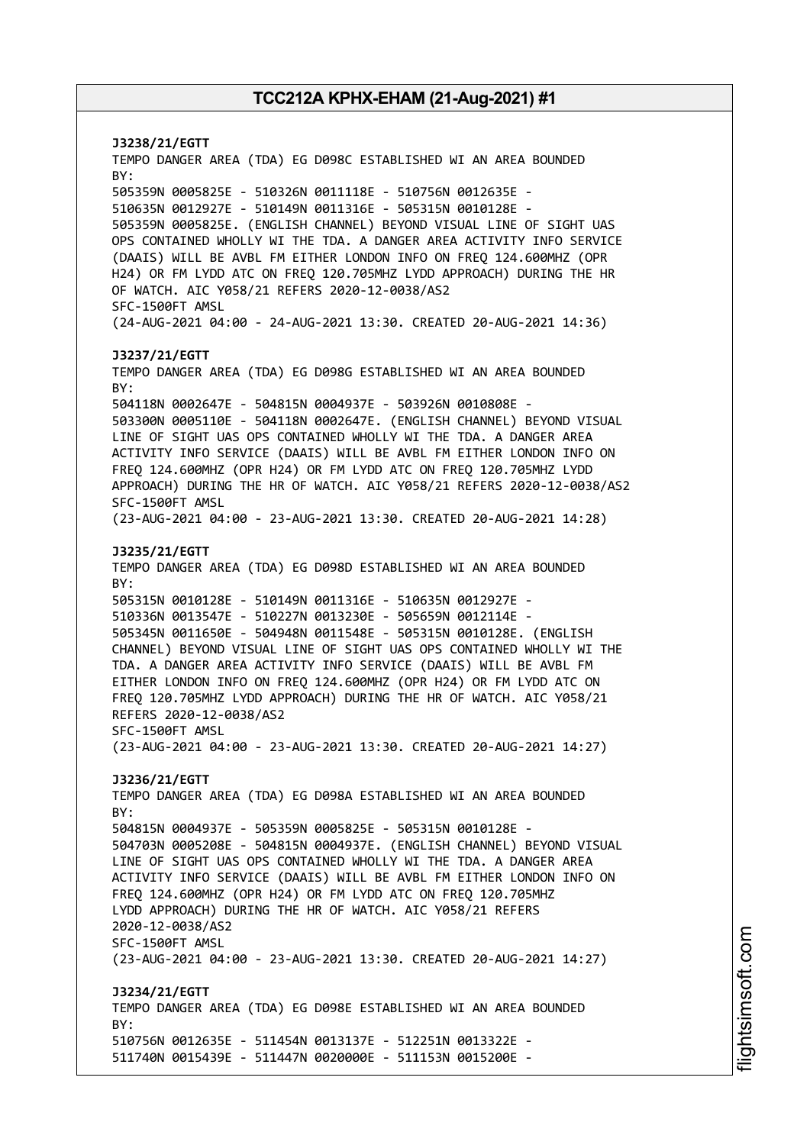**J3238/21/EGTT** TEMPO DANGER AREA (TDA) EG D098C ESTABLISHED WI AN AREA BOUNDED BY: 505359N 0005825E - 510326N 0011118E - 510756N 0012635E - 510635N 0012927E - 510149N 0011316E - 505315N 0010128E - 505359N 0005825E. (ENGLISH CHANNEL) BEYOND VISUAL LINE OF SIGHT UAS OPS CONTAINED WHOLLY WI THE TDA. A DANGER AREA ACTIVITY INFO SERVICE (DAAIS) WILL BE AVBL FM EITHER LONDON INFO ON FREQ 124.600MHZ (OPR H24) OR FM LYDD ATC ON FREQ 120.705MHZ LYDD APPROACH) DURING THE HR OF WATCH. AIC Y058/21 REFERS 2020-12-0038/AS2 SFC-1500FT AMSL (24-AUG-2021 04:00 - 24-AUG-2021 13:30. CREATED 20-AUG-2021 14:36) **J3237/21/EGTT** TEMPO DANGER AREA (TDA) EG D098G ESTABLISHED WI AN AREA BOUNDED BY: 504118N 0002647E - 504815N 0004937E - 503926N 0010808E - 503300N 0005110E - 504118N 0002647E. (ENGLISH CHANNEL) BEYOND VISUAL LINE OF SIGHT UAS OPS CONTAINED WHOLLY WI THE TDA. A DANGER AREA ACTIVITY INFO SERVICE (DAAIS) WILL BE AVBL FM EITHER LONDON INFO ON FREQ 124.600MHZ (OPR H24) OR FM LYDD ATC ON FREQ 120.705MHZ LYDD APPROACH) DURING THE HR OF WATCH. AIC Y058/21 REFERS 2020-12-0038/AS2 SFC-1500FT AMSL (23-AUG-2021 04:00 - 23-AUG-2021 13:30. CREATED 20-AUG-2021 14:28) **J3235/21/EGTT** TEMPO DANGER AREA (TDA) EG D098D ESTABLISHED WI AN AREA BOUNDED BY: 505315N 0010128E - 510149N 0011316E - 510635N 0012927E - 510336N 0013547E - 510227N 0013230E - 505659N 0012114E - 505345N 0011650E - 504948N 0011548E - 505315N 0010128E. (ENGLISH CHANNEL) BEYOND VISUAL LINE OF SIGHT UAS OPS CONTAINED WHOLLY WI THE TDA. A DANGER AREA ACTIVITY INFO SERVICE (DAAIS) WILL BE AVBL FM EITHER LONDON INFO ON FREQ 124.600MHZ (OPR H24) OR FM LYDD ATC ON FREQ 120.705MHZ LYDD APPROACH) DURING THE HR OF WATCH. AIC Y058/21 REFERS 2020-12-0038/AS2 SFC-1500FT AMSL (23-AUG-2021 04:00 - 23-AUG-2021 13:30. CREATED 20-AUG-2021 14:27) **J3236/21/EGTT** TEMPO DANGER AREA (TDA) EG D098A ESTABLISHED WI AN AREA BOUNDED BY: 504815N 0004937E - 505359N 0005825E - 505315N 0010128E - 504703N 0005208E - 504815N 0004937E. (ENGLISH CHANNEL) BEYOND VISUAL LINE OF SIGHT UAS OPS CONTAINED WHOLLY WI THE TDA. A DANGER AREA ACTIVITY INFO SERVICE (DAAIS) WILL BE AVBL FM EITHER LONDON INFO ON FREQ 124.600MHZ (OPR H24) OR FM LYDD ATC ON FREQ 120.705MHZ LYDD APPROACH) DURING THE HR OF WATCH. AIC Y058/21 REFERS 2020-12-0038/AS2 SFC-1500FT AMSL (23-AUG-2021 04:00 - 23-AUG-2021 13:30. CREATED 20-AUG-2021 14:27) **J3234/21/EGTT** TEMPO DANGER AREA (TDA) EG D098E ESTABLISHED WI AN AREA BOUNDED BY: 510756N 0012635E - 511454N 0013137E - 512251N 0013322E - 511740N 0015439E - 511447N 0020000E - 511153N 0015200E -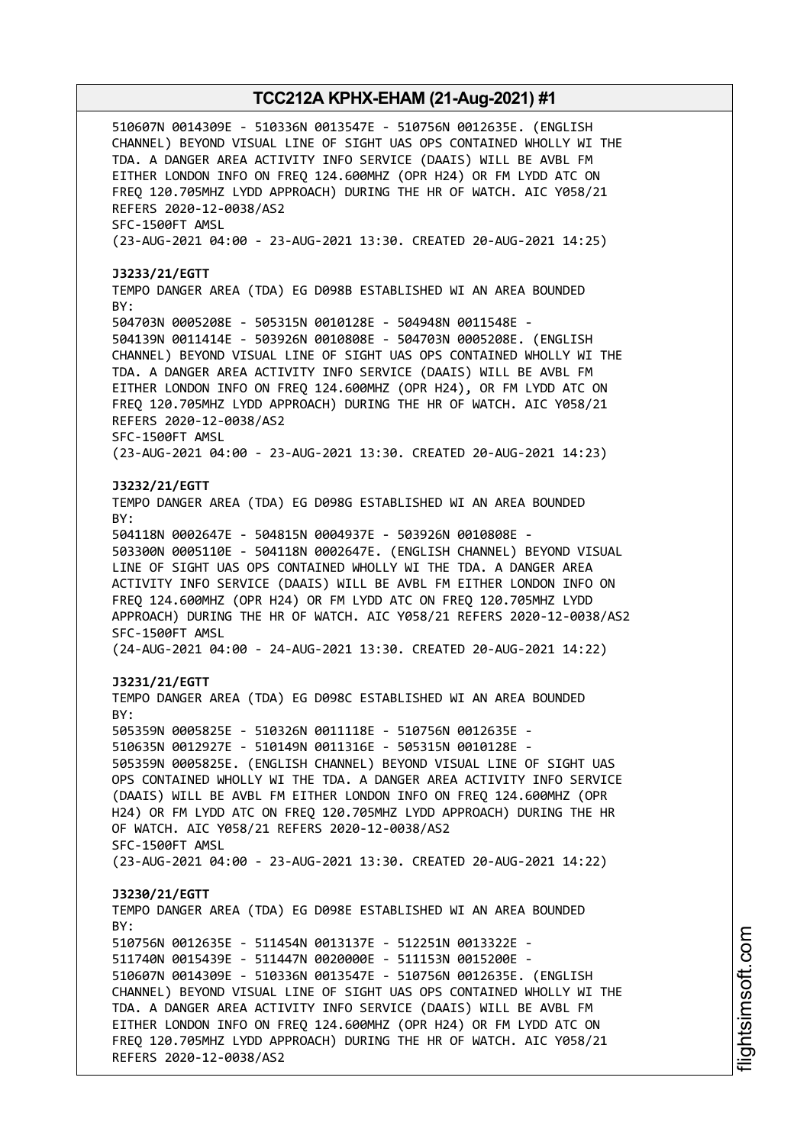510607N 0014309E - 510336N 0013547E - 510756N 0012635E. (ENGLISH CHANNEL) BEYOND VISUAL LINE OF SIGHT UAS OPS CONTAINED WHOLLY WI THE TDA. A DANGER AREA ACTIVITY INFO SERVICE (DAAIS) WILL BE AVBL FM EITHER LONDON INFO ON FREQ 124.600MHZ (OPR H24) OR FM LYDD ATC ON FREQ 120.705MHZ LYDD APPROACH) DURING THE HR OF WATCH. AIC Y058/21 REFERS 2020-12-0038/AS2 SFC-1500FT AMSL (23-AUG-2021 04:00 - 23-AUG-2021 13:30. CREATED 20-AUG-2021 14:25) **J3233/21/EGTT** TEMPO DANGER AREA (TDA) EG D098B ESTABLISHED WI AN AREA BOUNDED BY: 504703N 0005208E - 505315N 0010128E - 504948N 0011548E - 504139N 0011414E - 503926N 0010808E - 504703N 0005208E. (ENGLISH CHANNEL) BEYOND VISUAL LINE OF SIGHT UAS OPS CONTAINED WHOLLY WI THE TDA. A DANGER AREA ACTIVITY INFO SERVICE (DAAIS) WILL BE AVBL FM EITHER LONDON INFO ON FREQ 124.600MHZ (OPR H24), OR FM LYDD ATC ON FREQ 120.705MHZ LYDD APPROACH) DURING THE HR OF WATCH. AIC Y058/21 REFERS 2020-12-0038/AS2 SFC-1500FT AMSL (23-AUG-2021 04:00 - 23-AUG-2021 13:30. CREATED 20-AUG-2021 14:23) **J3232/21/EGTT** TEMPO DANGER AREA (TDA) EG D098G ESTABLISHED WI AN AREA BOUNDED BY: 504118N 0002647E - 504815N 0004937E - 503926N 0010808E - 503300N 0005110E - 504118N 0002647E. (ENGLISH CHANNEL) BEYOND VISUAL LINE OF SIGHT UAS OPS CONTAINED WHOLLY WI THE TDA. A DANGER AREA ACTIVITY INFO SERVICE (DAAIS) WILL BE AVBL FM EITHER LONDON INFO ON FREQ 124.600MHZ (OPR H24) OR FM LYDD ATC ON FREQ 120.705MHZ LYDD APPROACH) DURING THE HR OF WATCH. AIC Y058/21 REFERS 2020-12-0038/AS2 SFC-1500FT AMSL (24-AUG-2021 04:00 - 24-AUG-2021 13:30. CREATED 20-AUG-2021 14:22) **J3231/21/EGTT** TEMPO DANGER AREA (TDA) EG D098C ESTABLISHED WI AN AREA BOUNDED BY: 505359N 0005825E - 510326N 0011118E - 510756N 0012635E - 510635N 0012927E - 510149N 0011316E - 505315N 0010128E - 505359N 0005825E. (ENGLISH CHANNEL) BEYOND VISUAL LINE OF SIGHT UAS OPS CONTAINED WHOLLY WI THE TDA. A DANGER AREA ACTIVITY INFO SERVICE (DAAIS) WILL BE AVBL FM EITHER LONDON INFO ON FREQ 124.600MHZ (OPR H24) OR FM LYDD ATC ON FREQ 120.705MHZ LYDD APPROACH) DURING THE HR OF WATCH. AIC Y058/21 REFERS 2020-12-0038/AS2 SFC-1500FT AMSL (23-AUG-2021 04:00 - 23-AUG-2021 13:30. CREATED 20-AUG-2021 14:22) **J3230/21/EGTT** TEMPO DANGER AREA (TDA) EG D098E ESTABLISHED WI AN AREA BOUNDED BY: 510756N 0012635E - 511454N 0013137E - 512251N 0013322E - 511740N 0015439E - 511447N 0020000E - 511153N 0015200E - 510607N 0014309E - 510336N 0013547E - 510756N 0012635E. (ENGLISH CHANNEL) BEYOND VISUAL LINE OF SIGHT UAS OPS CONTAINED WHOLLY WI THE TDA. A DANGER AREA ACTIVITY INFO SERVICE (DAAIS) WILL BE AVBL FM EITHER LONDON INFO ON FREQ 124.600MHZ (OPR H24) OR FM LYDD ATC ON FREQ 120.705MHZ LYDD APPROACH) DURING THE HR OF WATCH. AIC Y058/21 REFERS 2020-12-0038/AS2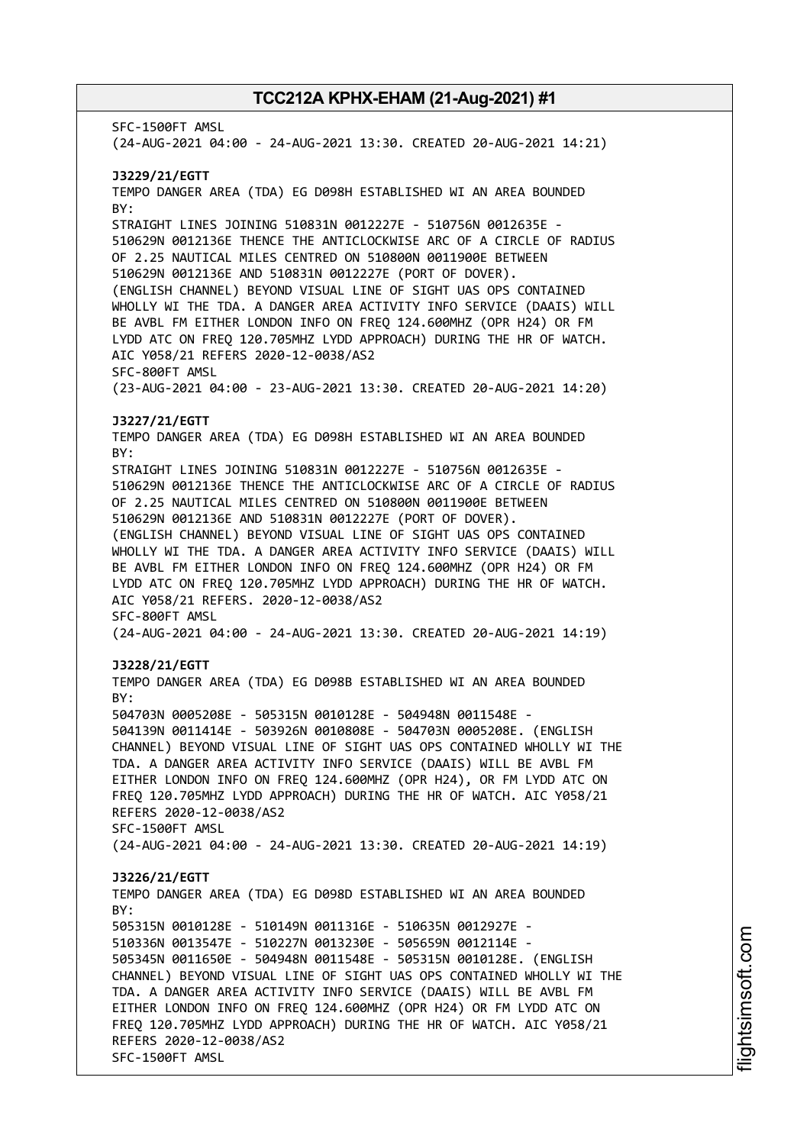SFC-1500FT AMSL (24-AUG-2021 04:00 - 24-AUG-2021 13:30. CREATED 20-AUG-2021 14:21) **J3229/21/EGTT** TEMPO DANGER AREA (TDA) EG D098H ESTABLISHED WI AN AREA BOUNDED BY: STRAIGHT LINES JOINING 510831N 0012227E - 510756N 0012635E - 510629N 0012136E THENCE THE ANTICLOCKWISE ARC OF A CIRCLE OF RADIUS OF 2.25 NAUTICAL MILES CENTRED ON 510800N 0011900E BETWEEN 510629N 0012136E AND 510831N 0012227E (PORT OF DOVER). (ENGLISH CHANNEL) BEYOND VISUAL LINE OF SIGHT UAS OPS CONTAINED WHOLLY WI THE TDA. A DANGER AREA ACTIVITY INFO SERVICE (DAAIS) WILL BE AVBL FM EITHER LONDON INFO ON FREQ 124.600MHZ (OPR H24) OR FM LYDD ATC ON FREQ 120.705MHZ LYDD APPROACH) DURING THE HR OF WATCH. AIC Y058/21 REFERS 2020-12-0038/AS2 SFC-800FT AMSL (23-AUG-2021 04:00 - 23-AUG-2021 13:30. CREATED 20-AUG-2021 14:20) **J3227/21/EGTT** TEMPO DANGER AREA (TDA) EG D098H ESTABLISHED WI AN AREA BOUNDED BY: STRAIGHT LINES JOINING 510831N 0012227E - 510756N 0012635E - 510629N 0012136E THENCE THE ANTICLOCKWISE ARC OF A CIRCLE OF RADIUS OF 2.25 NAUTICAL MILES CENTRED ON 510800N 0011900E BETWEEN 510629N 0012136E AND 510831N 0012227E (PORT OF DOVER). (ENGLISH CHANNEL) BEYOND VISUAL LINE OF SIGHT UAS OPS CONTAINED WHOLLY WI THE TDA. A DANGER AREA ACTIVITY INFO SERVICE (DAAIS) WILL BE AVBL FM EITHER LONDON INFO ON FREQ 124.600MHZ (OPR H24) OR FM LYDD ATC ON FREQ 120.705MHZ LYDD APPROACH) DURING THE HR OF WATCH. AIC Y058/21 REFERS. 2020-12-0038/AS2 SFC-800FT AMSL (24-AUG-2021 04:00 - 24-AUG-2021 13:30. CREATED 20-AUG-2021 14:19) **J3228/21/EGTT** TEMPO DANGER AREA (TDA) EG D098B ESTABLISHED WI AN AREA BOUNDED BY: 504703N 0005208E - 505315N 0010128E - 504948N 0011548E - 504139N 0011414E - 503926N 0010808E - 504703N 0005208E. (ENGLISH CHANNEL) BEYOND VISUAL LINE OF SIGHT UAS OPS CONTAINED WHOLLY WI THE TDA. A DANGER AREA ACTIVITY INFO SERVICE (DAAIS) WILL BE AVBL FM EITHER LONDON INFO ON FREQ 124.600MHZ (OPR H24), OR FM LYDD ATC ON FREQ 120.705MHZ LYDD APPROACH) DURING THE HR OF WATCH. AIC Y058/21 REFERS 2020-12-0038/AS2 SFC-1500FT AMSL (24-AUG-2021 04:00 - 24-AUG-2021 13:30. CREATED 20-AUG-2021 14:19) **J3226/21/EGTT** TEMPO DANGER AREA (TDA) EG D098D ESTABLISHED WI AN AREA BOUNDED  $RY$ 505315N 0010128E - 510149N 0011316E - 510635N 0012927E - 510336N 0013547E - 510227N 0013230E - 505659N 0012114E - 505345N 0011650E - 504948N 0011548E - 505315N 0010128E. (ENGLISH CHANNEL) BEYOND VISUAL LINE OF SIGHT UAS OPS CONTAINED WHOLLY WI THE TDA. A DANGER AREA ACTIVITY INFO SERVICE (DAAIS) WILL BE AVBL FM EITHER LONDON INFO ON FREQ 124.600MHZ (OPR H24) OR FM LYDD ATC ON FREQ 120.705MHZ LYDD APPROACH) DURING THE HR OF WATCH. AIC Y058/21 REFERS 2020-12-0038/AS2 SFC-1500FT AMSL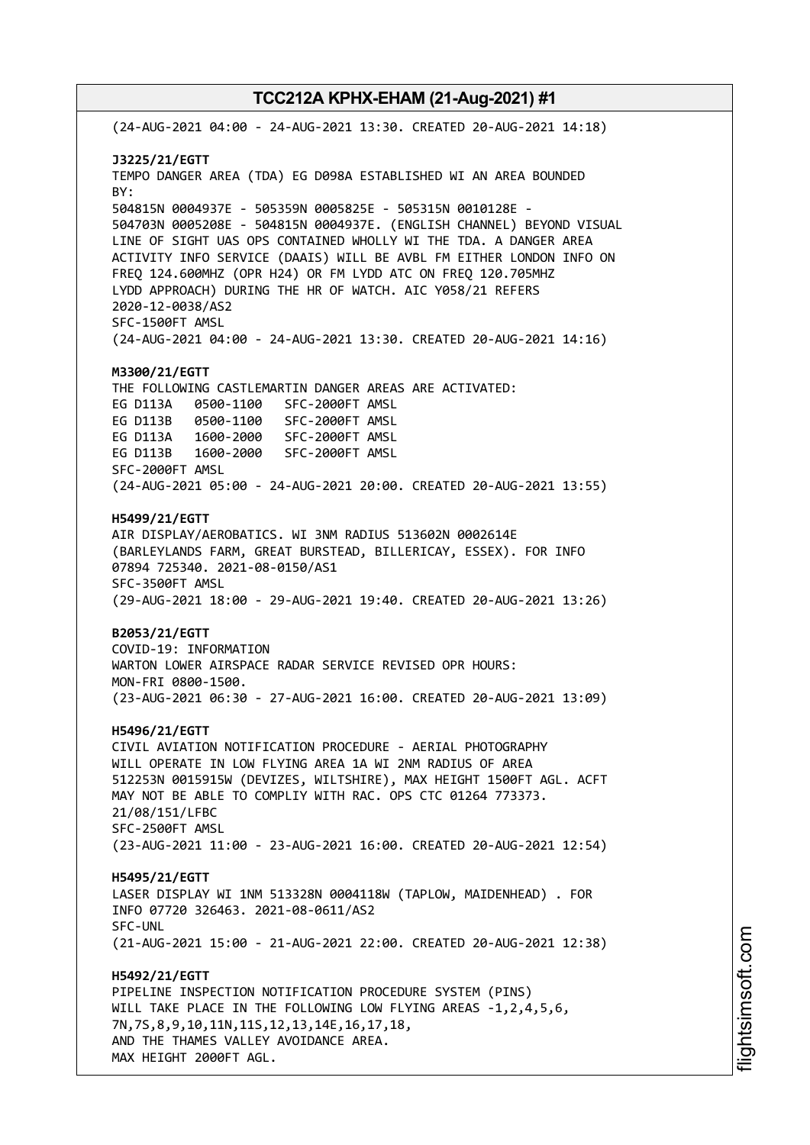(24-AUG-2021 04:00 - 24-AUG-2021 13:30. CREATED 20-AUG-2021 14:18) **J3225/21/EGTT** TEMPO DANGER AREA (TDA) EG D098A ESTABLISHED WI AN AREA BOUNDED BY: 504815N 0004937E - 505359N 0005825E - 505315N 0010128E - 504703N 0005208E - 504815N 0004937E. (ENGLISH CHANNEL) BEYOND VISUAL LINE OF SIGHT UAS OPS CONTAINED WHOLLY WI THE TDA. A DANGER AREA ACTIVITY INFO SERVICE (DAAIS) WILL BE AVBL FM EITHER LONDON INFO ON FREQ 124.600MHZ (OPR H24) OR FM LYDD ATC ON FREQ 120.705MHZ LYDD APPROACH) DURING THE HR OF WATCH. AIC Y058/21 REFERS 2020-12-0038/AS2 SFC-1500FT AMSL (24-AUG-2021 04:00 - 24-AUG-2021 13:30. CREATED 20-AUG-2021 14:16) **M3300/21/EGTT** THE FOLLOWING CASTLEMARTIN DANGER AREAS ARE ACTIVATED: EG D113A 0500-1100 SFC-2000FT AMSL EG D113B 0500-1100 SFC-2000FT AMSL EG D113A 1600-2000 SFC-2000FT AMSL EG D113B 1600-2000 SFC-2000FT AMSL SFC-2000FT AMSL (24-AUG-2021 05:00 - 24-AUG-2021 20:00. CREATED 20-AUG-2021 13:55) **H5499/21/EGTT** AIR DISPLAY/AEROBATICS. WI 3NM RADIUS 513602N 0002614E (BARLEYLANDS FARM, GREAT BURSTEAD, BILLERICAY, ESSEX). FOR INFO 07894 725340. 2021-08-0150/AS1 SFC-3500FT AMSL (29-AUG-2021 18:00 - 29-AUG-2021 19:40. CREATED 20-AUG-2021 13:26) **B2053/21/EGTT** COVID-19: INFORMATION WARTON LOWER AIRSPACE RADAR SERVICE REVISED OPR HOURS: MON-FRI 0800-1500. (23-AUG-2021 06:30 - 27-AUG-2021 16:00. CREATED 20-AUG-2021 13:09) **H5496/21/EGTT** CIVIL AVIATION NOTIFICATION PROCEDURE - AERIAL PHOTOGRAPHY WILL OPERATE IN LOW FLYING AREA 1A WI 2NM RADIUS OF AREA 512253N 0015915W (DEVIZES, WILTSHIRE), MAX HEIGHT 1500FT AGL. ACFT MAY NOT BE ABLE TO COMPLIY WITH RAC. OPS CTC 01264 773373. 21/08/151/LFBC SFC-2500FT AMSL (23-AUG-2021 11:00 - 23-AUG-2021 16:00. CREATED 20-AUG-2021 12:54) **H5495/21/EGTT** LASER DISPLAY WI 1NM 513328N 0004118W (TAPLOW, MAIDENHEAD) . FOR INFO 07720 326463. 2021-08-0611/AS2 SFC-UNL (21-AUG-2021 15:00 - 21-AUG-2021 22:00. CREATED 20-AUG-2021 12:38) **H5492/21/EGTT** PIPELINE INSPECTION NOTIFICATION PROCEDURE SYSTEM (PINS) WILL TAKE PLACE IN THE FOLLOWING LOW FLYING AREAS -1,2,4,5,6, 7N,7S,8,9,10,11N,11S,12,13,14E,16,17,18, AND THE THAMES VALLEY AVOIDANCE AREA. MAX HEIGHT 2000FT AGL.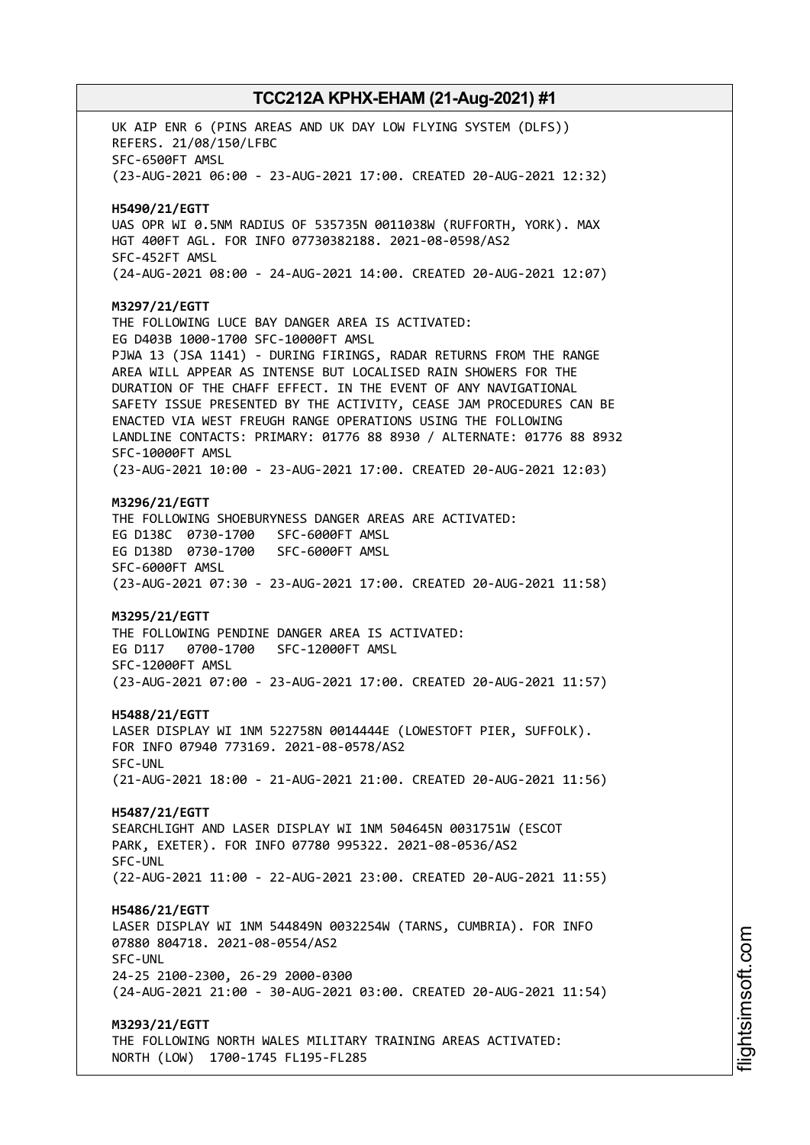UK AIP ENR 6 (PINS AREAS AND UK DAY LOW FLYING SYSTEM (DLFS)) REFERS. 21/08/150/LFBC SFC-6500FT AMSL (23-AUG-2021 06:00 - 23-AUG-2021 17:00. CREATED 20-AUG-2021 12:32) **H5490/21/EGTT** UAS OPR WI 0.5NM RADIUS OF 535735N 0011038W (RUFFORTH, YORK). MAX HGT 400FT AGL. FOR INFO 07730382188. 2021-08-0598/AS2 SFC-452FT AMSL (24-AUG-2021 08:00 - 24-AUG-2021 14:00. CREATED 20-AUG-2021 12:07) **M3297/21/EGTT** THE FOLLOWING LUCE BAY DANGER AREA IS ACTIVATED: EG D403B 1000-1700 SFC-10000FT AMSL PJWA 13 (JSA 1141) - DURING FIRINGS, RADAR RETURNS FROM THE RANGE AREA WILL APPEAR AS INTENSE BUT LOCALISED RAIN SHOWERS FOR THE DURATION OF THE CHAFF EFFECT. IN THE EVENT OF ANY NAVIGATIONAL SAFETY ISSUE PRESENTED BY THE ACTIVITY, CEASE JAM PROCEDURES CAN BE ENACTED VIA WEST FREUGH RANGE OPERATIONS USING THE FOLLOWING LANDLINE CONTACTS: PRIMARY: 01776 88 8930 / ALTERNATE: 01776 88 8932 SFC-10000FT AMSL (23-AUG-2021 10:00 - 23-AUG-2021 17:00. CREATED 20-AUG-2021 12:03) **M3296/21/EGTT** THE FOLLOWING SHOEBURYNESS DANGER AREAS ARE ACTIVATED: EG D138C 0730-1700 SFC-6000FT AMSL EG D138D 0730-1700 SFC-6000FT AMSL SFC-6000FT AMSL (23-AUG-2021 07:30 - 23-AUG-2021 17:00. CREATED 20-AUG-2021 11:58) **M3295/21/EGTT** THE FOLLOWING PENDINE DANGER AREA IS ACTIVATED: EG D117 0700-1700 SFC-12000FT AMSL SFC-12000FT AMSL (23-AUG-2021 07:00 - 23-AUG-2021 17:00. CREATED 20-AUG-2021 11:57) **H5488/21/EGTT** LASER DISPLAY WI 1NM 522758N 0014444E (LOWESTOFT PIER, SUFFOLK). FOR INFO 07940 773169. 2021-08-0578/AS2 SFC-UNL (21-AUG-2021 18:00 - 21-AUG-2021 21:00. CREATED 20-AUG-2021 11:56) **H5487/21/EGTT** SEARCHLIGHT AND LASER DISPLAY WI 1NM 504645N 0031751W (ESCOT PARK, EXETER). FOR INFO 07780 995322. 2021-08-0536/AS2 SFC-UNL (22-AUG-2021 11:00 - 22-AUG-2021 23:00. CREATED 20-AUG-2021 11:55) **H5486/21/EGTT** LASER DISPLAY WI 1NM 544849N 0032254W (TARNS, CUMBRIA). FOR INFO 07880 804718. 2021-08-0554/AS2 SFC-UNL 24-25 2100-2300, 26-29 2000-0300 (24-AUG-2021 21:00 - 30-AUG-2021 03:00. CREATED 20-AUG-2021 11:54) **M3293/21/EGTT** THE FOLLOWING NORTH WALES MILITARY TRAINING AREAS ACTIVATED: NORTH (LOW) 1700-1745 FL195-FL285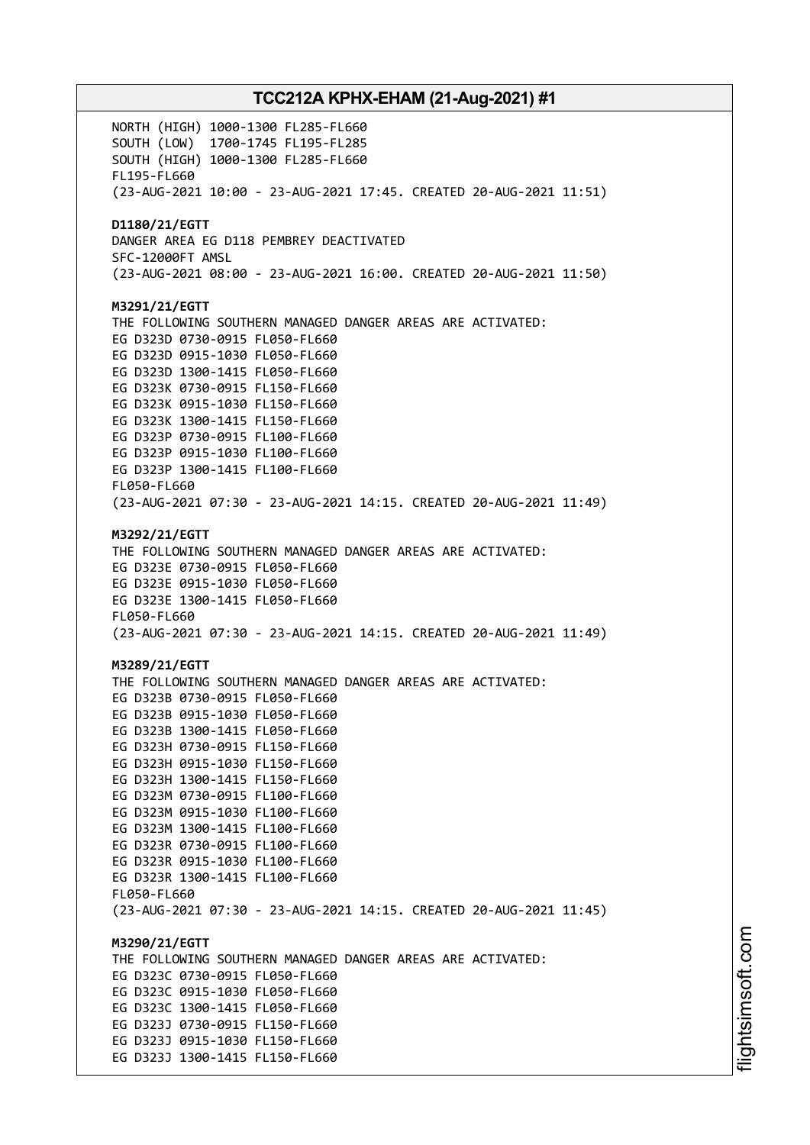NORTH (HIGH) 1000-1300 FL285-FL660 SOUTH (LOW) 1700-1745 FL195-FL285 SOUTH (HIGH) 1000-1300 FL285-FL660 FL195-FL660 (23-AUG-2021 10:00 - 23-AUG-2021 17:45. CREATED 20-AUG-2021 11:51) **D1180/21/EGTT** DANGER AREA EG D118 PEMBREY DEACTIVATED SFC-12000FT AMSL (23-AUG-2021 08:00 - 23-AUG-2021 16:00. CREATED 20-AUG-2021 11:50) **M3291/21/EGTT** THE FOLLOWING SOUTHERN MANAGED DANGER AREAS ARE ACTIVATED: EG D323D 0730-0915 FL050-FL660 EG D323D 0915-1030 FL050-FL660 EG D323D 1300-1415 FL050-FL660 EG D323K 0730-0915 FL150-FL660 EG D323K 0915-1030 FL150-FL660 EG D323K 1300-1415 FL150-FL660 EG D323P 0730-0915 FL100-FL660 EG D323P 0915-1030 FL100-FL660 EG D323P 1300-1415 FL100-FL660 FL050-FL660 (23-AUG-2021 07:30 - 23-AUG-2021 14:15. CREATED 20-AUG-2021 11:49) **M3292/21/EGTT** THE FOLLOWING SOUTHERN MANAGED DANGER AREAS ARE ACTIVATED: EG D323E 0730-0915 FL050-FL660 EG D323E 0915-1030 FL050-FL660 EG D323E 1300-1415 FL050-FL660 FL050-FL660 (23-AUG-2021 07:30 - 23-AUG-2021 14:15. CREATED 20-AUG-2021 11:49) **M3289/21/EGTT** THE FOLLOWING SOUTHERN MANAGED DANGER AREAS ARE ACTIVATED: EG D323B 0730-0915 FL050-FL660 EG D323B 0915-1030 FL050-FL660 EG D323B 1300-1415 FL050-FL660 EG D323H 0730-0915 FL150-FL660 EG D323H 0915-1030 FL150-FL660 EG D323H 1300-1415 FL150-FL660 EG D323M 0730-0915 FL100-FL660 EG D323M 0915-1030 FL100-FL660 EG D323M 1300-1415 FL100-FL660 EG D323R 0730-0915 FL100-FL660 EG D323R 0915-1030 FL100-FL660 EG D323R 1300-1415 FL100-FL660 FL050-FL660 (23-AUG-2021 07:30 - 23-AUG-2021 14:15. CREATED 20-AUG-2021 11:45) **M3290/21/EGTT** THE FOLLOWING SOUTHERN MANAGED DANGER AREAS ARE ACTIVATED: EG D323C 0730-0915 FL050-FL660 EG D323C 0915-1030 FL050-FL660 EG D323C 1300-1415 FL050-FL660 EG D323J 0730-0915 FL150-FL660 EG D323J 0915-1030 FL150-FL660 EG D323J 1300-1415 FL150-FL660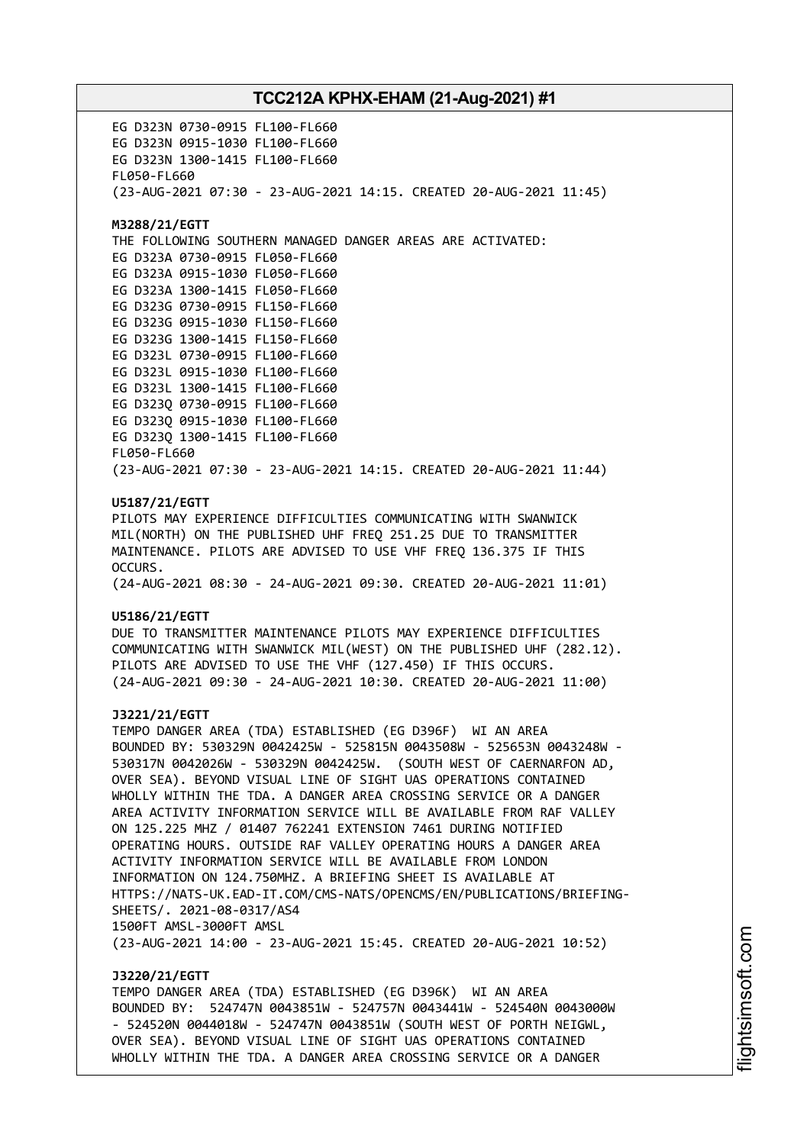EG D323N 0730-0915 FL100-FL660 EG D323N 0915-1030 FL100-FL660 EG D323N 1300-1415 FL100-FL660 FL050-FL660 (23-AUG-2021 07:30 - 23-AUG-2021 14:15. CREATED 20-AUG-2021 11:45) **M3288/21/EGTT** THE FOLLOWING SOUTHERN MANAGED DANGER AREAS ARE ACTIVATED: EG D323A 0730-0915 FL050-FL660 EG D323A 0915-1030 FL050-FL660 EG D323A 1300-1415 FL050-FL660 EG D323G 0730-0915 FL150-FL660 EG D323G 0915-1030 FL150-FL660 EG D323G 1300-1415 FL150-FL660 EG D323L 0730-0915 FL100-FL660 EG D323L 0915-1030 FL100-FL660 EG D323L 1300-1415 FL100-FL660 EG D323Q 0730-0915 FL100-FL660 EG D323Q 0915-1030 FL100-FL660 EG D323Q 1300-1415 FL100-FL660 FL050-FL660 (23-AUG-2021 07:30 - 23-AUG-2021 14:15. CREATED 20-AUG-2021 11:44) **U5187/21/EGTT** PILOTS MAY EXPERIENCE DIFFICULTIES COMMUNICATING WITH SWANWICK MIL(NORTH) ON THE PUBLISHED UHF FREQ 251.25 DUE TO TRANSMITTER MAINTENANCE. PILOTS ARE ADVISED TO USE VHF FREQ 136.375 IF THIS OCCURS. (24-AUG-2021 08:30 - 24-AUG-2021 09:30. CREATED 20-AUG-2021 11:01) **U5186/21/EGTT** DUE TO TRANSMITTER MAINTENANCE PILOTS MAY EXPERIENCE DIFFICULTIES COMMUNICATING WITH SWANWICK MIL(WEST) ON THE PUBLISHED UHF (282.12). PILOTS ARE ADVISED TO USE THE VHF (127.450) IF THIS OCCURS. (24-AUG-2021 09:30 - 24-AUG-2021 10:30. CREATED 20-AUG-2021 11:00) **J3221/21/EGTT** TEMPO DANGER AREA (TDA) ESTABLISHED (EG D396F) WI AN AREA BOUNDED BY: 530329N 0042425W - 525815N 0043508W - 525653N 0043248W - 530317N 0042026W - 530329N 0042425W. (SOUTH WEST OF CAERNARFON AD, OVER SEA). BEYOND VISUAL LINE OF SIGHT UAS OPERATIONS CONTAINED WHOLLY WITHIN THE TDA. A DANGER AREA CROSSING SERVICE OR A DANGER AREA ACTIVITY INFORMATION SERVICE WILL BE AVAILABLE FROM RAF VALLEY ON 125.225 MHZ / 01407 762241 EXTENSION 7461 DURING NOTIFIED OPERATING HOURS. OUTSIDE RAF VALLEY OPERATING HOURS A DANGER AREA ACTIVITY INFORMATION SERVICE WILL BE AVAILABLE FROM LONDON INFORMATION ON 124.750MHZ. A BRIEFING SHEET IS AVAILABLE AT HTTPS://NATS-UK.EAD-IT.COM/CMS-NATS/OPENCMS/EN/PUBLICATIONS/BRIEFING-SHEETS/. 2021-08-0317/AS4 1500FT AMSL-3000FT AMSL (23-AUG-2021 14:00 - 23-AUG-2021 15:45. CREATED 20-AUG-2021 10:52) **J3220/21/EGTT**

TEMPO DANGER AREA (TDA) ESTABLISHED (EG D396K) WI AN AREA BOUNDED BY: 524747N 0043851W - 524757N 0043441W - 524540N 0043000W - 524520N 0044018W - 524747N 0043851W (SOUTH WEST OF PORTH NEIGWL, OVER SEA). BEYOND VISUAL LINE OF SIGHT UAS OPERATIONS CONTAINED WHOLLY WITHIN THE TDA. A DANGER AREA CROSSING SERVICE OR A DANGER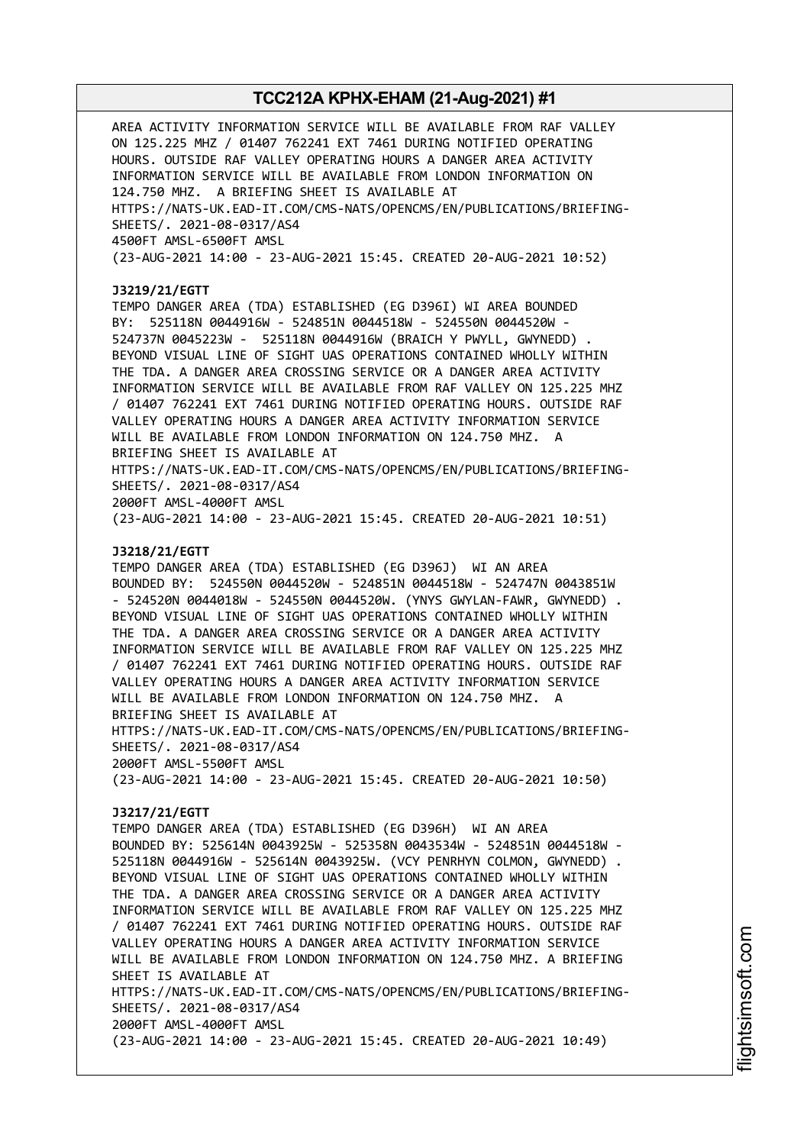AREA ACTIVITY INFORMATION SERVICE WILL BE AVAILABLE FROM RAF VALLEY ON 125.225 MHZ / 01407 762241 EXT 7461 DURING NOTIFIED OPERATING HOURS. OUTSIDE RAF VALLEY OPERATING HOURS A DANGER AREA ACTIVITY INFORMATION SERVICE WILL BE AVAILABLE FROM LONDON INFORMATION ON 124.750 MHZ. A BRIEFING SHEET IS AVAILABLE AT HTTPS://NATS-UK.EAD-IT.COM/CMS-NATS/OPENCMS/EN/PUBLICATIONS/BRIEFING-SHEETS/. 2021-08-0317/AS4 4500FT AMSL-6500FT AMSL (23-AUG-2021 14:00 - 23-AUG-2021 15:45. CREATED 20-AUG-2021 10:52) **J3219/21/EGTT** TEMPO DANGER AREA (TDA) ESTABLISHED (EG D396I) WI AREA BOUNDED BY: 525118N 0044916W - 524851N 0044518W - 524550N 0044520W - 524737N 0045223W - 525118N 0044916W (BRAICH Y PWYLL, GWYNEDD) . BEYOND VISUAL LINE OF SIGHT UAS OPERATIONS CONTAINED WHOLLY WITHIN THE TDA. A DANGER AREA CROSSING SERVICE OR A DANGER AREA ACTIVITY INFORMATION SERVICE WILL BE AVAILABLE FROM RAF VALLEY ON 125.225 MHZ / 01407 762241 EXT 7461 DURING NOTIFIED OPERATING HOURS. OUTSIDE RAF VALLEY OPERATING HOURS A DANGER AREA ACTIVITY INFORMATION SERVICE WILL BE AVAILABLE FROM LONDON INFORMATION ON 124.750 MHZ. A BRIEFING SHEET IS AVAILABLE AT HTTPS://NATS-UK.EAD-IT.COM/CMS-NATS/OPENCMS/EN/PUBLICATIONS/BRIEFING-SHEETS/. 2021-08-0317/AS4 2000FT AMSL-4000FT AMSL (23-AUG-2021 14:00 - 23-AUG-2021 15:45. CREATED 20-AUG-2021 10:51) **J3218/21/EGTT** TEMPO DANGER AREA (TDA) ESTABLISHED (EG D396J) WI AN AREA BOUNDED BY: 524550N 0044520W - 524851N 0044518W - 524747N 0043851W - 524520N 0044018W - 524550N 0044520W. (YNYS GWYLAN-FAWR, GWYNEDD) . BEYOND VISUAL LINE OF SIGHT UAS OPERATIONS CONTAINED WHOLLY WITHIN THE TDA. A DANGER AREA CROSSING SERVICE OR A DANGER AREA ACTIVITY INFORMATION SERVICE WILL BE AVAILABLE FROM RAF VALLEY ON 125.225 MHZ / 01407 762241 EXT 7461 DURING NOTIFIED OPERATING HOURS. OUTSIDE RAF VALLEY OPERATING HOURS A DANGER AREA ACTIVITY INFORMATION SERVICE WILL BE AVAILABLE FROM LONDON INFORMATION ON 124.750 MHZ. A BRIEFING SHEET IS AVAILABLE AT HTTPS://NATS-UK.EAD-IT.COM/CMS-NATS/OPENCMS/EN/PUBLICATIONS/BRIEFING-SHEETS/. 2021-08-0317/AS4 2000FT AMSL-5500FT AMSL (23-AUG-2021 14:00 - 23-AUG-2021 15:45. CREATED 20-AUG-2021 10:50) **J3217/21/EGTT** TEMPO DANGER AREA (TDA) ESTABLISHED (EG D396H) WI AN AREA BOUNDED BY: 525614N 0043925W - 525358N 0043534W - 524851N 0044518W - 525118N 0044916W - 525614N 0043925W. (VCY PENRHYN COLMON, GWYNEDD) . BEYOND VISUAL LINE OF SIGHT UAS OPERATIONS CONTAINED WHOLLY WITHIN THE TDA. A DANGER AREA CROSSING SERVICE OR A DANGER AREA ACTIVITY INFORMATION SERVICE WILL BE AVAILABLE FROM RAF VALLEY ON 125.225 MHZ / 01407 762241 EXT 7461 DURING NOTIFIED OPERATING HOURS. OUTSIDE RAF VALLEY OPERATING HOURS A DANGER AREA ACTIVITY INFORMATION SERVICE WILL BE AVAILABLE FROM LONDON INFORMATION ON 124.750 MHZ. A BRIEFING SHEET IS AVAILABLE AT HTTPS://NATS-UK.EAD-IT.COM/CMS-NATS/OPENCMS/EN/PUBLICATIONS/BRIEFING-SHEETS/. 2021-08-0317/AS4 2000FT AMSL-4000FT AMSL (23-AUG-2021 14:00 - 23-AUG-2021 15:45. CREATED 20-AUG-2021 10:49)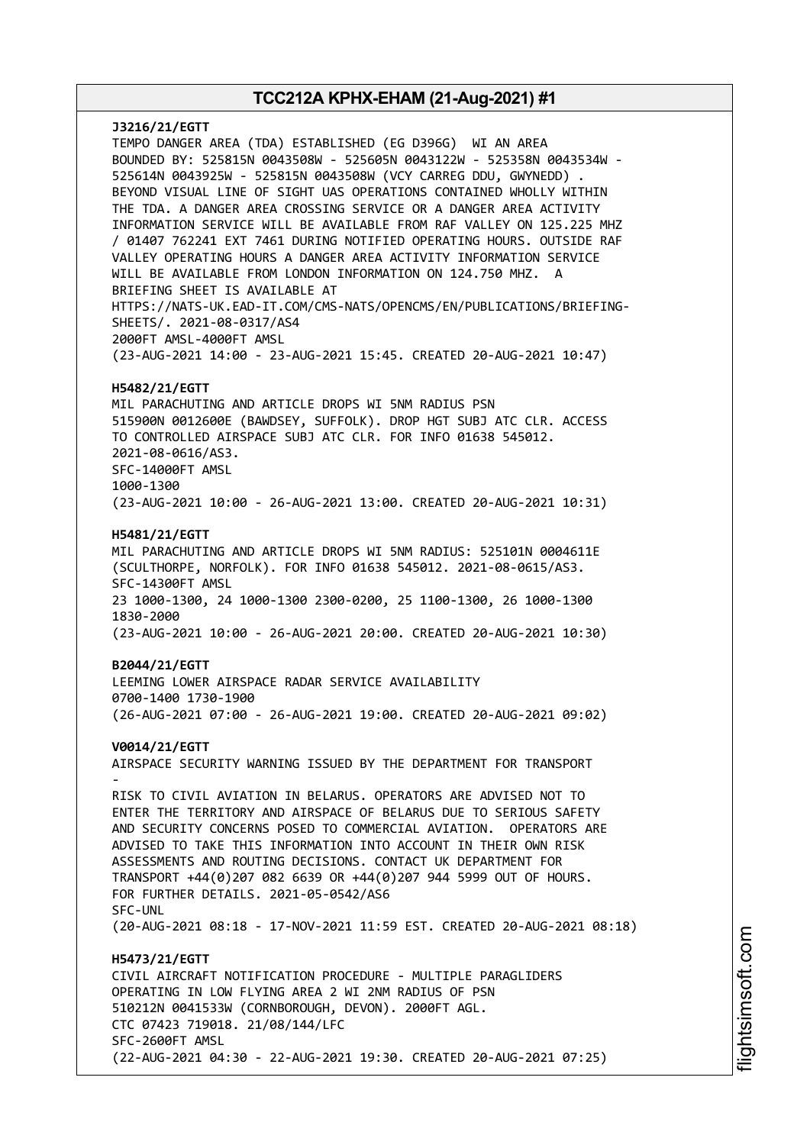**J3216/21/EGTT** TEMPO DANGER AREA (TDA) ESTABLISHED (EG D396G) WI AN AREA BOUNDED BY: 525815N 0043508W - 525605N 0043122W - 525358N 0043534W - 525614N 0043925W - 525815N 0043508W (VCY CARREG DDU, GWYNEDD) . BEYOND VISUAL LINE OF SIGHT UAS OPERATIONS CONTAINED WHOLLY WITHIN THE TDA. A DANGER AREA CROSSING SERVICE OR A DANGER AREA ACTIVITY INFORMATION SERVICE WILL BE AVAILABLE FROM RAF VALLEY ON 125.225 MHZ / 01407 762241 EXT 7461 DURING NOTIFIED OPERATING HOURS. OUTSIDE RAF VALLEY OPERATING HOURS A DANGER AREA ACTIVITY INFORMATION SERVICE WILL BE AVAILABLE FROM LONDON INFORMATION ON 124.750 MHZ. A BRIEFING SHEET IS AVAILABLE AT HTTPS://NATS-UK.EAD-IT.COM/CMS-NATS/OPENCMS/EN/PUBLICATIONS/BRIEFING-SHEETS/. 2021-08-0317/AS4 2000FT AMSL-4000FT AMSL (23-AUG-2021 14:00 - 23-AUG-2021 15:45. CREATED 20-AUG-2021 10:47) **H5482/21/EGTT** MIL PARACHUTING AND ARTICLE DROPS WI 5NM RADIUS PSN 515900N 0012600E (BAWDSEY, SUFFOLK). DROP HGT SUBJ ATC CLR. ACCESS TO CONTROLLED AIRSPACE SUBJ ATC CLR. FOR INFO 01638 545012. 2021-08-0616/AS3. SFC-14000FT AMSL 1000-1300 (23-AUG-2021 10:00 - 26-AUG-2021 13:00. CREATED 20-AUG-2021 10:31) **H5481/21/EGTT** MIL PARACHUTING AND ARTICLE DROPS WI 5NM RADIUS: 525101N 0004611E (SCULTHORPE, NORFOLK). FOR INFO 01638 545012. 2021-08-0615/AS3. SFC-14300FT AMSL 23 1000-1300, 24 1000-1300 2300-0200, 25 1100-1300, 26 1000-1300 1830-2000 (23-AUG-2021 10:00 - 26-AUG-2021 20:00. CREATED 20-AUG-2021 10:30) **B2044/21/EGTT** LEEMING LOWER AIRSPACE RADAR SERVICE AVAILABILITY 0700-1400 1730-1900 (26-AUG-2021 07:00 - 26-AUG-2021 19:00. CREATED 20-AUG-2021 09:02) **V0014/21/EGTT** AIRSPACE SECURITY WARNING ISSUED BY THE DEPARTMENT FOR TRANSPORT - RISK TO CIVIL AVIATION IN BELARUS. OPERATORS ARE ADVISED NOT TO ENTER THE TERRITORY AND AIRSPACE OF BELARUS DUE TO SERIOUS SAFETY AND SECURITY CONCERNS POSED TO COMMERCIAL AVIATION. OPERATORS ARE ADVISED TO TAKE THIS INFORMATION INTO ACCOUNT IN THEIR OWN RISK ASSESSMENTS AND ROUTING DECISIONS. CONTACT UK DEPARTMENT FOR TRANSPORT +44(0)207 082 6639 OR +44(0)207 944 5999 OUT OF HOURS. FOR FURTHER DETAILS. 2021-05-0542/AS6 SFC-UNL (20-AUG-2021 08:18 - 17-NOV-2021 11:59 EST. CREATED 20-AUG-2021 08:18) **H5473/21/EGTT** CIVIL AIRCRAFT NOTIFICATION PROCEDURE - MULTIPLE PARAGLIDERS OPERATING IN LOW FLYING AREA 2 WI 2NM RADIUS OF PSN 510212N 0041533W (CORNBOROUGH, DEVON). 2000FT AGL. CTC 07423 719018. 21/08/144/LFC SFC-2600FT AMSL (22-AUG-2021 04:30 - 22-AUG-2021 19:30. CREATED 20-AUG-2021 07:25)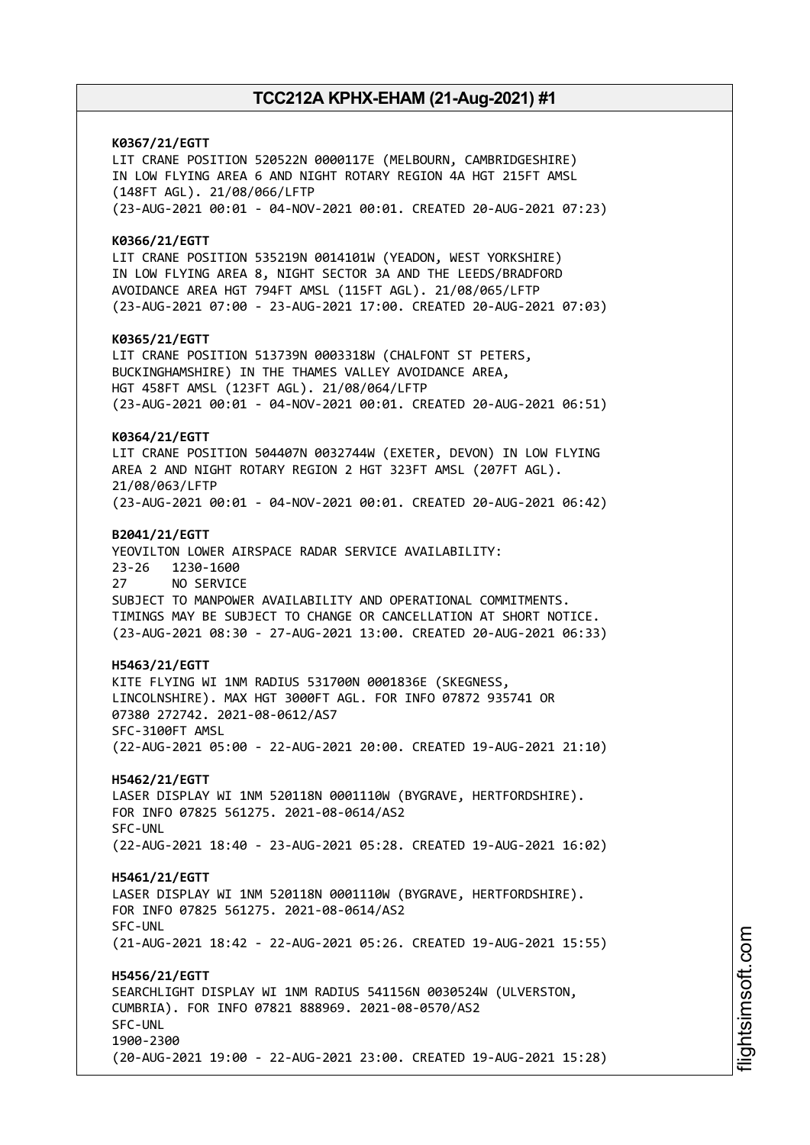**K0367/21/EGTT** LIT CRANE POSITION 520522N 0000117E (MELBOURN, CAMBRIDGESHIRE) IN LOW FLYING AREA 6 AND NIGHT ROTARY REGION 4A HGT 215FT AMSL (148FT AGL). 21/08/066/LFTP (23-AUG-2021 00:01 - 04-NOV-2021 00:01. CREATED 20-AUG-2021 07:23) **K0366/21/EGTT** LIT CRANE POSITION 535219N 0014101W (YEADON, WEST YORKSHIRE) IN LOW FLYING AREA 8, NIGHT SECTOR 3A AND THE LEEDS/BRADFORD AVOIDANCE AREA HGT 794FT AMSL (115FT AGL). 21/08/065/LFTP (23-AUG-2021 07:00 - 23-AUG-2021 17:00. CREATED 20-AUG-2021 07:03) **K0365/21/EGTT** LIT CRANE POSITION 513739N 0003318W (CHALFONT ST PETERS, BUCKINGHAMSHIRE) IN THE THAMES VALLEY AVOIDANCE AREA, HGT 458FT AMSL (123FT AGL). 21/08/064/LFTP (23-AUG-2021 00:01 - 04-NOV-2021 00:01. CREATED 20-AUG-2021 06:51) **K0364/21/EGTT** LIT CRANE POSITION 504407N 0032744W (EXETER, DEVON) IN LOW FLYING AREA 2 AND NIGHT ROTARY REGION 2 HGT 323FT AMSL (207FT AGL). 21/08/063/LFTP (23-AUG-2021 00:01 - 04-NOV-2021 00:01. CREATED 20-AUG-2021 06:42) **B2041/21/EGTT** YEOVILTON LOWER AIRSPACE RADAR SERVICE AVAILABILITY: 23-26 1230-1600 27 NO SERVICE SUBJECT TO MANPOWER AVAILABILITY AND OPERATIONAL COMMITMENTS. TIMINGS MAY BE SUBJECT TO CHANGE OR CANCELLATION AT SHORT NOTICE. (23-AUG-2021 08:30 - 27-AUG-2021 13:00. CREATED 20-AUG-2021 06:33) **H5463/21/EGTT** KITE FLYING WI 1NM RADIUS 531700N 0001836E (SKEGNESS, LINCOLNSHIRE). MAX HGT 3000FT AGL. FOR INFO 07872 935741 OR 07380 272742. 2021-08-0612/AS7 SFC-3100FT AMSL (22-AUG-2021 05:00 - 22-AUG-2021 20:00. CREATED 19-AUG-2021 21:10) **H5462/21/EGTT** LASER DISPLAY WI 1NM 520118N 0001110W (BYGRAVE, HERTFORDSHIRE). FOR INFO 07825 561275. 2021-08-0614/AS2 SFC-UNL (22-AUG-2021 18:40 - 23-AUG-2021 05:28. CREATED 19-AUG-2021 16:02) **H5461/21/EGTT** LASER DISPLAY WI 1NM 520118N 0001110W (BYGRAVE, HERTFORDSHIRE). FOR INFO 07825 561275. 2021-08-0614/AS2 SFC-UNL (21-AUG-2021 18:42 - 22-AUG-2021 05:26. CREATED 19-AUG-2021 15:55) **H5456/21/EGTT** SEARCHLIGHT DISPLAY WI 1NM RADIUS 541156N 0030524W (ULVERSTON, CUMBRIA). FOR INFO 07821 888969. 2021-08-0570/AS2 SFC-UNL 1900-2300 (20-AUG-2021 19:00 - 22-AUG-2021 23:00. CREATED 19-AUG-2021 15:28)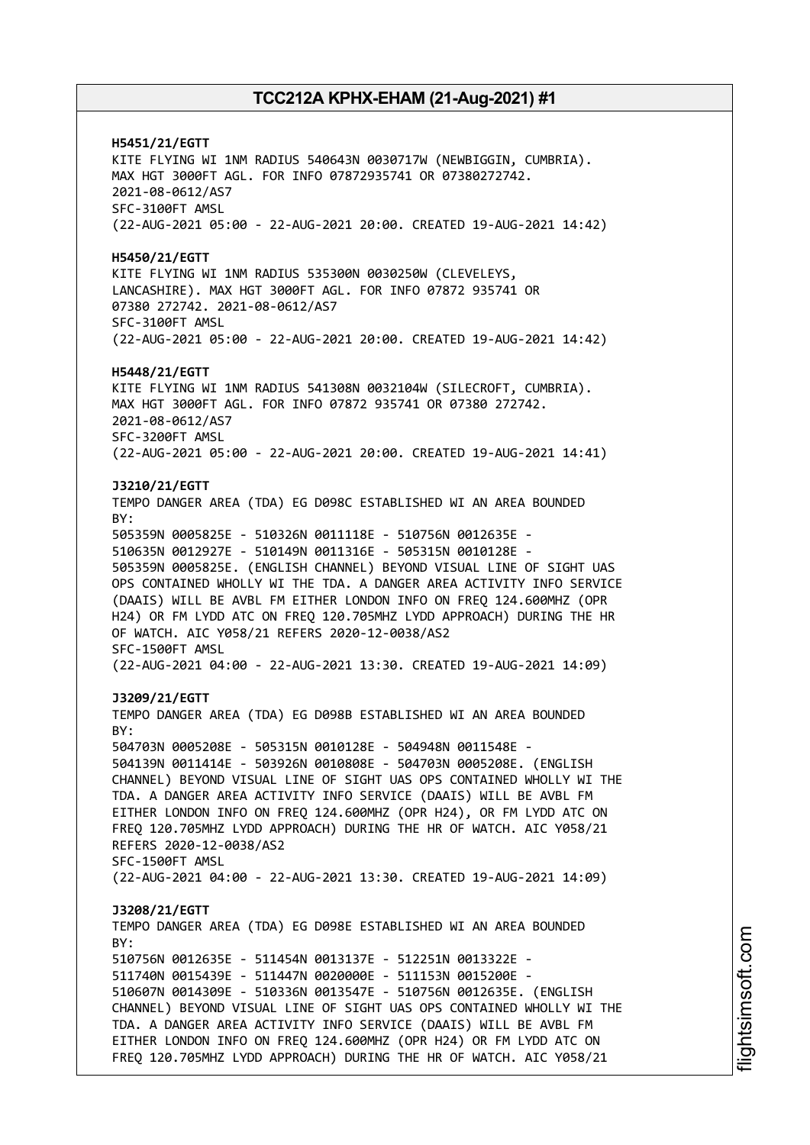**H5451/21/EGTT** KITE FLYING WI 1NM RADIUS 540643N 0030717W (NEWBIGGIN, CUMBRIA). MAX HGT 3000FT AGL. FOR INFO 07872935741 OR 07380272742. 2021-08-0612/AS7 SFC-3100FT AMSL (22-AUG-2021 05:00 - 22-AUG-2021 20:00. CREATED 19-AUG-2021 14:42) **H5450/21/EGTT** KITE FLYING WI 1NM RADIUS 535300N 0030250W (CLEVELEYS, LANCASHIRE). MAX HGT 3000FT AGL. FOR INFO 07872 935741 OR 07380 272742. 2021-08-0612/AS7 SFC-3100FT AMSL (22-AUG-2021 05:00 - 22-AUG-2021 20:00. CREATED 19-AUG-2021 14:42) **H5448/21/EGTT** KITE FLYING WI 1NM RADIUS 541308N 0032104W (SILECROFT, CUMBRIA). MAX HGT 3000FT AGL. FOR INFO 07872 935741 OR 07380 272742. 2021-08-0612/AS7 SFC-3200FT AMSL (22-AUG-2021 05:00 - 22-AUG-2021 20:00. CREATED 19-AUG-2021 14:41) **J3210/21/EGTT** TEMPO DANGER AREA (TDA) EG D098C ESTABLISHED WI AN AREA BOUNDED BY: 505359N 0005825E - 510326N 0011118E - 510756N 0012635E - 510635N 0012927E - 510149N 0011316E - 505315N 0010128E - 505359N 0005825E. (ENGLISH CHANNEL) BEYOND VISUAL LINE OF SIGHT UAS OPS CONTAINED WHOLLY WI THE TDA. A DANGER AREA ACTIVITY INFO SERVICE (DAAIS) WILL BE AVBL FM EITHER LONDON INFO ON FREQ 124.600MHZ (OPR H24) OR FM LYDD ATC ON FREQ 120.705MHZ LYDD APPROACH) DURING THE HR OF WATCH. AIC Y058/21 REFERS 2020-12-0038/AS2 SFC-1500FT AMSL (22-AUG-2021 04:00 - 22-AUG-2021 13:30. CREATED 19-AUG-2021 14:09) **J3209/21/EGTT** TEMPO DANGER AREA (TDA) EG D098B ESTABLISHED WI AN AREA BOUNDED BY: 504703N 0005208E - 505315N 0010128E - 504948N 0011548E - 504139N 0011414E - 503926N 0010808E - 504703N 0005208E. (ENGLISH CHANNEL) BEYOND VISUAL LINE OF SIGHT UAS OPS CONTAINED WHOLLY WI THE TDA. A DANGER AREA ACTIVITY INFO SERVICE (DAAIS) WILL BE AVBL FM EITHER LONDON INFO ON FREQ 124.600MHZ (OPR H24), OR FM LYDD ATC ON FREQ 120.705MHZ LYDD APPROACH) DURING THE HR OF WATCH. AIC Y058/21 REFERS 2020-12-0038/AS2 SFC-1500FT AMSL (22-AUG-2021 04:00 - 22-AUG-2021 13:30. CREATED 19-AUG-2021 14:09) **J3208/21/EGTT** TEMPO DANGER AREA (TDA) EG D098E ESTABLISHED WI AN AREA BOUNDED  $RY$ 510756N 0012635E - 511454N 0013137E - 512251N 0013322E - 511740N 0015439E - 511447N 0020000E - 511153N 0015200E - 510607N 0014309E - 510336N 0013547E - 510756N 0012635E. (ENGLISH CHANNEL) BEYOND VISUAL LINE OF SIGHT UAS OPS CONTAINED WHOLLY WI THE TDA. A DANGER AREA ACTIVITY INFO SERVICE (DAAIS) WILL BE AVBL FM EITHER LONDON INFO ON FREQ 124.600MHZ (OPR H24) OR FM LYDD ATC ON FREQ 120.705MHZ LYDD APPROACH) DURING THE HR OF WATCH. AIC Y058/21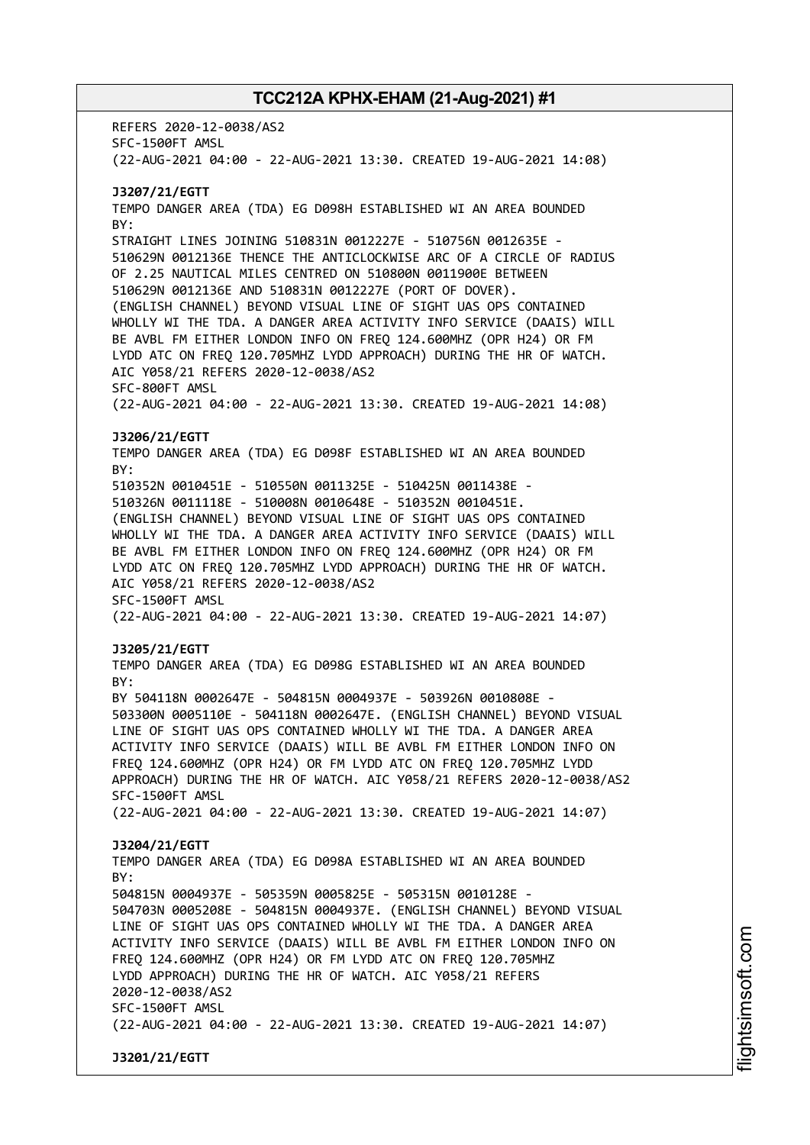REFERS 2020-12-0038/AS2 SFC-1500FT AMSL (22-AUG-2021 04:00 - 22-AUG-2021 13:30. CREATED 19-AUG-2021 14:08) **J3207/21/EGTT** TEMPO DANGER AREA (TDA) EG D098H ESTABLISHED WI AN AREA BOUNDED BY: STRAIGHT LINES JOINING 510831N 0012227E - 510756N 0012635E - 510629N 0012136E THENCE THE ANTICLOCKWISE ARC OF A CIRCLE OF RADIUS OF 2.25 NAUTICAL MILES CENTRED ON 510800N 0011900E BETWEEN 510629N 0012136E AND 510831N 0012227E (PORT OF DOVER). (ENGLISH CHANNEL) BEYOND VISUAL LINE OF SIGHT UAS OPS CONTAINED WHOLLY WI THE TDA. A DANGER AREA ACTIVITY INFO SERVICE (DAAIS) WILL BE AVBL FM EITHER LONDON INFO ON FREQ 124.600MHZ (OPR H24) OR FM LYDD ATC ON FREQ 120.705MHZ LYDD APPROACH) DURING THE HR OF WATCH. AIC Y058/21 REFERS 2020-12-0038/AS2 SFC-800FT AMSL (22-AUG-2021 04:00 - 22-AUG-2021 13:30. CREATED 19-AUG-2021 14:08) **J3206/21/EGTT** TEMPO DANGER AREA (TDA) EG D098F ESTABLISHED WI AN AREA BOUNDED BY: 510352N 0010451E - 510550N 0011325E - 510425N 0011438E - 510326N 0011118E - 510008N 0010648E - 510352N 0010451E. (ENGLISH CHANNEL) BEYOND VISUAL LINE OF SIGHT UAS OPS CONTAINED WHOLLY WI THE TDA. A DANGER AREA ACTIVITY INFO SERVICE (DAAIS) WILL BE AVBL FM EITHER LONDON INFO ON FREQ 124.600MHZ (OPR H24) OR FM LYDD ATC ON FREQ 120.705MHZ LYDD APPROACH) DURING THE HR OF WATCH. AIC Y058/21 REFERS 2020-12-0038/AS2 SFC-1500FT AMSL (22-AUG-2021 04:00 - 22-AUG-2021 13:30. CREATED 19-AUG-2021 14:07) **J3205/21/EGTT** TEMPO DANGER AREA (TDA) EG D098G ESTABLISHED WI AN AREA BOUNDED BY: BY 504118N 0002647E - 504815N 0004937E - 503926N 0010808E - 503300N 0005110E - 504118N 0002647E. (ENGLISH CHANNEL) BEYOND VISUAL LINE OF SIGHT UAS OPS CONTAINED WHOLLY WI THE TDA. A DANGER AREA ACTIVITY INFO SERVICE (DAAIS) WILL BE AVBL FM EITHER LONDON INFO ON FREQ 124.600MHZ (OPR H24) OR FM LYDD ATC ON FREQ 120.705MHZ LYDD APPROACH) DURING THE HR OF WATCH. AIC Y058/21 REFERS 2020-12-0038/AS2 SFC-1500FT AMSL (22-AUG-2021 04:00 - 22-AUG-2021 13:30. CREATED 19-AUG-2021 14:07) **J3204/21/EGTT** TEMPO DANGER AREA (TDA) EG D098A ESTABLISHED WI AN AREA BOUNDED  $RY$ 504815N 0004937E - 505359N 0005825E - 505315N 0010128E - 504703N 0005208E - 504815N 0004937E. (ENGLISH CHANNEL) BEYOND VISUAL LINE OF SIGHT UAS OPS CONTAINED WHOLLY WI THE TDA. A DANGER AREA ACTIVITY INFO SERVICE (DAAIS) WILL BE AVBL FM EITHER LONDON INFO ON FREQ 124.600MHZ (OPR H24) OR FM LYDD ATC ON FREQ 120.705MHZ LYDD APPROACH) DURING THE HR OF WATCH. AIC Y058/21 REFERS 2020-12-0038/AS2 SFC-1500FT AMSL (22-AUG-2021 04:00 - 22-AUG-2021 13:30. CREATED 19-AUG-2021 14:07) **J3201/21/EGTT**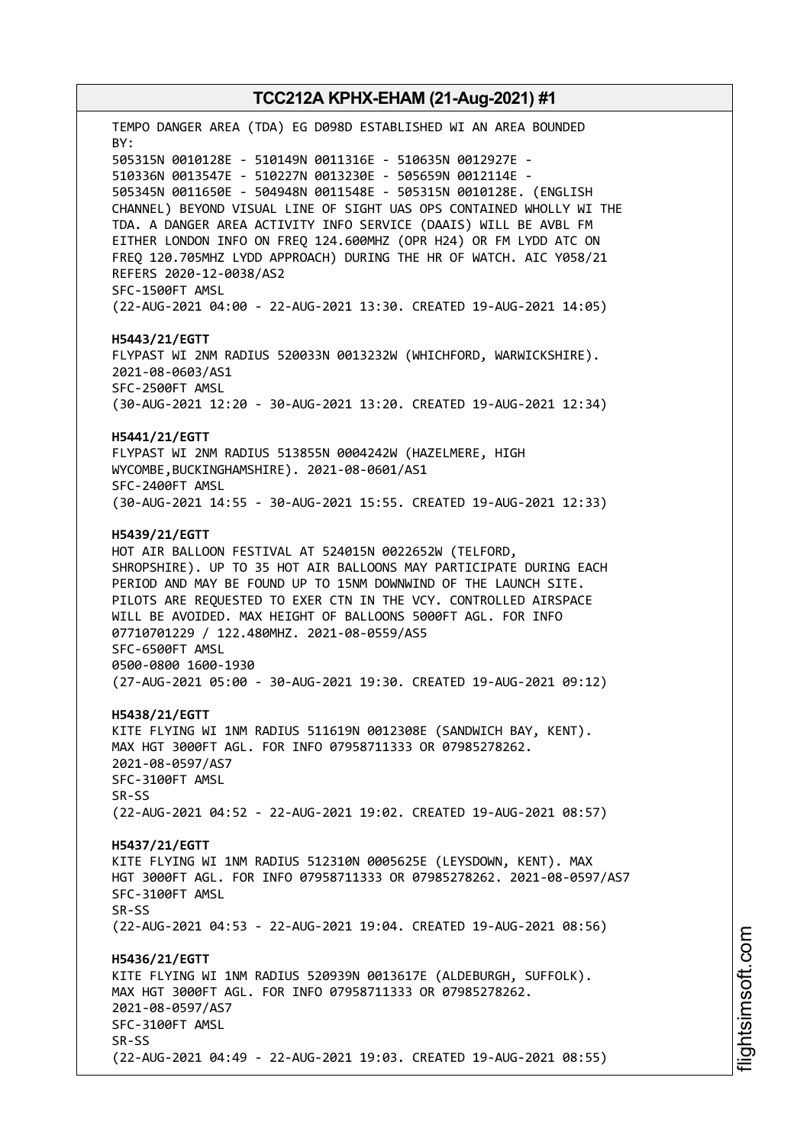TEMPO DANGER AREA (TDA) EG D098D ESTABLISHED WI AN AREA BOUNDED BY: 505315N 0010128E - 510149N 0011316E - 510635N 0012927E - 510336N 0013547E - 510227N 0013230E - 505659N 0012114E - 505345N 0011650E - 504948N 0011548E - 505315N 0010128E. (ENGLISH CHANNEL) BEYOND VISUAL LINE OF SIGHT UAS OPS CONTAINED WHOLLY WI THE TDA. A DANGER AREA ACTIVITY INFO SERVICE (DAAIS) WILL BE AVBL FM EITHER LONDON INFO ON FREQ 124.600MHZ (OPR H24) OR FM LYDD ATC ON FREQ 120.705MHZ LYDD APPROACH) DURING THE HR OF WATCH. AIC Y058/21 REFERS 2020-12-0038/AS2 SFC-1500FT AMSL (22-AUG-2021 04:00 - 22-AUG-2021 13:30. CREATED 19-AUG-2021 14:05) **H5443/21/EGTT** FLYPAST WI 2NM RADIUS 520033N 0013232W (WHICHFORD, WARWICKSHIRE). 2021-08-0603/AS1 SFC-2500FT AMSL (30-AUG-2021 12:20 - 30-AUG-2021 13:20. CREATED 19-AUG-2021 12:34) **H5441/21/EGTT** FLYPAST WI 2NM RADIUS 513855N 0004242W (HAZELMERE, HIGH WYCOMBE,BUCKINGHAMSHIRE). 2021-08-0601/AS1 SFC-2400FT AMSL (30-AUG-2021 14:55 - 30-AUG-2021 15:55. CREATED 19-AUG-2021 12:33) **H5439/21/EGTT** HOT AIR BALLOON FESTIVAL AT 524015N 0022652W (TELFORD, SHROPSHIRE). UP TO 35 HOT AIR BALLOONS MAY PARTICIPATE DURING EACH PERIOD AND MAY BE FOUND UP TO 15NM DOWNWIND OF THE LAUNCH SITE. PILOTS ARE REQUESTED TO EXER CTN IN THE VCY. CONTROLLED AIRSPACE WILL BE AVOIDED. MAX HEIGHT OF BALLOONS 5000FT AGL. FOR INFO 07710701229 / 122.480MHZ. 2021-08-0559/AS5 SFC-6500FT AMSL 0500-0800 1600-1930 (27-AUG-2021 05:00 - 30-AUG-2021 19:30. CREATED 19-AUG-2021 09:12) **H5438/21/EGTT** KITE FLYING WI 1NM RADIUS 511619N 0012308E (SANDWICH BAY, KENT). MAX HGT 3000FT AGL. FOR INFO 07958711333 OR 07985278262. 2021-08-0597/AS7 SFC-3100FT AMSL SR-SS (22-AUG-2021 04:52 - 22-AUG-2021 19:02. CREATED 19-AUG-2021 08:57) **H5437/21/EGTT** KITE FLYING WI 1NM RADIUS 512310N 0005625E (LEYSDOWN, KENT). MAX HGT 3000FT AGL. FOR INFO 07958711333 OR 07985278262. 2021-08-0597/AS7 SFC-3100FT AMSL SR-SS (22-AUG-2021 04:53 - 22-AUG-2021 19:04. CREATED 19-AUG-2021 08:56) **H5436/21/EGTT** KITE FLYING WI 1NM RADIUS 520939N 0013617E (ALDEBURGH, SUFFOLK). MAX HGT 3000FT AGL. FOR INFO 07958711333 OR 07985278262. 2021-08-0597/AS7 SFC-3100FT AMSL SR-SS (22-AUG-2021 04:49 - 22-AUG-2021 19:03. CREATED 19-AUG-2021 08:55)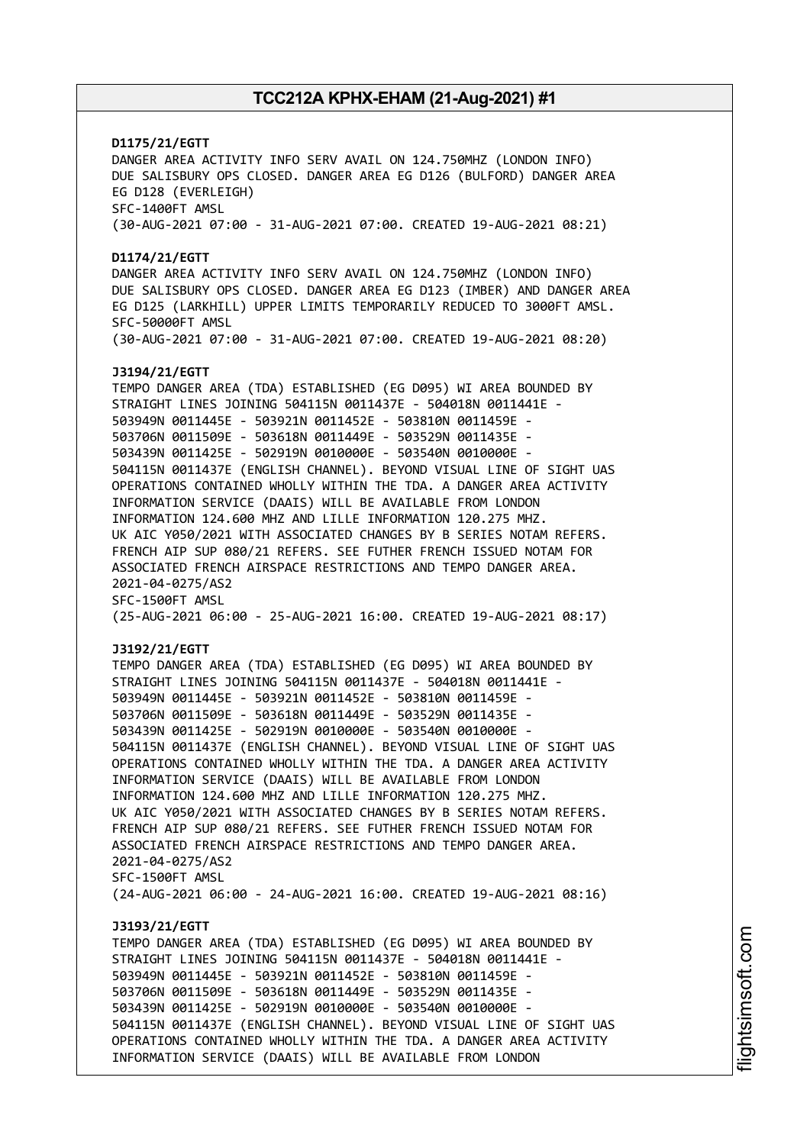## **D1175/21/EGTT** DANGER AREA ACTIVITY INFO SERV AVAIL ON 124.750MHZ (LONDON INFO) DUE SALISBURY OPS CLOSED. DANGER AREA EG D126 (BULFORD) DANGER AREA EG D128 (EVERLEIGH) SFC-1400FT AMSL (30-AUG-2021 07:00 - 31-AUG-2021 07:00. CREATED 19-AUG-2021 08:21) **D1174/21/EGTT** DANGER AREA ACTIVITY INFO SERV AVAIL ON 124.750MHZ (LONDON INFO) DUE SALISBURY OPS CLOSED. DANGER AREA EG D123 (IMBER) AND DANGER AREA EG D125 (LARKHILL) UPPER LIMITS TEMPORARILY REDUCED TO 3000FT AMSL. SFC-50000FT AMSL (30-AUG-2021 07:00 - 31-AUG-2021 07:00. CREATED 19-AUG-2021 08:20) **J3194/21/EGTT** TEMPO DANGER AREA (TDA) ESTABLISHED (EG D095) WI AREA BOUNDED BY STRAIGHT LINES JOINING 504115N 0011437E - 504018N 0011441E - 503949N 0011445E - 503921N 0011452E - 503810N 0011459E - 503706N 0011509E - 503618N 0011449E - 503529N 0011435E - 503439N 0011425E - 502919N 0010000E - 503540N 0010000E - 504115N 0011437E (ENGLISH CHANNEL). BEYOND VISUAL LINE OF SIGHT UAS OPERATIONS CONTAINED WHOLLY WITHIN THE TDA. A DANGER AREA ACTIVITY INFORMATION SERVICE (DAAIS) WILL BE AVAILABLE FROM LONDON INFORMATION 124.600 MHZ AND LILLE INFORMATION 120.275 MHZ. UK AIC Y050/2021 WITH ASSOCIATED CHANGES BY B SERIES NOTAM REFERS. FRENCH AIP SUP 080/21 REFERS. SEE FUTHER FRENCH ISSUED NOTAM FOR ASSOCIATED FRENCH AIRSPACE RESTRICTIONS AND TEMPO DANGER AREA. 2021-04-0275/AS2 SFC-1500FT AMSL (25-AUG-2021 06:00 - 25-AUG-2021 16:00. CREATED 19-AUG-2021 08:17) **J3192/21/EGTT** TEMPO DANGER AREA (TDA) ESTABLISHED (EG D095) WI AREA BOUNDED BY STRAIGHT LINES JOINING 504115N 0011437E - 504018N 0011441E - 503949N 0011445E - 503921N 0011452E - 503810N 0011459E - 503706N 0011509E - 503618N 0011449E - 503529N 0011435E - 503439N 0011425E - 502919N 0010000E - 503540N 0010000E - 504115N 0011437E (ENGLISH CHANNEL). BEYOND VISUAL LINE OF SIGHT UAS OPERATIONS CONTAINED WHOLLY WITHIN THE TDA. A DANGER AREA ACTIVITY INFORMATION SERVICE (DAAIS) WILL BE AVAILABLE FROM LONDON INFORMATION 124.600 MHZ AND LILLE INFORMATION 120.275 MHZ. UK AIC Y050/2021 WITH ASSOCIATED CHANGES BY B SERIES NOTAM REFERS. FRENCH AIP SUP 080/21 REFERS. SEE FUTHER FRENCH ISSUED NOTAM FOR ASSOCIATED FRENCH AIRSPACE RESTRICTIONS AND TEMPO DANGER AREA. 2021-04-0275/AS2 SFC-1500FT AMSL (24-AUG-2021 06:00 - 24-AUG-2021 16:00. CREATED 19-AUG-2021 08:16) **J3193/21/EGTT** TEMPO DANGER AREA (TDA) ESTABLISHED (EG D095) WI AREA BOUNDED BY STRAIGHT LINES JOINING 504115N 0011437E - 504018N 0011441E - 503949N 0011445E - 503921N 0011452E - 503810N 0011459E - 503706N 0011509E - 503618N 0011449E - 503529N 0011435E - 503439N 0011425E - 502919N 0010000E - 503540N 0010000E - 504115N 0011437E (ENGLISH CHANNEL). BEYOND VISUAL LINE OF SIGHT UAS OPERATIONS CONTAINED WHOLLY WITHIN THE TDA. A DANGER AREA ACTIVITY INFORMATION SERVICE (DAAIS) WILL BE AVAILABLE FROM LONDON

i⊒<br>⊫ htsim soft.c om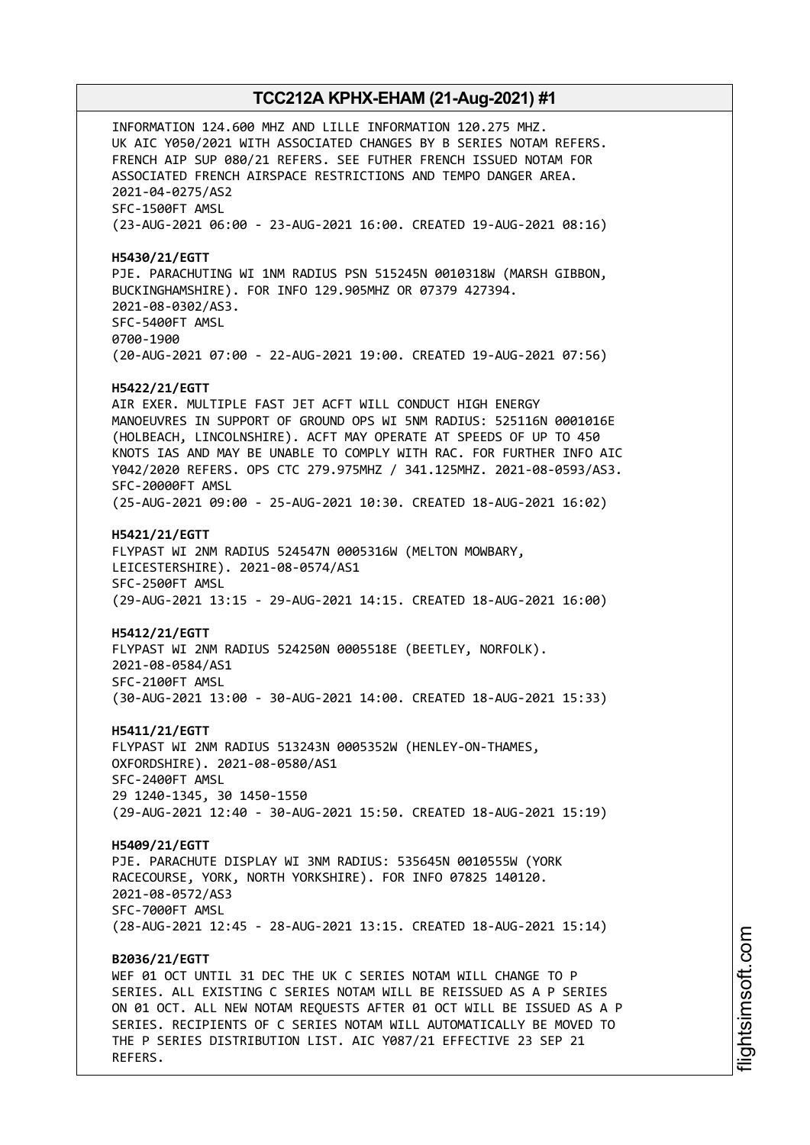INFORMATION 124.600 MHZ AND LILLE INFORMATION 120.275 MHZ. UK AIC Y050/2021 WITH ASSOCIATED CHANGES BY B SERIES NOTAM REFERS. FRENCH AIP SUP 080/21 REFERS. SEE FUTHER FRENCH ISSUED NOTAM FOR ASSOCIATED FRENCH AIRSPACE RESTRICTIONS AND TEMPO DANGER AREA. 2021-04-0275/AS2 SFC-1500FT AMSL (23-AUG-2021 06:00 - 23-AUG-2021 16:00. CREATED 19-AUG-2021 08:16) **H5430/21/EGTT** PJE. PARACHUTING WI 1NM RADIUS PSN 515245N 0010318W (MARSH GIBBON, BUCKINGHAMSHIRE). FOR INFO 129.905MHZ OR 07379 427394. 2021-08-0302/AS3. SFC-5400FT AMSL 0700-1900 (20-AUG-2021 07:00 - 22-AUG-2021 19:00. CREATED 19-AUG-2021 07:56) **H5422/21/EGTT** AIR EXER. MULTIPLE FAST JET ACFT WILL CONDUCT HIGH ENERGY MANOEUVRES IN SUPPORT OF GROUND OPS WI 5NM RADIUS: 525116N 0001016E (HOLBEACH, LINCOLNSHIRE). ACFT MAY OPERATE AT SPEEDS OF UP TO 450 KNOTS IAS AND MAY BE UNABLE TO COMPLY WITH RAC. FOR FURTHER INFO AIC Y042/2020 REFERS. OPS CTC 279.975MHZ / 341.125MHZ. 2021-08-0593/AS3. SFC-20000FT AMSL (25-AUG-2021 09:00 - 25-AUG-2021 10:30. CREATED 18-AUG-2021 16:02) **H5421/21/EGTT** FLYPAST WI 2NM RADIUS 524547N 0005316W (MELTON MOWBARY, LEICESTERSHIRE). 2021-08-0574/AS1 SFC-2500FT AMSL (29-AUG-2021 13:15 - 29-AUG-2021 14:15. CREATED 18-AUG-2021 16:00) **H5412/21/EGTT** FLYPAST WI 2NM RADIUS 524250N 0005518E (BEETLEY, NORFOLK). 2021-08-0584/AS1 SFC-2100FT AMSL (30-AUG-2021 13:00 - 30-AUG-2021 14:00. CREATED 18-AUG-2021 15:33) **H5411/21/EGTT** FLYPAST WI 2NM RADIUS 513243N 0005352W (HENLEY-ON-THAMES, OXFORDSHIRE). 2021-08-0580/AS1 SFC-2400FT AMSL 29 1240-1345, 30 1450-1550 (29-AUG-2021 12:40 - 30-AUG-2021 15:50. CREATED 18-AUG-2021 15:19) **H5409/21/EGTT** PJE. PARACHUTE DISPLAY WI 3NM RADIUS: 535645N 0010555W (YORK RACECOURSE, YORK, NORTH YORKSHIRE). FOR INFO 07825 140120. 2021-08-0572/AS3 SFC-7000FT AMSL (28-AUG-2021 12:45 - 28-AUG-2021 13:15. CREATED 18-AUG-2021 15:14) **B2036/21/EGTT** WEF 01 OCT UNTIL 31 DEC THE UK C SERIES NOTAM WILL CHANGE TO P SERIES. ALL EXISTING C SERIES NOTAM WILL BE REISSUED AS A P SERIES ON 01 OCT. ALL NEW NOTAM REQUESTS AFTER 01 OCT WILL BE ISSUED AS A P SERIES. RECIPIENTS OF C SERIES NOTAM WILL AUTOMATICALLY BE MOVED TO

THE P SERIES DISTRIBUTION LIST. AIC Y087/21 EFFECTIVE 23 SEP 21

REFERS.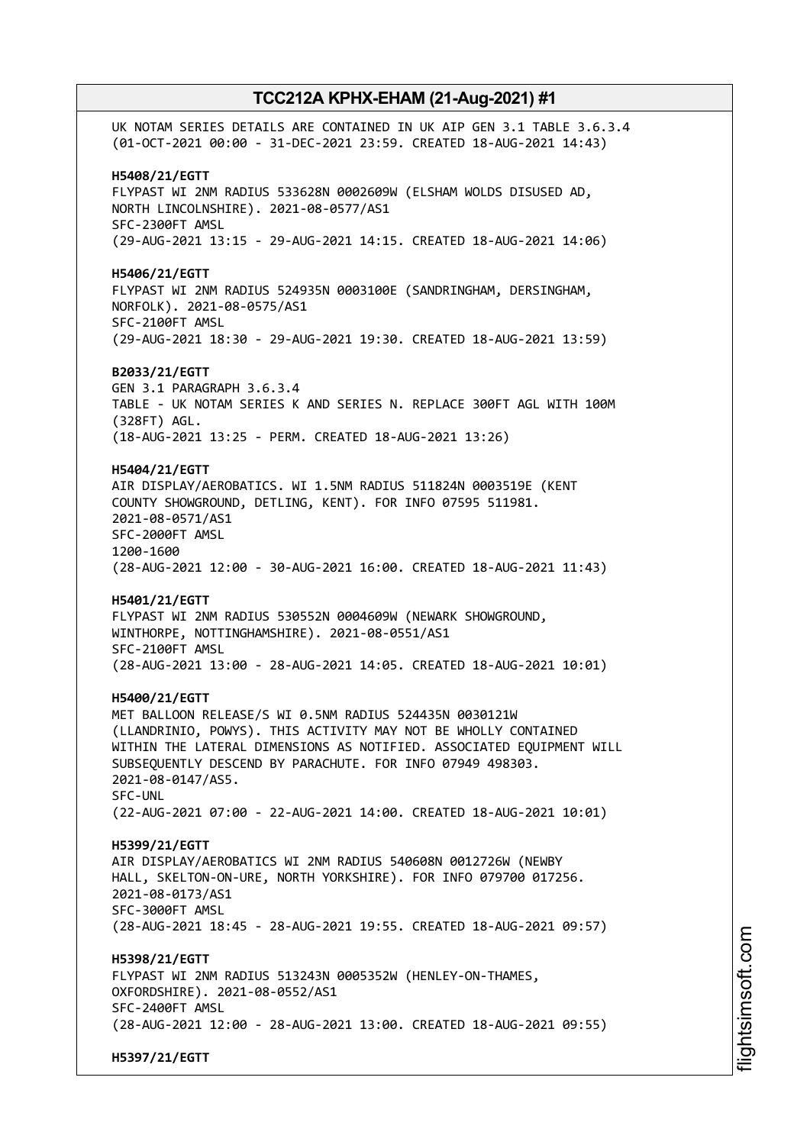UK NOTAM SERIES DETAILS ARE CONTAINED IN UK AIP GEN 3.1 TABLE 3.6.3.4 (01-OCT-2021 00:00 - 31-DEC-2021 23:59. CREATED 18-AUG-2021 14:43) **H5408/21/EGTT** FLYPAST WI 2NM RADIUS 533628N 0002609W (ELSHAM WOLDS DISUSED AD, NORTH LINCOLNSHIRE). 2021-08-0577/AS1 SFC-2300FT AMSL (29-AUG-2021 13:15 - 29-AUG-2021 14:15. CREATED 18-AUG-2021 14:06) **H5406/21/EGTT** FLYPAST WI 2NM RADIUS 524935N 0003100E (SANDRINGHAM, DERSINGHAM, NORFOLK). 2021-08-0575/AS1 SFC-2100FT AMSL (29-AUG-2021 18:30 - 29-AUG-2021 19:30. CREATED 18-AUG-2021 13:59) **B2033/21/EGTT** GEN 3.1 PARAGRAPH 3.6.3.4 TABLE - UK NOTAM SERIES K AND SERIES N. REPLACE 300FT AGL WITH 100M (328FT) AGL. (18-AUG-2021 13:25 - PERM. CREATED 18-AUG-2021 13:26) **H5404/21/EGTT** AIR DISPLAY/AEROBATICS. WI 1.5NM RADIUS 511824N 0003519E (KENT COUNTY SHOWGROUND, DETLING, KENT). FOR INFO 07595 511981. 2021-08-0571/AS1 SFC-2000FT AMSL 1200-1600 (28-AUG-2021 12:00 - 30-AUG-2021 16:00. CREATED 18-AUG-2021 11:43) **H5401/21/EGTT** FLYPAST WI 2NM RADIUS 530552N 0004609W (NEWARK SHOWGROUND, WINTHORPE, NOTTINGHAMSHIRE). 2021-08-0551/AS1 SFC-2100FT AMSL (28-AUG-2021 13:00 - 28-AUG-2021 14:05. CREATED 18-AUG-2021 10:01) **H5400/21/EGTT** MET BALLOON RELEASE/S WI 0.5NM RADIUS 524435N 0030121W (LLANDRINIO, POWYS). THIS ACTIVITY MAY NOT BE WHOLLY CONTAINED WITHIN THE LATERAL DIMENSIONS AS NOTIFIED. ASSOCIATED EQUIPMENT WILL SUBSEQUENTLY DESCEND BY PARACHUTE. FOR INFO 07949 498303. 2021-08-0147/AS5. SFC-UNL (22-AUG-2021 07:00 - 22-AUG-2021 14:00. CREATED 18-AUG-2021 10:01) **H5399/21/EGTT** AIR DISPLAY/AEROBATICS WI 2NM RADIUS 540608N 0012726W (NEWBY HALL, SKELTON-ON-URE, NORTH YORKSHIRE). FOR INFO 079700 017256. 2021-08-0173/AS1 SFC-3000FT AMSL (28-AUG-2021 18:45 - 28-AUG-2021 19:55. CREATED 18-AUG-2021 09:57) **H5398/21/EGTT** FLYPAST WI 2NM RADIUS 513243N 0005352W (HENLEY-ON-THAMES, OXFORDSHIRE). 2021-08-0552/AS1 SFC-2400FT AMSL (28-AUG-2021 12:00 - 28-AUG-2021 13:00. CREATED 18-AUG-2021 09:55) **H5397/21/EGTT**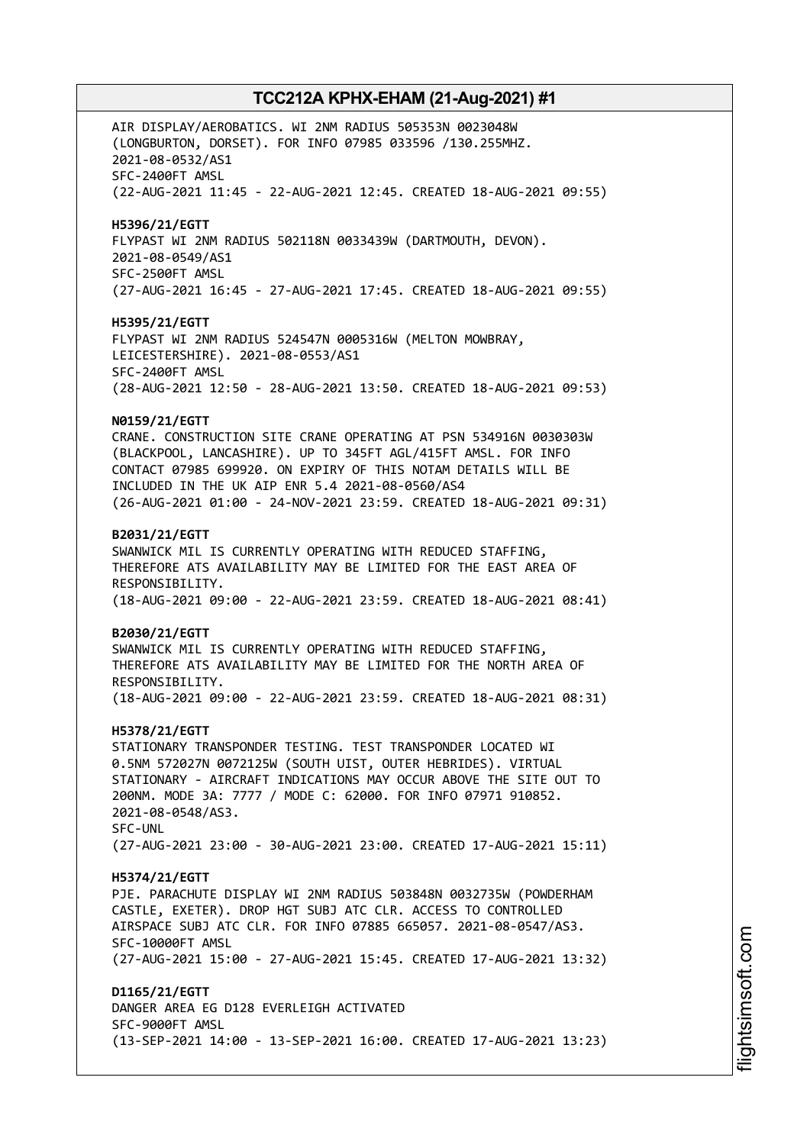AIR DISPLAY/AEROBATICS. WI 2NM RADIUS 505353N 0023048W (LONGBURTON, DORSET). FOR INFO 07985 033596 /130.255MHZ. 2021-08-0532/AS1 SFC-2400FT AMSL (22-AUG-2021 11:45 - 22-AUG-2021 12:45. CREATED 18-AUG-2021 09:55) **H5396/21/EGTT** FLYPAST WI 2NM RADIUS 502118N 0033439W (DARTMOUTH, DEVON). 2021-08-0549/AS1 SFC-2500FT AMSL (27-AUG-2021 16:45 - 27-AUG-2021 17:45. CREATED 18-AUG-2021 09:55) **H5395/21/EGTT** FLYPAST WI 2NM RADIUS 524547N 0005316W (MELTON MOWBRAY, LEICESTERSHIRE). 2021-08-0553/AS1 SFC-2400FT AMSL (28-AUG-2021 12:50 - 28-AUG-2021 13:50. CREATED 18-AUG-2021 09:53) **N0159/21/EGTT** CRANE. CONSTRUCTION SITE CRANE OPERATING AT PSN 534916N 0030303W (BLACKPOOL, LANCASHIRE). UP TO 345FT AGL/415FT AMSL. FOR INFO CONTACT 07985 699920. ON EXPIRY OF THIS NOTAM DETAILS WILL BE INCLUDED IN THE UK AIP ENR 5.4 2021-08-0560/AS4 (26-AUG-2021 01:00 - 24-NOV-2021 23:59. CREATED 18-AUG-2021 09:31) **B2031/21/EGTT** SWANWICK MIL IS CURRENTLY OPERATING WITH REDUCED STAFFING, THEREFORE ATS AVAILABILITY MAY BE LIMITED FOR THE EAST AREA OF RESPONSIBILITY. (18-AUG-2021 09:00 - 22-AUG-2021 23:59. CREATED 18-AUG-2021 08:41) **B2030/21/EGTT** SWANWICK MIL IS CURRENTLY OPERATING WITH REDUCED STAFFING, THEREFORE ATS AVAILABILITY MAY BE LIMITED FOR THE NORTH AREA OF RESPONSIBILITY. (18-AUG-2021 09:00 - 22-AUG-2021 23:59. CREATED 18-AUG-2021 08:31) **H5378/21/EGTT** STATIONARY TRANSPONDER TESTING. TEST TRANSPONDER LOCATED WI 0.5NM 572027N 0072125W (SOUTH UIST, OUTER HEBRIDES). VIRTUAL STATIONARY - AIRCRAFT INDICATIONS MAY OCCUR ABOVE THE SITE OUT TO 200NM. MODE 3A: 7777 / MODE C: 62000. FOR INFO 07971 910852. 2021-08-0548/AS3. SFC-UNL (27-AUG-2021 23:00 - 30-AUG-2021 23:00. CREATED 17-AUG-2021 15:11) **H5374/21/EGTT** PJE. PARACHUTE DISPLAY WI 2NM RADIUS 503848N 0032735W (POWDERHAM CASTLE, EXETER). DROP HGT SUBJ ATC CLR. ACCESS TO CONTROLLED AIRSPACE SUBJ ATC CLR. FOR INFO 07885 665057. 2021-08-0547/AS3. SFC-10000FT AMSL (27-AUG-2021 15:00 - 27-AUG-2021 15:45. CREATED 17-AUG-2021 13:32) **D1165/21/EGTT** DANGER AREA EG D128 EVERLEIGH ACTIVATED SFC-9000FT AMSL (13-SEP-2021 14:00 - 13-SEP-2021 16:00. CREATED 17-AUG-2021 13:23)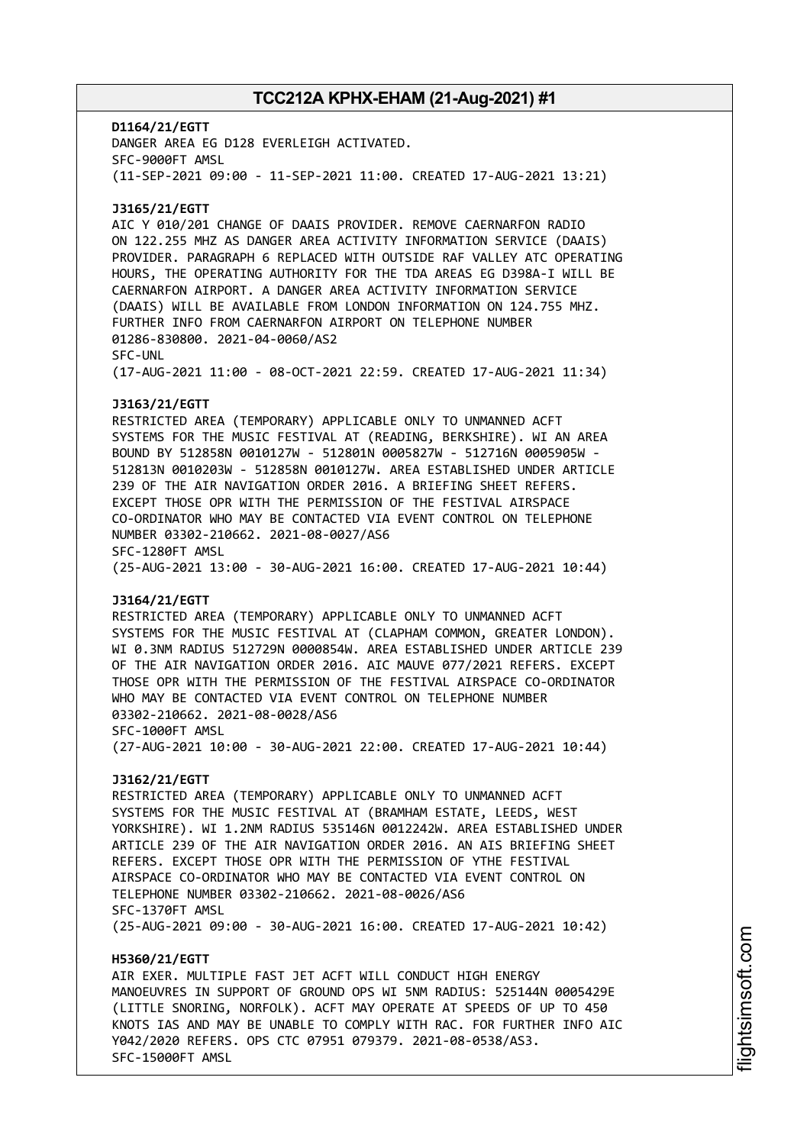**D1164/21/EGTT** DANGER AREA EG D128 EVERLEIGH ACTIVATED. SFC-9000FT AMSL (11-SEP-2021 09:00 - 11-SEP-2021 11:00. CREATED 17-AUG-2021 13:21) **J3165/21/EGTT** AIC Y 010/201 CHANGE OF DAAIS PROVIDER. REMOVE CAERNARFON RADIO ON 122.255 MHZ AS DANGER AREA ACTIVITY INFORMATION SERVICE (DAAIS) PROVIDER. PARAGRAPH 6 REPLACED WITH OUTSIDE RAF VALLEY ATC OPERATING HOURS, THE OPERATING AUTHORITY FOR THE TDA AREAS EG D398A-I WILL BE CAERNARFON AIRPORT. A DANGER AREA ACTIVITY INFORMATION SERVICE (DAAIS) WILL BE AVAILABLE FROM LONDON INFORMATION ON 124.755 MHZ. FURTHER INFO FROM CAERNARFON AIRPORT ON TELEPHONE NUMBER 01286-830800. 2021-04-0060/AS2 SFC-UNL (17-AUG-2021 11:00 - 08-OCT-2021 22:59. CREATED 17-AUG-2021 11:34) **J3163/21/EGTT** RESTRICTED AREA (TEMPORARY) APPLICABLE ONLY TO UNMANNED ACFT SYSTEMS FOR THE MUSIC FESTIVAL AT (READING, BERKSHIRE). WI AN AREA BOUND BY 512858N 0010127W - 512801N 0005827W - 512716N 0005905W - 512813N 0010203W - 512858N 0010127W. AREA ESTABLISHED UNDER ARTICLE 239 OF THE AIR NAVIGATION ORDER 2016. A BRIEFING SHEET REFERS. EXCEPT THOSE OPR WITH THE PERMISSION OF THE FESTIVAL AIRSPACE CO-ORDINATOR WHO MAY BE CONTACTED VIA EVENT CONTROL ON TELEPHONE NUMBER 03302-210662. 2021-08-0027/AS6 SFC-1280FT AMSL (25-AUG-2021 13:00 - 30-AUG-2021 16:00. CREATED 17-AUG-2021 10:44) **J3164/21/EGTT** RESTRICTED AREA (TEMPORARY) APPLICABLE ONLY TO UNMANNED ACFT SYSTEMS FOR THE MUSIC FESTIVAL AT (CLAPHAM COMMON, GREATER LONDON). WI 0.3NM RADIUS 512729N 0000854W. AREA ESTABLISHED UNDER ARTICLE 239 OF THE AIR NAVIGATION ORDER 2016. AIC MAUVE 077/2021 REFERS. EXCEPT THOSE OPR WITH THE PERMISSION OF THE FESTIVAL AIRSPACE CO-ORDINATOR WHO MAY BE CONTACTED VIA EVENT CONTROL ON TELEPHONE NUMBER 03302-210662. 2021-08-0028/AS6 SFC-1000FT AMSL (27-AUG-2021 10:00 - 30-AUG-2021 22:00. CREATED 17-AUG-2021 10:44) **J3162/21/EGTT** RESTRICTED AREA (TEMPORARY) APPLICABLE ONLY TO UNMANNED ACFT SYSTEMS FOR THE MUSIC FESTIVAL AT (BRAMHAM ESTATE, LEEDS, WEST YORKSHIRE). WI 1.2NM RADIUS 535146N 0012242W. AREA ESTABLISHED UNDER ARTICLE 239 OF THE AIR NAVIGATION ORDER 2016. AN AIS BRIEFING SHEET REFERS. EXCEPT THOSE OPR WITH THE PERMISSION OF YTHE FESTIVAL AIRSPACE CO-ORDINATOR WHO MAY BE CONTACTED VIA EVENT CONTROL ON TELEPHONE NUMBER 03302-210662. 2021-08-0026/AS6 SFC-1370FT AMSL (25-AUG-2021 09:00 - 30-AUG-2021 16:00. CREATED 17-AUG-2021 10:42) **H5360/21/EGTT** AIR EXER. MULTIPLE FAST JET ACFT WILL CONDUCT HIGH ENERGY MANOEUVRES IN SUPPORT OF GROUND OPS WI 5NM RADIUS: 525144N 0005429E (LITTLE SNORING, NORFOLK). ACFT MAY OPERATE AT SPEEDS OF UP TO 450 KNOTS IAS AND MAY BE UNABLE TO COMPLY WITH RAC. FOR FURTHER INFO AIC

Y042/2020 REFERS. OPS CTC 07951 079379. 2021-08-0538/AS3.

SFC-15000FT AMSL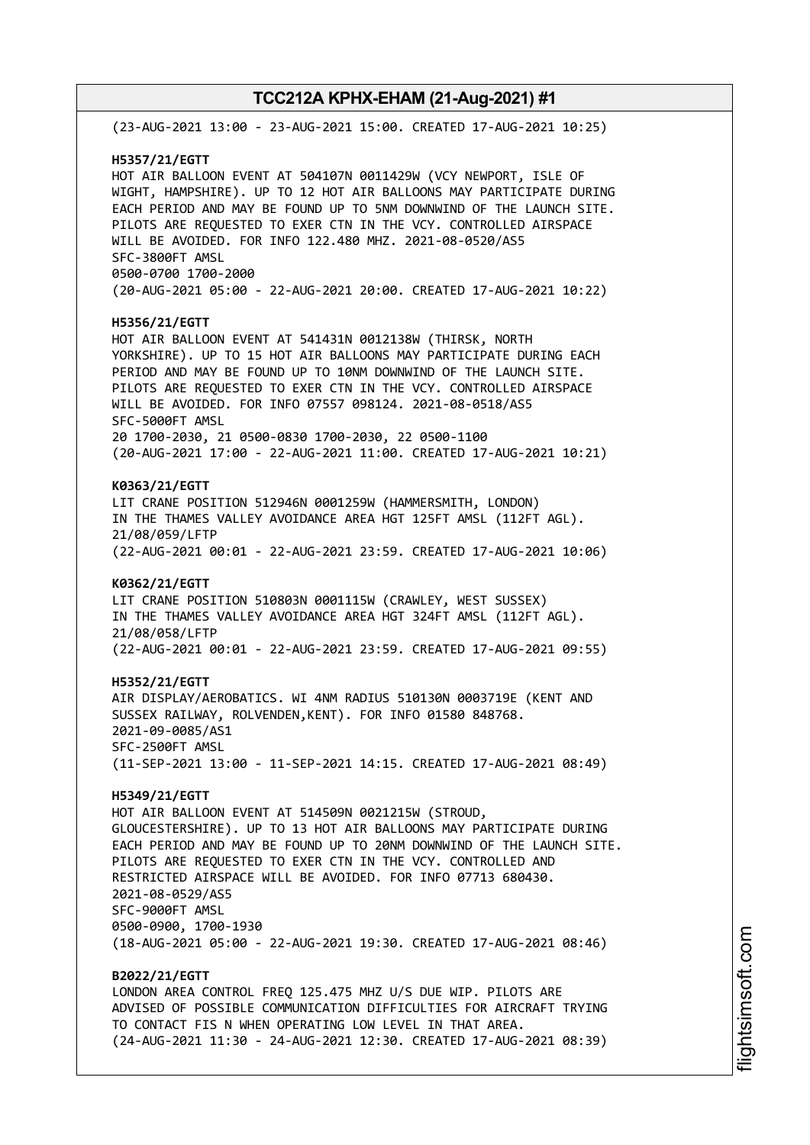(23-AUG-2021 13:00 - 23-AUG-2021 15:00. CREATED 17-AUG-2021 10:25) **H5357/21/EGTT** HOT AIR BALLOON EVENT AT 504107N 0011429W (VCY NEWPORT, ISLE OF WIGHT, HAMPSHIRE). UP TO 12 HOT AIR BALLOONS MAY PARTICIPATE DURING EACH PERIOD AND MAY BE FOUND UP TO 5NM DOWNWIND OF THE LAUNCH SITE. PILOTS ARE REQUESTED TO EXER CTN IN THE VCY. CONTROLLED AIRSPACE WILL BE AVOIDED. FOR INFO 122.480 MHZ. 2021-08-0520/AS5 SFC-3800FT AMSL 0500-0700 1700-2000 (20-AUG-2021 05:00 - 22-AUG-2021 20:00. CREATED 17-AUG-2021 10:22) **H5356/21/EGTT** HOT AIR BALLOON EVENT AT 541431N 0012138W (THIRSK, NORTH YORKSHIRE). UP TO 15 HOT AIR BALLOONS MAY PARTICIPATE DURING EACH PERIOD AND MAY BE FOUND UP TO 10NM DOWNWIND OF THE LAUNCH SITE. PILOTS ARE REQUESTED TO EXER CTN IN THE VCY. CONTROLLED AIRSPACE WILL BE AVOIDED. FOR INFO 07557 098124. 2021-08-0518/AS5 SFC-5000FT AMSL 20 1700-2030, 21 0500-0830 1700-2030, 22 0500-1100 (20-AUG-2021 17:00 - 22-AUG-2021 11:00. CREATED 17-AUG-2021 10:21) **K0363/21/EGTT** LIT CRANE POSITION 512946N 0001259W (HAMMERSMITH, LONDON) IN THE THAMES VALLEY AVOIDANCE AREA HGT 125FT AMSL (112FT AGL). 21/08/059/LFTP (22-AUG-2021 00:01 - 22-AUG-2021 23:59. CREATED 17-AUG-2021 10:06) **K0362/21/EGTT** LIT CRANE POSITION 510803N 0001115W (CRAWLEY, WEST SUSSEX) IN THE THAMES VALLEY AVOIDANCE AREA HGT 324FT AMSL (112FT AGL). 21/08/058/LFTP (22-AUG-2021 00:01 - 22-AUG-2021 23:59. CREATED 17-AUG-2021 09:55) **H5352/21/EGTT** AIR DISPLAY/AEROBATICS. WI 4NM RADIUS 510130N 0003719E (KENT AND SUSSEX RAILWAY, ROLVENDEN,KENT). FOR INFO 01580 848768. 2021-09-0085/AS1 SFC-2500FT AMSL (11-SEP-2021 13:00 - 11-SEP-2021 14:15. CREATED 17-AUG-2021 08:49) **H5349/21/EGTT** HOT AIR BALLOON EVENT AT 514509N 0021215W (STROUD, GLOUCESTERSHIRE). UP TO 13 HOT AIR BALLOONS MAY PARTICIPATE DURING EACH PERIOD AND MAY BE FOUND UP TO 20NM DOWNWIND OF THE LAUNCH SITE. PILOTS ARE REQUESTED TO EXER CTN IN THE VCY. CONTROLLED AND RESTRICTED AIRSPACE WILL BE AVOIDED. FOR INFO 07713 680430. 2021-08-0529/AS5 SFC-9000FT AMSL 0500-0900, 1700-1930 (18-AUG-2021 05:00 - 22-AUG-2021 19:30. CREATED 17-AUG-2021 08:46) **B2022/21/EGTT** LONDON AREA CONTROL FREQ 125.475 MHZ U/S DUE WIP. PILOTS ARE ADVISED OF POSSIBLE COMMUNICATION DIFFICULTIES FOR AIRCRAFT TRYING TO CONTACT FIS N WHEN OPERATING LOW LEVEL IN THAT AREA. (24-AUG-2021 11:30 - 24-AUG-2021 12:30. CREATED 17-AUG-2021 08:39)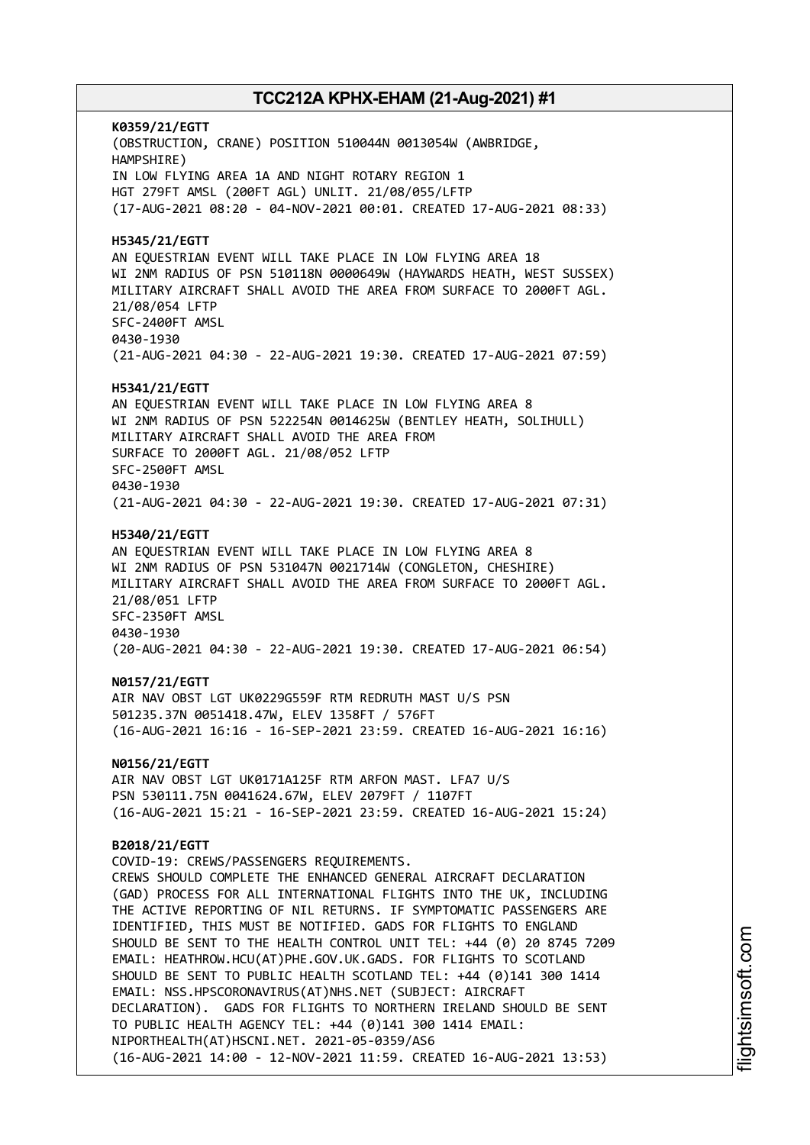**K0359/21/EGTT** (OBSTRUCTION, CRANE) POSITION 510044N 0013054W (AWBRIDGE, HAMPSHIRE) IN LOW FLYING AREA 1A AND NIGHT ROTARY REGION 1 HGT 279FT AMSL (200FT AGL) UNLIT. 21/08/055/LFTP (17-AUG-2021 08:20 - 04-NOV-2021 00:01. CREATED 17-AUG-2021 08:33) **H5345/21/EGTT** AN EQUESTRIAN EVENT WILL TAKE PLACE IN LOW FLYING AREA 18 WI 2NM RADIUS OF PSN 510118N 0000649W (HAYWARDS HEATH, WEST SUSSEX) MILITARY AIRCRAFT SHALL AVOID THE AREA FROM SURFACE TO 2000FT AGL. 21/08/054 LFTP SFC-2400FT AMSL 0430-1930 (21-AUG-2021 04:30 - 22-AUG-2021 19:30. CREATED 17-AUG-2021 07:59) **H5341/21/EGTT** AN EQUESTRIAN EVENT WILL TAKE PLACE IN LOW FLYING AREA 8 WI 2NM RADIUS OF PSN 522254N 0014625W (BENTLEY HEATH, SOLIHULL) MILITARY AIRCRAFT SHALL AVOID THE AREA FROM SURFACE TO 2000FT AGL. 21/08/052 LFTP SFC-2500FT AMSL 0430-1930 (21-AUG-2021 04:30 - 22-AUG-2021 19:30. CREATED 17-AUG-2021 07:31) **H5340/21/EGTT** AN EQUESTRIAN EVENT WILL TAKE PLACE IN LOW FLYING AREA 8 WI 2NM RADIUS OF PSN 531047N 0021714W (CONGLETON, CHESHIRE) MILITARY AIRCRAFT SHALL AVOID THE AREA FROM SURFACE TO 2000FT AGL. 21/08/051 LFTP SFC-2350FT AMSL 0430-1930 (20-AUG-2021 04:30 - 22-AUG-2021 19:30. CREATED 17-AUG-2021 06:54) **N0157/21/EGTT** AIR NAV OBST LGT UK0229G559F RTM REDRUTH MAST U/S PSN 501235.37N 0051418.47W, ELEV 1358FT / 576FT (16-AUG-2021 16:16 - 16-SEP-2021 23:59. CREATED 16-AUG-2021 16:16) **N0156/21/EGTT** AIR NAV OBST LGT UK0171A125F RTM ARFON MAST. LFA7 U/S PSN 530111.75N 0041624.67W, ELEV 2079FT / 1107FT (16-AUG-2021 15:21 - 16-SEP-2021 23:59. CREATED 16-AUG-2021 15:24) **B2018/21/EGTT** COVID-19: CREWS/PASSENGERS REQUIREMENTS. CREWS SHOULD COMPLETE THE ENHANCED GENERAL AIRCRAFT DECLARATION (GAD) PROCESS FOR ALL INTERNATIONAL FLIGHTS INTO THE UK, INCLUDING THE ACTIVE REPORTING OF NIL RETURNS. IF SYMPTOMATIC PASSENGERS ARE IDENTIFIED, THIS MUST BE NOTIFIED. GADS FOR FLIGHTS TO ENGLAND SHOULD BE SENT TO THE HEALTH CONTROL UNIT TEL: +44 (0) 20 8745 7209 EMAIL: HEATHROW.HCU(AT)PHE.GOV.UK.GADS. FOR FLIGHTS TO SCOTLAND SHOULD BE SENT TO PUBLIC HEALTH SCOTLAND TEL: +44 (0)141 300 1414 EMAIL: NSS.HPSCORONAVIRUS(AT)NHS.NET (SUBJECT: AIRCRAFT DECLARATION). GADS FOR FLIGHTS TO NORTHERN IRELAND SHOULD BE SENT TO PUBLIC HEALTH AGENCY TEL: +44 (0)141 300 1414 EMAIL: NIPORTHEALTH(AT)HSCNI.NET. 2021-05-0359/AS6 (16-AUG-2021 14:00 - 12-NOV-2021 11:59. CREATED 16-AUG-2021 13:53)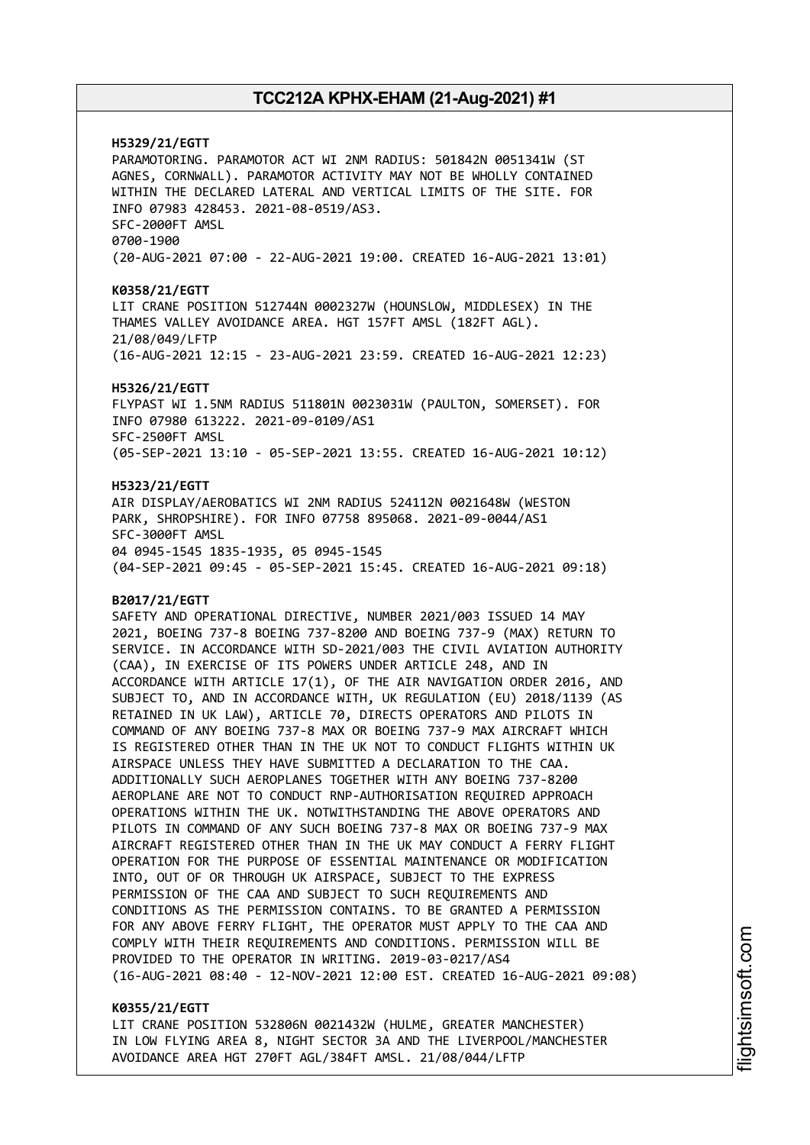**H5329/21/EGTT** PARAMOTORING. PARAMOTOR ACT WI 2NM RADIUS: 501842N 0051341W (ST AGNES, CORNWALL). PARAMOTOR ACTIVITY MAY NOT BE WHOLLY CONTAINED WITHIN THE DECLARED LATERAL AND VERTICAL LIMITS OF THE SITE. FOR INFO 07983 428453. 2021-08-0519/AS3. SFC-2000FT AMSL 0700-1900 (20-AUG-2021 07:00 - 22-AUG-2021 19:00. CREATED 16-AUG-2021 13:01) **K0358/21/EGTT** LIT CRANE POSITION 512744N 0002327W (HOUNSLOW, MIDDLESEX) IN THE THAMES VALLEY AVOIDANCE AREA. HGT 157FT AMSL (182FT AGL). 21/08/049/LFTP (16-AUG-2021 12:15 - 23-AUG-2021 23:59. CREATED 16-AUG-2021 12:23) **H5326/21/EGTT** FLYPAST WI 1.5NM RADIUS 511801N 0023031W (PAULTON, SOMERSET). FOR INFO 07980 613222. 2021-09-0109/AS1 SFC-2500FT AMSL (05-SEP-2021 13:10 - 05-SEP-2021 13:55. CREATED 16-AUG-2021 10:12) **H5323/21/EGTT** AIR DISPLAY/AEROBATICS WI 2NM RADIUS 524112N 0021648W (WESTON PARK, SHROPSHIRE). FOR INFO 07758 895068. 2021-09-0044/AS1 SFC-3000FT AMSL 04 0945-1545 1835-1935, 05 0945-1545 (04-SEP-2021 09:45 - 05-SEP-2021 15:45. CREATED 16-AUG-2021 09:18) **B2017/21/EGTT** SAFETY AND OPERATIONAL DIRECTIVE, NUMBER 2021/003 ISSUED 14 MAY 2021, BOEING 737-8 BOEING 737-8200 AND BOEING 737-9 (MAX) RETURN TO SERVICE. IN ACCORDANCE WITH SD-2021/003 THE CIVIL AVIATION AUTHORITY (CAA), IN EXERCISE OF ITS POWERS UNDER ARTICLE 248, AND IN ACCORDANCE WITH ARTICLE 17(1), OF THE AIR NAVIGATION ORDER 2016, AND SUBJECT TO, AND IN ACCORDANCE WITH, UK REGULATION (EU) 2018/1139 (AS RETAINED IN UK LAW), ARTICLE 70, DIRECTS OPERATORS AND PILOTS IN COMMAND OF ANY BOEING 737-8 MAX OR BOEING 737-9 MAX AIRCRAFT WHICH IS REGISTERED OTHER THAN IN THE UK NOT TO CONDUCT FLIGHTS WITHIN UK AIRSPACE UNLESS THEY HAVE SUBMITTED A DECLARATION TO THE CAA. ADDITIONALLY SUCH AEROPLANES TOGETHER WITH ANY BOEING 737-8200 AEROPLANE ARE NOT TO CONDUCT RNP-AUTHORISATION REQUIRED APPROACH OPERATIONS WITHIN THE UK. NOTWITHSTANDING THE ABOVE OPERATORS AND PILOTS IN COMMAND OF ANY SUCH BOEING 737-8 MAX OR BOEING 737-9 MAX AIRCRAFT REGISTERED OTHER THAN IN THE UK MAY CONDUCT A FERRY FLIGHT OPERATION FOR THE PURPOSE OF ESSENTIAL MAINTENANCE OR MODIFICATION INTO, OUT OF OR THROUGH UK AIRSPACE, SUBJECT TO THE EXPRESS PERMISSION OF THE CAA AND SUBJECT TO SUCH REQUIREMENTS AND CONDITIONS AS THE PERMISSION CONTAINS. TO BE GRANTED A PERMISSION FOR ANY ABOVE FERRY FLIGHT, THE OPERATOR MUST APPLY TO THE CAA AND COMPLY WITH THEIR REQUIREMENTS AND CONDITIONS. PERMISSION WILL BE PROVIDED TO THE OPERATOR IN WRITING. 2019-03-0217/AS4 (16-AUG-2021 08:40 - 12-NOV-2021 12:00 EST. CREATED 16-AUG-2021 09:08)

#### **K0355/21/EGTT**

LIT CRANE POSITION 532806N 0021432W (HULME, GREATER MANCHESTER) IN LOW FLYING AREA 8, NIGHT SECTOR 3A AND THE LIVERPOOL/MANCHESTER AVOIDANCE AREA HGT 270FT AGL/384FT AMSL. 21/08/044/LFTP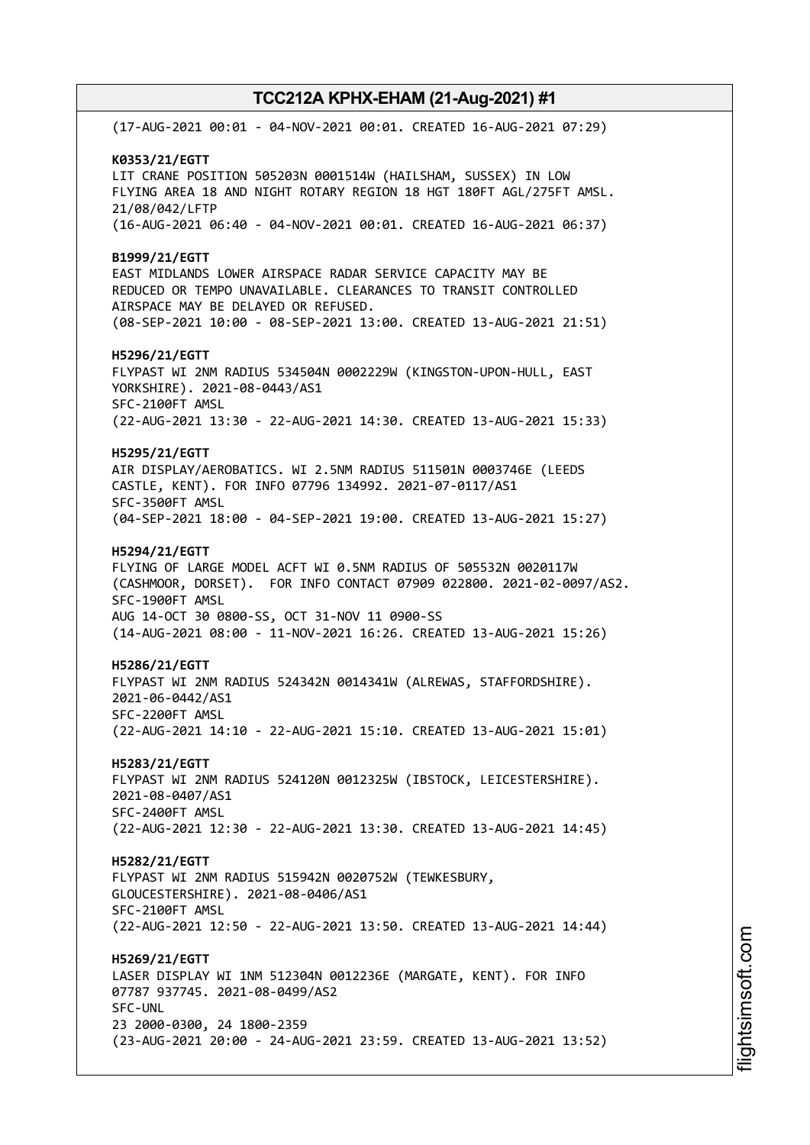(17-AUG-2021 00:01 - 04-NOV-2021 00:01. CREATED 16-AUG-2021 07:29) **K0353/21/EGTT** LIT CRANE POSITION 505203N 0001514W (HAILSHAM, SUSSEX) IN LOW FLYING AREA 18 AND NIGHT ROTARY REGION 18 HGT 180FT AGL/275FT AMSL. 21/08/042/LFTP (16-AUG-2021 06:40 - 04-NOV-2021 00:01. CREATED 16-AUG-2021 06:37) **B1999/21/EGTT** EAST MIDLANDS LOWER AIRSPACE RADAR SERVICE CAPACITY MAY BE REDUCED OR TEMPO UNAVAILABLE. CLEARANCES TO TRANSIT CONTROLLED AIRSPACE MAY BE DELAYED OR REFUSED. (08-SEP-2021 10:00 - 08-SEP-2021 13:00. CREATED 13-AUG-2021 21:51) **H5296/21/EGTT** FLYPAST WI 2NM RADIUS 534504N 0002229W (KINGSTON-UPON-HULL, EAST YORKSHIRE). 2021-08-0443/AS1 SFC-2100FT AMSL (22-AUG-2021 13:30 - 22-AUG-2021 14:30. CREATED 13-AUG-2021 15:33) **H5295/21/EGTT** AIR DISPLAY/AEROBATICS. WI 2.5NM RADIUS 511501N 0003746E (LEEDS CASTLE, KENT). FOR INFO 07796 134992. 2021-07-0117/AS1 SFC-3500FT AMSL (04-SEP-2021 18:00 - 04-SEP-2021 19:00. CREATED 13-AUG-2021 15:27) **H5294/21/EGTT** FLYING OF LARGE MODEL ACFT WI 0.5NM RADIUS OF 505532N 0020117W (CASHMOOR, DORSET). FOR INFO CONTACT 07909 022800. 2021-02-0097/AS2. SFC-1900FT AMSL AUG 14-OCT 30 0800-SS, OCT 31-NOV 11 0900-SS (14-AUG-2021 08:00 - 11-NOV-2021 16:26. CREATED 13-AUG-2021 15:26) **H5286/21/EGTT** FLYPAST WI 2NM RADIUS 524342N 0014341W (ALREWAS, STAFFORDSHIRE). 2021-06-0442/AS1 SFC-2200FT AMSL (22-AUG-2021 14:10 - 22-AUG-2021 15:10. CREATED 13-AUG-2021 15:01) **H5283/21/EGTT** FLYPAST WI 2NM RADIUS 524120N 0012325W (IBSTOCK, LEICESTERSHIRE). 2021-08-0407/AS1 SFC-2400FT AMSL (22-AUG-2021 12:30 - 22-AUG-2021 13:30. CREATED 13-AUG-2021 14:45) **H5282/21/EGTT** FLYPAST WI 2NM RADIUS 515942N 0020752W (TEWKESBURY, GLOUCESTERSHIRE). 2021-08-0406/AS1 SFC-2100FT AMSL (22-AUG-2021 12:50 - 22-AUG-2021 13:50. CREATED 13-AUG-2021 14:44) **H5269/21/EGTT** LASER DISPLAY WI 1NM 512304N 0012236E (MARGATE, KENT). FOR INFO 07787 937745. 2021-08-0499/AS2 SFC-UNL 23 2000-0300, 24 1800-2359 (23-AUG-2021 20:00 - 24-AUG-2021 23:59. CREATED 13-AUG-2021 13:52)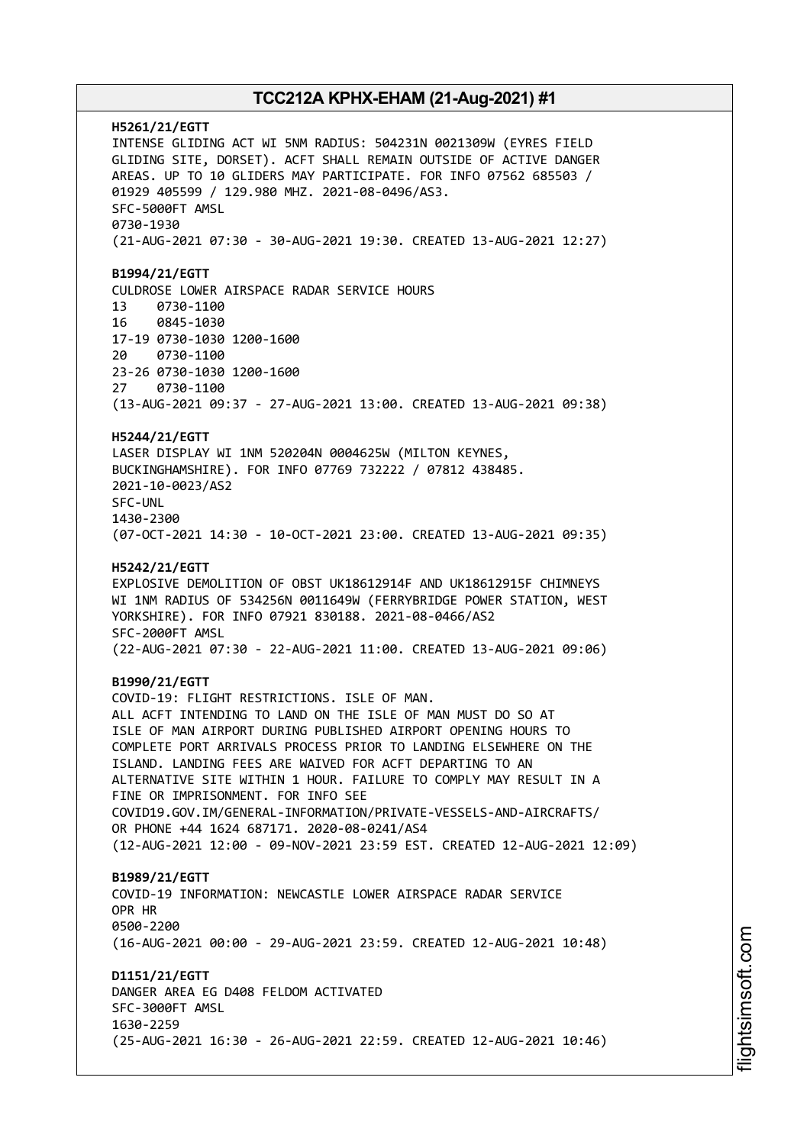**H5261/21/EGTT** INTENSE GLIDING ACT WI 5NM RADIUS: 504231N 0021309W (EYRES FIELD GLIDING SITE, DORSET). ACFT SHALL REMAIN OUTSIDE OF ACTIVE DANGER AREAS. UP TO 10 GLIDERS MAY PARTICIPATE. FOR INFO 07562 685503 / 01929 405599 / 129.980 MHZ. 2021-08-0496/AS3. SFC-5000FT AMSL 0730-1930 (21-AUG-2021 07:30 - 30-AUG-2021 19:30. CREATED 13-AUG-2021 12:27) **B1994/21/EGTT** CULDROSE LOWER AIRSPACE RADAR SERVICE HOURS 13 0730-1100 16 0845-1030 17-19 0730-1030 1200-1600 20 0730-1100 23-26 0730-1030 1200-1600 27 0730-1100 (13-AUG-2021 09:37 - 27-AUG-2021 13:00. CREATED 13-AUG-2021 09:38) **H5244/21/EGTT** LASER DISPLAY WI 1NM 520204N 0004625W (MILTON KEYNES, BUCKINGHAMSHIRE). FOR INFO 07769 732222 / 07812 438485. 2021-10-0023/AS2 SFC-UNL 1430-2300 (07-OCT-2021 14:30 - 10-OCT-2021 23:00. CREATED 13-AUG-2021 09:35) **H5242/21/EGTT** EXPLOSIVE DEMOLITION OF OBST UK18612914F AND UK18612915F CHIMNEYS WI 1NM RADIUS OF 534256N 0011649W (FERRYBRIDGE POWER STATION, WEST YORKSHIRE). FOR INFO 07921 830188. 2021-08-0466/AS2 SFC-2000FT AMSL (22-AUG-2021 07:30 - 22-AUG-2021 11:00. CREATED 13-AUG-2021 09:06) **B1990/21/EGTT** COVID-19: FLIGHT RESTRICTIONS. ISLE OF MAN. ALL ACFT INTENDING TO LAND ON THE ISLE OF MAN MUST DO SO AT ISLE OF MAN AIRPORT DURING PUBLISHED AIRPORT OPENING HOURS TO COMPLETE PORT ARRIVALS PROCESS PRIOR TO LANDING ELSEWHERE ON THE ISLAND. LANDING FEES ARE WAIVED FOR ACFT DEPARTING TO AN ALTERNATIVE SITE WITHIN 1 HOUR. FAILURE TO COMPLY MAY RESULT IN A FINE OR IMPRISONMENT. FOR INFO SEE COVID19.GOV.IM/GENERAL-INFORMATION/PRIVATE-VESSELS-AND-AIRCRAFTS/ OR PHONE +44 1624 687171. 2020-08-0241/AS4 (12-AUG-2021 12:00 - 09-NOV-2021 23:59 EST. CREATED 12-AUG-2021 12:09) **B1989/21/EGTT** COVID-19 INFORMATION: NEWCASTLE LOWER AIRSPACE RADAR SERVICE OPR HR 0500-2200 (16-AUG-2021 00:00 - 29-AUG-2021 23:59. CREATED 12-AUG-2021 10:48) **D1151/21/EGTT** DANGER AREA EG D408 FELDOM ACTIVATED SFC-3000FT AMSL 1630-2259 (25-AUG-2021 16:30 - 26-AUG-2021 22:59. CREATED 12-AUG-2021 10:46)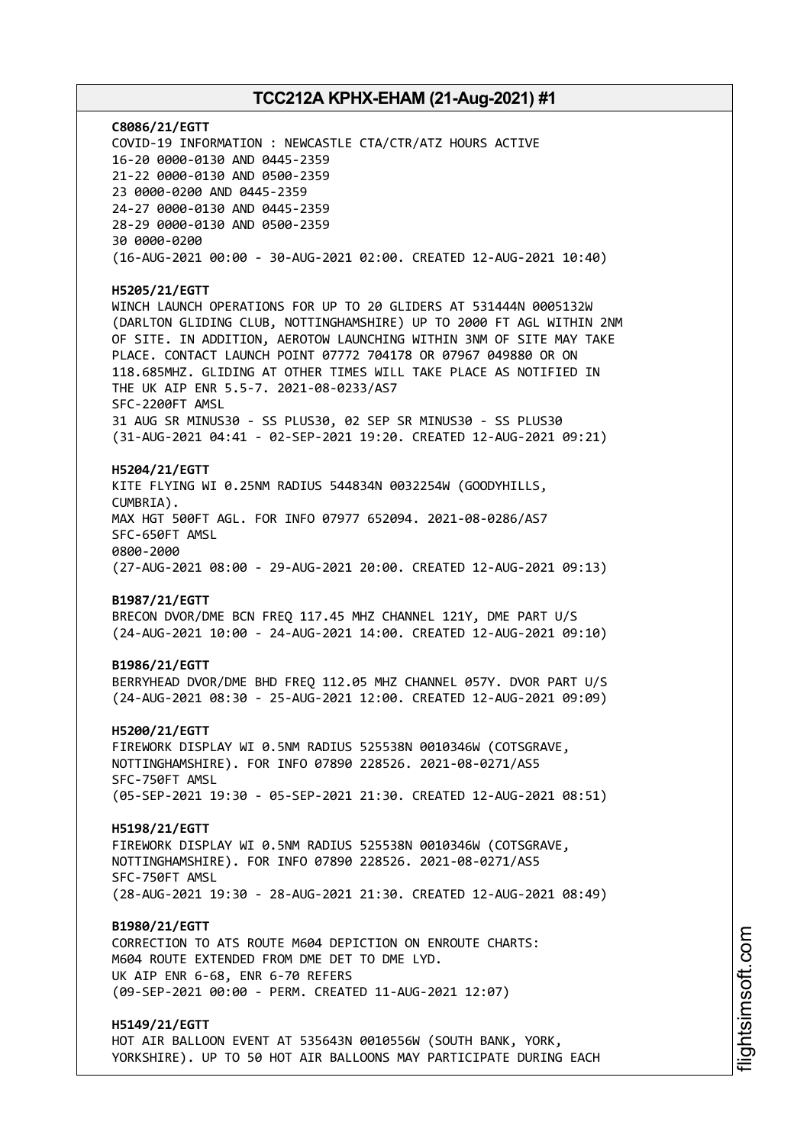**C8086/21/EGTT** COVID-19 INFORMATION : NEWCASTLE CTA/CTR/ATZ HOURS ACTIVE 16-20 0000-0130 AND 0445-2359 21-22 0000-0130 AND 0500-2359 23 0000-0200 AND 0445-2359 24-27 0000-0130 AND 0445-2359 28-29 0000-0130 AND 0500-2359 30 0000-0200 (16-AUG-2021 00:00 - 30-AUG-2021 02:00. CREATED 12-AUG-2021 10:40) **H5205/21/EGTT** WINCH LAUNCH OPERATIONS FOR UP TO 20 GLIDERS AT 531444N 0005132W (DARLTON GLIDING CLUB, NOTTINGHAMSHIRE) UP TO 2000 FT AGL WITHIN 2NM OF SITE. IN ADDITION, AEROTOW LAUNCHING WITHIN 3NM OF SITE MAY TAKE PLACE. CONTACT LAUNCH POINT 07772 704178 OR 07967 049880 OR ON 118.685MHZ. GLIDING AT OTHER TIMES WILL TAKE PLACE AS NOTIFIED IN THE UK AIP ENR 5.5-7. 2021-08-0233/AS7 SFC-2200FT AMSL 31 AUG SR MINUS30 - SS PLUS30, 02 SEP SR MINUS30 - SS PLUS30 (31-AUG-2021 04:41 - 02-SEP-2021 19:20. CREATED 12-AUG-2021 09:21) **H5204/21/EGTT** KITE FLYING WI 0.25NM RADIUS 544834N 0032254W (GOODYHILLS, CUMBRIA). MAX HGT 500FT AGL. FOR INFO 07977 652094. 2021-08-0286/AS7 SFC-650FT AMSL 0800-2000 (27-AUG-2021 08:00 - 29-AUG-2021 20:00. CREATED 12-AUG-2021 09:13) **B1987/21/EGTT** BRECON DVOR/DME BCN FREQ 117.45 MHZ CHANNEL 121Y, DME PART U/S (24-AUG-2021 10:00 - 24-AUG-2021 14:00. CREATED 12-AUG-2021 09:10) **B1986/21/EGTT** BERRYHEAD DVOR/DME BHD FREQ 112.05 MHZ CHANNEL 057Y. DVOR PART U/S (24-AUG-2021 08:30 - 25-AUG-2021 12:00. CREATED 12-AUG-2021 09:09) **H5200/21/EGTT** FIREWORK DISPLAY WI 0.5NM RADIUS 525538N 0010346W (COTSGRAVE, NOTTINGHAMSHIRE). FOR INFO 07890 228526. 2021-08-0271/AS5 SFC-750FT AMSL (05-SEP-2021 19:30 - 05-SEP-2021 21:30. CREATED 12-AUG-2021 08:51) **H5198/21/EGTT** FIREWORK DISPLAY WI 0.5NM RADIUS 525538N 0010346W (COTSGRAVE, NOTTINGHAMSHIRE). FOR INFO 07890 228526. 2021-08-0271/AS5 SFC-750FT AMSL (28-AUG-2021 19:30 - 28-AUG-2021 21:30. CREATED 12-AUG-2021 08:49) **B1980/21/EGTT** CORRECTION TO ATS ROUTE M604 DEPICTION ON ENROUTE CHARTS: M604 ROUTE EXTENDED FROM DME DET TO DME LYD. UK AIP ENR 6-68, ENR 6-70 REFERS (09-SEP-2021 00:00 - PERM. CREATED 11-AUG-2021 12:07) **H5149/21/EGTT** HOT AIR BALLOON EVENT AT 535643N 0010556W (SOUTH BANK, YORK,

YORKSHIRE). UP TO 50 HOT AIR BALLOONS MAY PARTICIPATE DURING EACH

i⊒<br>⊫ htsim soft.c om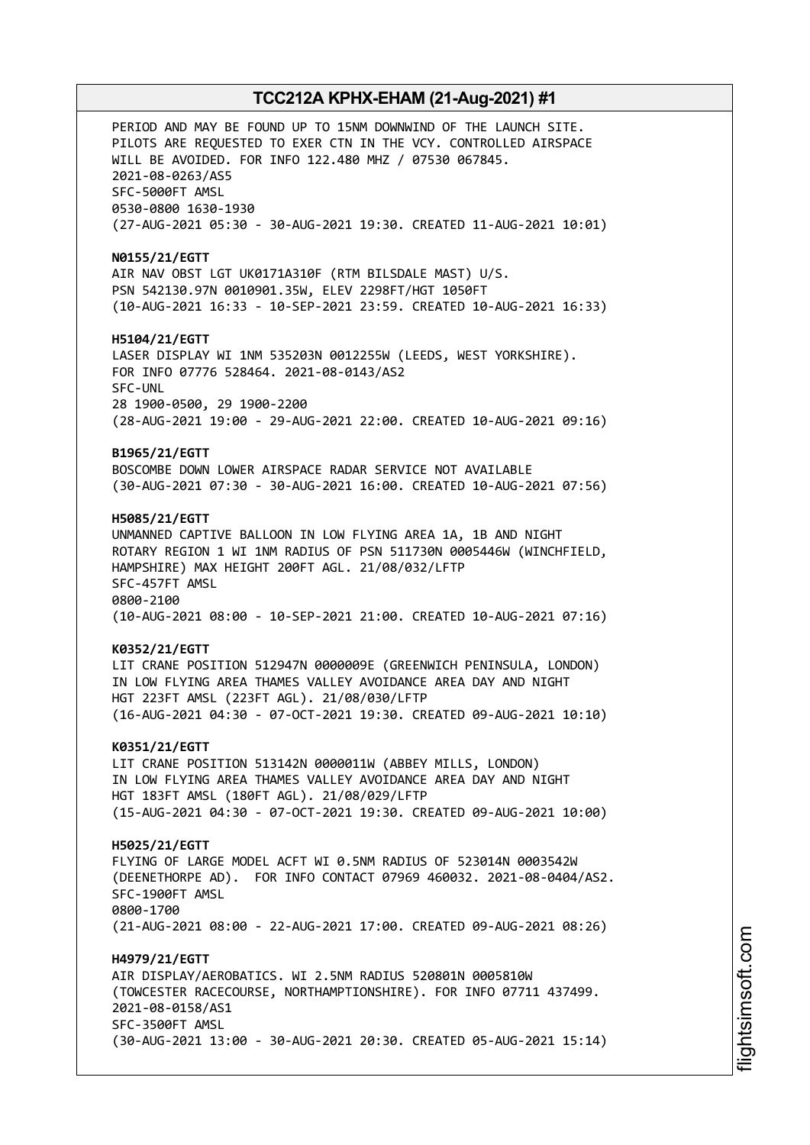PERIOD AND MAY BE FOUND UP TO 15NM DOWNWIND OF THE LAUNCH SITE. PILOTS ARE REQUESTED TO EXER CTN IN THE VCY. CONTROLLED AIRSPACE WILL BE AVOIDED. FOR INFO 122.480 MHZ / 07530 067845. 2021-08-0263/AS5 SFC-5000FT AMSL 0530-0800 1630-1930 (27-AUG-2021 05:30 - 30-AUG-2021 19:30. CREATED 11-AUG-2021 10:01) **N0155/21/EGTT** AIR NAV OBST LGT UK0171A310F (RTM BILSDALE MAST) U/S. PSN 542130.97N 0010901.35W, ELEV 2298FT/HGT 1050FT (10-AUG-2021 16:33 - 10-SEP-2021 23:59. CREATED 10-AUG-2021 16:33) **H5104/21/EGTT** LASER DISPLAY WI 1NM 535203N 0012255W (LEEDS, WEST YORKSHIRE). FOR INFO 07776 528464. 2021-08-0143/AS2 SFC-UNL 28 1900-0500, 29 1900-2200 (28-AUG-2021 19:00 - 29-AUG-2021 22:00. CREATED 10-AUG-2021 09:16) **B1965/21/EGTT** BOSCOMBE DOWN LOWER AIRSPACE RADAR SERVICE NOT AVAILABLE (30-AUG-2021 07:30 - 30-AUG-2021 16:00. CREATED 10-AUG-2021 07:56) **H5085/21/EGTT** UNMANNED CAPTIVE BALLOON IN LOW FLYING AREA 1A, 1B AND NIGHT ROTARY REGION 1 WI 1NM RADIUS OF PSN 511730N 0005446W (WINCHFIELD, HAMPSHIRE) MAX HEIGHT 200FT AGL. 21/08/032/LFTP SFC-457FT AMSL 0800-2100 (10-AUG-2021 08:00 - 10-SEP-2021 21:00. CREATED 10-AUG-2021 07:16) **K0352/21/EGTT** LIT CRANE POSITION 512947N 0000009E (GREENWICH PENINSULA, LONDON) IN LOW FLYING AREA THAMES VALLEY AVOIDANCE AREA DAY AND NIGHT HGT 223FT AMSL (223FT AGL). 21/08/030/LFTP (16-AUG-2021 04:30 - 07-OCT-2021 19:30. CREATED 09-AUG-2021 10:10) **K0351/21/EGTT** LIT CRANE POSITION 513142N 0000011W (ABBEY MILLS, LONDON) IN LOW FLYING AREA THAMES VALLEY AVOIDANCE AREA DAY AND NIGHT HGT 183FT AMSL (180FT AGL). 21/08/029/LFTP (15-AUG-2021 04:30 - 07-OCT-2021 19:30. CREATED 09-AUG-2021 10:00) **H5025/21/EGTT** FLYING OF LARGE MODEL ACFT WI 0.5NM RADIUS OF 523014N 0003542W (DEENETHORPE AD). FOR INFO CONTACT 07969 460032. 2021-08-0404/AS2. SFC-1900FT AMSL 0800-1700 (21-AUG-2021 08:00 - 22-AUG-2021 17:00. CREATED 09-AUG-2021 08:26) **H4979/21/EGTT** AIR DISPLAY/AEROBATICS. WI 2.5NM RADIUS 520801N 0005810W (TOWCESTER RACECOURSE, NORTHAMPTIONSHIRE). FOR INFO 07711 437499. 2021-08-0158/AS1 SFC-3500FT AMSL (30-AUG-2021 13:00 - 30-AUG-2021 20:30. CREATED 05-AUG-2021 15:14)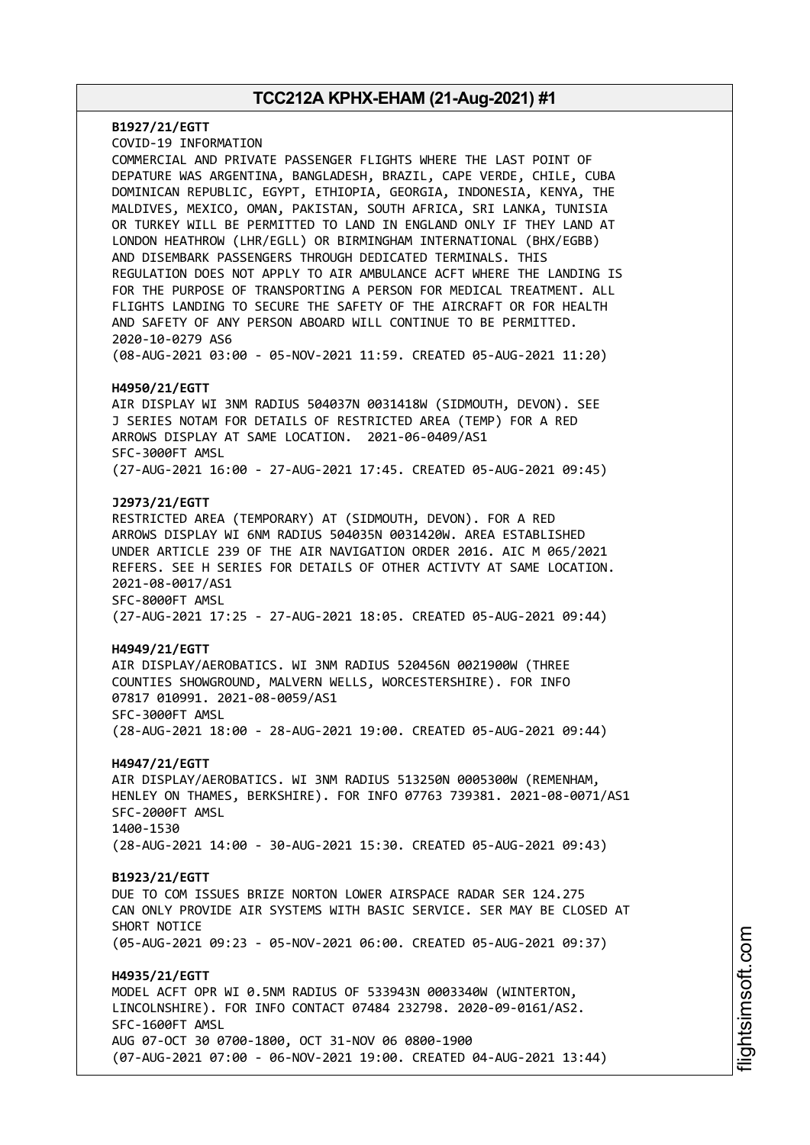**B1927/21/EGTT** COVID-19 INFORMATION COMMERCIAL AND PRIVATE PASSENGER FLIGHTS WHERE THE LAST POINT OF DEPATURE WAS ARGENTINA, BANGLADESH, BRAZIL, CAPE VERDE, CHILE, CUBA DOMINICAN REPUBLIC, EGYPT, ETHIOPIA, GEORGIA, INDONESIA, KENYA, THE MALDIVES, MEXICO, OMAN, PAKISTAN, SOUTH AFRICA, SRI LANKA, TUNISIA OR TURKEY WILL BE PERMITTED TO LAND IN ENGLAND ONLY IF THEY LAND AT LONDON HEATHROW (LHR/EGLL) OR BIRMINGHAM INTERNATIONAL (BHX/EGBB) AND DISEMBARK PASSENGERS THROUGH DEDICATED TERMINALS. THIS REGULATION DOES NOT APPLY TO AIR AMBULANCE ACFT WHERE THE LANDING IS FOR THE PURPOSE OF TRANSPORTING A PERSON FOR MEDICAL TREATMENT. ALL FLIGHTS LANDING TO SECURE THE SAFETY OF THE AIRCRAFT OR FOR HEALTH AND SAFETY OF ANY PERSON ABOARD WILL CONTINUE TO BE PERMITTED. 2020-10-0279 AS6 (08-AUG-2021 03:00 - 05-NOV-2021 11:59. CREATED 05-AUG-2021 11:20) **H4950/21/EGTT** AIR DISPLAY WI 3NM RADIUS 504037N 0031418W (SIDMOUTH, DEVON). SEE J SERIES NOTAM FOR DETAILS OF RESTRICTED AREA (TEMP) FOR A RED ARROWS DISPLAY AT SAME LOCATION. 2021-06-0409/AS1 SFC-3000FT AMSL (27-AUG-2021 16:00 - 27-AUG-2021 17:45. CREATED 05-AUG-2021 09:45) **J2973/21/EGTT** RESTRICTED AREA (TEMPORARY) AT (SIDMOUTH, DEVON). FOR A RED ARROWS DISPLAY WI 6NM RADIUS 504035N 0031420W. AREA ESTABLISHED UNDER ARTICLE 239 OF THE AIR NAVIGATION ORDER 2016. AIC M 065/2021 REFERS. SEE H SERIES FOR DETAILS OF OTHER ACTIVTY AT SAME LOCATION. 2021-08-0017/AS1 SFC-8000FT AMSL (27-AUG-2021 17:25 - 27-AUG-2021 18:05. CREATED 05-AUG-2021 09:44) **H4949/21/EGTT** AIR DISPLAY/AEROBATICS. WI 3NM RADIUS 520456N 0021900W (THREE COUNTIES SHOWGROUND, MALVERN WELLS, WORCESTERSHIRE). FOR INFO 07817 010991. 2021-08-0059/AS1 SFC-3000FT AMSL (28-AUG-2021 18:00 - 28-AUG-2021 19:00. CREATED 05-AUG-2021 09:44) **H4947/21/EGTT** AIR DISPLAY/AEROBATICS. WI 3NM RADIUS 513250N 0005300W (REMENHAM, HENLEY ON THAMES, BERKSHIRE). FOR INFO 07763 739381. 2021-08-0071/AS1 SFC-2000FT AMSL 1400-1530 (28-AUG-2021 14:00 - 30-AUG-2021 15:30. CREATED 05-AUG-2021 09:43) **B1923/21/EGTT** DUE TO COM ISSUES BRIZE NORTON LOWER AIRSPACE RADAR SER 124.275 CAN ONLY PROVIDE AIR SYSTEMS WITH BASIC SERVICE. SER MAY BE CLOSED AT SHORT NOTICE (05-AUG-2021 09:23 - 05-NOV-2021 06:00. CREATED 05-AUG-2021 09:37) **H4935/21/EGTT** MODEL ACFT OPR WI 0.5NM RADIUS OF 533943N 0003340W (WINTERTON, LINCOLNSHIRE). FOR INFO CONTACT 07484 232798. 2020-09-0161/AS2. SFC-1600FT AMSL AUG 07-OCT 30 0700-1800, OCT 31-NOV 06 0800-1900 (07-AUG-2021 07:00 - 06-NOV-2021 19:00. CREATED 04-AUG-2021 13:44)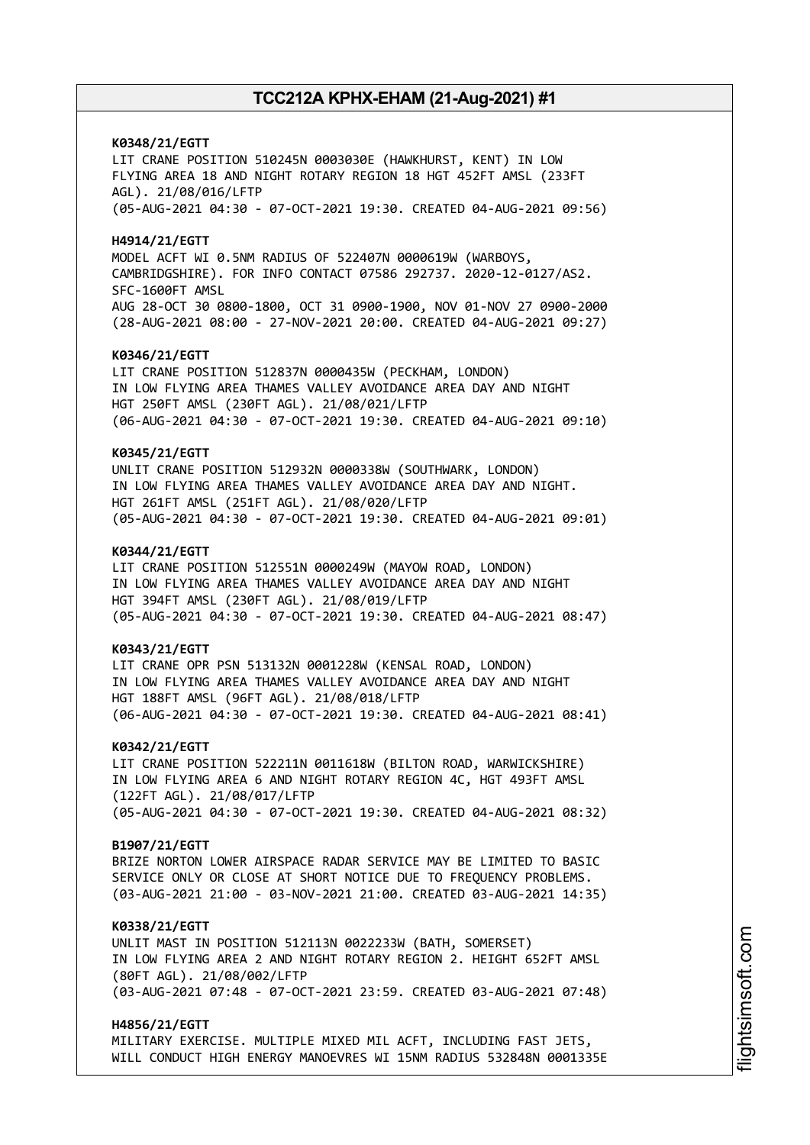**K0348/21/EGTT** LIT CRANE POSITION 510245N 0003030E (HAWKHURST, KENT) IN LOW FLYING AREA 18 AND NIGHT ROTARY REGION 18 HGT 452FT AMSL (233FT AGL). 21/08/016/LFTP (05-AUG-2021 04:30 - 07-OCT-2021 19:30. CREATED 04-AUG-2021 09:56) **H4914/21/EGTT** MODEL ACFT WI 0.5NM RADIUS OF 522407N 0000619W (WARBOYS, CAMBRIDGSHIRE). FOR INFO CONTACT 07586 292737. 2020-12-0127/AS2. SFC-1600FT AMSL AUG 28-OCT 30 0800-1800, OCT 31 0900-1900, NOV 01-NOV 27 0900-2000 (28-AUG-2021 08:00 - 27-NOV-2021 20:00. CREATED 04-AUG-2021 09:27) **K0346/21/EGTT** LIT CRANE POSITION 512837N 0000435W (PECKHAM, LONDON) IN LOW FLYING AREA THAMES VALLEY AVOIDANCE AREA DAY AND NIGHT HGT 250FT AMSL (230FT AGL). 21/08/021/LFTP (06-AUG-2021 04:30 - 07-OCT-2021 19:30. CREATED 04-AUG-2021 09:10) **K0345/21/EGTT** UNLIT CRANE POSITION 512932N 0000338W (SOUTHWARK, LONDON) IN LOW FLYING AREA THAMES VALLEY AVOIDANCE AREA DAY AND NIGHT. HGT 261FT AMSL (251FT AGL). 21/08/020/LFTP (05-AUG-2021 04:30 - 07-OCT-2021 19:30. CREATED 04-AUG-2021 09:01) **K0344/21/EGTT** LIT CRANE POSITION 512551N 0000249W (MAYOW ROAD, LONDON) IN LOW FLYING AREA THAMES VALLEY AVOIDANCE AREA DAY AND NIGHT HGT 394FT AMSL (230FT AGL). 21/08/019/LFTP (05-AUG-2021 04:30 - 07-OCT-2021 19:30. CREATED 04-AUG-2021 08:47) **K0343/21/EGTT** LIT CRANE OPR PSN 513132N 0001228W (KENSAL ROAD, LONDON) IN LOW FLYING AREA THAMES VALLEY AVOIDANCE AREA DAY AND NIGHT HGT 188FT AMSL (96FT AGL). 21/08/018/LFTP (06-AUG-2021 04:30 - 07-OCT-2021 19:30. CREATED 04-AUG-2021 08:41) **K0342/21/EGTT** LIT CRANE POSITION 522211N 0011618W (BILTON ROAD, WARWICKSHIRE) IN LOW FLYING AREA 6 AND NIGHT ROTARY REGION 4C, HGT 493FT AMSL (122FT AGL). 21/08/017/LFTP (05-AUG-2021 04:30 - 07-OCT-2021 19:30. CREATED 04-AUG-2021 08:32) **B1907/21/EGTT** BRIZE NORTON LOWER AIRSPACE RADAR SERVICE MAY BE LIMITED TO BASIC SERVICE ONLY OR CLOSE AT SHORT NOTICE DUE TO FREQUENCY PROBLEMS. (03-AUG-2021 21:00 - 03-NOV-2021 21:00. CREATED 03-AUG-2021 14:35) **K0338/21/EGTT** UNLIT MAST IN POSITION 512113N 0022233W (BATH, SOMERSET) IN LOW FLYING AREA 2 AND NIGHT ROTARY REGION 2. HEIGHT 652FT AMSL (80FT AGL). 21/08/002/LFTP (03-AUG-2021 07:48 - 07-OCT-2021 23:59. CREATED 03-AUG-2021 07:48) **H4856/21/EGTT**

MILITARY EXERCISE. MULTIPLE MIXED MIL ACFT, INCLUDING FAST JETS, WILL CONDUCT HIGH ENERGY MANOEVRES WI 15NM RADIUS 532848N 0001335E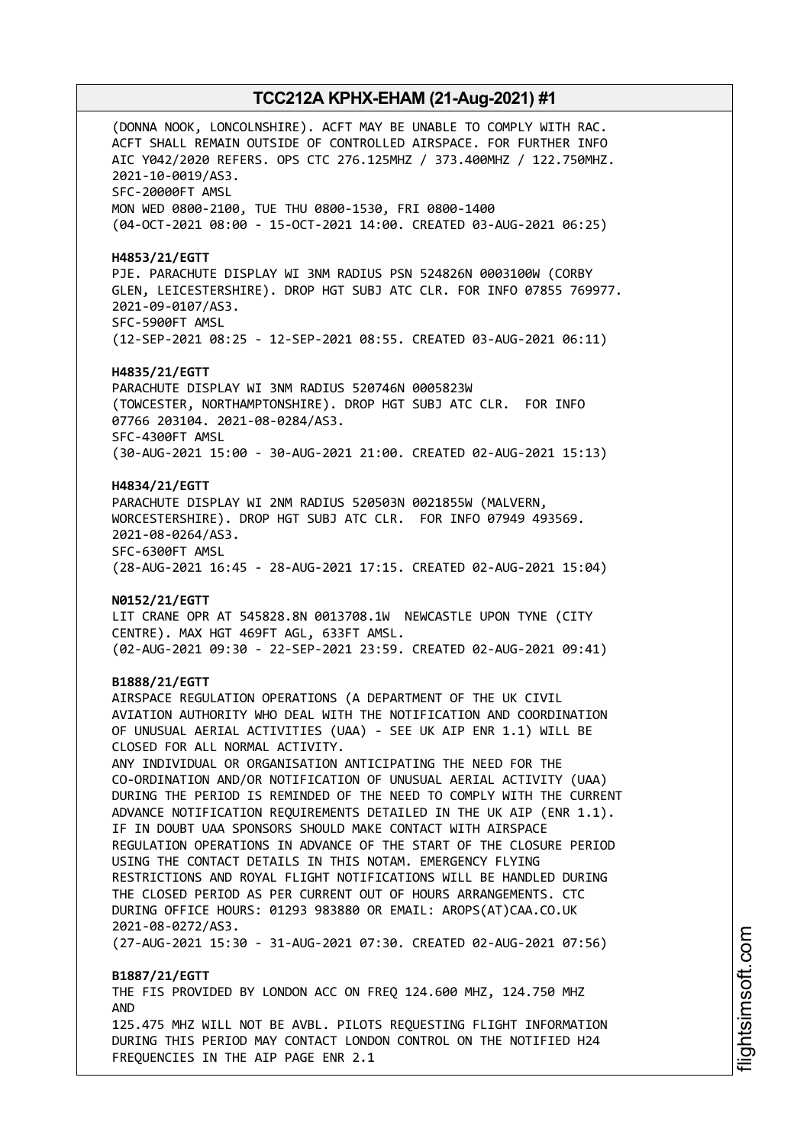(DONNA NOOK, LONCOLNSHIRE). ACFT MAY BE UNABLE TO COMPLY WITH RAC. ACFT SHALL REMAIN OUTSIDE OF CONTROLLED AIRSPACE. FOR FURTHER INFO AIC Y042/2020 REFERS. OPS CTC 276.125MHZ / 373.400MHZ / 122.750MHZ. 2021-10-0019/AS3. SFC-20000FT AMSL MON WED 0800-2100, TUE THU 0800-1530, FRI 0800-1400 (04-OCT-2021 08:00 - 15-OCT-2021 14:00. CREATED 03-AUG-2021 06:25) **H4853/21/EGTT** PJE. PARACHUTE DISPLAY WI 3NM RADIUS PSN 524826N 0003100W (CORBY GLEN, LEICESTERSHIRE). DROP HGT SUBJ ATC CLR. FOR INFO 07855 769977. 2021-09-0107/AS3. SFC-5900FT AMSL (12-SEP-2021 08:25 - 12-SEP-2021 08:55. CREATED 03-AUG-2021 06:11) **H4835/21/EGTT** PARACHUTE DISPLAY WI 3NM RADIUS 520746N 0005823W (TOWCESTER, NORTHAMPTONSHIRE). DROP HGT SUBJ ATC CLR. FOR INFO 07766 203104. 2021-08-0284/AS3. SFC-4300FT AMSL (30-AUG-2021 15:00 - 30-AUG-2021 21:00. CREATED 02-AUG-2021 15:13) **H4834/21/EGTT** PARACHUTE DISPLAY WI 2NM RADIUS 520503N 0021855W (MALVERN, WORCESTERSHIRE). DROP HGT SUBJ ATC CLR. FOR INFO 07949 493569. 2021-08-0264/AS3. SFC-6300FT AMSL (28-AUG-2021 16:45 - 28-AUG-2021 17:15. CREATED 02-AUG-2021 15:04) **N0152/21/EGTT** LIT CRANE OPR AT 545828.8N 0013708.1W NEWCASTLE UPON TYNE (CITY CENTRE). MAX HGT 469FT AGL, 633FT AMSL. (02-AUG-2021 09:30 - 22-SEP-2021 23:59. CREATED 02-AUG-2021 09:41) **B1888/21/EGTT** AIRSPACE REGULATION OPERATIONS (A DEPARTMENT OF THE UK CIVIL AVIATION AUTHORITY WHO DEAL WITH THE NOTIFICATION AND COORDINATION OF UNUSUAL AERIAL ACTIVITIES (UAA) - SEE UK AIP ENR 1.1) WILL BE CLOSED FOR ALL NORMAL ACTIVITY. ANY INDIVIDUAL OR ORGANISATION ANTICIPATING THE NEED FOR THE CO-ORDINATION AND/OR NOTIFICATION OF UNUSUAL AERIAL ACTIVITY (UAA) DURING THE PERIOD IS REMINDED OF THE NEED TO COMPLY WITH THE CURRENT ADVANCE NOTIFICATION REQUIREMENTS DETAILED IN THE UK AIP (ENR 1.1). IF IN DOUBT UAA SPONSORS SHOULD MAKE CONTACT WITH AIRSPACE REGULATION OPERATIONS IN ADVANCE OF THE START OF THE CLOSURE PERIOD USING THE CONTACT DETAILS IN THIS NOTAM. EMERGENCY FLYING RESTRICTIONS AND ROYAL FLIGHT NOTIFICATIONS WILL BE HANDLED DURING THE CLOSED PERIOD AS PER CURRENT OUT OF HOURS ARRANGEMENTS. CTC DURING OFFICE HOURS: 01293 983880 OR EMAIL: AROPS(AT)CAA.CO.UK 2021-08-0272/AS3. (27-AUG-2021 15:30 - 31-AUG-2021 07:30. CREATED 02-AUG-2021 07:56) **B1887/21/EGTT** THE FIS PROVIDED BY LONDON ACC ON FREQ 124.600 MHZ, 124.750 MHZ AND 125.475 MHZ WILL NOT BE AVBL. PILOTS REQUESTING FLIGHT INFORMATION DURING THIS PERIOD MAY CONTACT LONDON CONTROL ON THE NOTIFIED H24 FREQUENCIES IN THE AIP PAGE ENR 2.1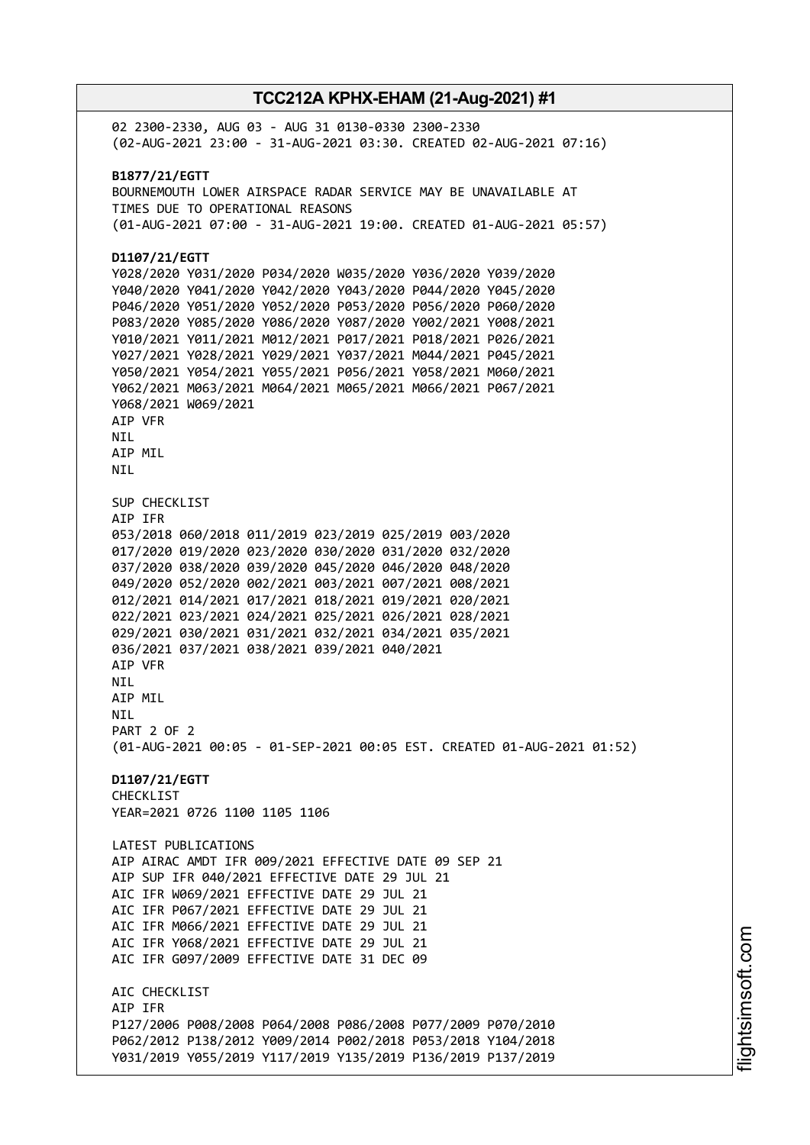02 2300-2330, AUG 03 - AUG 31 0130-0330 2300-2330 (02-AUG-2021 23:00 - 31-AUG-2021 03:30. CREATED 02-AUG-2021 07:16) **B1877/21/EGTT** BOURNEMOUTH LOWER AIRSPACE RADAR SERVICE MAY BE UNAVAILABLE AT TIMES DUE TO OPERATIONAL REASONS (01-AUG-2021 07:00 - 31-AUG-2021 19:00. CREATED 01-AUG-2021 05:57) **D1107/21/EGTT** Y028/2020 Y031/2020 P034/2020 W035/2020 Y036/2020 Y039/2020 Y040/2020 Y041/2020 Y042/2020 Y043/2020 P044/2020 Y045/2020 P046/2020 Y051/2020 Y052/2020 P053/2020 P056/2020 P060/2020 P083/2020 Y085/2020 Y086/2020 Y087/2020 Y002/2021 Y008/2021 Y010/2021 Y011/2021 M012/2021 P017/2021 P018/2021 P026/2021 Y027/2021 Y028/2021 Y029/2021 Y037/2021 M044/2021 P045/2021 Y050/2021 Y054/2021 Y055/2021 P056/2021 Y058/2021 M060/2021 Y062/2021 M063/2021 M064/2021 M065/2021 M066/2021 P067/2021 Y068/2021 W069/2021 AIP VFR **NTI** AIP MIL NIL SUP CHECKLIST AIP IFR 053/2018 060/2018 011/2019 023/2019 025/2019 003/2020 017/2020 019/2020 023/2020 030/2020 031/2020 032/2020 037/2020 038/2020 039/2020 045/2020 046/2020 048/2020 049/2020 052/2020 002/2021 003/2021 007/2021 008/2021 012/2021 014/2021 017/2021 018/2021 019/2021 020/2021 022/2021 023/2021 024/2021 025/2021 026/2021 028/2021 029/2021 030/2021 031/2021 032/2021 034/2021 035/2021 036/2021 037/2021 038/2021 039/2021 040/2021 AIP VFR NIL AIP MIL NIL PART 2 OF 2 (01-AUG-2021 00:05 - 01-SEP-2021 00:05 EST. CREATED 01-AUG-2021 01:52) **D1107/21/EGTT** CHECKLIST YEAR=2021 0726 1100 1105 1106 LATEST PUBLICATIONS AIP AIRAC AMDT IFR 009/2021 EFFECTIVE DATE 09 SEP 21 AIP SUP IFR 040/2021 EFFECTIVE DATE 29 JUL 21 AIC IFR W069/2021 EFFECTIVE DATE 29 JUL 21 AIC IFR P067/2021 EFFECTIVE DATE 29 JUL 21 AIC IFR M066/2021 EFFECTIVE DATE 29 JUL 21 AIC IFR Y068/2021 EFFECTIVE DATE 29 JUL 21 AIC IFR G097/2009 EFFECTIVE DATE 31 DEC 09 ATC CHECKLIST AIP IFR P127/2006 P008/2008 P064/2008 P086/2008 P077/2009 P070/2010 P062/2012 P138/2012 Y009/2014 P002/2018 P053/2018 Y104/2018 Y031/2019 Y055/2019 Y117/2019 Y135/2019 P136/2019 P137/2019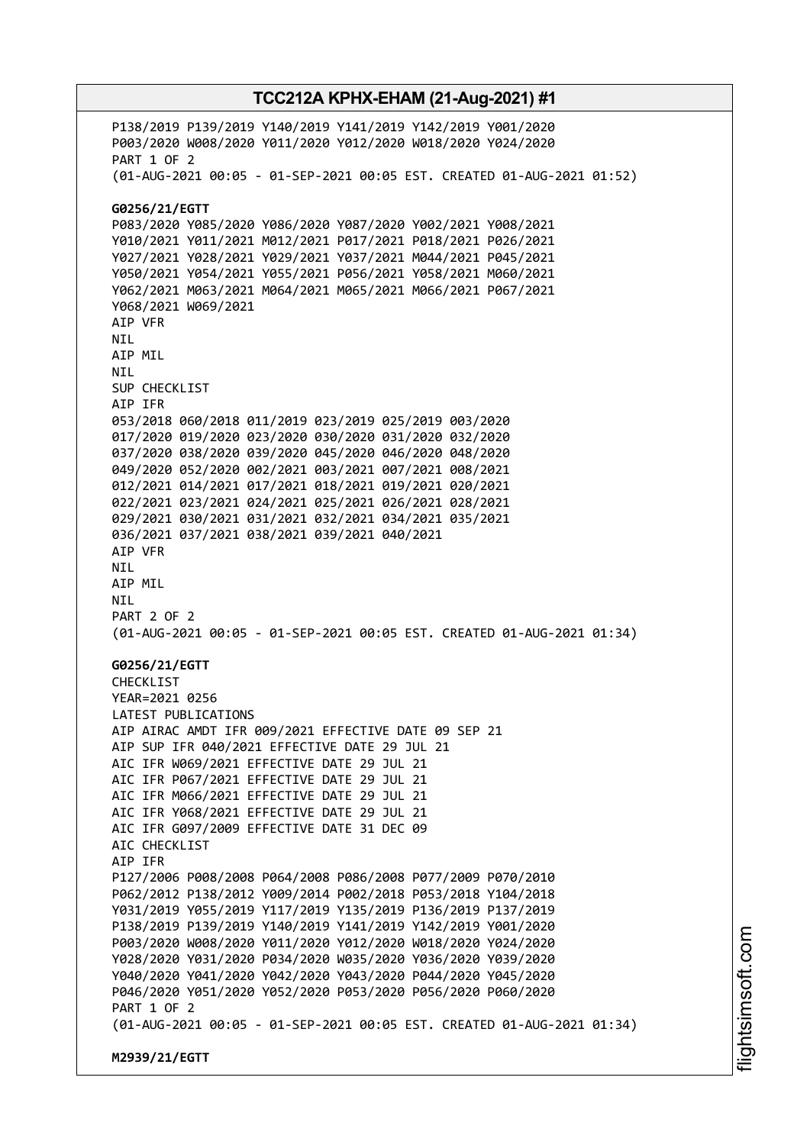P138/2019 P139/2019 Y140/2019 Y141/2019 Y142/2019 Y001/2020 P003/2020 W008/2020 Y011/2020 Y012/2020 W018/2020 Y024/2020 PART 1 OF 2 (01-AUG-2021 00:05 - 01-SEP-2021 00:05 EST. CREATED 01-AUG-2021 01:52) **G0256/21/EGTT** P083/2020 Y085/2020 Y086/2020 Y087/2020 Y002/2021 Y008/2021 Y010/2021 Y011/2021 M012/2021 P017/2021 P018/2021 P026/2021 Y027/2021 Y028/2021 Y029/2021 Y037/2021 M044/2021 P045/2021 Y050/2021 Y054/2021 Y055/2021 P056/2021 Y058/2021 M060/2021 Y062/2021 M063/2021 M064/2021 M065/2021 M066/2021 P067/2021 Y068/2021 W069/2021 AIP VFR NIL AIP MIL NIL SUP CHECKLIST AIP IFR 053/2018 060/2018 011/2019 023/2019 025/2019 003/2020 017/2020 019/2020 023/2020 030/2020 031/2020 032/2020 037/2020 038/2020 039/2020 045/2020 046/2020 048/2020 049/2020 052/2020 002/2021 003/2021 007/2021 008/2021 012/2021 014/2021 017/2021 018/2021 019/2021 020/2021 022/2021 023/2021 024/2021 025/2021 026/2021 028/2021 029/2021 030/2021 031/2021 032/2021 034/2021 035/2021 036/2021 037/2021 038/2021 039/2021 040/2021 AIP VFR NIL AIP MIL NIL PART 2 OF 2 (01-AUG-2021 00:05 - 01-SEP-2021 00:05 EST. CREATED 01-AUG-2021 01:34) **G0256/21/EGTT** CHECKLIST YEAR=2021 0256 LATEST PUBLICATIONS AIP AIRAC AMDT IFR 009/2021 EFFECTIVE DATE 09 SEP 21 AIP SUP IFR 040/2021 EFFECTIVE DATE 29 JUL 21 AIC IFR W069/2021 EFFECTIVE DATE 29 JUL 21 AIC IFR P067/2021 EFFECTIVE DATE 29 JUL 21 AIC IFR M066/2021 EFFECTIVE DATE 29 JUL 21 AIC IFR Y068/2021 EFFECTIVE DATE 29 JUL 21 AIC IFR G097/2009 EFFECTIVE DATE 31 DEC 09 ATC CHECKLIST AIP IFR P127/2006 P008/2008 P064/2008 P086/2008 P077/2009 P070/2010 P062/2012 P138/2012 Y009/2014 P002/2018 P053/2018 Y104/2018 Y031/2019 Y055/2019 Y117/2019 Y135/2019 P136/2019 P137/2019 P138/2019 P139/2019 Y140/2019 Y141/2019 Y142/2019 Y001/2020 P003/2020 W008/2020 Y011/2020 Y012/2020 W018/2020 Y024/2020 Y028/2020 Y031/2020 P034/2020 W035/2020 Y036/2020 Y039/2020 Y040/2020 Y041/2020 Y042/2020 Y043/2020 P044/2020 Y045/2020 P046/2020 Y051/2020 Y052/2020 P053/2020 P056/2020 P060/2020 PART 1 OF 2 (01-AUG-2021 00:05 - 01-SEP-2021 00:05 EST. CREATED 01-AUG-2021 01:34) **M2939/21/EGTT**

i⊒<br>⊫ htsim soft.c om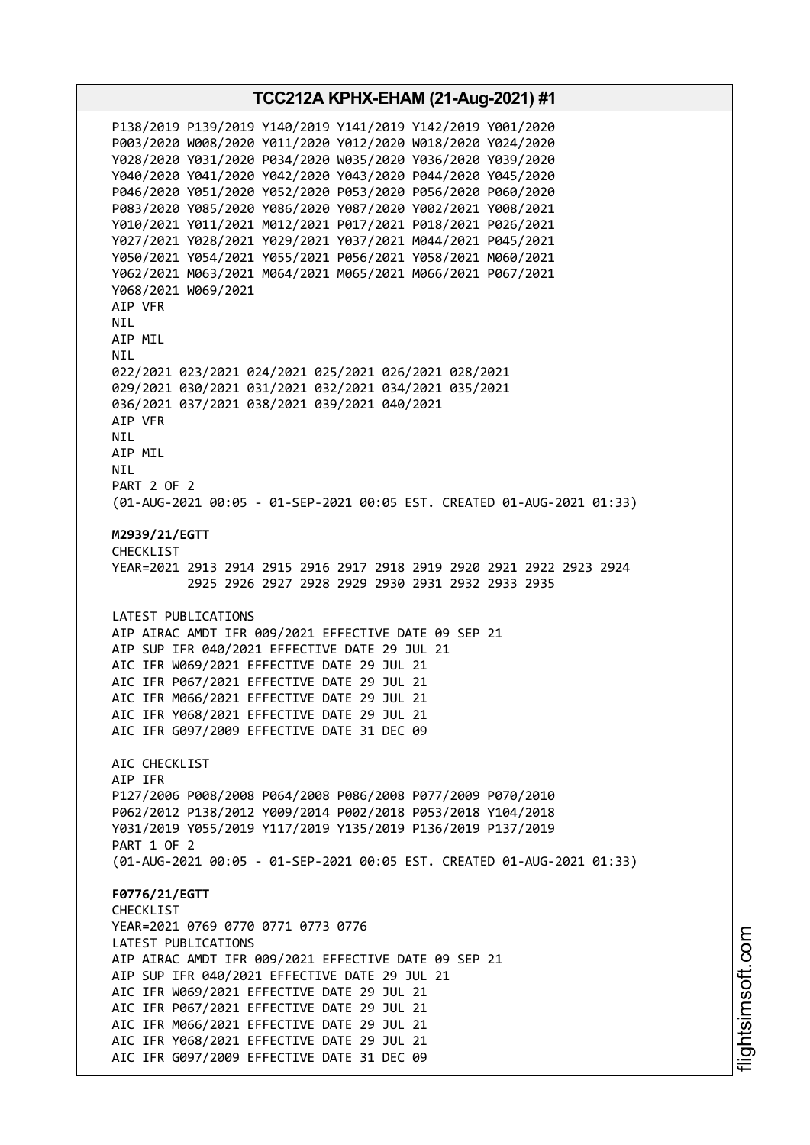**TCC212A KPHX-EHAM (21-Aug-2021) #1** P138/2019 P139/2019 Y140/2019 Y141/2019 Y142/2019 Y001/2020 P003/2020 W008/2020 Y011/2020 Y012/2020 W018/2020 Y024/2020 Y028/2020 Y031/2020 P034/2020 W035/2020 Y036/2020 Y039/2020 Y040/2020 Y041/2020 Y042/2020 Y043/2020 P044/2020 Y045/2020 P046/2020 Y051/2020 Y052/2020 P053/2020 P056/2020 P060/2020 P083/2020 Y085/2020 Y086/2020 Y087/2020 Y002/2021 Y008/2021 Y010/2021 Y011/2021 M012/2021 P017/2021 P018/2021 P026/2021 Y027/2021 Y028/2021 Y029/2021 Y037/2021 M044/2021 P045/2021 Y050/2021 Y054/2021 Y055/2021 P056/2021 Y058/2021 M060/2021 Y062/2021 M063/2021 M064/2021 M065/2021 M066/2021 P067/2021 Y068/2021 W069/2021 AIP VFR NIL AIP MIL NIL 022/2021 023/2021 024/2021 025/2021 026/2021 028/2021 029/2021 030/2021 031/2021 032/2021 034/2021 035/2021 036/2021 037/2021 038/2021 039/2021 040/2021 AIP VFR **NTI** AIP MIL NIL PART 2 OF 2 (01-AUG-2021 00:05 - 01-SEP-2021 00:05 EST. CREATED 01-AUG-2021 01:33) **M2939/21/EGTT** CHECKL<sub>TST</sub> YEAR=2021 2913 2914 2915 2916 2917 2918 2919 2920 2921 2922 2923 2924 2925 2926 2927 2928 2929 2930 2931 2932 2933 2935 LATEST PUBLICATIONS AIP AIRAC AMDT IFR 009/2021 EFFECTIVE DATE 09 SEP 21 AIP SUP IFR 040/2021 EFFECTIVE DATE 29 JUL 21 AIC IFR W069/2021 EFFECTIVE DATE 29 JUL 21 AIC IFR P067/2021 EFFECTIVE DATE 29 JUL 21 AIC IFR M066/2021 EFFECTIVE DATE 29 JUL 21 AIC IFR Y068/2021 EFFECTIVE DATE 29 JUL 21 AIC IFR G097/2009 EFFECTIVE DATE 31 DEC 09 AIC CHECKLIST AIP IFR P127/2006 P008/2008 P064/2008 P086/2008 P077/2009 P070/2010 P062/2012 P138/2012 Y009/2014 P002/2018 P053/2018 Y104/2018 Y031/2019 Y055/2019 Y117/2019 Y135/2019 P136/2019 P137/2019 PART 1 OF 2 (01-AUG-2021 00:05 - 01-SEP-2021 00:05 EST. CREATED 01-AUG-2021 01:33) **F0776/21/EGTT** CHECKLIST YEAR=2021 0769 0770 0771 0773 0776 LATEST PUBLICATIONS AIP AIRAC AMDT IFR 009/2021 EFFECTIVE DATE 09 SEP 21 AIP SUP IFR 040/2021 EFFECTIVE DATE 29 JUL 21 AIC IFR W069/2021 EFFECTIVE DATE 29 JUL 21 AIC IFR P067/2021 EFFECTIVE DATE 29 JUL 21 AIC IFR M066/2021 EFFECTIVE DATE 29 JUL 21 AIC IFR Y068/2021 EFFECTIVE DATE 29 JUL 21 AIC IFR G097/2009 EFFECTIVE DATE 31 DEC 09

i⊒<br>⊫ htsim soft.c om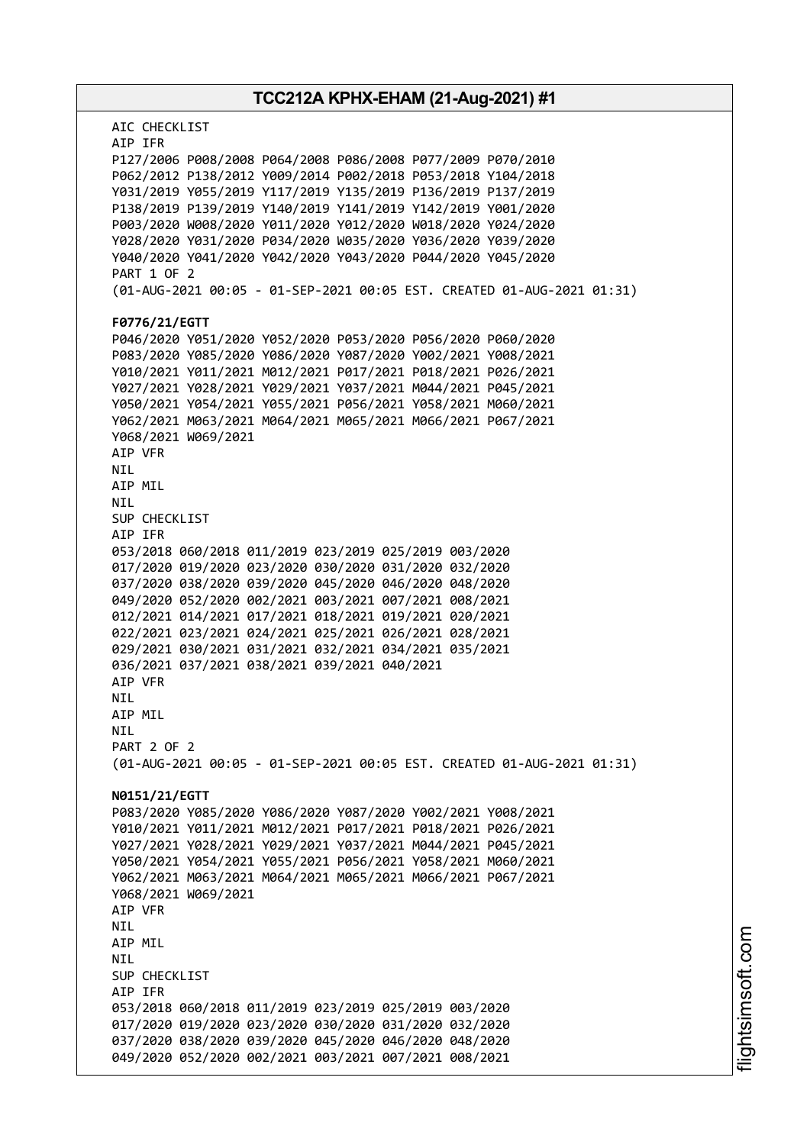| TCC212A KPHX-EHAM (21-Aug-2021) #1                                     |
|------------------------------------------------------------------------|
| AIC CHECKLIST<br>AIP IFR                                               |
| P127/2006 P008/2008 P064/2008 P086/2008 P077/2009 P070/2010            |
| P062/2012 P138/2012 Y009/2014 P002/2018 P053/2018 Y104/2018            |
| Y031/2019 Y055/2019 Y117/2019 Y135/2019 P136/2019 P137/2019            |
| P138/2019 P139/2019 Y140/2019 Y141/2019 Y142/2019 Y001/2020            |
| P003/2020 W008/2020 Y011/2020 Y012/2020 W018/2020 Y024/2020            |
| Y028/2020 Y031/2020 P034/2020 W035/2020 Y036/2020 Y039/2020            |
| Y040/2020 Y041/2020 Y042/2020 Y043/2020 P044/2020 Y045/2020            |
| <b>PART 1 OF 2</b>                                                     |
| (01-AUG-2021 00:05 - 01-SEP-2021 00:05 EST. CREATED 01-AUG-2021 01:31) |
| F0776/21/EGTT                                                          |
| P046/2020 Y051/2020 Y052/2020 P053/2020 P056/2020 P060/2020            |
| P083/2020 Y085/2020 Y086/2020 Y087/2020 Y002/2021 Y008/2021            |
| Y010/2021 Y011/2021 M012/2021 P017/2021 P018/2021 P026/2021            |
| Y027/2021 Y028/2021 Y029/2021 Y037/2021 M044/2021 P045/2021            |
| Y050/2021 Y054/2021 Y055/2021 P056/2021 Y058/2021 M060/2021            |
| Y062/2021 M063/2021 M064/2021 M065/2021 M066/2021 P067/2021            |
| Y068/2021 W069/2021                                                    |
| AIP VFR                                                                |
| NIL.                                                                   |
| AIP MIL                                                                |
| NIL                                                                    |
| SUP CHECKLIST                                                          |
| AIP IFR                                                                |
| 053/2018 060/2018 011/2019 023/2019 025/2019 003/2020                  |
| 017/2020 019/2020 023/2020 030/2020 031/2020 032/2020                  |
| 037/2020 038/2020 039/2020 045/2020 046/2020 048/2020                  |
| 049/2020 052/2020 002/2021 003/2021 007/2021 008/2021                  |
| 012/2021 014/2021 017/2021 018/2021 019/2021 020/2021                  |
| 022/2021 023/2021 024/2021 025/2021 026/2021 028/2021                  |
| 029/2021 030/2021 031/2021 032/2021 034/2021 035/2021                  |
| 036/2021 037/2021 038/2021 039/2021 040/2021                           |
| AIP VFR                                                                |
| NIL                                                                    |
| AIP MIL                                                                |
| <b>NIL</b>                                                             |
| PART 2 OF 2                                                            |
| (01-AUG-2021 00:05 - 01-SEP-2021 00:05 EST. CREATED 01-AUG-2021 01:31) |
| N0151/21/EGTT                                                          |
| P083/2020 Y085/2020 Y086/2020 Y087/2020 Y002/2021 Y008/2021            |
| Y010/2021 Y011/2021 M012/2021 P017/2021 P018/2021 P026/2021            |
| Y027/2021 Y028/2021 Y029/2021 Y037/2021 M044/2021 P045/2021            |
| Y050/2021 Y054/2021 Y055/2021 P056/2021 Y058/2021 M060/2021            |
| Y062/2021 M063/2021 M064/2021 M065/2021 M066/2021 P067/2021            |
| Y068/2021 W069/2021                                                    |
| AIP VFR                                                                |
| NIL                                                                    |
| AIP MIL                                                                |
| <b>NIL</b>                                                             |
| SUP CHECKLIST                                                          |
| AIP IFR                                                                |
| 053/2018 060/2018 011/2019 023/2019 025/2019 003/2020                  |
| 017/2020 019/2020 023/2020 030/2020 031/2020 032/2020                  |
| 037/2020 038/2020 039/2020 045/2020 046/2020 048/2020                  |
| 049/2020 052/2020 002/2021 003/2021 007/2021 008/2021                  |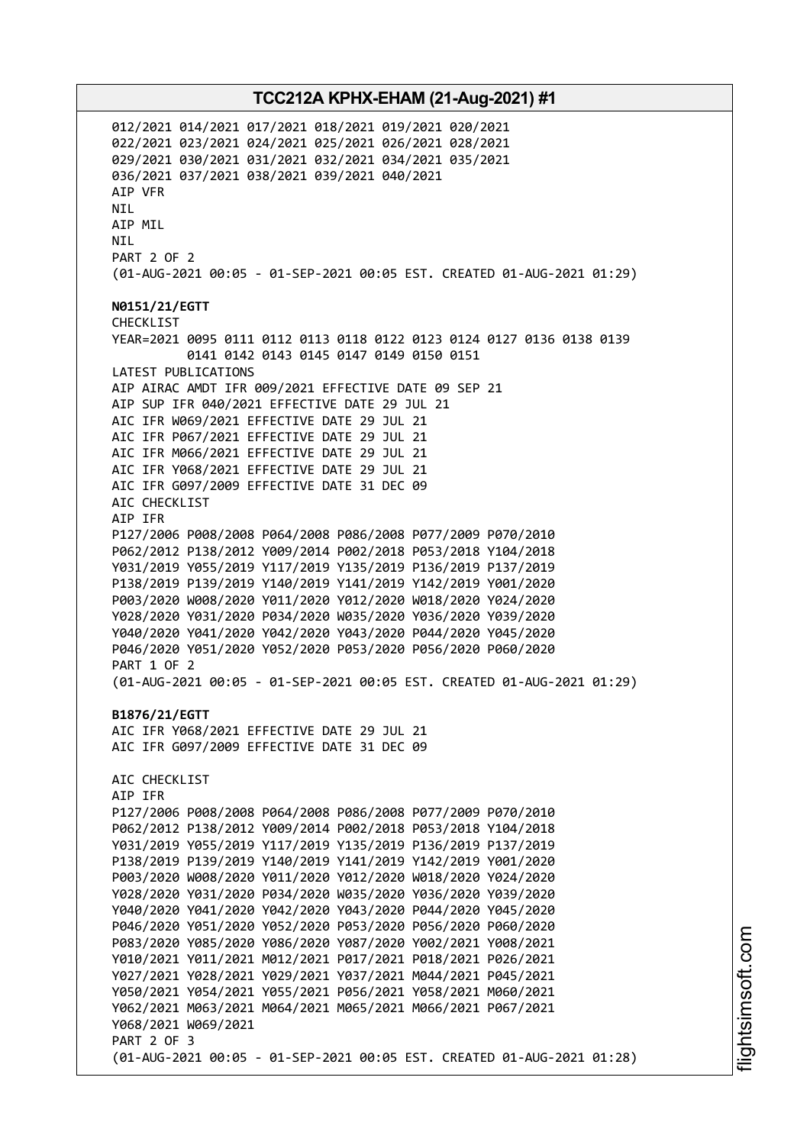012/2021 014/2021 017/2021 018/2021 019/2021 020/2021 022/2021 023/2021 024/2021 025/2021 026/2021 028/2021 029/2021 030/2021 031/2021 032/2021 034/2021 035/2021 036/2021 037/2021 038/2021 039/2021 040/2021 AIP VFR NIL AIP MIL NIL PART 2 OF 2 (01-AUG-2021 00:05 - 01-SEP-2021 00:05 EST. CREATED 01-AUG-2021 01:29) **N0151/21/EGTT** CHECKLIST YEAR=2021 0095 0111 0112 0113 0118 0122 0123 0124 0127 0136 0138 0139 0141 0142 0143 0145 0147 0149 0150 0151 LATEST PUBLICATIONS AIP AIRAC AMDT IFR 009/2021 EFFECTIVE DATE 09 SEP 21 AIP SUP IFR 040/2021 EFFECTIVE DATE 29 JUL 21 AIC IFR W069/2021 EFFECTIVE DATE 29 JUL 21 AIC IFR P067/2021 EFFECTIVE DATE 29 JUL 21 AIC IFR M066/2021 EFFECTIVE DATE 29 JUL 21 AIC IFR Y068/2021 EFFECTIVE DATE 29 JUL 21 AIC IFR G097/2009 EFFECTIVE DATE 31 DEC 09 AIC CHECKLIST AIP IFR P127/2006 P008/2008 P064/2008 P086/2008 P077/2009 P070/2010 P062/2012 P138/2012 Y009/2014 P002/2018 P053/2018 Y104/2018 Y031/2019 Y055/2019 Y117/2019 Y135/2019 P136/2019 P137/2019 P138/2019 P139/2019 Y140/2019 Y141/2019 Y142/2019 Y001/2020 P003/2020 W008/2020 Y011/2020 Y012/2020 W018/2020 Y024/2020 Y028/2020 Y031/2020 P034/2020 W035/2020 Y036/2020 Y039/2020 Y040/2020 Y041/2020 Y042/2020 Y043/2020 P044/2020 Y045/2020 P046/2020 Y051/2020 Y052/2020 P053/2020 P056/2020 P060/2020 PART 1 OF 2 (01-AUG-2021 00:05 - 01-SEP-2021 00:05 EST. CREATED 01-AUG-2021 01:29) **B1876/21/EGTT** AIC IFR Y068/2021 EFFECTIVE DATE 29 JUL 21 AIC IFR G097/2009 EFFECTIVE DATE 31 DEC 09 AIC CHECKLIST AIP IFR P127/2006 P008/2008 P064/2008 P086/2008 P077/2009 P070/2010 P062/2012 P138/2012 Y009/2014 P002/2018 P053/2018 Y104/2018 Y031/2019 Y055/2019 Y117/2019 Y135/2019 P136/2019 P137/2019 P138/2019 P139/2019 Y140/2019 Y141/2019 Y142/2019 Y001/2020 P003/2020 W008/2020 Y011/2020 Y012/2020 W018/2020 Y024/2020 Y028/2020 Y031/2020 P034/2020 W035/2020 Y036/2020 Y039/2020 Y040/2020 Y041/2020 Y042/2020 Y043/2020 P044/2020 Y045/2020 P046/2020 Y051/2020 Y052/2020 P053/2020 P056/2020 P060/2020 P083/2020 Y085/2020 Y086/2020 Y087/2020 Y002/2021 Y008/2021 Y010/2021 Y011/2021 M012/2021 P017/2021 P018/2021 P026/2021 Y027/2021 Y028/2021 Y029/2021 Y037/2021 M044/2021 P045/2021 Y050/2021 Y054/2021 Y055/2021 P056/2021 Y058/2021 M060/2021 Y062/2021 M063/2021 M064/2021 M065/2021 M066/2021 P067/2021 Y068/2021 W069/2021 PART 2 OF 3 (01-AUG-2021 00:05 - 01-SEP-2021 00:05 EST. CREATED 01-AUG-2021 01:28)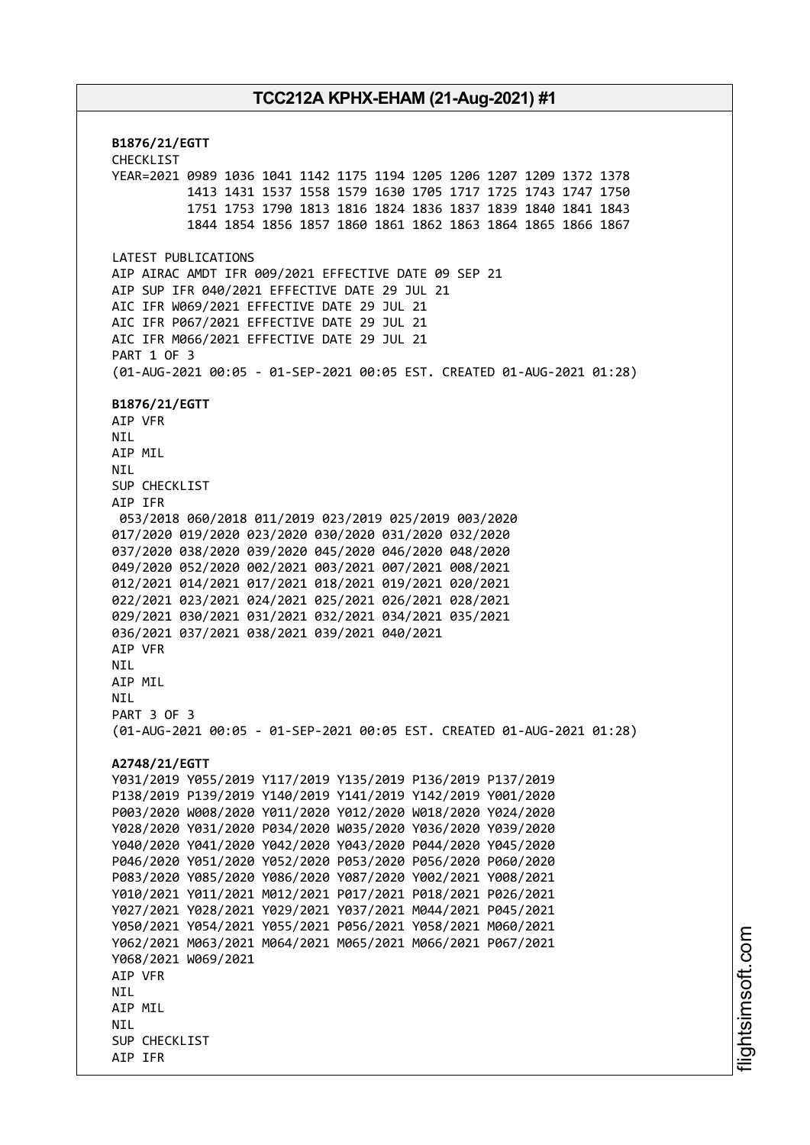**B1876/21/EGTT** CHECKLIST YEAR=2021 0989 1036 1041 1142 1175 1194 1205 1206 1207 1209 1372 1378 1413 1431 1537 1558 1579 1630 1705 1717 1725 1743 1747 1750 1751 1753 1790 1813 1816 1824 1836 1837 1839 1840 1841 1843 1844 1854 1856 1857 1860 1861 1862 1863 1864 1865 1866 1867 LATEST PUBLICATIONS AIP AIRAC AMDT IFR 009/2021 EFFECTIVE DATE 09 SEP 21 AIP SUP IFR 040/2021 EFFECTIVE DATE 29 JUL 21 AIC IFR W069/2021 EFFECTIVE DATE 29 JUL 21 AIC IFR P067/2021 EFFECTIVE DATE 29 JUL 21 AIC IFR M066/2021 EFFECTIVE DATE 29 JUL 21 PART 1 OF 3 (01-AUG-2021 00:05 - 01-SEP-2021 00:05 EST. CREATED 01-AUG-2021 01:28) **B1876/21/EGTT** AIP VFR NIL AIP MIL NIL SUP CHECKLIST AIP IFR 053/2018 060/2018 011/2019 023/2019 025/2019 003/2020 017/2020 019/2020 023/2020 030/2020 031/2020 032/2020 037/2020 038/2020 039/2020 045/2020 046/2020 048/2020 049/2020 052/2020 002/2021 003/2021 007/2021 008/2021 012/2021 014/2021 017/2021 018/2021 019/2021 020/2021 022/2021 023/2021 024/2021 025/2021 026/2021 028/2021 029/2021 030/2021 031/2021 032/2021 034/2021 035/2021 036/2021 037/2021 038/2021 039/2021 040/2021 AIP VFR **NTI** AIP MIL **NTL** PART 3 OF 3 (01-AUG-2021 00:05 - 01-SEP-2021 00:05 EST. CREATED 01-AUG-2021 01:28) **A2748/21/EGTT** Y031/2019 Y055/2019 Y117/2019 Y135/2019 P136/2019 P137/2019 P138/2019 P139/2019 Y140/2019 Y141/2019 Y142/2019 Y001/2020 P003/2020 W008/2020 Y011/2020 Y012/2020 W018/2020 Y024/2020 Y028/2020 Y031/2020 P034/2020 W035/2020 Y036/2020 Y039/2020 Y040/2020 Y041/2020 Y042/2020 Y043/2020 P044/2020 Y045/2020 P046/2020 Y051/2020 Y052/2020 P053/2020 P056/2020 P060/2020 P083/2020 Y085/2020 Y086/2020 Y087/2020 Y002/2021 Y008/2021 Y010/2021 Y011/2021 M012/2021 P017/2021 P018/2021 P026/2021 Y027/2021 Y028/2021 Y029/2021 Y037/2021 M044/2021 P045/2021 Y050/2021 Y054/2021 Y055/2021 P056/2021 Y058/2021 M060/2021 Y062/2021 M063/2021 M064/2021 M065/2021 M066/2021 P067/2021 Y068/2021 W069/2021 AIP VFR **NTI** AIP MIL **NTI** SUP CHECKLIST AIP IFR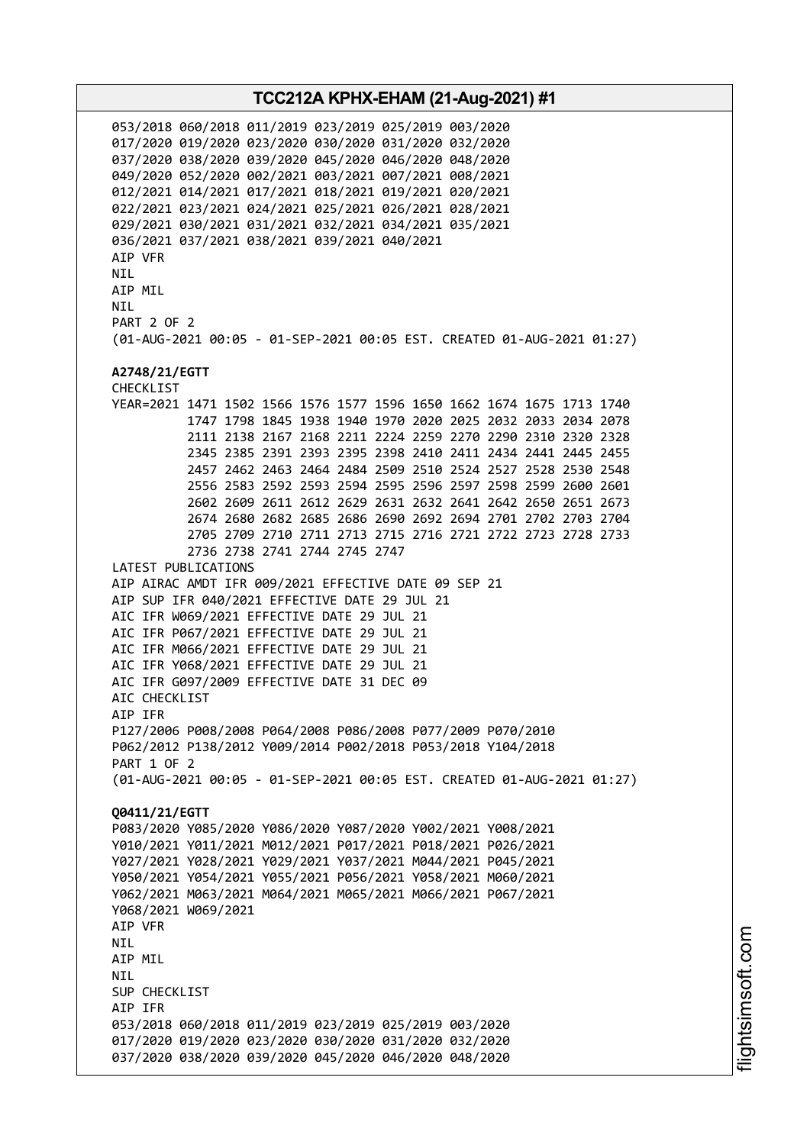053/2018 060/2018 011/2019 023/2019 025/2019 003/2020 017/2020 019/2020 023/2020 030/2020 031/2020 032/2020 037/2020 038/2020 039/2020 045/2020 046/2020 048/2020 049/2020 052/2020 002/2021 003/2021 007/2021 008/2021 012/2021 014/2021 017/2021 018/2021 019/2021 020/2021 022/2021 023/2021 024/2021 025/2021 026/2021 028/2021 029/2021 030/2021 031/2021 032/2021 034/2021 035/2021 036/2021 037/2021 038/2021 039/2021 040/2021 AIP VFR NIL AIP MIL **NTI** PART 2 OF 2 (01-AUG-2021 00:05 - 01-SEP-2021 00:05 EST. CREATED 01-AUG-2021 01:27) **A2748/21/EGTT** CHECKLIST YEAR=2021 1471 1502 1566 1576 1577 1596 1650 1662 1674 1675 1713 1740 1747 1798 1845 1938 1940 1970 2020 2025 2032 2033 2034 2078 2111 2138 2167 2168 2211 2224 2259 2270 2290 2310 2320 2328 2345 2385 2391 2393 2395 2398 2410 2411 2434 2441 2445 2455 2457 2462 2463 2464 2484 2509 2510 2524 2527 2528 2530 2548 2556 2583 2592 2593 2594 2595 2596 2597 2598 2599 2600 2601 2602 2609 2611 2612 2629 2631 2632 2641 2642 2650 2651 2673 2674 2680 2682 2685 2686 2690 2692 2694 2701 2702 2703 2704 2705 2709 2710 2711 2713 2715 2716 2721 2722 2723 2728 2733 2736 2738 2741 2744 2745 2747 LATEST PUBLICATIONS AIP AIRAC AMDT IFR 009/2021 EFFECTIVE DATE 09 SEP 21 AIP SUP IFR 040/2021 EFFECTIVE DATE 29 JUL 21 AIC IFR W069/2021 EFFECTIVE DATE 29 JUL 21 AIC IFR P067/2021 EFFECTIVE DATE 29 JUL 21 AIC IFR M066/2021 EFFECTIVE DATE 29 JUL 21 AIC IFR Y068/2021 EFFECTIVE DATE 29 JUL 21 AIC IFR G097/2009 EFFECTIVE DATE 31 DEC 09 ATC CHECKLIST AIP IFR P127/2006 P008/2008 P064/2008 P086/2008 P077/2009 P070/2010 P062/2012 P138/2012 Y009/2014 P002/2018 P053/2018 Y104/2018 PART 1 OF 2 (01-AUG-2021 00:05 - 01-SEP-2021 00:05 EST. CREATED 01-AUG-2021 01:27) **Q0411/21/EGTT** P083/2020 Y085/2020 Y086/2020 Y087/2020 Y002/2021 Y008/2021 Y010/2021 Y011/2021 M012/2021 P017/2021 P018/2021 P026/2021 Y027/2021 Y028/2021 Y029/2021 Y037/2021 M044/2021 P045/2021 Y050/2021 Y054/2021 Y055/2021 P056/2021 Y058/2021 M060/2021 Y062/2021 M063/2021 M064/2021 M065/2021 M066/2021 P067/2021 Y068/2021 W069/2021 AIP VFR NIL AIP MIL NIL SUP CHECKLIST AIP IFR 053/2018 060/2018 011/2019 023/2019 025/2019 003/2020 017/2020 019/2020 023/2020 030/2020 031/2020 032/2020 037/2020 038/2020 039/2020 045/2020 046/2020 048/2020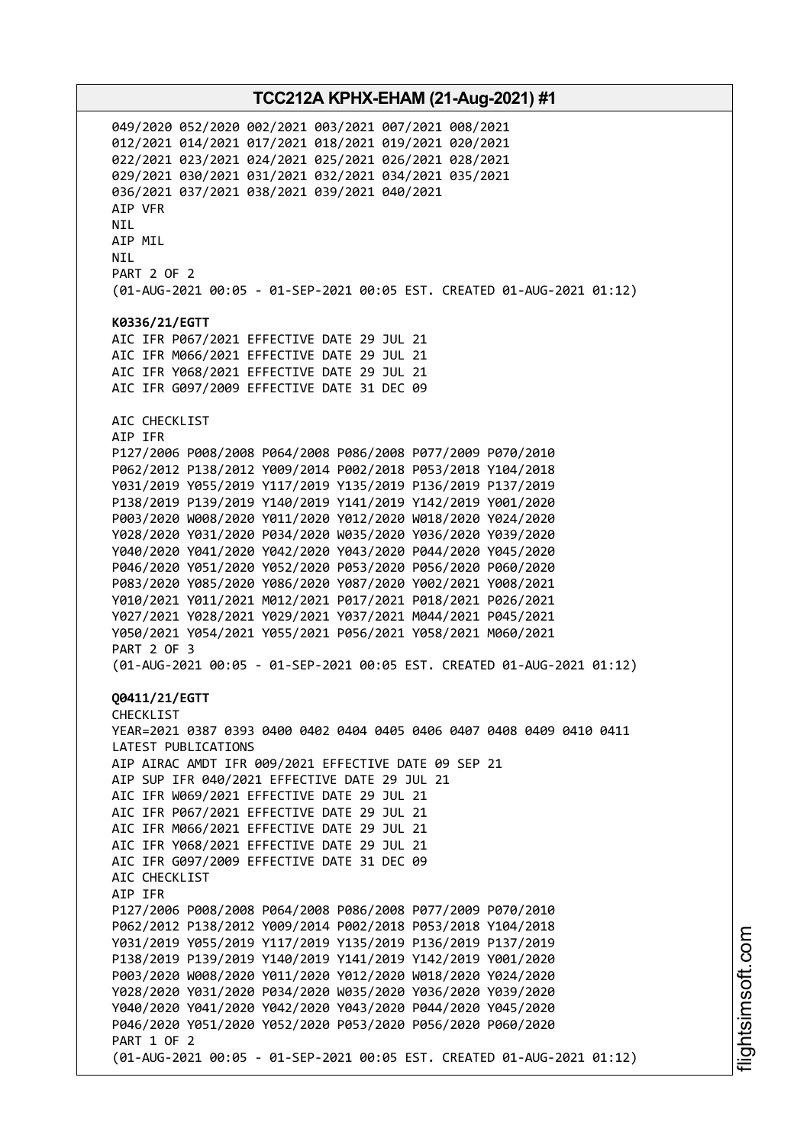049/2020 052/2020 002/2021 003/2021 007/2021 008/2021 012/2021 014/2021 017/2021 018/2021 019/2021 020/2021 022/2021 023/2021 024/2021 025/2021 026/2021 028/2021 029/2021 030/2021 031/2021 032/2021 034/2021 035/2021 036/2021 037/2021 038/2021 039/2021 040/2021 AIP VFR NIL AIP MIL NIL PART 2 OF 2 (01-AUG-2021 00:05 - 01-SEP-2021 00:05 EST. CREATED 01-AUG-2021 01:12) **K0336/21/EGTT** AIC IFR P067/2021 EFFECTIVE DATE 29 JUL 21 AIC IFR M066/2021 EFFECTIVE DATE 29 JUL 21 AIC IFR Y068/2021 EFFECTIVE DATE 29 JUL 21 AIC IFR G097/2009 EFFECTIVE DATE 31 DEC 09 AIC CHECKLIST AIP IFR P127/2006 P008/2008 P064/2008 P086/2008 P077/2009 P070/2010 P062/2012 P138/2012 Y009/2014 P002/2018 P053/2018 Y104/2018 Y031/2019 Y055/2019 Y117/2019 Y135/2019 P136/2019 P137/2019 P138/2019 P139/2019 Y140/2019 Y141/2019 Y142/2019 Y001/2020 P003/2020 W008/2020 Y011/2020 Y012/2020 W018/2020 Y024/2020 Y028/2020 Y031/2020 P034/2020 W035/2020 Y036/2020 Y039/2020 Y040/2020 Y041/2020 Y042/2020 Y043/2020 P044/2020 Y045/2020 P046/2020 Y051/2020 Y052/2020 P053/2020 P056/2020 P060/2020 P083/2020 Y085/2020 Y086/2020 Y087/2020 Y002/2021 Y008/2021 Y010/2021 Y011/2021 M012/2021 P017/2021 P018/2021 P026/2021 Y027/2021 Y028/2021 Y029/2021 Y037/2021 M044/2021 P045/2021 Y050/2021 Y054/2021 Y055/2021 P056/2021 Y058/2021 M060/2021 PART 2 OF 3 (01-AUG-2021 00:05 - 01-SEP-2021 00:05 EST. CREATED 01-AUG-2021 01:12) **Q0411/21/EGTT** CHECKLIST YEAR=2021 0387 0393 0400 0402 0404 0405 0406 0407 0408 0409 0410 0411 LATEST PUBLICATIONS AIP AIRAC AMDT IFR 009/2021 EFFECTIVE DATE 09 SEP 21 AIP SUP IFR 040/2021 EFFECTIVE DATE 29 JUL 21 AIC IFR W069/2021 EFFECTIVE DATE 29 JUL 21 AIC IFR P067/2021 EFFECTIVE DATE 29 JUL 21 AIC IFR M066/2021 EFFECTIVE DATE 29 JUL 21 AIC IFR Y068/2021 EFFECTIVE DATE 29 JUL 21 AIC IFR G097/2009 EFFECTIVE DATE 31 DEC 09 AIC CHECKLIST AIP IFR P127/2006 P008/2008 P064/2008 P086/2008 P077/2009 P070/2010 P062/2012 P138/2012 Y009/2014 P002/2018 P053/2018 Y104/2018 Y031/2019 Y055/2019 Y117/2019 Y135/2019 P136/2019 P137/2019 P138/2019 P139/2019 Y140/2019 Y141/2019 Y142/2019 Y001/2020 P003/2020 W008/2020 Y011/2020 Y012/2020 W018/2020 Y024/2020 Y028/2020 Y031/2020 P034/2020 W035/2020 Y036/2020 Y039/2020 Y040/2020 Y041/2020 Y042/2020 Y043/2020 P044/2020 Y045/2020 P046/2020 Y051/2020 Y052/2020 P053/2020 P056/2020 P060/2020 PART 1 OF 2 (01-AUG-2021 00:05 - 01-SEP-2021 00:05 EST. CREATED 01-AUG-2021 01:12)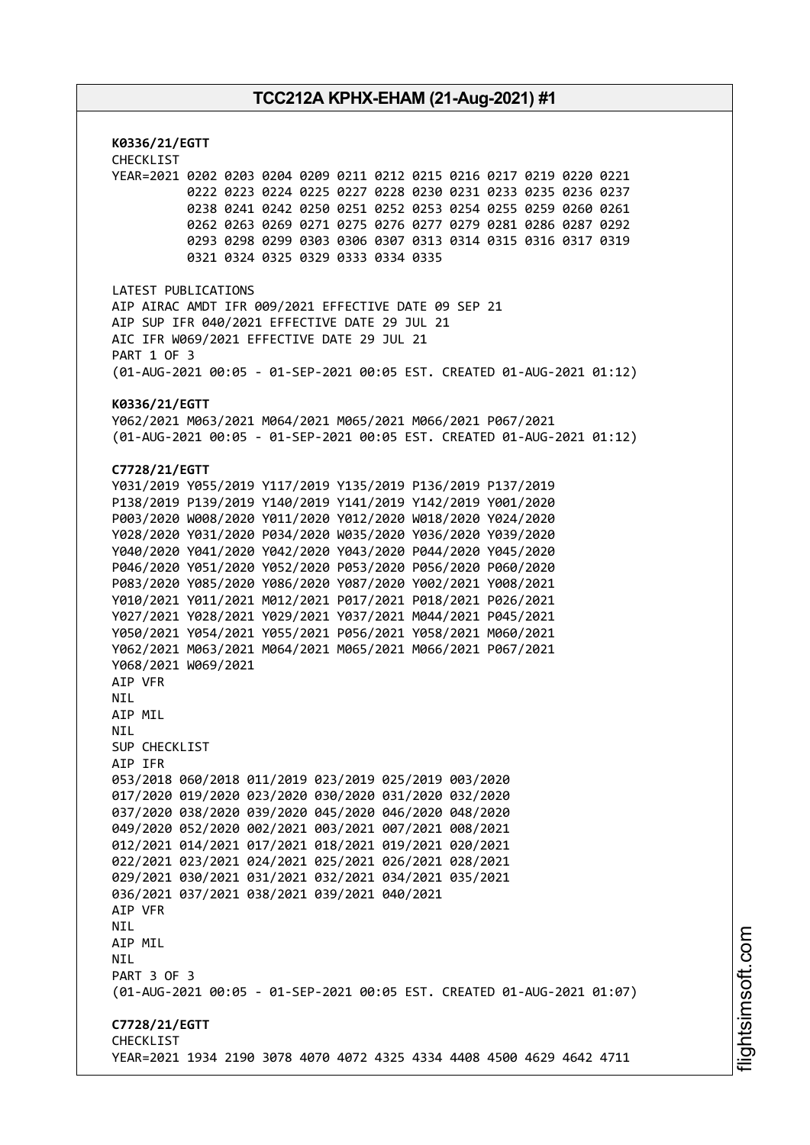**K0336/21/EGTT** CHECKLIST YEAR=2021 0202 0203 0204 0209 0211 0212 0215 0216 0217 0219 0220 0221 0222 0223 0224 0225 0227 0228 0230 0231 0233 0235 0236 0237 0238 0241 0242 0250 0251 0252 0253 0254 0255 0259 0260 0261 0262 0263 0269 0271 0275 0276 0277 0279 0281 0286 0287 0292 0293 0298 0299 0303 0306 0307 0313 0314 0315 0316 0317 0319 0321 0324 0325 0329 0333 0334 0335 LATEST PUBLICATIONS AIP AIRAC AMDT IFR 009/2021 EFFECTIVE DATE 09 SEP 21 AIP SUP IFR 040/2021 EFFECTIVE DATE 29 JUL 21 AIC IFR W069/2021 EFFECTIVE DATE 29 JUL 21 PART 1 OF 3 (01-AUG-2021 00:05 - 01-SEP-2021 00:05 EST. CREATED 01-AUG-2021 01:12) **K0336/21/EGTT** Y062/2021 M063/2021 M064/2021 M065/2021 M066/2021 P067/2021 (01-AUG-2021 00:05 - 01-SEP-2021 00:05 EST. CREATED 01-AUG-2021 01:12) **C7728/21/EGTT** Y031/2019 Y055/2019 Y117/2019 Y135/2019 P136/2019 P137/2019 P138/2019 P139/2019 Y140/2019 Y141/2019 Y142/2019 Y001/2020 P003/2020 W008/2020 Y011/2020 Y012/2020 W018/2020 Y024/2020 Y028/2020 Y031/2020 P034/2020 W035/2020 Y036/2020 Y039/2020 Y040/2020 Y041/2020 Y042/2020 Y043/2020 P044/2020 Y045/2020 P046/2020 Y051/2020 Y052/2020 P053/2020 P056/2020 P060/2020 P083/2020 Y085/2020 Y086/2020 Y087/2020 Y002/2021 Y008/2021 Y010/2021 Y011/2021 M012/2021 P017/2021 P018/2021 P026/2021 Y027/2021 Y028/2021 Y029/2021 Y037/2021 M044/2021 P045/2021 Y050/2021 Y054/2021 Y055/2021 P056/2021 Y058/2021 M060/2021 Y062/2021 M063/2021 M064/2021 M065/2021 M066/2021 P067/2021 Y068/2021 W069/2021 AIP VFR **NTI** AIP MIL **NTI** SUP CHECKLIST AIP IFR 053/2018 060/2018 011/2019 023/2019 025/2019 003/2020 017/2020 019/2020 023/2020 030/2020 031/2020 032/2020 037/2020 038/2020 039/2020 045/2020 046/2020 048/2020 049/2020 052/2020 002/2021 003/2021 007/2021 008/2021 012/2021 014/2021 017/2021 018/2021 019/2021 020/2021 022/2021 023/2021 024/2021 025/2021 026/2021 028/2021 029/2021 030/2021 031/2021 032/2021 034/2021 035/2021 036/2021 037/2021 038/2021 039/2021 040/2021 AIP VFR NIL AIP MIL **NTL** PART 3 OF 3 (01-AUG-2021 00:05 - 01-SEP-2021 00:05 EST. CREATED 01-AUG-2021 01:07) **C7728/21/EGTT** CHECKLIST YEAR=2021 1934 2190 3078 4070 4072 4325 4334 4408 4500 4629 4642 4711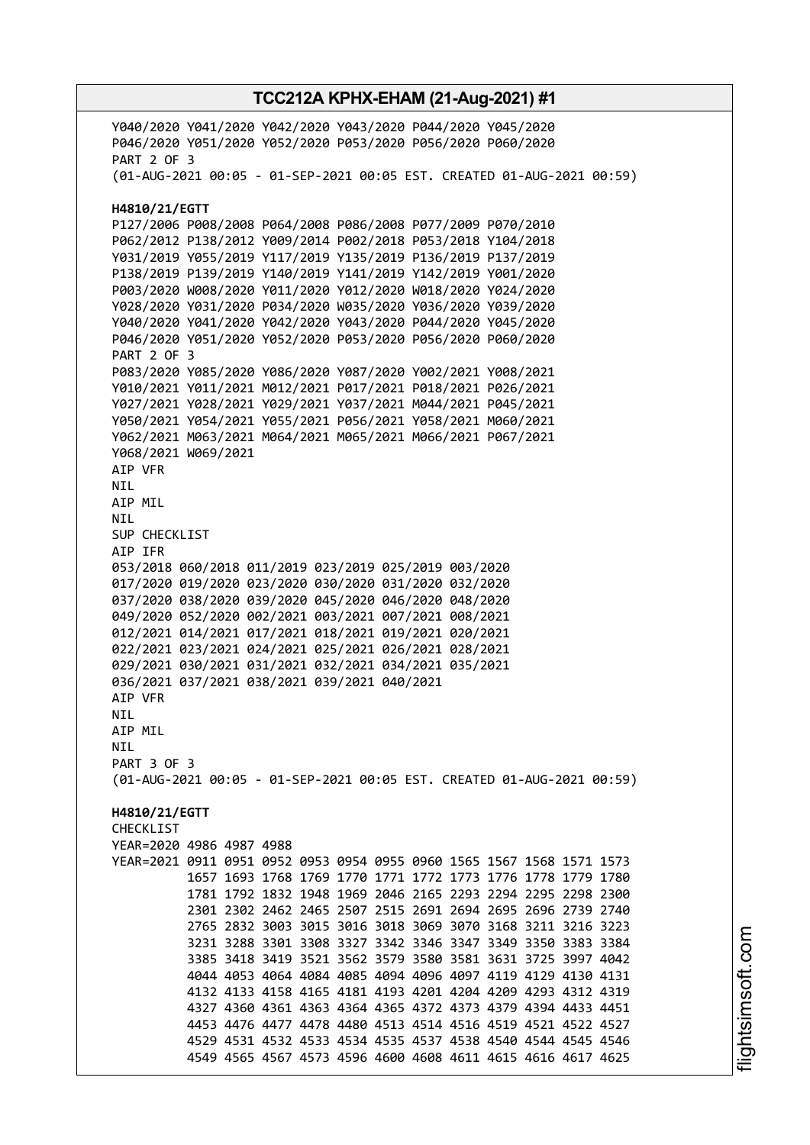Y040/2020 Y041/2020 Y042/2020 Y043/2020 P044/2020 Y045/2020 P046/2020 Y051/2020 Y052/2020 P053/2020 P056/2020 P060/2020 PART 2 OF 3 (01-AUG-2021 00:05 - 01-SEP-2021 00:05 EST. CREATED 01-AUG-2021 00:59) **H4810/21/EGTT** P127/2006 P008/2008 P064/2008 P086/2008 P077/2009 P070/2010 P062/2012 P138/2012 Y009/2014 P002/2018 P053/2018 Y104/2018 Y031/2019 Y055/2019 Y117/2019 Y135/2019 P136/2019 P137/2019 P138/2019 P139/2019 Y140/2019 Y141/2019 Y142/2019 Y001/2020 P003/2020 W008/2020 Y011/2020 Y012/2020 W018/2020 Y024/2020 Y028/2020 Y031/2020 P034/2020 W035/2020 Y036/2020 Y039/2020 Y040/2020 Y041/2020 Y042/2020 Y043/2020 P044/2020 Y045/2020 P046/2020 Y051/2020 Y052/2020 P053/2020 P056/2020 P060/2020 PART 2 OF 3 P083/2020 Y085/2020 Y086/2020 Y087/2020 Y002/2021 Y008/2021 Y010/2021 Y011/2021 M012/2021 P017/2021 P018/2021 P026/2021 Y027/2021 Y028/2021 Y029/2021 Y037/2021 M044/2021 P045/2021 Y050/2021 Y054/2021 Y055/2021 P056/2021 Y058/2021 M060/2021 Y062/2021 M063/2021 M064/2021 M065/2021 M066/2021 P067/2021 Y068/2021 W069/2021 AIP VFR NIL AIP MIL NIL SUP CHECKLIST AIP IFR 053/2018 060/2018 011/2019 023/2019 025/2019 003/2020 017/2020 019/2020 023/2020 030/2020 031/2020 032/2020 037/2020 038/2020 039/2020 045/2020 046/2020 048/2020 049/2020 052/2020 002/2021 003/2021 007/2021 008/2021 012/2021 014/2021 017/2021 018/2021 019/2021 020/2021 022/2021 023/2021 024/2021 025/2021 026/2021 028/2021 029/2021 030/2021 031/2021 032/2021 034/2021 035/2021 036/2021 037/2021 038/2021 039/2021 040/2021 AIP VFR NIL AIP MIL NIL PART 3 OF 3 (01-AUG-2021 00:05 - 01-SEP-2021 00:05 EST. CREATED 01-AUG-2021 00:59) **H4810/21/EGTT CHECKLIST** YEAR=2020 4986 4987 4988 YEAR=2021 0911 0951 0952 0953 0954 0955 0960 1565 1567 1568 1571 1573 1657 1693 1768 1769 1770 1771 1772 1773 1776 1778 1779 1780 1781 1792 1832 1948 1969 2046 2165 2293 2294 2295 2298 2300 2301 2302 2462 2465 2507 2515 2691 2694 2695 2696 2739 2740 2765 2832 3003 3015 3016 3018 3069 3070 3168 3211 3216 3223 3231 3288 3301 3308 3327 3342 3346 3347 3349 3350 3383 3384 3385 3418 3419 3521 3562 3579 3580 3581 3631 3725 3997 4042 4044 4053 4064 4084 4085 4094 4096 4097 4119 4129 4130 4131 4132 4133 4158 4165 4181 4193 4201 4204 4209 4293 4312 4319 4327 4360 4361 4363 4364 4365 4372 4373 4379 4394 4433 4451 4453 4476 4477 4478 4480 4513 4514 4516 4519 4521 4522 4527 4529 4531 4532 4533 4534 4535 4537 4538 4540 4544 4545 4546 4549 4565 4567 4573 4596 4600 4608 4611 4615 4616 4617 4625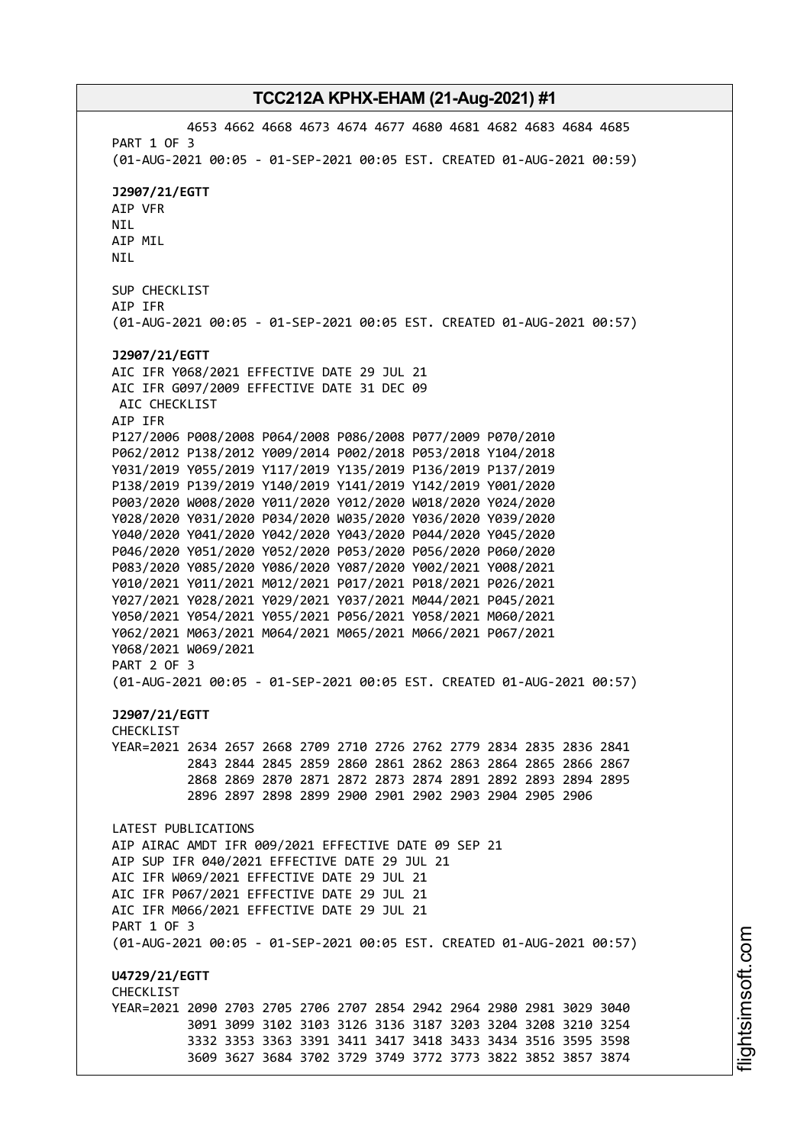4653 4662 4668 4673 4674 4677 4680 4681 4682 4683 4684 4685 PART 1 OF 3 (01-AUG-2021 00:05 - 01-SEP-2021 00:05 EST. CREATED 01-AUG-2021 00:59) **J2907/21/EGTT** AIP VFR NIL AIP MIL NIL SUP CHECKLIST AIP IFR (01-AUG-2021 00:05 - 01-SEP-2021 00:05 EST. CREATED 01-AUG-2021 00:57) **J2907/21/EGTT** AIC IFR Y068/2021 EFFECTIVE DATE 29 JUL 21 AIC IFR G097/2009 EFFECTIVE DATE 31 DEC 09 AIC CHECKLIST AIP IFR P127/2006 P008/2008 P064/2008 P086/2008 P077/2009 P070/2010 P062/2012 P138/2012 Y009/2014 P002/2018 P053/2018 Y104/2018 Y031/2019 Y055/2019 Y117/2019 Y135/2019 P136/2019 P137/2019 P138/2019 P139/2019 Y140/2019 Y141/2019 Y142/2019 Y001/2020 P003/2020 W008/2020 Y011/2020 Y012/2020 W018/2020 Y024/2020 Y028/2020 Y031/2020 P034/2020 W035/2020 Y036/2020 Y039/2020 Y040/2020 Y041/2020 Y042/2020 Y043/2020 P044/2020 Y045/2020 P046/2020 Y051/2020 Y052/2020 P053/2020 P056/2020 P060/2020 P083/2020 Y085/2020 Y086/2020 Y087/2020 Y002/2021 Y008/2021 Y010/2021 Y011/2021 M012/2021 P017/2021 P018/2021 P026/2021 Y027/2021 Y028/2021 Y029/2021 Y037/2021 M044/2021 P045/2021 Y050/2021 Y054/2021 Y055/2021 P056/2021 Y058/2021 M060/2021 Y062/2021 M063/2021 M064/2021 M065/2021 M066/2021 P067/2021 Y068/2021 W069/2021 PART 2 OF 3 (01-AUG-2021 00:05 - 01-SEP-2021 00:05 EST. CREATED 01-AUG-2021 00:57) **J2907/21/EGTT** CHECKLIST YEAR=2021 2634 2657 2668 2709 2710 2726 2762 2779 2834 2835 2836 2841 2843 2844 2845 2859 2860 2861 2862 2863 2864 2865 2866 2867 2868 2869 2870 2871 2872 2873 2874 2891 2892 2893 2894 2895 2896 2897 2898 2899 2900 2901 2902 2903 2904 2905 2906 LATEST PUBLICATIONS AIP AIRAC AMDT IFR 009/2021 EFFECTIVE DATE 09 SEP 21 AIP SUP IFR 040/2021 EFFECTIVE DATE 29 JUL 21 AIC IFR W069/2021 EFFECTIVE DATE 29 JUL 21 AIC IFR P067/2021 EFFECTIVE DATE 29 JUL 21 AIC IFR M066/2021 EFFECTIVE DATE 29 JUL 21 PART 1 OF 3 (01-AUG-2021 00:05 - 01-SEP-2021 00:05 EST. CREATED 01-AUG-2021 00:57) **U4729/21/EGTT CHECKLIST** YEAR=2021 2090 2703 2705 2706 2707 2854 2942 2964 2980 2981 3029 3040 3091 3099 3102 3103 3126 3136 3187 3203 3204 3208 3210 3254 3332 3353 3363 3391 3411 3417 3418 3433 3434 3516 3595 3598 3609 3627 3684 3702 3729 3749 3772 3773 3822 3852 3857 3874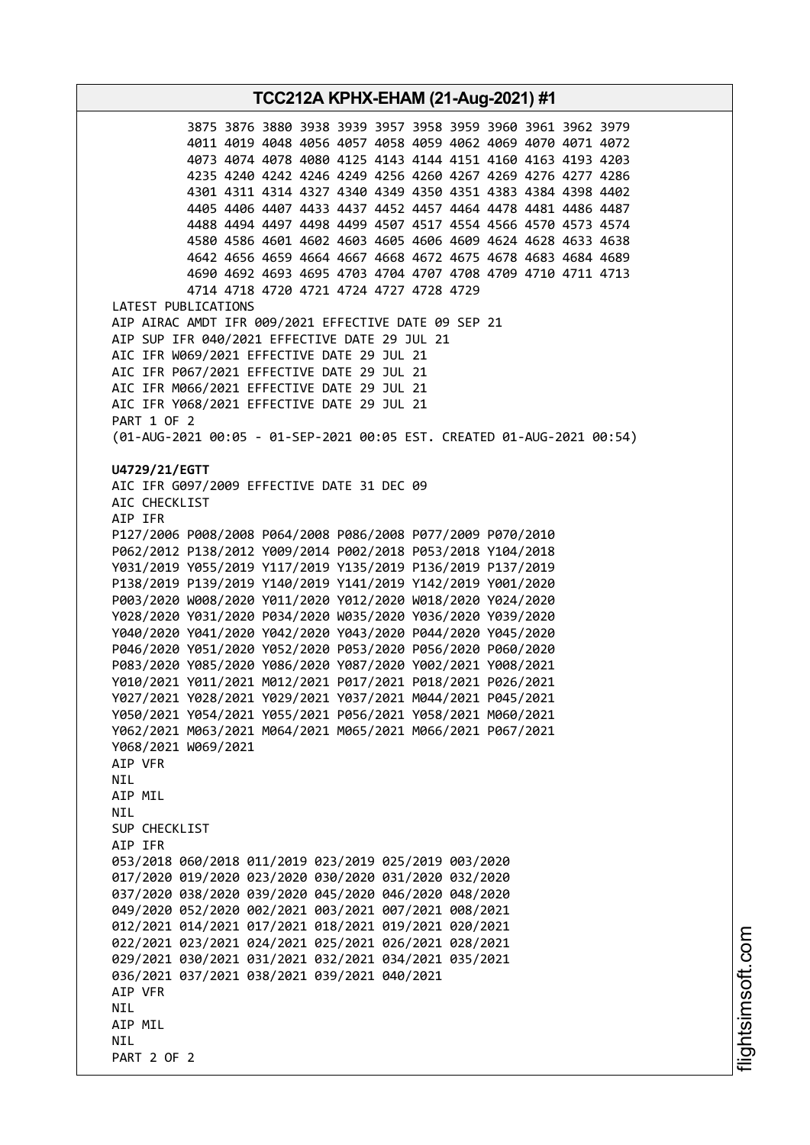**TCC212A KPHX-EHAM (21-Aug-2021) #1** 3875 3876 3880 3938 3939 3957 3958 3959 3960 3961 3962 3979 4011 4019 4048 4056 4057 4058 4059 4062 4069 4070 4071 4072 4073 4074 4078 4080 4125 4143 4144 4151 4160 4163 4193 4203 4235 4240 4242 4246 4249 4256 4260 4267 4269 4276 4277 4286 4301 4311 4314 4327 4340 4349 4350 4351 4383 4384 4398 4402 4405 4406 4407 4433 4437 4452 4457 4464 4478 4481 4486 4487 4488 4494 4497 4498 4499 4507 4517 4554 4566 4570 4573 4574 4580 4586 4601 4602 4603 4605 4606 4609 4624 4628 4633 4638 4642 4656 4659 4664 4667 4668 4672 4675 4678 4683 4684 4689 4690 4692 4693 4695 4703 4704 4707 4708 4709 4710 4711 4713 4714 4718 4720 4721 4724 4727 4728 4729 LATEST PUBLICATIONS AIP AIRAC AMDT IFR 009/2021 EFFECTIVE DATE 09 SEP 21 AIP SUP IFR 040/2021 EFFECTIVE DATE 29 JUL 21 AIC IFR W069/2021 EFFECTIVE DATE 29 JUL 21 AIC IFR P067/2021 EFFECTIVE DATE 29 JUL 21 AIC IFR M066/2021 EFFECTIVE DATE 29 JUL 21 AIC IFR Y068/2021 EFFECTIVE DATE 29 JUL 21 PART 1 OF 2 (01-AUG-2021 00:05 - 01-SEP-2021 00:05 EST. CREATED 01-AUG-2021 00:54) **U4729/21/EGTT** AIC IFR G097/2009 EFFECTIVE DATE 31 DEC 09 AIC CHECKLIST AIP IFR P127/2006 P008/2008 P064/2008 P086/2008 P077/2009 P070/2010 P062/2012 P138/2012 Y009/2014 P002/2018 P053/2018 Y104/2018 Y031/2019 Y055/2019 Y117/2019 Y135/2019 P136/2019 P137/2019 P138/2019 P139/2019 Y140/2019 Y141/2019 Y142/2019 Y001/2020 P003/2020 W008/2020 Y011/2020 Y012/2020 W018/2020 Y024/2020 Y028/2020 Y031/2020 P034/2020 W035/2020 Y036/2020 Y039/2020 Y040/2020 Y041/2020 Y042/2020 Y043/2020 P044/2020 Y045/2020 P046/2020 Y051/2020 Y052/2020 P053/2020 P056/2020 P060/2020 P083/2020 Y085/2020 Y086/2020 Y087/2020 Y002/2021 Y008/2021 Y010/2021 Y011/2021 M012/2021 P017/2021 P018/2021 P026/2021 Y027/2021 Y028/2021 Y029/2021 Y037/2021 M044/2021 P045/2021 Y050/2021 Y054/2021 Y055/2021 P056/2021 Y058/2021 M060/2021 Y062/2021 M063/2021 M064/2021 M065/2021 M066/2021 P067/2021 Y068/2021 W069/2021 AIP VFR **NTI** AIP MIL NIL SUP CHECKLIST AIP IFR 053/2018 060/2018 011/2019 023/2019 025/2019 003/2020 017/2020 019/2020 023/2020 030/2020 031/2020 032/2020 037/2020 038/2020 039/2020 045/2020 046/2020 048/2020 049/2020 052/2020 002/2021 003/2021 007/2021 008/2021 012/2021 014/2021 017/2021 018/2021 019/2021 020/2021 022/2021 023/2021 024/2021 025/2021 026/2021 028/2021 029/2021 030/2021 031/2021 032/2021 034/2021 035/2021 036/2021 037/2021 038/2021 039/2021 040/2021 AIP VFR **NTI** AIP MIL **NTI** PART 2 OF 2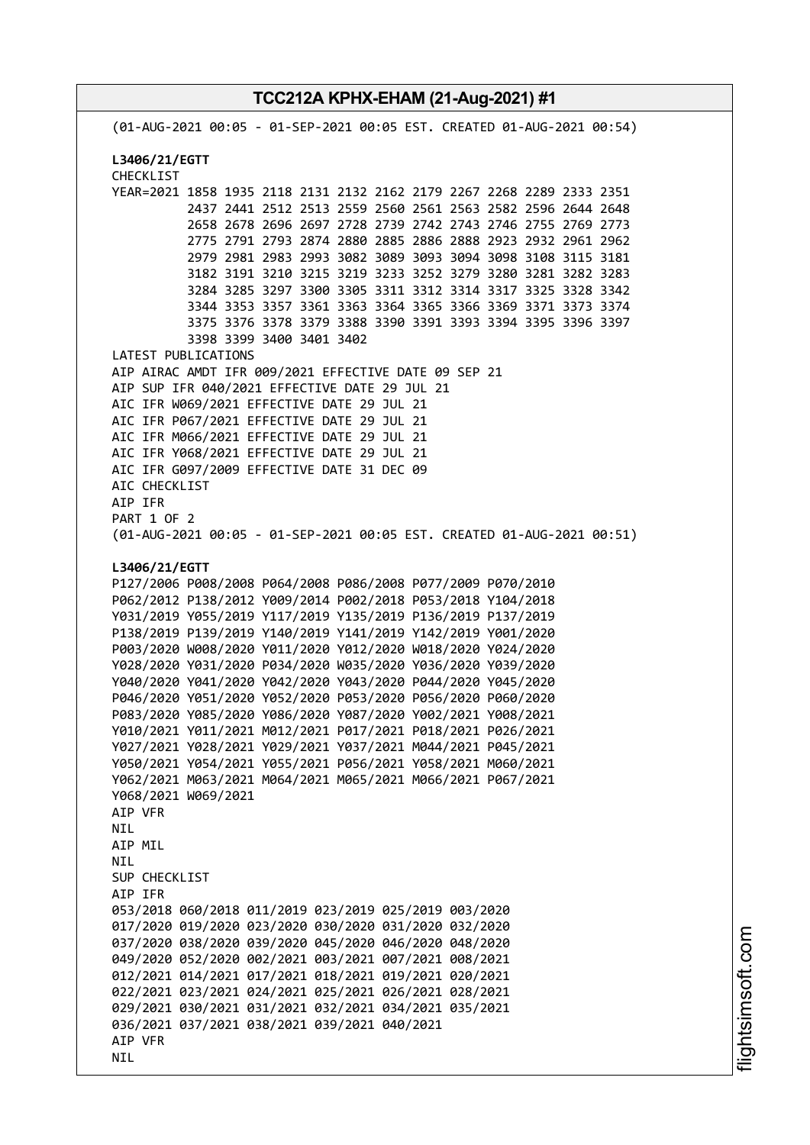**TCC212A KPHX-EHAM (21-Aug-2021) #1** (01-AUG-2021 00:05 - 01-SEP-2021 00:05 EST. CREATED 01-AUG-2021 00:54) **L3406/21/EGTT** CHECKLIST YEAR=2021 1858 1935 2118 2131 2132 2162 2179 2267 2268 2289 2333 2351 2437 2441 2512 2513 2559 2560 2561 2563 2582 2596 2644 2648 2658 2678 2696 2697 2728 2739 2742 2743 2746 2755 2769 2773 2775 2791 2793 2874 2880 2885 2886 2888 2923 2932 2961 2962 2979 2981 2983 2993 3082 3089 3093 3094 3098 3108 3115 3181 3182 3191 3210 3215 3219 3233 3252 3279 3280 3281 3282 3283 3284 3285 3297 3300 3305 3311 3312 3314 3317 3325 3328 3342 3344 3353 3357 3361 3363 3364 3365 3366 3369 3371 3373 3374 3375 3376 3378 3379 3388 3390 3391 3393 3394 3395 3396 3397 3398 3399 3400 3401 3402 LATEST PUBLICATIONS AIP AIRAC AMDT IFR 009/2021 EFFECTIVE DATE 09 SEP 21 AIP SUP IFR 040/2021 EFFECTIVE DATE 29 JUL 21 AIC IFR W069/2021 EFFECTIVE DATE 29 JUL 21 AIC IFR P067/2021 EFFECTIVE DATE 29 JUL 21 AIC IFR M066/2021 EFFECTIVE DATE 29 JUL 21 AIC IFR Y068/2021 EFFECTIVE DATE 29 JUL 21 AIC IFR G097/2009 EFFECTIVE DATE 31 DEC 09 AIC CHECKLIST AIP IFR PART 1 OF 2 (01-AUG-2021 00:05 - 01-SEP-2021 00:05 EST. CREATED 01-AUG-2021 00:51) **L3406/21/EGTT** P127/2006 P008/2008 P064/2008 P086/2008 P077/2009 P070/2010 P062/2012 P138/2012 Y009/2014 P002/2018 P053/2018 Y104/2018 Y031/2019 Y055/2019 Y117/2019 Y135/2019 P136/2019 P137/2019 P138/2019 P139/2019 Y140/2019 Y141/2019 Y142/2019 Y001/2020 P003/2020 W008/2020 Y011/2020 Y012/2020 W018/2020 Y024/2020 Y028/2020 Y031/2020 P034/2020 W035/2020 Y036/2020 Y039/2020 Y040/2020 Y041/2020 Y042/2020 Y043/2020 P044/2020 Y045/2020 P046/2020 Y051/2020 Y052/2020 P053/2020 P056/2020 P060/2020 P083/2020 Y085/2020 Y086/2020 Y087/2020 Y002/2021 Y008/2021 Y010/2021 Y011/2021 M012/2021 P017/2021 P018/2021 P026/2021 Y027/2021 Y028/2021 Y029/2021 Y037/2021 M044/2021 P045/2021 Y050/2021 Y054/2021 Y055/2021 P056/2021 Y058/2021 M060/2021 Y062/2021 M063/2021 M064/2021 M065/2021 M066/2021 P067/2021 Y068/2021 W069/2021 AIP VFR NIL AIP MIL **NTI** SUP CHECKLIST AIP IFR 053/2018 060/2018 011/2019 023/2019 025/2019 003/2020 017/2020 019/2020 023/2020 030/2020 031/2020 032/2020 037/2020 038/2020 039/2020 045/2020 046/2020 048/2020 049/2020 052/2020 002/2021 003/2021 007/2021 008/2021 012/2021 014/2021 017/2021 018/2021 019/2021 020/2021 022/2021 023/2021 024/2021 025/2021 026/2021 028/2021 029/2021 030/2021 031/2021 032/2021 034/2021 035/2021 036/2021 037/2021 038/2021 039/2021 040/2021 AIP VFR **NTL**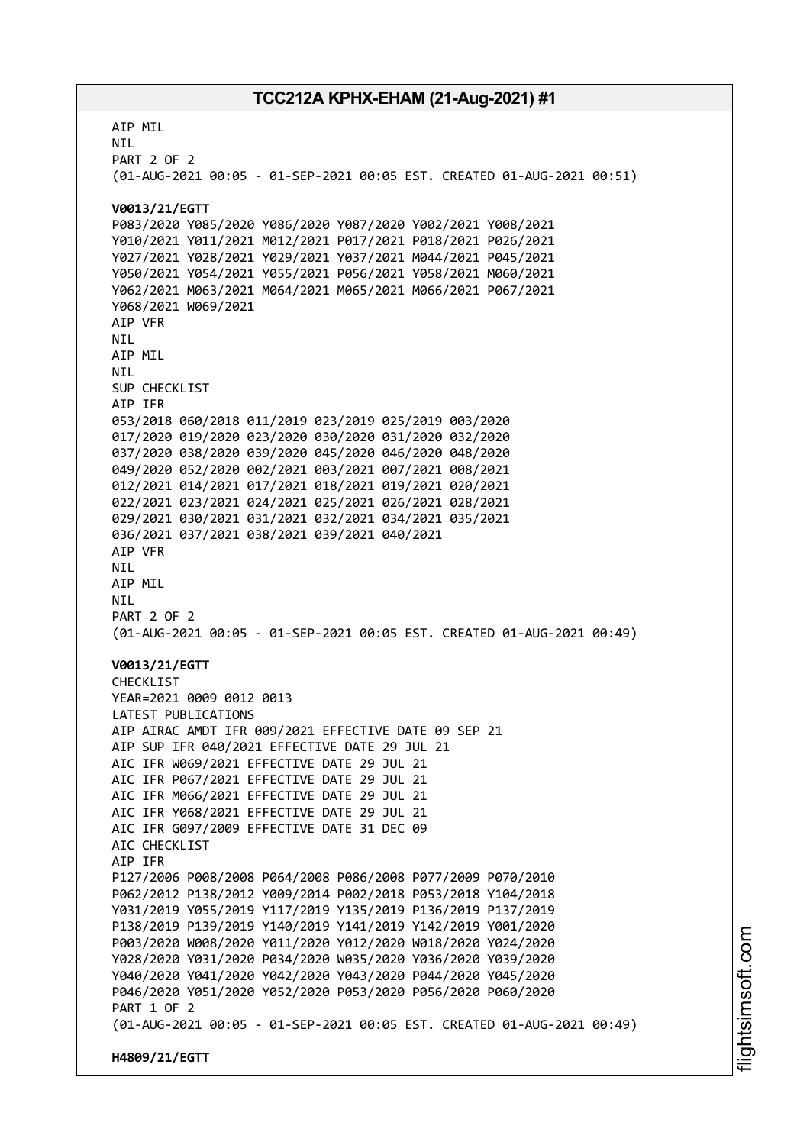AIP MIL NIL PART 2 OF 2 (01-AUG-2021 00:05 - 01-SEP-2021 00:05 EST. CREATED 01-AUG-2021 00:51) **V0013/21/EGTT** P083/2020 Y085/2020 Y086/2020 Y087/2020 Y002/2021 Y008/2021 Y010/2021 Y011/2021 M012/2021 P017/2021 P018/2021 P026/2021 Y027/2021 Y028/2021 Y029/2021 Y037/2021 M044/2021 P045/2021 Y050/2021 Y054/2021 Y055/2021 P056/2021 Y058/2021 M060/2021 Y062/2021 M063/2021 M064/2021 M065/2021 M066/2021 P067/2021 Y068/2021 W069/2021 AIP VFR NIL AIP MIL NIL SUP CHECKLIST AIP IFR 053/2018 060/2018 011/2019 023/2019 025/2019 003/2020 017/2020 019/2020 023/2020 030/2020 031/2020 032/2020 037/2020 038/2020 039/2020 045/2020 046/2020 048/2020 049/2020 052/2020 002/2021 003/2021 007/2021 008/2021 012/2021 014/2021 017/2021 018/2021 019/2021 020/2021 022/2021 023/2021 024/2021 025/2021 026/2021 028/2021 029/2021 030/2021 031/2021 032/2021 034/2021 035/2021 036/2021 037/2021 038/2021 039/2021 040/2021 AIP VFR NIL AIP MIL NIL PART 2 OF 2 (01-AUG-2021 00:05 - 01-SEP-2021 00:05 EST. CREATED 01-AUG-2021 00:49) **V0013/21/EGTT** CHECKLIST YEAR=2021 0009 0012 0013 LATEST PUBLICATIONS AIP AIRAC AMDT IFR 009/2021 EFFECTIVE DATE 09 SEP 21 AIP SUP IFR 040/2021 EFFECTIVE DATE 29 JUL 21 AIC IFR W069/2021 EFFECTIVE DATE 29 JUL 21 AIC IFR P067/2021 EFFECTIVE DATE 29 JUL 21 AIC IFR M066/2021 EFFECTIVE DATE 29 JUL 21 AIC IFR Y068/2021 EFFECTIVE DATE 29 JUL 21 AIC IFR G097/2009 EFFECTIVE DATE 31 DEC 09 ATC CHECKLIST AIP IFR P127/2006 P008/2008 P064/2008 P086/2008 P077/2009 P070/2010 P062/2012 P138/2012 Y009/2014 P002/2018 P053/2018 Y104/2018 Y031/2019 Y055/2019 Y117/2019 Y135/2019 P136/2019 P137/2019 P138/2019 P139/2019 Y140/2019 Y141/2019 Y142/2019 Y001/2020 P003/2020 W008/2020 Y011/2020 Y012/2020 W018/2020 Y024/2020 Y028/2020 Y031/2020 P034/2020 W035/2020 Y036/2020 Y039/2020 Y040/2020 Y041/2020 Y042/2020 Y043/2020 P044/2020 Y045/2020 P046/2020 Y051/2020 Y052/2020 P053/2020 P056/2020 P060/2020 PART 1 OF 2 (01-AUG-2021 00:05 - 01-SEP-2021 00:05 EST. CREATED 01-AUG-2021 00:49) **H4809/21/EGTT**

i⊒<br>⊫ htsim soft.c om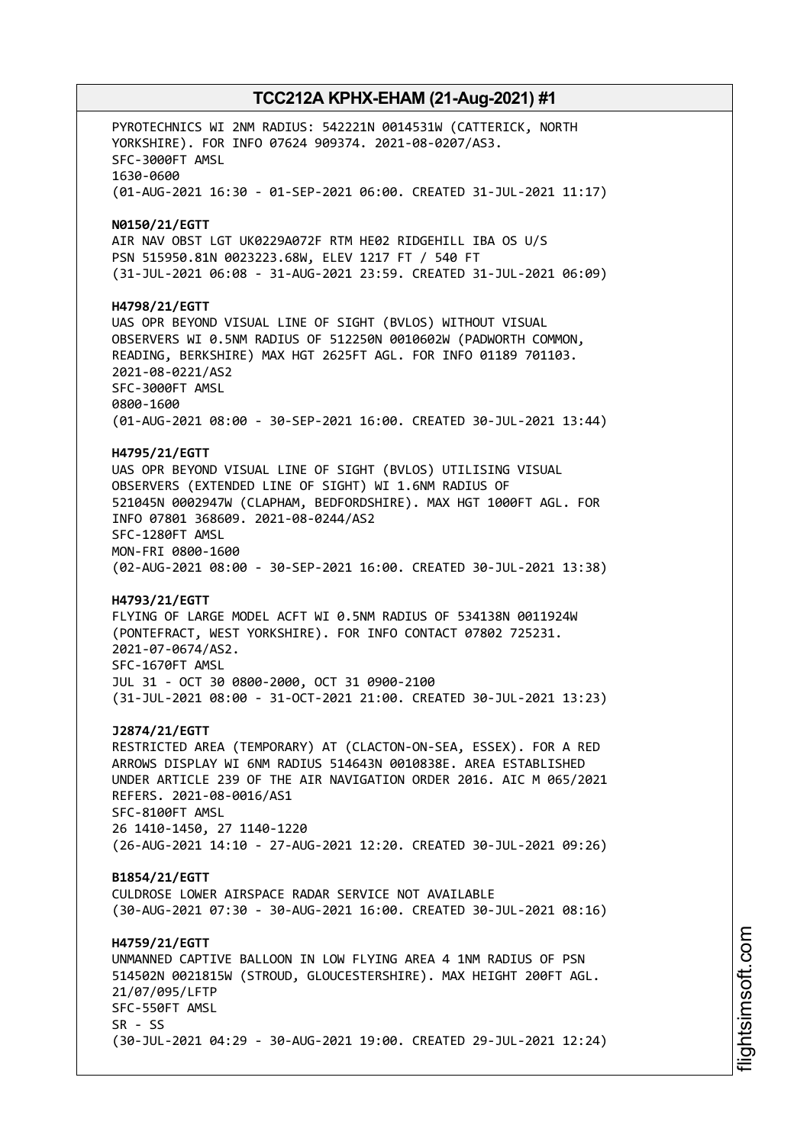PYROTECHNICS WI 2NM RADIUS: 542221N 0014531W (CATTERICK, NORTH YORKSHIRE). FOR INFO 07624 909374. 2021-08-0207/AS3. SFC-3000FT AMSL 1630-0600 (01-AUG-2021 16:30 - 01-SEP-2021 06:00. CREATED 31-JUL-2021 11:17) **N0150/21/EGTT** AIR NAV OBST LGT UK0229A072F RTM HE02 RIDGEHILL IBA OS U/S PSN 515950.81N 0023223.68W, ELEV 1217 FT / 540 FT (31-JUL-2021 06:08 - 31-AUG-2021 23:59. CREATED 31-JUL-2021 06:09) **H4798/21/EGTT** UAS OPR BEYOND VISUAL LINE OF SIGHT (BVLOS) WITHOUT VISUAL OBSERVERS WI 0.5NM RADIUS OF 512250N 0010602W (PADWORTH COMMON, READING, BERKSHIRE) MAX HGT 2625FT AGL. FOR INFO 01189 701103. 2021-08-0221/AS2 SFC-3000FT AMSL 0800-1600 (01-AUG-2021 08:00 - 30-SEP-2021 16:00. CREATED 30-JUL-2021 13:44) **H4795/21/EGTT** UAS OPR BEYOND VISUAL LINE OF SIGHT (BVLOS) UTILISING VISUAL OBSERVERS (EXTENDED LINE OF SIGHT) WI 1.6NM RADIUS OF 521045N 0002947W (CLAPHAM, BEDFORDSHIRE). MAX HGT 1000FT AGL. FOR INFO 07801 368609. 2021-08-0244/AS2 SFC-1280FT AMSL MON-FRI 0800-1600 (02-AUG-2021 08:00 - 30-SEP-2021 16:00. CREATED 30-JUL-2021 13:38) **H4793/21/EGTT** FLYING OF LARGE MODEL ACFT WI 0.5NM RADIUS OF 534138N 0011924W (PONTEFRACT, WEST YORKSHIRE). FOR INFO CONTACT 07802 725231. 2021-07-0674/AS2. SFC-1670FT AMSL JUL 31 - OCT 30 0800-2000, OCT 31 0900-2100 (31-JUL-2021 08:00 - 31-OCT-2021 21:00. CREATED 30-JUL-2021 13:23) **J2874/21/EGTT** RESTRICTED AREA (TEMPORARY) AT (CLACTON-ON-SEA, ESSEX). FOR A RED ARROWS DISPLAY WI 6NM RADIUS 514643N 0010838E. AREA ESTABLISHED UNDER ARTICLE 239 OF THE AIR NAVIGATION ORDER 2016. AIC M 065/2021 REFERS. 2021-08-0016/AS1 SFC-8100FT AMSL 26 1410-1450, 27 1140-1220 (26-AUG-2021 14:10 - 27-AUG-2021 12:20. CREATED 30-JUL-2021 09:26) **B1854/21/EGTT** CULDROSE LOWER AIRSPACE RADAR SERVICE NOT AVAILABLE (30-AUG-2021 07:30 - 30-AUG-2021 16:00. CREATED 30-JUL-2021 08:16) **H4759/21/EGTT** UNMANNED CAPTIVE BALLOON IN LOW FLYING AREA 4 1NM RADIUS OF PSN 514502N 0021815W (STROUD, GLOUCESTERSHIRE). MAX HEIGHT 200FT AGL. 21/07/095/LFTP SFC-550FT AMSL  $SR - SS$ (30-JUL-2021 04:29 - 30-AUG-2021 19:00. CREATED 29-JUL-2021 12:24)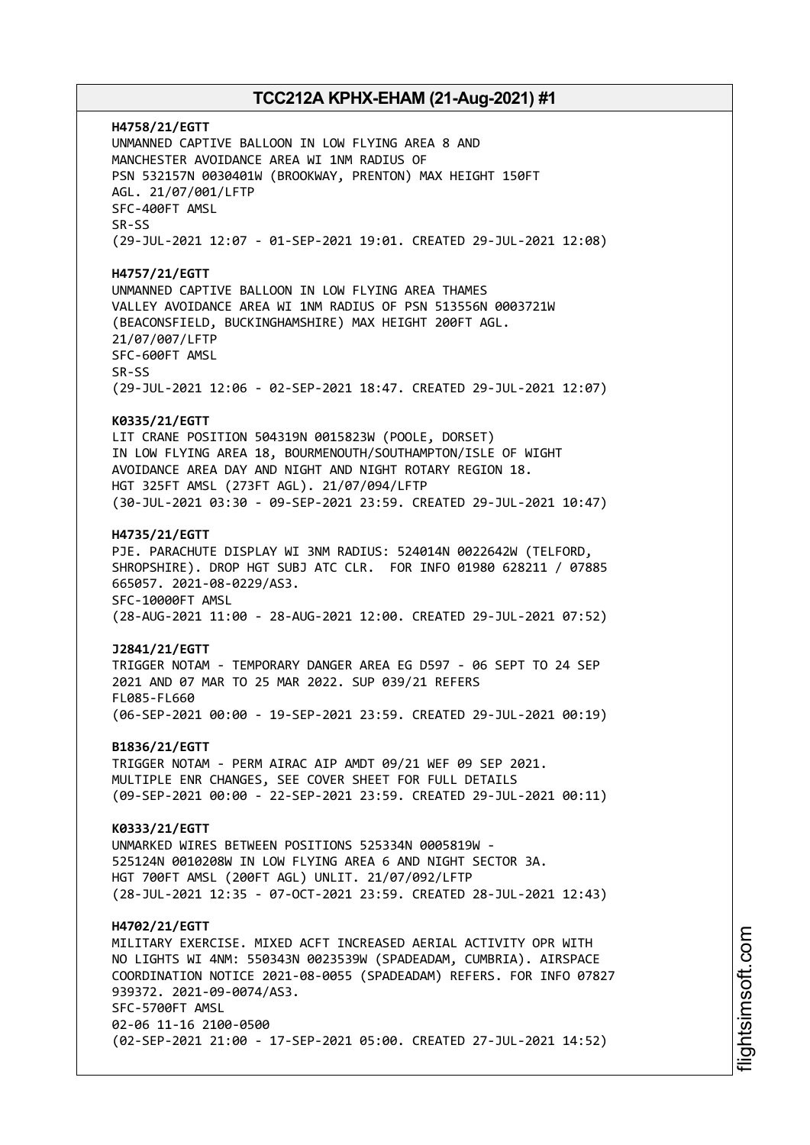**H4758/21/EGTT** UNMANNED CAPTIVE BALLOON IN LOW FLYING AREA 8 AND MANCHESTER AVOIDANCE AREA WI 1NM RADIUS OF PSN 532157N 0030401W (BROOKWAY, PRENTON) MAX HEIGHT 150FT AGL. 21/07/001/LFTP SFC-400FT AMSL SR-SS (29-JUL-2021 12:07 - 01-SEP-2021 19:01. CREATED 29-JUL-2021 12:08) **H4757/21/EGTT** UNMANNED CAPTIVE BALLOON IN LOW FLYING AREA THAMES VALLEY AVOIDANCE AREA WI 1NM RADIUS OF PSN 513556N 0003721W (BEACONSFIELD, BUCKINGHAMSHIRE) MAX HEIGHT 200FT AGL. 21/07/007/LFTP SFC-600FT AMSL SR-SS (29-JUL-2021 12:06 - 02-SEP-2021 18:47. CREATED 29-JUL-2021 12:07) **K0335/21/EGTT** LIT CRANE POSITION 504319N 0015823W (POOLE, DORSET) IN LOW FLYING AREA 18, BOURMENOUTH/SOUTHAMPTON/ISLE OF WIGHT AVOIDANCE AREA DAY AND NIGHT AND NIGHT ROTARY REGION 18. HGT 325FT AMSL (273FT AGL). 21/07/094/LFTP (30-JUL-2021 03:30 - 09-SEP-2021 23:59. CREATED 29-JUL-2021 10:47) **H4735/21/EGTT** PJE. PARACHUTE DISPLAY WI 3NM RADIUS: 524014N 0022642W (TELFORD, SHROPSHIRE). DROP HGT SUBJ ATC CLR. FOR INFO 01980 628211 / 07885 665057. 2021-08-0229/AS3. SFC-10000FT AMSL (28-AUG-2021 11:00 - 28-AUG-2021 12:00. CREATED 29-JUL-2021 07:52) **J2841/21/EGTT** TRIGGER NOTAM - TEMPORARY DANGER AREA EG D597 - 06 SEPT TO 24 SEP 2021 AND 07 MAR TO 25 MAR 2022. SUP 039/21 REFERS FL085-FL660 (06-SEP-2021 00:00 - 19-SEP-2021 23:59. CREATED 29-JUL-2021 00:19) **B1836/21/EGTT** TRIGGER NOTAM - PERM AIRAC AIP AMDT 09/21 WEF 09 SEP 2021. MULTIPLE ENR CHANGES, SEE COVER SHEET FOR FULL DETAILS (09-SEP-2021 00:00 - 22-SEP-2021 23:59. CREATED 29-JUL-2021 00:11) **K0333/21/EGTT** UNMARKED WIRES BETWEEN POSITIONS 525334N 0005819W - 525124N 0010208W IN LOW FLYING AREA 6 AND NIGHT SECTOR 3A. HGT 700FT AMSL (200FT AGL) UNLIT. 21/07/092/LFTP (28-JUL-2021 12:35 - 07-OCT-2021 23:59. CREATED 28-JUL-2021 12:43) **H4702/21/EGTT** MILITARY EXERCISE. MIXED ACFT INCREASED AERIAL ACTIVITY OPR WITH NO LIGHTS WI 4NM: 550343N 0023539W (SPADEADAM, CUMBRIA). AIRSPACE COORDINATION NOTICE 2021-08-0055 (SPADEADAM) REFERS. FOR INFO 07827 939372. 2021-09-0074/AS3. SFC-5700FT AMSL 02-06 11-16 2100-0500 (02-SEP-2021 21:00 - 17-SEP-2021 05:00. CREATED 27-JUL-2021 14:52)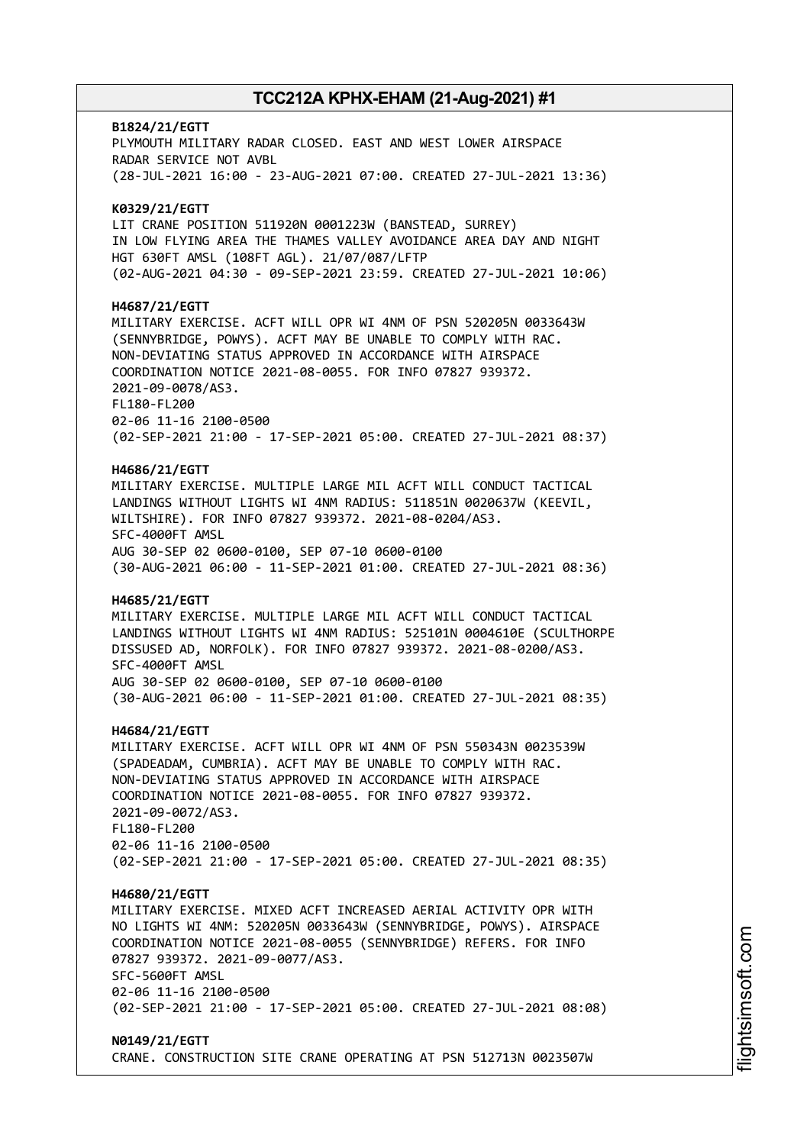# **B1824/21/EGTT** PLYMOUTH MILITARY RADAR CLOSED. EAST AND WEST LOWER AIRSPACE RADAR SERVICE NOT AVBL (28-JUL-2021 16:00 - 23-AUG-2021 07:00. CREATED 27-JUL-2021 13:36) **K0329/21/EGTT** LIT CRANE POSITION 511920N 0001223W (BANSTEAD, SURREY) IN LOW FLYING AREA THE THAMES VALLEY AVOIDANCE AREA DAY AND NIGHT HGT 630FT AMSL (108FT AGL). 21/07/087/LFTP (02-AUG-2021 04:30 - 09-SEP-2021 23:59. CREATED 27-JUL-2021 10:06) **H4687/21/EGTT** MILITARY EXERCISE. ACFT WILL OPR WI 4NM OF PSN 520205N 0033643W (SENNYBRIDGE, POWYS). ACFT MAY BE UNABLE TO COMPLY WITH RAC. NON-DEVIATING STATUS APPROVED IN ACCORDANCE WITH AIRSPACE COORDINATION NOTICE 2021-08-0055. FOR INFO 07827 939372. 2021-09-0078/AS3. FL180-FL200 02-06 11-16 2100-0500 (02-SEP-2021 21:00 - 17-SEP-2021 05:00. CREATED 27-JUL-2021 08:37) **H4686/21/EGTT** MILITARY EXERCISE. MULTIPLE LARGE MIL ACFT WILL CONDUCT TACTICAL LANDINGS WITHOUT LIGHTS WI 4NM RADIUS: 511851N 0020637W (KEEVIL, WILTSHIRE). FOR INFO 07827 939372. 2021-08-0204/AS3. SFC-4000FT AMSL AUG 30-SEP 02 0600-0100, SEP 07-10 0600-0100 (30-AUG-2021 06:00 - 11-SEP-2021 01:00. CREATED 27-JUL-2021 08:36) **H4685/21/EGTT** MILITARY EXERCISE. MULTIPLE LARGE MIL ACFT WILL CONDUCT TACTICAL LANDINGS WITHOUT LIGHTS WI 4NM RADIUS: 525101N 0004610E (SCULTHORPE DISSUSED AD, NORFOLK). FOR INFO 07827 939372. 2021-08-0200/AS3. SFC-4000FT AMSL AUG 30-SEP 02 0600-0100, SEP 07-10 0600-0100 (30-AUG-2021 06:00 - 11-SEP-2021 01:00. CREATED 27-JUL-2021 08:35) **H4684/21/EGTT** MILITARY EXERCISE. ACFT WILL OPR WI 4NM OF PSN 550343N 0023539W (SPADEADAM, CUMBRIA). ACFT MAY BE UNABLE TO COMPLY WITH RAC. NON-DEVIATING STATUS APPROVED IN ACCORDANCE WITH AIRSPACE COORDINATION NOTICE 2021-08-0055. FOR INFO 07827 939372. 2021-09-0072/AS3. FL180-FL200 02-06 11-16 2100-0500 (02-SEP-2021 21:00 - 17-SEP-2021 05:00. CREATED 27-JUL-2021 08:35) **H4680/21/EGTT** MILITARY EXERCISE. MIXED ACFT INCREASED AERIAL ACTIVITY OPR WITH NO LIGHTS WI 4NM: 520205N 0033643W (SENNYBRIDGE, POWYS). AIRSPACE COORDINATION NOTICE 2021-08-0055 (SENNYBRIDGE) REFERS. FOR INFO 07827 939372. 2021-09-0077/AS3. SFC-5600FT AMSL 02-06 11-16 2100-0500 (02-SEP-2021 21:00 - 17-SEP-2021 05:00. CREATED 27-JUL-2021 08:08) **N0149/21/EGTT**

CRANE. CONSTRUCTION SITE CRANE OPERATING AT PSN 512713N 0023507W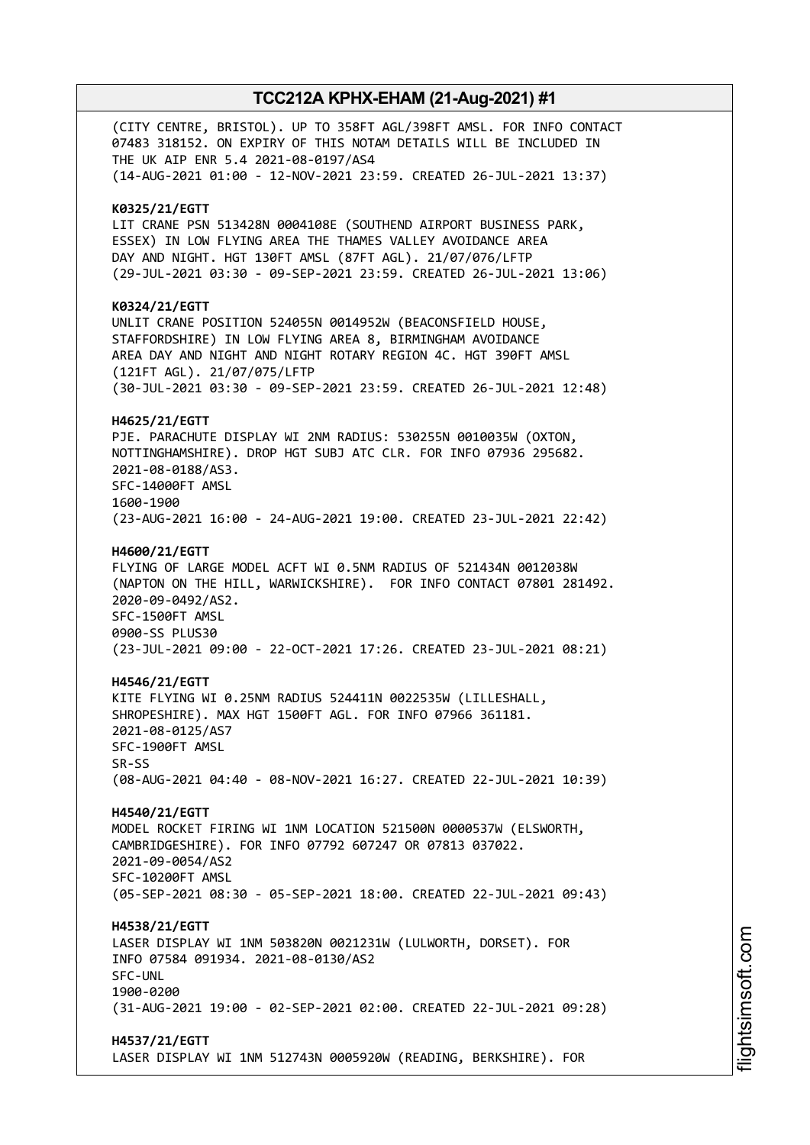(CITY CENTRE, BRISTOL). UP TO 358FT AGL/398FT AMSL. FOR INFO CONTACT 07483 318152. ON EXPIRY OF THIS NOTAM DETAILS WILL BE INCLUDED IN THE UK AIP ENR 5.4 2021-08-0197/AS4 (14-AUG-2021 01:00 - 12-NOV-2021 23:59. CREATED 26-JUL-2021 13:37) **K0325/21/EGTT** LIT CRANE PSN 513428N 0004108E (SOUTHEND AIRPORT BUSINESS PARK, ESSEX) IN LOW FLYING AREA THE THAMES VALLEY AVOIDANCE AREA DAY AND NIGHT. HGT 130FT AMSL (87FT AGL). 21/07/076/LFTP (29-JUL-2021 03:30 - 09-SEP-2021 23:59. CREATED 26-JUL-2021 13:06) **K0324/21/EGTT** UNLIT CRANE POSITION 524055N 0014952W (BEACONSFIELD HOUSE, STAFFORDSHIRE) IN LOW FLYING AREA 8, BIRMINGHAM AVOIDANCE AREA DAY AND NIGHT AND NIGHT ROTARY REGION 4C. HGT 390FT AMSL (121FT AGL). 21/07/075/LFTP (30-JUL-2021 03:30 - 09-SEP-2021 23:59. CREATED 26-JUL-2021 12:48) **H4625/21/EGTT** PJE. PARACHUTE DISPLAY WI 2NM RADIUS: 530255N 0010035W (OXTON, NOTTINGHAMSHIRE). DROP HGT SUBJ ATC CLR. FOR INFO 07936 295682. 2021-08-0188/AS3. SFC-14000FT AMSL 1600-1900 (23-AUG-2021 16:00 - 24-AUG-2021 19:00. CREATED 23-JUL-2021 22:42) **H4600/21/EGTT** FLYING OF LARGE MODEL ACFT WI 0.5NM RADIUS OF 521434N 0012038W (NAPTON ON THE HILL, WARWICKSHIRE). FOR INFO CONTACT 07801 281492. 2020-09-0492/AS2. SFC-1500FT AMSL 0900-SS PLUS30 (23-JUL-2021 09:00 - 22-OCT-2021 17:26. CREATED 23-JUL-2021 08:21) **H4546/21/EGTT** KITE FLYING WI 0.25NM RADIUS 524411N 0022535W (LILLESHALL, SHROPESHIRE). MAX HGT 1500FT AGL. FOR INFO 07966 361181. 2021-08-0125/AS7 SFC-1900FT AMSL SR-SS (08-AUG-2021 04:40 - 08-NOV-2021 16:27. CREATED 22-JUL-2021 10:39) **H4540/21/EGTT** MODEL ROCKET FIRING WI 1NM LOCATION 521500N 0000537W (ELSWORTH, CAMBRIDGESHIRE). FOR INFO 07792 607247 OR 07813 037022. 2021-09-0054/AS2 SFC-10200FT AMSL (05-SEP-2021 08:30 - 05-SEP-2021 18:00. CREATED 22-JUL-2021 09:43) **H4538/21/EGTT** LASER DISPLAY WI 1NM 503820N 0021231W (LULWORTH, DORSET). FOR INFO 07584 091934. 2021-08-0130/AS2 SFC-UNL 1900-0200 (31-AUG-2021 19:00 - 02-SEP-2021 02:00. CREATED 22-JUL-2021 09:28) **H4537/21/EGTT** LASER DISPLAY WI 1NM 512743N 0005920W (READING, BERKSHIRE). FOR

i⊒<br>⊫ htsim soft.c om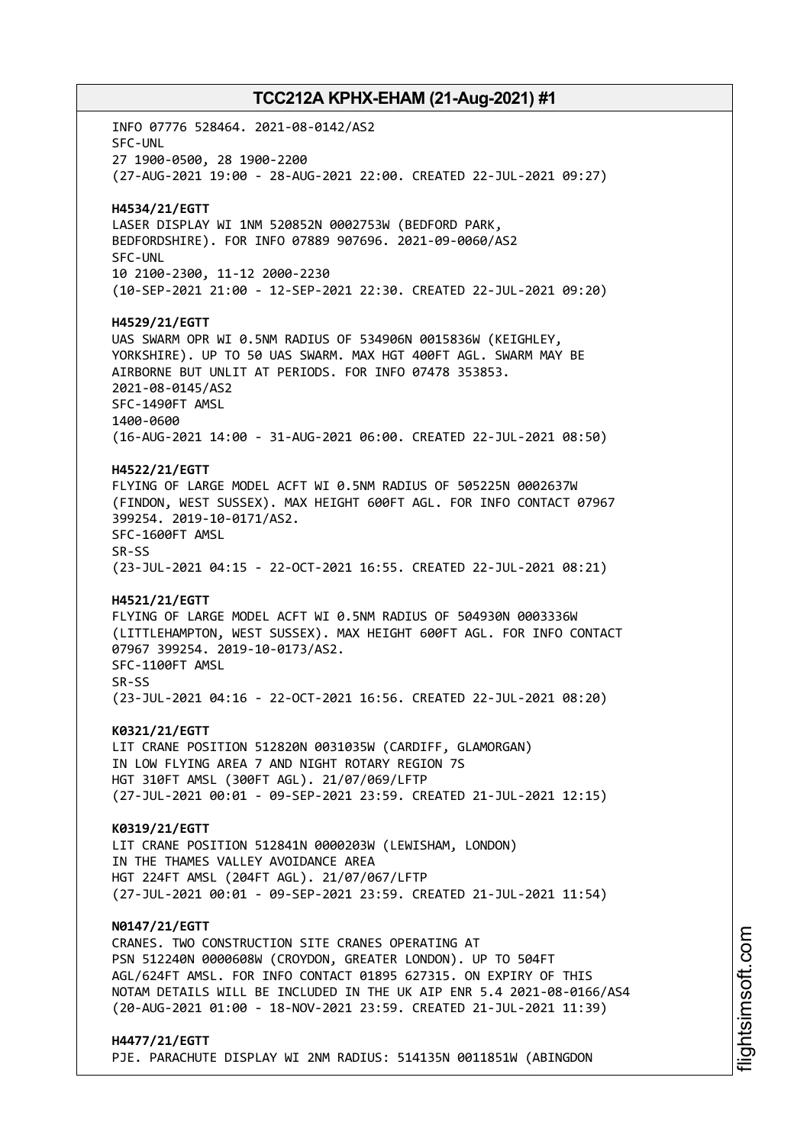INFO 07776 528464. 2021-08-0142/AS2 SFC-UNL 27 1900-0500, 28 1900-2200 (27-AUG-2021 19:00 - 28-AUG-2021 22:00. CREATED 22-JUL-2021 09:27) **H4534/21/EGTT** LASER DISPLAY WI 1NM 520852N 0002753W (BEDFORD PARK, BEDFORDSHIRE). FOR INFO 07889 907696. 2021-09-0060/AS2 SFC-UNL 10 2100-2300, 11-12 2000-2230 (10-SEP-2021 21:00 - 12-SEP-2021 22:30. CREATED 22-JUL-2021 09:20) **H4529/21/EGTT** UAS SWARM OPR WI 0.5NM RADIUS OF 534906N 0015836W (KEIGHLEY, YORKSHIRE). UP TO 50 UAS SWARM. MAX HGT 400FT AGL. SWARM MAY BE AIRBORNE BUT UNLIT AT PERIODS. FOR INFO 07478 353853. 2021-08-0145/AS2 SFC-1490FT AMSL 1400-0600 (16-AUG-2021 14:00 - 31-AUG-2021 06:00. CREATED 22-JUL-2021 08:50) **H4522/21/EGTT** FLYING OF LARGE MODEL ACFT WI 0.5NM RADIUS OF 505225N 0002637W (FINDON, WEST SUSSEX). MAX HEIGHT 600FT AGL. FOR INFO CONTACT 07967 399254. 2019-10-0171/AS2. SFC-1600FT AMSL SR-SS (23-JUL-2021 04:15 - 22-OCT-2021 16:55. CREATED 22-JUL-2021 08:21) **H4521/21/EGTT** FLYING OF LARGE MODEL ACFT WI 0.5NM RADIUS OF 504930N 0003336W (LITTLEHAMPTON, WEST SUSSEX). MAX HEIGHT 600FT AGL. FOR INFO CONTACT 07967 399254. 2019-10-0173/AS2. SFC-1100FT AMSL SR-SS (23-JUL-2021 04:16 - 22-OCT-2021 16:56. CREATED 22-JUL-2021 08:20) **K0321/21/EGTT** LIT CRANE POSITION 512820N 0031035W (CARDIFF, GLAMORGAN) IN LOW FLYING AREA 7 AND NIGHT ROTARY REGION 7S HGT 310FT AMSL (300FT AGL). 21/07/069/LFTP (27-JUL-2021 00:01 - 09-SEP-2021 23:59. CREATED 21-JUL-2021 12:15) **K0319/21/EGTT** LIT CRANE POSITION 512841N 0000203W (LEWISHAM, LONDON) IN THE THAMES VALLEY AVOIDANCE AREA HGT 224FT AMSL (204FT AGL). 21/07/067/LFTP (27-JUL-2021 00:01 - 09-SEP-2021 23:59. CREATED 21-JUL-2021 11:54) **N0147/21/EGTT** CRANES. TWO CONSTRUCTION SITE CRANES OPERATING AT PSN 512240N 0000608W (CROYDON, GREATER LONDON). UP TO 504FT AGL/624FT AMSL. FOR INFO CONTACT 01895 627315. ON EXPIRY OF THIS NOTAM DETAILS WILL BE INCLUDED IN THE UK AIP ENR 5.4 2021-08-0166/AS4 (20-AUG-2021 01:00 - 18-NOV-2021 23:59. CREATED 21-JUL-2021 11:39) **H4477/21/EGTT**

PJE. PARACHUTE DISPLAY WI 2NM RADIUS: 514135N 0011851W (ABINGDON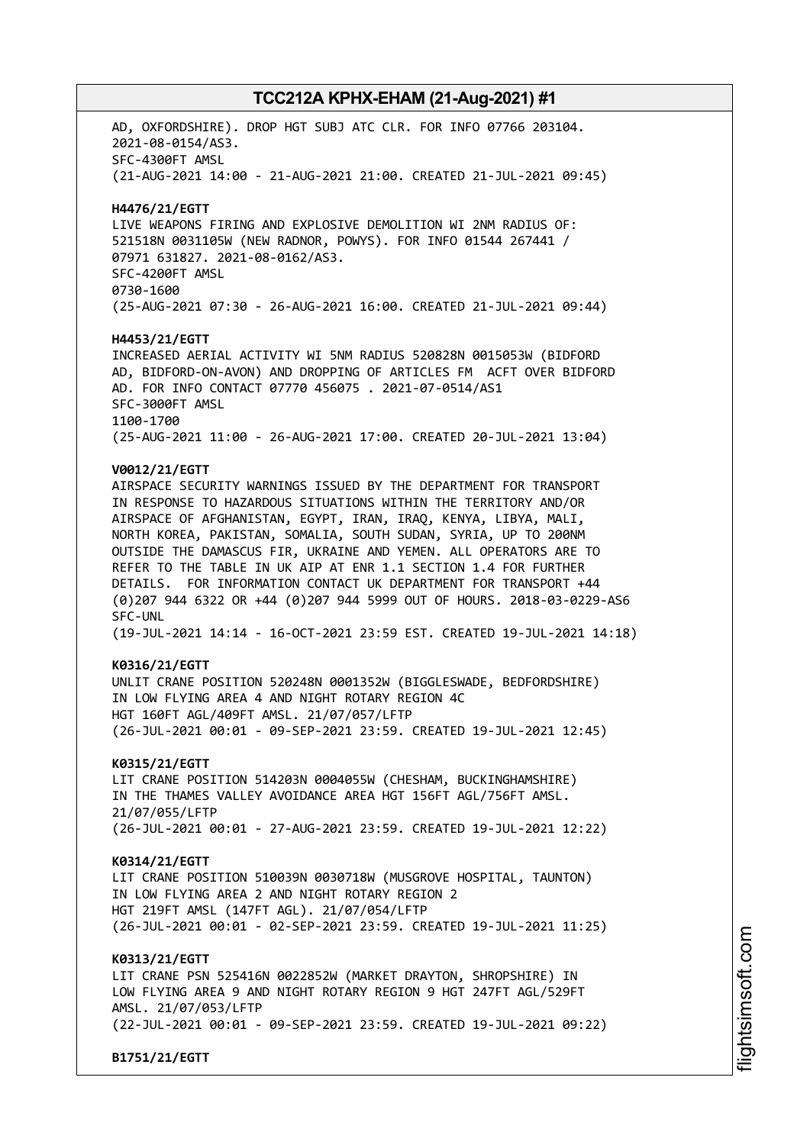AD, OXFORDSHIRE). DROP HGT SUBJ ATC CLR. FOR INFO 07766 203104. 2021-08-0154/AS3. SFC-4300FT AMSL (21-AUG-2021 14:00 - 21-AUG-2021 21:00. CREATED 21-JUL-2021 09:45) **H4476/21/EGTT** LIVE WEAPONS FIRING AND EXPLOSIVE DEMOLITION WI 2NM RADIUS OF: 521518N 0031105W (NEW RADNOR, POWYS). FOR INFO 01544 267441 / 07971 631827. 2021-08-0162/AS3. SFC-4200FT AMSL 0730-1600 (25-AUG-2021 07:30 - 26-AUG-2021 16:00. CREATED 21-JUL-2021 09:44) **H4453/21/EGTT** INCREASED AERIAL ACTIVITY WI 5NM RADIUS 520828N 0015053W (BIDFORD AD, BIDFORD-ON-AVON) AND DROPPING OF ARTICLES FM ACFT OVER BIDFORD AD. FOR INFO CONTACT 07770 456075 . 2021-07-0514/AS1 SFC-3000FT AMSL 1100-1700 (25-AUG-2021 11:00 - 26-AUG-2021 17:00. CREATED 20-JUL-2021 13:04) **V0012/21/EGTT** AIRSPACE SECURITY WARNINGS ISSUED BY THE DEPARTMENT FOR TRANSPORT IN RESPONSE TO HAZARDOUS SITUATIONS WITHIN THE TERRITORY AND/OR AIRSPACE OF AFGHANISTAN, EGYPT, IRAN, IRAQ, KENYA, LIBYA, MALI, NORTH KOREA, PAKISTAN, SOMALIA, SOUTH SUDAN, SYRIA, UP TO 200NM OUTSIDE THE DAMASCUS FIR, UKRAINE AND YEMEN. ALL OPERATORS ARE TO REFER TO THE TABLE IN UK AIP AT ENR 1.1 SECTION 1.4 FOR FURTHER DETAILS. FOR INFORMATION CONTACT UK DEPARTMENT FOR TRANSPORT +44 (0)207 944 6322 OR +44 (0)207 944 5999 OUT OF HOURS. 2018-03-0229-AS6 SFC-UNL (19-JUL-2021 14:14 - 16-OCT-2021 23:59 EST. CREATED 19-JUL-2021 14:18) **K0316/21/EGTT** UNLIT CRANE POSITION 520248N 0001352W (BIGGLESWADE, BEDFORDSHIRE) IN LOW FLYING AREA 4 AND NIGHT ROTARY REGION 4C HGT 160FT AGL/409FT AMSL. 21/07/057/LFTP (26-JUL-2021 00:01 - 09-SEP-2021 23:59. CREATED 19-JUL-2021 12:45) **K0315/21/EGTT** LIT CRANE POSITION 514203N 0004055W (CHESHAM, BUCKINGHAMSHIRE) IN THE THAMES VALLEY AVOIDANCE AREA HGT 156FT AGL/756FT AMSL. 21/07/055/LFTP (26-JUL-2021 00:01 - 27-AUG-2021 23:59. CREATED 19-JUL-2021 12:22) **K0314/21/EGTT** LIT CRANE POSITION 510039N 0030718W (MUSGROVE HOSPITAL, TAUNTON) IN LOW FLYING AREA 2 AND NIGHT ROTARY REGION 2 HGT 219FT AMSL (147FT AGL). 21/07/054/LFTP (26-JUL-2021 00:01 - 02-SEP-2021 23:59. CREATED 19-JUL-2021 11:25) **K0313/21/EGTT** LIT CRANE PSN 525416N 0022852W (MARKET DRAYTON, SHROPSHIRE) IN LOW FLYING AREA 9 AND NIGHT ROTARY REGION 9 HGT 247FT AGL/529FT AMSL. 21/07/053/LFTP (22-JUL-2021 00:01 - 09-SEP-2021 23:59. CREATED 19-JUL-2021 09:22) **B1751/21/EGTT**

i⊒<br>⊫ htsim soft.c om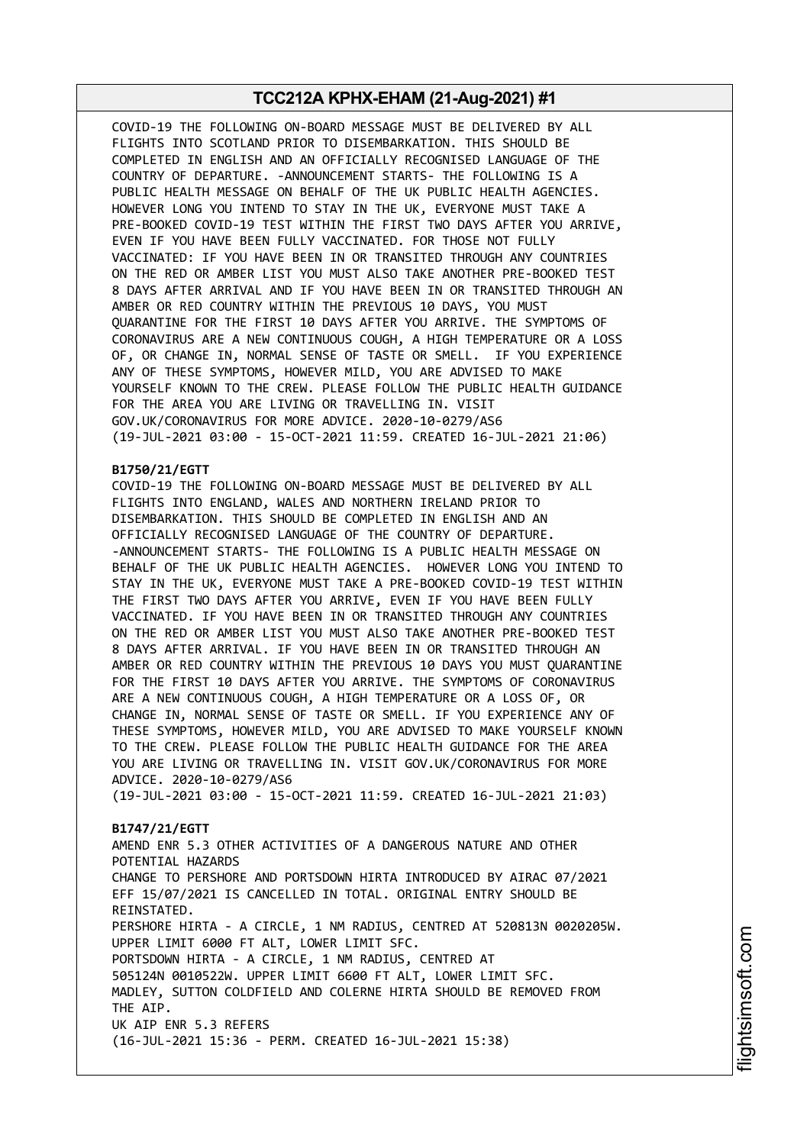COVID-19 THE FOLLOWING ON-BOARD MESSAGE MUST BE DELIVERED BY ALL FLIGHTS INTO SCOTLAND PRIOR TO DISEMBARKATION. THIS SHOULD BE COMPLETED IN ENGLISH AND AN OFFICIALLY RECOGNISED LANGUAGE OF THE COUNTRY OF DEPARTURE. -ANNOUNCEMENT STARTS- THE FOLLOWING IS A PUBLIC HEALTH MESSAGE ON BEHALF OF THE UK PUBLIC HEALTH AGENCIES. HOWEVER LONG YOU INTEND TO STAY IN THE UK, EVERYONE MUST TAKE A PRE-BOOKED COVID-19 TEST WITHIN THE FIRST TWO DAYS AFTER YOU ARRIVE, EVEN IF YOU HAVE BEEN FULLY VACCINATED. FOR THOSE NOT FULLY VACCINATED: IF YOU HAVE BEEN IN OR TRANSITED THROUGH ANY COUNTRIES ON THE RED OR AMBER LIST YOU MUST ALSO TAKE ANOTHER PRE-BOOKED TEST 8 DAYS AFTER ARRIVAL AND IF YOU HAVE BEEN IN OR TRANSITED THROUGH AN AMBER OR RED COUNTRY WITHIN THE PREVIOUS 10 DAYS, YOU MUST QUARANTINE FOR THE FIRST 10 DAYS AFTER YOU ARRIVE. THE SYMPTOMS OF CORONAVIRUS ARE A NEW CONTINUOUS COUGH, A HIGH TEMPERATURE OR A LOSS OF, OR CHANGE IN, NORMAL SENSE OF TASTE OR SMELL. IF YOU EXPERIENCE ANY OF THESE SYMPTOMS, HOWEVER MILD, YOU ARE ADVISED TO MAKE YOURSELF KNOWN TO THE CREW. PLEASE FOLLOW THE PUBLIC HEALTH GUIDANCE FOR THE AREA YOU ARE LIVING OR TRAVELLING IN. VISIT GOV.UK/CORONAVIRUS FOR MORE ADVICE. 2020-10-0279/AS6 (19-JUL-2021 03:00 - 15-OCT-2021 11:59. CREATED 16-JUL-2021 21:06)

### **B1750/21/EGTT**

COVID-19 THE FOLLOWING ON-BOARD MESSAGE MUST BE DELIVERED BY ALL FLIGHTS INTO ENGLAND, WALES AND NORTHERN IRELAND PRIOR TO DISEMBARKATION. THIS SHOULD BE COMPLETED IN ENGLISH AND AN OFFICIALLY RECOGNISED LANGUAGE OF THE COUNTRY OF DEPARTURE. -ANNOUNCEMENT STARTS- THE FOLLOWING IS A PUBLIC HEALTH MESSAGE ON BEHALF OF THE UK PUBLIC HEALTH AGENCIES. HOWEVER LONG YOU INTEND TO STAY IN THE UK, EVERYONE MUST TAKE A PRE-BOOKED COVID-19 TEST WITHIN THE FIRST TWO DAYS AFTER YOU ARRIVE, EVEN IF YOU HAVE BEEN FULLY VACCINATED. IF YOU HAVE BEEN IN OR TRANSITED THROUGH ANY COUNTRIES ON THE RED OR AMBER LIST YOU MUST ALSO TAKE ANOTHER PRE-BOOKED TEST 8 DAYS AFTER ARRIVAL. IF YOU HAVE BEEN IN OR TRANSITED THROUGH AN AMBER OR RED COUNTRY WITHIN THE PREVIOUS 10 DAYS YOU MUST QUARANTINE FOR THE FIRST 10 DAYS AFTER YOU ARRIVE. THE SYMPTOMS OF CORONAVIRUS ARE A NEW CONTINUOUS COUGH, A HIGH TEMPERATURE OR A LOSS OF, OR CHANGE IN, NORMAL SENSE OF TASTE OR SMELL. IF YOU EXPERIENCE ANY OF THESE SYMPTOMS, HOWEVER MILD, YOU ARE ADVISED TO MAKE YOURSELF KNOWN TO THE CREW. PLEASE FOLLOW THE PUBLIC HEALTH GUIDANCE FOR THE AREA YOU ARE LIVING OR TRAVELLING IN. VISIT GOV.UK/CORONAVIRUS FOR MORE ADVICE. 2020-10-0279/AS6

(19-JUL-2021 03:00 - 15-OCT-2021 11:59. CREATED 16-JUL-2021 21:03)

#### **B1747/21/EGTT**

AMEND ENR 5.3 OTHER ACTIVITIES OF A DANGEROUS NATURE AND OTHER POTENTIAL HAZARDS CHANGE TO PERSHORE AND PORTSDOWN HIRTA INTRODUCED BY AIRAC 07/2021 EFF 15/07/2021 IS CANCELLED IN TOTAL. ORIGINAL ENTRY SHOULD BE REINSTATED. PERSHORE HIRTA - A CIRCLE, 1 NM RADIUS, CENTRED AT 520813N 0020205W. UPPER LIMIT 6000 FT ALT, LOWER LIMIT SFC. PORTSDOWN HIRTA - A CIRCLE, 1 NM RADIUS, CENTRED AT 505124N 0010522W. UPPER LIMIT 6600 FT ALT, LOWER LIMIT SFC. MADLEY, SUTTON COLDFIELD AND COLERNE HIRTA SHOULD BE REMOVED FROM THE AIP. UK AIP ENR 5.3 REFERS (16-JUL-2021 15:36 - PERM. CREATED 16-JUL-2021 15:38)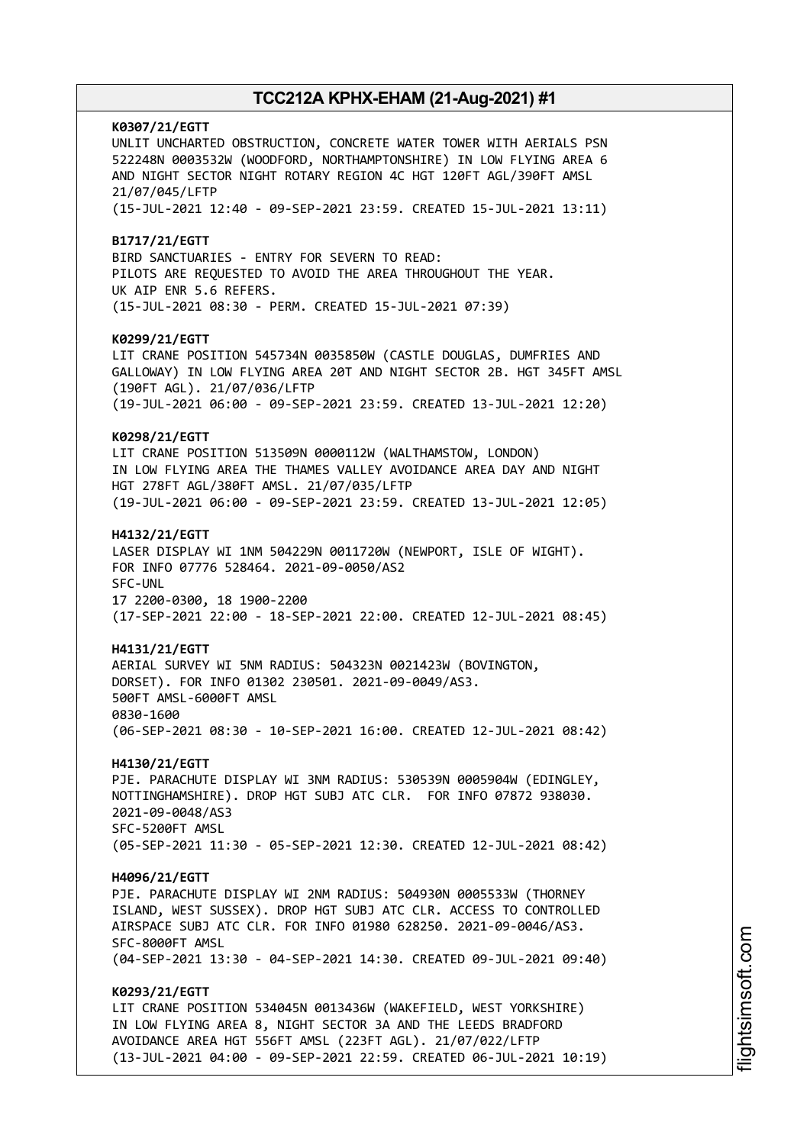**K0307/21/EGTT** UNLIT UNCHARTED OBSTRUCTION, CONCRETE WATER TOWER WITH AERIALS PSN 522248N 0003532W (WOODFORD, NORTHAMPTONSHIRE) IN LOW FLYING AREA 6 AND NIGHT SECTOR NIGHT ROTARY REGION 4C HGT 120FT AGL/390FT AMSL 21/07/045/LFTP (15-JUL-2021 12:40 - 09-SEP-2021 23:59. CREATED 15-JUL-2021 13:11) **B1717/21/EGTT** BIRD SANCTUARIES - ENTRY FOR SEVERN TO READ: PILOTS ARE REQUESTED TO AVOID THE AREA THROUGHOUT THE YEAR. UK AIP ENR 5.6 REFERS. (15-JUL-2021 08:30 - PERM. CREATED 15-JUL-2021 07:39) **K0299/21/EGTT** LIT CRANE POSITION 545734N 0035850W (CASTLE DOUGLAS, DUMFRIES AND GALLOWAY) IN LOW FLYING AREA 20T AND NIGHT SECTOR 2B. HGT 345FT AMSL (190FT AGL). 21/07/036/LFTP (19-JUL-2021 06:00 - 09-SEP-2021 23:59. CREATED 13-JUL-2021 12:20) **K0298/21/EGTT** LIT CRANE POSITION 513509N 0000112W (WALTHAMSTOW, LONDON) IN LOW FLYING AREA THE THAMES VALLEY AVOIDANCE AREA DAY AND NIGHT HGT 278FT AGL/380FT AMSL. 21/07/035/LFTP (19-JUL-2021 06:00 - 09-SEP-2021 23:59. CREATED 13-JUL-2021 12:05) **H4132/21/EGTT** LASER DISPLAY WI 1NM 504229N 0011720W (NEWPORT, ISLE OF WIGHT). FOR INFO 07776 528464. 2021-09-0050/AS2 SFC-UNL 17 2200-0300, 18 1900-2200 (17-SEP-2021 22:00 - 18-SEP-2021 22:00. CREATED 12-JUL-2021 08:45) **H4131/21/EGTT** AERIAL SURVEY WI 5NM RADIUS: 504323N 0021423W (BOVINGTON, DORSET). FOR INFO 01302 230501. 2021-09-0049/AS3. 500FT AMSL-6000FT AMSL 0830-1600 (06-SEP-2021 08:30 - 10-SEP-2021 16:00. CREATED 12-JUL-2021 08:42) **H4130/21/EGTT** PJE. PARACHUTE DISPLAY WI 3NM RADIUS: 530539N 0005904W (EDINGLEY, NOTTINGHAMSHIRE). DROP HGT SUBJ ATC CLR. FOR INFO 07872 938030. 2021-09-0048/AS3 SFC-5200FT AMSL (05-SEP-2021 11:30 - 05-SEP-2021 12:30. CREATED 12-JUL-2021 08:42) **H4096/21/EGTT** PJE. PARACHUTE DISPLAY WI 2NM RADIUS: 504930N 0005533W (THORNEY ISLAND, WEST SUSSEX). DROP HGT SUBJ ATC CLR. ACCESS TO CONTROLLED AIRSPACE SUBJ ATC CLR. FOR INFO 01980 628250. 2021-09-0046/AS3. SFC-8000FT AMSL (04-SEP-2021 13:30 - 04-SEP-2021 14:30. CREATED 09-JUL-2021 09:40) **K0293/21/EGTT** LIT CRANE POSITION 534045N 0013436W (WAKEFIELD, WEST YORKSHIRE) IN LOW FLYING AREA 8, NIGHT SECTOR 3A AND THE LEEDS BRADFORD AVOIDANCE AREA HGT 556FT AMSL (223FT AGL). 21/07/022/LFTP (13-JUL-2021 04:00 - 09-SEP-2021 22:59. CREATED 06-JUL-2021 10:19)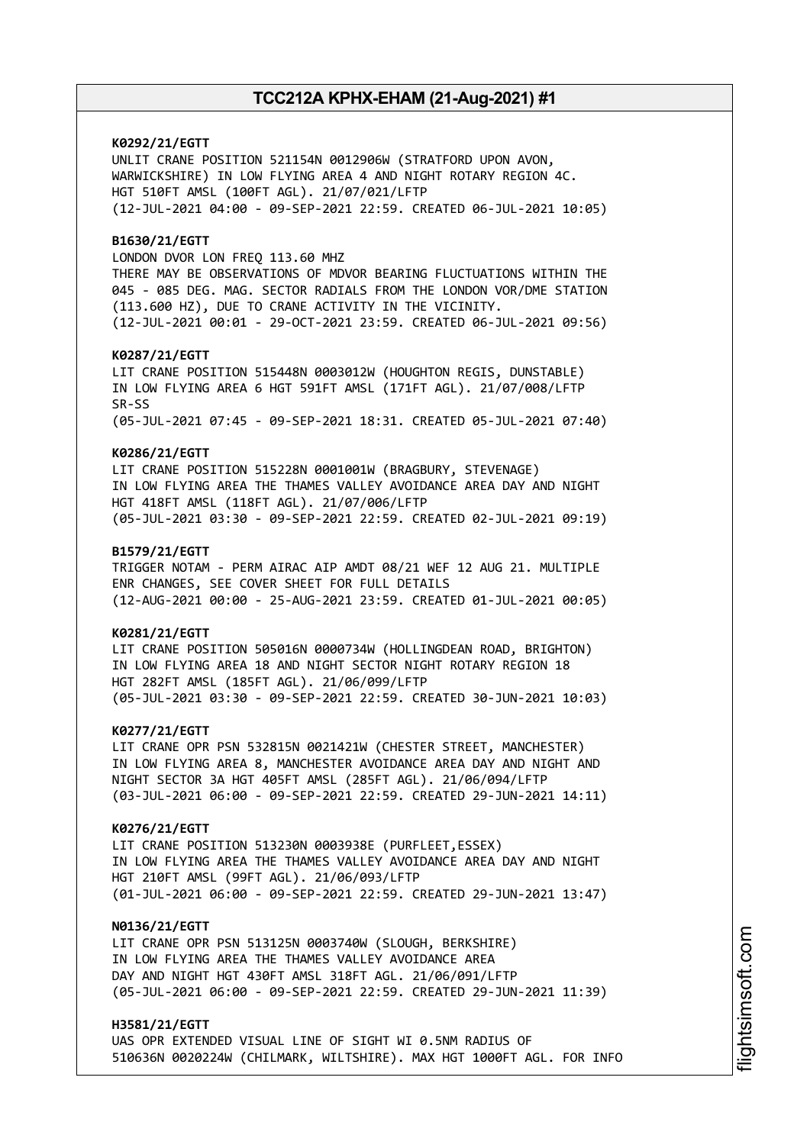**K0292/21/EGTT** UNLIT CRANE POSITION 521154N 0012906W (STRATFORD UPON AVON, WARWICKSHIRE) IN LOW FLYING AREA 4 AND NIGHT ROTARY REGION 4C. HGT 510FT AMSL (100FT AGL). 21/07/021/LFTP (12-JUL-2021 04:00 - 09-SEP-2021 22:59. CREATED 06-JUL-2021 10:05) **B1630/21/EGTT** LONDON DVOR LON FREQ 113.60 MHZ THERE MAY BE OBSERVATIONS OF MDVOR BEARING FLUCTUATIONS WITHIN THE 045 - 085 DEG. MAG. SECTOR RADIALS FROM THE LONDON VOR/DME STATION (113.600 HZ), DUE TO CRANE ACTIVITY IN THE VICINITY. (12-JUL-2021 00:01 - 29-OCT-2021 23:59. CREATED 06-JUL-2021 09:56) **K0287/21/EGTT** LIT CRANE POSITION 515448N 0003012W (HOUGHTON REGIS, DUNSTABLE) IN LOW FLYING AREA 6 HGT 591FT AMSL (171FT AGL). 21/07/008/LFTP SR-SS (05-JUL-2021 07:45 - 09-SEP-2021 18:31. CREATED 05-JUL-2021 07:40) **K0286/21/EGTT** LIT CRANE POSITION 515228N 0001001W (BRAGBURY, STEVENAGE) IN LOW FLYING AREA THE THAMES VALLEY AVOIDANCE AREA DAY AND NIGHT HGT 418FT AMSL (118FT AGL). 21/07/006/LFTP (05-JUL-2021 03:30 - 09-SEP-2021 22:59. CREATED 02-JUL-2021 09:19) **B1579/21/EGTT** TRIGGER NOTAM - PERM AIRAC AIP AMDT 08/21 WEF 12 AUG 21. MULTIPLE ENR CHANGES, SEE COVER SHEET FOR FULL DETAILS (12-AUG-2021 00:00 - 25-AUG-2021 23:59. CREATED 01-JUL-2021 00:05) **K0281/21/EGTT** LIT CRANE POSITION 505016N 0000734W (HOLLINGDEAN ROAD, BRIGHTON) IN LOW FLYING AREA 18 AND NIGHT SECTOR NIGHT ROTARY REGION 18 HGT 282FT AMSL (185FT AGL). 21/06/099/LFTP (05-JUL-2021 03:30 - 09-SEP-2021 22:59. CREATED 30-JUN-2021 10:03) **K0277/21/EGTT** LIT CRANE OPR PSN 532815N 0021421W (CHESTER STREET, MANCHESTER) IN LOW FLYING AREA 8, MANCHESTER AVOIDANCE AREA DAY AND NIGHT AND NIGHT SECTOR 3A HGT 405FT AMSL (285FT AGL). 21/06/094/LFTP (03-JUL-2021 06:00 - 09-SEP-2021 22:59. CREATED 29-JUN-2021 14:11) **K0276/21/EGTT** LIT CRANE POSITION 513230N 0003938E (PURFLEET,ESSEX) IN LOW FLYING AREA THE THAMES VALLEY AVOIDANCE AREA DAY AND NIGHT HGT 210FT AMSL (99FT AGL). 21/06/093/LFTP (01-JUL-2021 06:00 - 09-SEP-2021 22:59. CREATED 29-JUN-2021 13:47) **N0136/21/EGTT** LIT CRANE OPR PSN 513125N 0003740W (SLOUGH, BERKSHIRE) IN LOW FLYING AREA THE THAMES VALLEY AVOIDANCE AREA DAY AND NIGHT HGT 430FT AMSL 318FT AGL. 21/06/091/LFTP (05-JUL-2021 06:00 - 09-SEP-2021 22:59. CREATED 29-JUN-2021 11:39) **H3581/21/EGTT**

UAS OPR EXTENDED VISUAL LINE OF SIGHT WI 0.5NM RADIUS OF 510636N 0020224W (CHILMARK, WILTSHIRE). MAX HGT 1000FT AGL. FOR INFO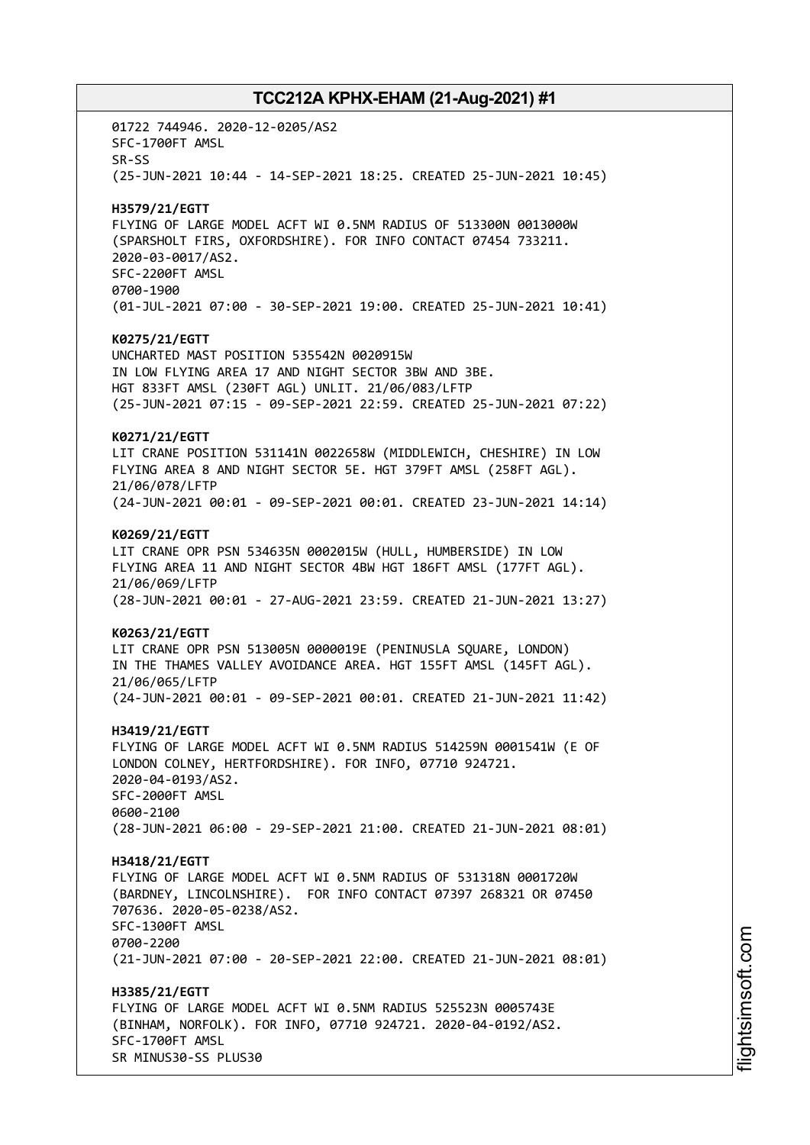01722 744946. 2020-12-0205/AS2 SFC-1700FT AMSL SR-SS (25-JUN-2021 10:44 - 14-SEP-2021 18:25. CREATED 25-JUN-2021 10:45) **H3579/21/EGTT** FLYING OF LARGE MODEL ACFT WI 0.5NM RADIUS OF 513300N 0013000W (SPARSHOLT FIRS, OXFORDSHIRE). FOR INFO CONTACT 07454 733211. 2020-03-0017/AS2. SFC-2200FT AMSL 0700-1900 (01-JUL-2021 07:00 - 30-SEP-2021 19:00. CREATED 25-JUN-2021 10:41) **K0275/21/EGTT** UNCHARTED MAST POSITION 535542N 0020915W IN LOW FLYING AREA 17 AND NIGHT SECTOR 3BW AND 3BE. HGT 833FT AMSL (230FT AGL) UNLIT. 21/06/083/LFTP (25-JUN-2021 07:15 - 09-SEP-2021 22:59. CREATED 25-JUN-2021 07:22) **K0271/21/EGTT** LIT CRANE POSITION 531141N 0022658W (MIDDLEWICH, CHESHIRE) IN LOW FLYING AREA 8 AND NIGHT SECTOR 5E. HGT 379FT AMSL (258FT AGL). 21/06/078/LFTP (24-JUN-2021 00:01 - 09-SEP-2021 00:01. CREATED 23-JUN-2021 14:14) **K0269/21/EGTT** LIT CRANE OPR PSN 534635N 0002015W (HULL, HUMBERSIDE) IN LOW FLYING AREA 11 AND NIGHT SECTOR 4BW HGT 186FT AMSL (177FT AGL). 21/06/069/LFTP (28-JUN-2021 00:01 - 27-AUG-2021 23:59. CREATED 21-JUN-2021 13:27) **K0263/21/EGTT** LIT CRANE OPR PSN 513005N 0000019E (PENINUSLA SQUARE, LONDON) IN THE THAMES VALLEY AVOIDANCE AREA. HGT 155FT AMSL (145FT AGL). 21/06/065/LFTP (24-JUN-2021 00:01 - 09-SEP-2021 00:01. CREATED 21-JUN-2021 11:42) **H3419/21/EGTT** FLYING OF LARGE MODEL ACFT WI 0.5NM RADIUS 514259N 0001541W (E OF LONDON COLNEY, HERTFORDSHIRE). FOR INFO, 07710 924721. 2020-04-0193/AS2. SFC-2000FT AMSL 0600-2100 (28-JUN-2021 06:00 - 29-SEP-2021 21:00. CREATED 21-JUN-2021 08:01) **H3418/21/EGTT** FLYING OF LARGE MODEL ACFT WI 0.5NM RADIUS OF 531318N 0001720W (BARDNEY, LINCOLNSHIRE). FOR INFO CONTACT 07397 268321 OR 07450 707636. 2020-05-0238/AS2. SFC-1300FT AMSL 0700-2200 (21-JUN-2021 07:00 - 20-SEP-2021 22:00. CREATED 21-JUN-2021 08:01) **H3385/21/EGTT** FLYING OF LARGE MODEL ACFT WI 0.5NM RADIUS 525523N 0005743E (BINHAM, NORFOLK). FOR INFO, 07710 924721. 2020-04-0192/AS2. SFC-1700FT AMSL SR MINUS30-SS PLUS30

i⊒<br>⊫ htsim soft.c om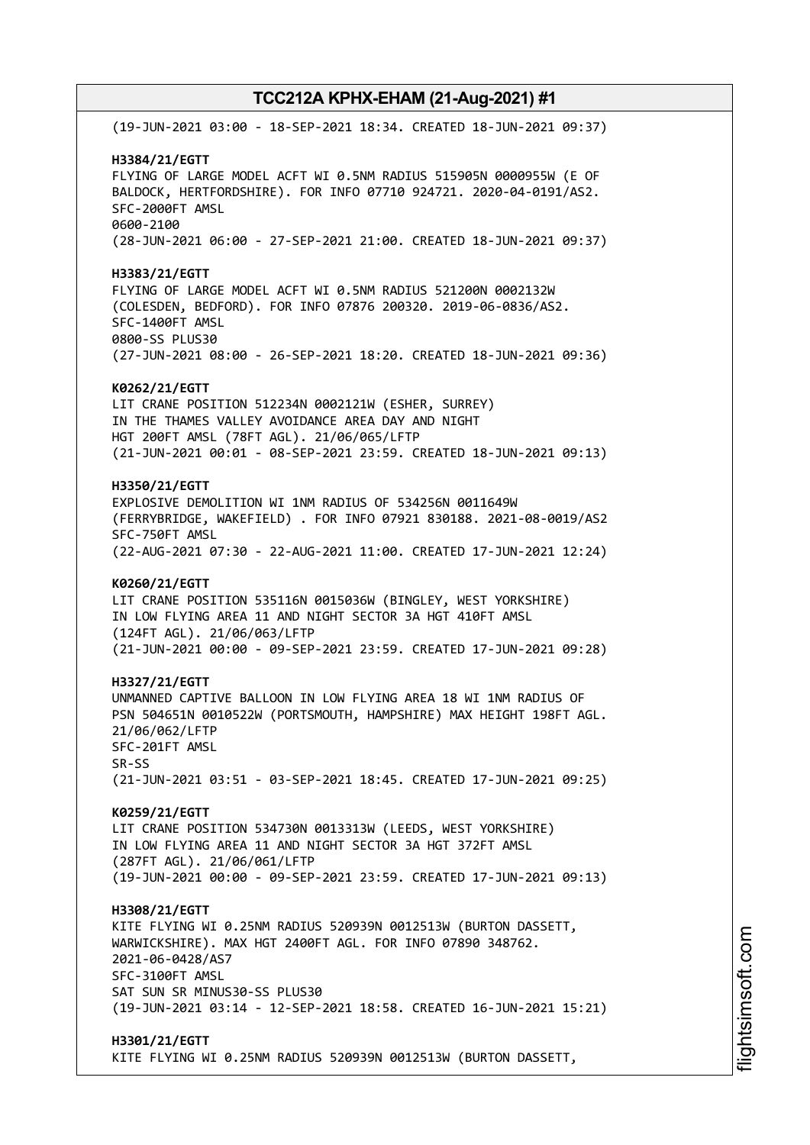(19-JUN-2021 03:00 - 18-SEP-2021 18:34. CREATED 18-JUN-2021 09:37) **H3384/21/EGTT** FLYING OF LARGE MODEL ACFT WI 0.5NM RADIUS 515905N 0000955W (E OF BALDOCK, HERTFORDSHIRE). FOR INFO 07710 924721. 2020-04-0191/AS2. SFC-2000FT AMSL 0600-2100 (28-JUN-2021 06:00 - 27-SEP-2021 21:00. CREATED 18-JUN-2021 09:37) **H3383/21/EGTT** FLYING OF LARGE MODEL ACFT WI 0.5NM RADIUS 521200N 0002132W (COLESDEN, BEDFORD). FOR INFO 07876 200320. 2019-06-0836/AS2. SFC-1400FT AMSL 0800-SS PLUS30 (27-JUN-2021 08:00 - 26-SEP-2021 18:20. CREATED 18-JUN-2021 09:36) **K0262/21/EGTT** LIT CRANE POSITION 512234N 0002121W (ESHER, SURREY) IN THE THAMES VALLEY AVOIDANCE AREA DAY AND NIGHT HGT 200FT AMSL (78FT AGL). 21/06/065/LFTP (21-JUN-2021 00:01 - 08-SEP-2021 23:59. CREATED 18-JUN-2021 09:13) **H3350/21/EGTT** EXPLOSIVE DEMOLITION WI 1NM RADIUS OF 534256N 0011649W (FERRYBRIDGE, WAKEFIELD) . FOR INFO 07921 830188. 2021-08-0019/AS2 SFC-750FT AMSL (22-AUG-2021 07:30 - 22-AUG-2021 11:00. CREATED 17-JUN-2021 12:24) **K0260/21/EGTT** LIT CRANE POSITION 535116N 0015036W (BINGLEY, WEST YORKSHIRE) IN LOW FLYING AREA 11 AND NIGHT SECTOR 3A HGT 410FT AMSL (124FT AGL). 21/06/063/LFTP (21-JUN-2021 00:00 - 09-SEP-2021 23:59. CREATED 17-JUN-2021 09:28) **H3327/21/EGTT** UNMANNED CAPTIVE BALLOON IN LOW FLYING AREA 18 WI 1NM RADIUS OF PSN 504651N 0010522W (PORTSMOUTH, HAMPSHIRE) MAX HEIGHT 198FT AGL. 21/06/062/LFTP SFC-201FT AMSL SR-SS (21-JUN-2021 03:51 - 03-SEP-2021 18:45. CREATED 17-JUN-2021 09:25) **K0259/21/EGTT** LIT CRANE POSITION 534730N 0013313W (LEEDS, WEST YORKSHIRE) IN LOW FLYING AREA 11 AND NIGHT SECTOR 3A HGT 372FT AMSL (287FT AGL). 21/06/061/LFTP (19-JUN-2021 00:00 - 09-SEP-2021 23:59. CREATED 17-JUN-2021 09:13) **H3308/21/EGTT** KITE FLYING WI 0.25NM RADIUS 520939N 0012513W (BURTON DASSETT, WARWICKSHIRE). MAX HGT 2400FT AGL. FOR INFO 07890 348762. 2021-06-0428/AS7 SFC-3100FT AMSL SAT SUN SR MINUS30-SS PLUS30 (19-JUN-2021 03:14 - 12-SEP-2021 18:58. CREATED 16-JUN-2021 15:21) **H3301/21/EGTT** KITE FLYING WI 0.25NM RADIUS 520939N 0012513W (BURTON DASSETT,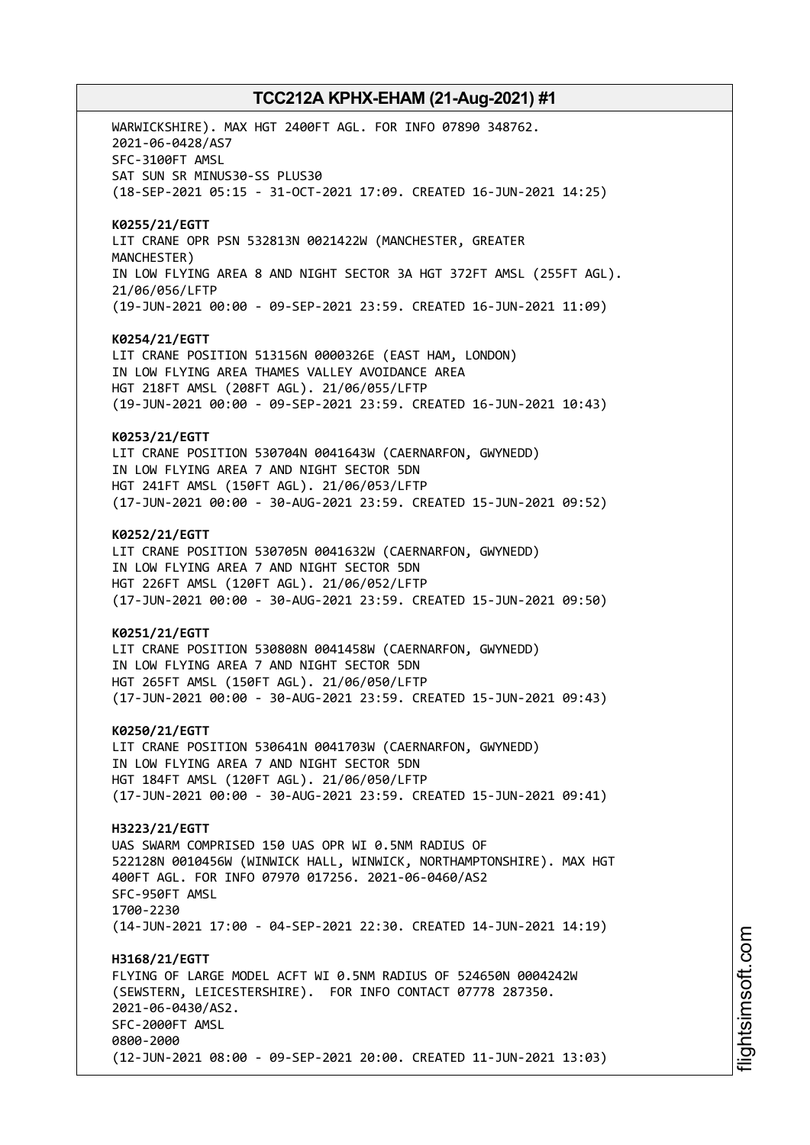WARWICKSHIRE). MAX HGT 2400FT AGL. FOR INFO 07890 348762. 2021-06-0428/AS7 SFC-3100FT AMSL SAT SUN SR MINUS30-SS PLUS30 (18-SEP-2021 05:15 - 31-OCT-2021 17:09. CREATED 16-JUN-2021 14:25) **K0255/21/EGTT** LIT CRANE OPR PSN 532813N 0021422W (MANCHESTER, GREATER MANCHESTER) IN LOW FLYING AREA 8 AND NIGHT SECTOR 3A HGT 372FT AMSL (255FT AGL). 21/06/056/LFTP (19-JUN-2021 00:00 - 09-SEP-2021 23:59. CREATED 16-JUN-2021 11:09) **K0254/21/EGTT** LIT CRANE POSITION 513156N 0000326E (EAST HAM, LONDON) IN LOW FLYING AREA THAMES VALLEY AVOIDANCE AREA HGT 218FT AMSL (208FT AGL). 21/06/055/LFTP (19-JUN-2021 00:00 - 09-SEP-2021 23:59. CREATED 16-JUN-2021 10:43) **K0253/21/EGTT** LIT CRANE POSITION 530704N 0041643W (CAERNARFON, GWYNEDD) IN LOW FLYING AREA 7 AND NIGHT SECTOR 5DN HGT 241FT AMSL (150FT AGL). 21/06/053/LFTP (17-JUN-2021 00:00 - 30-AUG-2021 23:59. CREATED 15-JUN-2021 09:52) **K0252/21/EGTT** LIT CRANE POSITION 530705N 0041632W (CAERNARFON, GWYNEDD) IN LOW FLYING AREA 7 AND NIGHT SECTOR 5DN HGT 226FT AMSL (120FT AGL). 21/06/052/LFTP (17-JUN-2021 00:00 - 30-AUG-2021 23:59. CREATED 15-JUN-2021 09:50) **K0251/21/EGTT** LIT CRANE POSITION 530808N 0041458W (CAERNARFON, GWYNEDD) IN LOW FLYING AREA 7 AND NIGHT SECTOR 5DN HGT 265FT AMSL (150FT AGL). 21/06/050/LFTP (17-JUN-2021 00:00 - 30-AUG-2021 23:59. CREATED 15-JUN-2021 09:43) **K0250/21/EGTT** LIT CRANE POSITION 530641N 0041703W (CAERNARFON, GWYNEDD) IN LOW FLYING AREA 7 AND NIGHT SECTOR 5DN HGT 184FT AMSL (120FT AGL). 21/06/050/LFTP (17-JUN-2021 00:00 - 30-AUG-2021 23:59. CREATED 15-JUN-2021 09:41) **H3223/21/EGTT** UAS SWARM COMPRISED 150 UAS OPR WI 0.5NM RADIUS OF 522128N 0010456W (WINWICK HALL, WINWICK, NORTHAMPTONSHIRE). MAX HGT 400FT AGL. FOR INFO 07970 017256. 2021-06-0460/AS2 SFC-950FT AMSL 1700-2230 (14-JUN-2021 17:00 - 04-SEP-2021 22:30. CREATED 14-JUN-2021 14:19) **H3168/21/EGTT** FLYING OF LARGE MODEL ACFT WI 0.5NM RADIUS OF 524650N 0004242W (SEWSTERN, LEICESTERSHIRE). FOR INFO CONTACT 07778 287350. 2021-06-0430/AS2. SFC-2000FT AMSL 0800-2000 (12-JUN-2021 08:00 - 09-SEP-2021 20:00. CREATED 11-JUN-2021 13:03)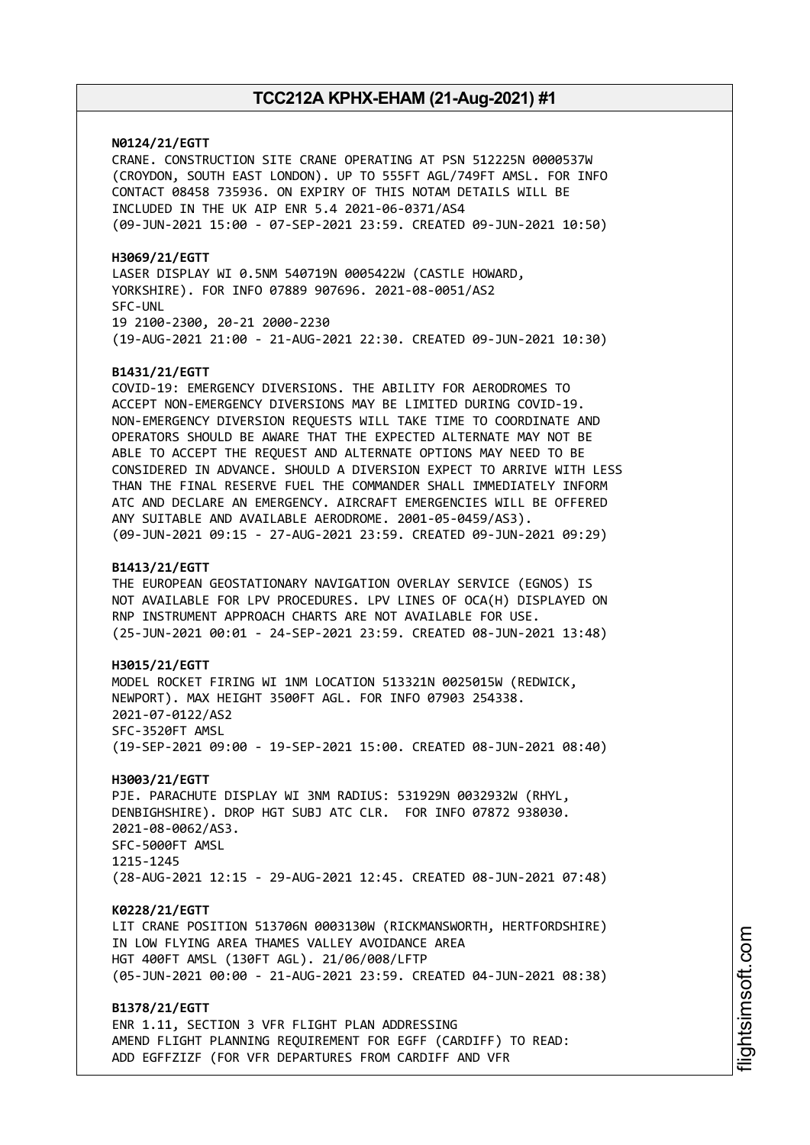**N0124/21/EGTT**

CRANE. CONSTRUCTION SITE CRANE OPERATING AT PSN 512225N 0000537W (CROYDON, SOUTH EAST LONDON). UP TO 555FT AGL/749FT AMSL. FOR INFO CONTACT 08458 735936. ON EXPIRY OF THIS NOTAM DETAILS WILL BE INCLUDED IN THE UK AIP ENR 5.4 2021-06-0371/AS4 (09-JUN-2021 15:00 - 07-SEP-2021 23:59. CREATED 09-JUN-2021 10:50)

**H3069/21/EGTT** LASER DISPLAY WI 0.5NM 540719N 0005422W (CASTLE HOWARD, YORKSHIRE). FOR INFO 07889 907696. 2021-08-0051/AS2 SFC-UNL 19 2100-2300, 20-21 2000-2230 (19-AUG-2021 21:00 - 21-AUG-2021 22:30. CREATED 09-JUN-2021 10:30)

### **B1431/21/EGTT**

COVID-19: EMERGENCY DIVERSIONS. THE ABILITY FOR AERODROMES TO ACCEPT NON-EMERGENCY DIVERSIONS MAY BE LIMITED DURING COVID-19. NON-EMERGENCY DIVERSION REQUESTS WILL TAKE TIME TO COORDINATE AND OPERATORS SHOULD BE AWARE THAT THE EXPECTED ALTERNATE MAY NOT BE ABLE TO ACCEPT THE REQUEST AND ALTERNATE OPTIONS MAY NEED TO BE CONSIDERED IN ADVANCE. SHOULD A DIVERSION EXPECT TO ARRIVE WITH LESS THAN THE FINAL RESERVE FUEL THE COMMANDER SHALL IMMEDIATELY INFORM ATC AND DECLARE AN EMERGENCY. AIRCRAFT EMERGENCIES WILL BE OFFERED ANY SUITABLE AND AVAILABLE AERODROME. 2001-05-0459/AS3). (09-JUN-2021 09:15 - 27-AUG-2021 23:59. CREATED 09-JUN-2021 09:29)

#### **B1413/21/EGTT**

THE EUROPEAN GEOSTATIONARY NAVIGATION OVERLAY SERVICE (EGNOS) IS NOT AVAILABLE FOR LPV PROCEDURES. LPV LINES OF OCA(H) DISPLAYED ON RNP INSTRUMENT APPROACH CHARTS ARE NOT AVAILABLE FOR USE. (25-JUN-2021 00:01 - 24-SEP-2021 23:59. CREATED 08-JUN-2021 13:48)

**H3015/21/EGTT** MODEL ROCKET FIRING WI 1NM LOCATION 513321N 0025015W (REDWICK, NEWPORT). MAX HEIGHT 3500FT AGL. FOR INFO 07903 254338. 2021-07-0122/AS2 SFC-3520FT AMSL (19-SEP-2021 09:00 - 19-SEP-2021 15:00. CREATED 08-JUN-2021 08:40)

**H3003/21/EGTT** PJE. PARACHUTE DISPLAY WI 3NM RADIUS: 531929N 0032932W (RHYL, DENBIGHSHIRE). DROP HGT SUBJ ATC CLR. FOR INFO 07872 938030. 2021-08-0062/AS3. SFC-5000FT AMSL 1215-1245 (28-AUG-2021 12:15 - 29-AUG-2021 12:45. CREATED 08-JUN-2021 07:48)

**K0228/21/EGTT**

LIT CRANE POSITION 513706N 0003130W (RICKMANSWORTH, HERTFORDSHIRE) IN LOW FLYING AREA THAMES VALLEY AVOIDANCE AREA HGT 400FT AMSL (130FT AGL). 21/06/008/LFTP (05-JUN-2021 00:00 - 21-AUG-2021 23:59. CREATED 04-JUN-2021 08:38)

**B1378/21/EGTT** ENR 1.11, SECTION 3 VFR FLIGHT PLAN ADDRESSING AMEND FLIGHT PLANNING REQUIREMENT FOR EGFF (CARDIFF) TO READ: ADD EGFFZIZF (FOR VFR DEPARTURES FROM CARDIFF AND VFR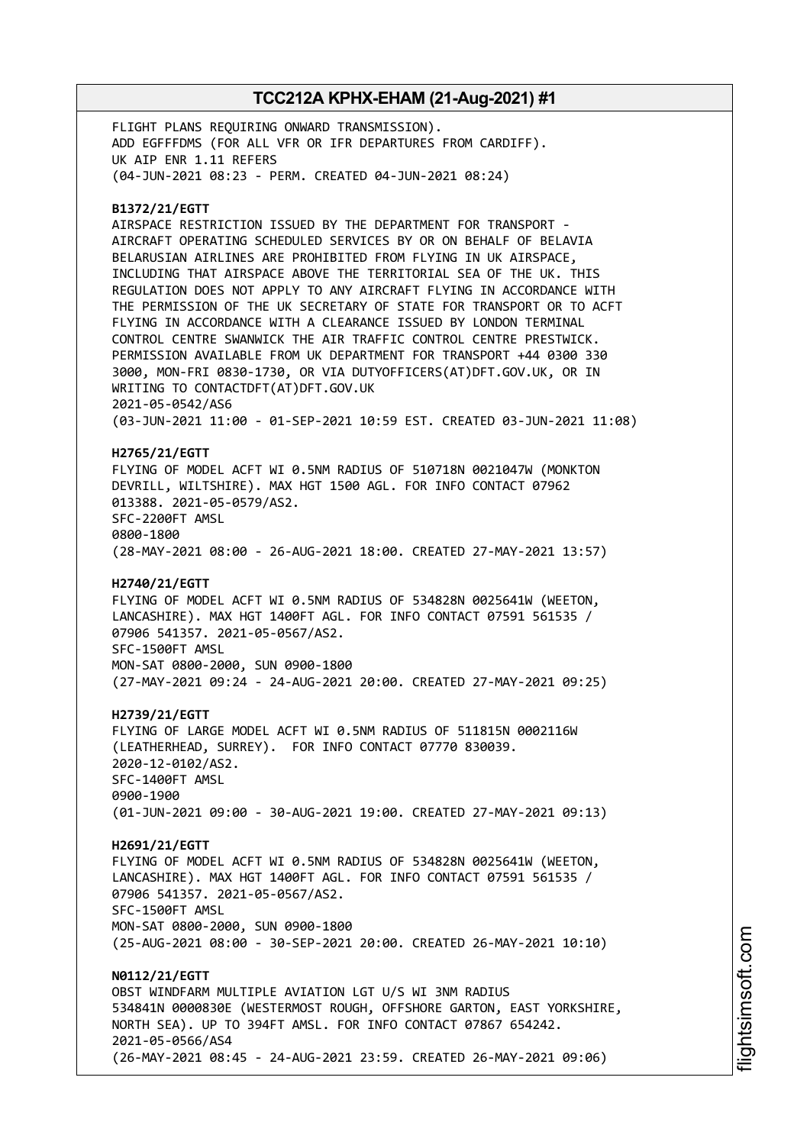FLIGHT PLANS REQUIRING ONWARD TRANSMISSION). ADD EGFFFDMS (FOR ALL VFR OR IFR DEPARTURES FROM CARDIFF). UK AIP ENR 1.11 REFERS (04-JUN-2021 08:23 - PERM. CREATED 04-JUN-2021 08:24)

### **B1372/21/EGTT**

AIRSPACE RESTRICTION ISSUED BY THE DEPARTMENT FOR TRANSPORT - AIRCRAFT OPERATING SCHEDULED SERVICES BY OR ON BEHALF OF BELAVIA BELARUSIAN AIRLINES ARE PROHIBITED FROM FLYING IN UK AIRSPACE, INCLUDING THAT AIRSPACE ABOVE THE TERRITORIAL SEA OF THE UK. THIS REGULATION DOES NOT APPLY TO ANY AIRCRAFT FLYING IN ACCORDANCE WITH THE PERMISSION OF THE UK SECRETARY OF STATE FOR TRANSPORT OR TO ACFT FLYING IN ACCORDANCE WITH A CLEARANCE ISSUED BY LONDON TERMINAL CONTROL CENTRE SWANWICK THE AIR TRAFFIC CONTROL CENTRE PRESTWICK. PERMISSION AVAILABLE FROM UK DEPARTMENT FOR TRANSPORT +44 0300 330 3000, MON-FRI 0830-1730, OR VIA DUTYOFFICERS(AT)DFT.GOV.UK, OR IN WRITING TO CONTACTDFT(AT)DFT.GOV.UK 2021-05-0542/AS6 (03-JUN-2021 11:00 - 01-SEP-2021 10:59 EST. CREATED 03-JUN-2021 11:08)

**H2765/21/EGTT** FLYING OF MODEL ACFT WI 0.5NM RADIUS OF 510718N 0021047W (MONKTON DEVRILL, WILTSHIRE). MAX HGT 1500 AGL. FOR INFO CONTACT 07962 013388. 2021-05-0579/AS2. SFC-2200FT AMSL

0800-1800 (28-MAY-2021 08:00 - 26-AUG-2021 18:00. CREATED 27-MAY-2021 13:57)

### **H2740/21/EGTT**

FLYING OF MODEL ACFT WI 0.5NM RADIUS OF 534828N 0025641W (WEETON, LANCASHIRE). MAX HGT 1400FT AGL. FOR INFO CONTACT 07591 561535 / 07906 541357. 2021-05-0567/AS2. SFC-1500FT AMSL MON-SAT 0800-2000, SUN 0900-1800

(27-MAY-2021 09:24 - 24-AUG-2021 20:00. CREATED 27-MAY-2021 09:25)

**H2739/21/EGTT**

FLYING OF LARGE MODEL ACFT WI 0.5NM RADIUS OF 511815N 0002116W (LEATHERHEAD, SURREY). FOR INFO CONTACT 07770 830039. 2020-12-0102/AS2. SFC-1400FT AMSL 0900-1900 (01-JUN-2021 09:00 - 30-AUG-2021 19:00. CREATED 27-MAY-2021 09:13)

**H2691/21/EGTT** FLYING OF MODEL ACFT WI 0.5NM RADIUS OF 534828N 0025641W (WEETON, LANCASHIRE). MAX HGT 1400FT AGL. FOR INFO CONTACT 07591 561535 / 07906 541357. 2021-05-0567/AS2. SFC-1500FT AMSL MON-SAT 0800-2000, SUN 0900-1800 (25-AUG-2021 08:00 - 30-SEP-2021 20:00. CREATED 26-MAY-2021 10:10)

**N0112/21/EGTT** OBST WINDFARM MULTIPLE AVIATION LGT U/S WI 3NM RADIUS 534841N 0000830E (WESTERMOST ROUGH, OFFSHORE GARTON, EAST YORKSHIRE, NORTH SEA). UP TO 394FT AMSL. FOR INFO CONTACT 07867 654242. 2021-05-0566/AS4 (26-MAY-2021 08:45 - 24-AUG-2021 23:59. CREATED 26-MAY-2021 09:06)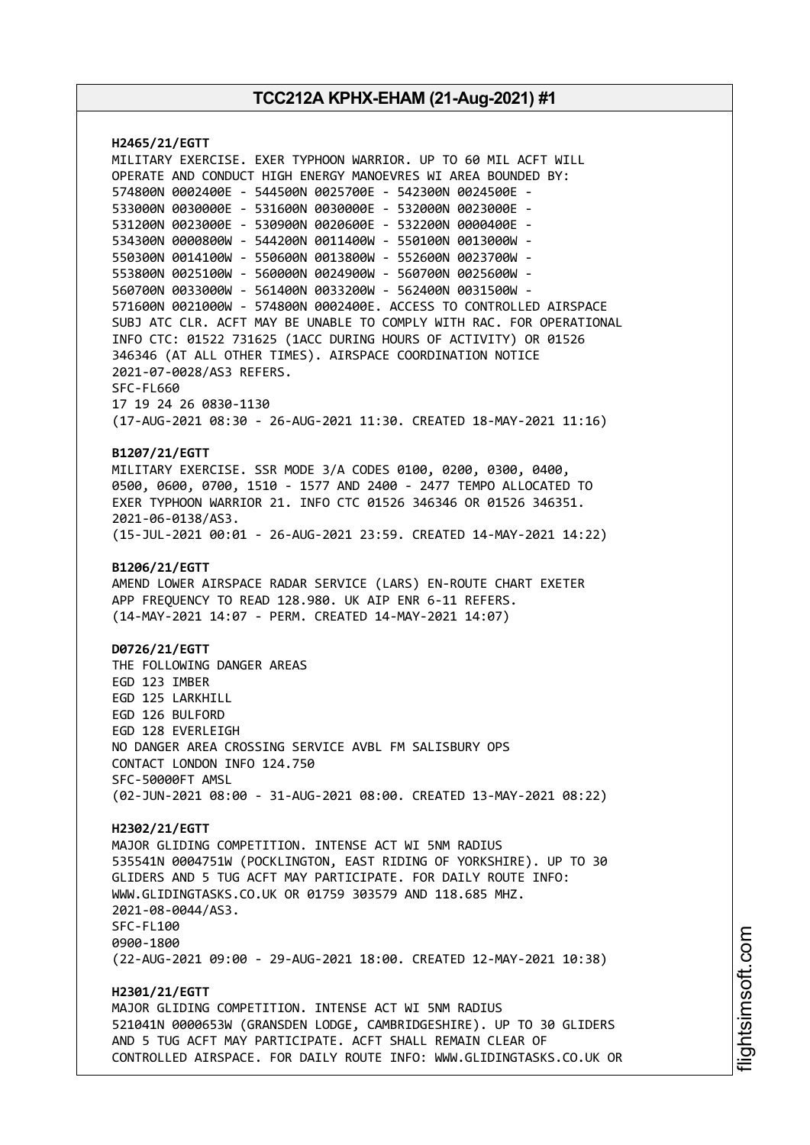**H2465/21/EGTT** MILITARY EXERCISE. EXER TYPHOON WARRIOR. UP TO 60 MIL ACFT WILL OPERATE AND CONDUCT HIGH ENERGY MANOEVRES WI AREA BOUNDED BY: 574800N 0002400E - 544500N 0025700E - 542300N 0024500E - 533000N 0030000E - 531600N 0030000E - 532000N 0023000E - 531200N 0023000E - 530900N 0020600E - 532200N 0000400E - 534300N 0000800W - 544200N 0011400W - 550100N 0013000W - 550300N 0014100W - 550600N 0013800W - 552600N 0023700W - 553800N 0025100W - 560000N 0024900W - 560700N 0025600W - 560700N 0033000W - 561400N 0033200W - 562400N 0031500W - 571600N 0021000W - 574800N 0002400E. ACCESS TO CONTROLLED AIRSPACE SUBJ ATC CLR. ACFT MAY BE UNABLE TO COMPLY WITH RAC. FOR OPERATIONAL INFO CTC: 01522 731625 (1ACC DURING HOURS OF ACTIVITY) OR 01526 346346 (AT ALL OTHER TIMES). AIRSPACE COORDINATION NOTICE 2021-07-0028/AS3 REFERS. SFC-FL660 17 19 24 26 0830-1130 (17-AUG-2021 08:30 - 26-AUG-2021 11:30. CREATED 18-MAY-2021 11:16) **B1207/21/EGTT** MILITARY EXERCISE. SSR MODE 3/A CODES 0100, 0200, 0300, 0400, 0500, 0600, 0700, 1510 - 1577 AND 2400 - 2477 TEMPO ALLOCATED TO EXER TYPHOON WARRIOR 21. INFO CTC 01526 346346 OR 01526 346351. 2021-06-0138/AS3. (15-JUL-2021 00:01 - 26-AUG-2021 23:59. CREATED 14-MAY-2021 14:22) **B1206/21/EGTT** AMEND LOWER AIRSPACE RADAR SERVICE (LARS) EN-ROUTE CHART EXETER APP FREQUENCY TO READ 128.980. UK AIP ENR 6-11 REFERS. (14-MAY-2021 14:07 - PERM. CREATED 14-MAY-2021 14:07) **D0726/21/EGTT** THE FOLLOWING DANGER AREAS EGD 123 IMBER EGD 125 LARKHILL EGD 126 BULFORD EGD 128 EVERLEIGH NO DANGER AREA CROSSING SERVICE AVBL FM SALISBURY OPS CONTACT LONDON INFO 124.750 SFC-50000FT AMSL (02-JUN-2021 08:00 - 31-AUG-2021 08:00. CREATED 13-MAY-2021 08:22) **H2302/21/EGTT** MAJOR GLIDING COMPETITION. INTENSE ACT WI 5NM RADIUS 535541N 0004751W (POCKLINGTON, EAST RIDING OF YORKSHIRE). UP TO 30 GLIDERS AND 5 TUG ACFT MAY PARTICIPATE. FOR DAILY ROUTE INFO: WWW.GLIDINGTASKS.CO.UK OR 01759 303579 AND 118.685 MHZ. 2021-08-0044/AS3. SFC-FL100 0900-1800 (22-AUG-2021 09:00 - 29-AUG-2021 18:00. CREATED 12-MAY-2021 10:38) **H2301/21/EGTT** MAJOR GLIDING COMPETITION. INTENSE ACT WI 5NM RADIUS 521041N 0000653W (GRANSDEN LODGE, CAMBRIDGESHIRE). UP TO 30 GLIDERS AND 5 TUG ACFT MAY PARTICIPATE. ACFT SHALL REMAIN CLEAR OF CONTROLLED AIRSPACE. FOR DAILY ROUTE INFO: WWW.GLIDINGTASKS.CO.UK OR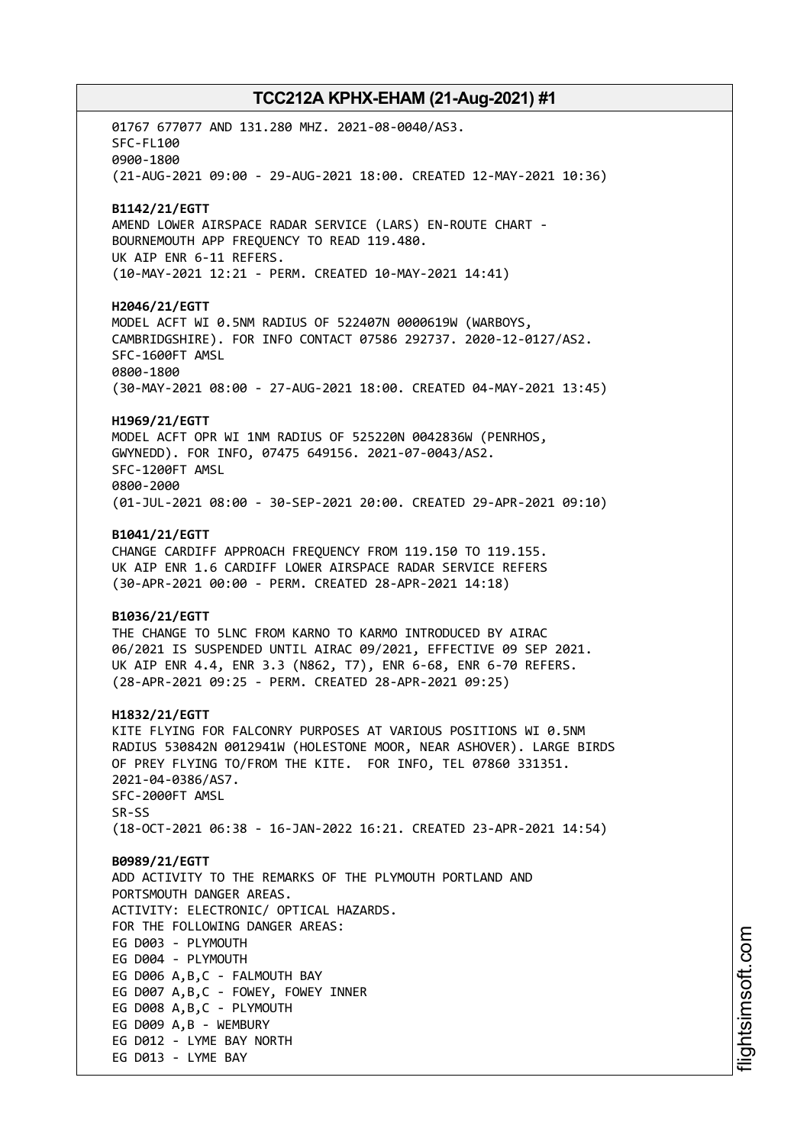01767 677077 AND 131.280 MHZ. 2021-08-0040/AS3. SFC-FL100 0900-1800 (21-AUG-2021 09:00 - 29-AUG-2021 18:00. CREATED 12-MAY-2021 10:36) **B1142/21/EGTT** AMEND LOWER AIRSPACE RADAR SERVICE (LARS) EN-ROUTE CHART - BOURNEMOUTH APP FREQUENCY TO READ 119.480. UK AIP ENR 6-11 REFERS. (10-MAY-2021 12:21 - PERM. CREATED 10-MAY-2021 14:41) **H2046/21/EGTT** MODEL ACFT WI 0.5NM RADIUS OF 522407N 0000619W (WARBOYS, CAMBRIDGSHIRE). FOR INFO CONTACT 07586 292737. 2020-12-0127/AS2. SFC-1600FT AMSL 0800-1800 (30-MAY-2021 08:00 - 27-AUG-2021 18:00. CREATED 04-MAY-2021 13:45) **H1969/21/EGTT** MODEL ACFT OPR WI 1NM RADIUS OF 525220N 0042836W (PENRHOS, GWYNEDD). FOR INFO, 07475 649156. 2021-07-0043/AS2. SFC-1200FT AMSL 0800-2000 (01-JUL-2021 08:00 - 30-SEP-2021 20:00. CREATED 29-APR-2021 09:10) **B1041/21/EGTT** CHANGE CARDIFF APPROACH FREQUENCY FROM 119.150 TO 119.155. UK AIP ENR 1.6 CARDIFF LOWER AIRSPACE RADAR SERVICE REFERS (30-APR-2021 00:00 - PERM. CREATED 28-APR-2021 14:18) **B1036/21/EGTT** THE CHANGE TO 5LNC FROM KARNO TO KARMO INTRODUCED BY AIRAC 06/2021 IS SUSPENDED UNTIL AIRAC 09/2021, EFFECTIVE 09 SEP 2021. UK AIP ENR 4.4, ENR 3.3 (N862, T7), ENR 6-68, ENR 6-70 REFERS. (28-APR-2021 09:25 - PERM. CREATED 28-APR-2021 09:25) **H1832/21/EGTT** KITE FLYING FOR FALCONRY PURPOSES AT VARIOUS POSITIONS WI 0.5NM RADIUS 530842N 0012941W (HOLESTONE MOOR, NEAR ASHOVER). LARGE BIRDS OF PREY FLYING TO/FROM THE KITE. FOR INFO, TEL 07860 331351. 2021-04-0386/AS7. SFC-2000FT AMSL SR-SS (18-OCT-2021 06:38 - 16-JAN-2022 16:21. CREATED 23-APR-2021 14:54) **B0989/21/EGTT** ADD ACTIVITY TO THE REMARKS OF THE PLYMOUTH PORTLAND AND PORTSMOUTH DANGER AREAS. ACTIVITY: ELECTRONIC/ OPTICAL HAZARDS. FOR THE FOLLOWING DANGER AREAS: EG D003 - PLYMOUTH EG D004 - PLYMOUTH EG D006 A,B,C - FALMOUTH BAY EG D007 A,B,C - FOWEY, FOWEY INNER EG D008 A,B,C - PLYMOUTH EG D009 A,B - WEMBURY EG D012 - LYME BAY NORTH EG D013 - LYME BAY

i⊒<br>⊫ htsim soft.c om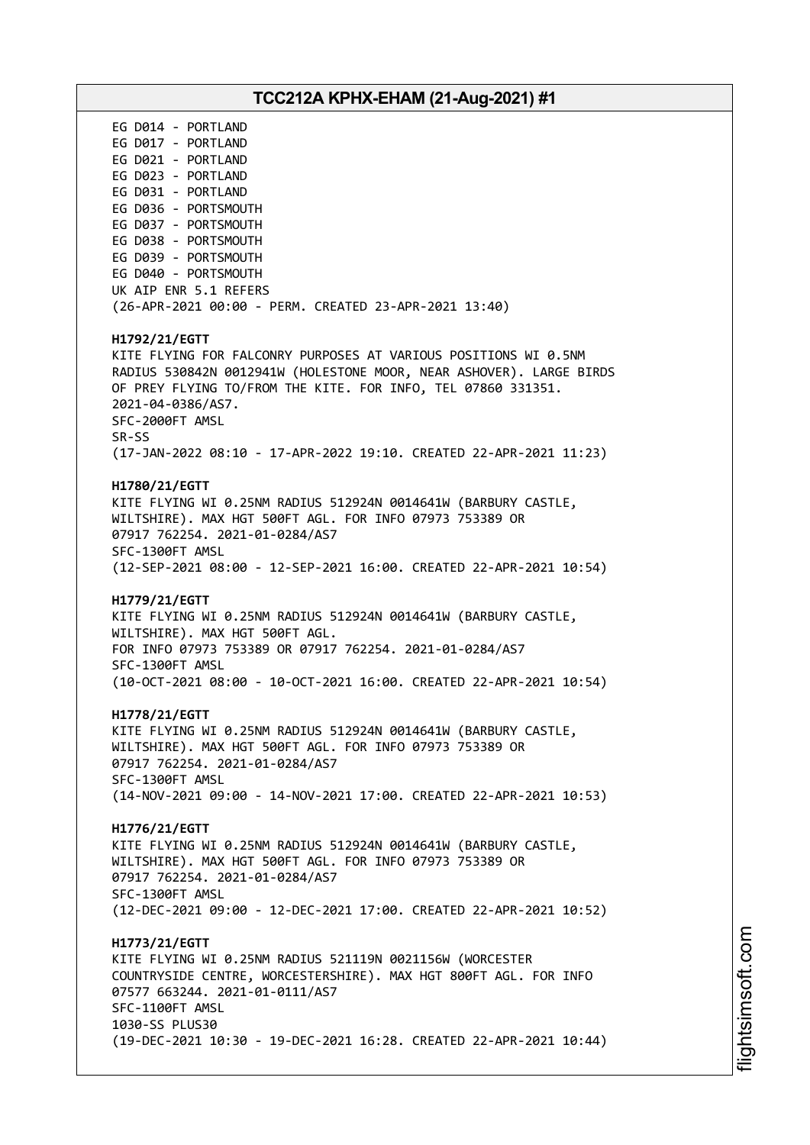# **TCC212A KPHX-EHAM (21-Aug-2021) #1** EG D014 - PORTLAND EG D017 - PORTLAND EG D021 - PORTLAND EG D023 - PORTLAND EG D031 - PORTLAND EG D036 - PORTSMOUTH EG D037 - PORTSMOUTH EG D038 - PORTSMOUTH EG D039 - PORTSMOUTH EG D040 - PORTSMOUTH UK AIP ENR 5.1 REFERS (26-APR-2021 00:00 - PERM. CREATED 23-APR-2021 13:40) **H1792/21/EGTT** KITE FLYING FOR FALCONRY PURPOSES AT VARIOUS POSITIONS WI 0.5NM RADIUS 530842N 0012941W (HOLESTONE MOOR, NEAR ASHOVER). LARGE BIRDS OF PREY FLYING TO/FROM THE KITE. FOR INFO, TEL 07860 331351. 2021-04-0386/AS7. SFC-2000FT AMSL SR-SS (17-JAN-2022 08:10 - 17-APR-2022 19:10. CREATED 22-APR-2021 11:23) **H1780/21/EGTT** KITE FLYING WI 0.25NM RADIUS 512924N 0014641W (BARBURY CASTLE, WILTSHIRE). MAX HGT 500FT AGL. FOR INFO 07973 753389 OR 07917 762254. 2021-01-0284/AS7 SFC-1300FT AMSL (12-SEP-2021 08:00 - 12-SEP-2021 16:00. CREATED 22-APR-2021 10:54) **H1779/21/EGTT** KITE FLYING WI 0.25NM RADIUS 512924N 0014641W (BARBURY CASTLE, WILTSHIRE). MAX HGT 500FT AGL. FOR INFO 07973 753389 OR 07917 762254. 2021-01-0284/AS7 SFC-1300FT AMSL (10-OCT-2021 08:00 - 10-OCT-2021 16:00. CREATED 22-APR-2021 10:54) **H1778/21/EGTT** KITE FLYING WI 0.25NM RADIUS 512924N 0014641W (BARBURY CASTLE, WILTSHIRE). MAX HGT 500FT AGL. FOR INFO 07973 753389 OR 07917 762254. 2021-01-0284/AS7 SFC-1300FT AMSL (14-NOV-2021 09:00 - 14-NOV-2021 17:00. CREATED 22-APR-2021 10:53) **H1776/21/EGTT** KITE FLYING WI 0.25NM RADIUS 512924N 0014641W (BARBURY CASTLE, WILTSHIRE). MAX HGT 500FT AGL. FOR INFO 07973 753389 OR 07917 762254. 2021-01-0284/AS7 SFC-1300FT AMSL (12-DEC-2021 09:00 - 12-DEC-2021 17:00. CREATED 22-APR-2021 10:52) **H1773/21/EGTT** KITE FLYING WI 0.25NM RADIUS 521119N 0021156W (WORCESTER COUNTRYSIDE CENTRE, WORCESTERSHIRE). MAX HGT 800FT AGL. FOR INFO 07577 663244. 2021-01-0111/AS7 SFC-1100FT AMSL 1030-SS PLUS30 (19-DEC-2021 10:30 - 19-DEC-2021 16:28. CREATED 22-APR-2021 10:44)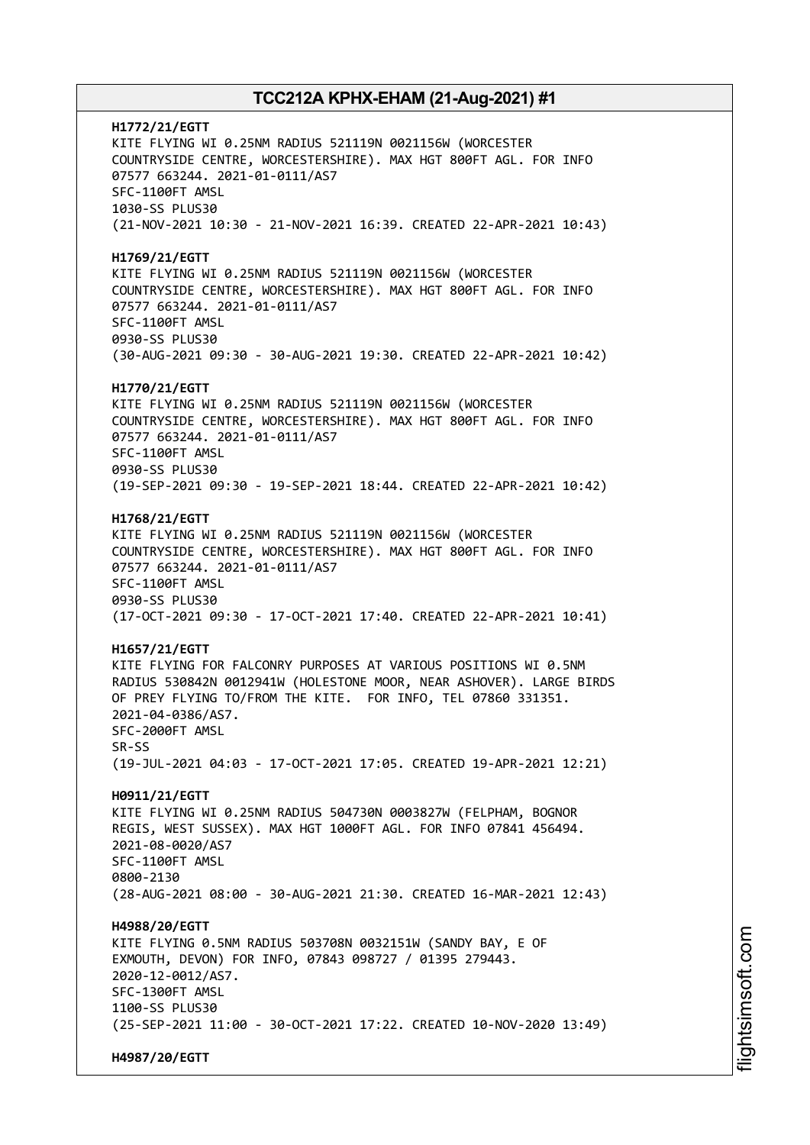**H1772/21/EGTT** KITE FLYING WI 0.25NM RADIUS 521119N 0021156W (WORCESTER COUNTRYSIDE CENTRE, WORCESTERSHIRE). MAX HGT 800FT AGL. FOR INFO 07577 663244. 2021-01-0111/AS7 SFC-1100FT AMSL 1030-SS PLUS30 (21-NOV-2021 10:30 - 21-NOV-2021 16:39. CREATED 22-APR-2021 10:43) **H1769/21/EGTT** KITE FLYING WI 0.25NM RADIUS 521119N 0021156W (WORCESTER COUNTRYSIDE CENTRE, WORCESTERSHIRE). MAX HGT 800FT AGL. FOR INFO 07577 663244. 2021-01-0111/AS7 SFC-1100FT AMSL 0930-SS PLUS30 (30-AUG-2021 09:30 - 30-AUG-2021 19:30. CREATED 22-APR-2021 10:42) **H1770/21/EGTT** KITE FLYING WI 0.25NM RADIUS 521119N 0021156W (WORCESTER COUNTRYSIDE CENTRE, WORCESTERSHIRE). MAX HGT 800FT AGL. FOR INFO 07577 663244. 2021-01-0111/AS7 SFC-1100FT AMSL 0930-SS PLUS30 (19-SEP-2021 09:30 - 19-SEP-2021 18:44. CREATED 22-APR-2021 10:42) **H1768/21/EGTT** KITE FLYING WI 0.25NM RADIUS 521119N 0021156W (WORCESTER COUNTRYSIDE CENTRE, WORCESTERSHIRE). MAX HGT 800FT AGL. FOR INFO 07577 663244. 2021-01-0111/AS7 SFC-1100FT AMSL 0930-SS PLUS30 (17-OCT-2021 09:30 - 17-OCT-2021 17:40. CREATED 22-APR-2021 10:41) **H1657/21/EGTT** KITE FLYING FOR FALCONRY PURPOSES AT VARIOUS POSITIONS WI 0.5NM RADIUS 530842N 0012941W (HOLESTONE MOOR, NEAR ASHOVER). LARGE BIRDS OF PREY FLYING TO/FROM THE KITE. FOR INFO, TEL 07860 331351. 2021-04-0386/AS7. SFC-2000FT AMSL SR-SS (19-JUL-2021 04:03 - 17-OCT-2021 17:05. CREATED 19-APR-2021 12:21) **H0911/21/EGTT** KITE FLYING WI 0.25NM RADIUS 504730N 0003827W (FELPHAM, BOGNOR REGIS, WEST SUSSEX). MAX HGT 1000FT AGL. FOR INFO 07841 456494. 2021-08-0020/AS7 SFC-1100FT AMSL 0800-2130 (28-AUG-2021 08:00 - 30-AUG-2021 21:30. CREATED 16-MAR-2021 12:43) **H4988/20/EGTT** KITE FLYING 0.5NM RADIUS 503708N 0032151W (SANDY BAY, E OF EXMOUTH, DEVON) FOR INFO, 07843 098727 / 01395 279443. 2020-12-0012/AS7. SFC-1300FT AMSL 1100-SS PLUS30 (25-SEP-2021 11:00 - 30-OCT-2021 17:22. CREATED 10-NOV-2020 13:49) **H4987/20/EGTT**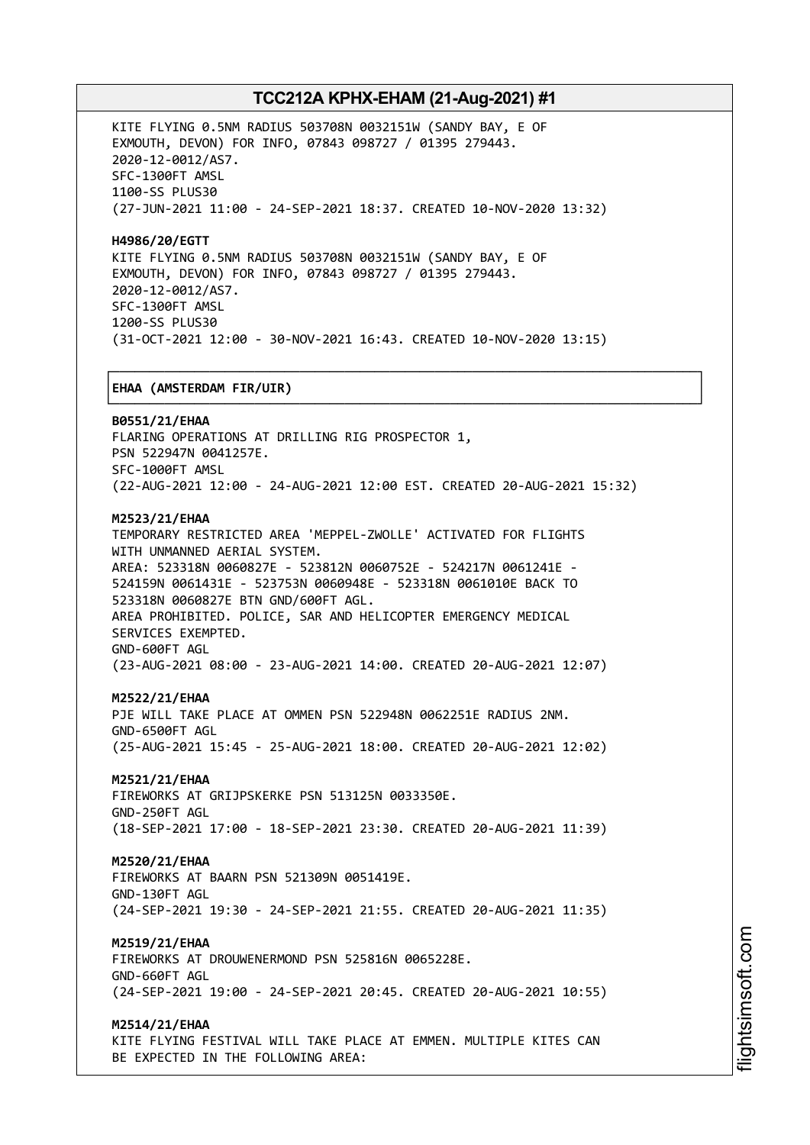┌──────────────────────────────────────────────────────────────────────────────┐

KITE FLYING 0.5NM RADIUS 503708N 0032151W (SANDY BAY, E OF EXMOUTH, DEVON) FOR INFO, 07843 098727 / 01395 279443. 2020-12-0012/AS7. SFC-1300FT AMSL 1100-SS PLUS30 (27-JUN-2021 11:00 - 24-SEP-2021 18:37. CREATED 10-NOV-2020 13:32)

**H4986/20/EGTT** KITE FLYING 0.5NM RADIUS 503708N 0032151W (SANDY BAY, E OF EXMOUTH, DEVON) FOR INFO, 07843 098727 / 01395 279443. 2020-12-0012/AS7. SFC-1300FT AMSL 1200-SS PLUS30 (31-OCT-2021 12:00 - 30-NOV-2021 16:43. CREATED 10-NOV-2020 13:15)

### │**EHAA (AMSTERDAM FIR/UIR)** │

└──────────────────────────────────────────────────────────────────────────────┘ **B0551/21/EHAA** FLARING OPERATIONS AT DRILLING RIG PROSPECTOR 1, PSN 522947N 0041257E. SFC-1000FT AMSL (22-AUG-2021 12:00 - 24-AUG-2021 12:00 EST. CREATED 20-AUG-2021 15:32) **M2523/21/EHAA** TEMPORARY RESTRICTED AREA 'MEPPEL-ZWOLLE' ACTIVATED FOR FLIGHTS WITH UNMANNED AERIAL SYSTEM. AREA: 523318N 0060827E - 523812N 0060752E - 524217N 0061241E - 524159N 0061431E - 523753N 0060948E - 523318N 0061010E BACK TO 523318N 0060827E BTN GND/600FT AGL. AREA PROHIBITED. POLICE, SAR AND HELICOPTER EMERGENCY MEDICAL SERVICES EXEMPTED. GND-600FT AGL

(23-AUG-2021 08:00 - 23-AUG-2021 14:00. CREATED 20-AUG-2021 12:07)

### **M2522/21/EHAA**

PJE WILL TAKE PLACE AT OMMEN PSN 522948N 0062251E RADIUS 2NM. GND-6500FT AGL (25-AUG-2021 15:45 - 25-AUG-2021 18:00. CREATED 20-AUG-2021 12:02)

### **M2521/21/EHAA**

FIREWORKS AT GRIJPSKERKE PSN 513125N 0033350E. GND-250FT AGL (18-SEP-2021 17:00 - 18-SEP-2021 23:30. CREATED 20-AUG-2021 11:39)

### **M2520/21/EHAA**

FIREWORKS AT BAARN PSN 521309N 0051419E. GND-130FT AGL (24-SEP-2021 19:30 - 24-SEP-2021 21:55. CREATED 20-AUG-2021 11:35)

### **M2519/21/EHAA**

FIREWORKS AT DROUWENERMOND PSN 525816N 0065228E. GND-660FT AGL (24-SEP-2021 19:00 - 24-SEP-2021 20:45. CREATED 20-AUG-2021 10:55)

### **M2514/21/EHAA**

KITE FLYING FESTIVAL WILL TAKE PLACE AT EMMEN. MULTIPLE KITES CAN BE EXPECTED IN THE FOLLOWING AREA: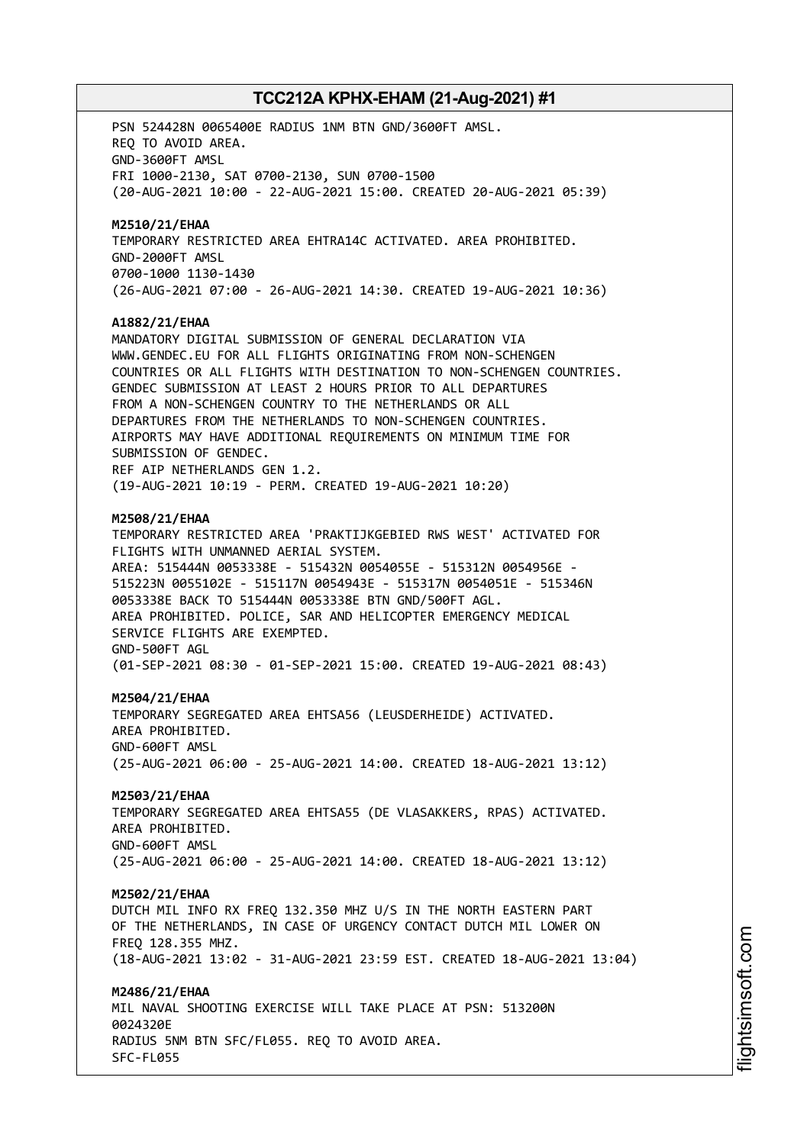PSN 524428N 0065400E RADIUS 1NM BTN GND/3600FT AMSL. REQ TO AVOID AREA. GND-3600FT AMSL FRI 1000-2130, SAT 0700-2130, SUN 0700-1500 (20-AUG-2021 10:00 - 22-AUG-2021 15:00. CREATED 20-AUG-2021 05:39) **M2510/21/EHAA** TEMPORARY RESTRICTED AREA EHTRA14C ACTIVATED. AREA PROHIBITED. GND-2000FT AMSL 0700-1000 1130-1430 (26-AUG-2021 07:00 - 26-AUG-2021 14:30. CREATED 19-AUG-2021 10:36) **A1882/21/EHAA** MANDATORY DIGITAL SUBMISSION OF GENERAL DECLARATION VIA WWW.GENDEC.EU FOR ALL FLIGHTS ORIGINATING FROM NON-SCHENGEN COUNTRIES OR ALL FLIGHTS WITH DESTINATION TO NON-SCHENGEN COUNTRIES. GENDEC SUBMISSION AT LEAST 2 HOURS PRIOR TO ALL DEPARTURES FROM A NON-SCHENGEN COUNTRY TO THE NETHERLANDS OR ALL DEPARTURES FROM THE NETHERLANDS TO NON-SCHENGEN COUNTRIES. AIRPORTS MAY HAVE ADDITIONAL REQUIREMENTS ON MINIMUM TIME FOR SUBMISSION OF GENDEC. REF AIP NETHERLANDS GEN 1.2. (19-AUG-2021 10:19 - PERM. CREATED 19-AUG-2021 10:20) **M2508/21/EHAA** TEMPORARY RESTRICTED AREA 'PRAKTIJKGEBIED RWS WEST' ACTIVATED FOR FLIGHTS WITH UNMANNED AERIAL SYSTEM. AREA: 515444N 0053338E - 515432N 0054055E - 515312N 0054956E - 515223N 0055102E - 515117N 0054943E - 515317N 0054051E - 515346N 0053338E BACK TO 515444N 0053338E BTN GND/500FT AGL. AREA PROHIBITED. POLICE, SAR AND HELICOPTER EMERGENCY MEDICAL SERVICE FLIGHTS ARE EXEMPTED. GND-500FT AGL (01-SEP-2021 08:30 - 01-SEP-2021 15:00. CREATED 19-AUG-2021 08:43) **M2504/21/EHAA** TEMPORARY SEGREGATED AREA EHTSA56 (LEUSDERHEIDE) ACTIVATED. AREA PROHIBITED. GND-600FT AMSL (25-AUG-2021 06:00 - 25-AUG-2021 14:00. CREATED 18-AUG-2021 13:12) **M2503/21/EHAA** TEMPORARY SEGREGATED AREA EHTSA55 (DE VLASAKKERS, RPAS) ACTIVATED. AREA PROHIBITED. GND-600FT AMSL (25-AUG-2021 06:00 - 25-AUG-2021 14:00. CREATED 18-AUG-2021 13:12) **M2502/21/EHAA** DUTCH MIL INFO RX FREQ 132.350 MHZ U/S IN THE NORTH EASTERN PART OF THE NETHERLANDS, IN CASE OF URGENCY CONTACT DUTCH MIL LOWER ON FREQ 128.355 MHZ. (18-AUG-2021 13:02 - 31-AUG-2021 23:59 EST. CREATED 18-AUG-2021 13:04) **M2486/21/EHAA** MIL NAVAL SHOOTING EXERCISE WILL TAKE PLACE AT PSN: 513200N 0024320E RADIUS 5NM BTN SFC/FL055. REQ TO AVOID AREA. SFC-FL055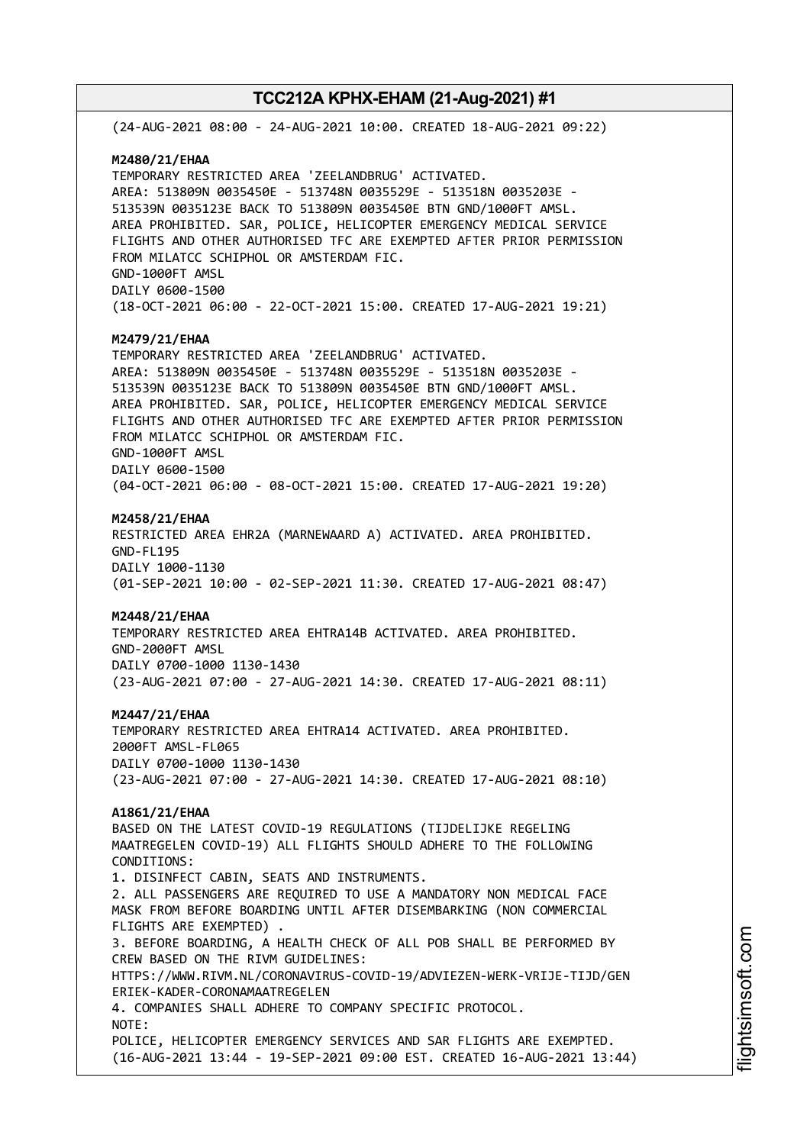(24-AUG-2021 08:00 - 24-AUG-2021 10:00. CREATED 18-AUG-2021 09:22) **M2480/21/EHAA** TEMPORARY RESTRICTED AREA 'ZEELANDBRUG' ACTIVATED. AREA: 513809N 0035450E - 513748N 0035529E - 513518N 0035203E - 513539N 0035123E BACK TO 513809N 0035450E BTN GND/1000FT AMSL. AREA PROHIBITED. SAR, POLICE, HELICOPTER EMERGENCY MEDICAL SERVICE FLIGHTS AND OTHER AUTHORISED TFC ARE EXEMPTED AFTER PRIOR PERMISSION FROM MILATCC SCHIPHOL OR AMSTERDAM FIC. GND-1000FT AMSL DAILY 0600-1500 (18-OCT-2021 06:00 - 22-OCT-2021 15:00. CREATED 17-AUG-2021 19:21) **M2479/21/EHAA** TEMPORARY RESTRICTED AREA 'ZEELANDBRUG' ACTIVATED. AREA: 513809N 0035450E - 513748N 0035529E - 513518N 0035203E - 513539N 0035123E BACK TO 513809N 0035450E BTN GND/1000FT AMSL. AREA PROHIBITED. SAR, POLICE, HELICOPTER EMERGENCY MEDICAL SERVICE FLIGHTS AND OTHER AUTHORISED TFC ARE EXEMPTED AFTER PRIOR PERMISSION FROM MILATCC SCHIPHOL OR AMSTERDAM FIC. GND-1000FT AMSL DAILY 0600-1500 (04-OCT-2021 06:00 - 08-OCT-2021 15:00. CREATED 17-AUG-2021 19:20) **M2458/21/EHAA** RESTRICTED AREA EHR2A (MARNEWAARD A) ACTIVATED. AREA PROHIBITED. GND-FL195 DAILY 1000-1130 (01-SEP-2021 10:00 - 02-SEP-2021 11:30. CREATED 17-AUG-2021 08:47) **M2448/21/EHAA** TEMPORARY RESTRICTED AREA EHTRA14B ACTIVATED. AREA PROHIBITED. GND-2000FT AMSL DAILY 0700-1000 1130-1430 (23-AUG-2021 07:00 - 27-AUG-2021 14:30. CREATED 17-AUG-2021 08:11) **M2447/21/EHAA** TEMPORARY RESTRICTED AREA EHTRA14 ACTIVATED. AREA PROHIBITED. 2000FT AMSL-FL065 DAILY 0700-1000 1130-1430 (23-AUG-2021 07:00 - 27-AUG-2021 14:30. CREATED 17-AUG-2021 08:10) **A1861/21/EHAA** BASED ON THE LATEST COVID-19 REGULATIONS (TIJDELIJKE REGELING MAATREGELEN COVID-19) ALL FLIGHTS SHOULD ADHERE TO THE FOLLOWING CONDITIONS: 1. DISINFECT CABIN, SEATS AND INSTRUMENTS. 2. ALL PASSENGERS ARE REQUIRED TO USE A MANDATORY NON MEDICAL FACE MASK FROM BEFORE BOARDING UNTIL AFTER DISEMBARKING (NON COMMERCIAL FLIGHTS ARE EXEMPTED) . 3. BEFORE BOARDING, A HEALTH CHECK OF ALL POB SHALL BE PERFORMED BY CREW BASED ON THE RIVM GUIDELINES: HTTPS://WWW.RIVM.NL/CORONAVIRUS-COVID-19/ADVIEZEN-WERK-VRIJE-TIJD/GEN ERIEK-KADER-CORONAMAATREGELEN 4. COMPANIES SHALL ADHERE TO COMPANY SPECIFIC PROTOCOL. NOTE: POLICE, HELICOPTER EMERGENCY SERVICES AND SAR FLIGHTS ARE EXEMPTED. (16-AUG-2021 13:44 - 19-SEP-2021 09:00 EST. CREATED 16-AUG-2021 13:44)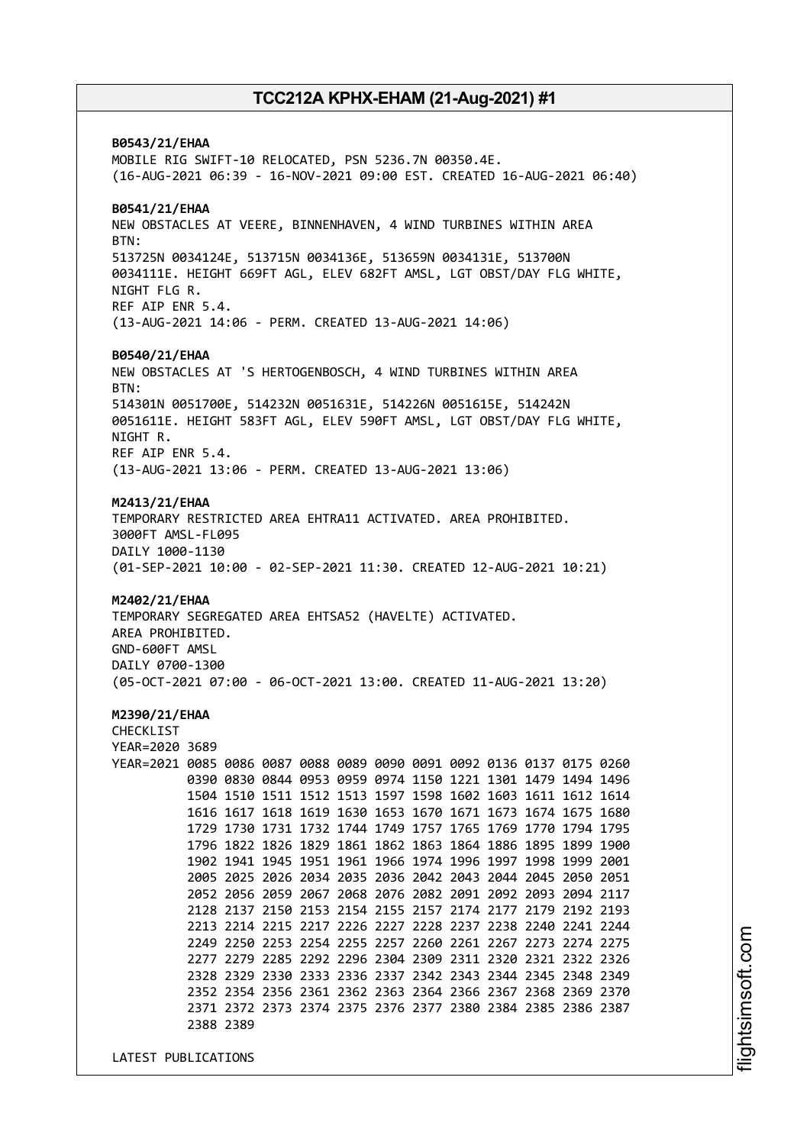**B0543/21/EHAA** MOBILE RIG SWIFT-10 RELOCATED, PSN 5236.7N 00350.4E. (16-AUG-2021 06:39 - 16-NOV-2021 09:00 EST. CREATED 16-AUG-2021 06:40) **B0541/21/EHAA** NEW OBSTACLES AT VEERE, BINNENHAVEN, 4 WIND TURBINES WITHIN AREA BTN: 513725N 0034124E, 513715N 0034136E, 513659N 0034131E, 513700N 0034111E. HEIGHT 669FT AGL, ELEV 682FT AMSL, LGT OBST/DAY FLG WHITE, NIGHT FLG R. REF AIP ENR 5.4. (13-AUG-2021 14:06 - PERM. CREATED 13-AUG-2021 14:06) **B0540/21/EHAA** NEW OBSTACLES AT 'S HERTOGENBOSCH, 4 WIND TURBINES WITHIN AREA BTN: 514301N 0051700E, 514232N 0051631E, 514226N 0051615E, 514242N 0051611E. HEIGHT 583FT AGL, ELEV 590FT AMSL, LGT OBST/DAY FLG WHITE, NIGHT R. REF AIP ENR 5.4. (13-AUG-2021 13:06 - PERM. CREATED 13-AUG-2021 13:06) **M2413/21/EHAA** TEMPORARY RESTRICTED AREA EHTRA11 ACTIVATED. AREA PROHIBITED. 3000FT AMSL-FL095 DAILY 1000-1130 (01-SEP-2021 10:00 - 02-SEP-2021 11:30. CREATED 12-AUG-2021 10:21) **M2402/21/EHAA** TEMPORARY SEGREGATED AREA EHTSA52 (HAVELTE) ACTIVATED. AREA PROHIBITED. GND-600FT AMSL DAILY 0700-1300 (05-OCT-2021 07:00 - 06-OCT-2021 13:00. CREATED 11-AUG-2021 13:20) **M2390/21/EHAA** CHECKLIST YEAR=2020 3689 YEAR=2021 0085 0086 0087 0088 0089 0090 0091 0092 0136 0137 0175 0260 0390 0830 0844 0953 0959 0974 1150 1221 1301 1479 1494 1496 1504 1510 1511 1512 1513 1597 1598 1602 1603 1611 1612 1614 1616 1617 1618 1619 1630 1653 1670 1671 1673 1674 1675 1680 1729 1730 1731 1732 1744 1749 1757 1765 1769 1770 1794 1795 1796 1822 1826 1829 1861 1862 1863 1864 1886 1895 1899 1900 1902 1941 1945 1951 1961 1966 1974 1996 1997 1998 1999 2001 2005 2025 2026 2034 2035 2036 2042 2043 2044 2045 2050 2051 2052 2056 2059 2067 2068 2076 2082 2091 2092 2093 2094 2117 2128 2137 2150 2153 2154 2155 2157 2174 2177 2179 2192 2193 2213 2214 2215 2217 2226 2227 2228 2237 2238 2240 2241 2244 2249 2250 2253 2254 2255 2257 2260 2261 2267 2273 2274 2275 2277 2279 2285 2292 2296 2304 2309 2311 2320 2321 2322 2326 2328 2329 2330 2333 2336 2337 2342 2343 2344 2345 2348 2349 2352 2354 2356 2361 2362 2363 2364 2366 2367 2368 2369 2370 2371 2372 2373 2374 2375 2376 2377 2380 2384 2385 2386 2387 2388 2389

LATEST PUBLICATIONS

i⊒<br>⊫ htsim soft.c om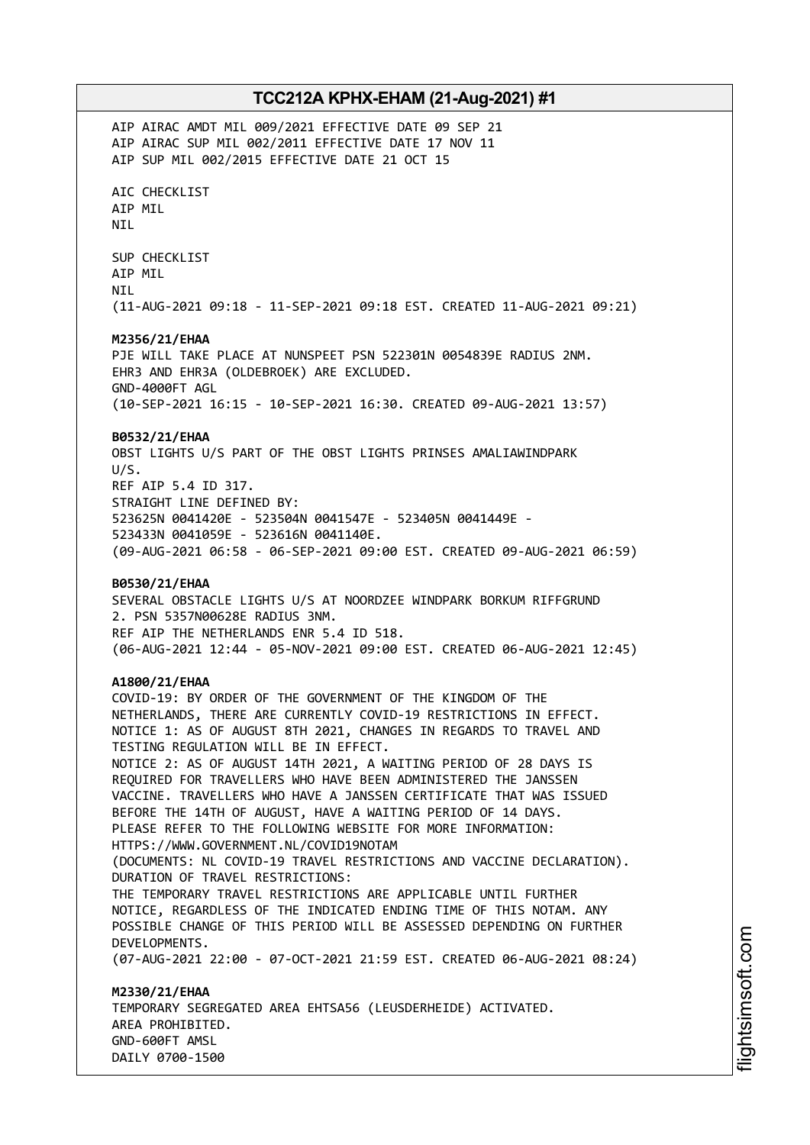AIP AIRAC AMDT MIL 009/2021 EFFECTIVE DATE 09 SEP 21 AIP AIRAC SUP MIL 002/2011 EFFECTIVE DATE 17 NOV 11 AIP SUP MIL 002/2015 EFFECTIVE DATE 21 OCT 15 AIC CHECKLIST AIP MIL NIL SUP CHECKLIST AIP MIL NIL (11-AUG-2021 09:18 - 11-SEP-2021 09:18 EST. CREATED 11-AUG-2021 09:21) **M2356/21/EHAA** PJE WILL TAKE PLACE AT NUNSPEET PSN 522301N 0054839E RADIUS 2NM. EHR3 AND EHR3A (OLDEBROEK) ARE EXCLUDED. GND-4000FT AGL (10-SEP-2021 16:15 - 10-SEP-2021 16:30. CREATED 09-AUG-2021 13:57) **B0532/21/EHAA** OBST LIGHTS U/S PART OF THE OBST LIGHTS PRINSES AMALIAWINDPARK U/S. REF AIP 5.4 ID 317. STRAIGHT LINE DEFINED BY: 523625N 0041420E - 523504N 0041547E - 523405N 0041449E - 523433N 0041059E - 523616N 0041140E. (09-AUG-2021 06:58 - 06-SEP-2021 09:00 EST. CREATED 09-AUG-2021 06:59) **B0530/21/EHAA** SEVERAL OBSTACLE LIGHTS U/S AT NOORDZEE WINDPARK BORKUM RIFFGRUND 2. PSN 5357N00628E RADIUS 3NM. REF AIP THE NETHERLANDS ENR 5.4 ID 518. (06-AUG-2021 12:44 - 05-NOV-2021 09:00 EST. CREATED 06-AUG-2021 12:45) **A1800/21/EHAA** COVID-19: BY ORDER OF THE GOVERNMENT OF THE KINGDOM OF THE NETHERLANDS, THERE ARE CURRENTLY COVID-19 RESTRICTIONS IN EFFECT. NOTICE 1: AS OF AUGUST 8TH 2021, CHANGES IN REGARDS TO TRAVEL AND TESTING REGULATION WILL BE IN EFFECT. NOTICE 2: AS OF AUGUST 14TH 2021, A WAITING PERIOD OF 28 DAYS IS REQUIRED FOR TRAVELLERS WHO HAVE BEEN ADMINISTERED THE JANSSEN VACCINE. TRAVELLERS WHO HAVE A JANSSEN CERTIFICATE THAT WAS ISSUED BEFORE THE 14TH OF AUGUST, HAVE A WAITING PERIOD OF 14 DAYS. PLEASE REFER TO THE FOLLOWING WEBSITE FOR MORE INFORMATION: HTTPS://WWW.GOVERNMENT.NL/COVID19NOTAM (DOCUMENTS: NL COVID-19 TRAVEL RESTRICTIONS AND VACCINE DECLARATION). DURATION OF TRAVEL RESTRICTIONS: THE TEMPORARY TRAVEL RESTRICTIONS ARE APPLICABLE UNTIL FURTHER NOTICE, REGARDLESS OF THE INDICATED ENDING TIME OF THIS NOTAM. ANY POSSIBLE CHANGE OF THIS PERIOD WILL BE ASSESSED DEPENDING ON FURTHER DEVELOPMENTS. (07-AUG-2021 22:00 - 07-OCT-2021 21:59 EST. CREATED 06-AUG-2021 08:24) **M2330/21/EHAA** TEMPORARY SEGREGATED AREA EHTSA56 (LEUSDERHEIDE) ACTIVATED. AREA PROHIBITED. GND-600FT AMSL

DAILY 0700-1500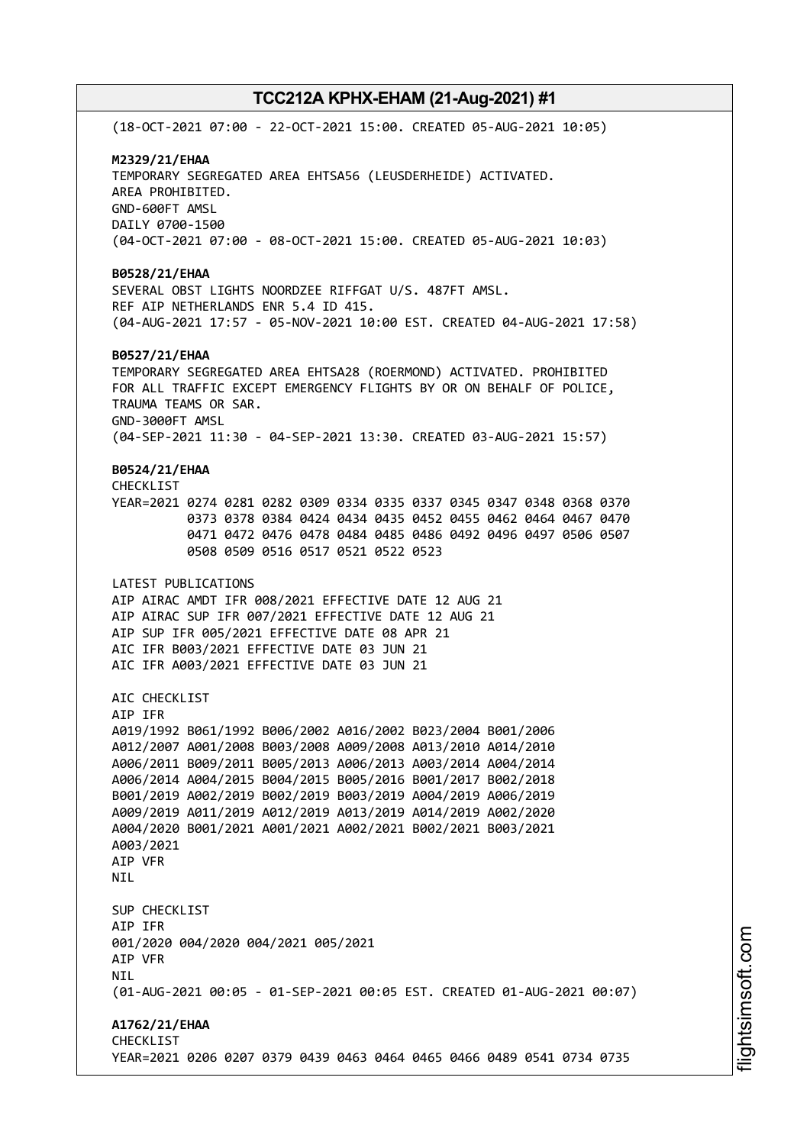(18-OCT-2021 07:00 - 22-OCT-2021 15:00. CREATED 05-AUG-2021 10:05) **M2329/21/EHAA** TEMPORARY SEGREGATED AREA EHTSA56 (LEUSDERHEIDE) ACTIVATED. AREA PROHIBITED. GND-600FT AMSL DAILY 0700-1500 (04-OCT-2021 07:00 - 08-OCT-2021 15:00. CREATED 05-AUG-2021 10:03) **B0528/21/EHAA** SEVERAL OBST LIGHTS NOORDZEE RIFFGAT U/S. 487FT AMSL. REF AIP NETHERLANDS ENR 5.4 ID 415. (04-AUG-2021 17:57 - 05-NOV-2021 10:00 EST. CREATED 04-AUG-2021 17:58) **B0527/21/EHAA** TEMPORARY SEGREGATED AREA EHTSA28 (ROERMOND) ACTIVATED. PROHIBITED FOR ALL TRAFFIC EXCEPT EMERGENCY FLIGHTS BY OR ON BEHALF OF POLICE, TRAUMA TEAMS OR SAR. GND-3000FT AMSL (04-SEP-2021 11:30 - 04-SEP-2021 13:30. CREATED 03-AUG-2021 15:57) **B0524/21/EHAA** CHECKLIST YEAR=2021 0274 0281 0282 0309 0334 0335 0337 0345 0347 0348 0368 0370 0373 0378 0384 0424 0434 0435 0452 0455 0462 0464 0467 0470 0471 0472 0476 0478 0484 0485 0486 0492 0496 0497 0506 0507 0508 0509 0516 0517 0521 0522 0523 LATEST PUBLICATIONS AIP AIRAC AMDT IFR 008/2021 EFFECTIVE DATE 12 AUG 21 AIP AIRAC SUP IFR 007/2021 EFFECTIVE DATE 12 AUG 21 AIP SUP IFR 005/2021 EFFECTIVE DATE 08 APR 21 AIC IFR B003/2021 EFFECTIVE DATE 03 JUN 21 AIC IFR A003/2021 EFFECTIVE DATE 03 JUN 21 ATC CHECKLIST AIP IFR A019/1992 B061/1992 B006/2002 A016/2002 B023/2004 B001/2006 A012/2007 A001/2008 B003/2008 A009/2008 A013/2010 A014/2010 A006/2011 B009/2011 B005/2013 A006/2013 A003/2014 A004/2014 A006/2014 A004/2015 B004/2015 B005/2016 B001/2017 B002/2018 B001/2019 A002/2019 B002/2019 B003/2019 A004/2019 A006/2019 A009/2019 A011/2019 A012/2019 A013/2019 A014/2019 A002/2020 A004/2020 B001/2021 A001/2021 A002/2021 B002/2021 B003/2021 A003/2021 AIP VFR **NTI** SUP CHECKLIST AIP IFR 001/2020 004/2020 004/2021 005/2021 AIP VFR NIL (01-AUG-2021 00:05 - 01-SEP-2021 00:05 EST. CREATED 01-AUG-2021 00:07) **A1762/21/EHAA** CHECKLIST YEAR=2021 0206 0207 0379 0439 0463 0464 0465 0466 0489 0541 0734 0735

i⊒<br>⊫ htsim soft.c om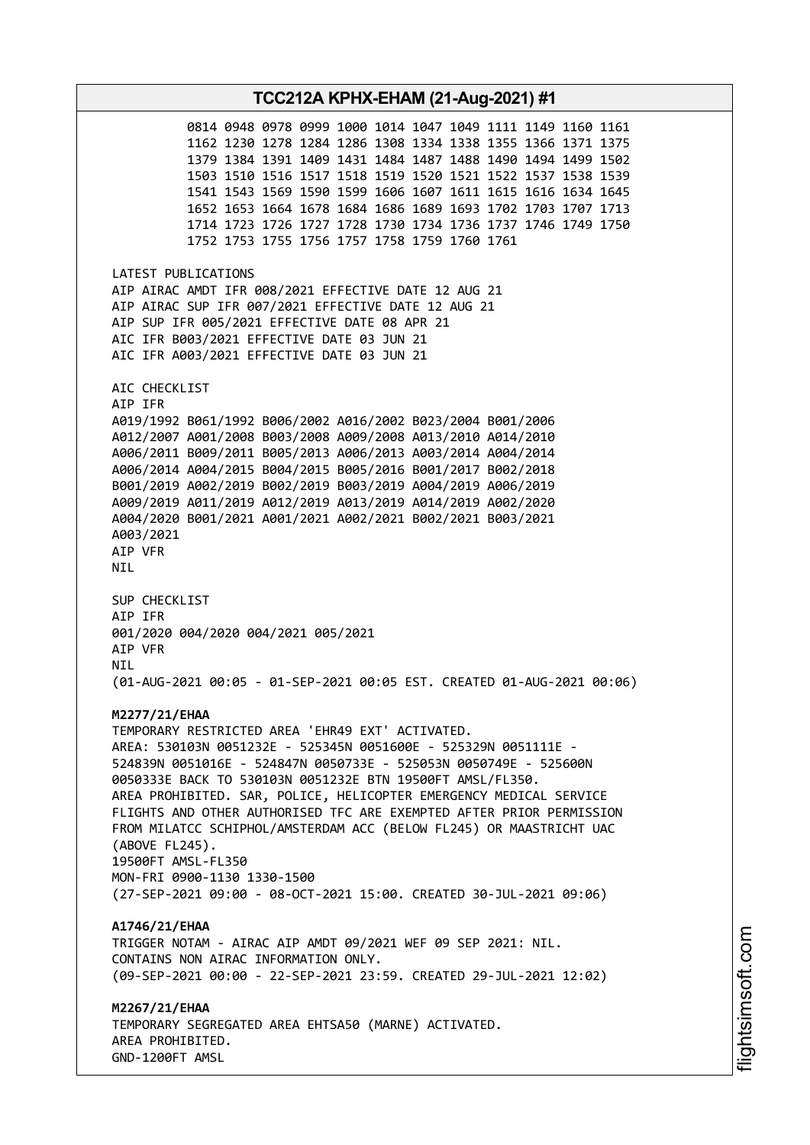**TCC212A KPHX-EHAM (21-Aug-2021) #1** 0814 0948 0978 0999 1000 1014 1047 1049 1111 1149 1160 1161 1162 1230 1278 1284 1286 1308 1334 1338 1355 1366 1371 1375 1379 1384 1391 1409 1431 1484 1487 1488 1490 1494 1499 1502 1503 1510 1516 1517 1518 1519 1520 1521 1522 1537 1538 1539 1541 1543 1569 1590 1599 1606 1607 1611 1615 1616 1634 1645 1652 1653 1664 1678 1684 1686 1689 1693 1702 1703 1707 1713 1714 1723 1726 1727 1728 1730 1734 1736 1737 1746 1749 1750 1752 1753 1755 1756 1757 1758 1759 1760 1761 LATEST PUBLICATIONS AIP AIRAC AMDT IFR 008/2021 EFFECTIVE DATE 12 AUG 21 AIP AIRAC SUP IFR 007/2021 EFFECTIVE DATE 12 AUG 21 AIP SUP IFR 005/2021 EFFECTIVE DATE 08 APR 21 AIC IFR B003/2021 EFFECTIVE DATE 03 JUN 21 AIC IFR A003/2021 EFFECTIVE DATE 03 JUN 21 AIC CHECKLIST AIP IFR A019/1992 B061/1992 B006/2002 A016/2002 B023/2004 B001/2006 A012/2007 A001/2008 B003/2008 A009/2008 A013/2010 A014/2010 A006/2011 B009/2011 B005/2013 A006/2013 A003/2014 A004/2014 A006/2014 A004/2015 B004/2015 B005/2016 B001/2017 B002/2018 B001/2019 A002/2019 B002/2019 B003/2019 A004/2019 A006/2019 A009/2019 A011/2019 A012/2019 A013/2019 A014/2019 A002/2020 A004/2020 B001/2021 A001/2021 A002/2021 B002/2021 B003/2021 A003/2021 AIP VFR NIL SUP CHECKLIST AIP IFR 001/2020 004/2020 004/2021 005/2021 AIP VFR **NTI** (01-AUG-2021 00:05 - 01-SEP-2021 00:05 EST. CREATED 01-AUG-2021 00:06) **M2277/21/EHAA** TEMPORARY RESTRICTED AREA 'EHR49 EXT' ACTIVATED. AREA: 530103N 0051232E - 525345N 0051600E - 525329N 0051111E - 524839N 0051016E - 524847N 0050733E - 525053N 0050749E - 525600N 0050333E BACK TO 530103N 0051232E BTN 19500FT AMSL/FL350. AREA PROHIBITED. SAR, POLICE, HELICOPTER EMERGENCY MEDICAL SERVICE FLIGHTS AND OTHER AUTHORISED TFC ARE EXEMPTED AFTER PRIOR PERMISSION FROM MILATCC SCHIPHOL/AMSTERDAM ACC (BELOW FL245) OR MAASTRICHT UAC (ABOVE FL245). 19500FT AMSL-FL350 MON-FRI 0900-1130 1330-1500 (27-SEP-2021 09:00 - 08-OCT-2021 15:00. CREATED 30-JUL-2021 09:06) **A1746/21/EHAA** TRIGGER NOTAM - AIRAC AIP AMDT 09/2021 WEF 09 SEP 2021: NIL. CONTAINS NON AIRAC INFORMATION ONLY. (09-SEP-2021 00:00 - 22-SEP-2021 23:59. CREATED 29-JUL-2021 12:02) **M2267/21/EHAA** TEMPORARY SEGREGATED AREA EHTSA50 (MARNE) ACTIVATED. AREA PROHIBITED. GND-1200FT AMSL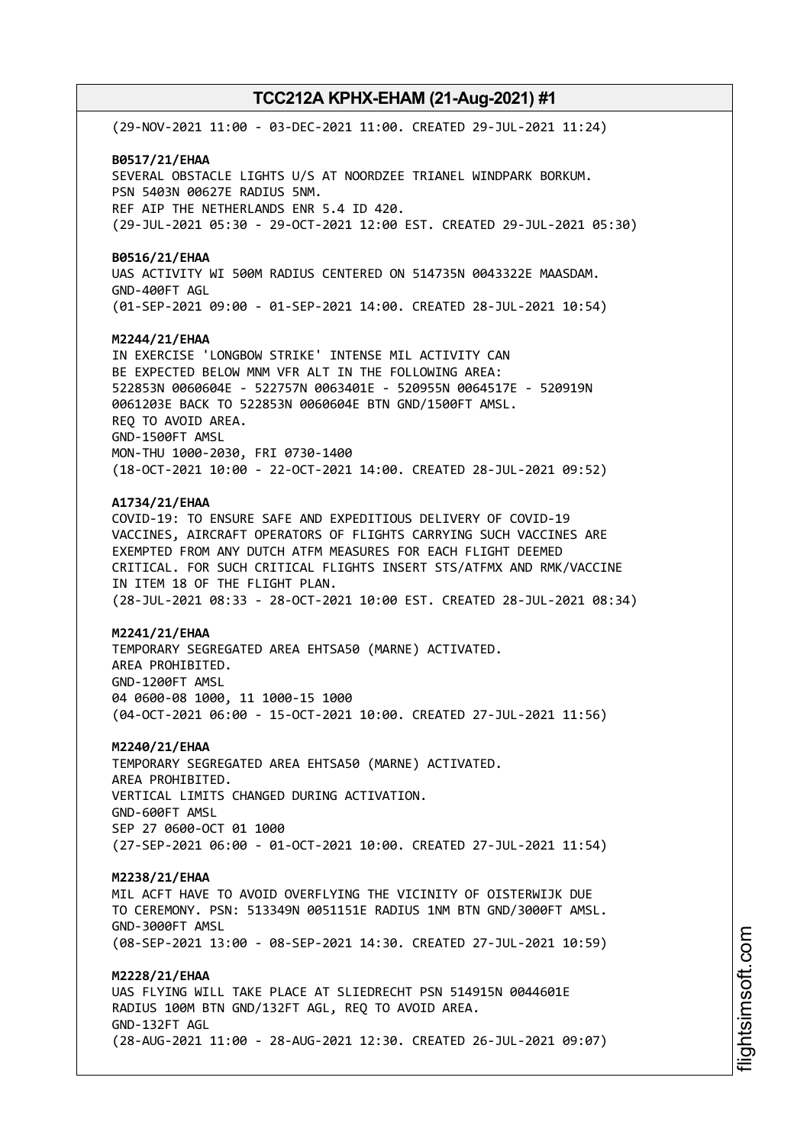(29-NOV-2021 11:00 - 03-DEC-2021 11:00. CREATED 29-JUL-2021 11:24) **B0517/21/EHAA** SEVERAL OBSTACLE LIGHTS U/S AT NOORDZEE TRIANEL WINDPARK BORKUM. PSN 5403N 00627E RADIUS 5NM. REF AIP THE NETHERLANDS ENR 5.4 ID 420. (29-JUL-2021 05:30 - 29-OCT-2021 12:00 EST. CREATED 29-JUL-2021 05:30) **B0516/21/EHAA** UAS ACTIVITY WI 500M RADIUS CENTERED ON 514735N 0043322E MAASDAM. GND-400FT AGL (01-SEP-2021 09:00 - 01-SEP-2021 14:00. CREATED 28-JUL-2021 10:54) **M2244/21/EHAA** IN EXERCISE 'LONGBOW STRIKE' INTENSE MIL ACTIVITY CAN BE EXPECTED BELOW MNM VFR ALT IN THE FOLLOWING AREA: 522853N 0060604E - 522757N 0063401E - 520955N 0064517E - 520919N 0061203E BACK TO 522853N 0060604E BTN GND/1500FT AMSL. REQ TO AVOID AREA. GND-1500FT AMSL MON-THU 1000-2030, FRI 0730-1400 (18-OCT-2021 10:00 - 22-OCT-2021 14:00. CREATED 28-JUL-2021 09:52) **A1734/21/EHAA** COVID-19: TO ENSURE SAFE AND EXPEDITIOUS DELIVERY OF COVID-19 VACCINES, AIRCRAFT OPERATORS OF FLIGHTS CARRYING SUCH VACCINES ARE EXEMPTED FROM ANY DUTCH ATFM MEASURES FOR EACH FLIGHT DEEMED CRITICAL. FOR SUCH CRITICAL FLIGHTS INSERT STS/ATFMX AND RMK/VACCINE IN ITEM 18 OF THE FLIGHT PLAN. (28-JUL-2021 08:33 - 28-OCT-2021 10:00 EST. CREATED 28-JUL-2021 08:34) **M2241/21/EHAA** TEMPORARY SEGREGATED AREA EHTSA50 (MARNE) ACTIVATED. AREA PROHIBITED. GND-1200FT AMSL 04 0600-08 1000, 11 1000-15 1000 (04-OCT-2021 06:00 - 15-OCT-2021 10:00. CREATED 27-JUL-2021 11:56) **M2240/21/EHAA** TEMPORARY SEGREGATED AREA EHTSA50 (MARNE) ACTIVATED. AREA PROHIBITED. VERTICAL LIMITS CHANGED DURING ACTIVATION. GND-600FT AMSL SEP 27 0600-OCT 01 1000 (27-SEP-2021 06:00 - 01-OCT-2021 10:00. CREATED 27-JUL-2021 11:54) **M2238/21/EHAA** MIL ACFT HAVE TO AVOID OVERFLYING THE VICINITY OF OISTERWIJK DUE TO CEREMONY. PSN: 513349N 0051151E RADIUS 1NM BTN GND/3000FT AMSL. GND-3000FT AMSL (08-SEP-2021 13:00 - 08-SEP-2021 14:30. CREATED 27-JUL-2021 10:59) **M2228/21/EHAA** UAS FLYING WILL TAKE PLACE AT SLIEDRECHT PSN 514915N 0044601E RADIUS 100M BTN GND/132FT AGL, REQ TO AVOID AREA. GND-132FT AGL (28-AUG-2021 11:00 - 28-AUG-2021 12:30. CREATED 26-JUL-2021 09:07)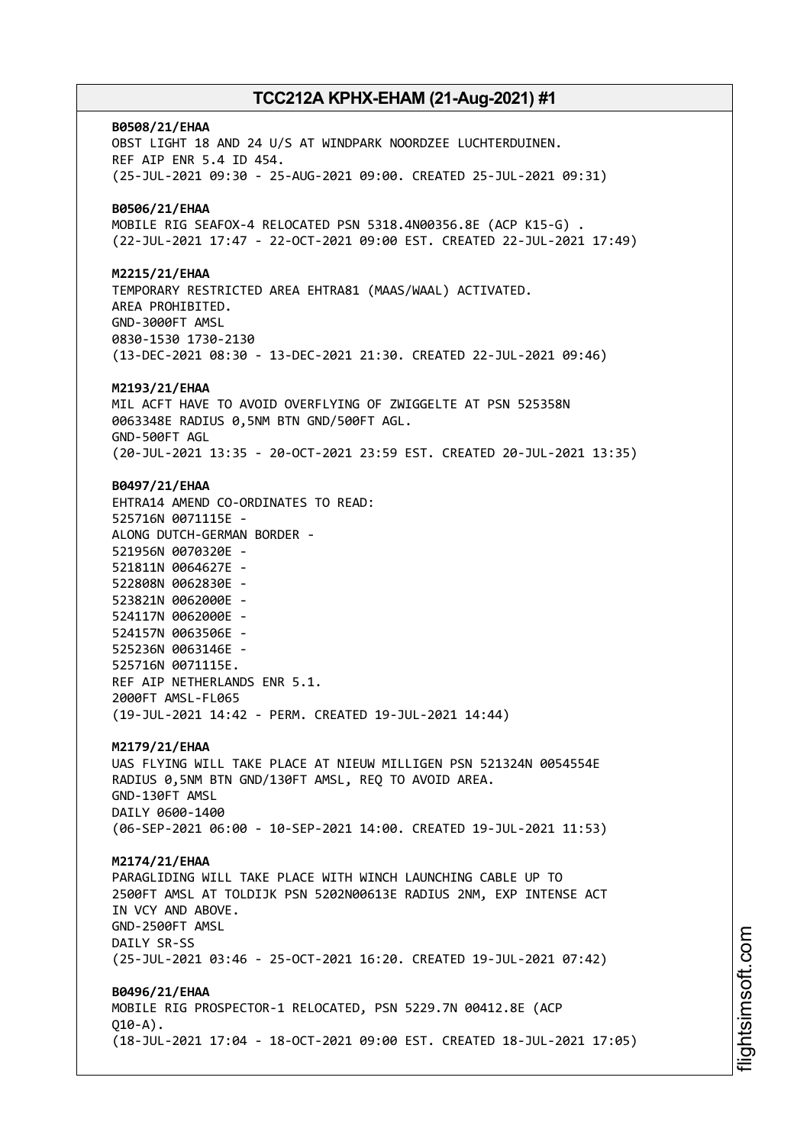**B0508/21/EHAA** OBST LIGHT 18 AND 24 U/S AT WINDPARK NOORDZEE LUCHTERDUINEN. REF AIP ENR 5.4 ID 454. (25-JUL-2021 09:30 - 25-AUG-2021 09:00. CREATED 25-JUL-2021 09:31) **B0506/21/EHAA** MOBILE RIG SEAFOX-4 RELOCATED PSN 5318.4N00356.8E (ACP K15-G) . (22-JUL-2021 17:47 - 22-OCT-2021 09:00 EST. CREATED 22-JUL-2021 17:49) **M2215/21/EHAA** TEMPORARY RESTRICTED AREA EHTRA81 (MAAS/WAAL) ACTIVATED. AREA PROHIBITED. GND-3000FT AMSL 0830-1530 1730-2130 (13-DEC-2021 08:30 - 13-DEC-2021 21:30. CREATED 22-JUL-2021 09:46) **M2193/21/EHAA** MIL ACFT HAVE TO AVOID OVERFLYING OF ZWIGGELTE AT PSN 525358N 0063348E RADIUS 0,5NM BTN GND/500FT AGL. GND-500FT AGL (20-JUL-2021 13:35 - 20-OCT-2021 23:59 EST. CREATED 20-JUL-2021 13:35) **B0497/21/EHAA** EHTRA14 AMEND CO-ORDINATES TO READ: 525716N 0071115E - ALONG DUTCH-GERMAN BORDER - 521956N 0070320E - 521811N 0064627E - 522808N 0062830E - 523821N 0062000E - 524117N 0062000E - 524157N 0063506E - 525236N 0063146E - 525716N 0071115E. REF AIP NETHERLANDS ENR 5.1. 2000FT AMSL-FL065 (19-JUL-2021 14:42 - PERM. CREATED 19-JUL-2021 14:44) **M2179/21/EHAA** UAS FLYING WILL TAKE PLACE AT NIEUW MILLIGEN PSN 521324N 0054554E RADIUS 0,5NM BTN GND/130FT AMSL, REQ TO AVOID AREA. GND-130FT AMSL DAILY 0600-1400 (06-SEP-2021 06:00 - 10-SEP-2021 14:00. CREATED 19-JUL-2021 11:53) **M2174/21/EHAA** PARAGLIDING WILL TAKE PLACE WITH WINCH LAUNCHING CABLE UP TO 2500FT AMSL AT TOLDIJK PSN 5202N00613E RADIUS 2NM, EXP INTENSE ACT IN VCY AND ABOVE. GND-2500FT AMSL DAILY SR-SS (25-JUL-2021 03:46 - 25-OCT-2021 16:20. CREATED 19-JUL-2021 07:42) **B0496/21/EHAA** MOBILE RIG PROSPECTOR-1 RELOCATED, PSN 5229.7N 00412.8E (ACP  $010 - A$ ). (18-JUL-2021 17:04 - 18-OCT-2021 09:00 EST. CREATED 18-JUL-2021 17:05)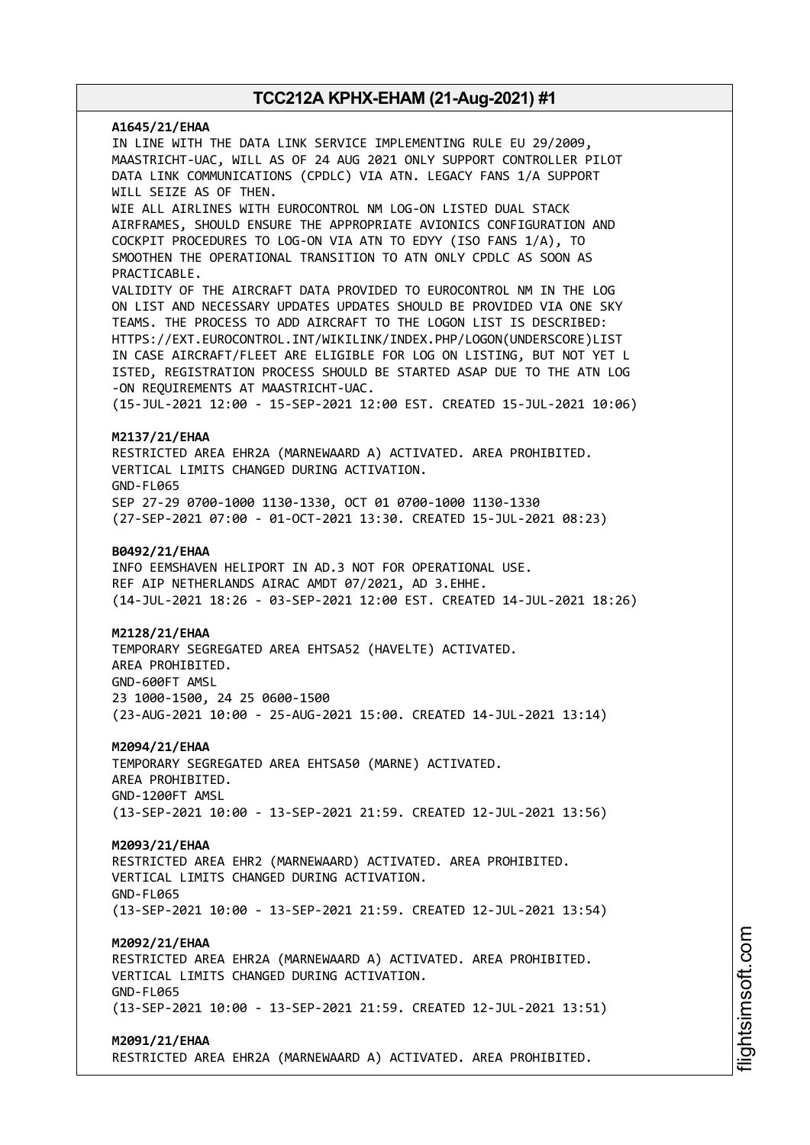**A1645/21/EHAA** IN LINE WITH THE DATA LINK SERVICE IMPLEMENTING RULE EU 29/2009, MAASTRICHT-UAC, WILL AS OF 24 AUG 2021 ONLY SUPPORT CONTROLLER PILOT DATA LINK COMMUNICATIONS (CPDLC) VIA ATN. LEGACY FANS 1/A SUPPORT WILL SEIZE AS OF THEN. WIE ALL AIRLINES WITH EUROCONTROL NM LOG-ON LISTED DUAL STACK AIRFRAMES, SHOULD ENSURE THE APPROPRIATE AVIONICS CONFIGURATION AND COCKPIT PROCEDURES TO LOG-ON VIA ATN TO EDYY (ISO FANS 1/A), TO SMOOTHEN THE OPERATIONAL TRANSITION TO ATN ONLY CPDLC AS SOON AS PRACTICABLE. VALIDITY OF THE AIRCRAFT DATA PROVIDED TO EUROCONTROL NM IN THE LOG ON LIST AND NECESSARY UPDATES UPDATES SHOULD BE PROVIDED VIA ONE SKY TEAMS. THE PROCESS TO ADD AIRCRAFT TO THE LOGON LIST IS DESCRIBED: HTTPS://EXT.EUROCONTROL.INT/WIKILINK/INDEX.PHP/LOGON(UNDERSCORE)LIST IN CASE AIRCRAFT/FLEET ARE ELIGIBLE FOR LOG ON LISTING, BUT NOT YET L ISTED, REGISTRATION PROCESS SHOULD BE STARTED ASAP DUE TO THE ATN LOG -ON REQUIREMENTS AT MAASTRICHT-UAC. (15-JUL-2021 12:00 - 15-SEP-2021 12:00 EST. CREATED 15-JUL-2021 10:06) **M2137/21/EHAA** RESTRICTED AREA EHR2A (MARNEWAARD A) ACTIVATED. AREA PROHIBITED. VERTICAL LIMITS CHANGED DURING ACTIVATION. GND-FL065 SEP 27-29 0700-1000 1130-1330, OCT 01 0700-1000 1130-1330 (27-SEP-2021 07:00 - 01-OCT-2021 13:30. CREATED 15-JUL-2021 08:23) **B0492/21/EHAA** INFO EEMSHAVEN HELIPORT IN AD.3 NOT FOR OPERATIONAL USE. REF AIP NETHERLANDS AIRAC AMDT 07/2021, AD 3.EHHE. (14-JUL-2021 18:26 - 03-SEP-2021 12:00 EST. CREATED 14-JUL-2021 18:26) **M2128/21/EHAA** TEMPORARY SEGREGATED AREA EHTSA52 (HAVELTE) ACTIVATED. AREA PROHIBITED. GND-600FT AMSL 23 1000-1500, 24 25 0600-1500 (23-AUG-2021 10:00 - 25-AUG-2021 15:00. CREATED 14-JUL-2021 13:14) **M2094/21/EHAA** TEMPORARY SEGREGATED AREA EHTSA50 (MARNE) ACTIVATED. AREA PROHIBITED. GND-1200FT AMSL (13-SEP-2021 10:00 - 13-SEP-2021 21:59. CREATED 12-JUL-2021 13:56) **M2093/21/EHAA** RESTRICTED AREA EHR2 (MARNEWAARD) ACTIVATED. AREA PROHIBITED. VERTICAL LIMITS CHANGED DURING ACTIVATION. GND-FL065 (13-SEP-2021 10:00 - 13-SEP-2021 21:59. CREATED 12-JUL-2021 13:54) **M2092/21/EHAA** RESTRICTED AREA EHR2A (MARNEWAARD A) ACTIVATED. AREA PROHIBITED. VERTICAL LIMITS CHANGED DURING ACTIVATION. GND-FL065 (13-SEP-2021 10:00 - 13-SEP-2021 21:59. CREATED 12-JUL-2021 13:51) **M2091/21/EHAA** RESTRICTED AREA EHR2A (MARNEWAARD A) ACTIVATED. AREA PROHIBITED.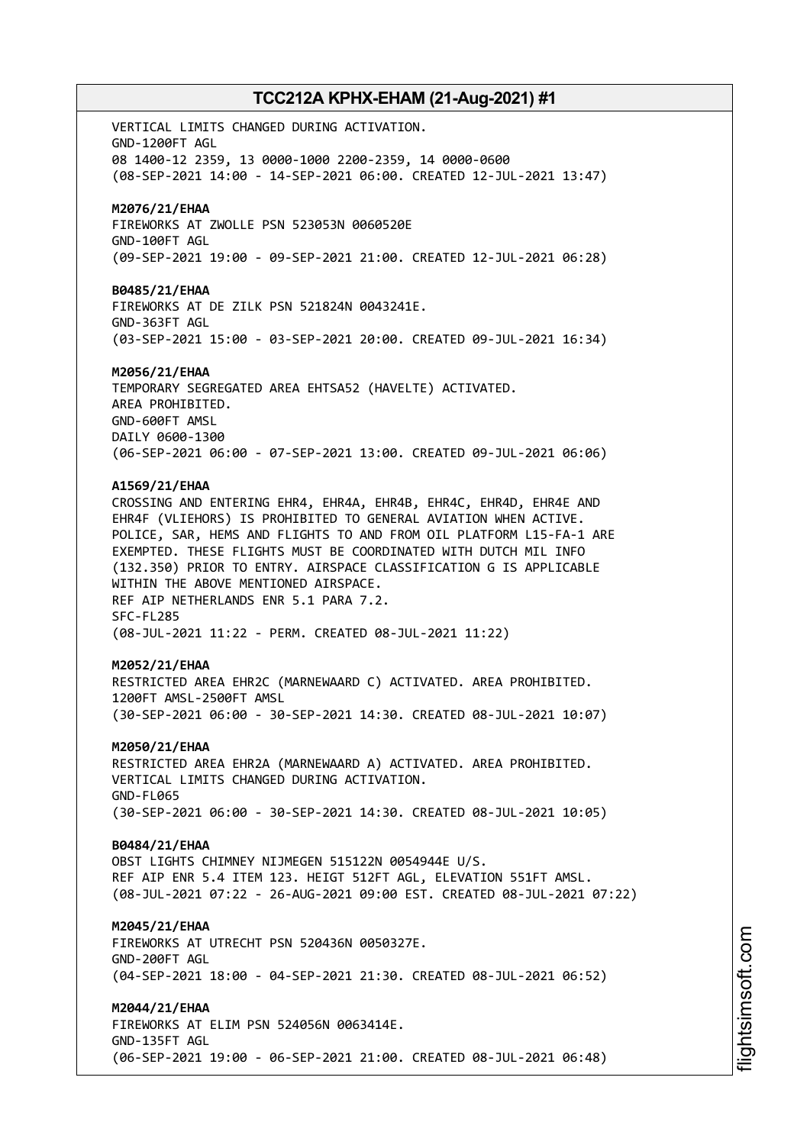VERTICAL LIMITS CHANGED DURING ACTIVATION. GND-1200FT AGL 08 1400-12 2359, 13 0000-1000 2200-2359, 14 0000-0600 (08-SEP-2021 14:00 - 14-SEP-2021 06:00. CREATED 12-JUL-2021 13:47) **M2076/21/EHAA** FIREWORKS AT ZWOLLE PSN 523053N 0060520E GND-100FT AGL (09-SEP-2021 19:00 - 09-SEP-2021 21:00. CREATED 12-JUL-2021 06:28) **B0485/21/EHAA** FIREWORKS AT DE ZILK PSN 521824N 0043241E. GND-363FT AGL (03-SEP-2021 15:00 - 03-SEP-2021 20:00. CREATED 09-JUL-2021 16:34) **M2056/21/EHAA** TEMPORARY SEGREGATED AREA EHTSA52 (HAVELTE) ACTIVATED. AREA PROHIBITED. GND-600FT AMSL DAILY 0600-1300 (06-SEP-2021 06:00 - 07-SEP-2021 13:00. CREATED 09-JUL-2021 06:06) **A1569/21/EHAA** CROSSING AND ENTERING EHR4, EHR4A, EHR4B, EHR4C, EHR4D, EHR4E AND EHR4F (VLIEHORS) IS PROHIBITED TO GENERAL AVIATION WHEN ACTIVE. POLICE, SAR, HEMS AND FLIGHTS TO AND FROM OIL PLATFORM L15-FA-1 ARE EXEMPTED. THESE FLIGHTS MUST BE COORDINATED WITH DUTCH MIL INFO (132.350) PRIOR TO ENTRY. AIRSPACE CLASSIFICATION G IS APPLICABLE WITHIN THE ABOVE MENTIONED AIRSPACE. REF AIP NETHERLANDS ENR 5.1 PARA 7.2. SFC-FL285 (08-JUL-2021 11:22 - PERM. CREATED 08-JUL-2021 11:22) **M2052/21/EHAA** RESTRICTED AREA EHR2C (MARNEWAARD C) ACTIVATED. AREA PROHIBITED. 1200FT AMSL-2500FT AMSL (30-SEP-2021 06:00 - 30-SEP-2021 14:30. CREATED 08-JUL-2021 10:07) **M2050/21/EHAA** RESTRICTED AREA EHR2A (MARNEWAARD A) ACTIVATED. AREA PROHIBITED. VERTICAL LIMITS CHANGED DURING ACTIVATION. GND-FL065 (30-SEP-2021 06:00 - 30-SEP-2021 14:30. CREATED 08-JUL-2021 10:05) **B0484/21/EHAA** OBST LIGHTS CHIMNEY NIJMEGEN 515122N 0054944E U/S. REF AIP ENR 5.4 ITEM 123. HEIGT 512FT AGL, ELEVATION 551FT AMSL. (08-JUL-2021 07:22 - 26-AUG-2021 09:00 EST. CREATED 08-JUL-2021 07:22) **M2045/21/EHAA** FIREWORKS AT UTRECHT PSN 520436N 0050327E. GND-200FT AGL (04-SEP-2021 18:00 - 04-SEP-2021 21:30. CREATED 08-JUL-2021 06:52) **M2044/21/EHAA** FIREWORKS AT ELIM PSN 524056N 0063414E. GND-135FT AGL (06-SEP-2021 19:00 - 06-SEP-2021 21:00. CREATED 08-JUL-2021 06:48)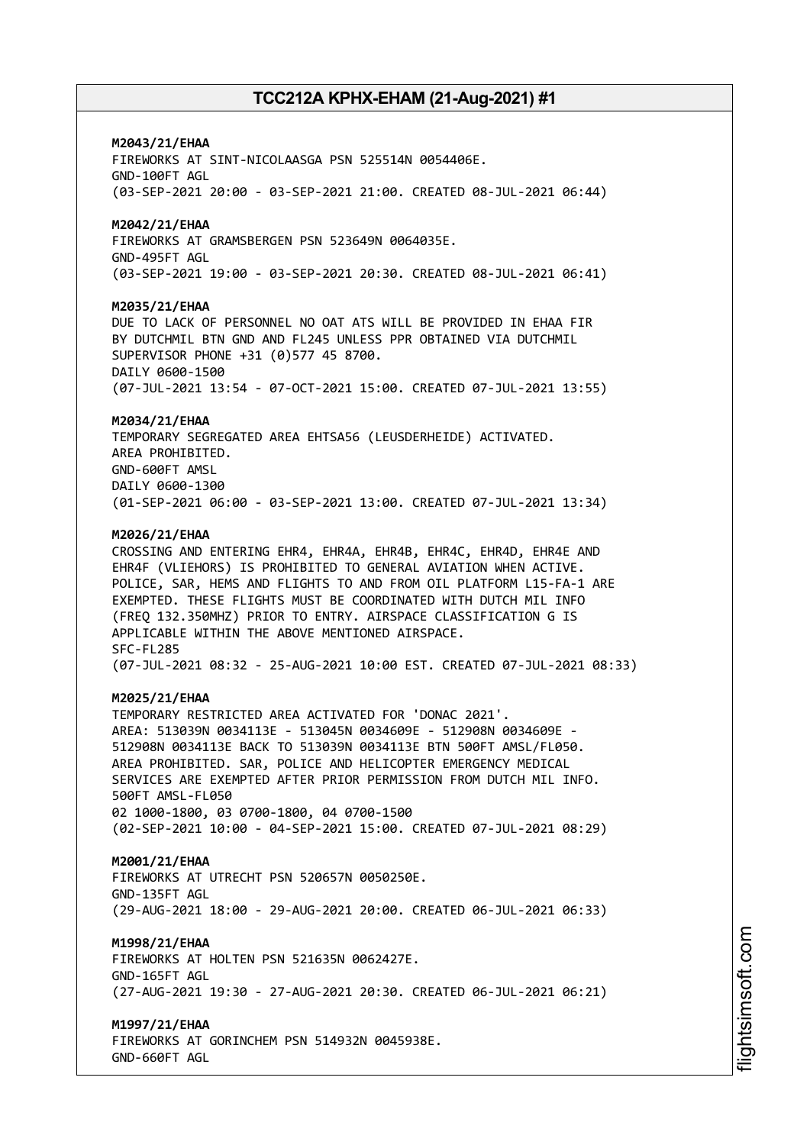### **M2043/21/EHAA**

FIREWORKS AT SINT-NICOLAASGA PSN 525514N 0054406E. GND-100FT AGL (03-SEP-2021 20:00 - 03-SEP-2021 21:00. CREATED 08-JUL-2021 06:44)

### **M2042/21/EHAA**

FIREWORKS AT GRAMSBERGEN PSN 523649N 0064035E. GND-495FT AGL (03-SEP-2021 19:00 - 03-SEP-2021 20:30. CREATED 08-JUL-2021 06:41)

#### **M2035/21/EHAA**

DUE TO LACK OF PERSONNEL NO OAT ATS WILL BE PROVIDED IN EHAA FIR BY DUTCHMIL BTN GND AND FL245 UNLESS PPR OBTAINED VIA DUTCHMIL SUPERVISOR PHONE +31 (0)577 45 8700. DAILY 0600-1500 (07-JUL-2021 13:54 - 07-OCT-2021 15:00. CREATED 07-JUL-2021 13:55)

#### **M2034/21/EHAA**

TEMPORARY SEGREGATED AREA EHTSA56 (LEUSDERHEIDE) ACTIVATED. AREA PROHIBITED. GND-600FT AMSL DAILY 0600-1300 (01-SEP-2021 06:00 - 03-SEP-2021 13:00. CREATED 07-JUL-2021 13:34)

#### **M2026/21/EHAA**

CROSSING AND ENTERING EHR4, EHR4A, EHR4B, EHR4C, EHR4D, EHR4E AND EHR4F (VLIEHORS) IS PROHIBITED TO GENERAL AVIATION WHEN ACTIVE. POLICE, SAR, HEMS AND FLIGHTS TO AND FROM OIL PLATFORM L15-FA-1 ARE EXEMPTED. THESE FLIGHTS MUST BE COORDINATED WITH DUTCH MIL INFO (FREQ 132.350MHZ) PRIOR TO ENTRY. AIRSPACE CLASSIFICATION G IS APPLICABLE WITHIN THE ABOVE MENTIONED AIRSPACE. SFC-FL285 (07-JUL-2021 08:32 - 25-AUG-2021 10:00 EST. CREATED 07-JUL-2021 08:33)

#### **M2025/21/EHAA**

TEMPORARY RESTRICTED AREA ACTIVATED FOR 'DONAC 2021'. AREA: 513039N 0034113E - 513045N 0034609E - 512908N 0034609E - 512908N 0034113E BACK TO 513039N 0034113E BTN 500FT AMSL/FL050. AREA PROHIBITED. SAR, POLICE AND HELICOPTER EMERGENCY MEDICAL SERVICES ARE EXEMPTED AFTER PRIOR PERMISSION FROM DUTCH MIL INFO. 500FT AMSL-FL050 02 1000-1800, 03 0700-1800, 04 0700-1500 (02-SEP-2021 10:00 - 04-SEP-2021 15:00. CREATED 07-JUL-2021 08:29)

#### **M2001/21/EHAA**

FIREWORKS AT UTRECHT PSN 520657N 0050250E. GND-135FT AGL (29-AUG-2021 18:00 - 29-AUG-2021 20:00. CREATED 06-JUL-2021 06:33)

#### **M1998/21/EHAA**

FIREWORKS AT HOLTEN PSN 521635N 0062427E. GND-165FT AGL (27-AUG-2021 19:30 - 27-AUG-2021 20:30. CREATED 06-JUL-2021 06:21)

#### **M1997/21/EHAA**

FIREWORKS AT GORINCHEM PSN 514932N 0045938E. GND-660FT AGL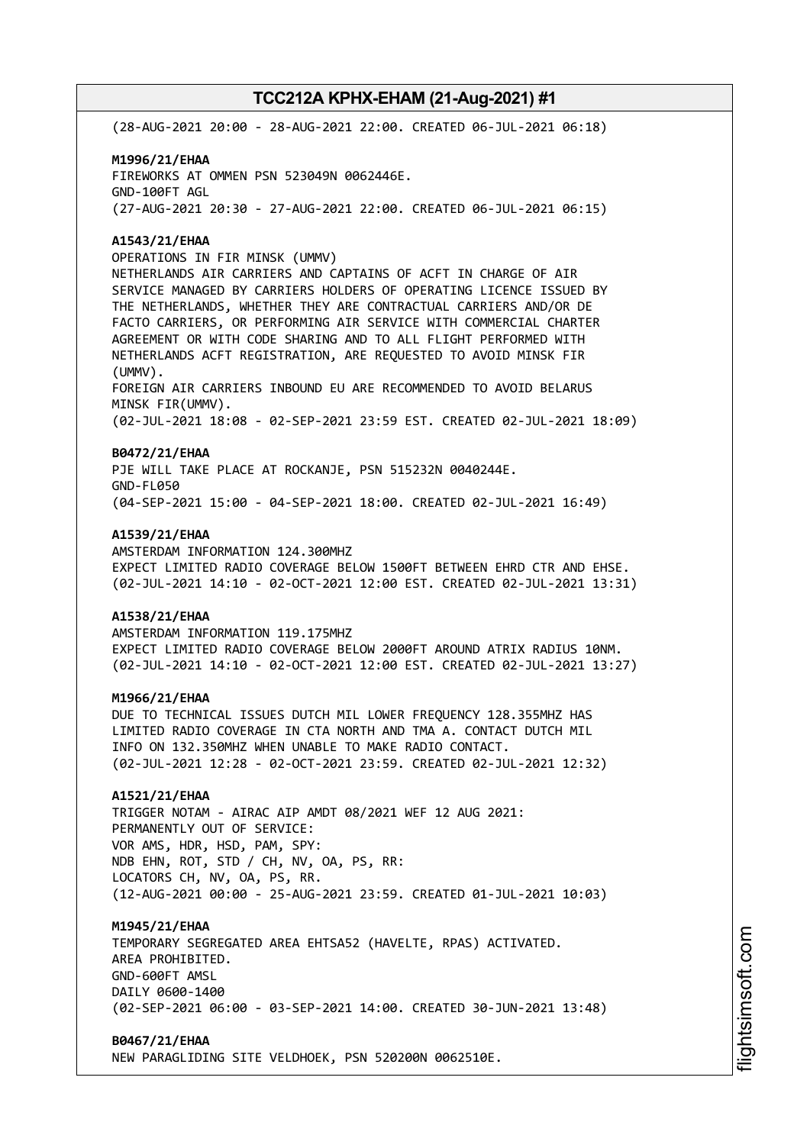(28-AUG-2021 20:00 - 28-AUG-2021 22:00. CREATED 06-JUL-2021 06:18)

# **M1996/21/EHAA** FIREWORKS AT OMMEN PSN 523049N 0062446E. GND-100FT AGL

(27-AUG-2021 20:30 - 27-AUG-2021 22:00. CREATED 06-JUL-2021 06:15)

### **A1543/21/EHAA**

OPERATIONS IN FIR MINSK (UMMV) NETHERLANDS AIR CARRIERS AND CAPTAINS OF ACFT IN CHARGE OF AIR SERVICE MANAGED BY CARRIERS HOLDERS OF OPERATING LICENCE ISSUED BY THE NETHERLANDS, WHETHER THEY ARE CONTRACTUAL CARRIERS AND/OR DE FACTO CARRIERS, OR PERFORMING AIR SERVICE WITH COMMERCIAL CHARTER AGREEMENT OR WITH CODE SHARING AND TO ALL FLIGHT PERFORMED WITH NETHERLANDS ACFT REGISTRATION, ARE REQUESTED TO AVOID MINSK FIR (UMMV). FOREIGN AIR CARRIERS INBOUND EU ARE RECOMMENDED TO AVOID BELARUS MINSK FIR(UMMV). (02-JUL-2021 18:08 - 02-SEP-2021 23:59 EST. CREATED 02-JUL-2021 18:09)

### **B0472/21/EHAA**

PJE WILL TAKE PLACE AT ROCKANJE, PSN 515232N 0040244E. GND-FL050 (04-SEP-2021 15:00 - 04-SEP-2021 18:00. CREATED 02-JUL-2021 16:49)

#### **A1539/21/EHAA**

AMSTERDAM INFORMATION 124.300MHZ EXPECT LIMITED RADIO COVERAGE BELOW 1500FT BETWEEN EHRD CTR AND EHSE. (02-JUL-2021 14:10 - 02-OCT-2021 12:00 EST. CREATED 02-JUL-2021 13:31)

### **A1538/21/EHAA**

AMSTERDAM INFORMATION 119.175MHZ EXPECT LIMITED RADIO COVERAGE BELOW 2000FT AROUND ATRIX RADIUS 10NM. (02-JUL-2021 14:10 - 02-OCT-2021 12:00 EST. CREATED 02-JUL-2021 13:27)

### **M1966/21/EHAA**

DUE TO TECHNICAL ISSUES DUTCH MIL LOWER FREQUENCY 128.355MHZ HAS LIMITED RADIO COVERAGE IN CTA NORTH AND TMA A. CONTACT DUTCH MIL INFO ON 132.350MHZ WHEN UNABLE TO MAKE RADIO CONTACT. (02-JUL-2021 12:28 - 02-OCT-2021 23:59. CREATED 02-JUL-2021 12:32)

### **A1521/21/EHAA**

TRIGGER NOTAM - AIRAC AIP AMDT 08/2021 WEF 12 AUG 2021: PERMANENTLY OUT OF SERVICE: VOR AMS, HDR, HSD, PAM, SPY: NDB EHN, ROT, STD / CH, NV, OA, PS, RR: LOCATORS CH, NV, OA, PS, RR. (12-AUG-2021 00:00 - 25-AUG-2021 23:59. CREATED 01-JUL-2021 10:03)

### **M1945/21/EHAA**

TEMPORARY SEGREGATED AREA EHTSA52 (HAVELTE, RPAS) ACTIVATED. AREA PROHIBITED. GND-600FT AMSL DAILY 0600-1400 (02-SEP-2021 06:00 - 03-SEP-2021 14:00. CREATED 30-JUN-2021 13:48)

### **B0467/21/EHAA**

NEW PARAGLIDING SITE VELDHOEK, PSN 520200N 0062510E.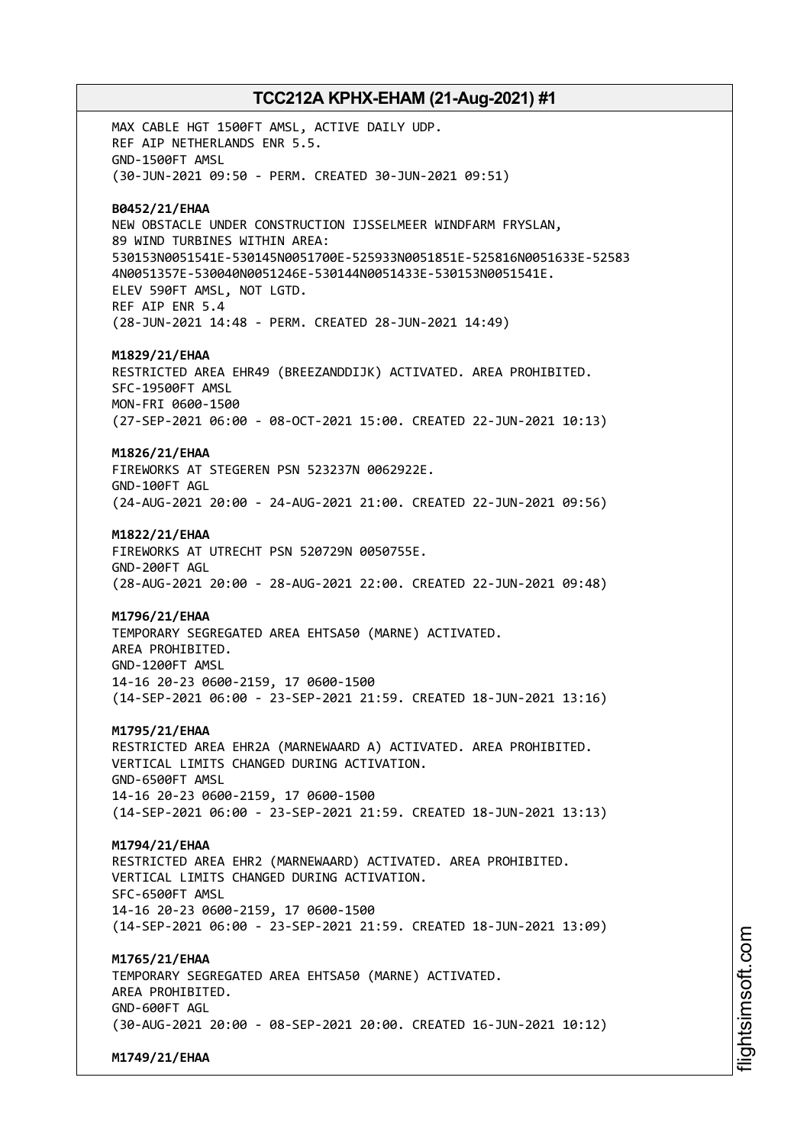MAX CABLE HGT 1500FT AMSL, ACTIVE DAILY UDP. REF AIP NETHERLANDS ENR 5.5. GND-1500FT AMSL (30-JUN-2021 09:50 - PERM. CREATED 30-JUN-2021 09:51) **B0452/21/EHAA** NEW OBSTACLE UNDER CONSTRUCTION IJSSELMEER WINDFARM FRYSLAN, 89 WIND TURBINES WITHIN AREA: 530153N0051541E-530145N0051700E-525933N0051851E-525816N0051633E-52583 4N0051357E-530040N0051246E-530144N0051433E-530153N0051541E. ELEV 590FT AMSL, NOT LGTD. REF AIP ENR 5.4 (28-JUN-2021 14:48 - PERM. CREATED 28-JUN-2021 14:49) **M1829/21/EHAA** RESTRICTED AREA EHR49 (BREEZANDDIJK) ACTIVATED. AREA PROHIBITED. SFC-19500FT AMSL MON-FRI 0600-1500 (27-SEP-2021 06:00 - 08-OCT-2021 15:00. CREATED 22-JUN-2021 10:13) **M1826/21/EHAA** FIREWORKS AT STEGEREN PSN 523237N 0062922E. GND-100FT AGL (24-AUG-2021 20:00 - 24-AUG-2021 21:00. CREATED 22-JUN-2021 09:56) **M1822/21/EHAA** FIREWORKS AT UTRECHT PSN 520729N 0050755E. GND-200FT AGL (28-AUG-2021 20:00 - 28-AUG-2021 22:00. CREATED 22-JUN-2021 09:48) **M1796/21/EHAA** TEMPORARY SEGREGATED AREA EHTSA50 (MARNE) ACTIVATED. AREA PROHIBITED. GND-1200FT AMSL 14-16 20-23 0600-2159, 17 0600-1500 (14-SEP-2021 06:00 - 23-SEP-2021 21:59. CREATED 18-JUN-2021 13:16) **M1795/21/EHAA** RESTRICTED AREA EHR2A (MARNEWAARD A) ACTIVATED. AREA PROHIBITED. VERTICAL LIMITS CHANGED DURING ACTIVATION. GND-6500FT AMSL 14-16 20-23 0600-2159, 17 0600-1500 (14-SEP-2021 06:00 - 23-SEP-2021 21:59. CREATED 18-JUN-2021 13:13) **M1794/21/EHAA** RESTRICTED AREA EHR2 (MARNEWAARD) ACTIVATED. AREA PROHIBITED. VERTICAL LIMITS CHANGED DURING ACTIVATION. SFC-6500FT AMSL 14-16 20-23 0600-2159, 17 0600-1500 (14-SEP-2021 06:00 - 23-SEP-2021 21:59. CREATED 18-JUN-2021 13:09) **M1765/21/EHAA** TEMPORARY SEGREGATED AREA EHTSA50 (MARNE) ACTIVATED. AREA PROHIBITED. GND-600FT AGL (30-AUG-2021 20:00 - 08-SEP-2021 20:00. CREATED 16-JUN-2021 10:12)

**M1749/21/EHAA**

i⊒<br>⊫ htsim soft.c om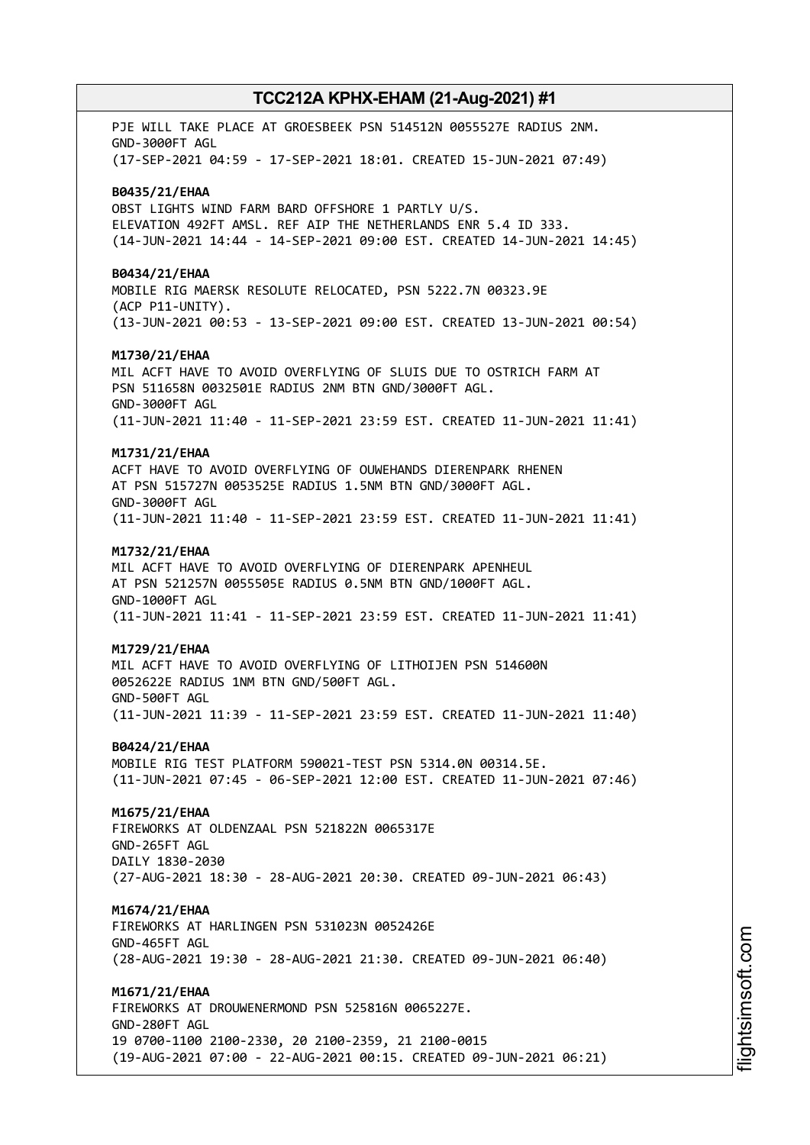PJE WILL TAKE PLACE AT GROESBEEK PSN 514512N 0055527E RADIUS 2NM. GND-3000FT AGL (17-SEP-2021 04:59 - 17-SEP-2021 18:01. CREATED 15-JUN-2021 07:49) **B0435/21/EHAA** OBST LIGHTS WIND FARM BARD OFFSHORE 1 PARTLY U/S. ELEVATION 492FT AMSL. REF AIP THE NETHERLANDS ENR 5.4 ID 333. (14-JUN-2021 14:44 - 14-SEP-2021 09:00 EST. CREATED 14-JUN-2021 14:45) **B0434/21/EHAA** MOBILE RIG MAERSK RESOLUTE RELOCATED, PSN 5222.7N 00323.9E (ACP P11-UNITY). (13-JUN-2021 00:53 - 13-SEP-2021 09:00 EST. CREATED 13-JUN-2021 00:54) **M1730/21/EHAA** MIL ACFT HAVE TO AVOID OVERFLYING OF SLUIS DUE TO OSTRICH FARM AT PSN 511658N 0032501E RADIUS 2NM BTN GND/3000FT AGL. GND-3000FT AGL (11-JUN-2021 11:40 - 11-SEP-2021 23:59 EST. CREATED 11-JUN-2021 11:41) **M1731/21/EHAA** ACFT HAVE TO AVOID OVERFLYING OF OUWEHANDS DIERENPARK RHENEN AT PSN 515727N 0053525E RADIUS 1.5NM BTN GND/3000FT AGL. GND-3000FT AGL (11-JUN-2021 11:40 - 11-SEP-2021 23:59 EST. CREATED 11-JUN-2021 11:41) **M1732/21/EHAA** MIL ACFT HAVE TO AVOID OVERFLYING OF DIERENPARK APENHEUL AT PSN 521257N 0055505E RADIUS 0.5NM BTN GND/1000FT AGL. GND-1000FT AGL (11-JUN-2021 11:41 - 11-SEP-2021 23:59 EST. CREATED 11-JUN-2021 11:41) **M1729/21/EHAA** MIL ACFT HAVE TO AVOID OVERFLYING OF LITHOIJEN PSN 514600N 0052622E RADIUS 1NM BTN GND/500FT AGL. GND-500FT AGL (11-JUN-2021 11:39 - 11-SEP-2021 23:59 EST. CREATED 11-JUN-2021 11:40) **B0424/21/EHAA** MOBILE RIG TEST PLATFORM 590021-TEST PSN 5314.0N 00314.5E. (11-JUN-2021 07:45 - 06-SEP-2021 12:00 EST. CREATED 11-JUN-2021 07:46) **M1675/21/EHAA** FIREWORKS AT OLDENZAAL PSN 521822N 0065317E GND-265FT AGL DAILY 1830-2030 (27-AUG-2021 18:30 - 28-AUG-2021 20:30. CREATED 09-JUN-2021 06:43) **M1674/21/EHAA** FIREWORKS AT HARLINGEN PSN 531023N 0052426E GND-465FT AGL (28-AUG-2021 19:30 - 28-AUG-2021 21:30. CREATED 09-JUN-2021 06:40) **M1671/21/EHAA** FIREWORKS AT DROUWENERMOND PSN 525816N 0065227E. GND-280FT AGL 19 0700-1100 2100-2330, 20 2100-2359, 21 2100-0015 (19-AUG-2021 07:00 - 22-AUG-2021 00:15. CREATED 09-JUN-2021 06:21)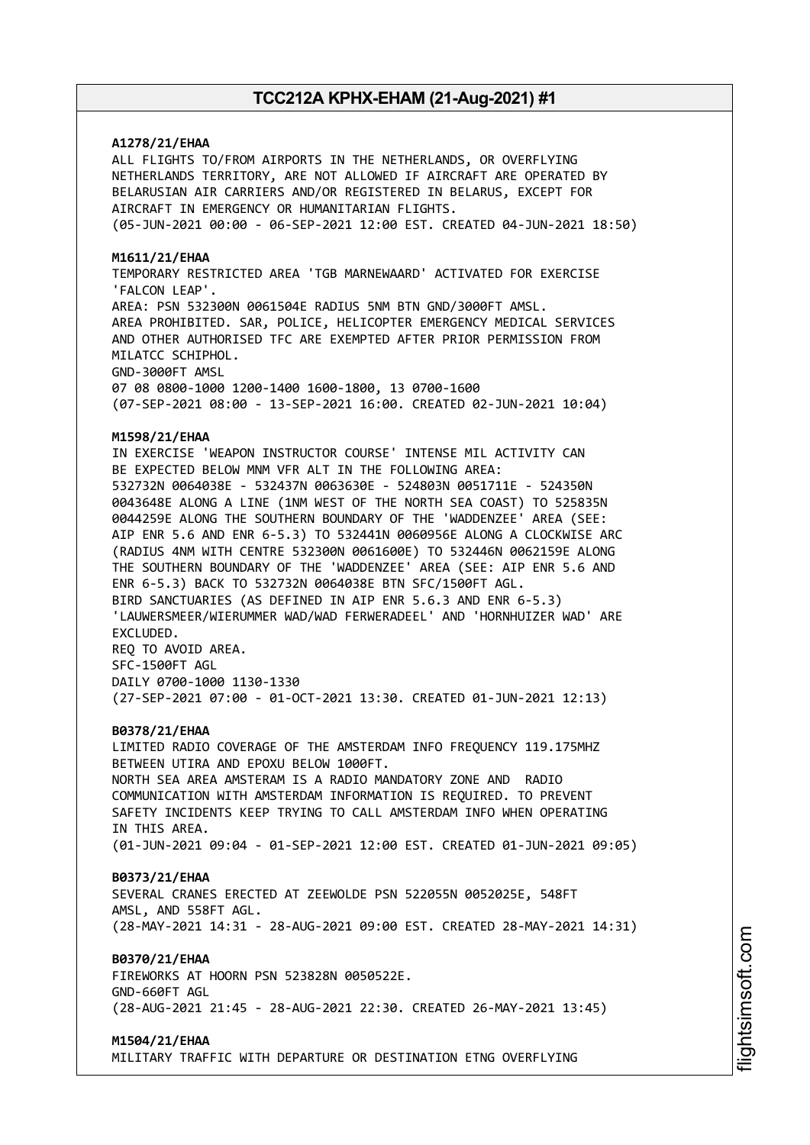### **A1278/21/EHAA**

ALL FLIGHTS TO/FROM AIRPORTS IN THE NETHERLANDS, OR OVERFLYING NETHERLANDS TERRITORY, ARE NOT ALLOWED IF AIRCRAFT ARE OPERATED BY BELARUSIAN AIR CARRIERS AND/OR REGISTERED IN BELARUS, EXCEPT FOR AIRCRAFT IN EMERGENCY OR HUMANITARIAN FLIGHTS. (05-JUN-2021 00:00 - 06-SEP-2021 12:00 EST. CREATED 04-JUN-2021 18:50)

#### **M1611/21/EHAA**

TEMPORARY RESTRICTED AREA 'TGB MARNEWAARD' ACTIVATED FOR EXERCISE 'FALCON LEAP'. AREA: PSN 532300N 0061504E RADIUS 5NM BTN GND/3000FT AMSL. AREA PROHIBITED. SAR, POLICE, HELICOPTER EMERGENCY MEDICAL SERVICES AND OTHER AUTHORISED TFC ARE EXEMPTED AFTER PRIOR PERMISSION FROM MILATCC SCHIPHOL. GND-3000FT AMSL 07 08 0800-1000 1200-1400 1600-1800, 13 0700-1600

(07-SEP-2021 08:00 - 13-SEP-2021 16:00. CREATED 02-JUN-2021 10:04)

### **M1598/21/EHAA**

IN EXERCISE 'WEAPON INSTRUCTOR COURSE' INTENSE MIL ACTIVITY CAN BE EXPECTED BELOW MNM VFR ALT IN THE FOLLOWING AREA: 532732N 0064038E - 532437N 0063630E - 524803N 0051711E - 524350N 0043648E ALONG A LINE (1NM WEST OF THE NORTH SEA COAST) TO 525835N 0044259E ALONG THE SOUTHERN BOUNDARY OF THE 'WADDENZEE' AREA (SEE: AIP ENR 5.6 AND ENR 6-5.3) TO 532441N 0060956E ALONG A CLOCKWISE ARC (RADIUS 4NM WITH CENTRE 532300N 0061600E) TO 532446N 0062159E ALONG THE SOUTHERN BOUNDARY OF THE 'WADDENZEE' AREA (SEE: AIP ENR 5.6 AND ENR 6-5.3) BACK TO 532732N 0064038E BTN SFC/1500FT AGL. BIRD SANCTUARIES (AS DEFINED IN AIP ENR 5.6.3 AND ENR 6-5.3) 'LAUWERSMEER/WIERUMMER WAD/WAD FERWERADEEL' AND 'HORNHUIZER WAD' ARE EXCLUDED. REQ TO AVOID AREA. SFC-1500FT AGL DAILY 0700-1000 1130-1330

(27-SEP-2021 07:00 - 01-OCT-2021 13:30. CREATED 01-JUN-2021 12:13)

#### **B0378/21/EHAA**

LIMITED RADIO COVERAGE OF THE AMSTERDAM INFO FREQUENCY 119.175MHZ BETWEEN UTIRA AND EPOXU BELOW 1000FT. NORTH SEA AREA AMSTERAM IS A RADIO MANDATORY ZONE AND RADIO COMMUNICATION WITH AMSTERDAM INFORMATION IS REQUIRED. TO PREVENT SAFETY INCIDENTS KEEP TRYING TO CALL AMSTERDAM INFO WHEN OPERATING IN THIS AREA. (01-JUN-2021 09:04 - 01-SEP-2021 12:00 EST. CREATED 01-JUN-2021 09:05)

## **B0373/21/EHAA**

SEVERAL CRANES ERECTED AT ZEEWOLDE PSN 522055N 0052025E, 548FT AMSL, AND 558FT AGL. (28-MAY-2021 14:31 - 28-AUG-2021 09:00 EST. CREATED 28-MAY-2021 14:31)

## **B0370/21/EHAA**

FIREWORKS AT HOORN PSN 523828N 0050522E. GND-660FT AGL (28-AUG-2021 21:45 - 28-AUG-2021 22:30. CREATED 26-MAY-2021 13:45)

#### **M1504/21/EHAA**

MILITARY TRAFFIC WITH DEPARTURE OR DESTINATION ETNG OVERFLYING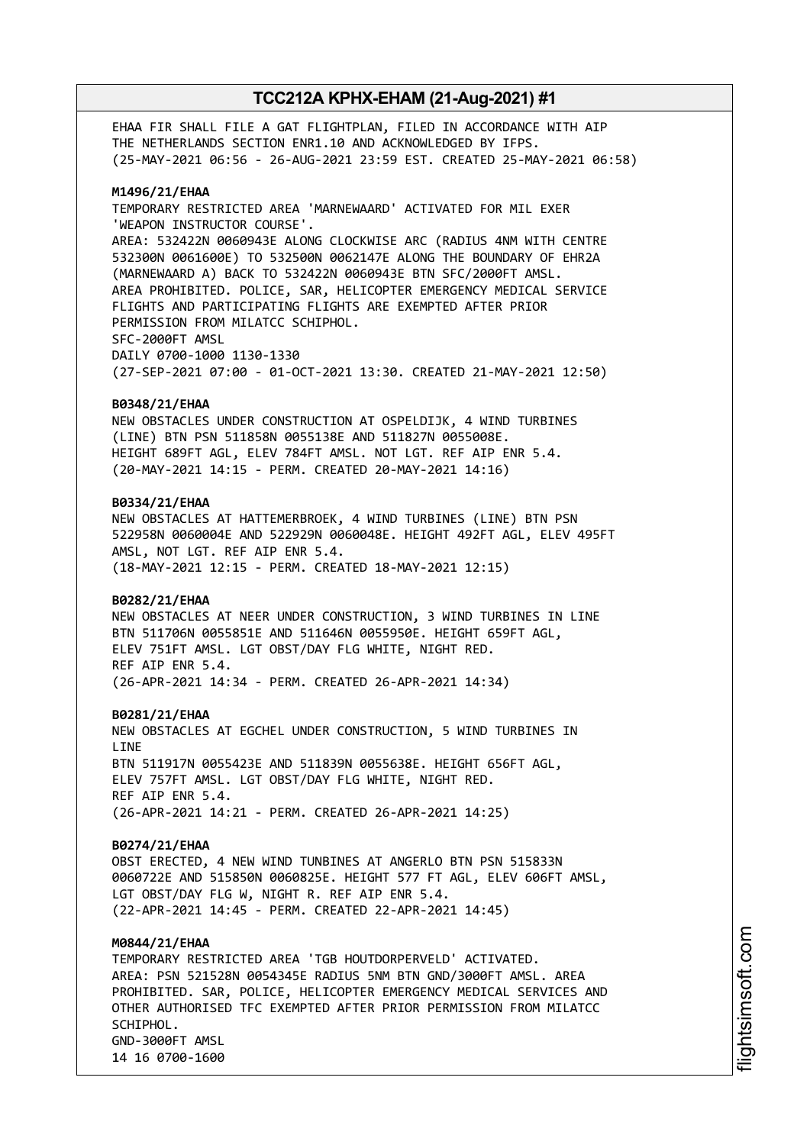EHAA FIR SHALL FILE A GAT FLIGHTPLAN, FILED IN ACCORDANCE WITH AIP THE NETHERLANDS SECTION ENR1.10 AND ACKNOWLEDGED BY IFPS. (25-MAY-2021 06:56 - 26-AUG-2021 23:59 EST. CREATED 25-MAY-2021 06:58)

#### **M1496/21/EHAA**

TEMPORARY RESTRICTED AREA 'MARNEWAARD' ACTIVATED FOR MIL EXER 'WEAPON INSTRUCTOR COURSE'. AREA: 532422N 0060943E ALONG CLOCKWISE ARC (RADIUS 4NM WITH CENTRE 532300N 0061600E) TO 532500N 0062147E ALONG THE BOUNDARY OF EHR2A (MARNEWAARD A) BACK TO 532422N 0060943E BTN SFC/2000FT AMSL. AREA PROHIBITED. POLICE, SAR, HELICOPTER EMERGENCY MEDICAL SERVICE FLIGHTS AND PARTICIPATING FLIGHTS ARE EXEMPTED AFTER PRIOR PERMISSION FROM MILATCC SCHIPHOL. SFC-2000FT AMSL DAILY 0700-1000 1130-1330 (27-SEP-2021 07:00 - 01-OCT-2021 13:30. CREATED 21-MAY-2021 12:50)

#### **B0348/21/EHAA**

NEW OBSTACLES UNDER CONSTRUCTION AT OSPELDIJK, 4 WIND TURBINES (LINE) BTN PSN 511858N 0055138E AND 511827N 0055008E. HEIGHT 689FT AGL, ELEV 784FT AMSL. NOT LGT. REF AIP ENR 5.4. (20-MAY-2021 14:15 - PERM. CREATED 20-MAY-2021 14:16)

#### **B0334/21/EHAA**

NEW OBSTACLES AT HATTEMERBROEK, 4 WIND TURBINES (LINE) BTN PSN 522958N 0060004E AND 522929N 0060048E. HEIGHT 492FT AGL, ELEV 495FT AMSL, NOT LGT. REF AIP ENR 5.4. (18-MAY-2021 12:15 - PERM. CREATED 18-MAY-2021 12:15)

#### **B0282/21/EHAA**

NEW OBSTACLES AT NEER UNDER CONSTRUCTION, 3 WIND TURBINES IN LINE BTN 511706N 0055851E AND 511646N 0055950E. HEIGHT 659FT AGL, ELEV 751FT AMSL. LGT OBST/DAY FLG WHITE, NIGHT RED. REF AIP ENR 5.4. (26-APR-2021 14:34 - PERM. CREATED 26-APR-2021 14:34)

#### **B0281/21/EHAA**

NEW OBSTACLES AT EGCHEL UNDER CONSTRUCTION, 5 WIND TURBINES IN LINE BTN 511917N 0055423E AND 511839N 0055638E. HEIGHT 656FT AGL, ELEV 757FT AMSL. LGT OBST/DAY FLG WHITE, NIGHT RED. REF AIP ENR 5.4. (26-APR-2021 14:21 - PERM. CREATED 26-APR-2021 14:25)

#### **B0274/21/EHAA**

OBST ERECTED, 4 NEW WIND TUNBINES AT ANGERLO BTN PSN 515833N 0060722E AND 515850N 0060825E. HEIGHT 577 FT AGL, ELEV 606FT AMSL, LGT OBST/DAY FLG W, NIGHT R. REF AIP ENR 5.4. (22-APR-2021 14:45 - PERM. CREATED 22-APR-2021 14:45)

### **M0844/21/EHAA**

TEMPORARY RESTRICTED AREA 'TGB HOUTDORPERVELD' ACTIVATED. AREA: PSN 521528N 0054345E RADIUS 5NM BTN GND/3000FT AMSL. AREA PROHIBITED. SAR, POLICE, HELICOPTER EMERGENCY MEDICAL SERVICES AND OTHER AUTHORISED TFC EXEMPTED AFTER PRIOR PERMISSION FROM MILATCC SCHIPHOL. GND-3000FT AMSL 14 16 0700-1600